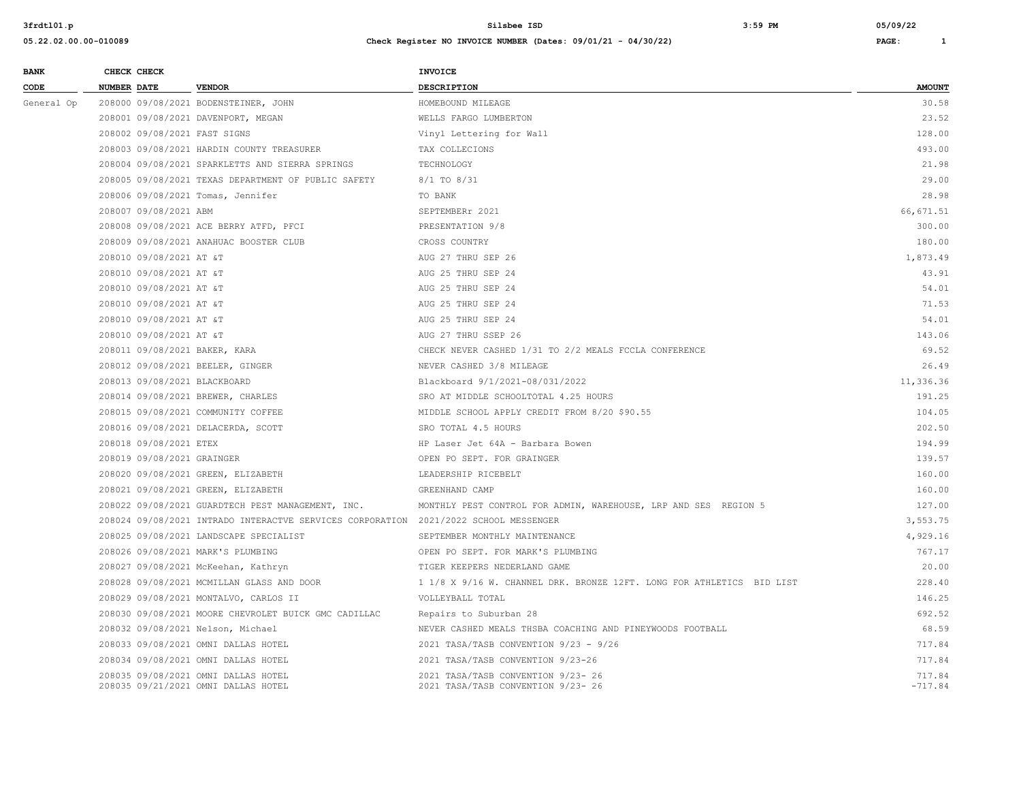| <b>BANK</b> | CHECK CHECK                      |                                                                                      | <b>INVOICE</b>                                                           |                     |
|-------------|----------------------------------|--------------------------------------------------------------------------------------|--------------------------------------------------------------------------|---------------------|
| CODE        | NUMBER DATE                      | <b>VENDOR</b>                                                                        | <b>DESCRIPTION</b>                                                       | <b>AMOUNT</b>       |
| General Op  |                                  | 208000 09/08/2021 BODENSTEINER, JOHN                                                 | HOMEBOUND MILEAGE                                                        | 30.58               |
|             |                                  | 208001 09/08/2021 DAVENPORT, MEGAN                                                   | WELLS FARGO LUMBERTON                                                    | 23.52               |
|             | 208002 09/08/2021 FAST SIGNS     |                                                                                      | Vinyl Lettering for Wall                                                 | 128.00              |
|             |                                  | 208003 09/08/2021 HARDIN COUNTY TREASURER                                            | TAX COLLECIONS                                                           | 493.00              |
|             |                                  | 208004 09/08/2021 SPARKLETTS AND SIERRA SPRINGS                                      | TECHNOLOGY                                                               | 21.98               |
|             |                                  | 208005 09/08/2021 TEXAS DEPARTMENT OF PUBLIC SAFETY                                  | 8/1 TO 8/31                                                              | 29.00               |
|             |                                  | 208006 09/08/2021 Tomas, Jennifer                                                    | TO BANK                                                                  | 28.98               |
|             | 208007 09/08/2021 ABM            |                                                                                      | SEPTEMBERr 2021                                                          | 66, 671.51          |
|             |                                  | 208008 09/08/2021 ACE BERRY ATFD, PFCI                                               | PRESENTATION 9/8                                                         | 300.00              |
|             |                                  | 208009 09/08/2021 ANAHUAC BOOSTER CLUB                                               | CROSS COUNTRY                                                            | 180.00              |
|             | 208010 09/08/2021 AT &T          |                                                                                      | AUG 27 THRU SEP 26                                                       | 1,873.49            |
|             | 208010 09/08/2021 AT &T          |                                                                                      | AUG 25 THRU SEP 24                                                       | 43.91               |
|             | 208010 09/08/2021 AT &T          |                                                                                      | AUG 25 THRU SEP 24                                                       | 54.01               |
|             | 208010 09/08/2021 AT &T          |                                                                                      | AUG 25 THRU SEP 24                                                       | 71.53               |
|             | 208010 09/08/2021 AT &T          |                                                                                      | AUG 25 THRU SEP 24                                                       | 54.01               |
|             | 208010 09/08/2021 AT &T          |                                                                                      | AUG 27 THRU SSEP 26                                                      | 143.06              |
|             | 208011 09/08/2021 BAKER, KARA    |                                                                                      | CHECK NEVER CASHED 1/31 TO 2/2 MEALS FCCLA CONFERENCE                    | 69.52               |
|             | 208012 09/08/2021 BEELER, GINGER |                                                                                      | NEVER CASHED 3/8 MILEAGE                                                 | 26.49               |
|             | 208013 09/08/2021 BLACKBOARD     |                                                                                      | Blackboard 9/1/2021-08/031/2022                                          | 11,336.36           |
|             |                                  | 208014 09/08/2021 BREWER, CHARLES                                                    | SRO AT MIDDLE SCHOOLTOTAL 4.25 HOURS                                     | 191.25              |
|             |                                  | 208015 09/08/2021 COMMUNITY COFFEE                                                   | MIDDLE SCHOOL APPLY CREDIT FROM 8/20 \$90.55                             | 104.05              |
|             |                                  | 208016 09/08/2021 DELACERDA, SCOTT                                                   | SRO TOTAL 4.5 HOURS                                                      | 202.50              |
|             | 208018 09/08/2021 ETEX           |                                                                                      | HP Laser Jet 64A - Barbara Bowen                                         | 194.99              |
|             | 208019 09/08/2021 GRAINGER       |                                                                                      | OPEN PO SEPT. FOR GRAINGER                                               | 139.57              |
|             |                                  | 208020 09/08/2021 GREEN, ELIZABETH                                                   | LEADERSHIP RICEBELT                                                      | 160.00              |
|             |                                  | 208021 09/08/2021 GREEN, ELIZABETH                                                   | GREENHAND CAMP                                                           | 160.00              |
|             |                                  | 208022 09/08/2021 GUARDTECH PEST MANAGEMENT, INC.                                    | MONTHLY PEST CONTROL FOR ADMIN, WAREHOUSE, LRP AND SES REGION 5          | 127.00              |
|             |                                  | 208024 09/08/2021 INTRADO INTERACTVE SERVICES CORPORATION 2021/2022 SCHOOL MESSENGER |                                                                          | 3,553.75            |
|             |                                  | 208025 09/08/2021 LANDSCAPE SPECIALIST                                               | SEPTEMBER MONTHLY MAINTENANCE                                            | 4,929.16            |
|             |                                  | 208026 09/08/2021 MARK'S PLUMBING                                                    | OPEN PO SEPT. FOR MARK'S PLUMBING                                        | 767.17              |
|             |                                  | 208027 09/08/2021 McKeehan, Kathryn                                                  | TIGER KEEPERS NEDERLAND GAME                                             | 20.00               |
|             |                                  | 208028 09/08/2021 MCMILLAN GLASS AND DOOR                                            | 1 1/8 X 9/16 W. CHANNEL DRK. BRONZE 12FT. LONG FOR ATHLETICS BID LIST    | 228.40              |
|             |                                  | 208029 09/08/2021 MONTALVO, CARLOS II                                                | VOLLEYBALL TOTAL                                                         | 146.25              |
|             |                                  | 208030 09/08/2021 MOORE CHEVROLET BUICK GMC CADILLAC                                 | Repairs to Suburban 28                                                   | 692.52              |
|             |                                  | 208032 09/08/2021 Nelson, Michael                                                    | NEVER CASHED MEALS THSBA COACHING AND PINEYWOODS FOOTBALL                | 68.59               |
|             |                                  | 208033 09/08/2021 OMNI DALLAS HOTEL                                                  | 2021 TASA/TASB CONVENTION 9/23 - 9/26                                    | 717.84              |
|             |                                  | 208034 09/08/2021 OMNI DALLAS HOTEL                                                  | 2021 TASA/TASB CONVENTION 9/23-26                                        | 717.84              |
|             |                                  | 208035 09/08/2021 OMNI DALLAS HOTEL<br>208035 09/21/2021 OMNI DALLAS HOTEL           | 2021 TASA/TASB CONVENTION 9/23- 26<br>2021 TASA/TASB CONVENTION 9/23- 26 | 717.84<br>$-717.84$ |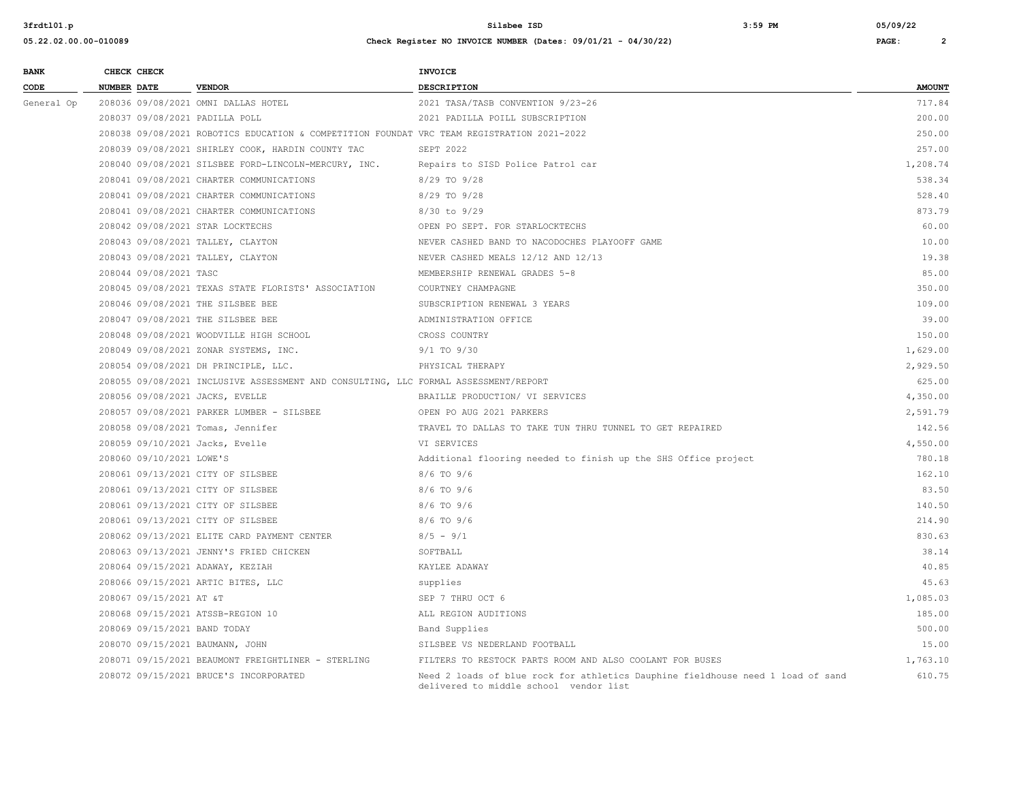| <b>BANK</b> |                    | CHECK CHECK              |                                                                                            | <b>INVOICE</b>                                                                                                            |               |
|-------------|--------------------|--------------------------|--------------------------------------------------------------------------------------------|---------------------------------------------------------------------------------------------------------------------------|---------------|
| CODE        | <b>NUMBER DATE</b> |                          | <b>VENDOR</b>                                                                              | <b>DESCRIPTION</b>                                                                                                        | <b>AMOUNT</b> |
| General Op  |                    |                          | 208036 09/08/2021 OMNI DALLAS HOTEL                                                        | 2021 TASA/TASB CONVENTION 9/23-26                                                                                         | 717.84        |
|             |                    |                          | 208037 09/08/2021 PADILLA POLL                                                             | 2021 PADILLA POILL SUBSCRIPTION                                                                                           | 200.00        |
|             |                    |                          | 208038 09/08/2021 ROBOTICS EDUCATION & COMPETITION FOUNDAT VRC TEAM REGISTRATION 2021-2022 |                                                                                                                           | 250.00        |
|             |                    |                          | 208039 09/08/2021 SHIRLEY COOK, HARDIN COUNTY TAC                                          | SEPT 2022                                                                                                                 | 257.00        |
|             |                    |                          | 208040 09/08/2021 SILSBEE FORD-LINCOLN-MERCURY, INC.                                       | Repairs to SISD Police Patrol car                                                                                         | 1,208.74      |
|             |                    |                          | 208041 09/08/2021 CHARTER COMMUNICATIONS                                                   | 8/29 TO 9/28                                                                                                              | 538.34        |
|             |                    |                          | 208041 09/08/2021 CHARTER COMMUNICATIONS                                                   | 8/29 TO 9/28                                                                                                              | 528.40        |
|             |                    |                          | 208041 09/08/2021 CHARTER COMMUNICATIONS                                                   | $8/30$ to $9/29$                                                                                                          | 873.79        |
|             |                    |                          | 208042 09/08/2021 STAR LOCKTECHS                                                           | OPEN PO SEPT. FOR STARLOCKTECHS                                                                                           | 60.00         |
|             |                    |                          | 208043 09/08/2021 TALLEY, CLAYTON                                                          | NEVER CASHED BAND TO NACODOCHES PLAYOOFF GAME                                                                             | 10.00         |
|             |                    |                          | 208043 09/08/2021 TALLEY, CLAYTON                                                          | NEVER CASHED MEALS 12/12 AND 12/13                                                                                        | 19.38         |
|             |                    | 208044 09/08/2021 TASC   |                                                                                            | MEMBERSHIP RENEWAL GRADES 5-8                                                                                             | 85.00         |
|             |                    |                          | 208045 09/08/2021 TEXAS STATE FLORISTS' ASSOCIATION                                        | COURTNEY CHAMPAGNE                                                                                                        | 350.00        |
|             |                    |                          | 208046 09/08/2021 THE SILSBEE BEE                                                          | SUBSCRIPTION RENEWAL 3 YEARS                                                                                              | 109.00        |
|             |                    |                          | 208047 09/08/2021 THE SILSBEE BEE                                                          | ADMINISTRATION OFFICE                                                                                                     | 39.00         |
|             |                    |                          | 208048 09/08/2021 WOODVILLE HIGH SCHOOL                                                    | CROSS COUNTRY                                                                                                             | 150.00        |
|             |                    |                          | 208049 09/08/2021 ZONAR SYSTEMS, INC.                                                      | $9/1$ TO $9/30$                                                                                                           | 1,629.00      |
|             |                    |                          | 208054 09/08/2021 DH PRINCIPLE, LLC.                                                       | PHYSICAL THERAPY                                                                                                          | 2,929.50      |
|             |                    |                          | 208055 09/08/2021 INCLUSIVE ASSESSMENT AND CONSULTING, LLC FORMAL ASSESSMENT/REPORT        |                                                                                                                           | 625.00        |
|             |                    |                          | 208056 09/08/2021 JACKS, EVELLE                                                            | BRAILLE PRODUCTION/ VI SERVICES                                                                                           | 4,350.00      |
|             |                    |                          | 208057 09/08/2021 PARKER LUMBER - SILSBEE                                                  | OPEN PO AUG 2021 PARKERS                                                                                                  | 2,591.79      |
|             |                    |                          | 208058 09/08/2021 Tomas, Jennifer                                                          | TRAVEL TO DALLAS TO TAKE TUN THRU TUNNEL TO GET REPAIRED                                                                  | 142.56        |
|             |                    |                          | 208059 09/10/2021 Jacks, Evelle                                                            | VI SERVICES                                                                                                               | 4,550.00      |
|             |                    | 208060 09/10/2021 LOWE'S |                                                                                            | Additional flooring needed to finish up the SHS Office project                                                            | 780.18        |
|             |                    |                          | 208061 09/13/2021 CITY OF SILSBEE                                                          | 8/6 TO 9/6                                                                                                                | 162.10        |
|             |                    |                          | 208061 09/13/2021 CITY OF SILSBEE                                                          | 8/6 TO 9/6                                                                                                                | 83.50         |
|             |                    |                          | 208061 09/13/2021 CITY OF SILSBEE                                                          | 8/6 TO 9/6                                                                                                                | 140.50        |
|             |                    |                          | 208061 09/13/2021 CITY OF SILSBEE                                                          | $8/6$ TO $9/6$                                                                                                            | 214.90        |
|             |                    |                          | 208062 09/13/2021 ELITE CARD PAYMENT CENTER                                                | $8/5 - 9/1$                                                                                                               | 830.63        |
|             |                    |                          | 208063 09/13/2021 JENNY'S FRIED CHICKEN                                                    | SOFTBALL                                                                                                                  | 38.14         |
|             |                    |                          | 208064 09/15/2021 ADAWAY, KEZIAH                                                           | KAYLEE ADAWAY                                                                                                             | 40.85         |
|             |                    |                          | 208066 09/15/2021 ARTIC BITES, LLC                                                         | supplies                                                                                                                  | 45.63         |
|             |                    | 208067 09/15/2021 AT &T  |                                                                                            | SEP 7 THRU OCT 6                                                                                                          | 1,085.03      |
|             |                    |                          | 208068 09/15/2021 ATSSB-REGION 10                                                          | ALL REGION AUDITIONS                                                                                                      | 185.00        |
|             |                    |                          | 208069 09/15/2021 BAND TODAY                                                               | Band Supplies                                                                                                             | 500.00        |
|             |                    |                          | 208070 09/15/2021 BAUMANN, JOHN                                                            | SILSBEE VS NEDERLAND FOOTBALL                                                                                             | 15.00         |
|             |                    |                          | 208071 09/15/2021 BEAUMONT FREIGHTLINER - STERLING                                         | FILTERS TO RESTOCK PARTS ROOM AND ALSO COOLANT FOR BUSES                                                                  | 1,763.10      |
|             |                    |                          | 208072 09/15/2021 BRUCE'S INCORPORATED                                                     | Need 2 loads of blue rock for athletics Dauphine fieldhouse need 1 load of sand<br>delivered to middle school vendor list | 610.75        |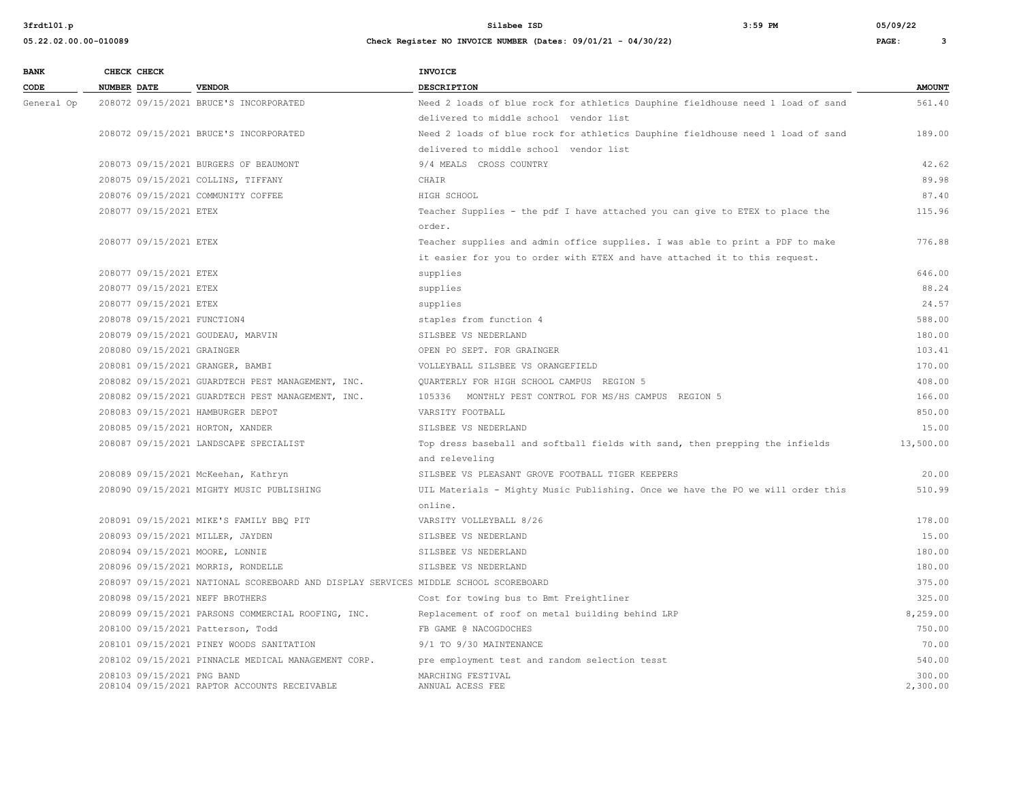| <b>BANK</b> | CHECK CHECK        |                            |                                                                                     | <b>INVOICE</b>                                                                                 |                    |
|-------------|--------------------|----------------------------|-------------------------------------------------------------------------------------|------------------------------------------------------------------------------------------------|--------------------|
| CODE        | <b>NUMBER DATE</b> |                            | <b>VENDOR</b>                                                                       | DESCRIPTION                                                                                    | <b>AMOUNT</b>      |
| General Op  |                    |                            | 208072 09/15/2021 BRUCE'S INCORPORATED                                              | Need 2 loads of blue rock for athletics Dauphine fieldhouse need 1 load of sand                | 561.40             |
|             |                    |                            |                                                                                     | delivered to middle school vendor list                                                         |                    |
|             |                    |                            | 208072 09/15/2021 BRUCE'S INCORPORATED                                              | Need 2 loads of blue rock for athletics Dauphine fieldhouse need 1 load of sand                | 189.00             |
|             |                    |                            |                                                                                     | delivered to middle school vendor list                                                         |                    |
|             |                    |                            | 208073 09/15/2021 BURGERS OF BEAUMONT                                               | 9/4 MEALS CROSS COUNTRY                                                                        | 42.62              |
|             |                    |                            | 208075 09/15/2021 COLLINS, TIFFANY                                                  | CHAIR                                                                                          | 89.98              |
|             |                    |                            | 208076 09/15/2021 COMMUNITY COFFEE                                                  | HIGH SCHOOL                                                                                    | 87.40              |
|             |                    | 208077 09/15/2021 ETEX     |                                                                                     | Teacher Supplies - the pdf I have attached you can give to ETEX to place the<br>order.         | 115.96             |
|             |                    | 208077 09/15/2021 ETEX     |                                                                                     | Teacher supplies and admin office supplies. I was able to print a PDF to make                  | 776.88             |
|             |                    |                            |                                                                                     | it easier for you to order with ETEX and have attached it to this request.                     |                    |
|             |                    | 208077 09/15/2021 ETEX     |                                                                                     | supplies                                                                                       | 646.00             |
|             |                    | 208077 09/15/2021 ETEX     |                                                                                     | supplies                                                                                       | 88.24              |
|             |                    | 208077 09/15/2021 ETEX     |                                                                                     | supplies                                                                                       | 24.57              |
|             |                    |                            | 208078 09/15/2021 FUNCTION4                                                         | staples from function 4                                                                        | 588.00             |
|             |                    |                            | 208079 09/15/2021 GOUDEAU, MARVIN                                                   | SILSBEE VS NEDERLAND                                                                           | 180.00             |
|             |                    | 208080 09/15/2021 GRAINGER |                                                                                     | OPEN PO SEPT. FOR GRAINGER                                                                     | 103.41             |
|             |                    |                            | 208081 09/15/2021 GRANGER, BAMBI                                                    | VOLLEYBALL SILSBEE VS ORANGEFIELD                                                              | 170.00             |
|             |                    |                            | 208082 09/15/2021 GUARDTECH PEST MANAGEMENT, INC.                                   | QUARTERLY FOR HIGH SCHOOL CAMPUS REGION 5                                                      | 408.00             |
|             |                    |                            | 208082 09/15/2021 GUARDTECH PEST MANAGEMENT, INC.                                   | 105336 MONTHLY PEST CONTROL FOR MS/HS CAMPUS REGION 5                                          | 166.00             |
|             |                    |                            | 208083 09/15/2021 HAMBURGER DEPOT                                                   | VARSITY FOOTBALL                                                                               | 850.00             |
|             |                    |                            | 208085 09/15/2021 HORTON, XANDER                                                    | SILSBEE VS NEDERLAND                                                                           | 15.00              |
|             |                    |                            | 208087 09/15/2021 LANDSCAPE SPECIALIST                                              | Top dress baseball and softball fields with sand, then prepping the infields<br>and releveling | 13,500.00          |
|             |                    |                            | 208089 09/15/2021 McKeehan, Kathryn                                                 | SILSBEE VS PLEASANT GROVE FOOTBALL TIGER KEEPERS                                               | 20.00              |
|             |                    |                            | 208090 09/15/2021 MIGHTY MUSIC PUBLISHING                                           | UIL Materials - Mighty Music Publishing. Once we have the PO we will order this                | 510.99             |
|             |                    |                            |                                                                                     | online.                                                                                        |                    |
|             |                    |                            | 208091 09/15/2021 MIKE'S FAMILY BBQ PIT                                             | VARSITY VOLLEYBALL 8/26                                                                        | 178.00             |
|             |                    |                            | 208093 09/15/2021 MILLER, JAYDEN                                                    | SILSBEE VS NEDERLAND                                                                           | 15.00              |
|             |                    |                            | 208094 09/15/2021 MOORE, LONNIE                                                     | SILSBEE VS NEDERLAND                                                                           | 180.00             |
|             |                    |                            | 208096 09/15/2021 MORRIS, RONDELLE                                                  | SILSBEE VS NEDERLAND                                                                           | 180.00             |
|             |                    |                            | 208097 09/15/2021 NATIONAL SCOREBOARD AND DISPLAY SERVICES MIDDLE SCHOOL SCOREBOARD |                                                                                                | 375.00             |
|             |                    |                            | 208098 09/15/2021 NEFF BROTHERS                                                     | Cost for towing bus to Bmt Freightliner                                                        | 325.00             |
|             |                    |                            | 208099 09/15/2021 PARSONS COMMERCIAL ROOFING, INC.                                  | Replacement of roof on metal building behind LRP                                               | 8,259.00           |
|             |                    |                            | 208100 09/15/2021 Patterson, Todd                                                   | FB GAME @ NACOGDOCHES                                                                          | 750.00             |
|             |                    |                            | 208101 09/15/2021 PINEY WOODS SANITATION                                            | 9/1 TO 9/30 MAINTENANCE                                                                        | 70.00              |
|             |                    |                            | 208102 09/15/2021 PINNACLE MEDICAL MANAGEMENT CORP.                                 | pre employment test and random selection tesst                                                 | 540.00             |
|             |                    | 208103 09/15/2021 PNG BAND | 208104 09/15/2021 RAPTOR ACCOUNTS RECEIVABLE                                        | MARCHING FESTIVAL<br>ANNUAL ACESS FEE                                                          | 300.00<br>2,300.00 |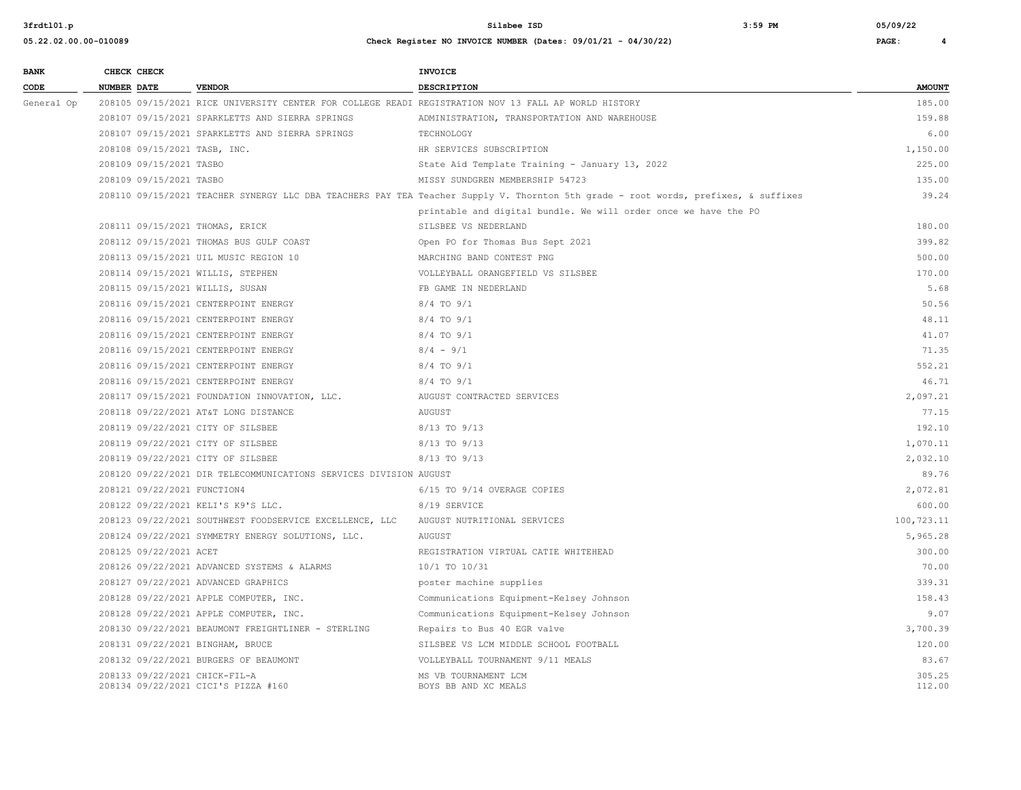| Check Register NO INVOICE NUMBER (Dates: 09/01/21 - 04/30/22)<br>05.22.02.00.00-010089<br>PAGE: |  |
|-------------------------------------------------------------------------------------------------|--|
|-------------------------------------------------------------------------------------------------|--|

| <b>BANK</b> |             | CHECK CHECK                 |                                                                   | <b>INVOICE</b>                                                                                                                     |               |
|-------------|-------------|-----------------------------|-------------------------------------------------------------------|------------------------------------------------------------------------------------------------------------------------------------|---------------|
| CODE        | NUMBER DATE |                             | <b>VENDOR</b>                                                     | DESCRIPTION                                                                                                                        | <b>AMOUNT</b> |
| General Op  |             |                             |                                                                   | 208105 09/15/2021 RICE UNIVERSITY CENTER FOR COLLEGE READI REGISTRATION NOV 13 FALL AP WORLD HISTORY                               | 185.00        |
|             |             |                             | 208107 09/15/2021 SPARKLETTS AND SIERRA SPRINGS                   | ADMINISTRATION, TRANSPORTATION AND WAREHOUSE                                                                                       | 159.88        |
|             |             |                             | 208107 09/15/2021 SPARKLETTS AND SIERRA SPRINGS                   | TECHNOLOGY                                                                                                                         | 6.00          |
|             |             |                             | 208108 09/15/2021 TASB, INC.                                      | HR SERVICES SUBSCRIPTION                                                                                                           | 1,150.00      |
|             |             | 208109 09/15/2021 TASBO     |                                                                   | State Aid Template Training - January 13, 2022                                                                                     | 225.00        |
|             |             | 208109 09/15/2021 TASBO     |                                                                   | MISSY SUNDGREN MEMBERSHIP 54723                                                                                                    | 135.00        |
|             |             |                             |                                                                   | 208110 09/15/2021 TEACHER SYNERGY LLC DBA TEACHERS PAY TEA Teacher Supply V. Thornton 5th grade - root words, prefixes, & suffixes | 39.24         |
|             |             |                             |                                                                   | printable and digital bundle. We will order once we have the PO                                                                    |               |
|             |             |                             | 208111 09/15/2021 THOMAS, ERICK                                   | SILSBEE VS NEDERLAND                                                                                                               | 180.00        |
|             |             |                             | 208112 09/15/2021 THOMAS BUS GULF COAST                           | Open PO for Thomas Bus Sept 2021                                                                                                   | 399.82        |
|             |             |                             | 208113 09/15/2021 UIL MUSIC REGION 10                             | MARCHING BAND CONTEST PNG                                                                                                          | 500.00        |
|             |             |                             | 208114 09/15/2021 WILLIS, STEPHEN                                 | VOLLEYBALL ORANGEFIELD VS SILSBEE                                                                                                  | 170.00        |
|             |             |                             | 208115 09/15/2021 WILLIS, SUSAN                                   | FB GAME IN NEDERLAND                                                                                                               | 5.68          |
|             |             |                             | 208116 09/15/2021 CENTERPOINT ENERGY                              | $8/4$ TO $9/1$                                                                                                                     | 50.56         |
|             |             |                             | 208116 09/15/2021 CENTERPOINT ENERGY                              | $8/4$ TO $9/1$                                                                                                                     | 48.11         |
|             |             |                             | 208116 09/15/2021 CENTERPOINT ENERGY                              | $8/4$ TO $9/1$                                                                                                                     | 41.07         |
|             |             |                             | 208116 09/15/2021 CENTERPOINT ENERGY                              | $8/4 - 9/1$                                                                                                                        | 71.35         |
|             |             |                             | 208116 09/15/2021 CENTERPOINT ENERGY                              | 8/4 TO 9/1                                                                                                                         | 552.21        |
|             |             |                             | 208116 09/15/2021 CENTERPOINT ENERGY                              | $8/4$ TO $9/1$                                                                                                                     | 46.71         |
|             |             |                             | 208117 09/15/2021 FOUNDATION INNOVATION, LLC.                     | AUGUST CONTRACTED SERVICES                                                                                                         | 2,097.21      |
|             |             |                             | 208118 09/22/2021 AT&T LONG DISTANCE                              | AUGUST                                                                                                                             | 77.15         |
|             |             |                             | 208119 09/22/2021 CITY OF SILSBEE                                 | 8/13 TO 9/13                                                                                                                       | 192.10        |
|             |             |                             | 208119 09/22/2021 CITY OF SILSBEE                                 | 8/13 TO 9/13                                                                                                                       | 1,070.11      |
|             |             |                             | 208119 09/22/2021 CITY OF SILSBEE                                 | 8/13 TO 9/13                                                                                                                       | 2,032.10      |
|             |             |                             | 208120 09/22/2021 DIR TELECOMMUNICATIONS SERVICES DIVISION AUGUST |                                                                                                                                    | 89.76         |
|             |             | 208121 09/22/2021 FUNCTION4 |                                                                   | 6/15 TO 9/14 OVERAGE COPIES                                                                                                        | 2,072.81      |
|             |             |                             | 208122 09/22/2021 KELI'S K9'S LLC.                                | 8/19 SERVICE                                                                                                                       | 600.00        |
|             |             |                             | 208123 09/22/2021 SOUTHWEST FOODSERVICE EXCELLENCE, LLC           | AUGUST NUTRITIONAL SERVICES                                                                                                        | 100,723.11    |
|             |             |                             | 208124 09/22/2021 SYMMETRY ENERGY SOLUTIONS, LLC.                 | AUGUST                                                                                                                             | 5,965.28      |
|             |             | 208125 09/22/2021 ACET      |                                                                   | REGISTRATION VIRTUAL CATIE WHITEHEAD                                                                                               | 300.00        |
|             |             |                             | 208126 09/22/2021 ADVANCED SYSTEMS & ALARMS                       | 10/1 TO 10/31                                                                                                                      | 70.00         |
|             |             |                             | 208127 09/22/2021 ADVANCED GRAPHICS                               | poster machine supplies                                                                                                            | 339.31        |
|             |             |                             | 208128 09/22/2021 APPLE COMPUTER, INC.                            | Communications Equipment-Kelsey Johnson                                                                                            | 158.43        |
|             |             |                             | 208128 09/22/2021 APPLE COMPUTER, INC.                            | Communications Equipment-Kelsey Johnson                                                                                            | 9.07          |
|             |             |                             | 208130 09/22/2021 BEAUMONT FREIGHTLINER - STERLING                | Repairs to Bus 40 EGR valve                                                                                                        | 3,700.39      |
|             |             |                             | 208131 09/22/2021 BINGHAM, BRUCE                                  | SILSBEE VS LCM MIDDLE SCHOOL FOOTBALL                                                                                              | 120.00        |
|             |             |                             | 208132 09/22/2021 BURGERS OF BEAUMONT                             | VOLLEYBALL TOURNAMENT 9/11 MEALS                                                                                                   | 83.67         |
|             |             |                             | 208133 09/22/2021 CHICK-FIL-A                                     | MS VB TOURNAMENT LCM                                                                                                               | 305.25        |
|             |             |                             | 208134 09/22/2021 CICI'S PIZZA #160                               | BOYS BB AND XC MEALS                                                                                                               | 112.00        |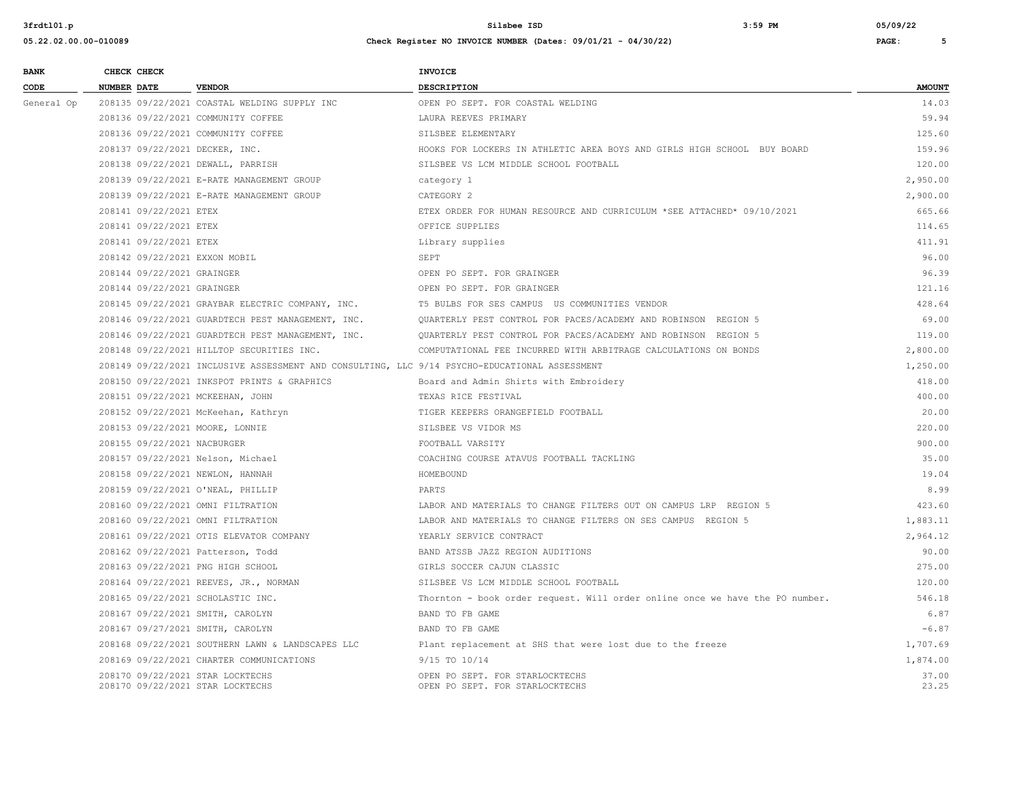| <b>BANK</b> | CHECK CHECK                                                          |                                                                                               | <b>INVOICE</b>                                                               |                |
|-------------|----------------------------------------------------------------------|-----------------------------------------------------------------------------------------------|------------------------------------------------------------------------------|----------------|
| CODE        | <b>NUMBER DATE</b>                                                   | <b>VENDOR</b>                                                                                 | <b>DESCRIPTION</b>                                                           | <b>AMOUNT</b>  |
| General Op  |                                                                      | 208135 09/22/2021 COASTAL WELDING SUPPLY INC                                                  | OPEN PO SEPT. FOR COASTAL WELDING                                            | 14.03          |
|             | 208136 09/22/2021 COMMUNITY COFFEE                                   |                                                                                               | LAURA REEVES PRIMARY                                                         | 59.94          |
|             |                                                                      | 208136 09/22/2021 COMMUNITY COFFEE                                                            | SILSBEE ELEMENTARY                                                           | 125.60         |
|             | 208137 09/22/2021 DECKER, INC.                                       |                                                                                               | HOOKS FOR LOCKERS IN ATHLETIC AREA BOYS AND GIRLS HIGH SCHOOL BUY BOARD      | 159.96         |
|             | 208138 09/22/2021 DEWALL, PARRISH                                    |                                                                                               | SILSBEE VS LCM MIDDLE SCHOOL FOOTBALL                                        | 120.00         |
|             |                                                                      | 208139 09/22/2021 E-RATE MANAGEMENT GROUP                                                     | category 1                                                                   | 2,950.00       |
|             |                                                                      | 208139 09/22/2021 E-RATE MANAGEMENT GROUP                                                     | CATEGORY 2                                                                   | 2,900.00       |
|             | 208141 09/22/2021 ETEX                                               |                                                                                               | ETEX ORDER FOR HUMAN RESOURCE AND CURRICULUM *SEE ATTACHED* 09/10/2021       | 665.66         |
|             | 208141 09/22/2021 ETEX                                               |                                                                                               | OFFICE SUPPLIES                                                              | 114.65         |
|             | 208141 09/22/2021 ETEX                                               |                                                                                               | Library supplies                                                             | 411.91         |
|             | 208142 09/22/2021 EXXON MOBIL                                        |                                                                                               | SEPT                                                                         | 96.00          |
|             | 208144 09/22/2021 GRAINGER                                           |                                                                                               | OPEN PO SEPT. FOR GRAINGER                                                   | 96.39          |
|             | 208144 09/22/2021 GRAINGER                                           |                                                                                               | OPEN PO SEPT. FOR GRAINGER                                                   | 121.16         |
|             |                                                                      | 208145 09/22/2021 GRAYBAR ELECTRIC COMPANY, INC.                                              | T5 BULBS FOR SES CAMPUS US COMMUNITIES VENDOR                                | 428.64         |
|             |                                                                      | 208146 09/22/2021 GUARDTECH PEST MANAGEMENT, INC.                                             | OUARTERLY PEST CONTROL FOR PACES/ACADEMY AND ROBINSON REGION 5               | 69.00          |
|             |                                                                      | 208146 09/22/2021 GUARDTECH PEST MANAGEMENT, INC.                                             | QUARTERLY PEST CONTROL FOR PACES/ACADEMY AND ROBINSON REGION 5               | 119.00         |
|             |                                                                      | 208148 09/22/2021 HILLTOP SECURITIES INC.                                                     | COMPUTATIONAL FEE INCURRED WITH ARBITRAGE CALCULATIONS ON BONDS              | 2,800.00       |
|             |                                                                      | 208149 09/22/2021 INCLUSIVE ASSESSMENT AND CONSULTING, LLC 9/14 PSYCHO-EDUCATIONAL ASSESSMENT |                                                                              | 1,250.00       |
|             |                                                                      | 208150 09/22/2021 INKSPOT PRINTS & GRAPHICS                                                   | Board and Admin Shirts with Embroidery                                       | 418.00         |
|             | 208151 09/22/2021 MCKEEHAN, JOHN                                     |                                                                                               | TEXAS RICE FESTIVAL                                                          | 400.00         |
|             |                                                                      | 208152 09/22/2021 McKeehan, Kathryn                                                           | TIGER KEEPERS ORANGEFIELD FOOTBALL                                           | 20.00          |
|             | 208153 09/22/2021 MOORE, LONNIE                                      |                                                                                               | SILSBEE VS VIDOR MS                                                          | 220.00         |
|             | 208155 09/22/2021 NACBURGER                                          |                                                                                               | FOOTBALL VARSITY                                                             | 900.00         |
|             | 208157 09/22/2021 Nelson, Michael                                    |                                                                                               | COACHING COURSE ATAVUS FOOTBALL TACKLING                                     | 35.00          |
|             | 208158 09/22/2021 NEWLON, HANNAH                                     |                                                                                               | HOMEBOUND                                                                    | 19.04          |
|             | 208159 09/22/2021 O'NEAL, PHILLIP                                    |                                                                                               | PARTS                                                                        | 8.99           |
|             | 208160 09/22/2021 OMNI FILTRATION                                    |                                                                                               | LABOR AND MATERIALS TO CHANGE FILTERS OUT ON CAMPUS LRP REGION 5             | 423.60         |
|             | 208160 09/22/2021 OMNI FILTRATION                                    |                                                                                               | LABOR AND MATERIALS TO CHANGE FILTERS ON SES CAMPUS REGION 5                 | 1,883.11       |
|             |                                                                      | 208161 09/22/2021 OTIS ELEVATOR COMPANY                                                       | YEARLY SERVICE CONTRACT                                                      | 2,964.12       |
|             | 208162 09/22/2021 Patterson, Todd                                    |                                                                                               | BAND ATSSB JAZZ REGION AUDITIONS                                             | 90.00          |
|             | 208163 09/22/2021 PNG HIGH SCHOOL                                    |                                                                                               | GIRLS SOCCER CAJUN CLASSIC                                                   | 275.00         |
|             |                                                                      | 208164 09/22/2021 REEVES, JR., NORMAN                                                         | SILSBEE VS LCM MIDDLE SCHOOL FOOTBALL                                        | 120.00         |
|             | 208165 09/22/2021 SCHOLASTIC INC.                                    |                                                                                               | Thornton - book order request. Will order online once we have the PO number. | 546.18         |
|             | 208167 09/22/2021 SMITH, CAROLYN                                     |                                                                                               | BAND TO FB GAME                                                              | 6.87           |
|             | 208167 09/27/2021 SMITH, CAROLYN                                     |                                                                                               | BAND TO FB GAME                                                              | $-6.87$        |
|             |                                                                      | 208168 09/22/2021 SOUTHERN LAWN & LANDSCAPES LLC                                              | Plant replacement at SHS that were lost due to the freeze                    | 1,707.69       |
|             |                                                                      | 208169 09/22/2021 CHARTER COMMUNICATIONS                                                      | 9/15 TO 10/14                                                                | 1,874.00       |
|             | 208170 09/22/2021 STAR LOCKTECHS<br>208170 09/22/2021 STAR LOCKTECHS |                                                                                               | OPEN PO SEPT. FOR STARLOCKTECHS<br>OPEN PO SEPT. FOR STARLOCKTECHS           | 37.00<br>23.25 |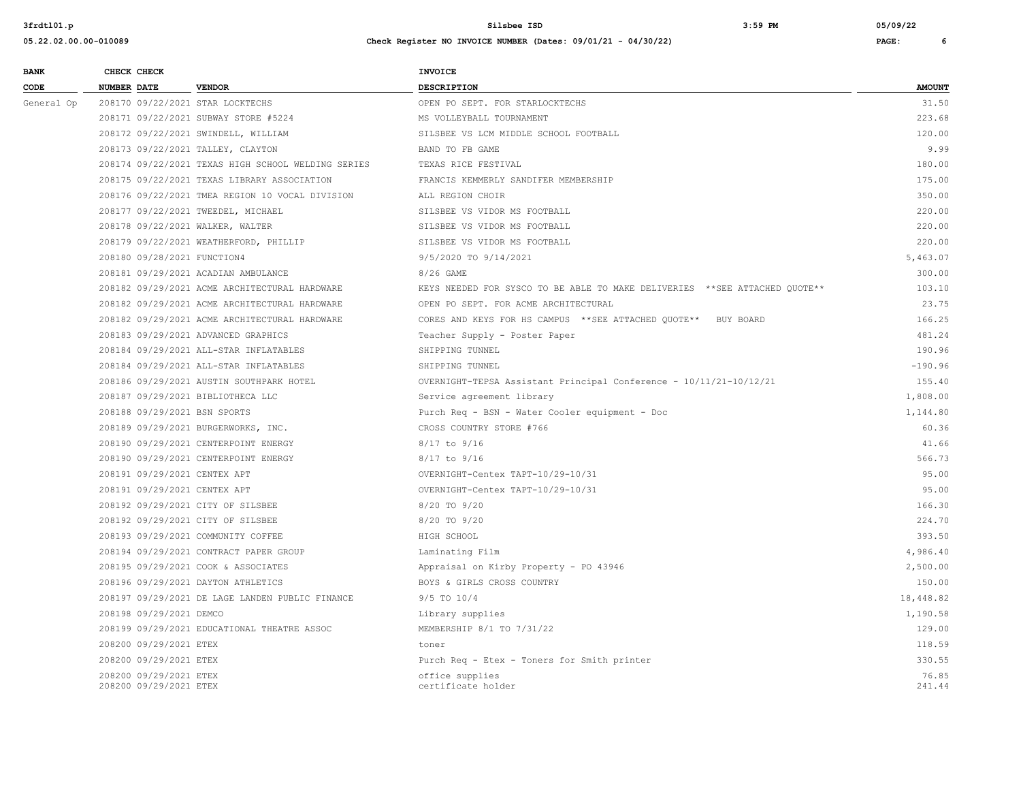| <b>BANK</b> | CHECK CHECK                                      |                                                    | <b>INVOICE</b>                                                             |                 |
|-------------|--------------------------------------------------|----------------------------------------------------|----------------------------------------------------------------------------|-----------------|
| CODE        | <b>NUMBER DATE</b>                               | <b>VENDOR</b>                                      | DESCRIPTION                                                                | <b>AMOUNT</b>   |
| General Op  | 208170 09/22/2021 STAR LOCKTECHS                 |                                                    | OPEN PO SEPT. FOR STARLOCKTECHS                                            | 31.50           |
|             |                                                  | 208171 09/22/2021 SUBWAY STORE #5224               | MS VOLLEYBALL TOURNAMENT                                                   | 223.68          |
|             |                                                  | 208172 09/22/2021 SWINDELL, WILLIAM                | SILSBEE VS LCM MIDDLE SCHOOL FOOTBALL                                      | 120.00          |
|             | 208173 09/22/2021 TALLEY, CLAYTON                |                                                    | BAND TO FB GAME                                                            | 9.99            |
|             |                                                  | 208174 09/22/2021 TEXAS HIGH SCHOOL WELDING SERIES | TEXAS RICE FESTIVAL                                                        | 180.00          |
|             |                                                  | 208175 09/22/2021 TEXAS LIBRARY ASSOCIATION        | FRANCIS KEMMERLY SANDIFER MEMBERSHIP                                       | 175.00          |
|             |                                                  | 208176 09/22/2021 TMEA REGION 10 VOCAL DIVISION    | ALL REGION CHOIR                                                           | 350.00          |
|             |                                                  | 208177 09/22/2021 TWEEDEL, MICHAEL                 | SILSBEE VS VIDOR MS FOOTBALL                                               | 220.00          |
|             | 208178 09/22/2021 WALKER, WALTER                 |                                                    | SILSBEE VS VIDOR MS FOOTBALL                                               | 220.00          |
|             |                                                  | 208179 09/22/2021 WEATHERFORD, PHILLIP             | SILSBEE VS VIDOR MS FOOTBALL                                               | 220.00          |
|             | 208180 09/28/2021 FUNCTION4                      |                                                    | 9/5/2020 TO 9/14/2021                                                      | 5,463.07        |
|             |                                                  | 208181 09/29/2021 ACADIAN AMBULANCE                | 8/26 GAME                                                                  | 300.00          |
|             |                                                  | 208182 09/29/2021 ACME ARCHITECTURAL HARDWARE      | KEYS NEEDED FOR SYSCO TO BE ABLE TO MAKE DELIVERIES **SEE ATTACHED QUOTE** | 103.10          |
|             |                                                  | 208182 09/29/2021 ACME ARCHITECTURAL HARDWARE      | OPEN PO SEPT. FOR ACME ARCHITECTURAL                                       | 23.75           |
|             |                                                  | 208182 09/29/2021 ACME ARCHITECTURAL HARDWARE      | CORES AND KEYS FOR HS CAMPUS ** SEE ATTACHED QUOTE** BUY BOARD             | 166.25          |
|             |                                                  | 208183 09/29/2021 ADVANCED GRAPHICS                | Teacher Supply - Poster Paper                                              | 481.24          |
|             |                                                  | 208184 09/29/2021 ALL-STAR INFLATABLES             | SHIPPING TUNNEL                                                            | 190.96          |
|             |                                                  | 208184 09/29/2021 ALL-STAR INFLATABLES             | SHIPPING TUNNEL                                                            | $-190.96$       |
|             |                                                  | 208186 09/29/2021 AUSTIN SOUTHPARK HOTEL           | OVERNIGHT-TEPSA Assistant Principal Conference - 10/11/21-10/12/21         | 155.40          |
|             | 208187 09/29/2021 BIBLIOTHECA LLC                |                                                    | Service agreement library                                                  | 1,808.00        |
|             | 208188 09/29/2021 BSN SPORTS                     |                                                    | Purch Req - BSN - Water Cooler equipment - Doc                             | 1,144.80        |
|             |                                                  | 208189 09/29/2021 BURGERWORKS, INC.                | CROSS COUNTRY STORE #766                                                   | 60.36           |
|             |                                                  | 208190 09/29/2021 CENTERPOINT ENERGY               | 8/17 to 9/16                                                               | 41.66           |
|             |                                                  | 208190 09/29/2021 CENTERPOINT ENERGY               | 8/17 to 9/16                                                               | 566.73          |
|             | 208191 09/29/2021 CENTEX APT                     |                                                    | OVERNIGHT-Centex TAPT-10/29-10/31                                          | 95.00           |
|             | 208191 09/29/2021 CENTEX APT                     |                                                    | OVERNIGHT-Centex TAPT-10/29-10/31                                          | 95.00           |
|             | 208192 09/29/2021 CITY OF SILSBEE                |                                                    | 8/20 TO 9/20                                                               | 166.30          |
|             | 208192 09/29/2021 CITY OF SILSBEE                |                                                    | 8/20 TO 9/20                                                               | 224.70          |
|             |                                                  | 208193 09/29/2021 COMMUNITY COFFEE                 | HIGH SCHOOL                                                                | 393.50          |
|             |                                                  | 208194 09/29/2021 CONTRACT PAPER GROUP             | Laminating Film                                                            | 4,986.40        |
|             |                                                  | 208195 09/29/2021 COOK & ASSOCIATES                | Appraisal on Kirby Property - PO 43946                                     | 2,500.00        |
|             |                                                  | 208196 09/29/2021 DAYTON ATHLETICS                 | BOYS & GIRLS CROSS COUNTRY                                                 | 150.00          |
|             |                                                  | 208197 09/29/2021 DE LAGE LANDEN PUBLIC FINANCE    | 9/5 TO 10/4                                                                | 18,448.82       |
|             | 208198 09/29/2021 DEMCO                          |                                                    | Library supplies                                                           | 1,190.58        |
|             |                                                  | 208199 09/29/2021 EDUCATIONAL THEATRE ASSOC        | MEMBERSHIP 8/1 TO 7/31/22                                                  | 129.00          |
|             | 208200 09/29/2021 ETEX                           |                                                    | toner                                                                      | 118.59          |
|             | 208200 09/29/2021 ETEX                           |                                                    | Purch Req - Etex - Toners for Smith printer                                | 330.55          |
|             | 208200 09/29/2021 ETEX<br>208200 09/29/2021 ETEX |                                                    | office supplies<br>certificate holder                                      | 76.85<br>241.44 |
|             |                                                  |                                                    |                                                                            |                 |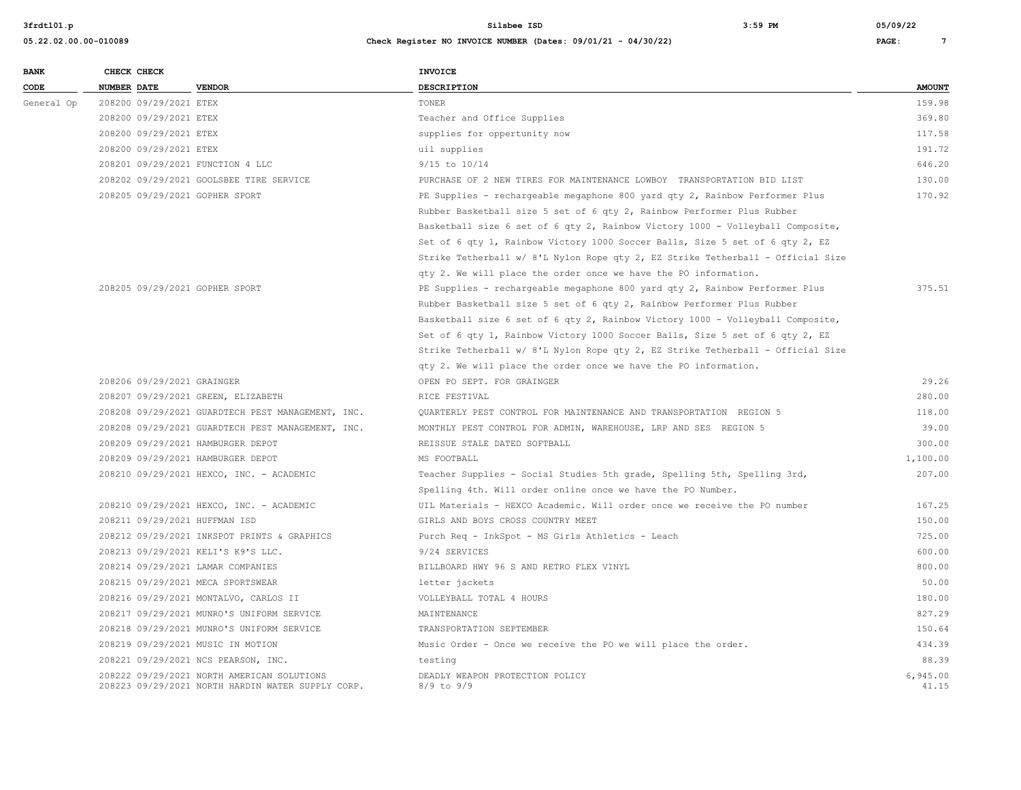| <b>BANK</b> |                    | CHECK CHECK                |                                                                                                 | <b>INVOICE</b>                                                                  |                   |
|-------------|--------------------|----------------------------|-------------------------------------------------------------------------------------------------|---------------------------------------------------------------------------------|-------------------|
| CODE        | <b>NUMBER DATE</b> |                            | <b>VENDOR</b>                                                                                   | <b>DESCRIPTION</b>                                                              | <b>AMOUNT</b>     |
| General Op  |                    | 208200 09/29/2021 ETEX     |                                                                                                 | TONER                                                                           | 159.98            |
|             |                    | 208200 09/29/2021 ETEX     |                                                                                                 | Teacher and Office Supplies                                                     | 369.80            |
|             |                    | 208200 09/29/2021 ETEX     |                                                                                                 | supplies for oppertunity now                                                    | 117.58            |
|             |                    | 208200 09/29/2021 ETEX     |                                                                                                 | uil supplies                                                                    | 191.72            |
|             |                    |                            | 208201 09/29/2021 FUNCTION 4 LLC                                                                | 9/15 to 10/14                                                                   | 646.20            |
|             |                    |                            | 208202 09/29/2021 GOOLSBEE TIRE SERVICE                                                         | PURCHASE OF 2 NEW TIRES FOR MAINTENANCE LOWBOY TRANSPORTATION BID LIST          | 130.00            |
|             |                    |                            | 208205 09/29/2021 GOPHER SPORT                                                                  | PE Supplies - rechargeable megaphone 800 yard qty 2, Rainbow Performer Plus     | 170.92            |
|             |                    |                            |                                                                                                 | Rubber Basketball size 5 set of 6 qty 2, Rainbow Performer Plus Rubber          |                   |
|             |                    |                            |                                                                                                 | Basketball size 6 set of 6 qty 2, Rainbow Victory 1000 - Volleyball Composite,  |                   |
|             |                    |                            |                                                                                                 | Set of 6 qty 1, Rainbow Victory 1000 Soccer Balls, Size 5 set of 6 qty 2, EZ    |                   |
|             |                    |                            |                                                                                                 | Strike Tetherball w/ 8'L Nylon Rope qty 2, EZ Strike Tetherball - Official Size |                   |
|             |                    |                            |                                                                                                 | qty 2. We will place the order once we have the PO information.                 |                   |
|             |                    |                            | 208205 09/29/2021 GOPHER SPORT                                                                  | PE Supplies - rechargeable megaphone 800 yard qty 2, Rainbow Performer Plus     | 375.51            |
|             |                    |                            |                                                                                                 | Rubber Basketball size 5 set of 6 qty 2, Rainbow Performer Plus Rubber          |                   |
|             |                    |                            |                                                                                                 | Basketball size 6 set of 6 qty 2, Rainbow Victory 1000 - Volleyball Composite,  |                   |
|             |                    |                            |                                                                                                 | Set of 6 qty 1, Rainbow Victory 1000 Soccer Balls, Size 5 set of 6 qty 2, EZ    |                   |
|             |                    |                            |                                                                                                 | Strike Tetherball w/ 8'L Nylon Rope qty 2, EZ Strike Tetherball - Official Size |                   |
|             |                    |                            |                                                                                                 | qty 2. We will place the order once we have the PO information.                 |                   |
|             |                    | 208206 09/29/2021 GRAINGER |                                                                                                 | OPEN PO SEPT. FOR GRAINGER                                                      | 29.26             |
|             |                    |                            | 208207 09/29/2021 GREEN, ELIZABETH                                                              | RICE FESTIVAL                                                                   | 280.00            |
|             |                    |                            | 208208 09/29/2021 GUARDTECH PEST MANAGEMENT, INC.                                               | QUARTERLY PEST CONTROL FOR MAINTENANCE AND TRANSPORTATION REGION 5              | 118.00            |
|             |                    |                            | 208208 09/29/2021 GUARDTECH PEST MANAGEMENT, INC.                                               | MONTHLY PEST CONTROL FOR ADMIN, WAREHOUSE, LRP AND SES REGION 5                 | 39.00             |
|             |                    |                            | 208209 09/29/2021 HAMBURGER DEPOT                                                               | REISSUE STALE DATED SOFTBALL                                                    | 300.00            |
|             |                    |                            | 208209 09/29/2021 HAMBURGER DEPOT                                                               | MS FOOTBALL                                                                     | 1,100.00          |
|             |                    |                            | 208210 09/29/2021 HEXCO, INC. - ACADEMIC                                                        | Teacher Supplies - Social Studies 5th grade, Spelling 5th, Spelling 3rd,        | 207.00            |
|             |                    |                            |                                                                                                 | Spelling 4th. Will order online once we have the PO Number.                     |                   |
|             |                    |                            | 208210 09/29/2021 HEXCO, INC. - ACADEMIC                                                        | UIL Materials - HEXCO Academic. Will order once we receive the PO number        | 167.25            |
|             |                    |                            | 208211 09/29/2021 HUFFMAN ISD                                                                   | GIRLS AND BOYS CROSS COUNTRY MEET                                               | 150.00            |
|             |                    |                            | 208212 09/29/2021 INKSPOT PRINTS & GRAPHICS                                                     | Purch Req - InkSpot - MS Girls Athletics - Leach                                | 725.00            |
|             |                    |                            | 208213 09/29/2021 KELI'S K9'S LLC.                                                              | 9/24 SERVICES                                                                   | 600.00            |
|             |                    |                            | 208214 09/29/2021 LAMAR COMPANIES                                                               | BILLBOARD HWY 96 S AND RETRO FLEX VINYL                                         | 800.00            |
|             |                    |                            | 208215 09/29/2021 MECA SPORTSWEAR                                                               | letter jackets                                                                  | 50.00             |
|             |                    |                            | 208216 09/29/2021 MONTALVO, CARLOS II                                                           | VOLLEYBALL TOTAL 4 HOURS                                                        | 180.00            |
|             |                    |                            | 208217 09/29/2021 MUNRO'S UNIFORM SERVICE                                                       | MAINTENANCE                                                                     | 827.29            |
|             |                    |                            | 208218 09/29/2021 MUNRO'S UNIFORM SERVICE                                                       | TRANSPORTATION SEPTEMBER                                                        | 150.64            |
|             |                    |                            | 208219 09/29/2021 MUSIC IN MOTION                                                               | Music Order - Once we receive the PO we will place the order.                   | 434.39            |
|             |                    |                            | 208221 09/29/2021 NCS PEARSON, INC.                                                             | testing                                                                         | 88.39             |
|             |                    |                            | 208222 09/29/2021 NORTH AMERICAN SOLUTIONS<br>208223 09/29/2021 NORTH HARDIN WATER SUPPLY CORP. | DEADLY WEAPON PROTECTION POLICY<br>$8/9$ to $9/9$                               | 6,945.00<br>41.15 |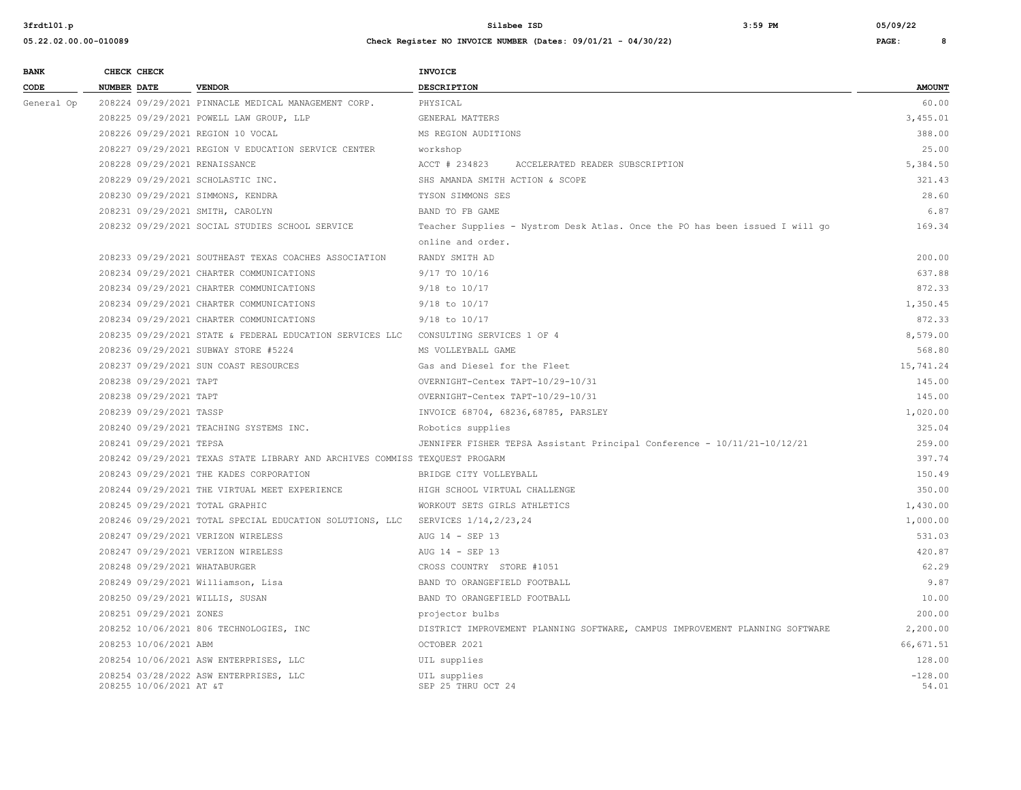| <b>BANK</b> | CHECK CHECK                     |                                                                                     | <b>INVOICE</b>                                                               |               |
|-------------|---------------------------------|-------------------------------------------------------------------------------------|------------------------------------------------------------------------------|---------------|
| CODE        | NUMBER DATE                     | <b>VENDOR</b>                                                                       | DESCRIPTION                                                                  | <b>AMOUNT</b> |
| General Op  |                                 | 208224 09/29/2021 PINNACLE MEDICAL MANAGEMENT CORP.                                 | PHYSICAL                                                                     | 60.00         |
|             |                                 | 208225 09/29/2021 POWELL LAW GROUP, LLP                                             | GENERAL MATTERS                                                              | 3,455.01      |
|             |                                 | 208226 09/29/2021 REGION 10 VOCAL                                                   | MS REGION AUDITIONS                                                          | 388.00        |
|             |                                 | 208227 09/29/2021 REGION V EDUCATION SERVICE CENTER                                 | workshop                                                                     | 25.00         |
|             | 208228 09/29/2021 RENAISSANCE   |                                                                                     | ACCT # 234823<br>ACCELERATED READER SUBSCRIPTION                             | 5,384.50      |
|             |                                 | 208229 09/29/2021 SCHOLASTIC INC.                                                   | SHS AMANDA SMITH ACTION & SCOPE                                              | 321.43        |
|             |                                 | 208230 09/29/2021 SIMMONS, KENDRA                                                   | TYSON SIMMONS SES                                                            | 28.60         |
|             |                                 | 208231 09/29/2021 SMITH, CAROLYN                                                    | BAND TO FB GAME                                                              | 6.87          |
|             |                                 | 208232 09/29/2021 SOCIAL STUDIES SCHOOL SERVICE                                     | Teacher Supplies - Nystrom Desk Atlas. Once the PO has been issued I will go | 169.34        |
|             |                                 |                                                                                     | online and order.                                                            |               |
|             |                                 | 208233 09/29/2021 SOUTHEAST TEXAS COACHES ASSOCIATION                               | RANDY SMITH AD                                                               | 200.00        |
|             |                                 | 208234 09/29/2021 CHARTER COMMUNICATIONS                                            | 9/17 TO 10/16                                                                | 637.88        |
|             |                                 | 208234 09/29/2021 CHARTER COMMUNICATIONS                                            | $9/18$ to $10/17$                                                            | 872.33        |
|             |                                 | 208234 09/29/2021 CHARTER COMMUNICATIONS                                            | 9/18 to 10/17                                                                | 1,350.45      |
|             |                                 | 208234 09/29/2021 CHARTER COMMUNICATIONS                                            | $9/18$ to $10/17$                                                            | 872.33        |
|             |                                 | 208235 09/29/2021 STATE & FEDERAL EDUCATION SERVICES LLC CONSULTING SERVICES 1 OF 4 |                                                                              | 8,579.00      |
|             |                                 | 208236 09/29/2021 SUBWAY STORE #5224                                                | MS VOLLEYBALL GAME                                                           | 568.80        |
|             |                                 | 208237 09/29/2021 SUN COAST RESOURCES                                               | Gas and Diesel for the Fleet                                                 | 15,741.24     |
|             | 208238 09/29/2021 TAPT          |                                                                                     | OVERNIGHT-Centex TAPT-10/29-10/31                                            | 145.00        |
|             | 208238 09/29/2021 TAPT          |                                                                                     | OVERNIGHT-Centex TAPT-10/29-10/31                                            | 145.00        |
|             | 208239 09/29/2021 TASSP         |                                                                                     | INVOICE 68704, 68236, 68785, PARSLEY                                         | 1,020.00      |
|             |                                 | 208240 09/29/2021 TEACHING SYSTEMS INC.                                             | Robotics supplies                                                            | 325.04        |
|             | 208241 09/29/2021 TEPSA         |                                                                                     | JENNIFER FISHER TEPSA Assistant Principal Conference - 10/11/21-10/12/21     | 259.00        |
|             |                                 | 208242 09/29/2021 TEXAS STATE LIBRARY AND ARCHIVES COMMISS TEXQUEST PROGARM         |                                                                              | 397.74        |
|             |                                 | 208243 09/29/2021 THE KADES CORPORATION                                             | BRIDGE CITY VOLLEYBALL                                                       | 150.49        |
|             |                                 | 208244 09/29/2021 THE VIRTUAL MEET EXPERIENCE                                       | HIGH SCHOOL VIRTUAL CHALLENGE                                                | 350.00        |
|             | 208245 09/29/2021 TOTAL GRAPHIC |                                                                                     | WORKOUT SETS GIRLS ATHLETICS                                                 | 1,430.00      |
|             |                                 | 208246 09/29/2021 TOTAL SPECIAL EDUCATION SOLUTIONS, LLC SERVICES 1/14, 2/23, 24    |                                                                              | 1,000.00      |
|             |                                 | 208247 09/29/2021 VERIZON WIRELESS                                                  | AUG 14 - SEP 13                                                              | 531.03        |
|             |                                 | 208247 09/29/2021 VERIZON WIRELESS                                                  | AUG 14 - SEP 13                                                              | 420.87        |
|             | 208248 09/29/2021 WHATABURGER   |                                                                                     | CROSS COUNTRY STORE #1051                                                    | 62.29         |
|             |                                 | 208249 09/29/2021 Williamson, Lisa                                                  | BAND TO ORANGEFIELD FOOTBALL                                                 | 9.87          |
|             | 208250 09/29/2021 WILLIS, SUSAN |                                                                                     | BAND TO ORANGEFIELD FOOTBALL                                                 | 10.00         |
|             | 208251 09/29/2021 ZONES         |                                                                                     | projector bulbs                                                              | 200.00        |
|             |                                 | 208252 10/06/2021 806 TECHNOLOGIES, INC                                             | DISTRICT IMPROVEMENT PLANNING SOFTWARE, CAMPUS IMPROVEMENT PLANNING SOFTWARE | 2,200.00      |
|             | 208253 10/06/2021 ABM           |                                                                                     | OCTOBER 2021                                                                 | 66, 671.51    |
|             |                                 | 208254 10/06/2021 ASW ENTERPRISES, LLC                                              | UIL supplies                                                                 | 128.00        |
|             |                                 | 208254 03/28/2022 ASW ENTERPRISES, LLC                                              | UIL supplies                                                                 | $-128.00$     |
|             | 208255 10/06/2021 AT &T         |                                                                                     | SEP 25 THRU OCT 24                                                           | 54.01         |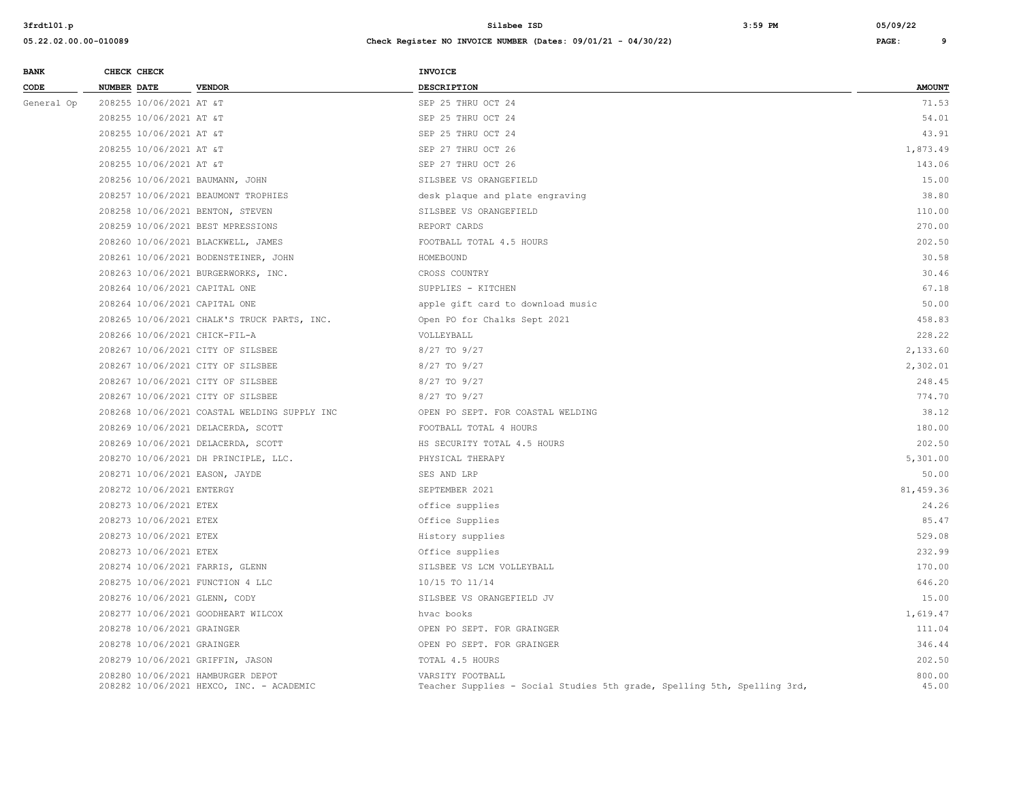| <b>BANK</b> | CHECK CHECK                   |                                                                               | <b>INVOICE</b>                                                                               |                 |
|-------------|-------------------------------|-------------------------------------------------------------------------------|----------------------------------------------------------------------------------------------|-----------------|
| CODE        | NUMBER DATE                   | <b>VENDOR</b>                                                                 | DESCRIPTION                                                                                  | <b>AMOUNT</b>   |
| General Op  | 208255 10/06/2021 AT &T       |                                                                               | SEP 25 THRU OCT 24                                                                           | 71.53           |
|             | 208255 10/06/2021 AT &T       |                                                                               | SEP 25 THRU OCT 24                                                                           | 54.01           |
|             | 208255 10/06/2021 AT &T       |                                                                               | SEP 25 THRU OCT 24                                                                           | 43.91           |
|             | 208255 10/06/2021 AT &T       |                                                                               | SEP 27 THRU OCT 26                                                                           | 1,873.49        |
|             | 208255 10/06/2021 AT &T       |                                                                               | SEP 27 THRU OCT 26                                                                           | 143.06          |
|             |                               | 208256 10/06/2021 BAUMANN, JOHN                                               | SILSBEE VS ORANGEFIELD                                                                       | 15.00           |
|             |                               | 208257 10/06/2021 BEAUMONT TROPHIES                                           | desk plaque and plate engraving                                                              | 38.80           |
|             |                               | 208258 10/06/2021 BENTON, STEVEN                                              | SILSBEE VS ORANGEFIELD                                                                       | 110.00          |
|             |                               | 208259 10/06/2021 BEST MPRESSIONS                                             | REPORT CARDS                                                                                 | 270.00          |
|             |                               | 208260 10/06/2021 BLACKWELL, JAMES                                            | FOOTBALL TOTAL 4.5 HOURS                                                                     | 202.50          |
|             |                               | 208261 10/06/2021 BODENSTEINER, JOHN                                          | HOMEBOUND                                                                                    | 30.58           |
|             |                               | 208263 10/06/2021 BURGERWORKS, INC.                                           | CROSS COUNTRY                                                                                | 30.46           |
|             | 208264 10/06/2021 CAPITAL ONE |                                                                               | SUPPLIES - KITCHEN                                                                           | 67.18           |
|             | 208264 10/06/2021 CAPITAL ONE |                                                                               | apple gift card to download music                                                            | 50.00           |
|             |                               | 208265 10/06/2021 CHALK'S TRUCK PARTS, INC.                                   | Open PO for Chalks Sept 2021                                                                 | 458.83          |
|             | 208266 10/06/2021 CHICK-FIL-A |                                                                               | VOLLEYBALL                                                                                   | 228.22          |
|             |                               | 208267 10/06/2021 CITY OF SILSBEE                                             | 8/27 TO 9/27                                                                                 | 2,133.60        |
|             |                               | 208267 10/06/2021 CITY OF SILSBEE                                             | 8/27 TO 9/27                                                                                 | 2,302.01        |
|             |                               | 208267 10/06/2021 CITY OF SILSBEE                                             | 8/27 TO 9/27                                                                                 | 248.45          |
|             |                               | 208267 10/06/2021 CITY OF SILSBEE                                             | 8/27 TO 9/27                                                                                 | 774.70          |
|             |                               | 208268 10/06/2021 COASTAL WELDING SUPPLY INC                                  | OPEN PO SEPT. FOR COASTAL WELDING                                                            | 38.12           |
|             |                               | 208269 10/06/2021 DELACERDA, SCOTT                                            | FOOTBALL TOTAL 4 HOURS                                                                       | 180.00          |
|             |                               | 208269 10/06/2021 DELACERDA, SCOTT                                            | HS SECURITY TOTAL 4.5 HOURS                                                                  | 202.50          |
|             |                               | 208270 10/06/2021 DH PRINCIPLE, LLC.                                          | PHYSICAL THERAPY                                                                             | 5,301.00        |
|             |                               | 208271 10/06/2021 EASON, JAYDE                                                | SES AND LRP                                                                                  | 50.00           |
|             | 208272 10/06/2021 ENTERGY     |                                                                               | SEPTEMBER 2021                                                                               | 81,459.36       |
|             | 208273 10/06/2021 ETEX        |                                                                               | office supplies                                                                              | 24.26           |
|             | 208273 10/06/2021 ETEX        |                                                                               | Office Supplies                                                                              | 85.47           |
|             | 208273 10/06/2021 ETEX        |                                                                               | History supplies                                                                             | 529.08          |
|             | 208273 10/06/2021 ETEX        |                                                                               | Office supplies                                                                              | 232.99          |
|             |                               | 208274 10/06/2021 FARRIS, GLENN                                               | SILSBEE VS LCM VOLLEYBALL                                                                    | 170.00          |
|             |                               | 208275 10/06/2021 FUNCTION 4 LLC                                              | 10/15 TO 11/14                                                                               | 646.20          |
|             | 208276 10/06/2021 GLENN, CODY |                                                                               | SILSBEE VS ORANGEFIELD JV                                                                    | 15.00           |
|             |                               | 208277 10/06/2021 GOODHEART WILCOX                                            | hvac books                                                                                   | 1,619.47        |
|             | 208278 10/06/2021 GRAINGER    |                                                                               | OPEN PO SEPT. FOR GRAINGER                                                                   | 111.04          |
|             | 208278 10/06/2021 GRAINGER    |                                                                               | OPEN PO SEPT. FOR GRAINGER                                                                   | 346.44          |
|             |                               | 208279 10/06/2021 GRIFFIN, JASON                                              | TOTAL 4.5 HOURS                                                                              | 202.50          |
|             |                               | 208280 10/06/2021 HAMBURGER DEPOT<br>208282 10/06/2021 HEXCO, INC. - ACADEMIC | VARSITY FOOTBALL<br>Teacher Supplies - Social Studies 5th grade, Spelling 5th, Spelling 3rd, | 800.00<br>45.00 |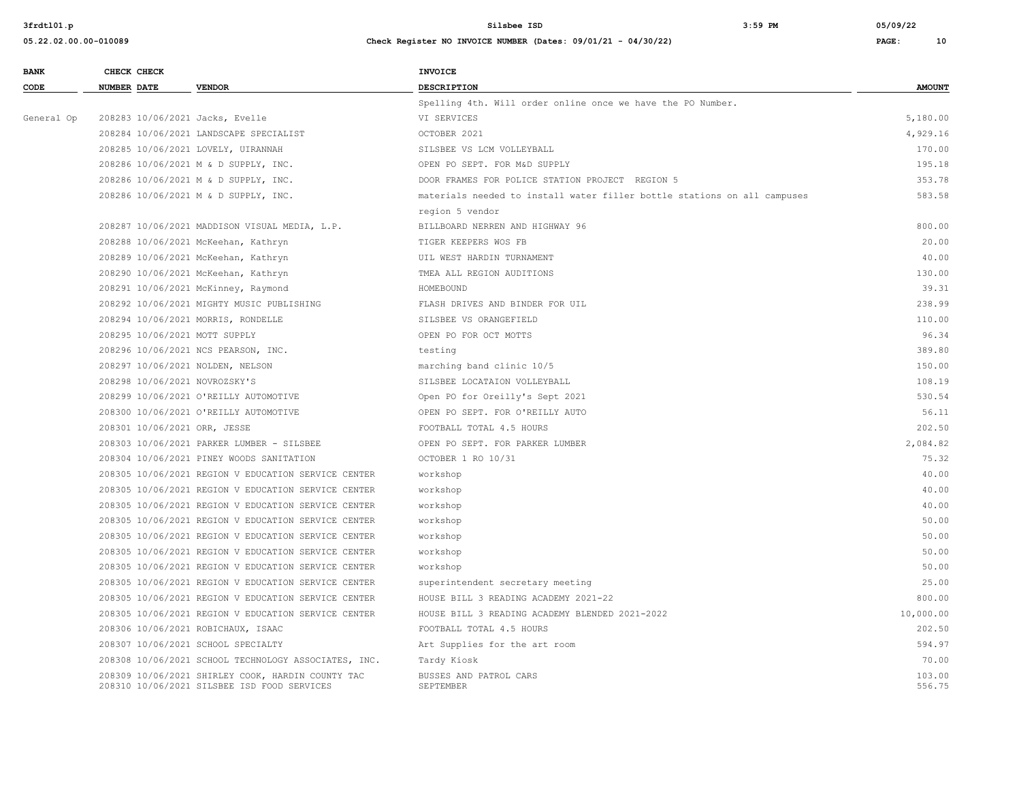| <b>BANK</b> | CHECK CHECK                        |                                                                                                  | <b>INVOICE</b>                                                           |                  |
|-------------|------------------------------------|--------------------------------------------------------------------------------------------------|--------------------------------------------------------------------------|------------------|
| CODE        | <b>NUMBER DATE</b>                 | <b>VENDOR</b>                                                                                    | <b>DESCRIPTION</b>                                                       | <b>AMOUNT</b>    |
|             |                                    |                                                                                                  | Spelling 4th. Will order online once we have the PO Number.              |                  |
| General Op  | 208283 10/06/2021 Jacks, Evelle    |                                                                                                  | VI SERVICES                                                              | 5,180.00         |
|             |                                    | 208284 10/06/2021 LANDSCAPE SPECIALIST                                                           | OCTOBER 2021                                                             | 4,929.16         |
|             | 208285 10/06/2021 LOVELY, UIRANNAH |                                                                                                  | SILSBEE VS LCM VOLLEYBALL                                                | 170.00           |
|             |                                    | 208286 10/06/2021 M & D SUPPLY, INC.                                                             | OPEN PO SEPT. FOR M&D SUPPLY                                             | 195.18           |
|             |                                    | 208286 10/06/2021 M & D SUPPLY, INC.                                                             | DOOR FRAMES FOR POLICE STATION PROJECT REGION 5                          | 353.78           |
|             |                                    | 208286 10/06/2021 M & D SUPPLY, INC.                                                             | materials needed to install water filler bottle stations on all campuses | 583.58           |
|             |                                    |                                                                                                  | region 5 vendor                                                          |                  |
|             |                                    | 208287 10/06/2021 MADDISON VISUAL MEDIA, L.P.                                                    | BILLBOARD NERREN AND HIGHWAY 96                                          | 800.00           |
|             |                                    | 208288 10/06/2021 McKeehan, Kathryn                                                              | TIGER KEEPERS WOS FB                                                     | 20.00            |
|             |                                    | 208289 10/06/2021 McKeehan, Kathryn                                                              | UIL WEST HARDIN TURNAMENT                                                | 40.00            |
|             |                                    | 208290 10/06/2021 McKeehan, Kathryn                                                              | TMEA ALL REGION AUDITIONS                                                | 130.00           |
|             |                                    | 208291 10/06/2021 McKinney, Raymond                                                              | HOMEBOUND                                                                | 39.31            |
|             |                                    | 208292 10/06/2021 MIGHTY MUSIC PUBLISHING                                                        | FLASH DRIVES AND BINDER FOR UIL                                          | 238.99           |
|             | 208294 10/06/2021 MORRIS, RONDELLE |                                                                                                  | SILSBEE VS ORANGEFIELD                                                   | 110.00           |
|             | 208295 10/06/2021 MOTT SUPPLY      |                                                                                                  | OPEN PO FOR OCT MOTTS                                                    | 96.34            |
|             |                                    | 208296 10/06/2021 NCS PEARSON, INC.                                                              | testing                                                                  | 389.80           |
|             | 208297 10/06/2021 NOLDEN, NELSON   |                                                                                                  | marching band clinic 10/5                                                | 150.00           |
|             | 208298 10/06/2021 NOVROZSKY'S      |                                                                                                  | SILSBEE LOCATAION VOLLEYBALL                                             | 108.19           |
|             |                                    | 208299 10/06/2021 O'REILLY AUTOMOTIVE                                                            | Open PO for Oreilly's Sept 2021                                          | 530.54           |
|             |                                    | 208300 10/06/2021 O'REILLY AUTOMOTIVE                                                            | OPEN PO SEPT. FOR O'REILLY AUTO                                          | 56.11            |
|             | 208301 10/06/2021 ORR, JESSE       |                                                                                                  | FOOTBALL TOTAL 4.5 HOURS                                                 | 202.50           |
|             |                                    | 208303 10/06/2021 PARKER LUMBER - SILSBEE                                                        | OPEN PO SEPT. FOR PARKER LUMBER                                          | 2,084.82         |
|             |                                    | 208304 10/06/2021 PINEY WOODS SANITATION                                                         | OCTOBER 1 RO 10/31                                                       | 75.32            |
|             |                                    | 208305 10/06/2021 REGION V EDUCATION SERVICE CENTER                                              | workshop                                                                 | 40.00            |
|             |                                    | 208305 10/06/2021 REGION V EDUCATION SERVICE CENTER                                              | workshop                                                                 | 40.00            |
|             |                                    | 208305 10/06/2021 REGION V EDUCATION SERVICE CENTER                                              | workshop                                                                 | 40.00            |
|             |                                    | 208305 10/06/2021 REGION V EDUCATION SERVICE CENTER                                              | workshop                                                                 | 50.00            |
|             |                                    | 208305 10/06/2021 REGION V EDUCATION SERVICE CENTER                                              | workshop                                                                 | 50.00            |
|             |                                    | 208305 10/06/2021 REGION V EDUCATION SERVICE CENTER                                              | workshop                                                                 | 50.00            |
|             |                                    | 208305 10/06/2021 REGION V EDUCATION SERVICE CENTER                                              | workshop                                                                 | 50.00            |
|             |                                    | 208305 10/06/2021 REGION V EDUCATION SERVICE CENTER                                              | superintendent secretary meeting                                         | 25.00            |
|             |                                    | 208305 10/06/2021 REGION V EDUCATION SERVICE CENTER                                              | HOUSE BILL 3 READING ACADEMY 2021-22                                     | 800.00           |
|             |                                    | 208305 10/06/2021 REGION V EDUCATION SERVICE CENTER                                              | HOUSE BILL 3 READING ACADEMY BLENDED 2021-2022                           | 10,000.00        |
|             | 208306 10/06/2021 ROBICHAUX, ISAAC |                                                                                                  | FOOTBALL TOTAL 4.5 HOURS                                                 | 202.50           |
|             | 208307 10/06/2021 SCHOOL SPECIALTY |                                                                                                  | Art Supplies for the art room                                            | 594.97           |
|             |                                    | 208308 10/06/2021 SCHOOL TECHNOLOGY ASSOCIATES, INC.                                             | Tardy Kiosk                                                              | 70.00            |
|             |                                    | 208309 10/06/2021 SHIRLEY COOK, HARDIN COUNTY TAC<br>208310 10/06/2021 SILSBEE ISD FOOD SERVICES | BUSSES AND PATROL CARS<br>SEPTEMBER                                      | 103.00<br>556.75 |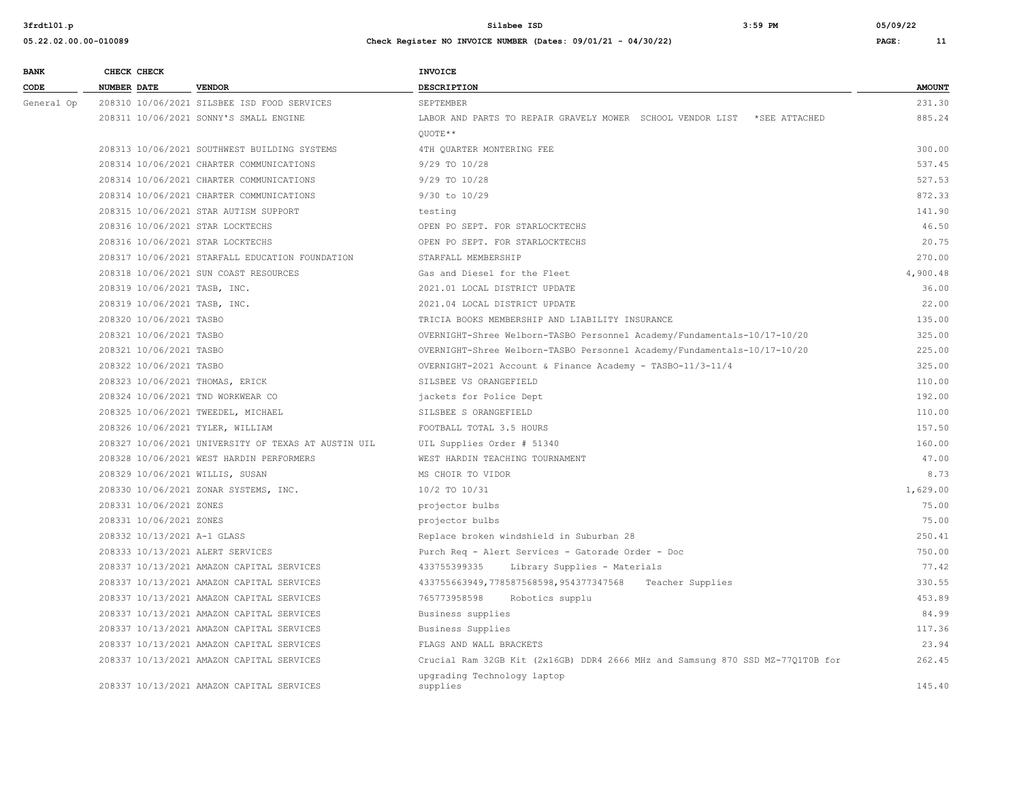| <b>BANK</b> |                    | CHECK CHECK                  |                                                     | <b>INVOICE</b>                                                                 |               |
|-------------|--------------------|------------------------------|-----------------------------------------------------|--------------------------------------------------------------------------------|---------------|
| CODE        | <b>NUMBER DATE</b> |                              | <b>VENDOR</b>                                       | <b>DESCRIPTION</b>                                                             | <b>AMOUNT</b> |
| General Op  |                    |                              | 208310 10/06/2021 SILSBEE ISD FOOD SERVICES         | SEPTEMBER                                                                      | 231.30        |
|             |                    |                              | 208311 10/06/2021 SONNY'S SMALL ENGINE              | LABOR AND PARTS TO REPAIR GRAVELY MOWER SCHOOL VENDOR LIST *SEE ATTACHED       | 885.24        |
|             |                    |                              |                                                     | OUOTE**                                                                        |               |
|             |                    |                              | 208313 10/06/2021 SOUTHWEST BUILDING SYSTEMS        | 4TH OUARTER MONTERING FEE                                                      | 300.00        |
|             |                    |                              | 208314 10/06/2021 CHARTER COMMUNICATIONS            | 9/29 TO 10/28                                                                  | 537.45        |
|             |                    |                              | 208314 10/06/2021 CHARTER COMMUNICATIONS            | 9/29 TO 10/28                                                                  | 527.53        |
|             |                    |                              | 208314 10/06/2021 CHARTER COMMUNICATIONS            | $9/30$ to $10/29$                                                              | 872.33        |
|             |                    |                              | 208315 10/06/2021 STAR AUTISM SUPPORT               | testing                                                                        | 141.90        |
|             |                    |                              | 208316 10/06/2021 STAR LOCKTECHS                    | OPEN PO SEPT. FOR STARLOCKTECHS                                                | 46.50         |
|             |                    |                              | 208316 10/06/2021 STAR LOCKTECHS                    | OPEN PO SEPT. FOR STARLOCKTECHS                                                | 20.75         |
|             |                    |                              | 208317 10/06/2021 STARFALL EDUCATION FOUNDATION     | STARFALL MEMBERSHIP                                                            | 270.00        |
|             |                    |                              | 208318 10/06/2021 SUN COAST RESOURCES               | Gas and Diesel for the Fleet                                                   | 4,900.48      |
|             |                    | 208319 10/06/2021 TASB, INC. |                                                     | 2021.01 LOCAL DISTRICT UPDATE                                                  | 36.00         |
|             |                    | 208319 10/06/2021 TASB, INC. |                                                     | 2021.04 LOCAL DISTRICT UPDATE                                                  | 22.00         |
|             |                    | 208320 10/06/2021 TASBO      |                                                     | TRICIA BOOKS MEMBERSHIP AND LIABILITY INSURANCE                                | 135.00        |
|             |                    | 208321 10/06/2021 TASBO      |                                                     | OVERNIGHT-Shree Welborn-TASBO Personnel Academy/Fundamentals-10/17-10/20       | 325.00        |
|             |                    | 208321 10/06/2021 TASBO      |                                                     | OVERNIGHT-Shree Welborn-TASBO Personnel Academy/Fundamentals-10/17-10/20       | 225.00        |
|             |                    | 208322 10/06/2021 TASBO      |                                                     | OVERNIGHT-2021 Account & Finance Academy - TASBO-11/3-11/4                     | 325.00        |
|             |                    |                              | 208323 10/06/2021 THOMAS, ERICK                     | SILSBEE VS ORANGEFIELD                                                         | 110.00        |
|             |                    |                              | 208324 10/06/2021 TND WORKWEAR CO                   | jackets for Police Dept                                                        | 192.00        |
|             |                    |                              | 208325 10/06/2021 TWEEDEL, MICHAEL                  | SILSBEE S ORANGEFIELD                                                          | 110.00        |
|             |                    |                              | 208326 10/06/2021 TYLER, WILLIAM                    | FOOTBALL TOTAL 3.5 HOURS                                                       | 157.50        |
|             |                    |                              | 208327 10/06/2021 UNIVERSITY OF TEXAS AT AUSTIN UIL | UIL Supplies Order # 51340                                                     | 160.00        |
|             |                    |                              | 208328 10/06/2021 WEST HARDIN PERFORMERS            | WEST HARDIN TEACHING TOURNAMENT                                                | 47.00         |
|             |                    |                              | 208329 10/06/2021 WILLIS, SUSAN                     | MS CHOIR TO VIDOR                                                              | 8.73          |
|             |                    |                              | 208330 10/06/2021 ZONAR SYSTEMS, INC.               | 10/2 TO 10/31                                                                  | 1,629.00      |
|             |                    | 208331 10/06/2021 ZONES      |                                                     | projector bulbs                                                                | 75.00         |
|             |                    | 208331 10/06/2021 ZONES      |                                                     | projector bulbs                                                                | 75.00         |
|             |                    | 208332 10/13/2021 A-1 GLASS  |                                                     | Replace broken windshield in Suburban 28                                       | 250.41        |
|             |                    |                              | 208333 10/13/2021 ALERT SERVICES                    | Purch Req - Alert Services - Gatorade Order - Doc                              | 750.00        |
|             |                    |                              | 208337 10/13/2021 AMAZON CAPITAL SERVICES           | 433755399335<br>Library Supplies - Materials                                   | 77.42         |
|             |                    |                              | 208337 10/13/2021 AMAZON CAPITAL SERVICES           | 433755663949,778587568598,954377347568 Teacher Supplies                        | 330.55        |
|             |                    |                              | 208337 10/13/2021 AMAZON CAPITAL SERVICES           | 765773958598<br>Robotics supplu                                                | 453.89        |
|             |                    |                              | 208337 10/13/2021 AMAZON CAPITAL SERVICES           | Business supplies                                                              | 84.99         |
|             |                    |                              | 208337 10/13/2021 AMAZON CAPITAL SERVICES           | Business Supplies                                                              | 117.36        |
|             |                    |                              | 208337 10/13/2021 AMAZON CAPITAL SERVICES           | FLAGS AND WALL BRACKETS                                                        | 23.94         |
|             |                    |                              | 208337 10/13/2021 AMAZON CAPITAL SERVICES           | Crucial Ram 32GB Kit (2x16GB) DDR4 2666 MHz and Samsung 870 SSD MZ-77Q1T0B for | 262.45        |
|             |                    |                              | 208337 10/13/2021 AMAZON CAPITAL SERVICES           | upgrading Technology laptop<br>supplies                                        | 145.40        |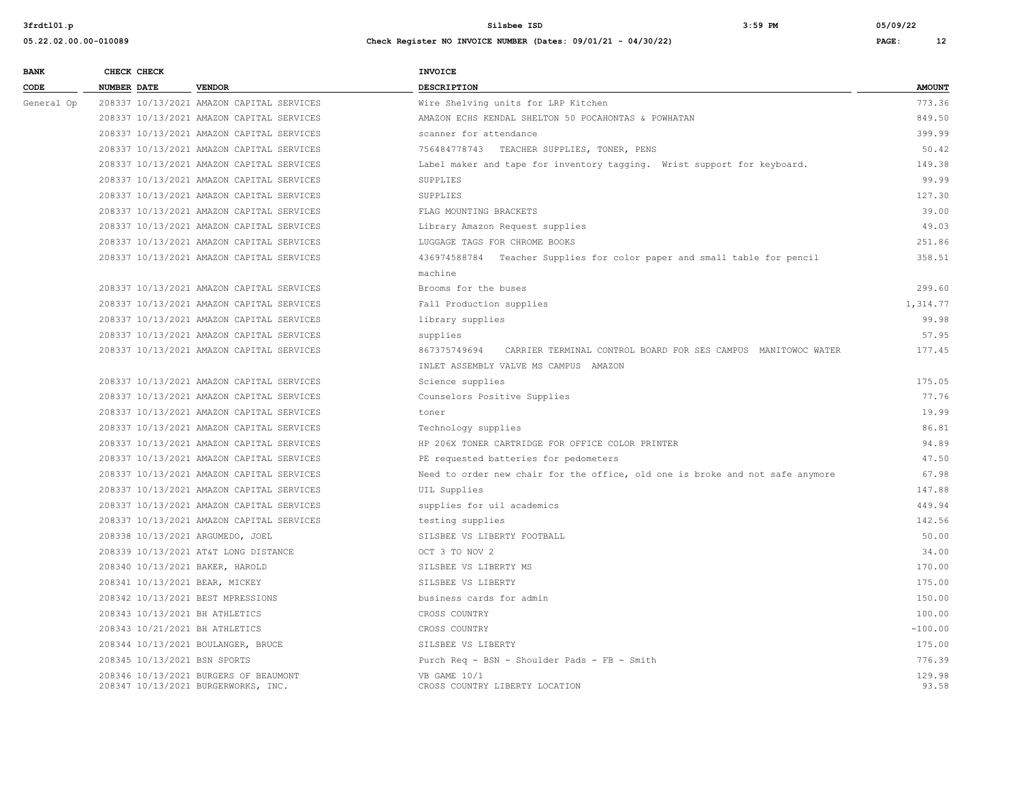**05.22.02.00.00-010089 Check Register NO INVOICE NUMBER (Dates: 09/01/21 - 04/30/22) PAGE: 12**

| CODE       | <b>NUMBER DATE</b>                 | <b>VENDOR</b>                             | <b>DESCRIPTION</b>                                                            | <b>AMOUNT</b> |
|------------|------------------------------------|-------------------------------------------|-------------------------------------------------------------------------------|---------------|
| General Op |                                    | 208337 10/13/2021 AMAZON CAPITAL SERVICES | Wire Shelving units for LRP Kitchen                                           | 773.36        |
|            |                                    | 208337 10/13/2021 AMAZON CAPITAL SERVICES | AMAZON ECHS KENDAL SHELTON 50 POCAHONTAS & POWHATAN                           | 849.50        |
|            |                                    | 208337 10/13/2021 AMAZON CAPITAL SERVICES | scanner for attendance                                                        | 399.99        |
|            |                                    | 208337 10/13/2021 AMAZON CAPITAL SERVICES | 756484778743 TEACHER SUPPLIES, TONER, PENS                                    | 50.42         |
|            |                                    | 208337 10/13/2021 AMAZON CAPITAL SERVICES | Label maker and tape for inventory tagging. Wrist support for keyboard.       | 149.38        |
|            |                                    | 208337 10/13/2021 AMAZON CAPITAL SERVICES | SUPPLIES                                                                      | 99.99         |
|            |                                    | 208337 10/13/2021 AMAZON CAPITAL SERVICES | SUPPLIES                                                                      | 127.30        |
|            |                                    | 208337 10/13/2021 AMAZON CAPITAL SERVICES | FLAG MOUNTING BRACKETS                                                        | 39.00         |
|            |                                    | 208337 10/13/2021 AMAZON CAPITAL SERVICES | Library Amazon Request supplies                                               | 49.03         |
|            |                                    | 208337 10/13/2021 AMAZON CAPITAL SERVICES | LUGGAGE TAGS FOR CHROME BOOKS                                                 | 251.86        |
|            |                                    | 208337 10/13/2021 AMAZON CAPITAL SERVICES | 436974588784 Teacher Supplies for color paper and small table for pencil      | 358.51        |
|            |                                    |                                           | machine                                                                       |               |
|            |                                    | 208337 10/13/2021 AMAZON CAPITAL SERVICES | Brooms for the buses                                                          | 299.60        |
|            |                                    | 208337 10/13/2021 AMAZON CAPITAL SERVICES | Fall Production supplies                                                      | 1,314.77      |
|            |                                    | 208337 10/13/2021 AMAZON CAPITAL SERVICES | library supplies                                                              | 99.98         |
|            |                                    | 208337 10/13/2021 AMAZON CAPITAL SERVICES | supplies                                                                      | 57.95         |
|            |                                    | 208337 10/13/2021 AMAZON CAPITAL SERVICES | 867375749694<br>CARRIER TERMINAL CONTROL BOARD FOR SES CAMPUS MANITOWOC WATER | 177.45        |
|            |                                    |                                           | INLET ASSEMBLY VALVE MS CAMPUS AMAZON                                         |               |
|            |                                    | 208337 10/13/2021 AMAZON CAPITAL SERVICES | Science supplies                                                              | 175.05        |
|            |                                    | 208337 10/13/2021 AMAZON CAPITAL SERVICES | Counselors Positive Supplies                                                  | 77.76         |
|            |                                    | 208337 10/13/2021 AMAZON CAPITAL SERVICES | toner                                                                         | 19.99         |
|            |                                    | 208337 10/13/2021 AMAZON CAPITAL SERVICES | Technology supplies                                                           | 86.81         |
|            |                                    | 208337 10/13/2021 AMAZON CAPITAL SERVICES | HP 206X TONER CARTRIDGE FOR OFFICE COLOR PRINTER                              | 94.89         |
|            |                                    | 208337 10/13/2021 AMAZON CAPITAL SERVICES | PE requested batteries for pedometers                                         | 47.50         |
|            |                                    | 208337 10/13/2021 AMAZON CAPITAL SERVICES | Need to order new chair for the office, old one is broke and not safe anymore | 67.98         |
|            |                                    | 208337 10/13/2021 AMAZON CAPITAL SERVICES | UIL Supplies                                                                  | 147.88        |
|            |                                    | 208337 10/13/2021 AMAZON CAPITAL SERVICES | supplies for uil academics                                                    | 449.94        |
|            |                                    | 208337 10/13/2021 AMAZON CAPITAL SERVICES | testing supplies                                                              | 142.56        |
|            | 208338 10/13/2021 ARGUMEDO, JOEL   |                                           | SILSBEE VS LIBERTY FOOTBALL                                                   | 50.00         |
|            |                                    | 208339 10/13/2021 AT&T LONG DISTANCE      | OCT 3 TO NOV 2                                                                | 34.00         |
|            | 208340 10/13/2021 BAKER, HAROLD    |                                           | SILSBEE VS LIBERTY MS                                                         | 170.00        |
|            | 208341 10/13/2021 BEAR, MICKEY     |                                           | SILSBEE VS LIBERTY                                                            | 175.00        |
|            | 208342 10/13/2021 BEST MPRESSIONS  |                                           | business cards for admin                                                      | 150.00        |
|            | 208343 10/13/2021 BH ATHLETICS     |                                           | CROSS COUNTRY                                                                 | 100.00        |
|            | 208343 10/21/2021 BH ATHLETICS     |                                           | CROSS COUNTRY                                                                 | $-100.00$     |
|            | 208344 10/13/2021 BOULANGER, BRUCE |                                           | SILSBEE VS LIBERTY                                                            | 175.00        |

 208345 10/13/2021 BSN SPORTS Purch Req - BSN - Shoulder Pads - FB - Smith 776.39 % 208346 10/13/2021 BURGERS OF BEAUMONT (29.98 SAME 10/1 VB GAME 10/1 129.98 SAME 10/1 129.98 SAME 10/1 129.98<br>208347 10/13/2021 BURGERWORKS, INC. (2005) CROSS COUNTRY LIBERTY LOCATION 208347 10/13/2021 BURGERWORKS, INC.

**BANK CHECK CHECK CHECK**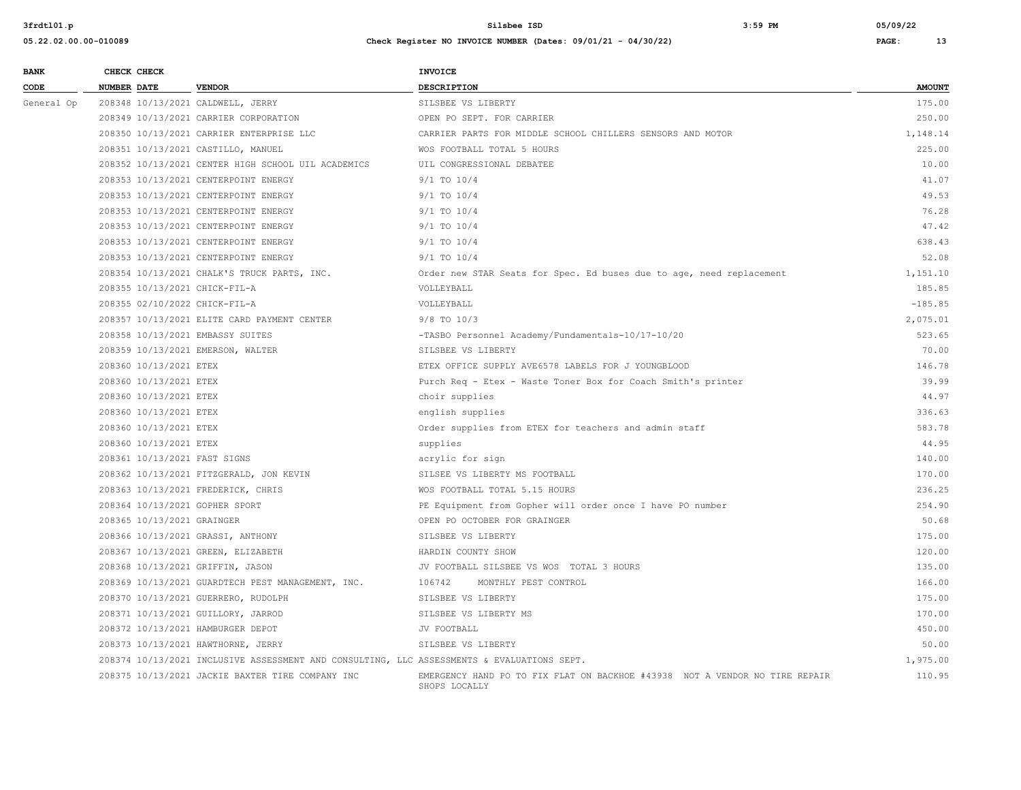| <b>BANK</b> | CHECK CHECK                        |                                                                                            | <b>INVOICE</b>                                                                               |               |
|-------------|------------------------------------|--------------------------------------------------------------------------------------------|----------------------------------------------------------------------------------------------|---------------|
| CODE        | NUMBER DATE                        | <b>VENDOR</b>                                                                              | DESCRIPTION                                                                                  | <b>AMOUNT</b> |
| General Op  | 208348 10/13/2021 CALDWELL, JERRY  |                                                                                            | SILSBEE VS LIBERTY                                                                           | 175.00        |
|             |                                    | 208349 10/13/2021 CARRIER CORPORATION                                                      | OPEN PO SEPT. FOR CARRIER                                                                    | 250.00        |
|             |                                    | 208350 10/13/2021 CARRIER ENTERPRISE LLC                                                   | CARRIER PARTS FOR MIDDLE SCHOOL CHILLERS SENSORS AND MOTOR                                   | 1,148.14      |
|             | 208351 10/13/2021 CASTILLO, MANUEL |                                                                                            | WOS FOOTBALL TOTAL 5 HOURS                                                                   | 225.00        |
|             |                                    | 208352 10/13/2021 CENTER HIGH SCHOOL UIL ACADEMICS                                         | UIL CONGRESSIONAL DEBATEE                                                                    | 10.00         |
|             |                                    | 208353 10/13/2021 CENTERPOINT ENERGY                                                       | $9/1$ TO $10/4$                                                                              | 41.07         |
|             |                                    | 208353 10/13/2021 CENTERPOINT ENERGY                                                       | $9/1$ TO $10/4$                                                                              | 49.53         |
|             |                                    | 208353 10/13/2021 CENTERPOINT ENERGY                                                       | 9/1 TO 10/4                                                                                  | 76.28         |
|             |                                    | 208353 10/13/2021 CENTERPOINT ENERGY                                                       | $9/1$ TO $10/4$                                                                              | 47.42         |
|             |                                    | 208353 10/13/2021 CENTERPOINT ENERGY                                                       | $9/1$ TO $10/4$                                                                              | 638.43        |
|             |                                    | 208353 10/13/2021 CENTERPOINT ENERGY                                                       | $9/1$ TO $10/4$                                                                              | 52.08         |
|             |                                    | 208354 10/13/2021 CHALK'S TRUCK PARTS, INC.                                                | Order new STAR Seats for Spec. Ed buses due to age, need replacement                         | 1,151.10      |
|             | 208355 10/13/2021 CHICK-FIL-A      |                                                                                            | VOLLEYBALL                                                                                   | 185.85        |
|             | 208355 02/10/2022 CHICK-FIL-A      |                                                                                            | VOLLEYBALL                                                                                   | $-185.85$     |
|             |                                    | 208357 10/13/2021 ELITE CARD PAYMENT CENTER                                                | $9/8$ TO $10/3$                                                                              | 2,075.01      |
|             | 208358 10/13/2021 EMBASSY SUITES   |                                                                                            | -TASBO Personnel Academy/Fundamentals-10/17-10/20                                            | 523.65        |
|             | 208359 10/13/2021 EMERSON, WALTER  |                                                                                            | SILSBEE VS LIBERTY                                                                           | 70.00         |
|             | 208360 10/13/2021 ETEX             |                                                                                            | ETEX OFFICE SUPPLY AVE6578 LABELS FOR J YOUNGBLOOD                                           | 146.78        |
|             | 208360 10/13/2021 ETEX             |                                                                                            | Purch Req - Etex - Waste Toner Box for Coach Smith's printer                                 | 39.99         |
|             | 208360 10/13/2021 ETEX             |                                                                                            | choir supplies                                                                               | 44.97         |
|             | 208360 10/13/2021 ETEX             |                                                                                            | english supplies                                                                             | 336.63        |
|             | 208360 10/13/2021 ETEX             |                                                                                            | Order supplies from ETEX for teachers and admin staff                                        | 583.78        |
|             | 208360 10/13/2021 ETEX             |                                                                                            | supplies                                                                                     | 44.95         |
|             | 208361 10/13/2021 FAST SIGNS       |                                                                                            | acrylic for sign                                                                             | 140.00        |
|             |                                    | 208362 10/13/2021 FITZGERALD, JON KEVIN                                                    | SILSEE VS LIBERTY MS FOOTBALL                                                                | 170.00        |
|             |                                    | 208363 10/13/2021 FREDERICK, CHRIS                                                         | WOS FOOTBALL TOTAL 5.15 HOURS                                                                | 236.25        |
|             | 208364 10/13/2021 GOPHER SPORT     |                                                                                            | PE Equipment from Gopher will order once I have PO number                                    | 254.90        |
|             | 208365 10/13/2021 GRAINGER         |                                                                                            | OPEN PO OCTOBER FOR GRAINGER                                                                 | 50.68         |
|             | 208366 10/13/2021 GRASSI, ANTHONY  |                                                                                            | SILSBEE VS LIBERTY                                                                           | 175.00        |
|             |                                    | 208367 10/13/2021 GREEN, ELIZABETH                                                         | HARDIN COUNTY SHOW                                                                           | 120.00        |
|             | 208368 10/13/2021 GRIFFIN, JASON   |                                                                                            | JV FOOTBALL SILSBEE VS WOS TOTAL 3 HOURS                                                     | 135.00        |
|             |                                    | 208369 10/13/2021 GUARDTECH PEST MANAGEMENT, INC.                                          | 106742<br>MONTHLY PEST CONTROL                                                               | 166.00        |
|             |                                    | 208370 10/13/2021 GUERRERO, RUDOLPH                                                        | SILSBEE VS LIBERTY                                                                           | 175.00        |
|             |                                    | 208371 10/13/2021 GUILLORY, JARROD                                                         | SILSBEE VS LIBERTY MS                                                                        | 170.00        |
|             | 208372 10/13/2021 HAMBURGER DEPOT  |                                                                                            | JV FOOTBALL                                                                                  | 450.00        |
|             |                                    | 208373 10/13/2021 HAWTHORNE, JERRY                                                         | SILSBEE VS LIBERTY                                                                           | 50.00         |
|             |                                    | 208374 10/13/2021 INCLUSIVE ASSESSMENT AND CONSULTING, LLC ASSESSMENTS & EVALUATIONS SEPT. |                                                                                              | 1,975.00      |
|             |                                    | 208375 10/13/2021 JACKIE BAXTER TIRE COMPANY INC                                           | EMERGENCY HAND PO TO FIX FLAT ON BACKHOE #43938 NOT A VENDOR NO TIRE REPAIR<br>SHOPS LOCALLY | 110.95        |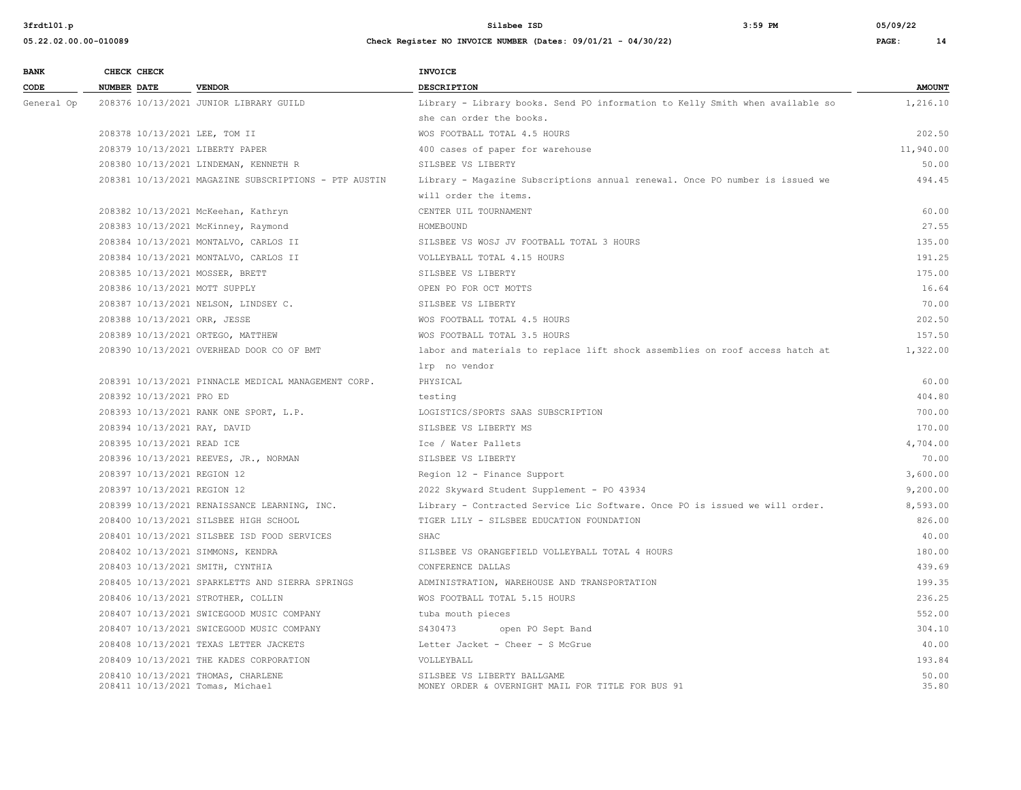| <b>BANK</b> | CHECK CHECK                       |                                                       | <b>INVOICE</b>                                                                |               |
|-------------|-----------------------------------|-------------------------------------------------------|-------------------------------------------------------------------------------|---------------|
| CODE        | <b>NUMBER DATE</b>                | <b>VENDOR</b>                                         | DESCRIPTION                                                                   | <b>AMOUNT</b> |
| General Op  |                                   | 208376 10/13/2021 JUNIOR LIBRARY GUILD                | Library - Library books. Send PO information to Kelly Smith when available so | 1,216.10      |
|             |                                   |                                                       | she can order the books.                                                      |               |
|             | 208378 10/13/2021 LEE, TOM II     |                                                       | WOS FOOTBALL TOTAL 4.5 HOURS                                                  | 202.50        |
|             | 208379 10/13/2021 LIBERTY PAPER   |                                                       | 400 cases of paper for warehouse                                              | 11,940.00     |
|             |                                   | 208380 10/13/2021 LINDEMAN, KENNETH R                 | SILSBEE VS LIBERTY                                                            | 50.00         |
|             |                                   | 208381 10/13/2021 MAGAZINE SUBSCRIPTIONS - PTP AUSTIN | Library - Magazine Subscriptions annual renewal. Once PO number is issued we  | 494.45        |
|             |                                   |                                                       | will order the items.                                                         |               |
|             |                                   | 208382 10/13/2021 McKeehan, Kathryn                   | CENTER UIL TOURNAMENT                                                         | 60.00         |
|             |                                   | 208383 10/13/2021 McKinney, Raymond                   | HOMEBOUND                                                                     | 27.55         |
|             |                                   | 208384 10/13/2021 MONTALVO, CARLOS II                 | SILSBEE VS WOSJ JV FOOTBALL TOTAL 3 HOURS                                     | 135.00        |
|             |                                   | 208384 10/13/2021 MONTALVO, CARLOS II                 | VOLLEYBALL TOTAL 4.15 HOURS                                                   | 191.25        |
|             | 208385 10/13/2021 MOSSER, BRETT   |                                                       | SILSBEE VS LIBERTY                                                            | 175.00        |
|             | 208386 10/13/2021 MOTT SUPPLY     |                                                       | OPEN PO FOR OCT MOTTS                                                         | 16.64         |
|             |                                   | 208387 10/13/2021 NELSON, LINDSEY C.                  | SILSBEE VS LIBERTY                                                            | 70.00         |
|             | 208388 10/13/2021 ORR, JESSE      |                                                       | WOS FOOTBALL TOTAL 4.5 HOURS                                                  | 202.50        |
|             | 208389 10/13/2021 ORTEGO, MATTHEW |                                                       | WOS FOOTBALL TOTAL 3.5 HOURS                                                  | 157.50        |
|             |                                   | 208390 10/13/2021 OVERHEAD DOOR CO OF BMT             | labor and materials to replace lift shock assemblies on roof access hatch at  | 1,322.00      |
|             |                                   |                                                       | lrp no vendor                                                                 |               |
|             |                                   | 208391 10/13/2021 PINNACLE MEDICAL MANAGEMENT CORP.   | PHYSICAL                                                                      | 60.00         |
|             | 208392 10/13/2021 PRO ED          |                                                       | testing                                                                       | 404.80        |
|             |                                   | 208393 10/13/2021 RANK ONE SPORT, L.P.                | LOGISTICS/SPORTS SAAS SUBSCRIPTION                                            | 700.00        |
|             | 208394 10/13/2021 RAY, DAVID      |                                                       | SILSBEE VS LIBERTY MS                                                         | 170.00        |
|             | 208395 10/13/2021 READ ICE        |                                                       | Ice / Water Pallets                                                           | 4,704.00      |
|             |                                   | 208396 10/13/2021 REEVES, JR., NORMAN                 | SILSBEE VS LIBERTY                                                            | 70.00         |
|             | 208397 10/13/2021 REGION 12       |                                                       | Region 12 - Finance Support                                                   | 3,600.00      |
|             | 208397 10/13/2021 REGION 12       |                                                       | 2022 Skyward Student Supplement - PO 43934                                    | 9,200.00      |
|             |                                   | 208399 10/13/2021 RENAISSANCE LEARNING, INC.          | Library - Contracted Service Lic Software. Once PO is issued we will order.   | 8,593.00      |
|             |                                   | 208400 10/13/2021 SILSBEE HIGH SCHOOL                 | TIGER LILY - SILSBEE EDUCATION FOUNDATION                                     | 826.00        |
|             |                                   | 208401 10/13/2021 SILSBEE ISD FOOD SERVICES           | SHAC                                                                          | 40.00         |
|             | 208402 10/13/2021 SIMMONS, KENDRA |                                                       | SILSBEE VS ORANGEFIELD VOLLEYBALL TOTAL 4 HOURS                               | 180.00        |
|             | 208403 10/13/2021 SMITH, CYNTHIA  |                                                       | CONFERENCE DALLAS                                                             | 439.69        |
|             |                                   | 208405 10/13/2021 SPARKLETTS AND SIERRA SPRINGS       | ADMINISTRATION, WAREHOUSE AND TRANSPORTATION                                  | 199.35        |
|             |                                   | 208406 10/13/2021 STROTHER, COLLIN                    | WOS FOOTBALL TOTAL 5.15 HOURS                                                 | 236.25        |
|             |                                   | 208407 10/13/2021 SWICEGOOD MUSIC COMPANY             | tuba mouth pieces                                                             | 552.00        |
|             |                                   | 208407 10/13/2021 SWICEGOOD MUSIC COMPANY             | S430473<br>open PO Sept Band                                                  | 304.10        |
|             |                                   | 208408 10/13/2021 TEXAS LETTER JACKETS                | Letter Jacket - Cheer - S McGrue                                              | 40.00         |
|             |                                   | 208409 10/13/2021 THE KADES CORPORATION               | VOLLEYBALL                                                                    | 193.84        |
|             |                                   | 208410 10/13/2021 THOMAS, CHARLENE                    | SILSBEE VS LIBERTY BALLGAME                                                   | 50.00         |
|             | 208411 10/13/2021 Tomas, Michael  |                                                       | MONEY ORDER & OVERNIGHT MAIL FOR TITLE FOR BUS 91                             | 35.80         |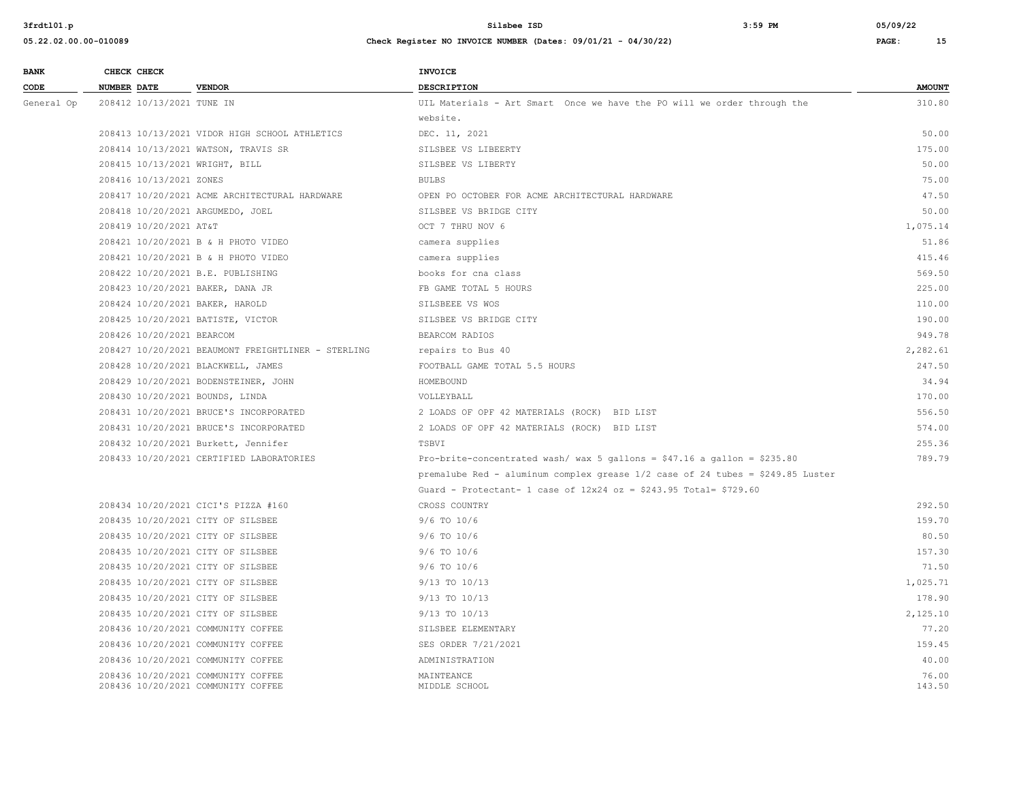| 05.22.02.00.00-010089 | Check Register NO INVOICE NUMBER (Dates: 09/01/21 - 04/30/22) | PAGE: | 15 |
|-----------------------|---------------------------------------------------------------|-------|----|
|                       |                                                               |       |    |

| <b>BANK</b> | CHECK CHECK                        |                                                    | <b>INVOICE</b>                                                                 |               |
|-------------|------------------------------------|----------------------------------------------------|--------------------------------------------------------------------------------|---------------|
| CODE        | <b>NUMBER DATE</b>                 | <b>VENDOR</b>                                      | <b>DESCRIPTION</b>                                                             | <b>AMOUNT</b> |
| General Op  | 208412 10/13/2021 TUNE IN          |                                                    | UIL Materials - Art Smart Once we have the PO will we order through the        | 310.80        |
|             |                                    |                                                    | website.                                                                       |               |
|             |                                    | 208413 10/13/2021 VIDOR HIGH SCHOOL ATHLETICS      | DEC. 11, 2021                                                                  | 50.00         |
|             |                                    | 208414 10/13/2021 WATSON, TRAVIS SR                | SILSBEE VS LIBEERTY                                                            | 175.00        |
|             | 208415 10/13/2021 WRIGHT, BILL     |                                                    | SILSBEE VS LIBERTY                                                             | 50.00         |
|             | 208416 10/13/2021 ZONES            |                                                    | <b>BULBS</b>                                                                   | 75.00         |
|             |                                    | 208417 10/20/2021 ACME ARCHITECTURAL HARDWARE      | OPEN PO OCTOBER FOR ACME ARCHITECTURAL HARDWARE                                | 47.50         |
|             | 208418 10/20/2021 ARGUMEDO, JOEL   |                                                    | SILSBEE VS BRIDGE CITY                                                         | 50.00         |
|             | 208419 10/20/2021 AT&T             |                                                    | OCT 7 THRU NOV 6                                                               | 1,075.14      |
|             |                                    | 208421 10/20/2021 B & H PHOTO VIDEO                | camera supplies                                                                | 51.86         |
|             |                                    | 208421 10/20/2021 B & H PHOTO VIDEO                | camera supplies                                                                | 415.46        |
|             | 208422 10/20/2021 B.E. PUBLISHING  |                                                    | books for cna class                                                            | 569.50        |
|             | 208423 10/20/2021 BAKER, DANA JR   |                                                    | FB GAME TOTAL 5 HOURS                                                          | 225.00        |
|             | 208424 10/20/2021 BAKER, HAROLD    |                                                    | SILSBEEE VS WOS                                                                | 110.00        |
|             | 208425 10/20/2021 BATISTE, VICTOR  |                                                    | SILSBEE VS BRIDGE CITY                                                         | 190.00        |
|             | 208426 10/20/2021 BEARCOM          |                                                    | BEARCOM RADIOS                                                                 | 949.78        |
|             |                                    | 208427 10/20/2021 BEAUMONT FREIGHTLINER - STERLING | repairs to Bus 40                                                              | 2,282.61      |
|             | 208428 10/20/2021 BLACKWELL, JAMES |                                                    | FOOTBALL GAME TOTAL 5.5 HOURS                                                  | 247.50        |
|             |                                    | 208429 10/20/2021 BODENSTEINER, JOHN               | HOMEBOUND                                                                      | 34.94         |
|             | 208430 10/20/2021 BOUNDS, LINDA    |                                                    | VOLLEYBALL                                                                     | 170.00        |
|             |                                    | 208431 10/20/2021 BRUCE'S INCORPORATED             | 2 LOADS OF OPF 42 MATERIALS (ROCK) BID LIST                                    | 556.50        |
|             |                                    | 208431 10/20/2021 BRUCE'S INCORPORATED             | 2 LOADS OF OPF 42 MATERIALS (ROCK) BID LIST                                    | 574.00        |
|             |                                    | 208432 10/20/2021 Burkett, Jennifer                | TSBVI                                                                          | 255.36        |
|             |                                    | 208433 10/20/2021 CERTIFIED LABORATORIES           | Pro-brite-concentrated wash/ wax 5 gallons = $$47.16$ a gallon = $$235.80$     | 789.79        |
|             |                                    |                                                    | premalube Red - aluminum complex grease 1/2 case of 24 tubes = \$249.85 Luster |               |
|             |                                    |                                                    | Guard - Protectant- 1 case of $12x24$ oz = \$243.95 Total= \$729.60            |               |
|             |                                    | 208434 10/20/2021 CICI'S PIZZA #160                | CROSS COUNTRY                                                                  | 292.50        |
|             | 208435 10/20/2021 CITY OF SILSBEE  |                                                    | $9/6$ TO $10/6$                                                                | 159.70        |
|             | 208435 10/20/2021 CITY OF SILSBEE  |                                                    | $9/6$ TO $10/6$                                                                | 80.50         |
|             | 208435 10/20/2021 CITY OF SILSBEE  |                                                    | $9/6$ TO $10/6$                                                                | 157.30        |
|             | 208435 10/20/2021 CITY OF SILSBEE  |                                                    | $9/6$ TO $10/6$                                                                | 71.50         |
|             | 208435 10/20/2021 CITY OF SILSBEE  |                                                    | 9/13 TO 10/13                                                                  | 1,025.71      |
|             | 208435 10/20/2021 CITY OF SILSBEE  |                                                    | 9/13 TO 10/13                                                                  | 178.90        |
|             | 208435 10/20/2021 CITY OF SILSBEE  |                                                    | 9/13 TO 10/13                                                                  | 2,125.10      |
|             | 208436 10/20/2021 COMMUNITY COFFEE |                                                    | SILSBEE ELEMENTARY                                                             | 77.20         |
|             | 208436 10/20/2021 COMMUNITY COFFEE |                                                    | SES ORDER 7/21/2021                                                            | 159.45        |
|             | 208436 10/20/2021 COMMUNITY COFFEE |                                                    | ADMINISTRATION                                                                 | 40.00         |
|             | 208436 10/20/2021 COMMUNITY COFFEE |                                                    | MAINTEANCE                                                                     | 76.00         |
|             | 208436 10/20/2021 COMMUNITY COFFEE |                                                    | MIDDLE SCHOOL                                                                  | 143.50        |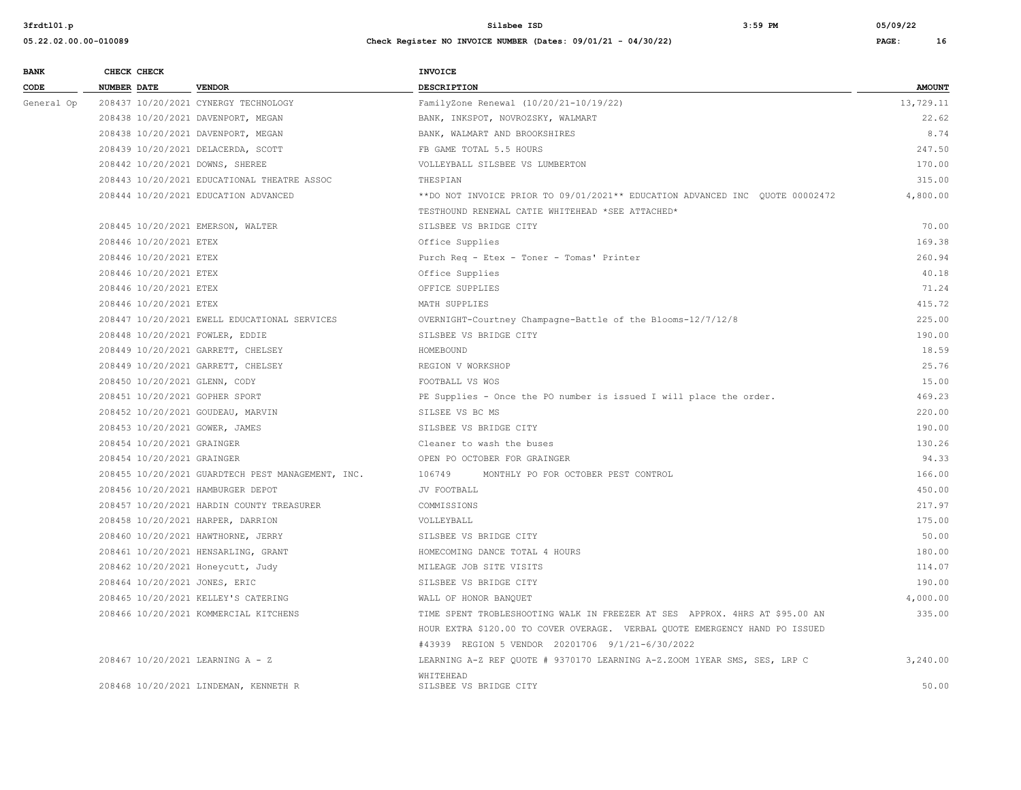| <b>BANK</b> | CHECK CHECK                      |                                                   | INVOICE                                                                      |               |
|-------------|----------------------------------|---------------------------------------------------|------------------------------------------------------------------------------|---------------|
| CODE        | <b>NUMBER DATE</b>               | <b>VENDOR</b>                                     | <b>DESCRIPTION</b>                                                           | <b>AMOUNT</b> |
| General Op  |                                  | 208437 10/20/2021 CYNERGY TECHNOLOGY              | FamilyZone Renewal (10/20/21-10/19/22)                                       | 13,729.11     |
|             |                                  | 208438 10/20/2021 DAVENPORT, MEGAN                | BANK, INKSPOT, NOVROZSKY, WALMART                                            | 22.62         |
|             |                                  | 208438 10/20/2021 DAVENPORT, MEGAN                | BANK, WALMART AND BROOKSHIRES                                                | 8.74          |
|             |                                  | 208439 10/20/2021 DELACERDA, SCOTT                | FB GAME TOTAL 5.5 HOURS                                                      | 247.50        |
|             | 208442 10/20/2021 DOWNS, SHEREE  |                                                   | VOLLEYBALL SILSBEE VS LUMBERTON                                              | 170.00        |
|             |                                  | 208443 10/20/2021 EDUCATIONAL THEATRE ASSOC       | THESPIAN                                                                     | 315.00        |
|             |                                  | 208444 10/20/2021 EDUCATION ADVANCED              | **DO NOT INVOICE PRIOR TO 09/01/2021** EDUCATION ADVANCED INC QUOTE 00002472 | 4,800.00      |
|             |                                  |                                                   | TESTHOUND RENEWAL CATIE WHITEHEAD *SEE ATTACHED*                             |               |
|             |                                  | 208445 10/20/2021 EMERSON, WALTER                 | SILSBEE VS BRIDGE CITY                                                       | 70.00         |
|             | 208446 10/20/2021 ETEX           |                                                   | Office Supplies                                                              | 169.38        |
|             | 208446 10/20/2021 ETEX           |                                                   | Purch Req - Etex - Toner - Tomas' Printer                                    | 260.94        |
|             | 208446 10/20/2021 ETEX           |                                                   | Office Supplies                                                              | 40.18         |
|             | 208446 10/20/2021 ETEX           |                                                   | OFFICE SUPPLIES                                                              | 71.24         |
|             | 208446 10/20/2021 ETEX           |                                                   | MATH SUPPLIES                                                                | 415.72        |
|             |                                  | 208447 10/20/2021 EWELL EDUCATIONAL SERVICES      | OVERNIGHT-Courtney Champagne-Battle of the Blooms-12/7/12/8                  | 225.00        |
|             | 208448 10/20/2021 FOWLER, EDDIE  |                                                   | SILSBEE VS BRIDGE CITY                                                       | 190.00        |
|             |                                  | 208449 10/20/2021 GARRETT, CHELSEY                | HOMEBOUND                                                                    | 18.59         |
|             |                                  | 208449 10/20/2021 GARRETT, CHELSEY                | REGION V WORKSHOP                                                            | 25.76         |
|             | 208450 10/20/2021 GLENN, CODY    |                                                   | FOOTBALL VS WOS                                                              | 15.00         |
|             | 208451 10/20/2021 GOPHER SPORT   |                                                   | PE Supplies - Once the PO number is issued I will place the order.           | 469.23        |
|             |                                  | 208452 10/20/2021 GOUDEAU, MARVIN                 | SILSEE VS BC MS                                                              | 220.00        |
|             | 208453 10/20/2021 GOWER, JAMES   |                                                   | SILSBEE VS BRIDGE CITY                                                       | 190.00        |
|             | 208454 10/20/2021 GRAINGER       |                                                   | Cleaner to wash the buses                                                    | 130.26        |
|             | 208454 10/20/2021 GRAINGER       |                                                   | OPEN PO OCTOBER FOR GRAINGER                                                 | 94.33         |
|             |                                  | 208455 10/20/2021 GUARDTECH PEST MANAGEMENT, INC. | 106749<br>MONTHLY PO FOR OCTOBER PEST CONTROL                                | 166.00        |
|             |                                  | 208456 10/20/2021 HAMBURGER DEPOT                 | JV FOOTBALL                                                                  | 450.00        |
|             |                                  | 208457 10/20/2021 HARDIN COUNTY TREASURER         | COMMISSIONS                                                                  | 217.97        |
|             |                                  | 208458 10/20/2021 HARPER, DARRION                 | VOLLEYBALL                                                                   | 175.00        |
|             |                                  | 208460 10/20/2021 HAWTHORNE, JERRY                | SILSBEE VS BRIDGE CITY                                                       | 50.00         |
|             |                                  | 208461 10/20/2021 HENSARLING, GRANT               | HOMECOMING DANCE TOTAL 4 HOURS                                               | 180.00        |
|             |                                  | 208462 10/20/2021 Honeycutt, Judy                 | MILEAGE JOB SITE VISITS                                                      | 114.07        |
|             | 208464 10/20/2021 JONES, ERIC    |                                                   | SILSBEE VS BRIDGE CITY                                                       | 190.00        |
|             |                                  | 208465 10/20/2021 KELLEY'S CATERING               | WALL OF HONOR BANQUET                                                        | 4,000.00      |
|             |                                  | 208466 10/20/2021 KOMMERCIAL KITCHENS             | TIME SPENT TROBLESHOOTING WALK IN FREEZER AT SES APPROX. 4HRS AT \$95.00 AN  | 335.00        |
|             |                                  |                                                   | HOUR EXTRA \$120.00 TO COVER OVERAGE. VERBAL QUOTE EMERGENCY HAND PO ISSUED  |               |
|             |                                  |                                                   | #43939 REGION 5 VENDOR 20201706 9/1/21-6/30/2022                             |               |
|             | 208467 10/20/2021 LEARNING A - Z |                                                   | LEARNING A-Z REF QUOTE # 9370170 LEARNING A-Z.ZOOM 1YEAR SMS, SES, LRP C     | 3,240.00      |
|             |                                  | 208468 10/20/2021 LINDEMAN, KENNETH R             | WHITEHEAD<br>SILSBEE VS BRIDGE CITY                                          | 50.00         |
|             |                                  |                                                   |                                                                              |               |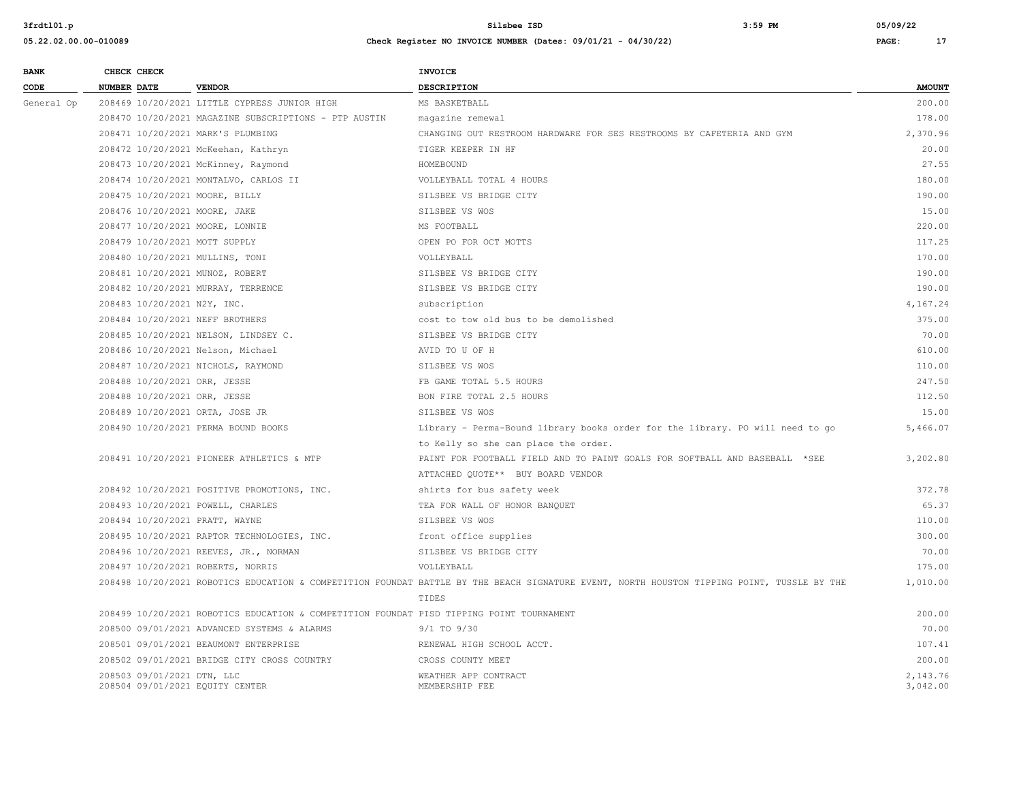| <b>BANK</b> | CHECK CHECK        |                             |                                                                                          | INVOICE                                                                                                                                    |               |
|-------------|--------------------|-----------------------------|------------------------------------------------------------------------------------------|--------------------------------------------------------------------------------------------------------------------------------------------|---------------|
| CODE        | <b>NUMBER DATE</b> |                             | <b>VENDOR</b>                                                                            | <b>DESCRIPTION</b>                                                                                                                         | <b>AMOUNT</b> |
| General Op  |                    |                             | 208469 10/20/2021 LITTLE CYPRESS JUNIOR HIGH                                             | MS BASKETBALL                                                                                                                              | 200.00        |
|             |                    |                             | 208470 10/20/2021 MAGAZINE SUBSCRIPTIONS - PTP AUSTIN                                    | magazine remewal                                                                                                                           | 178.00        |
|             |                    |                             | 208471 10/20/2021 MARK'S PLUMBING                                                        | CHANGING OUT RESTROOM HARDWARE FOR SES RESTROOMS BY CAFETERIA AND GYM                                                                      | 2,370.96      |
|             |                    |                             | 208472 10/20/2021 McKeehan, Kathryn                                                      | TIGER KEEPER IN HF                                                                                                                         | 20.00         |
|             |                    |                             | 208473 10/20/2021 McKinney, Raymond                                                      | HOMEBOUND                                                                                                                                  | 27.55         |
|             |                    |                             | 208474 10/20/2021 MONTALVO, CARLOS II                                                    | VOLLEYBALL TOTAL 4 HOURS                                                                                                                   | 180.00        |
|             |                    |                             | 208475 10/20/2021 MOORE, BILLY                                                           | SILSBEE VS BRIDGE CITY                                                                                                                     | 190.00        |
|             |                    |                             | 208476 10/20/2021 MOORE, JAKE                                                            | SILSBEE VS WOS                                                                                                                             | 15.00         |
|             |                    |                             | 208477 10/20/2021 MOORE, LONNIE                                                          | MS FOOTBALL                                                                                                                                | 220.00        |
|             |                    |                             | 208479 10/20/2021 MOTT SUPPLY                                                            | OPEN PO FOR OCT MOTTS                                                                                                                      | 117.25        |
|             |                    |                             | 208480 10/20/2021 MULLINS, TONI                                                          | VOLLEYBALL                                                                                                                                 | 170.00        |
|             |                    |                             | 208481 10/20/2021 MUNOZ, ROBERT                                                          | SILSBEE VS BRIDGE CITY                                                                                                                     | 190.00        |
|             |                    |                             | 208482 10/20/2021 MURRAY, TERRENCE                                                       | SILSBEE VS BRIDGE CITY                                                                                                                     | 190.00        |
|             |                    | 208483 10/20/2021 N2Y, INC. |                                                                                          | subscription                                                                                                                               | 4,167.24      |
|             |                    |                             | 208484 10/20/2021 NEFF BROTHERS                                                          | cost to tow old bus to be demolished                                                                                                       | 375.00        |
|             |                    |                             | 208485 10/20/2021 NELSON, LINDSEY C.                                                     | SILSBEE VS BRIDGE CITY                                                                                                                     | 70.00         |
|             |                    |                             | 208486 10/20/2021 Nelson, Michael                                                        | AVID TO U OF H                                                                                                                             | 610.00        |
|             |                    |                             | 208487 10/20/2021 NICHOLS, RAYMOND                                                       | SILSBEE VS WOS                                                                                                                             | 110.00        |
|             |                    |                             | 208488 10/20/2021 ORR, JESSE                                                             | FB GAME TOTAL 5.5 HOURS                                                                                                                    | 247.50        |
|             |                    |                             | 208488 10/20/2021 ORR, JESSE                                                             | BON FIRE TOTAL 2.5 HOURS                                                                                                                   | 112.50        |
|             |                    |                             | 208489 10/20/2021 ORTA, JOSE JR                                                          | SILSBEE VS WOS                                                                                                                             | 15.00         |
|             |                    |                             | 208490 10/20/2021 PERMA BOUND BOOKS                                                      | Library - Perma-Bound library books order for the library. PO will need to go                                                              | 5,466.07      |
|             |                    |                             |                                                                                          | to Kelly so she can place the order.                                                                                                       |               |
|             |                    |                             | 208491 10/20/2021 PIONEER ATHLETICS & MTP                                                | PAINT FOR FOOTBALL FIELD AND TO PAINT GOALS FOR SOFTBALL AND BASEBALL *SEE                                                                 | 3,202.80      |
|             |                    |                             |                                                                                          | ATTACHED QUOTE** BUY BOARD VENDOR                                                                                                          |               |
|             |                    |                             | 208492 10/20/2021 POSITIVE PROMOTIONS, INC.                                              | shirts for bus safety week                                                                                                                 | 372.78        |
|             |                    |                             | 208493 10/20/2021 POWELL, CHARLES                                                        | TEA FOR WALL OF HONOR BANQUET                                                                                                              | 65.37         |
|             |                    |                             | 208494 10/20/2021 PRATT, WAYNE                                                           | SILSBEE VS WOS                                                                                                                             | 110.00        |
|             |                    |                             | 208495 10/20/2021 RAPTOR TECHNOLOGIES, INC.                                              | front office supplies                                                                                                                      | 300.00        |
|             |                    |                             | 208496 10/20/2021 REEVES, JR., NORMAN                                                    | SILSBEE VS BRIDGE CITY                                                                                                                     | 70.00         |
|             |                    |                             | 208497 10/20/2021 ROBERTS, NORRIS                                                        | VOLLEYBALL                                                                                                                                 | 175.00        |
|             |                    |                             |                                                                                          | 208498 10/20/2021 ROBOTICS EDUCATION & COMPETITION FOUNDAT BATTLE BY THE BEACH SIGNATURE EVENT, NORTH HOUSTON TIPPING POINT, TUSSLE BY THE | 1,010.00      |
|             |                    |                             |                                                                                          | TIDES                                                                                                                                      |               |
|             |                    |                             | 208499 10/20/2021 ROBOTICS EDUCATION & COMPETITION FOUNDAT PISD TIPPING POINT TOURNAMENT |                                                                                                                                            | 200.00        |
|             |                    |                             | 208500 09/01/2021 ADVANCED SYSTEMS & ALARMS                                              | $9/1$ TO $9/30$                                                                                                                            | 70.00         |
|             |                    |                             | 208501 09/01/2021 BEAUMONT ENTERPRISE                                                    | RENEWAL HIGH SCHOOL ACCT.                                                                                                                  | 107.41        |
|             |                    |                             | 208502 09/01/2021 BRIDGE CITY CROSS COUNTRY                                              | CROSS COUNTY MEET                                                                                                                          | 200.00        |
|             |                    | 208503 09/01/2021 DTN, LLC  |                                                                                          | WEATHER APP CONTRACT                                                                                                                       | 2,143.76      |
|             |                    |                             | 208504 09/01/2021 EQUITY CENTER                                                          | MEMBERSHIP FEE                                                                                                                             | 3,042.00      |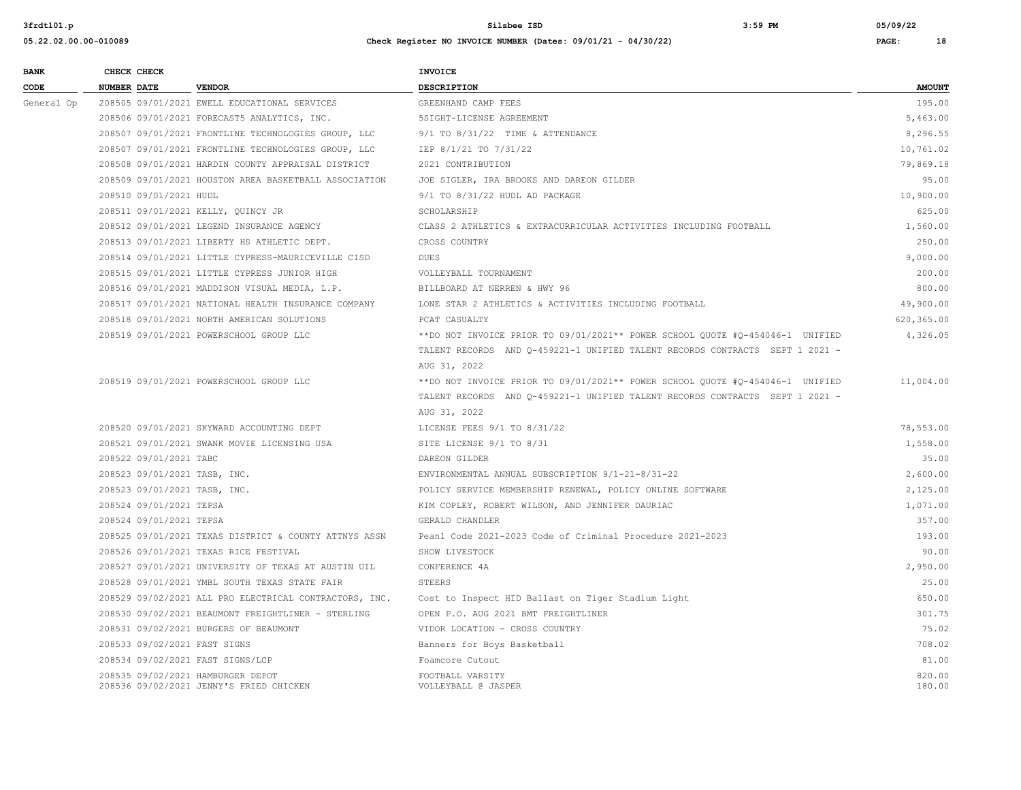| <b>BANK</b> |                    | CHECK CHECK             |                                                                              | <b>INVOICE</b>                                                                |                  |
|-------------|--------------------|-------------------------|------------------------------------------------------------------------------|-------------------------------------------------------------------------------|------------------|
| CODE        | <b>NUMBER DATE</b> |                         | <b>VENDOR</b>                                                                | <b>DESCRIPTION</b>                                                            | <b>AMOUNT</b>    |
| General Op  |                    |                         | 208505 09/01/2021 EWELL EDUCATIONAL SERVICES                                 | GREENHAND CAMP FEES                                                           | 195.00           |
|             |                    |                         | 208506 09/01/2021 FORECAST5 ANALYTICS, INC.                                  | 5SIGHT-LICENSE AGREEMENT                                                      | 5,463.00         |
|             |                    |                         | 208507 09/01/2021 FRONTLINE TECHNOLOGIES GROUP, LLC                          | 9/1 TO 8/31/22 TIME & ATTENDANCE                                              | 8,296.55         |
|             |                    |                         | 208507 09/01/2021 FRONTLINE TECHNOLOGIES GROUP, LLC                          | IEP 8/1/21 TO 7/31/22                                                         | 10,761.02        |
|             |                    |                         | 208508 09/01/2021 HARDIN COUNTY APPRAISAL DISTRICT                           | 2021 CONTRIBUTION                                                             | 79,869.18        |
|             |                    |                         | 208509 09/01/2021 HOUSTON AREA BASKETBALL ASSOCIATION                        | JOE SIGLER, IRA BROOKS AND DAREON GILDER                                      | 95.00            |
|             |                    | 208510 09/01/2021 HUDL  |                                                                              | 9/1 TO 8/31/22 HUDL AD PACKAGE                                                | 10,900.00        |
|             |                    |                         | 208511 09/01/2021 KELLY, QUINCY JR                                           | SCHOLARSHIP                                                                   | 625.00           |
|             |                    |                         | 208512 09/01/2021 LEGEND INSURANCE AGENCY                                    | CLASS 2 ATHLETICS & EXTRACURRICULAR ACTIVITIES INCLUDING FOOTBALL             | 1,560.00         |
|             |                    |                         | 208513 09/01/2021 LIBERTY HS ATHLETIC DEPT.                                  | CROSS COUNTRY                                                                 | 250.00           |
|             |                    |                         | 208514 09/01/2021 LITTLE CYPRESS-MAURICEVILLE CISD                           | DUES                                                                          | 9,000.00         |
|             |                    |                         | 208515 09/01/2021 LITTLE CYPRESS JUNIOR HIGH                                 | VOLLEYBALL TOURNAMENT                                                         | 200.00           |
|             |                    |                         | 208516 09/01/2021 MADDISON VISUAL MEDIA, L.P.                                | BILLBOARD AT NERREN & HWY 96                                                  | 800.00           |
|             |                    |                         | 208517 09/01/2021 NATIONAL HEALTH INSURANCE COMPANY                          | LONE STAR 2 ATHLETICS & ACTIVITIES INCLUDING FOOTBALL                         | 49,900.00        |
|             |                    |                         | 208518 09/01/2021 NORTH AMERICAN SOLUTIONS                                   | PCAT CASUALTY                                                                 | 620,365.00       |
|             |                    |                         | 208519 09/01/2021 POWERSCHOOL GROUP LLC                                      | **DO NOT INVOICE PRIOR TO 09/01/2021** POWER SCHOOL QUOTE #Q-454046-1 UNIFIED | 4,326.05         |
|             |                    |                         |                                                                              | TALENT RECORDS AND Q-459221-1 UNIFIED TALENT RECORDS CONTRACTS SEPT 1 2021 -  |                  |
|             |                    |                         |                                                                              | AUG 31, 2022                                                                  |                  |
|             |                    |                         | 208519 09/01/2021 POWERSCHOOL GROUP LLC                                      | **DO NOT INVOICE PRIOR TO 09/01/2021** POWER SCHOOL QUOTE #Q-454046-1 UNIFIED | 11,004.00        |
|             |                    |                         |                                                                              | TALENT RECORDS AND 0-459221-1 UNIFIED TALENT RECORDS CONTRACTS SEPT 1 2021 -  |                  |
|             |                    |                         |                                                                              | AUG 31, 2022                                                                  |                  |
|             |                    |                         | 208520 09/01/2021 SKYWARD ACCOUNTING DEPT                                    | LICENSE FEES 9/1 TO 8/31/22                                                   | 78,553.00        |
|             |                    |                         | 208521 09/01/2021 SWANK MOVIE LICENSING USA                                  | SITE LICENSE 9/1 TO 8/31                                                      | 1,558.00         |
|             |                    | 208522 09/01/2021 TABC  |                                                                              | DAREON GILDER                                                                 | 35.00            |
|             |                    |                         | 208523 09/01/2021 TASB, INC.                                                 | ENVIRONMENTAL ANNUAL SUBSCRIPTION 9/1-21-8/31-22                              | 2,600.00         |
|             |                    |                         | 208523 09/01/2021 TASB, INC.                                                 | POLICY SERVICE MEMBERSHIP RENEWAL, POLICY ONLINE SOFTWARE                     | 2,125.00         |
|             |                    | 208524 09/01/2021 TEPSA |                                                                              | KIM COPLEY, ROBERT WILSON, AND JENNIFER DAURIAC                               | 1,071.00         |
|             |                    | 208524 09/01/2021 TEPSA |                                                                              | GERALD CHANDLER                                                               | 357.00           |
|             |                    |                         | 208525 09/01/2021 TEXAS DISTRICT & COUNTY ATTNYS ASSN                        | Peanl Code 2021-2023 Code of Criminal Procedure 2021-2023                     | 193.00           |
|             |                    |                         | 208526 09/01/2021 TEXAS RICE FESTIVAL                                        | SHOW LIVESTOCK                                                                | 90.00            |
|             |                    |                         | 208527 09/01/2021 UNIVERSITY OF TEXAS AT AUSTIN UIL                          | CONFERENCE 4A                                                                 | 2,950.00         |
|             |                    |                         | 208528 09/01/2021 YMBL SOUTH TEXAS STATE FAIR                                | STEERS                                                                        | 25.00            |
|             |                    |                         | 208529 09/02/2021 ALL PRO ELECTRICAL CONTRACTORS, INC.                       | Cost to Inspect HID Ballast on Tiger Stadium Light                            | 650.00           |
|             |                    |                         | 208530 09/02/2021 BEAUMONT FREIGHTLINER - STERLING                           | OPEN P.O. AUG 2021 BMT FREIGHTLINER                                           | 301.75           |
|             |                    |                         | 208531 09/02/2021 BURGERS OF BEAUMONT                                        | VIDOR LOCATION - CROSS COUNTRY                                                | 75.02            |
|             |                    |                         | 208533 09/02/2021 FAST SIGNS                                                 | Banners for Boys Basketball                                                   | 708.02           |
|             |                    |                         | 208534 09/02/2021 FAST SIGNS/LCP                                             | Foamcore Cutout                                                               | 81.00            |
|             |                    |                         | 208535 09/02/2021 HAMBURGER DEPOT<br>208536 09/02/2021 JENNY'S FRIED CHICKEN | FOOTBALL VARSITY<br>VOLLEYBALL @ JASPER                                       | 820.00<br>180.00 |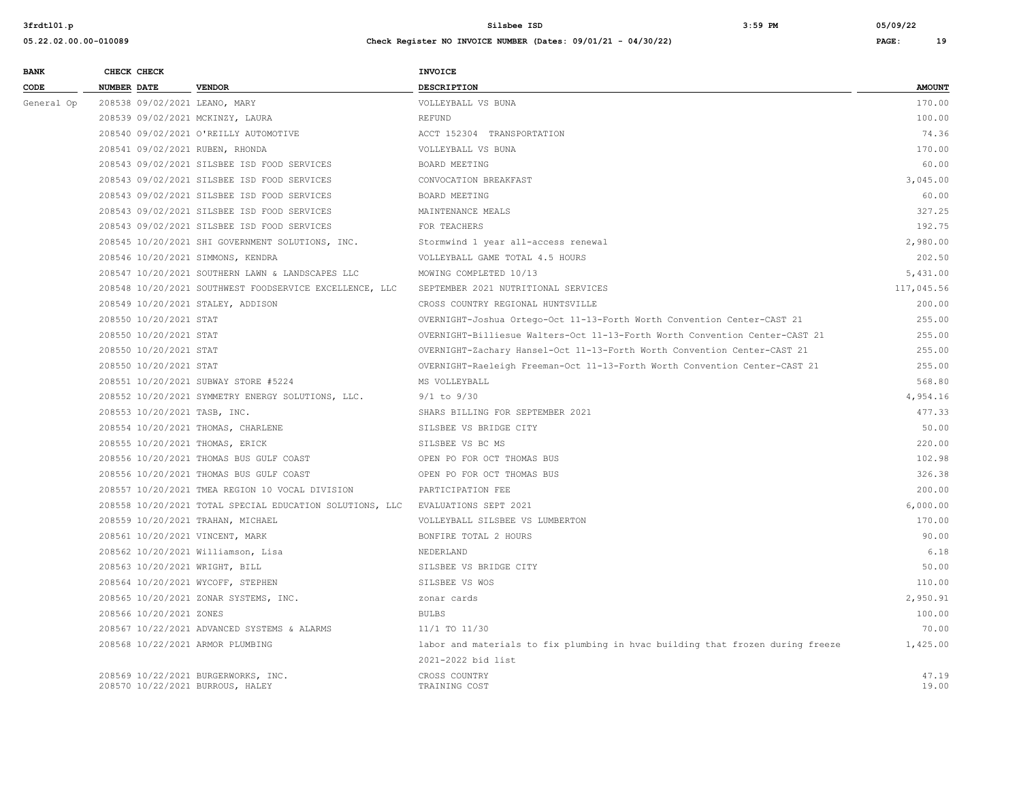| <b>BANK</b> | CHECK CHECK                       |                                                          | <b>INVOICE</b>                                                                 |                |
|-------------|-----------------------------------|----------------------------------------------------------|--------------------------------------------------------------------------------|----------------|
| CODE        | <b>NUMBER DATE</b>                | <b>VENDOR</b>                                            | <b>DESCRIPTION</b>                                                             | <b>AMOUNT</b>  |
| General Op  | 208538 09/02/2021 LEANO, MARY     |                                                          | VOLLEYBALL VS BUNA                                                             | 170.00         |
|             | 208539 09/02/2021 MCKINZY, LAURA  |                                                          | REFUND                                                                         | 100.00         |
|             |                                   | 208540 09/02/2021 O'REILLY AUTOMOTIVE                    | ACCT 152304 TRANSPORTATION                                                     | 74.36          |
|             | 208541 09/02/2021 RUBEN, RHONDA   |                                                          | VOLLEYBALL VS BUNA                                                             | 170.00         |
|             |                                   | 208543 09/02/2021 SILSBEE ISD FOOD SERVICES              | BOARD MEETING                                                                  | 60.00          |
|             |                                   | 208543 09/02/2021 SILSBEE ISD FOOD SERVICES              | CONVOCATION BREAKFAST                                                          | 3,045.00       |
|             |                                   | 208543 09/02/2021 SILSBEE ISD FOOD SERVICES              | BOARD MEETING                                                                  | 60.00          |
|             |                                   | 208543 09/02/2021 SILSBEE ISD FOOD SERVICES              | MAINTENANCE MEALS                                                              | 327.25         |
|             |                                   | 208543 09/02/2021 SILSBEE ISD FOOD SERVICES              | FOR TEACHERS                                                                   | 192.75         |
|             |                                   | 208545 10/20/2021 SHI GOVERNMENT SOLUTIONS, INC.         | Stormwind 1 year all-access renewal                                            | 2,980.00       |
|             | 208546 10/20/2021 SIMMONS, KENDRA |                                                          | VOLLEYBALL GAME TOTAL 4.5 HOURS                                                | 202.50         |
|             |                                   | 208547 10/20/2021 SOUTHERN LAWN & LANDSCAPES LLC         | MOWING COMPLETED 10/13                                                         | 5,431.00       |
|             |                                   | 208548 10/20/2021 SOUTHWEST FOODSERVICE EXCELLENCE, LLC  | SEPTEMBER 2021 NUTRITIONAL SERVICES                                            | 117,045.56     |
|             | 208549 10/20/2021 STALEY, ADDISON |                                                          | CROSS COUNTRY REGIONAL HUNTSVILLE                                              | 200.00         |
|             | 208550 10/20/2021 STAT            |                                                          | OVERNIGHT-Joshua Ortego-Oct 11-13-Forth Worth Convention Center-CAST 21        | 255.00         |
|             | 208550 10/20/2021 STAT            |                                                          | OVERNIGHT-Billiesue Walters-Oct 11-13-Forth Worth Convention Center-CAST 21    | 255.00         |
|             | 208550 10/20/2021 STAT            |                                                          | OVERNIGHT-Zachary Hansel-Oct 11-13-Forth Worth Convention Center-CAST 21       | 255.00         |
|             | 208550 10/20/2021 STAT            |                                                          | OVERNIGHT-Raeleigh Freeman-Oct 11-13-Forth Worth Convention Center-CAST 21     | 255.00         |
|             |                                   | 208551 10/20/2021 SUBWAY STORE #5224                     | MS VOLLEYBALL                                                                  | 568.80         |
|             |                                   | 208552 10/20/2021 SYMMETRY ENERGY SOLUTIONS, LLC.        | $9/1$ to $9/30$                                                                | 4,954.16       |
|             | 208553 10/20/2021 TASB, INC.      |                                                          | SHARS BILLING FOR SEPTEMBER 2021                                               | 477.33         |
|             |                                   | 208554 10/20/2021 THOMAS, CHARLENE                       | SILSBEE VS BRIDGE CITY                                                         | 50.00          |
|             | 208555 10/20/2021 THOMAS, ERICK   |                                                          | SILSBEE VS BC MS                                                               | 220.00         |
|             |                                   | 208556 10/20/2021 THOMAS BUS GULF COAST                  | OPEN PO FOR OCT THOMAS BUS                                                     | 102.98         |
|             |                                   | 208556 10/20/2021 THOMAS BUS GULF COAST                  | OPEN PO FOR OCT THOMAS BUS                                                     | 326.38         |
|             |                                   | 208557 10/20/2021 TMEA REGION 10 VOCAL DIVISION          | PARTICIPATION FEE                                                              | 200.00         |
|             |                                   | 208558 10/20/2021 TOTAL SPECIAL EDUCATION SOLUTIONS, LLC | EVALUATIONS SEPT 2021                                                          | 6,000.00       |
|             | 208559 10/20/2021 TRAHAN, MICHAEL |                                                          | VOLLEYBALL SILSBEE VS LUMBERTON                                                | 170.00         |
|             | 208561 10/20/2021 VINCENT, MARK   |                                                          | BONFIRE TOTAL 2 HOURS                                                          | 90.00          |
|             |                                   | 208562 10/20/2021 Williamson, Lisa                       | NEDERLAND                                                                      | 6.18           |
|             | 208563 10/20/2021 WRIGHT, BILL    |                                                          | SILSBEE VS BRIDGE CITY                                                         | 50.00          |
|             | 208564 10/20/2021 WYCOFF, STEPHEN |                                                          | SILSBEE VS WOS                                                                 | 110.00         |
|             |                                   | 208565 10/20/2021 ZONAR SYSTEMS, INC.                    | zonar cards                                                                    | 2,950.91       |
|             | 208566 10/20/2021 ZONES           |                                                          | <b>BULBS</b>                                                                   | 100.00         |
|             |                                   | 208567 10/22/2021 ADVANCED SYSTEMS & ALARMS              | 11/1 TO 11/30                                                                  | 70.00          |
|             | 208568 10/22/2021 ARMOR PLUMBING  |                                                          | labor and materials to fix plumbing in hvac building that frozen during freeze | 1,425.00       |
|             |                                   |                                                          | 2021-2022 bid list                                                             |                |
|             | 208570 10/22/2021 BURROUS, HALEY  | 208569 10/22/2021 BURGERWORKS, INC.                      | CROSS COUNTRY<br>TRAINING COST                                                 | 47.19<br>19.00 |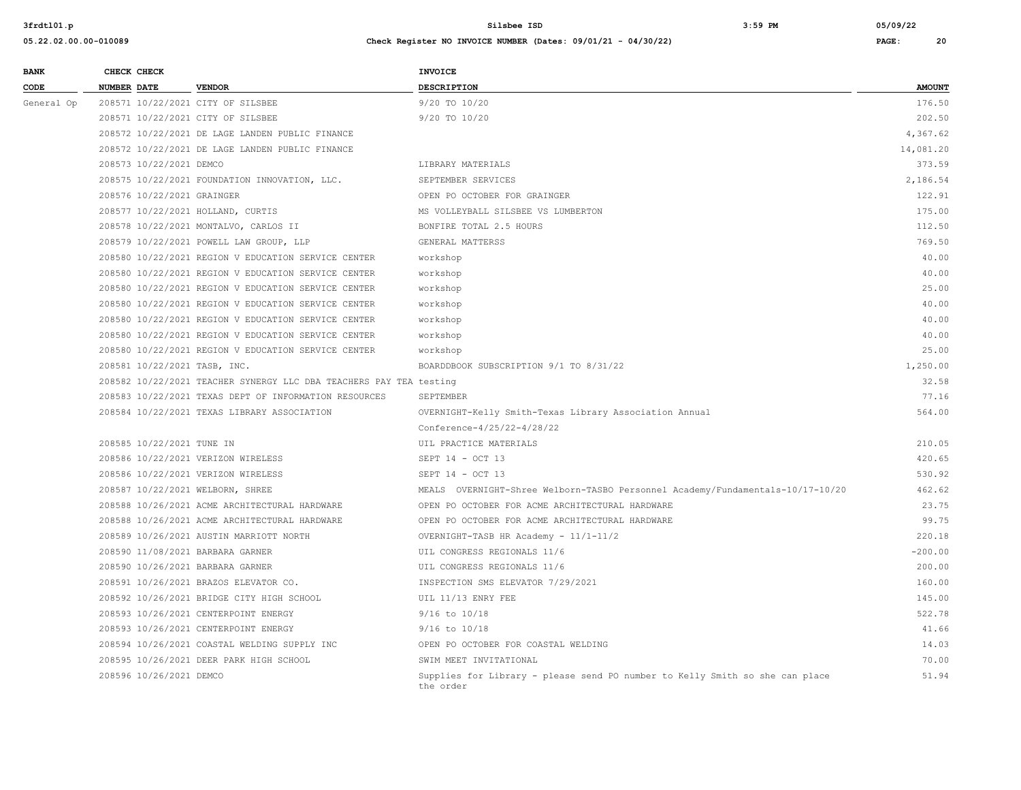## **05.22.02.00.00-010089 Check Register NO INVOICE NUMBER (Dates: 09/01/21 - 04/30/22) PAGE: 20**

**BANK CHECK CHECK CHECK** 

| CODE       | <b>NUMBER DATE</b>                 | <b>VENDOR</b>                                                      | <b>DESCRIPTION</b>                                                                        | <b>AMOUNT</b> |
|------------|------------------------------------|--------------------------------------------------------------------|-------------------------------------------------------------------------------------------|---------------|
| General Op | 208571 10/22/2021 CITY OF SILSBEE  |                                                                    | $9/20$ TO $10/20$                                                                         | 176.50        |
|            | 208571 10/22/2021 CITY OF SILSBEE  |                                                                    | 9/20 TO 10/20                                                                             | 202.50        |
|            |                                    | 208572 10/22/2021 DE LAGE LANDEN PUBLIC FINANCE                    |                                                                                           | 4,367.62      |
|            |                                    | 208572 10/22/2021 DE LAGE LANDEN PUBLIC FINANCE                    |                                                                                           | 14,081.20     |
|            | 208573 10/22/2021 DEMCO            |                                                                    | LIBRARY MATERIALS                                                                         | 373.59        |
|            |                                    | 208575 10/22/2021 FOUNDATION INNOVATION, LLC.                      | SEPTEMBER SERVICES                                                                        | 2,186.54      |
|            | 208576 10/22/2021 GRAINGER         |                                                                    | OPEN PO OCTOBER FOR GRAINGER                                                              | 122.91        |
|            | 208577 10/22/2021 HOLLAND, CURTIS  |                                                                    | MS VOLLEYBALL SILSBEE VS LUMBERTON                                                        | 175.00        |
|            |                                    | 208578 10/22/2021 MONTALVO, CARLOS II                              | BONFIRE TOTAL 2.5 HOURS                                                                   | 112.50        |
|            |                                    | 208579 10/22/2021 POWELL LAW GROUP, LLP                            | GENERAL MATTERSS                                                                          | 769.50        |
|            |                                    | 208580 10/22/2021 REGION V EDUCATION SERVICE CENTER                | workshop                                                                                  | 40.00         |
|            |                                    | 208580 10/22/2021 REGION V EDUCATION SERVICE CENTER                | workshop                                                                                  | 40.00         |
|            |                                    | 208580 10/22/2021 REGION V EDUCATION SERVICE CENTER                | workshop                                                                                  | 25.00         |
|            |                                    | 208580 10/22/2021 REGION V EDUCATION SERVICE CENTER                | workshop                                                                                  | 40.00         |
|            |                                    | 208580 10/22/2021 REGION V EDUCATION SERVICE CENTER                | workshop                                                                                  | 40.00         |
|            |                                    | 208580 10/22/2021 REGION V EDUCATION SERVICE CENTER                | workshop                                                                                  | 40.00         |
|            |                                    | 208580 10/22/2021 REGION V EDUCATION SERVICE CENTER                | workshop                                                                                  | 25.00         |
|            | 208581 10/22/2021 TASB, INC.       |                                                                    | BOARDDBOOK SUBSCRIPTION 9/1 TO 8/31/22                                                    | 1,250.00      |
|            |                                    | 208582 10/22/2021 TEACHER SYNERGY LLC DBA TEACHERS PAY TEA testing |                                                                                           | 32.58         |
|            |                                    | 208583 10/22/2021 TEXAS DEPT OF INFORMATION RESOURCES              | SEPTEMBER                                                                                 | 77.16         |
|            |                                    | 208584 10/22/2021 TEXAS LIBRARY ASSOCIATION                        | OVERNIGHT-Kelly Smith-Texas Library Association Annual                                    | 564.00        |
|            |                                    |                                                                    | Conference-4/25/22-4/28/22                                                                |               |
|            | 208585 10/22/2021 TUNE IN          |                                                                    | UIL PRACTICE MATERIALS                                                                    | 210.05        |
|            | 208586 10/22/2021 VERIZON WIRELESS |                                                                    | SEPT 14 - OCT 13                                                                          | 420.65        |
|            | 208586 10/22/2021 VERIZON WIRELESS |                                                                    | SEPT 14 - OCT 13                                                                          | 530.92        |
|            | 208587 10/22/2021 WELBORN, SHREE   |                                                                    | MEALS OVERNIGHT-Shree Welborn-TASBO Personnel Academy/Fundamentals-10/17-10/20            | 462.62        |
|            |                                    | 208588 10/26/2021 ACME ARCHITECTURAL HARDWARE                      | OPEN PO OCTOBER FOR ACME ARCHITECTURAL HARDWARE                                           | 23.75         |
|            |                                    | 208588 10/26/2021 ACME ARCHITECTURAL HARDWARE                      | OPEN PO OCTOBER FOR ACME ARCHITECTURAL HARDWARE                                           | 99.75         |
|            |                                    | 208589 10/26/2021 AUSTIN MARRIOTT NORTH                            | OVERNIGHT-TASB HR Academy - 11/1-11/2                                                     | 220.18        |
|            | 208590 11/08/2021 BARBARA GARNER   |                                                                    | UIL CONGRESS REGIONALS 11/6                                                               | $-200.00$     |
|            | 208590 10/26/2021 BARBARA GARNER   |                                                                    | UIL CONGRESS REGIONALS 11/6                                                               | 200.00        |
|            |                                    | 208591 10/26/2021 BRAZOS ELEVATOR CO.                              | INSPECTION SMS ELEVATOR 7/29/2021                                                         | 160.00        |
|            |                                    | 208592 10/26/2021 BRIDGE CITY HIGH SCHOOL                          | UIL 11/13 ENRY FEE                                                                        | 145.00        |
|            |                                    | 208593 10/26/2021 CENTERPOINT ENERGY                               | $9/16$ to $10/18$                                                                         | 522.78        |
|            |                                    | 208593 10/26/2021 CENTERPOINT ENERGY                               | $9/16$ to $10/18$                                                                         | 41.66         |
|            |                                    | 208594 10/26/2021 COASTAL WELDING SUPPLY INC                       | OPEN PO OCTOBER FOR COASTAL WELDING                                                       | 14.03         |
|            |                                    | 208595 10/26/2021 DEER PARK HIGH SCHOOL                            | SWIM MEET INVITATIONAL                                                                    | 70.00         |
|            | 208596 10/26/2021 DEMCO            |                                                                    | Supplies for Library - please send PO number to Kelly Smith so she can place<br>the order | 51.94         |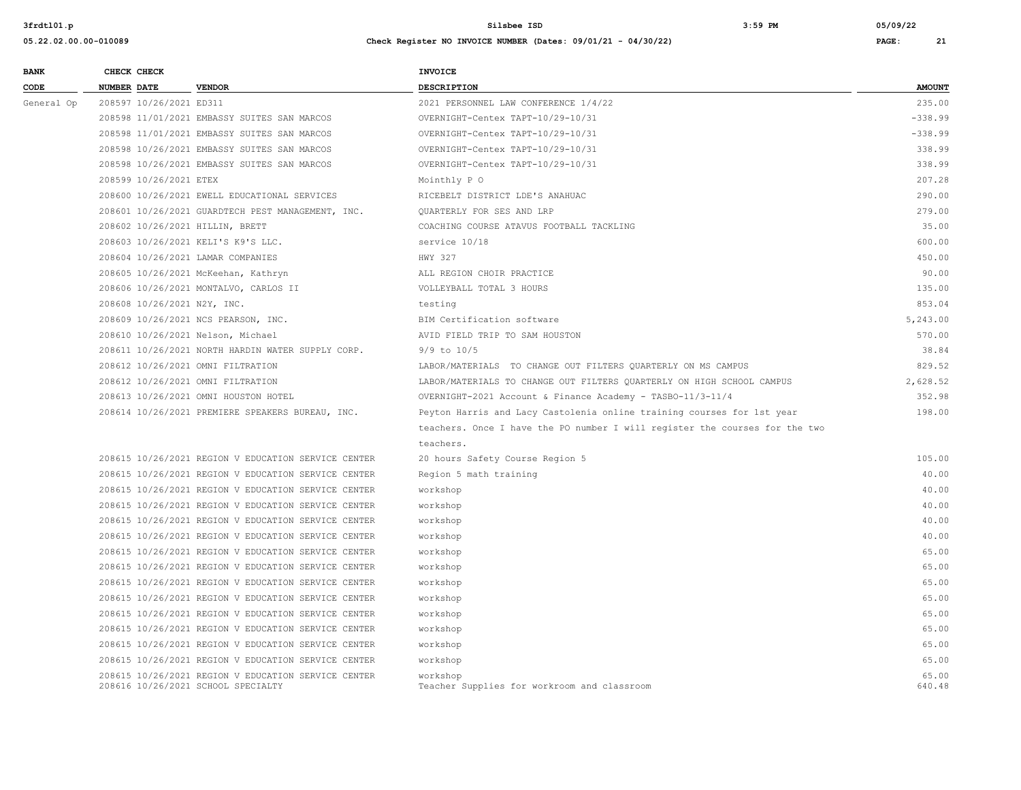| <b>BANK</b> |                    | CHECK CHECK                 |                                                                                           | INVOICE                                                                     |                 |
|-------------|--------------------|-----------------------------|-------------------------------------------------------------------------------------------|-----------------------------------------------------------------------------|-----------------|
| CODE        | <b>NUMBER DATE</b> |                             | <b>VENDOR</b>                                                                             | <b>DESCRIPTION</b>                                                          | <b>AMOUNT</b>   |
| General Op  |                    | 208597 10/26/2021 ED311     |                                                                                           | 2021 PERSONNEL LAW CONFERENCE 1/4/22                                        | 235.00          |
|             |                    |                             | 208598 11/01/2021 EMBASSY SUITES SAN MARCOS                                               | OVERNIGHT-Centex TAPT-10/29-10/31                                           | $-338.99$       |
|             |                    |                             | 208598 11/01/2021 EMBASSY SUITES SAN MARCOS                                               | OVERNIGHT-Centex TAPT-10/29-10/31                                           | $-338.99$       |
|             |                    |                             | 208598 10/26/2021 EMBASSY SUITES SAN MARCOS                                               | OVERNIGHT-Centex TAPT-10/29-10/31                                           | 338.99          |
|             |                    |                             | 208598 10/26/2021 EMBASSY SUITES SAN MARCOS                                               | OVERNIGHT-Centex TAPT-10/29-10/31                                           | 338.99          |
|             |                    | 208599 10/26/2021 ETEX      |                                                                                           | Mointhly P O                                                                | 207.28          |
|             |                    |                             | 208600 10/26/2021 EWELL EDUCATIONAL SERVICES                                              | RICEBELT DISTRICT LDE'S ANAHUAC                                             | 290.00          |
|             |                    |                             | 208601 10/26/2021 GUARDTECH PEST MANAGEMENT, INC.                                         | QUARTERLY FOR SES AND LRP                                                   | 279.00          |
|             |                    |                             | 208602 10/26/2021 HILLIN, BRETT                                                           | COACHING COURSE ATAVUS FOOTBALL TACKLING                                    | 35.00           |
|             |                    |                             | 208603 10/26/2021 KELI'S K9'S LLC.                                                        | service 10/18                                                               | 600.00          |
|             |                    |                             | 208604 10/26/2021 LAMAR COMPANIES                                                         | HWY 327                                                                     | 450.00          |
|             |                    |                             | 208605 10/26/2021 McKeehan, Kathryn                                                       | ALL REGION CHOIR PRACTICE                                                   | 90.00           |
|             |                    |                             | 208606 10/26/2021 MONTALVO, CARLOS II                                                     | VOLLEYBALL TOTAL 3 HOURS                                                    | 135.00          |
|             |                    | 208608 10/26/2021 N2Y, INC. |                                                                                           | testing                                                                     | 853.04          |
|             |                    |                             | 208609 10/26/2021 NCS PEARSON, INC.                                                       | BIM Certification software                                                  | 5,243.00        |
|             |                    |                             | 208610 10/26/2021 Nelson, Michael                                                         | AVID FIELD TRIP TO SAM HOUSTON                                              | 570.00          |
|             |                    |                             | 208611 10/26/2021 NORTH HARDIN WATER SUPPLY CORP.                                         | $9/9$ to $10/5$                                                             | 38.84           |
|             |                    |                             | 208612 10/26/2021 OMNI FILTRATION                                                         | LABOR/MATERIALS TO CHANGE OUT FILTERS OUARTERLY ON MS CAMPUS                | 829.52          |
|             |                    |                             | 208612 10/26/2021 OMNI FILTRATION                                                         | LABOR/MATERIALS TO CHANGE OUT FILTERS QUARTERLY ON HIGH SCHOOL CAMPUS       | 2,628.52        |
|             |                    |                             | 208613 10/26/2021 OMNI HOUSTON HOTEL                                                      | OVERNIGHT-2021 Account & Finance Academy - TASBO-11/3-11/4                  | 352.98          |
|             |                    |                             | 208614 10/26/2021 PREMIERE SPEAKERS BUREAU, INC.                                          | Peyton Harris and Lacy Castolenia online training courses for 1st year      | 198.00          |
|             |                    |                             |                                                                                           | teachers. Once I have the PO number I will register the courses for the two |                 |
|             |                    |                             |                                                                                           | teachers.                                                                   |                 |
|             |                    |                             | 208615 10/26/2021 REGION V EDUCATION SERVICE CENTER                                       | 20 hours Safety Course Region 5                                             | 105.00          |
|             |                    |                             | 208615 10/26/2021 REGION V EDUCATION SERVICE CENTER                                       | Region 5 math training                                                      | 40.00           |
|             |                    |                             | 208615 10/26/2021 REGION V EDUCATION SERVICE CENTER                                       | workshop                                                                    | 40.00           |
|             |                    |                             | 208615 10/26/2021 REGION V EDUCATION SERVICE CENTER                                       | workshop                                                                    | 40.00           |
|             |                    |                             | 208615 10/26/2021 REGION V EDUCATION SERVICE CENTER                                       | workshop                                                                    | 40.00           |
|             |                    |                             | 208615 10/26/2021 REGION V EDUCATION SERVICE CENTER                                       | workshop                                                                    | 40.00           |
|             |                    |                             | 208615 10/26/2021 REGION V EDUCATION SERVICE CENTER                                       | workshop                                                                    | 65.00           |
|             |                    |                             | 208615 10/26/2021 REGION V EDUCATION SERVICE CENTER                                       | workshop                                                                    | 65.00           |
|             |                    |                             | 208615 10/26/2021 REGION V EDUCATION SERVICE CENTER                                       | workshop                                                                    | 65.00           |
|             |                    |                             | 208615 10/26/2021 REGION V EDUCATION SERVICE CENTER                                       | workshop                                                                    | 65.00           |
|             |                    |                             | 208615 10/26/2021 REGION V EDUCATION SERVICE CENTER                                       | workshop                                                                    | 65.00           |
|             |                    |                             | 208615 10/26/2021 REGION V EDUCATION SERVICE CENTER                                       | workshop                                                                    | 65.00           |
|             |                    |                             | 208615 10/26/2021 REGION V EDUCATION SERVICE CENTER                                       | workshop                                                                    | 65.00           |
|             |                    |                             | 208615 10/26/2021 REGION V EDUCATION SERVICE CENTER                                       | workshop                                                                    | 65.00           |
|             |                    |                             | 208615 10/26/2021 REGION V EDUCATION SERVICE CENTER<br>208616 10/26/2021 SCHOOL SPECIALTY | workshop<br>Teacher Supplies for workroom and classroom                     | 65.00<br>640.48 |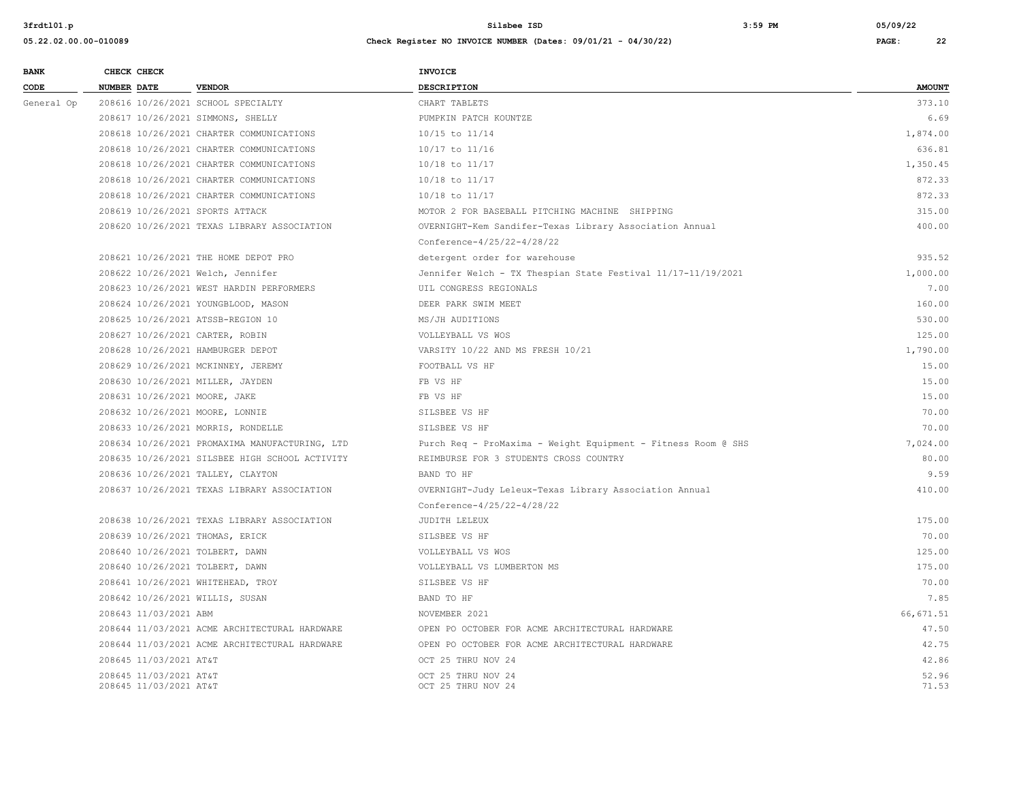| <b>BANK</b> | CHECK CHECK                                      |                                                | <b>INVOICE</b>                                                |                |
|-------------|--------------------------------------------------|------------------------------------------------|---------------------------------------------------------------|----------------|
| CODE        | <b>NUMBER DATE</b>                               | <b>VENDOR</b>                                  | <b>DESCRIPTION</b>                                            | <b>AMOUNT</b>  |
| General Op  | 208616 10/26/2021 SCHOOL SPECIALTY               |                                                | CHART TABLETS                                                 | 373.10         |
|             | 208617 10/26/2021 SIMMONS, SHELLY                |                                                | PUMPKIN PATCH KOUNTZE                                         | 6.69           |
|             |                                                  | 208618 10/26/2021 CHARTER COMMUNICATIONS       | 10/15 to 11/14                                                | 1,874.00       |
|             |                                                  | 208618 10/26/2021 CHARTER COMMUNICATIONS       | 10/17 to 11/16                                                | 636.81         |
|             |                                                  | 208618 10/26/2021 CHARTER COMMUNICATIONS       | $10/18$ to $11/17$                                            | 1,350.45       |
|             |                                                  | 208618 10/26/2021 CHARTER COMMUNICATIONS       | $10/18$ to $11/17$                                            | 872.33         |
|             |                                                  | 208618 10/26/2021 CHARTER COMMUNICATIONS       | $10/18$ to $11/17$                                            | 872.33         |
|             | 208619 10/26/2021 SPORTS ATTACK                  |                                                | MOTOR 2 FOR BASEBALL PITCHING MACHINE SHIPPING                | 315.00         |
|             |                                                  | 208620 10/26/2021 TEXAS LIBRARY ASSOCIATION    | OVERNIGHT-Kem Sandifer-Texas Library Association Annual       | 400.00         |
|             |                                                  |                                                | Conference-4/25/22-4/28/22                                    |                |
|             |                                                  | 208621 10/26/2021 THE HOME DEPOT PRO           | detergent order for warehouse                                 | 935.52         |
|             | 208622 10/26/2021 Welch, Jennifer                |                                                | Jennifer Welch - TX Thespian State Festival 11/17-11/19/2021  | 1,000.00       |
|             |                                                  | 208623 10/26/2021 WEST HARDIN PERFORMERS       | UIL CONGRESS REGIONALS                                        | 7.00           |
|             |                                                  | 208624 10/26/2021 YOUNGBLOOD, MASON            | DEER PARK SWIM MEET                                           | 160.00         |
|             | 208625 10/26/2021 ATSSB-REGION 10                |                                                | MS/JH AUDITIONS                                               | 530.00         |
|             | 208627 10/26/2021 CARTER, ROBIN                  |                                                | VOLLEYBALL VS WOS                                             | 125.00         |
|             | 208628 10/26/2021 HAMBURGER DEPOT                |                                                | VARSITY 10/22 AND MS FRESH 10/21                              | 1,790.00       |
|             | 208629 10/26/2021 MCKINNEY, JEREMY               |                                                | FOOTBALL VS HF                                                | 15.00          |
|             | 208630 10/26/2021 MILLER, JAYDEN                 |                                                | FB VS HF                                                      | 15.00          |
|             | 208631 10/26/2021 MOORE, JAKE                    |                                                | FB VS HF                                                      | 15.00          |
|             | 208632 10/26/2021 MOORE, LONNIE                  |                                                | SILSBEE VS HF                                                 | 70.00          |
|             | 208633 10/26/2021 MORRIS, RONDELLE               |                                                | SILSBEE VS HF                                                 | 70.00          |
|             |                                                  | 208634 10/26/2021 PROMAXIMA MANUFACTURING, LTD | Purch Req - ProMaxima - Weight Equipment - Fitness Room @ SHS | 7,024.00       |
|             |                                                  | 208635 10/26/2021 SILSBEE HIGH SCHOOL ACTIVITY | REIMBURSE FOR 3 STUDENTS CROSS COUNTRY                        | 80.00          |
|             | 208636 10/26/2021 TALLEY, CLAYTON                |                                                | BAND TO HF                                                    | 9.59           |
|             |                                                  | 208637 10/26/2021 TEXAS LIBRARY ASSOCIATION    | OVERNIGHT-Judy Leleux-Texas Library Association Annual        | 410.00         |
|             |                                                  |                                                | Conference-4/25/22-4/28/22                                    |                |
|             |                                                  | 208638 10/26/2021 TEXAS LIBRARY ASSOCIATION    | JUDITH LELEUX                                                 | 175.00         |
|             | 208639 10/26/2021 THOMAS, ERICK                  |                                                | SILSBEE VS HF                                                 | 70.00          |
|             | 208640 10/26/2021 TOLBERT, DAWN                  |                                                | VOLLEYBALL VS WOS                                             | 125.00         |
|             | 208640 10/26/2021 TOLBERT, DAWN                  |                                                | VOLLEYBALL VS LUMBERTON MS                                    | 175.00         |
|             | 208641 10/26/2021 WHITEHEAD, TROY                |                                                | SILSBEE VS HF                                                 | 70.00          |
|             | 208642 10/26/2021 WILLIS, SUSAN                  |                                                | BAND TO HF                                                    | 7.85           |
|             | 208643 11/03/2021 ABM                            |                                                | NOVEMBER 2021                                                 | 66.671.51      |
|             |                                                  | 208644 11/03/2021 ACME ARCHITECTURAL HARDWARE  | OPEN PO OCTOBER FOR ACME ARCHITECTURAL HARDWARE               | 47.50          |
|             |                                                  | 208644 11/03/2021 ACME ARCHITECTURAL HARDWARE  | OPEN PO OCTOBER FOR ACME ARCHITECTURAL HARDWARE               | 42.75          |
|             | 208645 11/03/2021 AT&T                           |                                                | OCT 25 THRU NOV 24                                            | 42.86          |
|             | 208645 11/03/2021 AT&T<br>208645 11/03/2021 AT&T |                                                | OCT 25 THRU NOV 24<br>OCT 25 THRU NOV 24                      | 52.96<br>71.53 |
|             |                                                  |                                                |                                                               |                |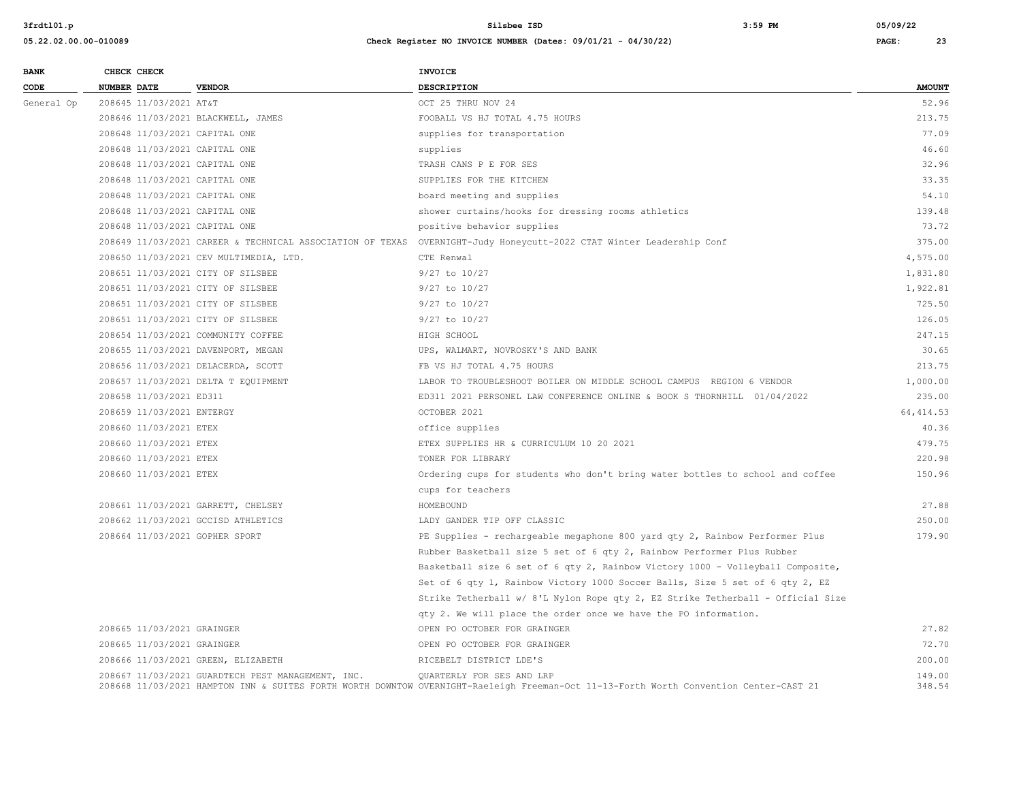| <b>BANK</b> | CHECK CHECK                        |                                                                         | <b>INVOICE</b>                                                                                                                                                     |                  |
|-------------|------------------------------------|-------------------------------------------------------------------------|--------------------------------------------------------------------------------------------------------------------------------------------------------------------|------------------|
| CODE        | NUMBER DATE                        | <b>VENDOR</b>                                                           | <b>DESCRIPTION</b>                                                                                                                                                 | <b>AMOUNT</b>    |
| General Op  | 208645 11/03/2021 AT&T             |                                                                         | OCT 25 THRU NOV 24                                                                                                                                                 | 52.96            |
|             | 208646 11/03/2021 BLACKWELL, JAMES |                                                                         | FOOBALL VS HJ TOTAL 4.75 HOURS                                                                                                                                     | 213.75           |
|             | 208648 11/03/2021 CAPITAL ONE      |                                                                         | supplies for transportation                                                                                                                                        | 77.09            |
|             | 208648 11/03/2021 CAPITAL ONE      |                                                                         | supplies                                                                                                                                                           | 46.60            |
|             | 208648 11/03/2021 CAPITAL ONE      |                                                                         | TRASH CANS P E FOR SES                                                                                                                                             | 32.96            |
|             | 208648 11/03/2021 CAPITAL ONE      |                                                                         | SUPPLIES FOR THE KITCHEN                                                                                                                                           | 33.35            |
|             | 208648 11/03/2021 CAPITAL ONE      |                                                                         | board meeting and supplies                                                                                                                                         | 54.10            |
|             | 208648 11/03/2021 CAPITAL ONE      |                                                                         | shower curtains/hooks for dressing rooms athletics                                                                                                                 | 139.48           |
|             | 208648 11/03/2021 CAPITAL ONE      |                                                                         | positive behavior supplies                                                                                                                                         | 73.72            |
|             |                                    |                                                                         | 208649 11/03/2021 CAREER & TECHNICAL ASSOCIATION OF TEXAS OVERNIGHT-Judy Honeycutt-2022 CTAT Winter Leadership Conf                                                | 375.00           |
|             |                                    | 208650 11/03/2021 CEV MULTIMEDIA, LTD.                                  | CTE Renwal                                                                                                                                                         | 4,575.00         |
|             | 208651 11/03/2021 CITY OF SILSBEE  |                                                                         | 9/27 to 10/27                                                                                                                                                      | 1,831.80         |
|             | 208651 11/03/2021 CITY OF SILSBEE  |                                                                         | $9/27$ to $10/27$                                                                                                                                                  | 1,922.81         |
|             | 208651 11/03/2021 CITY OF SILSBEE  |                                                                         | 9/27 to 10/27                                                                                                                                                      | 725.50           |
|             |                                    | 208651 11/03/2021 CITY OF SILSBEE<br>208654 11/03/2021 COMMUNITY COFFEE | 9/27 to 10/27                                                                                                                                                      | 126.05           |
|             |                                    |                                                                         | HIGH SCHOOL                                                                                                                                                        | 247.15           |
|             | 208655 11/03/2021 DAVENPORT, MEGAN |                                                                         | UPS, WALMART, NOVROSKY'S AND BANK                                                                                                                                  | 30.65            |
|             |                                    | 208656 11/03/2021 DELACERDA, SCOTT                                      | FB VS HJ TOTAL 4.75 HOURS                                                                                                                                          | 213.75           |
|             |                                    | 208657 11/03/2021 DELTA T EQUIPMENT                                     | LABOR TO TROUBLESHOOT BOILER ON MIDDLE SCHOOL CAMPUS REGION 6 VENDOR                                                                                               | 1,000.00         |
|             | 208658 11/03/2021 ED311            |                                                                         | ED311 2021 PERSONEL LAW CONFERENCE ONLINE & BOOK S THORNHILL 01/04/2022                                                                                            | 235.00           |
|             | 208659 11/03/2021 ENTERGY          |                                                                         | OCTOBER 2021                                                                                                                                                       | 64, 414.53       |
|             | 208660 11/03/2021 ETEX             |                                                                         | office supplies                                                                                                                                                    | 40.36            |
|             | 208660 11/03/2021 ETEX             |                                                                         | ETEX SUPPLIES HR & CURRICULUM 10 20 2021                                                                                                                           | 479.75           |
|             | 208660 11/03/2021 ETEX             |                                                                         | TONER FOR LIBRARY                                                                                                                                                  | 220.98           |
|             | 208660 11/03/2021 ETEX             |                                                                         | Ordering cups for students who don't bring water bottles to school and coffee                                                                                      | 150.96           |
|             |                                    |                                                                         | cups for teachers                                                                                                                                                  |                  |
|             |                                    | 208661 11/03/2021 GARRETT, CHELSEY                                      | HOMEBOUND                                                                                                                                                          | 27.88            |
|             |                                    | 208662 11/03/2021 GCCISD ATHLETICS                                      | LADY GANDER TIP OFF CLASSIC                                                                                                                                        | 250.00           |
|             | 208664 11/03/2021 GOPHER SPORT     |                                                                         | PE Supplies - rechargeable megaphone 800 yard qty 2, Rainbow Performer Plus                                                                                        | 179.90           |
|             |                                    |                                                                         | Rubber Basketball size 5 set of 6 qty 2, Rainbow Performer Plus Rubber                                                                                             |                  |
|             |                                    |                                                                         | Basketball size 6 set of 6 qty 2, Rainbow Victory 1000 - Volleyball Composite,                                                                                     |                  |
|             |                                    |                                                                         | Set of 6 qty 1, Rainbow Victory 1000 Soccer Balls, Size 5 set of 6 qty 2, EZ                                                                                       |                  |
|             |                                    |                                                                         | Strike Tetherball w/ 8'L Nylon Rope qty 2, EZ Strike Tetherball - Official Size                                                                                    |                  |
|             |                                    |                                                                         | qty 2. We will place the order once we have the PO information.                                                                                                    |                  |
|             | 208665 11/03/2021 GRAINGER         |                                                                         | OPEN PO OCTOBER FOR GRAINGER                                                                                                                                       | 27.82            |
|             | 208665 11/03/2021 GRAINGER         |                                                                         | OPEN PO OCTOBER FOR GRAINGER                                                                                                                                       | 72.70            |
|             |                                    | 208666 11/03/2021 GREEN, ELIZABETH                                      | RICEBELT DISTRICT LDE'S                                                                                                                                            | 200.00           |
|             |                                    | 208667 11/03/2021 GUARDTECH PEST MANAGEMENT, INC.                       | QUARTERLY FOR SES AND LRP<br>208668 11/03/2021 HAMPTON INN & SUITES FORTH WORTH DOWNTOW OVERNIGHT-Raeleigh Freeman-Oct 11-13-Forth Worth Convention Center-CAST 21 | 149.00<br>348.54 |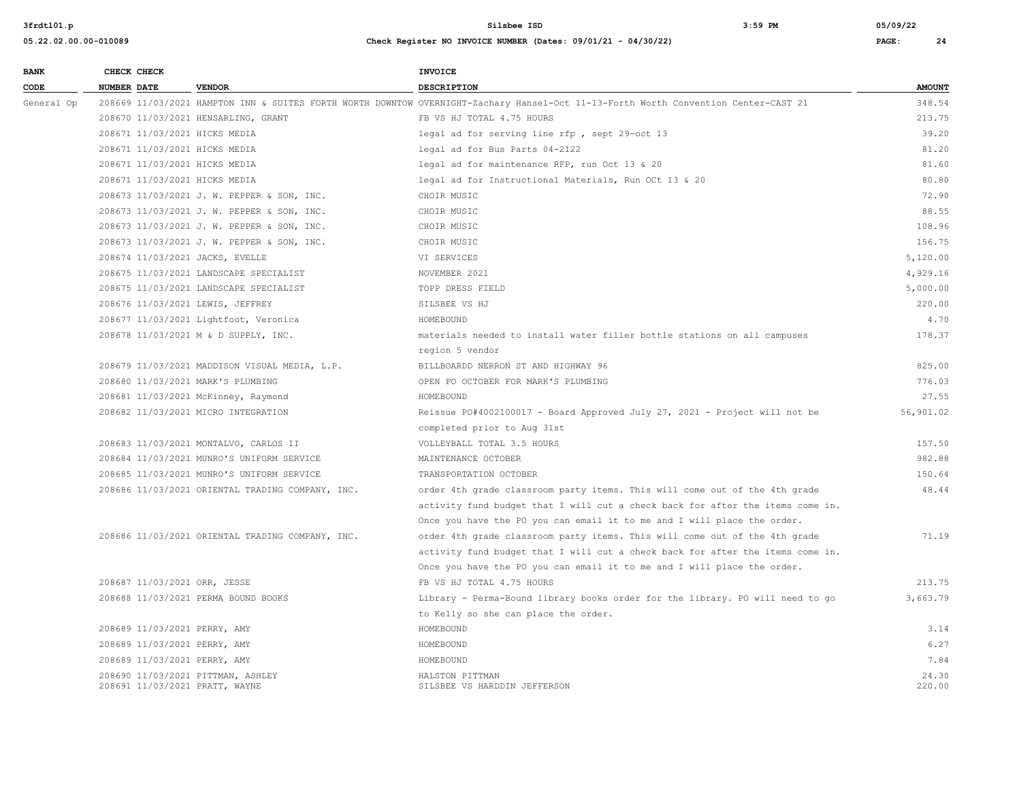| <b>BANK</b> | CHECK CHECK                       |                                                  | <b>INVOICE</b>                                                                                                                      |               |
|-------------|-----------------------------------|--------------------------------------------------|-------------------------------------------------------------------------------------------------------------------------------------|---------------|
| CODE        | <b>NUMBER DATE</b>                | <b>VENDOR</b>                                    | <b>DESCRIPTION</b>                                                                                                                  | <b>AMOUNT</b> |
| General Op  |                                   |                                                  | 208669 11/03/2021 HAMPTON INN & SUITES FORTH WORTH DOWNTOW OVERNIGHT-Zachary Hansel-Oct 11-13-Forth Worth Convention Center-CAST 21 | 348.54        |
|             |                                   | 208670 11/03/2021 HENSARLING, GRANT              | FB VS HJ TOTAL 4.75 HOURS                                                                                                           | 213.75        |
|             | 208671 11/03/2021 HICKS MEDIA     |                                                  | legal ad for serving line rfp, sept 29-oct 13                                                                                       | 39.20         |
|             | 208671 11/03/2021 HICKS MEDIA     |                                                  | legal ad for Bus Parts 04-2122                                                                                                      | 81.20         |
|             | 208671 11/03/2021 HICKS MEDIA     |                                                  | legal ad for maintenance RFP, run Oct 13 & 20                                                                                       | 81.60         |
|             | 208671 11/03/2021 HICKS MEDIA     |                                                  | legal ad for Instructional Materials, Run OCt 13 & 20                                                                               | 80.80         |
|             |                                   | 208673 11/03/2021 J. W. PEPPER & SON, INC.       | CHOIR MUSIC                                                                                                                         | 72.90         |
|             |                                   | 208673 11/03/2021 J. W. PEPPER & SON, INC.       | CHOIR MUSIC                                                                                                                         | 88.55         |
|             |                                   | 208673 11/03/2021 J. W. PEPPER & SON, INC.       | CHOIR MUSIC                                                                                                                         | 108.96        |
|             |                                   | 208673 11/03/2021 J. W. PEPPER & SON, INC.       | CHOIR MUSIC                                                                                                                         | 156.75        |
|             | 208674 11/03/2021 JACKS, EVELLE   |                                                  | VI SERVICES                                                                                                                         | 5,120.00      |
|             |                                   | 208675 11/03/2021 LANDSCAPE SPECIALIST           | NOVEMBER 2021                                                                                                                       | 4,929.16      |
|             |                                   | 208675 11/03/2021 LANDSCAPE SPECIALIST           | TOPP DRESS FIELD                                                                                                                    | 5,000.00      |
|             | 208676 11/03/2021 LEWIS, JEFFREY  |                                                  | SILSBEE VS HJ                                                                                                                       | 220.00        |
|             |                                   | 208677 11/03/2021 Lightfoot, Veronica            | HOMEBOUND                                                                                                                           | 4.70          |
|             |                                   | 208678 11/03/2021 M & D SUPPLY, INC.             | materials needed to install water filler bottle stations on all campuses                                                            | 178.37        |
|             |                                   |                                                  | region 5 vendor                                                                                                                     |               |
|             |                                   | 208679 11/03/2021 MADDISON VISUAL MEDIA, L.P.    | BILLBOARDD NERRON ST AND HIGHWAY 96                                                                                                 | 825.00        |
|             | 208680 11/03/2021 MARK'S PLUMBING |                                                  | OPEN PO OCTOBER FOR MARK'S PLUMBING                                                                                                 | 776.03        |
|             |                                   | 208681 11/03/2021 McKinney, Raymond              | HOMEBOUND                                                                                                                           | 27.55         |
|             |                                   | 208682 11/03/2021 MICRO INTEGRATION              | Reissue PO#4002100017 - Board Approved July 27, 2021 - Project will not be                                                          | 56,901.02     |
|             |                                   |                                                  | completed prior to Aug 31st                                                                                                         |               |
|             |                                   | 208683 11/03/2021 MONTALVO, CARLOS II            | VOLLEYBALL TOTAL 3.5 HOURS                                                                                                          | 157.50        |
|             |                                   | 208684 11/03/2021 MUNRO'S UNIFORM SERVICE        | MAINTENANCE OCTOBER                                                                                                                 | 982.88        |
|             |                                   | 208685 11/03/2021 MUNRO'S UNIFORM SERVICE        | TRANSPORTATION OCTOBER                                                                                                              | 150.64        |
|             |                                   | 208686 11/03/2021 ORIENTAL TRADING COMPANY, INC. | order 4th grade classroom party items. This will come out of the 4th grade                                                          | 48.44         |
|             |                                   |                                                  | activity fund budget that I will cut a check back for after the items come in.                                                      |               |
|             |                                   |                                                  | Once you have the PO you can email it to me and I will place the order.                                                             |               |
|             |                                   | 208686 11/03/2021 ORIENTAL TRADING COMPANY, INC. | order 4th grade classroom party items. This will come out of the 4th grade                                                          | 71.19         |
|             |                                   |                                                  | activity fund budget that I will cut a check back for after the items come in.                                                      |               |
|             |                                   |                                                  | Once you have the PO you can email it to me and I will place the order.                                                             |               |
|             | 208687 11/03/2021 ORR, JESSE      |                                                  | FB VS HJ TOTAL 4.75 HOURS                                                                                                           | 213.75        |
|             |                                   | 208688 11/03/2021 PERMA BOUND BOOKS              | Library - Perma-Bound library books order for the library. PO will need to go                                                       | 3,663.79      |
|             |                                   |                                                  | to Kelly so she can place the order.                                                                                                |               |
|             | 208689 11/03/2021 PERRY, AMY      |                                                  | HOMEBOUND                                                                                                                           | 3.14          |
|             | 208689 11/03/2021 PERRY, AMY      |                                                  | HOMEBOUND                                                                                                                           | 6.27          |
|             | 208689 11/03/2021 PERRY, AMY      |                                                  | HOMEBOUND                                                                                                                           | 7.84          |
|             | 208690 11/03/2021 PITTMAN, ASHLEY |                                                  | HALSTON PITTMAN                                                                                                                     | 24.30         |
|             | 208691 11/03/2021 PRATT, WAYNE    |                                                  | SILSBEE VS HARDDIN JEFFERSON                                                                                                        | 220.00        |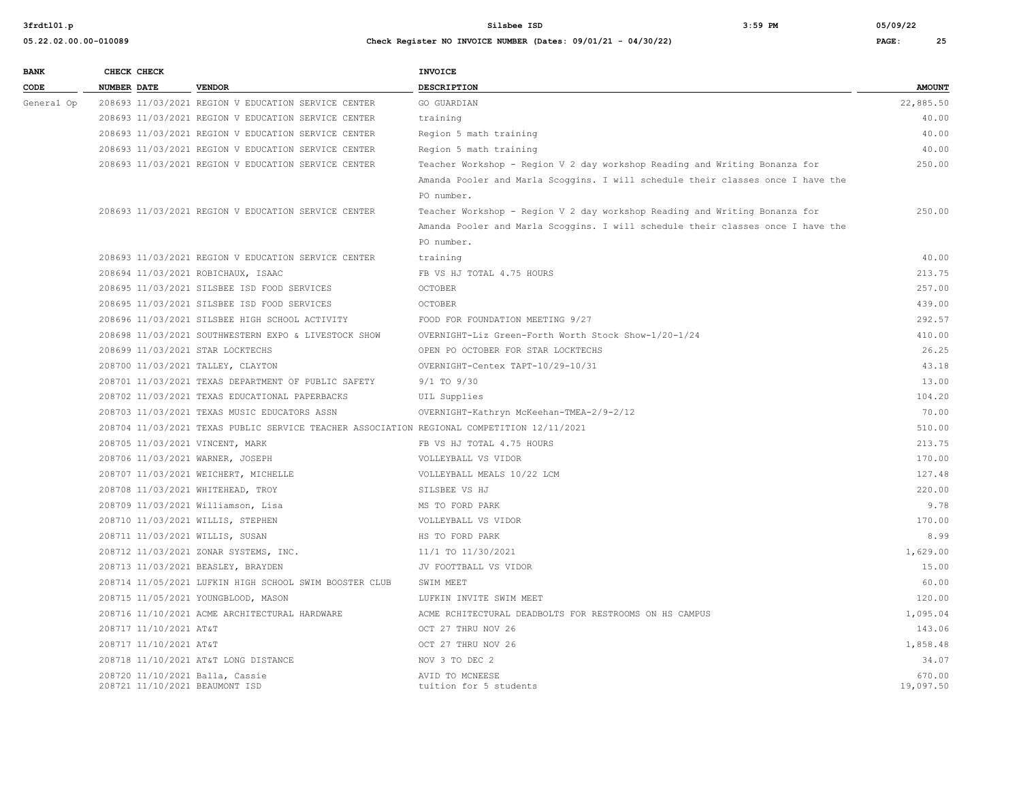**05.22.02.00.00-010089 Check Register NO INVOICE NUMBER (Dates: 09/01/21 - 04/30/22) PAGE: 25**

#### **3frdtl01.p Silsbee ISD 3:59 PM 05/09/22**

| <b>BANK</b> |             | CHECK CHECK            |                                                                                            | <b>INVOICE</b>                                                                  |                     |
|-------------|-------------|------------------------|--------------------------------------------------------------------------------------------|---------------------------------------------------------------------------------|---------------------|
| CODE        | NUMBER DATE |                        | <b>VENDOR</b>                                                                              | <b>DESCRIPTION</b>                                                              | <b>AMOUNT</b>       |
| General Op  |             |                        | 208693 11/03/2021 REGION V EDUCATION SERVICE CENTER                                        | GO GUARDIAN                                                                     | 22,885.50           |
|             |             |                        | 208693 11/03/2021 REGION V EDUCATION SERVICE CENTER                                        | training                                                                        | 40.00               |
|             |             |                        | 208693 11/03/2021 REGION V EDUCATION SERVICE CENTER                                        | Region 5 math training                                                          | 40.00               |
|             |             |                        | 208693 11/03/2021 REGION V EDUCATION SERVICE CENTER                                        | Region 5 math training                                                          | 40.00               |
|             |             |                        | 208693 11/03/2021 REGION V EDUCATION SERVICE CENTER                                        | Teacher Workshop - Region V 2 day workshop Reading and Writing Bonanza for      | 250.00              |
|             |             |                        |                                                                                            | Amanda Pooler and Marla Scoggins. I will schedule their classes once I have the |                     |
|             |             |                        |                                                                                            | PO number.                                                                      |                     |
|             |             |                        | 208693 11/03/2021 REGION V EDUCATION SERVICE CENTER                                        | Teacher Workshop - Region V 2 day workshop Reading and Writing Bonanza for      | 250.00              |
|             |             |                        |                                                                                            | Amanda Pooler and Marla Scoggins. I will schedule their classes once I have the |                     |
|             |             |                        |                                                                                            | PO number.                                                                      |                     |
|             |             |                        | 208693 11/03/2021 REGION V EDUCATION SERVICE CENTER                                        | training                                                                        | 40.00               |
|             |             |                        | 208694 11/03/2021 ROBICHAUX, ISAAC                                                         | FB VS HJ TOTAL 4.75 HOURS                                                       | 213.75              |
|             |             |                        | 208695 11/03/2021 SILSBEE ISD FOOD SERVICES                                                | <b>OCTOBER</b>                                                                  | 257.00              |
|             |             |                        | 208695 11/03/2021 SILSBEE ISD FOOD SERVICES                                                | <b>OCTOBER</b>                                                                  | 439.00              |
|             |             |                        | 208696 11/03/2021 SILSBEE HIGH SCHOOL ACTIVITY                                             | FOOD FOR FOUNDATION MEETING 9/27                                                | 292.57              |
|             |             |                        | 208698 11/03/2021 SOUTHWESTERN EXPO & LIVESTOCK SHOW                                       | OVERNIGHT-Liz Green-Forth Worth Stock Show-1/20-1/24                            | 410.00              |
|             |             |                        | 208699 11/03/2021 STAR LOCKTECHS                                                           | OPEN PO OCTOBER FOR STAR LOCKTECHS                                              | 26.25               |
|             |             |                        | 208700 11/03/2021 TALLEY, CLAYTON                                                          | OVERNIGHT-Centex TAPT-10/29-10/31                                               | 43.18               |
|             |             |                        | 208701 11/03/2021 TEXAS DEPARTMENT OF PUBLIC SAFETY                                        | $9/1$ TO $9/30$                                                                 | 13.00               |
|             |             |                        | 208702 11/03/2021 TEXAS EDUCATIONAL PAPERBACKS                                             | UIL Supplies                                                                    | 104.20              |
|             |             |                        | 208703 11/03/2021 TEXAS MUSIC EDUCATORS ASSN                                               | OVERNIGHT-Kathryn McKeehan-TMEA-2/9-2/12                                        | 70.00               |
|             |             |                        | 208704 11/03/2021 TEXAS PUBLIC SERVICE TEACHER ASSOCIATION REGIONAL COMPETITION 12/11/2021 |                                                                                 | 510.00              |
|             |             |                        | 208705 11/03/2021 VINCENT, MARK                                                            | FB VS HJ TOTAL 4.75 HOURS                                                       | 213.75              |
|             |             |                        | 208706 11/03/2021 WARNER, JOSEPH                                                           | VOLLEYBALL VS VIDOR                                                             | 170.00              |
|             |             |                        | 208707 11/03/2021 WEICHERT, MICHELLE                                                       | VOLLEYBALL MEALS 10/22 LCM                                                      | 127.48              |
|             |             |                        | 208708 11/03/2021 WHITEHEAD, TROY                                                          | SILSBEE VS HJ                                                                   | 220.00              |
|             |             |                        | 208709 11/03/2021 Williamson, Lisa                                                         | MS TO FORD PARK                                                                 | 9.78                |
|             |             |                        | 208710 11/03/2021 WILLIS, STEPHEN                                                          | VOLLEYBALL VS VIDOR                                                             | 170.00              |
|             |             |                        | 208711 11/03/2021 WILLIS, SUSAN                                                            | HS TO FORD PARK                                                                 | 8.99                |
|             |             |                        | 208712 11/03/2021 ZONAR SYSTEMS, INC.                                                      | 11/1 TO 11/30/2021                                                              | 1,629.00            |
|             |             |                        | 208713 11/03/2021 BEASLEY, BRAYDEN                                                         | JV FOOTTBALL VS VIDOR                                                           | 15.00               |
|             |             |                        | 208714 11/05/2021 LUFKIN HIGH SCHOOL SWIM BOOSTER CLUB                                     | SWIM MEET                                                                       | 60.00               |
|             |             |                        | 208715 11/05/2021 YOUNGBLOOD, MASON                                                        | LUFKIN INVITE SWIM MEET                                                         | 120.00              |
|             |             |                        | 208716 11/10/2021 ACME ARCHITECTURAL HARDWARE                                              | ACME RCHITECTURAL DEADBOLTS FOR RESTROOMS ON HS CAMPUS                          | 1,095.04            |
|             |             | 208717 11/10/2021 AT&T |                                                                                            | OCT 27 THRU NOV 26                                                              | 143.06              |
|             |             | 208717 11/10/2021 AT&T |                                                                                            | OCT 27 THRU NOV 26                                                              | 1,858.48            |
|             |             |                        | 208718 11/10/2021 AT&T LONG DISTANCE                                                       | NOV 3 TO DEC 2                                                                  | 34.07               |
|             |             |                        | 208720 11/10/2021 Balla, Cassie<br>208721 11/10/2021 BEAUMONT ISD                          | AVID TO MCNEESE<br>tuition for 5 students                                       | 670.00<br>19,097.50 |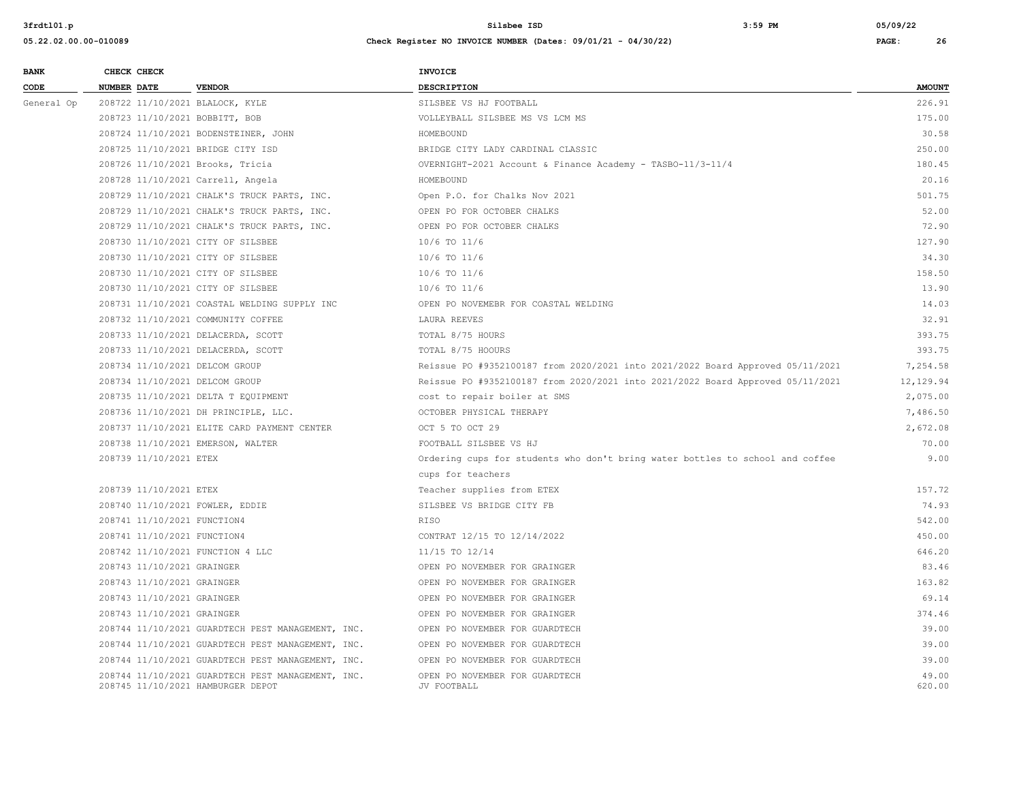| <b>BANK</b> | CHECK CHECK                        |                                                   | <b>INVOICE</b>                                                                 |                 |
|-------------|------------------------------------|---------------------------------------------------|--------------------------------------------------------------------------------|-----------------|
| CODE        | <b>NUMBER DATE</b>                 | <b>VENDOR</b>                                     | <b>DESCRIPTION</b>                                                             | <b>AMOUNT</b>   |
| General Op  | 208722 11/10/2021 BLALOCK, KYLE    |                                                   | SILSBEE VS HJ FOOTBALL                                                         | 226.91          |
|             | 208723 11/10/2021 BOBBITT, BOB     |                                                   | VOLLEYBALL SILSBEE MS VS LCM MS                                                | 175.00          |
|             |                                    | 208724 11/10/2021 BODENSTEINER, JOHN              | HOMEBOUND                                                                      | 30.58           |
|             | 208725 11/10/2021 BRIDGE CITY ISD  |                                                   | BRIDGE CITY LADY CARDINAL CLASSIC                                              | 250.00          |
|             | 208726 11/10/2021 Brooks, Tricia   |                                                   | OVERNIGHT-2021 Account & Finance Academy - TASBO-11/3-11/4                     | 180.45          |
|             | 208728 11/10/2021 Carrell, Angela  |                                                   | HOMEBOUND                                                                      | 20.16           |
|             |                                    | 208729 11/10/2021 CHALK'S TRUCK PARTS, INC.       | Open P.O. for Chalks Nov 2021                                                  | 501.75          |
|             |                                    | 208729 11/10/2021 CHALK'S TRUCK PARTS, INC.       | OPEN PO FOR OCTOBER CHALKS                                                     | 52.00           |
|             |                                    | 208729 11/10/2021 CHALK'S TRUCK PARTS, INC.       | OPEN PO FOR OCTOBER CHALKS                                                     | 72.90           |
|             | 208730 11/10/2021 CITY OF SILSBEE  |                                                   | 10/6 TO 11/6                                                                   | 127.90          |
|             | 208730 11/10/2021 CITY OF SILSBEE  |                                                   | 10/6 TO 11/6                                                                   | 34.30           |
|             | 208730 11/10/2021 CITY OF SILSBEE  |                                                   | 10/6 TO 11/6                                                                   | 158.50          |
|             | 208730 11/10/2021 CITY OF SILSBEE  |                                                   | 10/6 TO 11/6                                                                   | 13.90           |
|             |                                    | 208731 11/10/2021 COASTAL WELDING SUPPLY INC      | OPEN PO NOVEMEBR FOR COASTAL WELDING                                           | 14.03           |
|             | 208732 11/10/2021 COMMUNITY COFFEE |                                                   | LAURA REEVES                                                                   | 32.91           |
|             | 208733 11/10/2021 DELACERDA, SCOTT |                                                   | TOTAL 8/75 HOURS                                                               | 393.75          |
|             | 208733 11/10/2021 DELACERDA, SCOTT |                                                   | TOTAL 8/75 HOOURS                                                              | 393.75          |
|             | 208734 11/10/2021 DELCOM GROUP     |                                                   | Reissue PO #9352100187 from 2020/2021 into 2021/2022 Board Approved 05/11/2021 | 7,254.58        |
|             | 208734 11/10/2021 DELCOM GROUP     |                                                   | Reissue PO #9352100187 from 2020/2021 into 2021/2022 Board Approved 05/11/2021 | 12,129.94       |
|             |                                    | 208735 11/10/2021 DELTA T EQUIPMENT               | cost to repair boiler at SMS                                                   | 2,075.00        |
|             |                                    | 208736 11/10/2021 DH PRINCIPLE, LLC.              | OCTOBER PHYSICAL THERAPY                                                       | 7,486.50        |
|             |                                    | 208737 11/10/2021 ELITE CARD PAYMENT CENTER       | OCT 5 TO OCT 29                                                                | 2,672.08        |
|             | 208738 11/10/2021 EMERSON, WALTER  |                                                   | FOOTBALL SILSBEE VS HJ                                                         | 70.00           |
|             | 208739 11/10/2021 ETEX             |                                                   | Ordering cups for students who don't bring water bottles to school and coffee  | 9.00            |
|             |                                    |                                                   | cups for teachers                                                              |                 |
|             | 208739 11/10/2021 ETEX             |                                                   | Teacher supplies from ETEX                                                     | 157.72          |
|             | 208740 11/10/2021 FOWLER, EDDIE    |                                                   | SILSBEE VS BRIDGE CITY FB                                                      | 74.93           |
|             | 208741 11/10/2021 FUNCTION4        |                                                   | <b>RTSO</b>                                                                    | 542.00          |
|             | 208741 11/10/2021 FUNCTION4        |                                                   | CONTRAT 12/15 TO 12/14/2022                                                    | 450.00          |
|             | 208742 11/10/2021 FUNCTION 4 LLC   |                                                   | 11/15 TO 12/14                                                                 | 646.20          |
|             | 208743 11/10/2021 GRAINGER         |                                                   | OPEN PO NOVEMBER FOR GRAINGER                                                  | 83.46           |
|             | 208743 11/10/2021 GRAINGER         |                                                   | OPEN PO NOVEMBER FOR GRAINGER                                                  | 163.82          |
|             | 208743 11/10/2021 GRAINGER         |                                                   | OPEN PO NOVEMBER FOR GRAINGER                                                  | 69.14           |
|             | 208743 11/10/2021 GRAINGER         |                                                   | OPEN PO NOVEMBER FOR GRAINGER                                                  | 374.46          |
|             |                                    | 208744 11/10/2021 GUARDTECH PEST MANAGEMENT, INC. | OPEN PO NOVEMBER FOR GUARDTECH                                                 | 39.00           |
|             |                                    | 208744 11/10/2021 GUARDTECH PEST MANAGEMENT, INC. | OPEN PO NOVEMBER FOR GUARDTECH                                                 | 39.00           |
|             |                                    | 208744 11/10/2021 GUARDTECH PEST MANAGEMENT, INC. | OPEN PO NOVEMBER FOR GUARDTECH                                                 | 39.00           |
|             | 208745 11/10/2021 HAMBURGER DEPOT  | 208744 11/10/2021 GUARDTECH PEST MANAGEMENT, INC. | OPEN PO NOVEMBER FOR GUARDTECH<br>JV FOOTBALL                                  | 49.00<br>620.00 |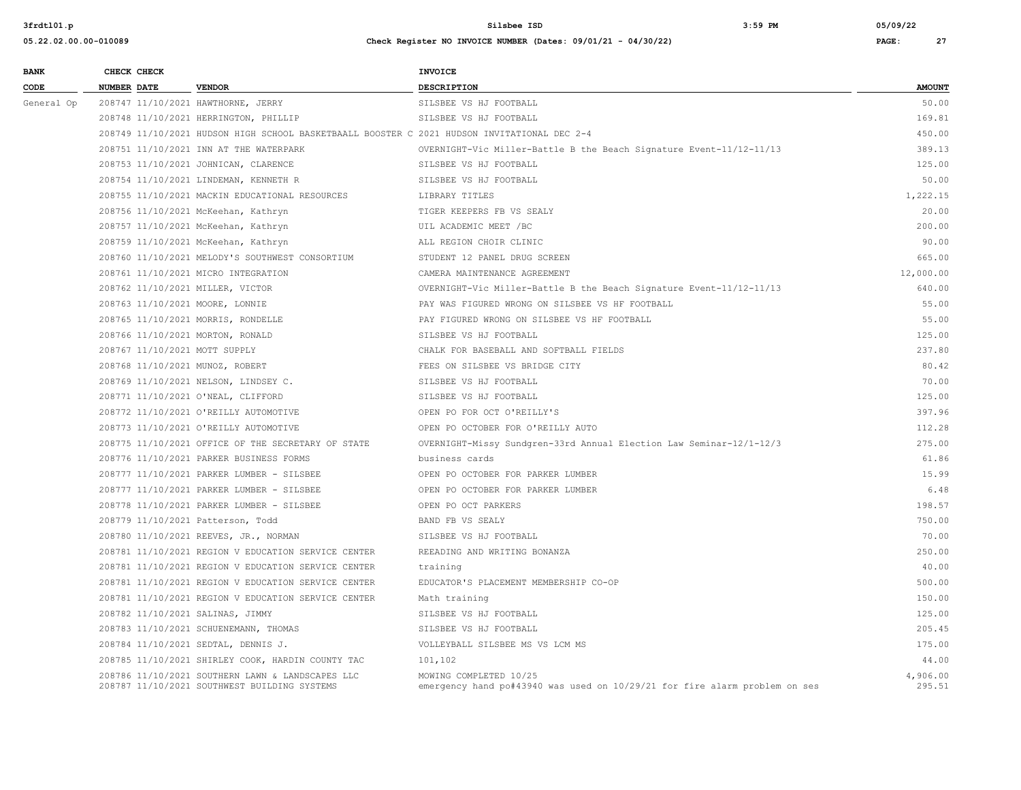| <b>BANK</b> | CHECK CHECK                       |                                                                                                  | <b>INVOICE</b>                                                                                       |                    |
|-------------|-----------------------------------|--------------------------------------------------------------------------------------------------|------------------------------------------------------------------------------------------------------|--------------------|
| CODE        | <b>NUMBER DATE</b>                | <b>VENDOR</b>                                                                                    | <b>DESCRIPTION</b>                                                                                   | <b>AMOUNT</b>      |
| General Op  |                                   | 208747 11/10/2021 HAWTHORNE, JERRY                                                               | SILSBEE VS HJ FOOTBALL                                                                               | 50.00              |
|             |                                   | 208748 11/10/2021 HERRINGTON, PHILLIP                                                            | SILSBEE VS HJ FOOTBALL                                                                               | 169.81             |
|             |                                   | 208749 11/10/2021 HUDSON HIGH SCHOOL BASKETBAALL BOOSTER C 2021 HUDSON INVITATIONAL DEC 2-4      |                                                                                                      | 450.00             |
|             |                                   | 208751 11/10/2021 INN AT THE WATERPARK                                                           | OVERNIGHT-Vic Miller-Battle B the Beach Signature Event-11/12-11/13                                  | 389.13             |
|             |                                   | 208753 11/10/2021 JOHNICAN, CLARENCE                                                             | SILSBEE VS HJ FOOTBALL                                                                               | 125.00             |
|             |                                   | 208754 11/10/2021 LINDEMAN, KENNETH R                                                            | SILSBEE VS HJ FOOTBALL                                                                               | 50.00              |
|             |                                   | 208755 11/10/2021 MACKIN EDUCATIONAL RESOURCES                                                   | LIBRARY TITLES                                                                                       | 1,222.15           |
|             |                                   | 208756 11/10/2021 McKeehan, Kathryn                                                              | TIGER KEEPERS FB VS SEALY                                                                            | 20.00              |
|             |                                   | 208757 11/10/2021 McKeehan, Kathryn                                                              | UIL ACADEMIC MEET /BC                                                                                | 200.00             |
|             |                                   | 208759 11/10/2021 McKeehan, Kathryn                                                              | ALL REGION CHOIR CLINIC                                                                              | 90.00              |
|             |                                   | 208760 11/10/2021 MELODY'S SOUTHWEST CONSORTIUM                                                  | STUDENT 12 PANEL DRUG SCREEN                                                                         | 665.00             |
|             |                                   | 208761 11/10/2021 MICRO INTEGRATION                                                              | CAMERA MAINTENANCE AGREEMENT                                                                         | 12,000.00          |
|             | 208762 11/10/2021 MILLER, VICTOR  |                                                                                                  | OVERNIGHT-Vic Miller-Battle B the Beach Signature Event-11/12-11/13                                  | 640.00             |
|             | 208763 11/10/2021 MOORE, LONNIE   |                                                                                                  | PAY WAS FIGURED WRONG ON SILSBEE VS HF FOOTBALL                                                      | 55.00              |
|             |                                   | 208765 11/10/2021 MORRIS, RONDELLE                                                               | PAY FIGURED WRONG ON SILSBEE VS HF FOOTBALL                                                          | 55.00              |
|             | 208766 11/10/2021 MORTON, RONALD  |                                                                                                  | SILSBEE VS HJ FOOTBALL                                                                               | 125.00             |
|             | 208767 11/10/2021 MOTT SUPPLY     |                                                                                                  | CHALK FOR BASEBALL AND SOFTBALL FIELDS                                                               | 237.80             |
|             | 208768 11/10/2021 MUNOZ, ROBERT   |                                                                                                  | FEES ON SILSBEE VS BRIDGE CITY                                                                       | 80.42              |
|             |                                   | 208769 11/10/2021 NELSON, LINDSEY C.                                                             | SILSBEE VS HJ FOOTBALL                                                                               | 70.00              |
|             |                                   | 208771 11/10/2021 O'NEAL, CLIFFORD                                                               | SILSBEE VS HJ FOOTBALL                                                                               | 125.00             |
|             |                                   | 208772 11/10/2021 O'REILLY AUTOMOTIVE                                                            | OPEN PO FOR OCT O'REILLY'S                                                                           | 397.96             |
|             |                                   | 208773 11/10/2021 O'REILLY AUTOMOTIVE                                                            | OPEN PO OCTOBER FOR O'REILLY AUTO                                                                    | 112.28             |
|             |                                   | 208775 11/10/2021 OFFICE OF THE SECRETARY OF STATE                                               | OVERNIGHT-Missy Sundgren-33rd Annual Election Law Seminar-12/1-12/3                                  | 275.00             |
|             |                                   | 208776 11/10/2021 PARKER BUSINESS FORMS                                                          | business cards                                                                                       | 61.86              |
|             |                                   | 208777 11/10/2021 PARKER LUMBER - SILSBEE                                                        | OPEN PO OCTOBER FOR PARKER LUMBER                                                                    | 15.99              |
|             |                                   | 208777 11/10/2021 PARKER LUMBER - SILSBEE                                                        | OPEN PO OCTOBER FOR PARKER LUMBER                                                                    | 6.48               |
|             |                                   | 208778 11/10/2021 PARKER LUMBER - SILSBEE                                                        | OPEN PO OCT PARKERS                                                                                  | 198.57             |
|             | 208779 11/10/2021 Patterson, Todd |                                                                                                  | BAND FB VS SEALY                                                                                     | 750.00             |
|             |                                   | 208780 11/10/2021 REEVES, JR., NORMAN                                                            | SILSBEE VS HJ FOOTBALL                                                                               | 70.00              |
|             |                                   | 208781 11/10/2021 REGION V EDUCATION SERVICE CENTER                                              | REEADING AND WRITING BONANZA                                                                         | 250.00             |
|             |                                   | 208781 11/10/2021 REGION V EDUCATION SERVICE CENTER                                              | training                                                                                             | 40.00              |
|             |                                   | 208781 11/10/2021 REGION V EDUCATION SERVICE CENTER                                              | EDUCATOR'S PLACEMENT MEMBERSHIP CO-OP                                                                | 500.00             |
|             |                                   | 208781 11/10/2021 REGION V EDUCATION SERVICE CENTER                                              | Math training                                                                                        | 150.00             |
|             | 208782 11/10/2021 SALINAS, JIMMY  |                                                                                                  | SILSBEE VS HJ FOOTBALL                                                                               | 125.00             |
|             |                                   | 208783 11/10/2021 SCHUENEMANN, THOMAS                                                            | SILSBEE VS HJ FOOTBALL                                                                               | 205.45             |
|             |                                   | 208784 11/10/2021 SEDTAL, DENNIS J.                                                              | VOLLEYBALL SILSBEE MS VS LCM MS                                                                      | 175.00             |
|             |                                   | 208785 11/10/2021 SHIRLEY COOK, HARDIN COUNTY TAC                                                | 101,102                                                                                              | 44.00              |
|             |                                   | 208786 11/10/2021 SOUTHERN LAWN & LANDSCAPES LLC<br>208787 11/10/2021 SOUTHWEST BUILDING SYSTEMS | MOWING COMPLETED 10/25<br>emergency hand po#43940 was used on 10/29/21 for fire alarm problem on ses | 4,906.00<br>295.51 |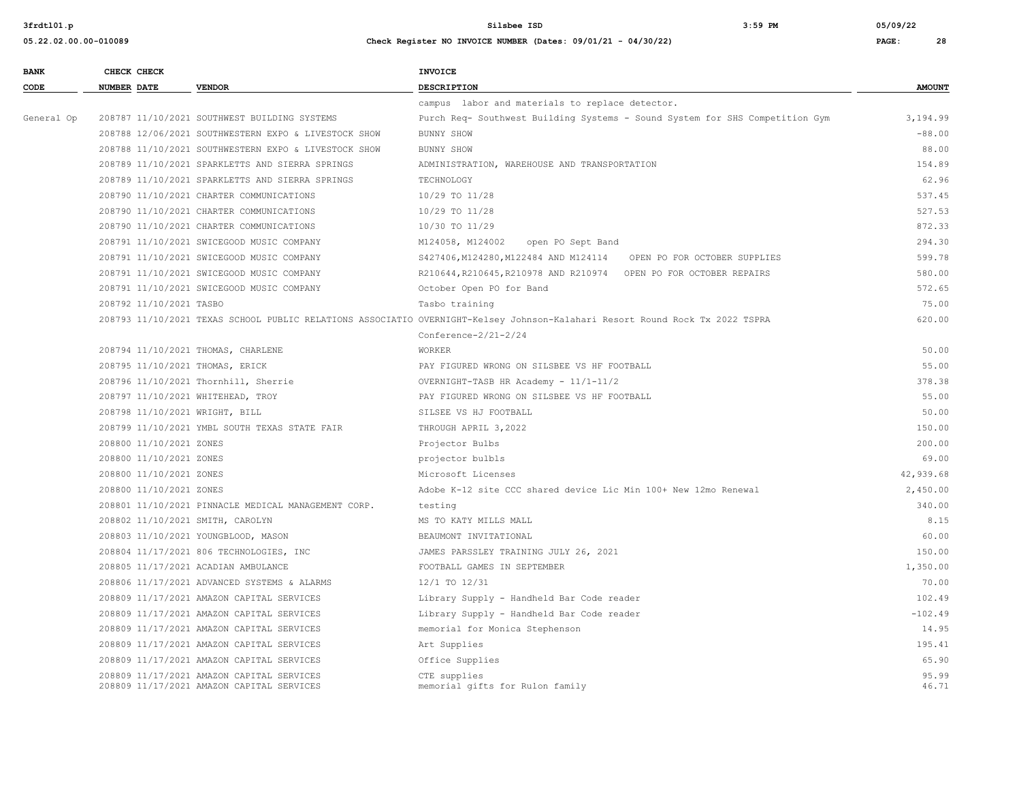| <b>BANK</b> | CHECK CHECK        |                                                      | INVOICE                                                                                                                      |               |
|-------------|--------------------|------------------------------------------------------|------------------------------------------------------------------------------------------------------------------------------|---------------|
| CODE        | <b>NUMBER DATE</b> | <b>VENDOR</b>                                        | <b>DESCRIPTION</b>                                                                                                           | <b>AMOUNT</b> |
|             |                    |                                                      | campus labor and materials to replace detector.                                                                              |               |
| General Op  |                    | 208787 11/10/2021 SOUTHWEST BUILDING SYSTEMS         | Purch Req- Southwest Building Systems - Sound System for SHS Competition Gym                                                 | 3,194.99      |
|             |                    | 208788 12/06/2021 SOUTHWESTERN EXPO & LIVESTOCK SHOW | BUNNY SHOW                                                                                                                   | $-88.00$      |
|             |                    | 208788 11/10/2021 SOUTHWESTERN EXPO & LIVESTOCK SHOW | BUNNY SHOW                                                                                                                   | 88.00         |
|             |                    | 208789 11/10/2021 SPARKLETTS AND SIERRA SPRINGS      | ADMINISTRATION, WAREHOUSE AND TRANSPORTATION                                                                                 | 154.89        |
|             |                    | 208789 11/10/2021 SPARKLETTS AND SIERRA SPRINGS      | TECHNOLOGY                                                                                                                   | 62.96         |
|             |                    | 208790 11/10/2021 CHARTER COMMUNICATIONS             | 10/29 TO 11/28                                                                                                               | 537.45        |
|             |                    | 208790 11/10/2021 CHARTER COMMUNICATIONS             | 10/29 TO 11/28                                                                                                               | 527.53        |
|             |                    | 208790 11/10/2021 CHARTER COMMUNICATIONS             | 10/30 TO 11/29                                                                                                               | 872.33        |
|             |                    | 208791 11/10/2021 SWICEGOOD MUSIC COMPANY            | M124058, M124002<br>open PO Sept Band                                                                                        | 294.30        |
|             |                    | 208791 11/10/2021 SWICEGOOD MUSIC COMPANY            | S427406, M124280, M122484 AND M124114 OPEN PO FOR OCTOBER SUPPLIES                                                           | 599.78        |
|             |                    | 208791 11/10/2021 SWICEGOOD MUSIC COMPANY            | R210644, R210645, R210978 AND R210974 OPEN PO FOR OCTOBER REPAIRS                                                            | 580.00        |
|             |                    | 208791 11/10/2021 SWICEGOOD MUSIC COMPANY            | October Open PO for Band                                                                                                     | 572.65        |
|             |                    | 208792 11/10/2021 TASBO                              | Tasbo training                                                                                                               | 75.00         |
|             |                    |                                                      | 208793 11/10/2021 TEXAS SCHOOL PUBLIC RELATIONS ASSOCIATIO OVERNIGHT-Kelsey Johnson-Kalahari Resort Round Rock Tx 2022 TSPRA | 620.00        |
|             |                    |                                                      | Conference- $2/21-2/24$                                                                                                      |               |
|             |                    | 208794 11/10/2021 THOMAS, CHARLENE                   | <b>WORKER</b>                                                                                                                | 50.00         |
|             |                    | 208795 11/10/2021 THOMAS, ERICK                      | PAY FIGURED WRONG ON SILSBEE VS HF FOOTBALL                                                                                  | 55.00         |
|             |                    | 208796 11/10/2021 Thornhill, Sherrie                 | OVERNIGHT-TASB HR Academy - 11/1-11/2                                                                                        | 378.38        |
|             |                    | 208797 11/10/2021 WHITEHEAD, TROY                    | PAY FIGURED WRONG ON SILSBEE VS HF FOOTBALL                                                                                  | 55.00         |
|             |                    | 208798 11/10/2021 WRIGHT, BILL                       | SILSEE VS HJ FOOTBALL                                                                                                        | 50.00         |
|             |                    | 208799 11/10/2021 YMBL SOUTH TEXAS STATE FAIR        | THROUGH APRIL 3,2022                                                                                                         | 150.00        |
|             |                    | 208800 11/10/2021 ZONES                              | Projector Bulbs                                                                                                              | 200.00        |
|             |                    | 208800 11/10/2021 ZONES                              | projector bulbls                                                                                                             | 69.00         |
|             |                    | 208800 11/10/2021 ZONES                              | Microsoft Licenses                                                                                                           | 42,939.68     |
|             |                    | 208800 11/10/2021 ZONES                              | Adobe K-12 site CCC shared device Lic Min 100+ New 12mo Renewal                                                              | 2,450.00      |
|             |                    | 208801 11/10/2021 PINNACLE MEDICAL MANAGEMENT CORP.  | testing                                                                                                                      | 340.00        |
|             |                    | 208802 11/10/2021 SMITH, CAROLYN                     | MS TO KATY MILLS MALL                                                                                                        | 8.15          |
|             |                    | 208803 11/10/2021 YOUNGBLOOD, MASON                  | BEAUMONT INVITATIONAL                                                                                                        | 60.00         |
|             |                    | 208804 11/17/2021 806 TECHNOLOGIES, INC              | JAMES PARSSLEY TRAINING JULY 26, 2021                                                                                        | 150.00        |
|             |                    | 208805 11/17/2021 ACADIAN AMBULANCE                  | FOOTBALL GAMES IN SEPTEMBER                                                                                                  | 1,350.00      |
|             |                    | 208806 11/17/2021 ADVANCED SYSTEMS & ALARMS          | 12/1 TO 12/31                                                                                                                | 70.00         |
|             |                    | 208809 11/17/2021 AMAZON CAPITAL SERVICES            | Library Supply - Handheld Bar Code reader                                                                                    | 102.49        |
|             |                    | 208809 11/17/2021 AMAZON CAPITAL SERVICES            | Library Supply - Handheld Bar Code reader                                                                                    | $-102.49$     |
|             |                    | 208809 11/17/2021 AMAZON CAPITAL SERVICES            | memorial for Monica Stephenson                                                                                               | 14.95         |
|             |                    | 208809 11/17/2021 AMAZON CAPITAL SERVICES            | Art Supplies                                                                                                                 | 195.41        |
|             |                    | 208809 11/17/2021 AMAZON CAPITAL SERVICES            | Office Supplies                                                                                                              | 65.90         |
|             |                    | 208809 11/17/2021 AMAZON CAPITAL SERVICES            | CTE supplies                                                                                                                 | 95.99         |
|             |                    | 208809 11/17/2021 AMAZON CAPITAL SERVICES            | memorial gifts for Rulon family                                                                                              | 46.71         |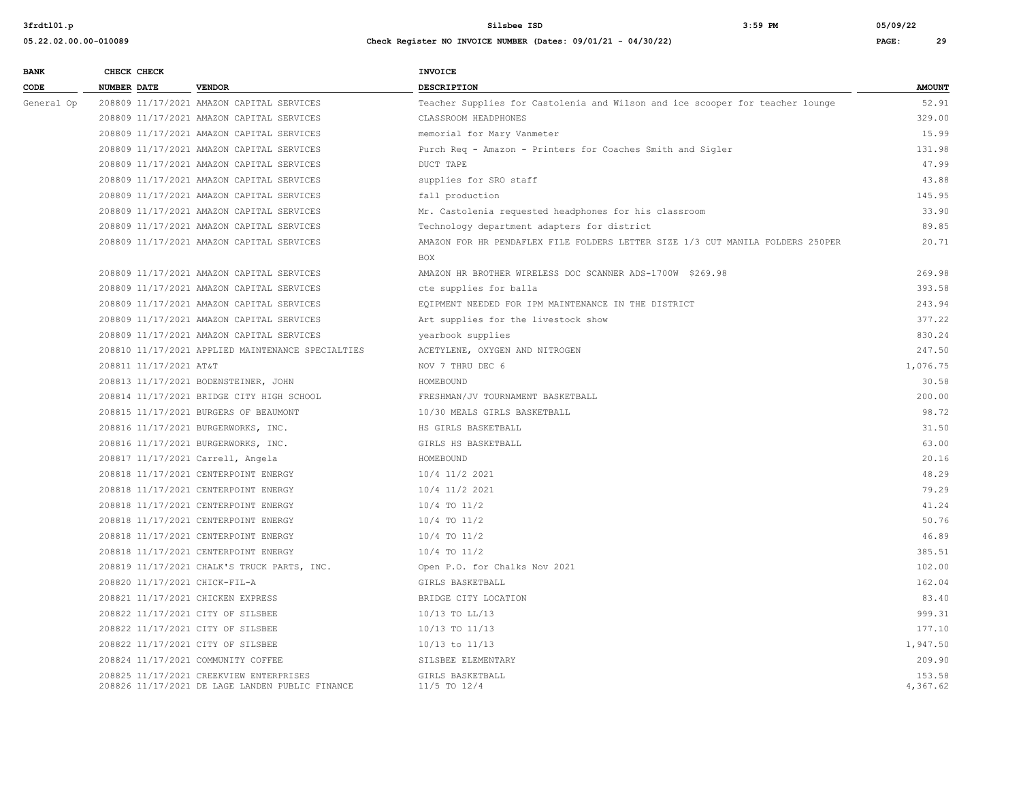| <b>BANK</b> |             | CHECK CHECK            |                                                                                            | <b>INVOICE</b>                                                                 |                    |
|-------------|-------------|------------------------|--------------------------------------------------------------------------------------------|--------------------------------------------------------------------------------|--------------------|
| CODE        | NUMBER DATE |                        | <b>VENDOR</b>                                                                              | DESCRIPTION                                                                    | <b>AMOUNT</b>      |
| General Op  |             |                        | 208809 11/17/2021 AMAZON CAPITAL SERVICES                                                  | Teacher Supplies for Castolenia and Wilson and ice scooper for teacher lounge  | 52.91              |
|             |             |                        | 208809 11/17/2021 AMAZON CAPITAL SERVICES                                                  | CLASSROOM HEADPHONES                                                           | 329.00             |
|             |             |                        | 208809 11/17/2021 AMAZON CAPITAL SERVICES                                                  | memorial for Mary Vanmeter                                                     | 15.99              |
|             |             |                        | 208809 11/17/2021 AMAZON CAPITAL SERVICES                                                  | Purch Req - Amazon - Printers for Coaches Smith and Sigler                     | 131.98             |
|             |             |                        | 208809 11/17/2021 AMAZON CAPITAL SERVICES                                                  | DUCT TAPE                                                                      | 47.99              |
|             |             |                        | 208809 11/17/2021 AMAZON CAPITAL SERVICES                                                  | supplies for SRO staff                                                         | 43.88              |
|             |             |                        | 208809 11/17/2021 AMAZON CAPITAL SERVICES                                                  | fall production                                                                | 145.95             |
|             |             |                        | 208809 11/17/2021 AMAZON CAPITAL SERVICES                                                  | Mr. Castolenia requested headphones for his classroom                          | 33.90              |
|             |             |                        | 208809 11/17/2021 AMAZON CAPITAL SERVICES                                                  | Technology department adapters for district                                    | 89.85              |
|             |             |                        | 208809 11/17/2021 AMAZON CAPITAL SERVICES                                                  | AMAZON FOR HR PENDAFLEX FILE FOLDERS LETTER SIZE 1/3 CUT MANILA FOLDERS 250PER | 20.71              |
|             |             |                        |                                                                                            | <b>BOX</b>                                                                     |                    |
|             |             |                        | 208809 11/17/2021 AMAZON CAPITAL SERVICES                                                  | AMAZON HR BROTHER WIRELESS DOC SCANNER ADS-1700W \$269.98                      | 269.98             |
|             |             |                        | 208809 11/17/2021 AMAZON CAPITAL SERVICES                                                  | cte supplies for balla                                                         | 393.58             |
|             |             |                        | 208809 11/17/2021 AMAZON CAPITAL SERVICES                                                  | EQIPMENT NEEDED FOR IPM MAINTENANCE IN THE DISTRICT                            | 243.94             |
|             |             |                        | 208809 11/17/2021 AMAZON CAPITAL SERVICES                                                  | Art supplies for the livestock show                                            | 377.22             |
|             |             |                        | 208809 11/17/2021 AMAZON CAPITAL SERVICES                                                  | yearbook supplies                                                              | 830.24             |
|             |             |                        | 208810 11/17/2021 APPLIED MAINTENANCE SPECIALTIES                                          | ACETYLENE, OXYGEN AND NITROGEN                                                 | 247.50             |
|             |             | 208811 11/17/2021 AT&T |                                                                                            | NOV 7 THRU DEC 6                                                               | 1,076.75           |
|             |             |                        | 208813 11/17/2021 BODENSTEINER, JOHN                                                       | HOMEBOUND                                                                      | 30.58              |
|             |             |                        | 208814 11/17/2021 BRIDGE CITY HIGH SCHOOL                                                  | FRESHMAN/JV TOURNAMENT BASKETBALL                                              | 200.00             |
|             |             |                        | 208815 11/17/2021 BURGERS OF BEAUMONT                                                      | 10/30 MEALS GIRLS BASKETBALL                                                   | 98.72              |
|             |             |                        | 208816 11/17/2021 BURGERWORKS, INC.                                                        | HS GIRLS BASKETBALL                                                            | 31.50              |
|             |             |                        | 208816 11/17/2021 BURGERWORKS, INC.                                                        | GIRLS HS BASKETBALL                                                            | 63.00              |
|             |             |                        | 208817 11/17/2021 Carrell, Angela                                                          | HOMEBOUND                                                                      | 20.16              |
|             |             |                        | 208818 11/17/2021 CENTERPOINT ENERGY                                                       | 10/4 11/2 2021                                                                 | 48.29              |
|             |             |                        | 208818 11/17/2021 CENTERPOINT ENERGY                                                       | 10/4 11/2 2021                                                                 | 79.29              |
|             |             |                        | 208818 11/17/2021 CENTERPOINT ENERGY                                                       | 10/4 TO 11/2                                                                   | 41.24              |
|             |             |                        | 208818 11/17/2021 CENTERPOINT ENERGY                                                       | 10/4 TO 11/2                                                                   | 50.76              |
|             |             |                        | 208818 11/17/2021 CENTERPOINT ENERGY                                                       | $10/4$ TO $11/2$                                                               | 46.89              |
|             |             |                        | 208818 11/17/2021 CENTERPOINT ENERGY                                                       | $10/4$ TO $11/2$                                                               | 385.51             |
|             |             |                        | 208819 11/17/2021 CHALK'S TRUCK PARTS, INC.                                                | Open P.O. for Chalks Nov 2021                                                  | 102.00             |
|             |             |                        | 208820 11/17/2021 CHICK-FIL-A                                                              | GIRLS BASKETBALL                                                               | 162.04             |
|             |             |                        | 208821 11/17/2021 CHICKEN EXPRESS                                                          | BRIDGE CITY LOCATION                                                           | 83.40              |
|             |             |                        | 208822 11/17/2021 CITY OF SILSBEE                                                          | $10/13$ TO LL/13                                                               | 999.31             |
|             |             |                        | 208822 11/17/2021 CITY OF SILSBEE                                                          | 10/13 TO 11/13                                                                 | 177.10             |
|             |             |                        | 208822 11/17/2021 CITY OF SILSBEE                                                          | 10/13 to 11/13                                                                 | 1,947.50           |
|             |             |                        | 208824 11/17/2021 COMMUNITY COFFEE                                                         | SILSBEE ELEMENTARY                                                             | 209.90             |
|             |             |                        | 208825 11/17/2021 CREEKVIEW ENTERPRISES<br>208826 11/17/2021 DE LAGE LANDEN PUBLIC FINANCE | GIRLS BASKETBALL<br>11/5 TO 12/4                                               | 153.58<br>4,367.62 |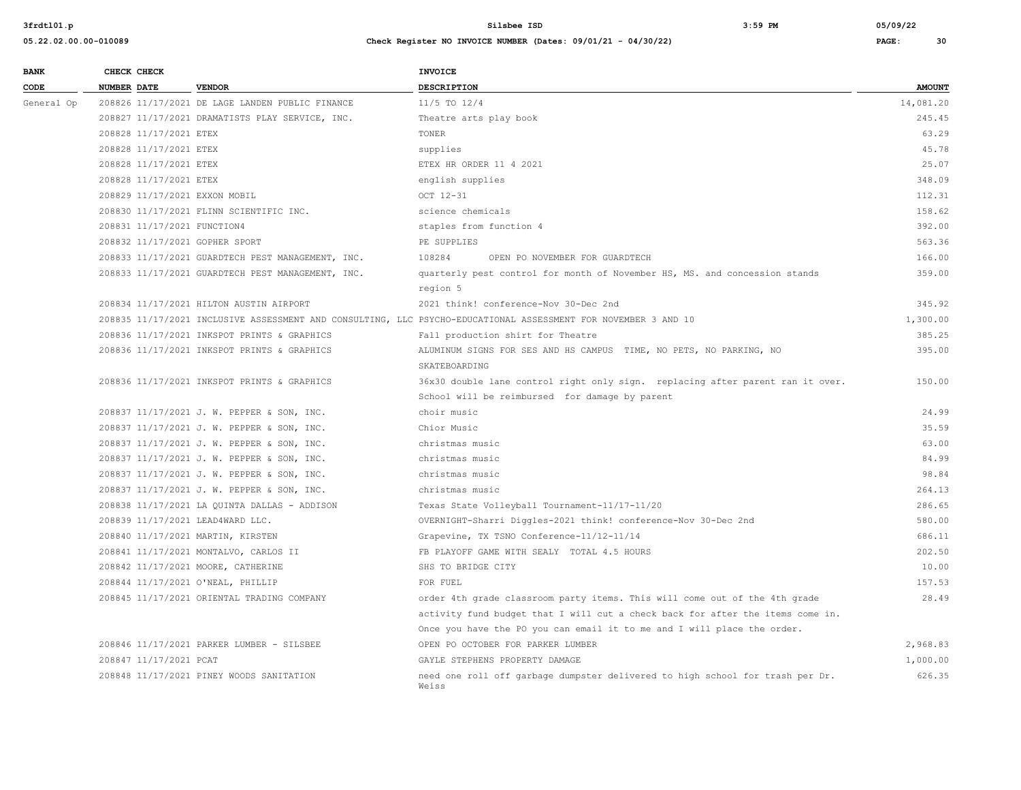| <b>BANK</b> |                    | CHECK CHECK                 |                                                   | <b>INVOICE</b>                                                                                                 |               |
|-------------|--------------------|-----------------------------|---------------------------------------------------|----------------------------------------------------------------------------------------------------------------|---------------|
| CODE        | <b>NUMBER DATE</b> |                             | <b>VENDOR</b>                                     | <b>DESCRIPTION</b>                                                                                             | <b>AMOUNT</b> |
| General Op  |                    |                             | 208826 11/17/2021 DE LAGE LANDEN PUBLIC FINANCE   | 11/5 TO 12/4                                                                                                   | 14,081.20     |
|             |                    |                             | 208827 11/17/2021 DRAMATISTS PLAY SERVICE, INC.   | Theatre arts play book                                                                                         | 245.45        |
|             |                    | 208828 11/17/2021 ETEX      |                                                   | TONER                                                                                                          | 63.29         |
|             |                    | 208828 11/17/2021 ETEX      |                                                   | supplies                                                                                                       | 45.78         |
|             |                    | 208828 11/17/2021 ETEX      |                                                   | ETEX HR ORDER 11 4 2021                                                                                        | 25.07         |
|             |                    | 208828 11/17/2021 ETEX      |                                                   | english supplies                                                                                               | 348.09        |
|             |                    |                             | 208829 11/17/2021 EXXON MOBIL                     | OCT 12-31                                                                                                      | 112.31        |
|             |                    |                             | 208830 11/17/2021 FLINN SCIENTIFIC INC.           | science chemicals                                                                                              | 158.62        |
|             |                    | 208831 11/17/2021 FUNCTION4 |                                                   | staples from function 4                                                                                        | 392.00        |
|             |                    |                             | 208832 11/17/2021 GOPHER SPORT                    | PE SUPPLIES                                                                                                    | 563.36        |
|             |                    |                             | 208833 11/17/2021 GUARDTECH PEST MANAGEMENT, INC. | 108284<br>OPEN PO NOVEMBER FOR GUARDTECH                                                                       | 166.00        |
|             |                    |                             | 208833 11/17/2021 GUARDTECH PEST MANAGEMENT, INC. | quarterly pest control for month of November HS, MS. and concession stands                                     | 359.00        |
|             |                    |                             |                                                   | region 5                                                                                                       |               |
|             |                    |                             | 208834 11/17/2021 HILTON AUSTIN AIRPORT           | 2021 think! conference-Nov 30-Dec 2nd                                                                          | 345.92        |
|             |                    |                             |                                                   | 208835 11/17/2021 INCLUSIVE ASSESSMENT AND CONSULTING, LLC PSYCHO-EDUCATIONAL ASSESSMENT FOR NOVEMBER 3 AND 10 | 1,300.00      |
|             |                    |                             | 208836 11/17/2021 INKSPOT PRINTS & GRAPHICS       | Fall production shirt for Theatre                                                                              | 385.25        |
|             |                    |                             | 208836 11/17/2021 INKSPOT PRINTS & GRAPHICS       | ALUMINUM SIGNS FOR SES AND HS CAMPUS TIME, NO PETS, NO PARKING, NO                                             | 395.00        |
|             |                    |                             |                                                   | SKATEBOARDING                                                                                                  |               |
|             |                    |                             | 208836 11/17/2021 INKSPOT PRINTS & GRAPHICS       | 36x30 double lane control right only sign. replacing after parent ran it over.                                 | 150.00        |
|             |                    |                             |                                                   | School will be reimbursed for damage by parent                                                                 |               |
|             |                    |                             | 208837 11/17/2021 J. W. PEPPER & SON, INC.        | choir music                                                                                                    | 24.99         |
|             |                    |                             | 208837 11/17/2021 J. W. PEPPER & SON, INC.        | Chior Music                                                                                                    | 35.59         |
|             |                    |                             | 208837 11/17/2021 J. W. PEPPER & SON, INC.        | christmas music                                                                                                | 63.00         |
|             |                    |                             | 208837 11/17/2021 J. W. PEPPER & SON, INC.        | christmas music                                                                                                | 84.99         |
|             |                    |                             | 208837 11/17/2021 J. W. PEPPER & SON, INC.        | christmas music                                                                                                | 98.84         |
|             |                    |                             | 208837 11/17/2021 J. W. PEPPER & SON, INC.        | christmas music                                                                                                | 264.13        |
|             |                    |                             | 208838 11/17/2021 LA QUINTA DALLAS - ADDISON      | Texas State Volleyball Tournament-11/17-11/20                                                                  | 286.65        |
|             |                    |                             | 208839 11/17/2021 LEAD4WARD LLC.                  | OVERNIGHT-Sharri Diggles-2021 think! conference-Nov 30-Dec 2nd                                                 | 580.00        |
|             |                    |                             | 208840 11/17/2021 MARTIN, KIRSTEN                 | Grapevine, TX TSNO Conference-11/12-11/14                                                                      | 686.11        |
|             |                    |                             | 208841 11/17/2021 MONTALVO, CARLOS II             | FB PLAYOFF GAME WITH SEALY TOTAL 4.5 HOURS                                                                     | 202.50        |
|             |                    |                             | 208842 11/17/2021 MOORE, CATHERINE                | SHS TO BRIDGE CITY                                                                                             | 10.00         |
|             |                    |                             | 208844 11/17/2021 O'NEAL, PHILLIP                 | FOR FUEL                                                                                                       | 157.53        |
|             |                    |                             | 208845 11/17/2021 ORIENTAL TRADING COMPANY        | order 4th grade classroom party items. This will come out of the 4th grade                                     | 28.49         |
|             |                    |                             |                                                   | activity fund budget that I will cut a check back for after the items come in.                                 |               |
|             |                    |                             |                                                   | Once you have the PO you can email it to me and I will place the order.                                        |               |
|             |                    |                             | 208846 11/17/2021 PARKER LUMBER - SILSBEE         | OPEN PO OCTOBER FOR PARKER LUMBER                                                                              | 2,968.83      |
|             |                    | 208847 11/17/2021 PCAT      |                                                   | GAYLE STEPHENS PROPERTY DAMAGE                                                                                 | 1,000.00      |
|             |                    |                             | 208848 11/17/2021 PINEY WOODS SANITATION          | need one roll off garbage dumpster delivered to high school for trash per Dr.<br>Weiss                         | 626.35        |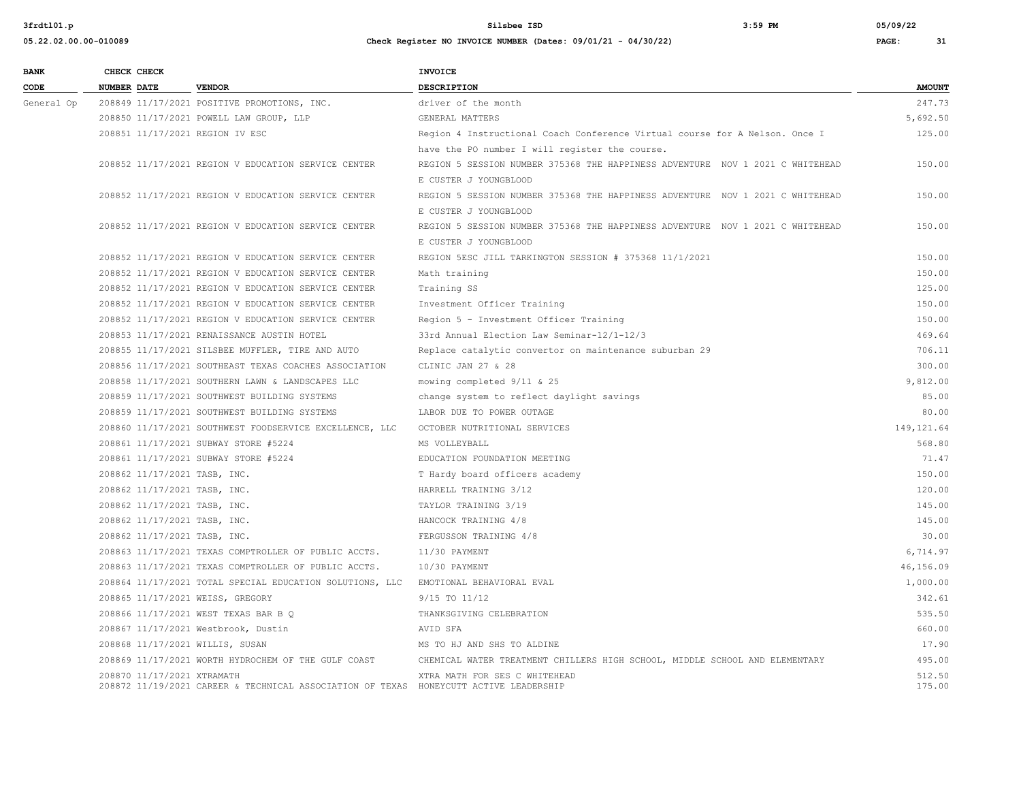| <b>BANK</b> | CHECK CHECK        |                              |                                                                                       | INVOICE                                                                       |                  |
|-------------|--------------------|------------------------------|---------------------------------------------------------------------------------------|-------------------------------------------------------------------------------|------------------|
| CODE        | <b>NUMBER DATE</b> |                              | <b>VENDOR</b>                                                                         | <b>DESCRIPTION</b>                                                            | <b>AMOUNT</b>    |
| General Op  |                    |                              | 208849 11/17/2021 POSITIVE PROMOTIONS, INC.                                           | driver of the month                                                           | 247.73           |
|             |                    |                              | 208850 11/17/2021 POWELL LAW GROUP, LLP                                               | GENERAL MATTERS                                                               | 5,692.50         |
|             |                    |                              | 208851 11/17/2021 REGION IV ESC                                                       | Region 4 Instructional Coach Conference Virtual course for A Nelson. Once I   | 125.00           |
|             |                    |                              |                                                                                       | have the PO number I will register the course.                                |                  |
|             |                    |                              | 208852 11/17/2021 REGION V EDUCATION SERVICE CENTER                                   | REGION 5 SESSION NUMBER 375368 THE HAPPINESS ADVENTURE NOV 1 2021 C WHITEHEAD | 150.00           |
|             |                    |                              |                                                                                       | E CUSTER J YOUNGBLOOD                                                         |                  |
|             |                    |                              | 208852 11/17/2021 REGION V EDUCATION SERVICE CENTER                                   | REGION 5 SESSION NUMBER 375368 THE HAPPINESS ADVENTURE NOV 1 2021 C WHITEHEAD | 150.00           |
|             |                    |                              |                                                                                       | E CUSTER J YOUNGBLOOD                                                         |                  |
|             |                    |                              | 208852 11/17/2021 REGION V EDUCATION SERVICE CENTER                                   | REGION 5 SESSION NUMBER 375368 THE HAPPINESS ADVENTURE NOV 1 2021 C WHITEHEAD | 150.00           |
|             |                    |                              |                                                                                       | E CUSTER J YOUNGBLOOD                                                         |                  |
|             |                    |                              | 208852 11/17/2021 REGION V EDUCATION SERVICE CENTER                                   | REGION 5ESC JILL TARKINGTON SESSION # 375368 11/1/2021                        | 150.00           |
|             |                    |                              | 208852 11/17/2021 REGION V EDUCATION SERVICE CENTER                                   | Math training                                                                 | 150.00           |
|             |                    |                              | 208852 11/17/2021 REGION V EDUCATION SERVICE CENTER                                   | Training SS                                                                   | 125.00           |
|             |                    |                              | 208852 11/17/2021 REGION V EDUCATION SERVICE CENTER                                   | Investment Officer Training                                                   | 150.00           |
|             |                    |                              | 208852 11/17/2021 REGION V EDUCATION SERVICE CENTER                                   | Region 5 - Investment Officer Training                                        | 150.00           |
|             |                    |                              | 208853 11/17/2021 RENAISSANCE AUSTIN HOTEL                                            | 33rd Annual Election Law Seminar-12/1-12/3                                    | 469.64           |
|             |                    |                              | 208855 11/17/2021 SILSBEE MUFFLER, TIRE AND AUTO                                      | Replace catalytic convertor on maintenance suburban 29                        | 706.11           |
|             |                    |                              | 208856 11/17/2021 SOUTHEAST TEXAS COACHES ASSOCIATION                                 | CLINIC JAN 27 & 28                                                            | 300.00           |
|             |                    |                              | 208858 11/17/2021 SOUTHERN LAWN & LANDSCAPES LLC                                      | mowing completed 9/11 & 25                                                    | 9,812.00         |
|             |                    |                              | 208859 11/17/2021 SOUTHWEST BUILDING SYSTEMS                                          | change system to reflect daylight savings                                     | 85.00            |
|             |                    |                              | 208859 11/17/2021 SOUTHWEST BUILDING SYSTEMS                                          | LABOR DUE TO POWER OUTAGE                                                     | 80.00            |
|             |                    |                              | 208860 11/17/2021 SOUTHWEST FOODSERVICE EXCELLENCE, LLC                               | OCTOBER NUTRITIONAL SERVICES                                                  | 149, 121.64      |
|             |                    |                              | 208861 11/17/2021 SUBWAY STORE #5224                                                  | MS VOLLEYBALL                                                                 | 568.80           |
|             |                    |                              | 208861 11/17/2021 SUBWAY STORE #5224                                                  | EDUCATION FOUNDATION MEETING                                                  | 71.47            |
|             |                    | 208862 11/17/2021 TASB, INC. |                                                                                       | T Hardy board officers academy                                                | 150.00           |
|             |                    | 208862 11/17/2021 TASB, INC. |                                                                                       | HARRELL TRAINING 3/12                                                         | 120.00           |
|             |                    | 208862 11/17/2021 TASB, INC. |                                                                                       | TAYLOR TRAINING 3/19                                                          | 145.00           |
|             |                    | 208862 11/17/2021 TASB, INC. |                                                                                       | HANCOCK TRAINING 4/8                                                          | 145.00           |
|             |                    | 208862 11/17/2021 TASB, INC. |                                                                                       | FERGUSSON TRAINING 4/8                                                        | 30.00            |
|             |                    |                              | 208863 11/17/2021 TEXAS COMPTROLLER OF PUBLIC ACCTS.                                  | 11/30 PAYMENT                                                                 | 6,714.97         |
|             |                    |                              | 208863 11/17/2021 TEXAS COMPTROLLER OF PUBLIC ACCTS.                                  | 10/30 PAYMENT                                                                 | 46,156.09        |
|             |                    |                              | 208864 11/17/2021 TOTAL SPECIAL EDUCATION SOLUTIONS, LLC                              | EMOTIONAL BEHAVIORAL EVAL                                                     | 1,000.00         |
|             |                    |                              | 208865 11/17/2021 WEISS, GREGORY                                                      | 9/15 TO 11/12                                                                 | 342.61           |
|             |                    |                              | 208866 11/17/2021 WEST TEXAS BAR B Q                                                  | THANKSGIVING CELEBRATION                                                      | 535.50           |
|             |                    |                              | 208867 11/17/2021 Westbrook, Dustin                                                   | AVID SFA                                                                      | 660.00           |
|             |                    |                              | 208868 11/17/2021 WILLIS, SUSAN                                                       | MS TO HJ AND SHS TO ALDINE                                                    | 17.90            |
|             |                    |                              | 208869 11/17/2021 WORTH HYDROCHEM OF THE GULF COAST                                   | CHEMICAL WATER TREATMENT CHILLERS HIGH SCHOOL, MIDDLE SCHOOL AND ELEMENTARY   | 495.00           |
|             |                    | 208870 11/17/2021 XTRAMATH   | 208872 11/19/2021 CAREER & TECHNICAL ASSOCIATION OF TEXAS HONEYCUTT ACTIVE LEADERSHIP | XTRA MATH FOR SES C WHITEHEAD                                                 | 512.50<br>175.00 |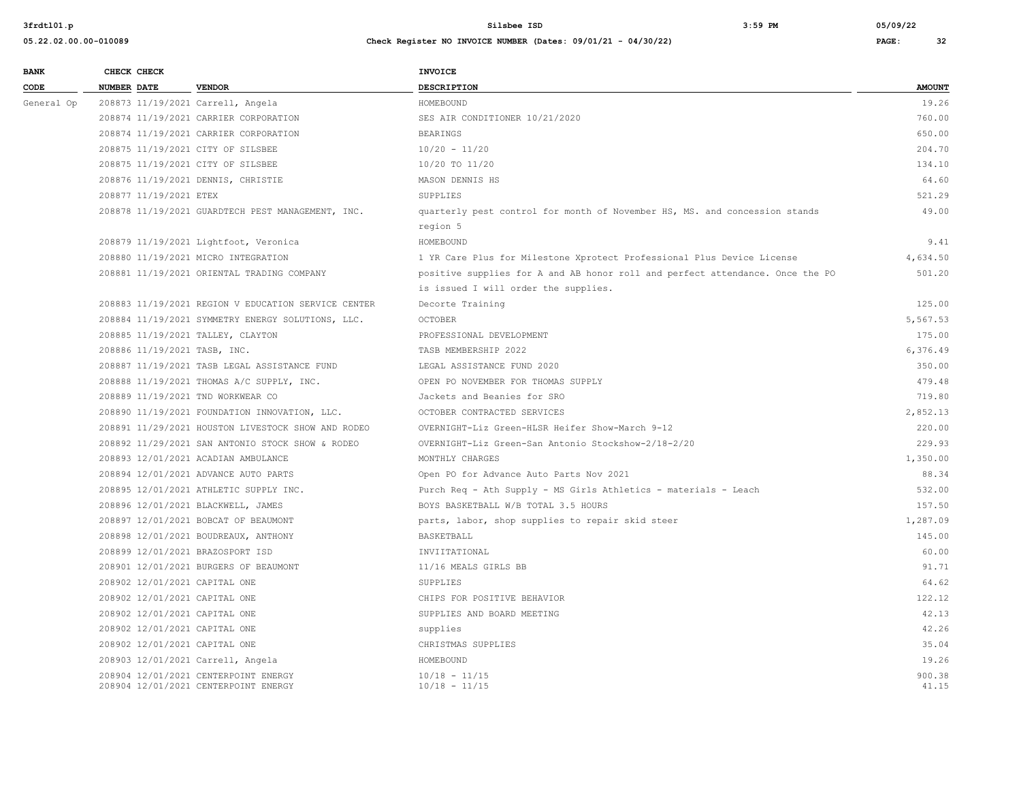| <b>BANK</b> |                    | CHECK CHECK            |                                                                              | INVOICE                                                                       |                 |
|-------------|--------------------|------------------------|------------------------------------------------------------------------------|-------------------------------------------------------------------------------|-----------------|
| CODE        | <b>NUMBER DATE</b> |                        | <b>VENDOR</b>                                                                | DESCRIPTION                                                                   | <b>AMOUNT</b>   |
| General Op  |                    |                        | 208873 11/19/2021 Carrell, Angela                                            | HOMEBOUND                                                                     | 19.26           |
|             |                    |                        | 208874 11/19/2021 CARRIER CORPORATION                                        | SES AIR CONDITIONER 10/21/2020                                                | 760.00          |
|             |                    |                        | 208874 11/19/2021 CARRIER CORPORATION                                        | <b>BEARINGS</b>                                                               | 650.00          |
|             |                    |                        | 208875 11/19/2021 CITY OF SILSBEE                                            | $10/20 - 11/20$                                                               | 204.70          |
|             |                    |                        | 208875 11/19/2021 CITY OF SILSBEE                                            | 10/20 TO 11/20                                                                | 134.10          |
|             |                    |                        | 208876 11/19/2021 DENNIS, CHRISTIE                                           | MASON DENNIS HS                                                               | 64.60           |
|             |                    | 208877 11/19/2021 ETEX |                                                                              | SUPPLIES                                                                      | 521.29          |
|             |                    |                        | 208878 11/19/2021 GUARDTECH PEST MANAGEMENT, INC.                            | quarterly pest control for month of November HS, MS. and concession stands    | 49.00           |
|             |                    |                        |                                                                              | region 5                                                                      |                 |
|             |                    |                        | 208879 11/19/2021 Lightfoot, Veronica                                        | HOMEBOUND                                                                     | 9.41            |
|             |                    |                        | 208880 11/19/2021 MICRO INTEGRATION                                          | 1 YR Care Plus for Milestone Xprotect Professional Plus Device License        | 4,634.50        |
|             |                    |                        | 208881 11/19/2021 ORIENTAL TRADING COMPANY                                   | positive supplies for A and AB honor roll and perfect attendance. Once the PO | 501.20          |
|             |                    |                        |                                                                              | is issued I will order the supplies.                                          |                 |
|             |                    |                        | 208883 11/19/2021 REGION V EDUCATION SERVICE CENTER                          | Decorte Training                                                              | 125.00          |
|             |                    |                        | 208884 11/19/2021 SYMMETRY ENERGY SOLUTIONS, LLC.                            | <b>OCTOBER</b>                                                                | 5,567.53        |
|             |                    |                        | 208885 11/19/2021 TALLEY, CLAYTON                                            | PROFESSIONAL DEVELOPMENT                                                      | 175.00          |
|             |                    |                        | 208886 11/19/2021 TASB, INC.                                                 | TASB MEMBERSHIP 2022                                                          | 6,376.49        |
|             |                    |                        | 208887 11/19/2021 TASB LEGAL ASSISTANCE FUND                                 | LEGAL ASSISTANCE FUND 2020                                                    | 350.00          |
|             |                    |                        | 208888 11/19/2021 THOMAS A/C SUPPLY, INC.                                    | OPEN PO NOVEMBER FOR THOMAS SUPPLY                                            | 479.48          |
|             |                    |                        | 208889 11/19/2021 TND WORKWEAR CO                                            | Jackets and Beanies for SRO                                                   | 719.80          |
|             |                    |                        | 208890 11/19/2021 FOUNDATION INNOVATION, LLC.                                | OCTOBER CONTRACTED SERVICES                                                   | 2,852.13        |
|             |                    |                        | 208891 11/29/2021 HOUSTON LIVESTOCK SHOW AND RODEO                           | OVERNIGHT-Liz Green-HLSR Heifer Show-March 9-12                               | 220.00          |
|             |                    |                        | 208892 11/29/2021 SAN ANTONIO STOCK SHOW & RODEO                             | OVERNIGHT-Liz Green-San Antonio Stockshow-2/18-2/20                           | 229.93          |
|             |                    |                        | 208893 12/01/2021 ACADIAN AMBULANCE                                          | MONTHLY CHARGES                                                               | 1,350.00        |
|             |                    |                        | 208894 12/01/2021 ADVANCE AUTO PARTS                                         | Open PO for Advance Auto Parts Nov 2021                                       | 88.34           |
|             |                    |                        | 208895 12/01/2021 ATHLETIC SUPPLY INC.                                       | Purch Req - Ath Supply - MS Girls Athletics - materials - Leach               | 532.00          |
|             |                    |                        | 208896 12/01/2021 BLACKWELL, JAMES                                           | BOYS BASKETBALL W/B TOTAL 3.5 HOURS                                           | 157.50          |
|             |                    |                        | 208897 12/01/2021 BOBCAT OF BEAUMONT                                         | parts, labor, shop supplies to repair skid steer                              | 1,287.09        |
|             |                    |                        | 208898 12/01/2021 BOUDREAUX, ANTHONY                                         | BASKETBALL                                                                    | 145.00          |
|             |                    |                        | 208899 12/01/2021 BRAZOSPORT ISD                                             | INVIITATIONAL                                                                 | 60.00           |
|             |                    |                        | 208901 12/01/2021 BURGERS OF BEAUMONT                                        | 11/16 MEALS GIRLS BB                                                          | 91.71           |
|             |                    |                        | 208902 12/01/2021 CAPITAL ONE                                                | SUPPLIES                                                                      | 64.62           |
|             |                    |                        | 208902 12/01/2021 CAPITAL ONE                                                | CHIPS FOR POSITIVE BEHAVIOR                                                   | 122.12          |
|             |                    |                        | 208902 12/01/2021 CAPITAL ONE                                                | SUPPLIES AND BOARD MEETING                                                    | 42.13           |
|             |                    |                        | 208902 12/01/2021 CAPITAL ONE                                                | supplies                                                                      | 42.26           |
|             |                    |                        | 208902 12/01/2021 CAPITAL ONE                                                | CHRISTMAS SUPPLIES                                                            | 35.04           |
|             |                    |                        | 208903 12/01/2021 Carrell, Angela                                            | HOMEBOUND                                                                     | 19.26           |
|             |                    |                        | 208904 12/01/2021 CENTERPOINT ENERGY<br>208904 12/01/2021 CENTERPOINT ENERGY | $10/18 - 11/15$<br>$10/18 - 11/15$                                            | 900.38<br>41.15 |
|             |                    |                        |                                                                              |                                                                               |                 |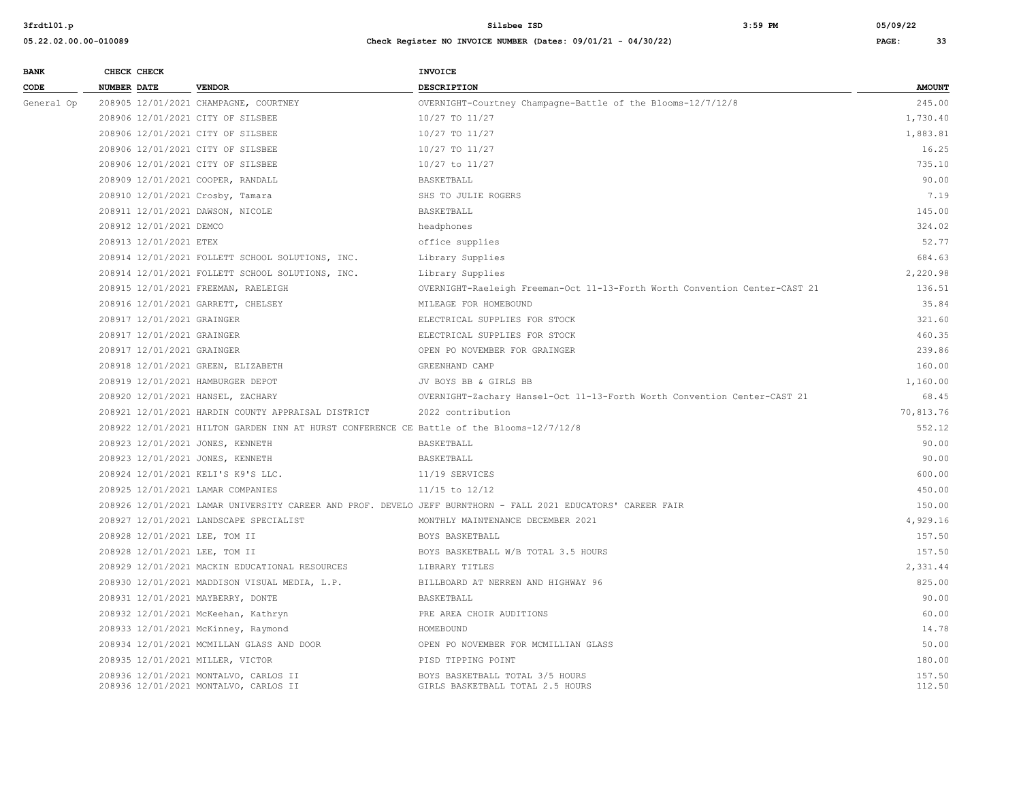| <b>BANK</b> |                    | CHECK CHECK                |                                                                                           | INVOICE                                                                                                      |                  |
|-------------|--------------------|----------------------------|-------------------------------------------------------------------------------------------|--------------------------------------------------------------------------------------------------------------|------------------|
| CODE        | <b>NUMBER DATE</b> |                            | <b>VENDOR</b>                                                                             | <b>DESCRIPTION</b>                                                                                           | <b>AMOUNT</b>    |
| General Op  |                    |                            | 208905 12/01/2021 CHAMPAGNE, COURTNEY                                                     | OVERNIGHT-Courtney Champagne-Battle of the Blooms-12/7/12/8                                                  | 245.00           |
|             |                    |                            | 208906 12/01/2021 CITY OF SILSBEE                                                         | 10/27 TO 11/27                                                                                               | 1,730.40         |
|             |                    |                            | 208906 12/01/2021 CITY OF SILSBEE                                                         | 10/27 TO 11/27                                                                                               | 1,883.81         |
|             |                    |                            | 208906 12/01/2021 CITY OF SILSBEE                                                         | 10/27 TO 11/27                                                                                               | 16.25            |
|             |                    |                            | 208906 12/01/2021 CITY OF SILSBEE                                                         | 10/27 to 11/27                                                                                               | 735.10           |
|             |                    |                            | 208909 12/01/2021 COOPER, RANDALL                                                         | BASKETBALL                                                                                                   | 90.00            |
|             |                    |                            | 208910 12/01/2021 Crosby, Tamara                                                          | SHS TO JULIE ROGERS                                                                                          | 7.19             |
|             |                    |                            | 208911 12/01/2021 DAWSON, NICOLE                                                          | BASKETBALL                                                                                                   | 145.00           |
|             |                    | 208912 12/01/2021 DEMCO    |                                                                                           | headphones                                                                                                   | 324.02           |
|             |                    | 208913 12/01/2021 ETEX     |                                                                                           | office supplies                                                                                              | 52.77            |
|             |                    |                            | 208914 12/01/2021 FOLLETT SCHOOL SOLUTIONS, INC.                                          | Library Supplies                                                                                             | 684.63           |
|             |                    |                            | 208914 12/01/2021 FOLLETT SCHOOL SOLUTIONS, INC.                                          | Library Supplies                                                                                             | 2,220.98         |
|             |                    |                            | 208915 12/01/2021 FREEMAN, RAELEIGH                                                       | OVERNIGHT-Raeleigh Freeman-Oct 11-13-Forth Worth Convention Center-CAST 21                                   | 136.51           |
|             |                    |                            | 208916 12/01/2021 GARRETT, CHELSEY                                                        | MILEAGE FOR HOMEBOUND                                                                                        | 35.84            |
|             |                    | 208917 12/01/2021 GRAINGER |                                                                                           | ELECTRICAL SUPPLIES FOR STOCK                                                                                | 321.60           |
|             |                    | 208917 12/01/2021 GRAINGER |                                                                                           | ELECTRICAL SUPPLIES FOR STOCK                                                                                | 460.35           |
|             |                    | 208917 12/01/2021 GRAINGER |                                                                                           | OPEN PO NOVEMBER FOR GRAINGER                                                                                | 239.86           |
|             |                    |                            | 208918 12/01/2021 GREEN, ELIZABETH                                                        | GREENHAND CAMP                                                                                               | 160.00           |
|             |                    |                            | 208919 12/01/2021 HAMBURGER DEPOT                                                         | JV BOYS BB & GIRLS BB                                                                                        | 1,160.00         |
|             |                    |                            | 208920 12/01/2021 HANSEL, ZACHARY                                                         | OVERNIGHT-Zachary Hansel-Oct 11-13-Forth Worth Convention Center-CAST 21                                     | 68.45            |
|             |                    |                            | 208921 12/01/2021 HARDIN COUNTY APPRAISAL DISTRICT                                        | 2022 contribution                                                                                            | 70,813.76        |
|             |                    |                            | 208922 12/01/2021 HILTON GARDEN INN AT HURST CONFERENCE CE Battle of the Blooms-12/7/12/8 |                                                                                                              | 552.12           |
|             |                    |                            | 208923 12/01/2021 JONES, KENNETH                                                          | BASKETBALL                                                                                                   | 90.00            |
|             |                    |                            | 208923 12/01/2021 JONES, KENNETH                                                          | BASKETBALL                                                                                                   | 90.00            |
|             |                    |                            | 208924 12/01/2021 KELI'S K9'S LLC.                                                        | 11/19 SERVICES                                                                                               | 600.00           |
|             |                    |                            | 208925 12/01/2021 LAMAR COMPANIES                                                         | $11/15$ to $12/12$                                                                                           | 450.00           |
|             |                    |                            |                                                                                           | 208926 12/01/2021 LAMAR UNIVERSITY CAREER AND PROF. DEVELO JEFF BURNTHORN - FALL 2021 EDUCATORS' CAREER FAIR | 150.00           |
|             |                    |                            | 208927 12/01/2021 LANDSCAPE SPECIALIST                                                    | MONTHLY MAINTENANCE DECEMBER 2021                                                                            | 4,929.16         |
|             |                    |                            | 208928 12/01/2021 LEE, TOM II                                                             | BOYS BASKETBALL                                                                                              | 157.50           |
|             |                    |                            | 208928 12/01/2021 LEE, TOM II                                                             | BOYS BASKETBALL W/B TOTAL 3.5 HOURS                                                                          | 157.50           |
|             |                    |                            | 208929 12/01/2021 MACKIN EDUCATIONAL RESOURCES                                            | LIBRARY TITLES                                                                                               | 2,331.44         |
|             |                    |                            | 208930 12/01/2021 MADDISON VISUAL MEDIA, L.P.                                             | BILLBOARD AT NERREN AND HIGHWAY 96                                                                           | 825.00           |
|             |                    |                            | 208931 12/01/2021 MAYBERRY, DONTE                                                         | BASKETBALL                                                                                                   | 90.00            |
|             |                    |                            | 208932 12/01/2021 McKeehan, Kathryn                                                       | PRE AREA CHOIR AUDITIONS                                                                                     | 60.00            |
|             |                    |                            | 208933 12/01/2021 McKinney, Raymond                                                       | HOMEBOUND                                                                                                    | 14.78            |
|             |                    |                            | 208934 12/01/2021 MCMILLAN GLASS AND DOOR                                                 | OPEN PO NOVEMBER FOR MCMILLIAN GLASS                                                                         | 50.00            |
|             |                    |                            | 208935 12/01/2021 MILLER, VICTOR                                                          | PISD TIPPING POINT                                                                                           | 180.00           |
|             |                    |                            | 208936 12/01/2021 MONTALVO, CARLOS II<br>208936 12/01/2021 MONTALVO, CARLOS II            | BOYS BASKETBALL TOTAL 3/5 HOURS<br>GIRLS BASKETBALL TOTAL 2.5 HOURS                                          | 157.50<br>112.50 |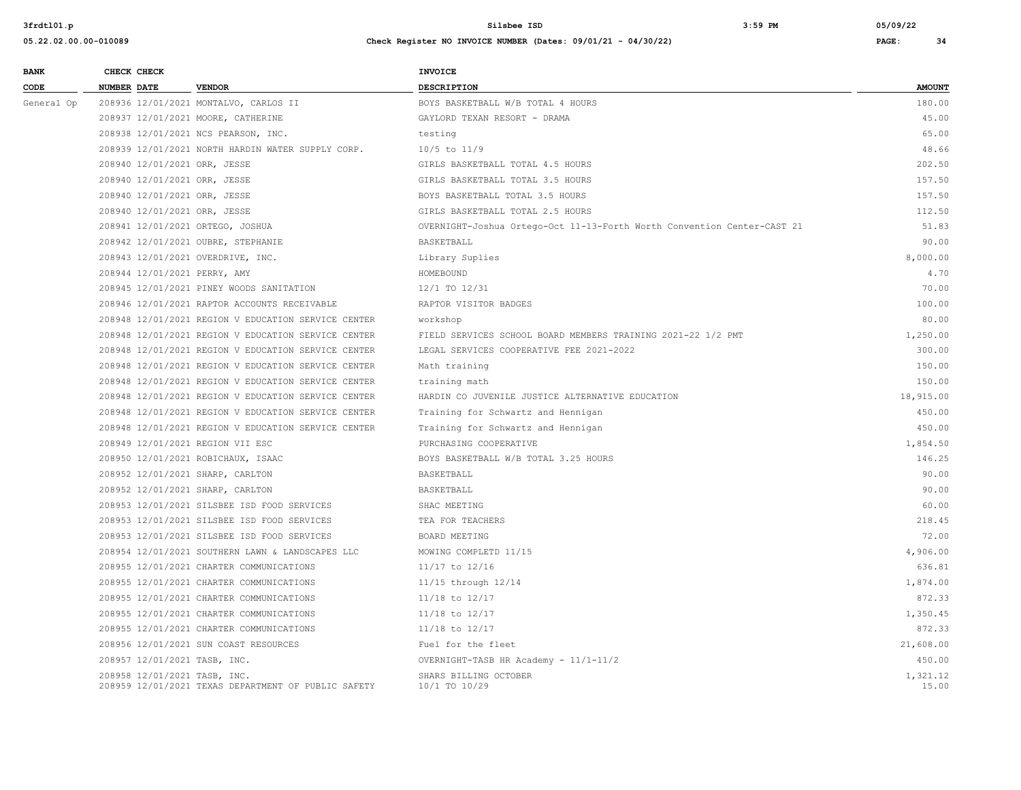| <b>BANK</b> | CHECK CHECK                  |                                                     | INVOICE                                                                 |                   |
|-------------|------------------------------|-----------------------------------------------------|-------------------------------------------------------------------------|-------------------|
| CODE        | <b>NUMBER DATE</b>           | <b>VENDOR</b>                                       | <b>DESCRIPTION</b>                                                      | <b>AMOUNT</b>     |
| General Op  |                              | 208936 12/01/2021 MONTALVO, CARLOS II               | BOYS BASKETBALL W/B TOTAL 4 HOURS                                       | 180.00            |
|             |                              | 208937 12/01/2021 MOORE, CATHERINE                  | GAYLORD TEXAN RESORT - DRAMA                                            | 45.00             |
|             |                              | 208938 12/01/2021 NCS PEARSON, INC.                 | testing                                                                 | 65.00             |
|             |                              | 208939 12/01/2021 NORTH HARDIN WATER SUPPLY CORP.   | $10/5$ to $11/9$                                                        | 48.66             |
|             | 208940 12/01/2021 ORR, JESSE |                                                     | GIRLS BASKETBALL TOTAL 4.5 HOURS                                        | 202.50            |
|             | 208940 12/01/2021 ORR, JESSE |                                                     | GIRLS BASKETBALL TOTAL 3.5 HOURS                                        | 157.50            |
|             | 208940 12/01/2021 ORR, JESSE |                                                     | BOYS BASKETBALL TOTAL 3.5 HOURS                                         | 157.50            |
|             | 208940 12/01/2021 ORR, JESSE |                                                     | GIRLS BASKETBALL TOTAL 2.5 HOURS                                        | 112.50            |
|             |                              | 208941 12/01/2021 ORTEGO, JOSHUA                    | OVERNIGHT-Joshua Ortego-Oct 11-13-Forth Worth Convention Center-CAST 21 | 51.83             |
|             |                              | 208942 12/01/2021 OUBRE, STEPHANIE                  | BASKETBALL                                                              | 90.00             |
|             |                              | 208943 12/01/2021 OVERDRIVE, INC.                   | Library Suplies                                                         | 8,000.00          |
|             | 208944 12/01/2021 PERRY, AMY |                                                     | HOMEBOUND                                                               | 4.70              |
|             |                              | 208945 12/01/2021 PINEY WOODS SANITATION            | 12/1 TO 12/31                                                           | 70.00             |
|             |                              | 208946 12/01/2021 RAPTOR ACCOUNTS RECEIVABLE        | RAPTOR VISITOR BADGES                                                   | 100.00            |
|             |                              | 208948 12/01/2021 REGION V EDUCATION SERVICE CENTER | workshop                                                                | 80.00             |
|             |                              | 208948 12/01/2021 REGION V EDUCATION SERVICE CENTER | FIELD SERVICES SCHOOL BOARD MEMBERS TRAINING 2021-22 1/2 PMT            | 1,250.00          |
|             |                              | 208948 12/01/2021 REGION V EDUCATION SERVICE CENTER | LEGAL SERVICES COOPERATIVE FEE 2021-2022                                | 300.00            |
|             |                              | 208948 12/01/2021 REGION V EDUCATION SERVICE CENTER | Math training                                                           | 150.00            |
|             |                              | 208948 12/01/2021 REGION V EDUCATION SERVICE CENTER | training math                                                           | 150.00            |
|             |                              | 208948 12/01/2021 REGION V EDUCATION SERVICE CENTER | HARDIN CO JUVENILE JUSTICE ALTERNATIVE EDUCATION                        | 18,915.00         |
|             |                              | 208948 12/01/2021 REGION V EDUCATION SERVICE CENTER | Training for Schwartz and Hennigan                                      | 450.00            |
|             |                              | 208948 12/01/2021 REGION V EDUCATION SERVICE CENTER | Training for Schwartz and Hennigan                                      | 450.00            |
|             |                              | 208949 12/01/2021 REGION VII ESC                    | PURCHASING COOPERATIVE                                                  | 1,854.50          |
|             |                              | 208950 12/01/2021 ROBICHAUX, ISAAC                  | BOYS BASKETBALL W/B TOTAL 3.25 HOURS                                    | 146.25            |
|             |                              | 208952 12/01/2021 SHARP, CARLTON                    | BASKETBALL                                                              | 90.00             |
|             |                              | 208952 12/01/2021 SHARP, CARLTON                    | BASKETBALL                                                              | 90.00             |
|             |                              | 208953 12/01/2021 SILSBEE ISD FOOD SERVICES         | SHAC MEETING                                                            | 60.00             |
|             |                              | 208953 12/01/2021 SILSBEE ISD FOOD SERVICES         | TEA FOR TEACHERS                                                        | 218.45            |
|             |                              | 208953 12/01/2021 SILSBEE ISD FOOD SERVICES         | BOARD MEETING                                                           | 72.00             |
|             |                              | 208954 12/01/2021 SOUTHERN LAWN & LANDSCAPES LLC    | MOWING COMPLETD 11/15                                                   | 4,906.00          |
|             |                              | 208955 12/01/2021 CHARTER COMMUNICATIONS            | $11/17$ to $12/16$                                                      | 636.81            |
|             |                              | 208955 12/01/2021 CHARTER COMMUNICATIONS            | 11/15 through 12/14                                                     | 1,874.00          |
|             |                              | 208955 12/01/2021 CHARTER COMMUNICATIONS            | $11/18$ to $12/17$                                                      | 872.33            |
|             |                              | 208955 12/01/2021 CHARTER COMMUNICATIONS            | $11/18$ to $12/17$                                                      | 1,350.45          |
|             |                              | 208955 12/01/2021 CHARTER COMMUNICATIONS            | $11/18$ to $12/17$                                                      | 872.33            |
|             |                              | 208956 12/01/2021 SUN COAST RESOURCES               | Fuel for the fleet                                                      | 21,608.00         |
|             | 208957 12/01/2021 TASB, INC. |                                                     | OVERNIGHT-TASB HR Academy - 11/1-11/2                                   | 450.00            |
|             | 208958 12/01/2021 TASB, INC. | 208959 12/01/2021 TEXAS DEPARTMENT OF PUBLIC SAFETY | SHARS BILLING OCTOBER<br>10/1 TO 10/29                                  | 1,321.12<br>15.00 |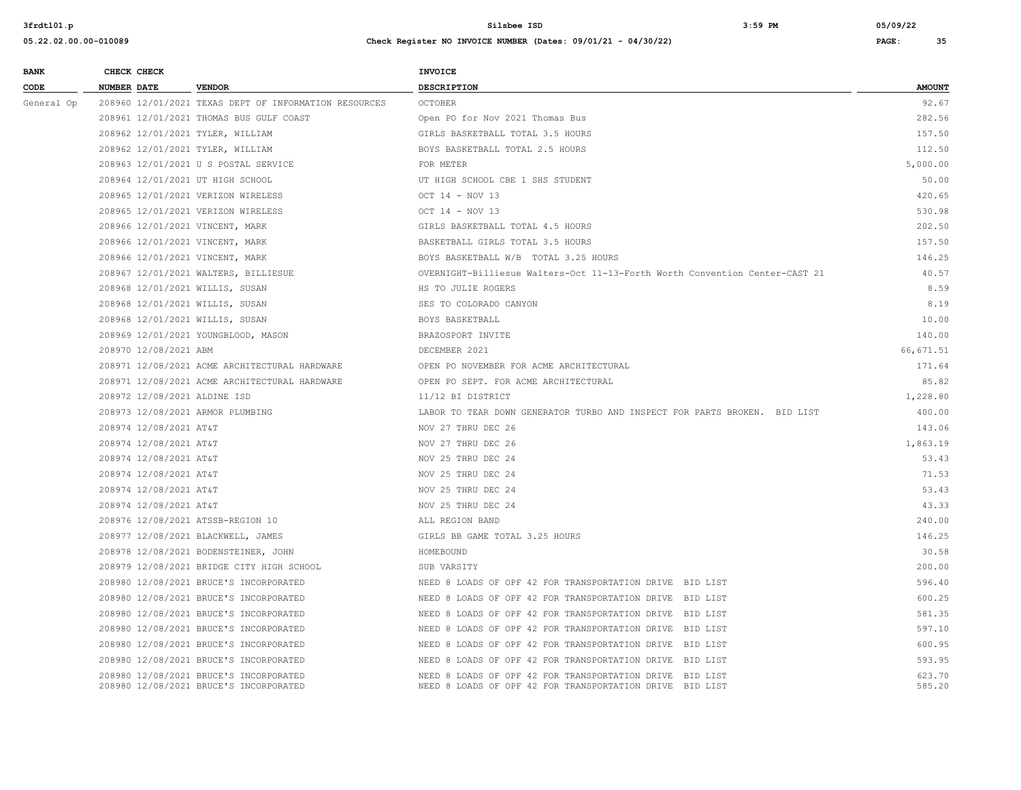| <b>BANK</b> | CHECK CHECK                     |                                                                                  | <b>INVOICE</b>                                                                                                       |                  |
|-------------|---------------------------------|----------------------------------------------------------------------------------|----------------------------------------------------------------------------------------------------------------------|------------------|
| CODE        | NUMBER DATE                     | <b>VENDOR</b>                                                                    | DESCRIPTION                                                                                                          | <b>AMOUNT</b>    |
| General Op  |                                 | 208960 12/01/2021 TEXAS DEPT OF INFORMATION RESOURCES                            | <b>OCTOBER</b>                                                                                                       | 92.67            |
|             |                                 | 208961 12/01/2021 THOMAS BUS GULF COAST                                          | Open PO for Nov 2021 Thomas Bus                                                                                      | 282.56           |
|             |                                 | 208962 12/01/2021 TYLER, WILLIAM                                                 | GIRLS BASKETBALL TOTAL 3.5 HOURS                                                                                     | 157.50           |
|             |                                 | 208962 12/01/2021 TYLER, WILLIAM                                                 | BOYS BASKETBALL TOTAL 2.5 HOURS                                                                                      | 112.50           |
|             |                                 | 208963 12/01/2021 U S POSTAL SERVICE                                             | FOR METER                                                                                                            | 5,000.00         |
|             |                                 | 208964 12/01/2021 UT HIGH SCHOOL                                                 | UT HIGH SCHOOL CBE 1 SHS STUDENT                                                                                     | 50.00            |
|             |                                 | 208965 12/01/2021 VERIZON WIRELESS                                               | OCT 14 - NOV 13                                                                                                      | 420.65           |
|             |                                 | 208965 12/01/2021 VERIZON WIRELESS                                               | OCT 14 - NOV 13                                                                                                      | 530.98           |
|             | 208966 12/01/2021 VINCENT, MARK |                                                                                  | GIRLS BASKETBALL TOTAL 4.5 HOURS                                                                                     | 202.50           |
|             | 208966 12/01/2021 VINCENT, MARK |                                                                                  | BASKETBALL GIRLS TOTAL 3.5 HOURS                                                                                     | 157.50           |
|             | 208966 12/01/2021 VINCENT, MARK |                                                                                  | BOYS BASKETBALL W/B TOTAL 3.25 HOURS                                                                                 | 146.25           |
|             |                                 | 208967 12/01/2021 WALTERS, BILLIESUE                                             | OVERNIGHT-Billiesue Walters-Oct 11-13-Forth Worth Convention Center-CAST 21                                          | 40.57            |
|             | 208968 12/01/2021 WILLIS, SUSAN |                                                                                  | HS TO JULIE ROGERS                                                                                                   | 8.59             |
|             | 208968 12/01/2021 WILLIS, SUSAN |                                                                                  | SES TO COLORADO CANYON                                                                                               | 8.19             |
|             | 208968 12/01/2021 WILLIS, SUSAN |                                                                                  | BOYS BASKETBALL                                                                                                      | 10.00            |
|             |                                 | 208969 12/01/2021 YOUNGBLOOD, MASON                                              | BRAZOSPORT INVITE                                                                                                    | 140.00           |
|             | 208970 12/08/2021 ABM           |                                                                                  | DECEMBER 2021                                                                                                        | 66, 671.51       |
|             |                                 | 208971 12/08/2021 ACME ARCHITECTURAL HARDWARE                                    | OPEN PO NOVEMBER FOR ACME ARCHITECTURAL                                                                              | 171.64           |
|             |                                 | 208971 12/08/2021 ACME ARCHITECTURAL HARDWARE                                    | OPEN PO SEPT. FOR ACME ARCHITECTURAL                                                                                 | 85.82            |
|             | 208972 12/08/2021 ALDINE ISD    |                                                                                  | 11/12 BI DISTRICT                                                                                                    | 1,228.80         |
|             |                                 | 208973 12/08/2021 ARMOR PLUMBING                                                 | LABOR TO TEAR DOWN GENERATOR TURBO AND INSPECT FOR PARTS BROKEN. BID LIST                                            | 400.00           |
|             | 208974 12/08/2021 AT&T          |                                                                                  | NOV 27 THRU DEC 26                                                                                                   | 143.06           |
|             | 208974 12/08/2021 AT&T          |                                                                                  | NOV 27 THRU DEC 26                                                                                                   | 1,863.19         |
|             | 208974 12/08/2021 AT&T          |                                                                                  | NOV 25 THRU DEC 24                                                                                                   | 53.43            |
|             | 208974 12/08/2021 AT&T          |                                                                                  | NOV 25 THRU DEC 24                                                                                                   | 71.53            |
|             | 208974 12/08/2021 AT&T          |                                                                                  | NOV 25 THRU DEC 24                                                                                                   | 53.43            |
|             | 208974 12/08/2021 AT&T          |                                                                                  | NOV 25 THRU DEC 24                                                                                                   | 43.33            |
|             |                                 | 208976 12/08/2021 ATSSB-REGION 10                                                | ALL REGION BAND                                                                                                      | 240.00           |
|             |                                 | 208977 12/08/2021 BLACKWELL, JAMES                                               | GIRLS BB GAME TOTAL 3.25 HOURS                                                                                       | 146.25           |
|             |                                 | 208978 12/08/2021 BODENSTEINER, JOHN                                             | HOMEBOUND                                                                                                            | 30.58            |
|             |                                 | 208979 12/08/2021 BRIDGE CITY HIGH SCHOOL                                        | SUB VARSITY                                                                                                          | 200.00           |
|             |                                 | 208980 12/08/2021 BRUCE'S INCORPORATED                                           | NEED 8 LOADS OF OPF 42 FOR TRANSPORTATION DRIVE BID LIST                                                             | 596.40           |
|             |                                 | 208980 12/08/2021 BRUCE'S INCORPORATED                                           | NEED 8 LOADS OF OPF 42 FOR TRANSPORTATION DRIVE BID LIST                                                             | 600.25           |
|             |                                 | 208980 12/08/2021 BRUCE'S INCORPORATED                                           | NEED 8 LOADS OF OPF 42 FOR TRANSPORTATION DRIVE BID LIST                                                             | 581.35           |
|             |                                 | 208980 12/08/2021 BRUCE'S INCORPORATED                                           | NEED 8 LOADS OF OPF 42 FOR TRANSPORTATION DRIVE BID LIST                                                             | 597.10           |
|             |                                 | 208980 12/08/2021 BRUCE'S INCORPORATED                                           | NEED 8 LOADS OF OPF 42 FOR TRANSPORTATION DRIVE BID LIST                                                             | 600.95           |
|             |                                 | 208980 12/08/2021 BRUCE'S INCORPORATED                                           | NEED 8 LOADS OF OPF 42 FOR TRANSPORTATION DRIVE BID LIST                                                             | 593.95           |
|             |                                 | 208980 12/08/2021 BRUCE'S INCORPORATED<br>208980 12/08/2021 BRUCE'S INCORPORATED | NEED 8 LOADS OF OPF 42 FOR TRANSPORTATION DRIVE BID LIST<br>NEED 8 LOADS OF OPF 42 FOR TRANSPORTATION DRIVE BID LIST | 623.70<br>585.20 |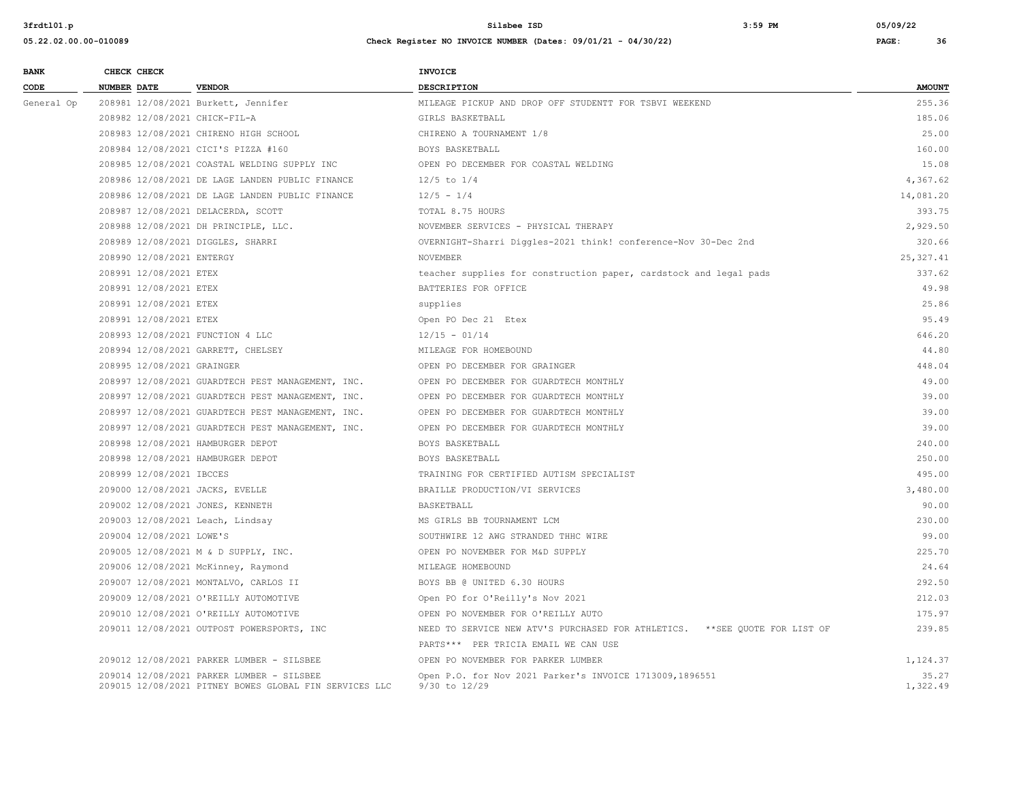| <b>BANK</b> | CHECK CHECK                   |                                                                                                     | INVOICE                                                                      |                   |
|-------------|-------------------------------|-----------------------------------------------------------------------------------------------------|------------------------------------------------------------------------------|-------------------|
| CODE        | <b>NUMBER DATE</b>            | <b>VENDOR</b>                                                                                       | <b>DESCRIPTION</b>                                                           | <b>AMOUNT</b>     |
| General Op  |                               | 208981 12/08/2021 Burkett, Jennifer                                                                 | MILEAGE PICKUP AND DROP OFF STUDENTT FOR TSBVI WEEKEND                       | 255.36            |
|             | 208982 12/08/2021 CHICK-FIL-A |                                                                                                     | GIRLS BASKETBALL                                                             | 185.06            |
|             |                               | 208983 12/08/2021 CHIRENO HIGH SCHOOL                                                               | CHIRENO A TOURNAMENT 1/8                                                     | 25.00             |
|             |                               | 208984 12/08/2021 CICI'S PIZZA #160                                                                 | BOYS BASKETBALL                                                              | 160.00            |
|             |                               | 208985 12/08/2021 COASTAL WELDING SUPPLY INC                                                        | OPEN PO DECEMBER FOR COASTAL WELDING                                         | 15.08             |
|             |                               | 208986 12/08/2021 DE LAGE LANDEN PUBLIC FINANCE                                                     | $12/5$ to $1/4$                                                              | 4,367.62          |
|             |                               | 208986 12/08/2021 DE LAGE LANDEN PUBLIC FINANCE                                                     | $12/5 - 1/4$                                                                 | 14,081.20         |
|             |                               | 208987 12/08/2021 DELACERDA, SCOTT                                                                  | TOTAL 8.75 HOURS                                                             | 393.75            |
|             |                               | 208988 12/08/2021 DH PRINCIPLE, LLC.                                                                | NOVEMBER SERVICES - PHYSICAL THERAPY                                         | 2,929.50          |
|             |                               | 208989 12/08/2021 DIGGLES, SHARRI                                                                   | OVERNIGHT-Sharri Diggles-2021 think! conference-Nov 30-Dec 2nd               | 320.66            |
|             | 208990 12/08/2021 ENTERGY     |                                                                                                     | <b>NOVEMBER</b>                                                              | 25,327.41         |
|             | 208991 12/08/2021 ETEX        |                                                                                                     | teacher supplies for construction paper, cardstock and legal pads            | 337.62            |
|             | 208991 12/08/2021 ETEX        |                                                                                                     | BATTERIES FOR OFFICE                                                         | 49.98             |
|             | 208991 12/08/2021 ETEX        |                                                                                                     | supplies                                                                     | 25.86             |
|             | 208991 12/08/2021 ETEX        |                                                                                                     | Open PO Dec 21 Etex                                                          | 95.49             |
|             |                               | 208993 12/08/2021 FUNCTION 4 LLC                                                                    | $12/15 - 01/14$                                                              | 646.20            |
|             |                               | 208994 12/08/2021 GARRETT, CHELSEY                                                                  | MILEAGE FOR HOMEBOUND                                                        | 44.80             |
|             | 208995 12/08/2021 GRAINGER    |                                                                                                     | OPEN PO DECEMBER FOR GRAINGER                                                | 448.04            |
|             |                               | 208997 12/08/2021 GUARDTECH PEST MANAGEMENT, INC.                                                   | OPEN PO DECEMBER FOR GUARDTECH MONTHLY                                       | 49.00             |
|             |                               | 208997 12/08/2021 GUARDTECH PEST MANAGEMENT, INC.                                                   | OPEN PO DECEMBER FOR GUARDTECH MONTHLY                                       | 39.00             |
|             |                               | 208997 12/08/2021 GUARDTECH PEST MANAGEMENT, INC.                                                   | OPEN PO DECEMBER FOR GUARDTECH MONTHLY                                       | 39.00             |
|             |                               | 208997 12/08/2021 GUARDTECH PEST MANAGEMENT, INC.                                                   | OPEN PO DECEMBER FOR GUARDTECH MONTHLY                                       | 39.00             |
|             |                               | 208998 12/08/2021 HAMBURGER DEPOT                                                                   | BOYS BASKETBALL                                                              | 240.00            |
|             |                               | 208998 12/08/2021 HAMBURGER DEPOT                                                                   | BOYS BASKETBALL                                                              | 250.00            |
|             | 208999 12/08/2021 IBCCES      |                                                                                                     | TRAINING FOR CERTIFIED AUTISM SPECIALIST                                     | 495.00            |
|             |                               | 209000 12/08/2021 JACKS, EVELLE                                                                     | BRAILLE PRODUCTION/VI SERVICES                                               | 3,480.00          |
|             |                               | 209002 12/08/2021 JONES, KENNETH                                                                    | BASKETBALL                                                                   | 90.00             |
|             |                               | 209003 12/08/2021 Leach, Lindsay                                                                    | MS GIRLS BB TOURNAMENT LCM                                                   | 230.00            |
|             | 209004 12/08/2021 LOWE'S      |                                                                                                     | SOUTHWIRE 12 AWG STRANDED THHC WIRE                                          | 99.00             |
|             |                               | 209005 12/08/2021 M & D SUPPLY, INC.                                                                | OPEN PO NOVEMBER FOR M&D SUPPLY                                              | 225.70            |
|             |                               | 209006 12/08/2021 McKinney, Raymond                                                                 | MILEAGE HOMEBOUND                                                            | 24.64             |
|             |                               | 209007 12/08/2021 MONTALVO, CARLOS II                                                               | BOYS BB @ UNITED 6.30 HOURS                                                  | 292.50            |
|             |                               | 209009 12/08/2021 O'REILLY AUTOMOTIVE                                                               | Open PO for O'Reilly's Nov 2021                                              | 212.03            |
|             |                               | 209010 12/08/2021 O'REILLY AUTOMOTIVE                                                               | OPEN PO NOVEMBER FOR O'REILLY AUTO                                           | 175.97            |
|             |                               | 209011 12/08/2021 OUTPOST POWERSPORTS, INC                                                          | NEED TO SERVICE NEW ATV'S PURCHASED FOR ATHLETICS. ** SEE OUOTE FOR LIST OF  | 239.85            |
|             |                               |                                                                                                     | PARTS *** PER TRICIA EMAIL WE CAN USE                                        |                   |
|             |                               | 209012 12/08/2021 PARKER LUMBER - SILSBEE                                                           | OPEN PO NOVEMBER FOR PARKER LUMBER                                           | 1,124.37          |
|             |                               | 209014 12/08/2021 PARKER LUMBER - SILSBEE<br>209015 12/08/2021 PITNEY BOWES GLOBAL FIN SERVICES LLC | Open P.O. for Nov 2021 Parker's INVOICE 1713009,1896551<br>$9/30$ to $12/29$ | 35.27<br>1,322.49 |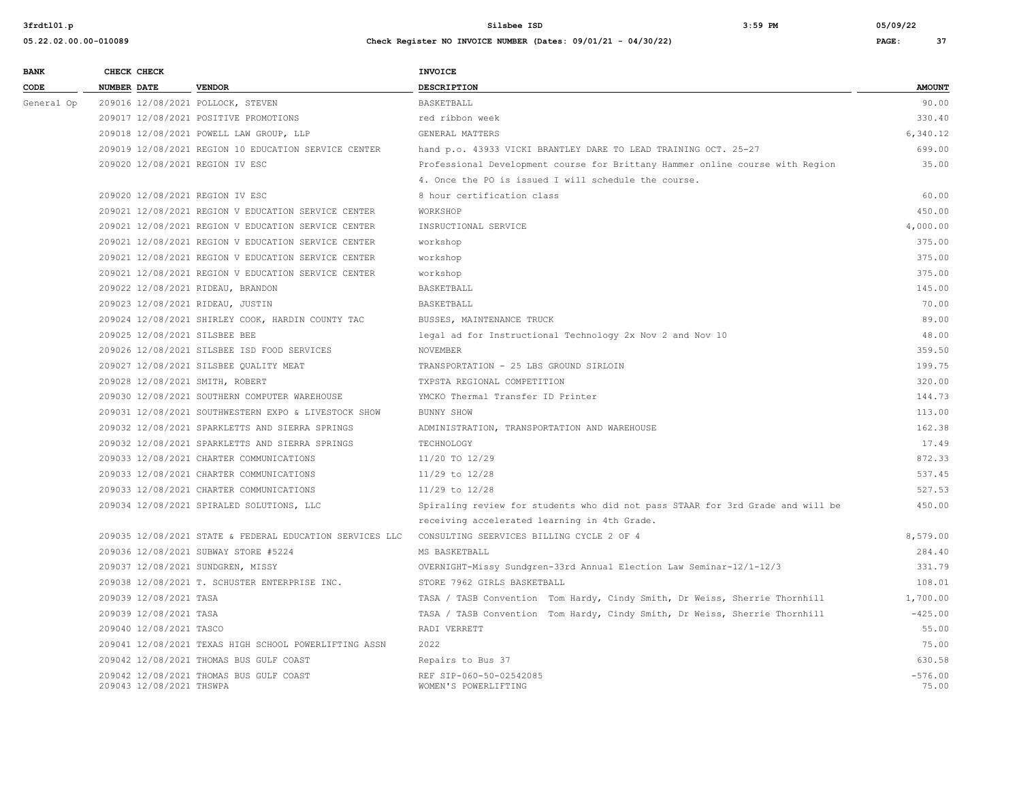| <b>BANK</b> | CHECK CHECK        |                          |                                                          | <b>INVOICE</b>                                                                 |                    |
|-------------|--------------------|--------------------------|----------------------------------------------------------|--------------------------------------------------------------------------------|--------------------|
| CODE        | <b>NUMBER DATE</b> |                          | <b>VENDOR</b>                                            | <b>DESCRIPTION</b>                                                             | <b>AMOUNT</b>      |
| General Op  |                    |                          | 209016 12/08/2021 POLLOCK, STEVEN                        | BASKETBALL                                                                     | 90.00              |
|             |                    |                          | 209017 12/08/2021 POSITIVE PROMOTIONS                    | red ribbon week                                                                | 330.40             |
|             |                    |                          | 209018 12/08/2021 POWELL LAW GROUP, LLP                  | GENERAL MATTERS                                                                | 6,340.12           |
|             |                    |                          | 209019 12/08/2021 REGION 10 EDUCATION SERVICE CENTER     | hand p.o. 43933 VICKI BRANTLEY DARE TO LEAD TRAINING OCT. 25-27                | 699.00             |
|             |                    |                          | 209020 12/08/2021 REGION IV ESC                          | Professional Development course for Brittany Hammer online course with Region  | 35.00              |
|             |                    |                          |                                                          | 4. Once the PO is issued I will schedule the course.                           |                    |
|             |                    |                          | 209020 12/08/2021 REGION IV ESC                          | 8 hour certification class                                                     | 60.00              |
|             |                    |                          | 209021 12/08/2021 REGION V EDUCATION SERVICE CENTER      | WORKSHOP                                                                       | 450.00             |
|             |                    |                          | 209021 12/08/2021 REGION V EDUCATION SERVICE CENTER      | INSRUCTIONAL SERVICE                                                           | 4,000.00           |
|             |                    |                          | 209021 12/08/2021 REGION V EDUCATION SERVICE CENTER      | workshop                                                                       | 375.00             |
|             |                    |                          | 209021 12/08/2021 REGION V EDUCATION SERVICE CENTER      | workshop                                                                       | 375.00             |
|             |                    |                          | 209021 12/08/2021 REGION V EDUCATION SERVICE CENTER      | workshop                                                                       | 375.00             |
|             |                    |                          | 209022 12/08/2021 RIDEAU, BRANDON                        | <b>BASKETBALL</b>                                                              | 145.00             |
|             |                    |                          | 209023 12/08/2021 RIDEAU, JUSTIN                         | BASKETBALL                                                                     | 70.00              |
|             |                    |                          | 209024 12/08/2021 SHIRLEY COOK, HARDIN COUNTY TAC        | BUSSES, MAINTENANCE TRUCK                                                      | 89.00              |
|             |                    |                          | 209025 12/08/2021 SILSBEE BEE                            | legal ad for Instructional Technology 2x Nov 2 and Nov 10                      | 48.00              |
|             |                    |                          | 209026 12/08/2021 SILSBEE ISD FOOD SERVICES              | NOVEMBER                                                                       | 359.50             |
|             |                    |                          | 209027 12/08/2021 SILSBEE QUALITY MEAT                   | TRANSPORTATION - 25 LBS GROUND SIRLOIN                                         | 199.75             |
|             |                    |                          | 209028 12/08/2021 SMITH, ROBERT                          | TXPSTA REGIONAL COMPETITION                                                    | 320.00             |
|             |                    |                          | 209030 12/08/2021 SOUTHERN COMPUTER WAREHOUSE            | YMCKO Thermal Transfer ID Printer                                              | 144.73             |
|             |                    |                          | 209031 12/08/2021 SOUTHWESTERN EXPO & LIVESTOCK SHOW     | BUNNY SHOW                                                                     | 113.00             |
|             |                    |                          | 209032 12/08/2021 SPARKLETTS AND SIERRA SPRINGS          | ADMINISTRATION, TRANSPORTATION AND WAREHOUSE                                   | 162.38             |
|             |                    |                          | 209032 12/08/2021 SPARKLETTS AND SIERRA SPRINGS          | TECHNOLOGY                                                                     | 17.49              |
|             |                    |                          | 209033 12/08/2021 CHARTER COMMUNICATIONS                 | 11/20 TO 12/29                                                                 | 872.33             |
|             |                    |                          | 209033 12/08/2021 CHARTER COMMUNICATIONS                 | $11/29$ to $12/28$                                                             | 537.45             |
|             |                    |                          | 209033 12/08/2021 CHARTER COMMUNICATIONS                 | $11/29$ to $12/28$                                                             | 527.53             |
|             |                    |                          | 209034 12/08/2021 SPIRALED SOLUTIONS, LLC                | Spiraling review for students who did not pass STAAR for 3rd Grade and will be | 450.00             |
|             |                    |                          |                                                          | receiving accelerated learning in 4th Grade.                                   |                    |
|             |                    |                          | 209035 12/08/2021 STATE & FEDERAL EDUCATION SERVICES LLC | CONSULTING SEERVICES BILLING CYCLE 2 OF 4                                      | 8,579.00           |
|             |                    |                          | 209036 12/08/2021 SUBWAY STORE #5224                     | MS BASKETBALL                                                                  | 284.40             |
|             |                    |                          | 209037 12/08/2021 SUNDGREN, MISSY                        | OVERNIGHT-Missy Sundgren-33rd Annual Election Law Seminar-12/1-12/3            | 331.79             |
|             |                    |                          | 209038 12/08/2021 T. SCHUSTER ENTERPRISE INC.            | STORE 7962 GIRLS BASKETBALL                                                    | 108.01             |
|             |                    | 209039 12/08/2021 TASA   |                                                          | TASA / TASB Convention Tom Hardy, Cindy Smith, Dr Weiss, Sherrie Thornhill     | 1,700.00           |
|             |                    | 209039 12/08/2021 TASA   |                                                          | TASA / TASB Convention Tom Hardy, Cindy Smith, Dr Weiss, Sherrie Thornhill     | $-425.00$          |
|             |                    | 209040 12/08/2021 TASCO  |                                                          | RADI VERRETT                                                                   | 55.00              |
|             |                    |                          | 209041 12/08/2021 TEXAS HIGH SCHOOL POWERLIFTING ASSN    | 2022                                                                           | 75.00              |
|             |                    |                          | 209042 12/08/2021 THOMAS BUS GULF COAST                  | Repairs to Bus 37                                                              | 630.58             |
|             |                    | 209043 12/08/2021 THSWPA | 209042 12/08/2021 THOMAS BUS GULF COAST                  | REF SIP-060-50-02542085<br>WOMEN'S POWERLIFTING                                | $-576.00$<br>75.00 |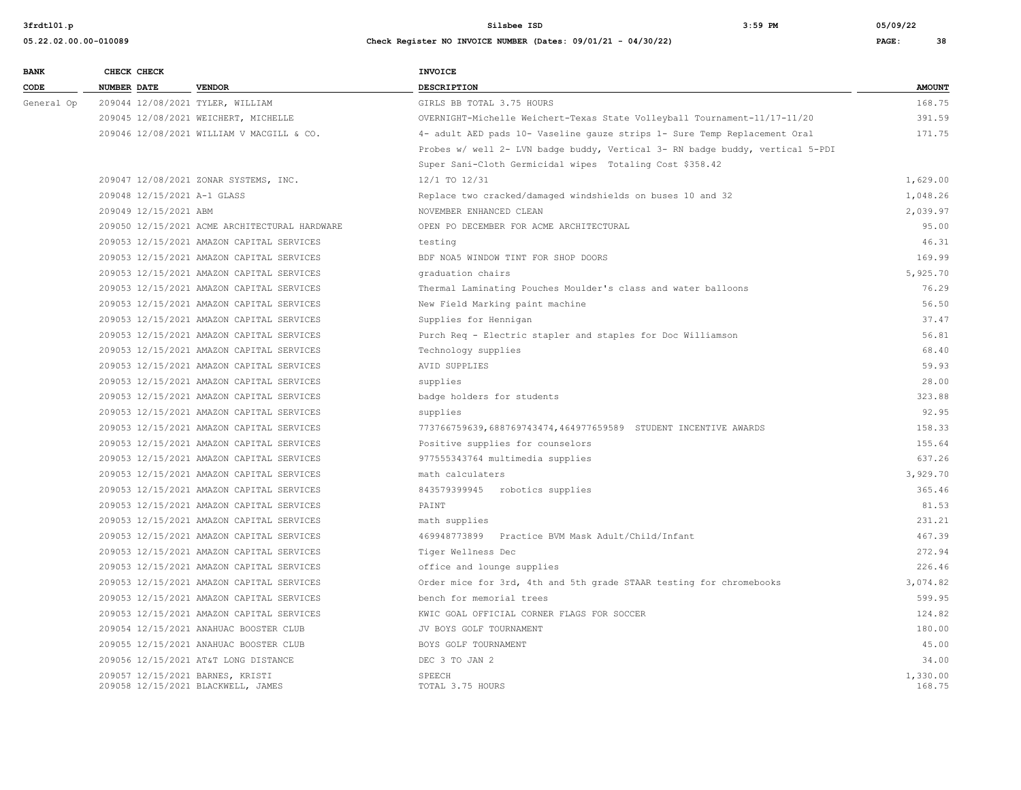**05.22.02.00.00-010089 Check Register NO INVOICE NUMBER (Dates: 09/01/21 - 04/30/22) PAGE: 38**

**BANK CHECK CHECK CHECK CODE NUMBER DATE VENDOR DESCRIPTION AMOUNT** General Op 209044 12/08/2021 TYLER, WILLIAM GIRLS BB TOTAL 3.75 HOURS 168.75 209045 12/08/2021 WEICHERT, MICHELLE OVERNIGHT-Michelle Weichert-Texas State Volleyball Tournament-11/17-11/20 391.59 209046 12/08/2021 WILLIAM V MACGILL & CO. 4- adult AED pads 10- Vaseline gauze strips 1- Sure Temp Replacement Oral 171.75 Probes w/ well 2- LVN badge buddy, Vertical 3- RN badge buddy, vertical 5-PDI Super Sani-Cloth Germicidal wipes Totaling Cost \$358.42 209047 12/08/2021 ZONAR SYSTEMS, INC. 12/1 TO 12/31 1,629.00 209048 12/15/2021 A-1 GLASS Replace two cracked/damaged windshields on buses 10 and 32 1,048.26 209049 12/15/2021 ABM NOVEMBER ENHANCED CLEAN 2,039.97 209050 12/15/2021 ACME ARCHITECTURAL HARDWARE OPEN PO DECEMBER FOR ACME ARCHITECTURAL 95.00 209053 12/15/2021 AMAZON CAPITAL SERVICES testing 46.31 209053 12/15/2021 AMAZON CAPITAL SERVICES BDF NOA5 WINDOW TINT FOR SHOP DOORS 169.99 209053 12/15/2021 AMAZON CAPITAL SERVICES graduation chairs 5,925.70 209053 12/15/2021 AMAZON CAPITAL SERVICES Thermal Laminating Pouches Moulder's class and water balloons 76.29 209053 12/15/2021 AMAZON CAPITAL SERVICES New Field Marking paint machine 56.50 209053 12/15/2021 AMAZON CAPITAL SERVICES Supplies for Hennigan 37.47 209053 12/15/2021 AMAZON CAPITAL SERVICES Purch Req - Electric stapler and staples for Doc Williamson 56.81 209053 12/15/2021 AMAZON CAPITAL SERVICES Technology supplies 68.40 209053 12/15/2021 AMAZON CAPITAL SERVICES AVID SUPPLIES 59.93 209053 12/15/2021 AMAZON CAPITAL SERVICES supplies 28.00 209053 12/15/2021 AMAZON CAPITAL SERVICES badge holders for students 323.88 209053 12/15/2021 AMAZON CAPITAL SERVICES supplies 92.95 209053 12/15/2021 AMAZON CAPITAL SERVICES 773766759639,688769743474,464977659589 STUDENT INCENTIVE AWARDS 158.33 209053 12/15/2021 AMAZON CAPITAL SERVICES Positive supplies for counselors 155.64 209053 12/15/2021 AMAZON CAPITAL SERVICES 977555343764 multimedia supplies 637.26 209053 12/15/2021 AMAZON CAPITAL SERVICES math calculaters 3,929.70 209053 12/15/2021 AMAZON CAPITAL SERVICES 843579399945 robotics supplies 365.46 209053 12/15/2021 AMAZON CAPITAL SERVICES PAINT 81.53 209053 12/15/2021 AMAZON CAPITAL SERVICES math supplies 231.21 209053 12/15/2021 AMAZON CAPITAL SERVICES 469948773899 Practice BVM Mask Adult/Child/Infant 467.39 209053 12/15/2021 AMAZON CAPITAL SERVICES Tiger Wellness Dec 272.94 209053 12/15/2021 AMAZON CAPITAL SERVICES office and lounge supplies 226.46 209053 12/15/2021 AMAZON CAPITAL SERVICES Order mice for 3rd, 4th and 5th grade STAAR testing for chromebooks 3,074.82 209053 12/15/2021 AMAZON CAPITAL SERVICES bench for memorial trees 599.95 209053 12/15/2021 AMAZON CAPITAL SERVICES KWIC GOAL OFFICIAL CORNER FLAGS FOR SOCCER 124.82 209054 12/15/2021 ANAHUAC BOOSTER CLUB JV BOYS GOLF TOURNAMENT 180.00 209055 12/15/2021 ANAHUAC BOOSTER CLUB BOYS GOLF TOURNAMENT 45.00 209056 12/15/2021 AT&T LONG DISTANCE **DEC 3** TO JAN 2 34.00 209057 12/15/2021 BARNES, KRISTI SPEECH 1,330.00 209058 12/15/2021 BLACKWELL, JAMES TOTAL 3.75 HOURS 168.75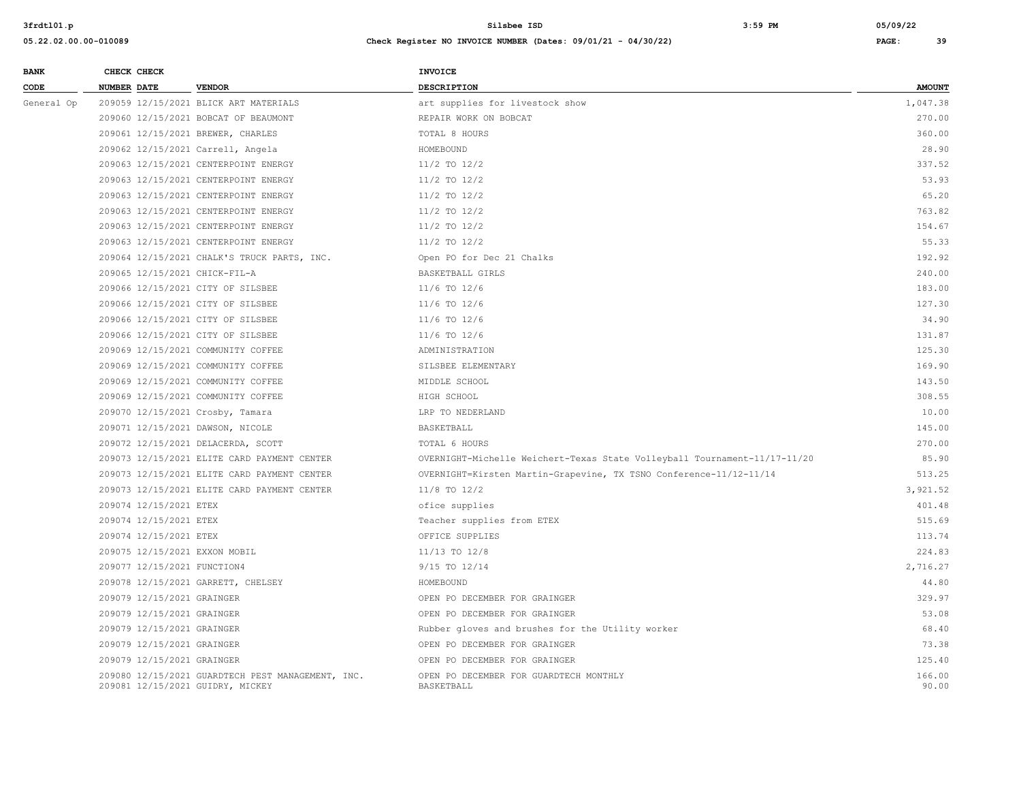| <b>BANK</b> | CHECK CHECK                 |                                                                                       | <b>INVOICE</b>                                                            |                 |
|-------------|-----------------------------|---------------------------------------------------------------------------------------|---------------------------------------------------------------------------|-----------------|
| CODE        | <b>NUMBER DATE</b>          | <b>VENDOR</b>                                                                         | DESCRIPTION                                                               | <b>AMOUNT</b>   |
| General Op  |                             | 209059 12/15/2021 BLICK ART MATERIALS                                                 | art supplies for livestock show                                           | 1,047.38        |
|             |                             | 209060 12/15/2021 BOBCAT OF BEAUMONT                                                  | REPAIR WORK ON BOBCAT                                                     | 270.00          |
|             |                             | 209061 12/15/2021 BREWER, CHARLES                                                     | TOTAL 8 HOURS                                                             | 360.00          |
|             |                             | 209062 12/15/2021 Carrell, Angela                                                     | HOMEBOUND                                                                 | 28.90           |
|             |                             | 209063 12/15/2021 CENTERPOINT ENERGY                                                  | $11/2$ TO $12/2$                                                          | 337.52          |
|             |                             | 209063 12/15/2021 CENTERPOINT ENERGY                                                  | $11/2$ TO $12/2$                                                          | 53.93           |
|             |                             | 209063 12/15/2021 CENTERPOINT ENERGY                                                  | 11/2 TO 12/2                                                              | 65.20           |
|             |                             | 209063 12/15/2021 CENTERPOINT ENERGY                                                  | $11/2$ TO $12/2$                                                          | 763.82          |
|             |                             | 209063 12/15/2021 CENTERPOINT ENERGY                                                  | $11/2$ TO $12/2$                                                          | 154.67          |
|             |                             | 209063 12/15/2021 CENTERPOINT ENERGY                                                  | $11/2$ TO $12/2$                                                          | 55.33           |
|             |                             | 209064 12/15/2021 CHALK'S TRUCK PARTS, INC.                                           | Open PO for Dec 21 Chalks                                                 | 192.92          |
|             |                             | 209065 12/15/2021 CHICK-FIL-A                                                         | BASKETBALL GIRLS                                                          | 240.00          |
|             |                             | 209066 12/15/2021 CITY OF SILSBEE                                                     | 11/6 TO 12/6                                                              | 183.00          |
|             |                             | 209066 12/15/2021 CITY OF SILSBEE                                                     | 11/6 TO 12/6                                                              | 127.30          |
|             |                             | 209066 12/15/2021 CITY OF SILSBEE                                                     | $11/6$ TO $12/6$                                                          | 34.90           |
|             |                             | 209066 12/15/2021 CITY OF SILSBEE                                                     | 11/6 TO 12/6                                                              | 131.87          |
|             |                             | 209069 12/15/2021 COMMUNITY COFFEE                                                    | ADMINISTRATION                                                            | 125.30          |
|             |                             | 209069 12/15/2021 COMMUNITY COFFEE                                                    | SILSBEE ELEMENTARY                                                        | 169.90          |
|             |                             | 209069 12/15/2021 COMMUNITY COFFEE                                                    | MIDDLE SCHOOL                                                             | 143.50          |
|             |                             | 209069 12/15/2021 COMMUNITY COFFEE                                                    | HIGH SCHOOL                                                               | 308.55          |
|             |                             | 209070 12/15/2021 Crosby, Tamara                                                      | LRP TO NEDERLAND                                                          | 10.00           |
|             |                             | 209071 12/15/2021 DAWSON, NICOLE                                                      | BASKETBALL                                                                | 145.00          |
|             |                             | 209072 12/15/2021 DELACERDA, SCOTT                                                    | TOTAL 6 HOURS                                                             | 270.00          |
|             |                             | 209073 12/15/2021 ELITE CARD PAYMENT CENTER                                           | OVERNIGHT-Michelle Weichert-Texas State Volleyball Tournament-11/17-11/20 | 85.90           |
|             |                             | 209073 12/15/2021 ELITE CARD PAYMENT CENTER                                           | OVERNIGHT=Kirsten Martin-Grapevine, TX TSNO Conference-11/12-11/14        | 513.25          |
|             |                             | 209073 12/15/2021 ELITE CARD PAYMENT CENTER                                           | 11/8 TO 12/2                                                              | 3.921.52        |
|             | 209074 12/15/2021 ETEX      |                                                                                       | ofice supplies                                                            | 401.48          |
|             | 209074 12/15/2021 ETEX      |                                                                                       | Teacher supplies from ETEX                                                | 515.69          |
|             | 209074 12/15/2021 ETEX      |                                                                                       | OFFICE SUPPLIES                                                           | 113.74          |
|             |                             | 209075 12/15/2021 EXXON MOBIL                                                         | 11/13 TO 12/8                                                             | 224.83          |
|             | 209077 12/15/2021 FUNCTION4 |                                                                                       | 9/15 TO 12/14                                                             | 2,716.27        |
|             |                             | 209078 12/15/2021 GARRETT, CHELSEY                                                    | HOMEBOUND                                                                 | 44.80           |
|             | 209079 12/15/2021 GRAINGER  |                                                                                       | OPEN PO DECEMBER FOR GRAINGER                                             | 329.97          |
|             | 209079 12/15/2021 GRAINGER  |                                                                                       | OPEN PO DECEMBER FOR GRAINGER                                             | 53.08           |
|             | 209079 12/15/2021 GRAINGER  |                                                                                       | Rubber gloves and brushes for the Utility worker                          | 68.40           |
|             | 209079 12/15/2021 GRAINGER  |                                                                                       | OPEN PO DECEMBER FOR GRAINGER                                             | 73.38           |
|             | 209079 12/15/2021 GRAINGER  |                                                                                       | OPEN PO DECEMBER FOR GRAINGER                                             | 125.40          |
|             |                             | 209080 12/15/2021 GUARDTECH PEST MANAGEMENT, INC.<br>209081 12/15/2021 GUIDRY, MICKEY | OPEN PO DECEMBER FOR GUARDTECH MONTHLY<br>BASKETBALL                      | 166.00<br>90.00 |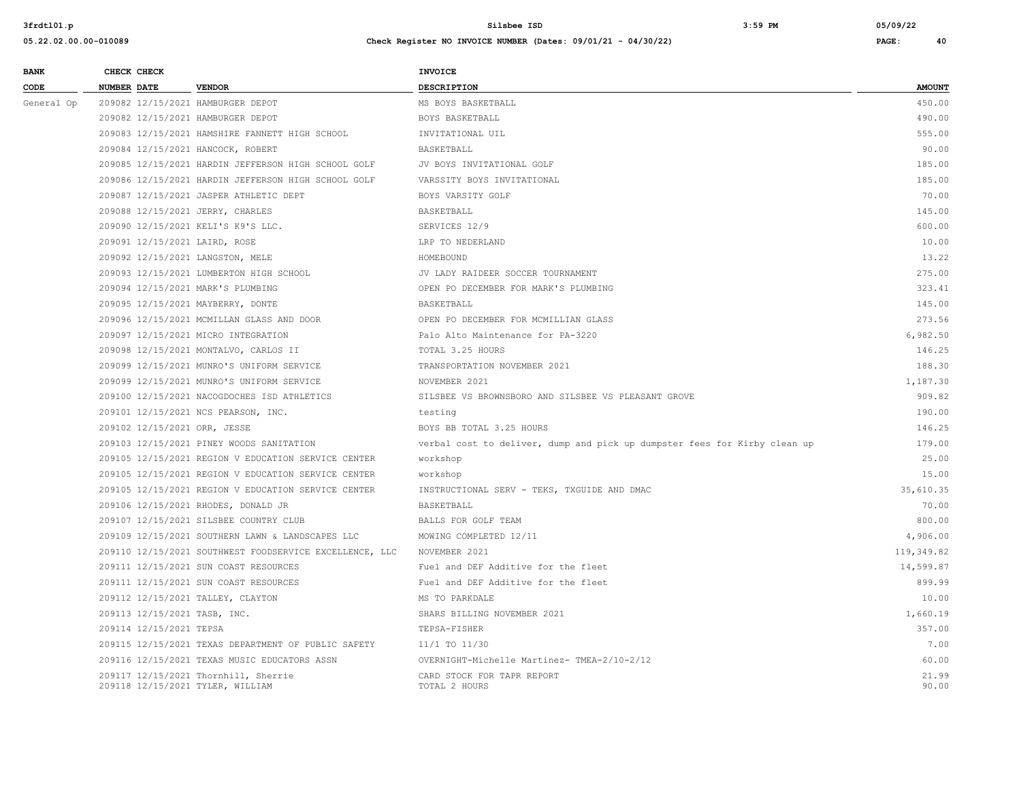| NUMBER DATE<br><b>VENDOR</b><br><b>DESCRIPTION</b><br>CODE<br>209082 12/15/2021 HAMBURGER DEPOT<br>MS BOYS BASKETBALL<br>General Op<br>209082 12/15/2021 HAMBURGER DEPOT<br>BOYS BASKETBALL<br>209083 12/15/2021 HAMSHIRE FANNETT HIGH SCHOOL<br>INVITATIONAL UIL<br>209084 12/15/2021 HANCOCK, ROBERT<br>BASKETBALL<br>209085 12/15/2021 HARDIN JEFFERSON HIGH SCHOOL GOLF<br>JV BOYS INVITATIONAL GOLF<br>209086 12/15/2021 HARDIN JEFFERSON HIGH SCHOOL GOLF<br>VARSSITY BOYS INVITATIONAL<br>209087 12/15/2021 JASPER ATHLETIC DEPT<br>BOYS VARSITY GOLF<br>209088 12/15/2021 JERRY, CHARLES<br>BASKETBALL<br>209090 12/15/2021 KELI'S K9'S LLC.<br>SERVICES 12/9<br>209091 12/15/2021 LAIRD, ROSE<br>LRP TO NEDERLAND<br>209092 12/15/2021 LANGSTON, MELE<br>HOMEBOUND<br>209093 12/15/2021 LUMBERTON HIGH SCHOOL<br>JV LADY RAIDEER SOCCER TOURNAMENT<br>209094 12/15/2021 MARK'S PLUMBING<br>OPEN PO DECEMBER FOR MARK'S PLUMBING<br>209095 12/15/2021 MAYBERRY, DONTE<br>BASKETBALL<br>209096 12/15/2021 MCMILLAN GLASS AND DOOR<br>OPEN PO DECEMBER FOR MCMILLIAN GLASS<br>209097 12/15/2021 MICRO INTEGRATION<br>Palo Alto Maintenance for PA-3220<br>209098 12/15/2021 MONTALVO, CARLOS II<br>TOTAL 3.25 HOURS<br>209099 12/15/2021 MUNRO'S UNIFORM SERVICE<br>TRANSPORTATION NOVEMBER 2021<br>209099 12/15/2021 MUNRO'S UNIFORM SERVICE<br>NOVEMBER 2021<br>209100 12/15/2021 NACOGDOCHES ISD ATHLETICS<br>SILSBEE VS BROWNSBORO AND SILSBEE VS PLEASANT GROVE<br>209101 12/15/2021 NCS PEARSON, INC.<br>testing<br>209102 12/15/2021 ORR, JESSE<br>BOYS BB TOTAL 3.25 HOURS<br>209103 12/15/2021 PINEY WOODS SANITATION<br>verbal cost to deliver, dump and pick up dumpster fees for Kirby clean up<br>209105 12/15/2021 REGION V EDUCATION SERVICE CENTER<br>workshop<br>209105 12/15/2021 REGION V EDUCATION SERVICE CENTER<br>workshop<br>209105 12/15/2021 REGION V EDUCATION SERVICE CENTER<br>INSTRUCTIONAL SERV - TEKS, TXGUIDE AND DMAC<br>209106 12/15/2021 RHODES, DONALD JR<br>BASKETBALL<br>209107 12/15/2021 SILSBEE COUNTRY CLUB<br>BALLS FOR GOLF TEAM<br>209109 12/15/2021 SOUTHERN LAWN & LANDSCAPES LLC<br>MOWING COMPLETED 12/11<br>209110 12/15/2021 SOUTHWEST FOODSERVICE EXCELLENCE, LLC<br>NOVEMBER 2021<br>209111 12/15/2021 SUN COAST RESOURCES<br>Fuel and DEF Additive for the fleet<br>209111 12/15/2021 SUN COAST RESOURCES | <b>BANK</b> | CHECK CHECK |  | <b>INVOICE</b>                      |                |
|------------------------------------------------------------------------------------------------------------------------------------------------------------------------------------------------------------------------------------------------------------------------------------------------------------------------------------------------------------------------------------------------------------------------------------------------------------------------------------------------------------------------------------------------------------------------------------------------------------------------------------------------------------------------------------------------------------------------------------------------------------------------------------------------------------------------------------------------------------------------------------------------------------------------------------------------------------------------------------------------------------------------------------------------------------------------------------------------------------------------------------------------------------------------------------------------------------------------------------------------------------------------------------------------------------------------------------------------------------------------------------------------------------------------------------------------------------------------------------------------------------------------------------------------------------------------------------------------------------------------------------------------------------------------------------------------------------------------------------------------------------------------------------------------------------------------------------------------------------------------------------------------------------------------------------------------------------------------------------------------------------------------------------------------------------------------------------------------------------------------------------------------------------------------------------------------------------------------------------------------------------------------------------------------------------------------------------------------------------------------|-------------|-------------|--|-------------------------------------|----------------|
|                                                                                                                                                                                                                                                                                                                                                                                                                                                                                                                                                                                                                                                                                                                                                                                                                                                                                                                                                                                                                                                                                                                                                                                                                                                                                                                                                                                                                                                                                                                                                                                                                                                                                                                                                                                                                                                                                                                                                                                                                                                                                                                                                                                                                                                                                                                                                                        |             |             |  |                                     | <b>AMOUNT</b>  |
|                                                                                                                                                                                                                                                                                                                                                                                                                                                                                                                                                                                                                                                                                                                                                                                                                                                                                                                                                                                                                                                                                                                                                                                                                                                                                                                                                                                                                                                                                                                                                                                                                                                                                                                                                                                                                                                                                                                                                                                                                                                                                                                                                                                                                                                                                                                                                                        |             |             |  |                                     | 450.00         |
|                                                                                                                                                                                                                                                                                                                                                                                                                                                                                                                                                                                                                                                                                                                                                                                                                                                                                                                                                                                                                                                                                                                                                                                                                                                                                                                                                                                                                                                                                                                                                                                                                                                                                                                                                                                                                                                                                                                                                                                                                                                                                                                                                                                                                                                                                                                                                                        |             |             |  |                                     | 490.00         |
|                                                                                                                                                                                                                                                                                                                                                                                                                                                                                                                                                                                                                                                                                                                                                                                                                                                                                                                                                                                                                                                                                                                                                                                                                                                                                                                                                                                                                                                                                                                                                                                                                                                                                                                                                                                                                                                                                                                                                                                                                                                                                                                                                                                                                                                                                                                                                                        |             |             |  |                                     | 555.00         |
|                                                                                                                                                                                                                                                                                                                                                                                                                                                                                                                                                                                                                                                                                                                                                                                                                                                                                                                                                                                                                                                                                                                                                                                                                                                                                                                                                                                                                                                                                                                                                                                                                                                                                                                                                                                                                                                                                                                                                                                                                                                                                                                                                                                                                                                                                                                                                                        |             |             |  |                                     | 90.00          |
|                                                                                                                                                                                                                                                                                                                                                                                                                                                                                                                                                                                                                                                                                                                                                                                                                                                                                                                                                                                                                                                                                                                                                                                                                                                                                                                                                                                                                                                                                                                                                                                                                                                                                                                                                                                                                                                                                                                                                                                                                                                                                                                                                                                                                                                                                                                                                                        |             |             |  |                                     | 185.00         |
|                                                                                                                                                                                                                                                                                                                                                                                                                                                                                                                                                                                                                                                                                                                                                                                                                                                                                                                                                                                                                                                                                                                                                                                                                                                                                                                                                                                                                                                                                                                                                                                                                                                                                                                                                                                                                                                                                                                                                                                                                                                                                                                                                                                                                                                                                                                                                                        |             |             |  |                                     | 185.00         |
|                                                                                                                                                                                                                                                                                                                                                                                                                                                                                                                                                                                                                                                                                                                                                                                                                                                                                                                                                                                                                                                                                                                                                                                                                                                                                                                                                                                                                                                                                                                                                                                                                                                                                                                                                                                                                                                                                                                                                                                                                                                                                                                                                                                                                                                                                                                                                                        |             |             |  |                                     | 70.00          |
|                                                                                                                                                                                                                                                                                                                                                                                                                                                                                                                                                                                                                                                                                                                                                                                                                                                                                                                                                                                                                                                                                                                                                                                                                                                                                                                                                                                                                                                                                                                                                                                                                                                                                                                                                                                                                                                                                                                                                                                                                                                                                                                                                                                                                                                                                                                                                                        |             |             |  |                                     | 145.00         |
|                                                                                                                                                                                                                                                                                                                                                                                                                                                                                                                                                                                                                                                                                                                                                                                                                                                                                                                                                                                                                                                                                                                                                                                                                                                                                                                                                                                                                                                                                                                                                                                                                                                                                                                                                                                                                                                                                                                                                                                                                                                                                                                                                                                                                                                                                                                                                                        |             |             |  |                                     | 600.00         |
|                                                                                                                                                                                                                                                                                                                                                                                                                                                                                                                                                                                                                                                                                                                                                                                                                                                                                                                                                                                                                                                                                                                                                                                                                                                                                                                                                                                                                                                                                                                                                                                                                                                                                                                                                                                                                                                                                                                                                                                                                                                                                                                                                                                                                                                                                                                                                                        |             |             |  |                                     | 10.00          |
|                                                                                                                                                                                                                                                                                                                                                                                                                                                                                                                                                                                                                                                                                                                                                                                                                                                                                                                                                                                                                                                                                                                                                                                                                                                                                                                                                                                                                                                                                                                                                                                                                                                                                                                                                                                                                                                                                                                                                                                                                                                                                                                                                                                                                                                                                                                                                                        |             |             |  |                                     | 13.22          |
|                                                                                                                                                                                                                                                                                                                                                                                                                                                                                                                                                                                                                                                                                                                                                                                                                                                                                                                                                                                                                                                                                                                                                                                                                                                                                                                                                                                                                                                                                                                                                                                                                                                                                                                                                                                                                                                                                                                                                                                                                                                                                                                                                                                                                                                                                                                                                                        |             |             |  |                                     | 275.00         |
|                                                                                                                                                                                                                                                                                                                                                                                                                                                                                                                                                                                                                                                                                                                                                                                                                                                                                                                                                                                                                                                                                                                                                                                                                                                                                                                                                                                                                                                                                                                                                                                                                                                                                                                                                                                                                                                                                                                                                                                                                                                                                                                                                                                                                                                                                                                                                                        |             |             |  |                                     | 323.41         |
|                                                                                                                                                                                                                                                                                                                                                                                                                                                                                                                                                                                                                                                                                                                                                                                                                                                                                                                                                                                                                                                                                                                                                                                                                                                                                                                                                                                                                                                                                                                                                                                                                                                                                                                                                                                                                                                                                                                                                                                                                                                                                                                                                                                                                                                                                                                                                                        |             |             |  |                                     | 145.00         |
|                                                                                                                                                                                                                                                                                                                                                                                                                                                                                                                                                                                                                                                                                                                                                                                                                                                                                                                                                                                                                                                                                                                                                                                                                                                                                                                                                                                                                                                                                                                                                                                                                                                                                                                                                                                                                                                                                                                                                                                                                                                                                                                                                                                                                                                                                                                                                                        |             |             |  |                                     | 273.56         |
|                                                                                                                                                                                                                                                                                                                                                                                                                                                                                                                                                                                                                                                                                                                                                                                                                                                                                                                                                                                                                                                                                                                                                                                                                                                                                                                                                                                                                                                                                                                                                                                                                                                                                                                                                                                                                                                                                                                                                                                                                                                                                                                                                                                                                                                                                                                                                                        |             |             |  |                                     | 6,982.50       |
|                                                                                                                                                                                                                                                                                                                                                                                                                                                                                                                                                                                                                                                                                                                                                                                                                                                                                                                                                                                                                                                                                                                                                                                                                                                                                                                                                                                                                                                                                                                                                                                                                                                                                                                                                                                                                                                                                                                                                                                                                                                                                                                                                                                                                                                                                                                                                                        |             |             |  |                                     | 146.25         |
|                                                                                                                                                                                                                                                                                                                                                                                                                                                                                                                                                                                                                                                                                                                                                                                                                                                                                                                                                                                                                                                                                                                                                                                                                                                                                                                                                                                                                                                                                                                                                                                                                                                                                                                                                                                                                                                                                                                                                                                                                                                                                                                                                                                                                                                                                                                                                                        |             |             |  |                                     | 188.30         |
|                                                                                                                                                                                                                                                                                                                                                                                                                                                                                                                                                                                                                                                                                                                                                                                                                                                                                                                                                                                                                                                                                                                                                                                                                                                                                                                                                                                                                                                                                                                                                                                                                                                                                                                                                                                                                                                                                                                                                                                                                                                                                                                                                                                                                                                                                                                                                                        |             |             |  |                                     | 1,187.30       |
|                                                                                                                                                                                                                                                                                                                                                                                                                                                                                                                                                                                                                                                                                                                                                                                                                                                                                                                                                                                                                                                                                                                                                                                                                                                                                                                                                                                                                                                                                                                                                                                                                                                                                                                                                                                                                                                                                                                                                                                                                                                                                                                                                                                                                                                                                                                                                                        |             |             |  |                                     | 909.82         |
|                                                                                                                                                                                                                                                                                                                                                                                                                                                                                                                                                                                                                                                                                                                                                                                                                                                                                                                                                                                                                                                                                                                                                                                                                                                                                                                                                                                                                                                                                                                                                                                                                                                                                                                                                                                                                                                                                                                                                                                                                                                                                                                                                                                                                                                                                                                                                                        |             |             |  |                                     | 190.00         |
|                                                                                                                                                                                                                                                                                                                                                                                                                                                                                                                                                                                                                                                                                                                                                                                                                                                                                                                                                                                                                                                                                                                                                                                                                                                                                                                                                                                                                                                                                                                                                                                                                                                                                                                                                                                                                                                                                                                                                                                                                                                                                                                                                                                                                                                                                                                                                                        |             |             |  |                                     | 146.25         |
|                                                                                                                                                                                                                                                                                                                                                                                                                                                                                                                                                                                                                                                                                                                                                                                                                                                                                                                                                                                                                                                                                                                                                                                                                                                                                                                                                                                                                                                                                                                                                                                                                                                                                                                                                                                                                                                                                                                                                                                                                                                                                                                                                                                                                                                                                                                                                                        |             |             |  |                                     | 179.00         |
|                                                                                                                                                                                                                                                                                                                                                                                                                                                                                                                                                                                                                                                                                                                                                                                                                                                                                                                                                                                                                                                                                                                                                                                                                                                                                                                                                                                                                                                                                                                                                                                                                                                                                                                                                                                                                                                                                                                                                                                                                                                                                                                                                                                                                                                                                                                                                                        |             |             |  |                                     | 25.00          |
|                                                                                                                                                                                                                                                                                                                                                                                                                                                                                                                                                                                                                                                                                                                                                                                                                                                                                                                                                                                                                                                                                                                                                                                                                                                                                                                                                                                                                                                                                                                                                                                                                                                                                                                                                                                                                                                                                                                                                                                                                                                                                                                                                                                                                                                                                                                                                                        |             |             |  |                                     | 15.00          |
|                                                                                                                                                                                                                                                                                                                                                                                                                                                                                                                                                                                                                                                                                                                                                                                                                                                                                                                                                                                                                                                                                                                                                                                                                                                                                                                                                                                                                                                                                                                                                                                                                                                                                                                                                                                                                                                                                                                                                                                                                                                                                                                                                                                                                                                                                                                                                                        |             |             |  |                                     | 35,610.35      |
|                                                                                                                                                                                                                                                                                                                                                                                                                                                                                                                                                                                                                                                                                                                                                                                                                                                                                                                                                                                                                                                                                                                                                                                                                                                                                                                                                                                                                                                                                                                                                                                                                                                                                                                                                                                                                                                                                                                                                                                                                                                                                                                                                                                                                                                                                                                                                                        |             |             |  |                                     | 70.00          |
|                                                                                                                                                                                                                                                                                                                                                                                                                                                                                                                                                                                                                                                                                                                                                                                                                                                                                                                                                                                                                                                                                                                                                                                                                                                                                                                                                                                                                                                                                                                                                                                                                                                                                                                                                                                                                                                                                                                                                                                                                                                                                                                                                                                                                                                                                                                                                                        |             |             |  |                                     | 800.00         |
|                                                                                                                                                                                                                                                                                                                                                                                                                                                                                                                                                                                                                                                                                                                                                                                                                                                                                                                                                                                                                                                                                                                                                                                                                                                                                                                                                                                                                                                                                                                                                                                                                                                                                                                                                                                                                                                                                                                                                                                                                                                                                                                                                                                                                                                                                                                                                                        |             |             |  |                                     | 4,906.00       |
|                                                                                                                                                                                                                                                                                                                                                                                                                                                                                                                                                                                                                                                                                                                                                                                                                                                                                                                                                                                                                                                                                                                                                                                                                                                                                                                                                                                                                                                                                                                                                                                                                                                                                                                                                                                                                                                                                                                                                                                                                                                                                                                                                                                                                                                                                                                                                                        |             |             |  |                                     | 119,349.82     |
|                                                                                                                                                                                                                                                                                                                                                                                                                                                                                                                                                                                                                                                                                                                                                                                                                                                                                                                                                                                                                                                                                                                                                                                                                                                                                                                                                                                                                                                                                                                                                                                                                                                                                                                                                                                                                                                                                                                                                                                                                                                                                                                                                                                                                                                                                                                                                                        |             |             |  |                                     | 14,599.87      |
|                                                                                                                                                                                                                                                                                                                                                                                                                                                                                                                                                                                                                                                                                                                                                                                                                                                                                                                                                                                                                                                                                                                                                                                                                                                                                                                                                                                                                                                                                                                                                                                                                                                                                                                                                                                                                                                                                                                                                                                                                                                                                                                                                                                                                                                                                                                                                                        |             |             |  | Fuel and DEF Additive for the fleet | 899.99         |
| 209112 12/15/2021 TALLEY, CLAYTON<br>MS TO PARKDALE                                                                                                                                                                                                                                                                                                                                                                                                                                                                                                                                                                                                                                                                                                                                                                                                                                                                                                                                                                                                                                                                                                                                                                                                                                                                                                                                                                                                                                                                                                                                                                                                                                                                                                                                                                                                                                                                                                                                                                                                                                                                                                                                                                                                                                                                                                                    |             |             |  |                                     | 10.00          |
| 209113 12/15/2021 TASB, INC.<br>SHARS BILLING NOVEMBER 2021                                                                                                                                                                                                                                                                                                                                                                                                                                                                                                                                                                                                                                                                                                                                                                                                                                                                                                                                                                                                                                                                                                                                                                                                                                                                                                                                                                                                                                                                                                                                                                                                                                                                                                                                                                                                                                                                                                                                                                                                                                                                                                                                                                                                                                                                                                            |             |             |  |                                     | 1,660.19       |
| 209114 12/15/2021 TEPSA<br>TEPSA-FISHER                                                                                                                                                                                                                                                                                                                                                                                                                                                                                                                                                                                                                                                                                                                                                                                                                                                                                                                                                                                                                                                                                                                                                                                                                                                                                                                                                                                                                                                                                                                                                                                                                                                                                                                                                                                                                                                                                                                                                                                                                                                                                                                                                                                                                                                                                                                                |             |             |  |                                     | 357.00         |
| 209115 12/15/2021 TEXAS DEPARTMENT OF PUBLIC SAFETY<br>11/1 TO 11/30                                                                                                                                                                                                                                                                                                                                                                                                                                                                                                                                                                                                                                                                                                                                                                                                                                                                                                                                                                                                                                                                                                                                                                                                                                                                                                                                                                                                                                                                                                                                                                                                                                                                                                                                                                                                                                                                                                                                                                                                                                                                                                                                                                                                                                                                                                   |             |             |  |                                     | 7.00           |
| 209116 12/15/2021 TEXAS MUSIC EDUCATORS ASSN<br>OVERNIGHT-Michelle Martinez- TMEA-2/10-2/12                                                                                                                                                                                                                                                                                                                                                                                                                                                                                                                                                                                                                                                                                                                                                                                                                                                                                                                                                                                                                                                                                                                                                                                                                                                                                                                                                                                                                                                                                                                                                                                                                                                                                                                                                                                                                                                                                                                                                                                                                                                                                                                                                                                                                                                                            |             |             |  |                                     | 60.00          |
| 209117 12/15/2021 Thornhill, Sherrie<br>CARD STOCK FOR TAPR REPORT<br>209118 12/15/2021 TYLER, WILLIAM<br>TOTAL 2 HOURS                                                                                                                                                                                                                                                                                                                                                                                                                                                                                                                                                                                                                                                                                                                                                                                                                                                                                                                                                                                                                                                                                                                                                                                                                                                                                                                                                                                                                                                                                                                                                                                                                                                                                                                                                                                                                                                                                                                                                                                                                                                                                                                                                                                                                                                |             |             |  |                                     | 21.99<br>90.00 |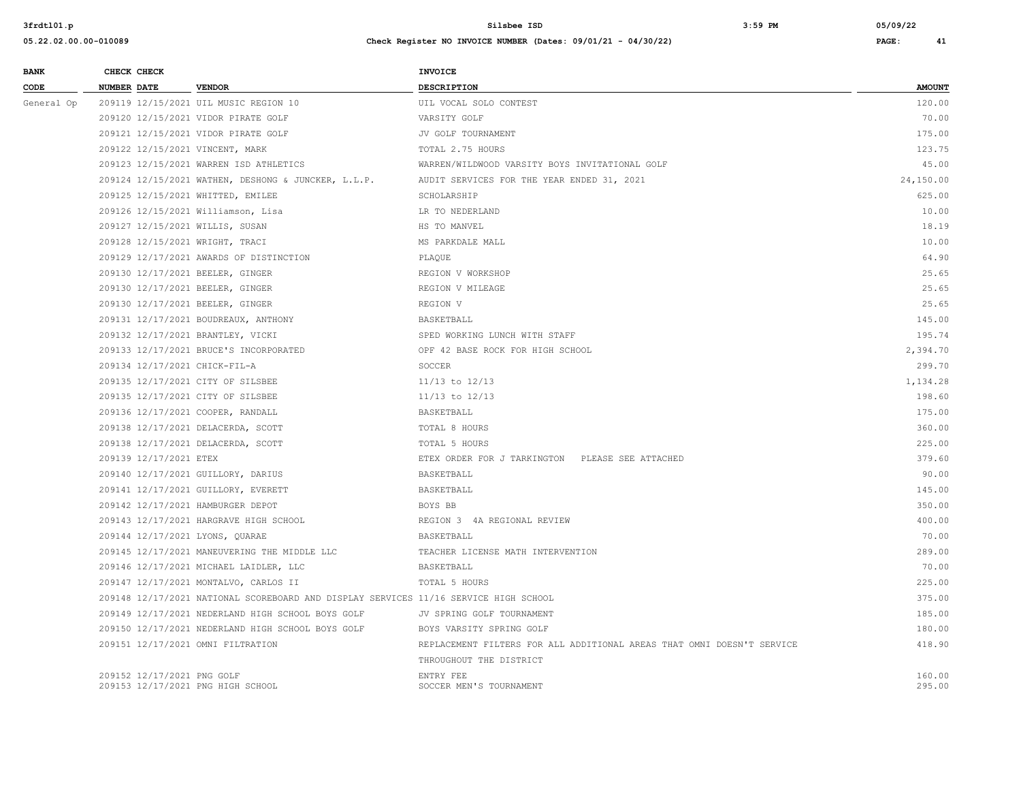| <b>BANK</b> | CHECK CHECK                       |                                                                                      | <b>INVOICE</b>                                                         |               |
|-------------|-----------------------------------|--------------------------------------------------------------------------------------|------------------------------------------------------------------------|---------------|
| CODE        | <b>NUMBER DATE</b>                | <b>VENDOR</b>                                                                        | <b>DESCRIPTION</b>                                                     | <b>AMOUNT</b> |
| General Op  |                                   | 209119 12/15/2021 UIL MUSIC REGION 10                                                | UIL VOCAL SOLO CONTEST                                                 | 120.00        |
|             |                                   | 209120 12/15/2021 VIDOR PIRATE GOLF                                                  | VARSITY GOLF                                                           | 70.00         |
|             |                                   | 209121 12/15/2021 VIDOR PIRATE GOLF                                                  | JV GOLF TOURNAMENT                                                     | 175.00        |
|             | 209122 12/15/2021 VINCENT, MARK   |                                                                                      | TOTAL 2.75 HOURS                                                       | 123.75        |
|             |                                   | 209123 12/15/2021 WARREN ISD ATHLETICS                                               | WARREN/WILDWOOD VARSITY BOYS INVITATIONAL GOLF                         | 45.00         |
|             |                                   | 209124 12/15/2021 WATHEN, DESHONG & JUNCKER, L.L.P.                                  | AUDIT SERVICES FOR THE YEAR ENDED 31, 2021                             | 24,150.00     |
|             | 209125 12/15/2021 WHITTED, EMILEE |                                                                                      | SCHOLARSHIP                                                            | 625.00        |
|             |                                   | 209126 12/15/2021 Williamson, Lisa                                                   | LR TO NEDERLAND                                                        | 10.00         |
|             | 209127 12/15/2021 WILLIS, SUSAN   |                                                                                      | HS TO MANVEL                                                           | 18.19         |
|             | 209128 12/15/2021 WRIGHT, TRACI   |                                                                                      | MS PARKDALE MALL                                                       | 10.00         |
|             |                                   | 209129 12/17/2021 AWARDS OF DISTINCTION                                              | PLAQUE                                                                 | 64.90         |
|             | 209130 12/17/2021 BEELER, GINGER  |                                                                                      | REGION V WORKSHOP                                                      | 25.65         |
|             | 209130 12/17/2021 BEELER, GINGER  |                                                                                      | REGION V MILEAGE                                                       | 25.65         |
|             | 209130 12/17/2021 BEELER, GINGER  |                                                                                      | REGION V                                                               | 25.65         |
|             |                                   | 209131 12/17/2021 BOUDREAUX, ANTHONY                                                 | BASKETBALL                                                             | 145.00        |
|             | 209132 12/17/2021 BRANTLEY, VICKI |                                                                                      | SPED WORKING LUNCH WITH STAFF                                          | 195.74        |
|             |                                   | 209133 12/17/2021 BRUCE'S INCORPORATED                                               | OPF 42 BASE ROCK FOR HIGH SCHOOL                                       | 2,394.70      |
|             | 209134 12/17/2021 CHICK-FIL-A     |                                                                                      | SOCCER                                                                 | 299.70        |
|             | 209135 12/17/2021 CITY OF SILSBEE |                                                                                      | $11/13$ to $12/13$                                                     | 1,134.28      |
|             | 209135 12/17/2021 CITY OF SILSBEE |                                                                                      | $11/13$ to $12/13$                                                     | 198.60        |
|             | 209136 12/17/2021 COOPER, RANDALL |                                                                                      | BASKETBALL                                                             | 175.00        |
|             |                                   | 209138 12/17/2021 DELACERDA, SCOTT                                                   | TOTAL 8 HOURS                                                          | 360.00        |
|             |                                   | 209138 12/17/2021 DELACERDA, SCOTT                                                   | TOTAL 5 HOURS                                                          | 225.00        |
|             | 209139 12/17/2021 ETEX            |                                                                                      | ETEX ORDER FOR J TARKINGTON PLEASE SEE ATTACHED                        | 379.60        |
|             |                                   | 209140 12/17/2021 GUILLORY, DARIUS                                                   | BASKETBALL                                                             | 90.00         |
|             |                                   | 209141 12/17/2021 GUILLORY, EVERETT                                                  | BASKETBALL                                                             | 145.00        |
|             | 209142 12/17/2021 HAMBURGER DEPOT |                                                                                      | BOYS BB                                                                | 350.00        |
|             |                                   | 209143 12/17/2021 HARGRAVE HIGH SCHOOL                                               | REGION 3 4A REGIONAL REVIEW                                            | 400.00        |
|             | 209144 12/17/2021 LYONS, QUARAE   |                                                                                      | BASKETBALL                                                             | 70.00         |
|             |                                   | 209145 12/17/2021 MANEUVERING THE MIDDLE LLC                                         | TEACHER LICENSE MATH INTERVENTION                                      | 289.00        |
|             |                                   | 209146 12/17/2021 MICHAEL LAIDLER, LLC                                               | BASKETBALL                                                             | 70.00         |
|             |                                   | 209147 12/17/2021 MONTALVO, CARLOS II                                                | TOTAL 5 HOURS                                                          | 225.00        |
|             |                                   | 209148 12/17/2021 NATIONAL SCOREBOARD AND DISPLAY SERVICES 11/16 SERVICE HIGH SCHOOL |                                                                        | 375.00        |
|             |                                   | 209149 12/17/2021 NEDERLAND HIGH SCHOOL BOYS GOLF                                    | JV SPRING GOLF TOURNAMENT                                              | 185.00        |
|             |                                   | 209150 12/17/2021 NEDERLAND HIGH SCHOOL BOYS GOLF                                    | BOYS VARSITY SPRING GOLF                                               | 180.00        |
|             | 209151 12/17/2021 OMNI FILTRATION |                                                                                      | REPLACEMENT FILTERS FOR ALL ADDITIONAL AREAS THAT OMNI DOESN'T SERVICE | 418.90        |
|             |                                   |                                                                                      | THROUGHOUT THE DISTRICT                                                |               |
|             | 209152 12/17/2021 PNG GOLF        |                                                                                      | ENTRY FEE                                                              | 160.00        |
|             | 209153 12/17/2021 PNG HIGH SCHOOL |                                                                                      | SOCCER MEN'S TOURNAMENT                                                | 295.00        |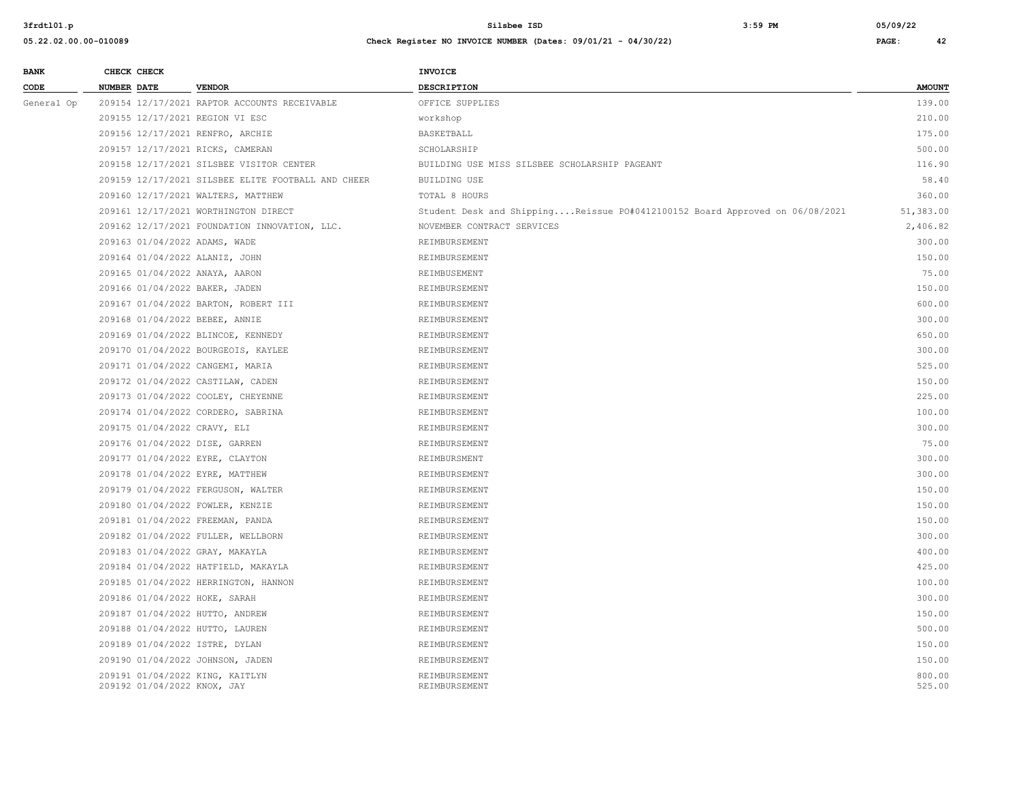| <b>BANK</b> |                    | CHECK CHECK                 |                                                    | INVOICE                                                                     |                  |
|-------------|--------------------|-----------------------------|----------------------------------------------------|-----------------------------------------------------------------------------|------------------|
| CODE        | <b>NUMBER DATE</b> |                             | <b>VENDOR</b>                                      | DESCRIPTION                                                                 | <b>AMOUNT</b>    |
| General Op  |                    |                             | 209154 12/17/2021 RAPTOR ACCOUNTS RECEIVABLE       | OFFICE SUPPLIES                                                             | 139.00           |
|             |                    |                             | 209155 12/17/2021 REGION VI ESC                    | workshop                                                                    | 210.00           |
|             |                    |                             | 209156 12/17/2021 RENFRO, ARCHIE                   | BASKETBALL                                                                  | 175.00           |
|             |                    |                             | 209157 12/17/2021 RICKS, CAMERAN                   | SCHOLARSHIP                                                                 | 500.00           |
|             |                    |                             | 209158 12/17/2021 SILSBEE VISITOR CENTER           | BUILDING USE MISS SILSBEE SCHOLARSHIP PAGEANT                               | 116.90           |
|             |                    |                             | 209159 12/17/2021 SILSBEE ELITE FOOTBALL AND CHEER | BUILDING USE                                                                | 58.40            |
|             |                    |                             | 209160 12/17/2021 WALTERS, MATTHEW                 | TOTAL 8 HOURS                                                               | 360.00           |
|             |                    |                             | 209161 12/17/2021 WORTHINGTON DIRECT               | Student Desk and ShippingReissue PO#0412100152 Board Approved on 06/08/2021 | 51,383.00        |
|             |                    |                             | 209162 12/17/2021 FOUNDATION INNOVATION, LLC.      | NOVEMBER CONTRACT SERVICES                                                  | 2,406.82         |
|             |                    |                             | 209163 01/04/2022 ADAMS, WADE                      | REIMBURSEMENT                                                               | 300.00           |
|             |                    |                             | 209164 01/04/2022 ALANIZ, JOHN                     | REIMBURSEMENT                                                               | 150.00           |
|             |                    |                             | 209165 01/04/2022 ANAYA, AARON                     | REIMBUSEMENT                                                                | 75.00            |
|             |                    |                             | 209166 01/04/2022 BAKER, JADEN                     | REIMBURSEMENT                                                               | 150.00           |
|             |                    |                             | 209167 01/04/2022 BARTON, ROBERT III               | REIMBURSEMENT                                                               | 600.00           |
|             |                    |                             | 209168 01/04/2022 BEBEE, ANNIE                     | REIMBURSEMENT                                                               | 300.00           |
|             |                    |                             | 209169 01/04/2022 BLINCOE, KENNEDY                 | REIMBURSEMENT                                                               | 650.00           |
|             |                    |                             | 209170 01/04/2022 BOURGEOIS, KAYLEE                | REIMBURSEMENT                                                               | 300.00           |
|             |                    |                             | 209171 01/04/2022 CANGEMI, MARIA                   | REIMBURSEMENT                                                               | 525.00           |
|             |                    |                             | 209172 01/04/2022 CASTILAW, CADEN                  | REIMBURSEMENT                                                               | 150.00           |
|             |                    |                             | 209173 01/04/2022 COOLEY, CHEYENNE                 | REIMBURSEMENT                                                               | 225.00           |
|             |                    |                             | 209174 01/04/2022 CORDERO, SABRINA                 | REIMBURSEMENT                                                               | 100.00           |
|             |                    |                             | 209175 01/04/2022 CRAVY, ELI                       | REIMBURSEMENT                                                               | 300.00           |
|             |                    |                             | 209176 01/04/2022 DISE, GARREN                     | REIMBURSEMENT                                                               | 75.00            |
|             |                    |                             | 209177 01/04/2022 EYRE, CLAYTON                    | REIMBURSMENT                                                                | 300.00           |
|             |                    |                             | 209178 01/04/2022 EYRE, MATTHEW                    | REIMBURSEMENT                                                               | 300.00           |
|             |                    |                             | 209179 01/04/2022 FERGUSON, WALTER                 | REIMBURSEMENT                                                               | 150.00           |
|             |                    |                             | 209180 01/04/2022 FOWLER, KENZIE                   | REIMBURSEMENT                                                               | 150.00           |
|             |                    |                             | 209181 01/04/2022 FREEMAN, PANDA                   | REIMBURSEMENT                                                               | 150.00           |
|             |                    |                             | 209182 01/04/2022 FULLER, WELLBORN                 | REIMBURSEMENT                                                               | 300.00           |
|             |                    |                             | 209183 01/04/2022 GRAY, MAKAYLA                    | REIMBURSEMENT                                                               | 400.00           |
|             |                    |                             | 209184 01/04/2022 HATFIELD, MAKAYLA                | REIMBURSEMENT                                                               | 425.00           |
|             |                    |                             | 209185 01/04/2022 HERRINGTON, HANNON               | REIMBURSEMENT                                                               | 100.00           |
|             |                    |                             | 209186 01/04/2022 HOKE, SARAH                      | REIMBURSEMENT                                                               | 300.00           |
|             |                    |                             | 209187 01/04/2022 HUTTO, ANDREW                    | REIMBURSEMENT                                                               | 150.00           |
|             |                    |                             | 209188 01/04/2022 HUTTO, LAUREN                    | REIMBURSEMENT                                                               | 500.00           |
|             |                    |                             | 209189 01/04/2022 ISTRE, DYLAN                     | REIMBURSEMENT                                                               | 150.00           |
|             |                    |                             | 209190 01/04/2022 JOHNSON, JADEN                   | REIMBURSEMENT                                                               | 150.00           |
|             |                    | 209192 01/04/2022 KNOX, JAY | 209191 01/04/2022 KING, KAITLYN                    | REIMBURSEMENT<br>REIMBURSEMENT                                              | 800.00<br>525.00 |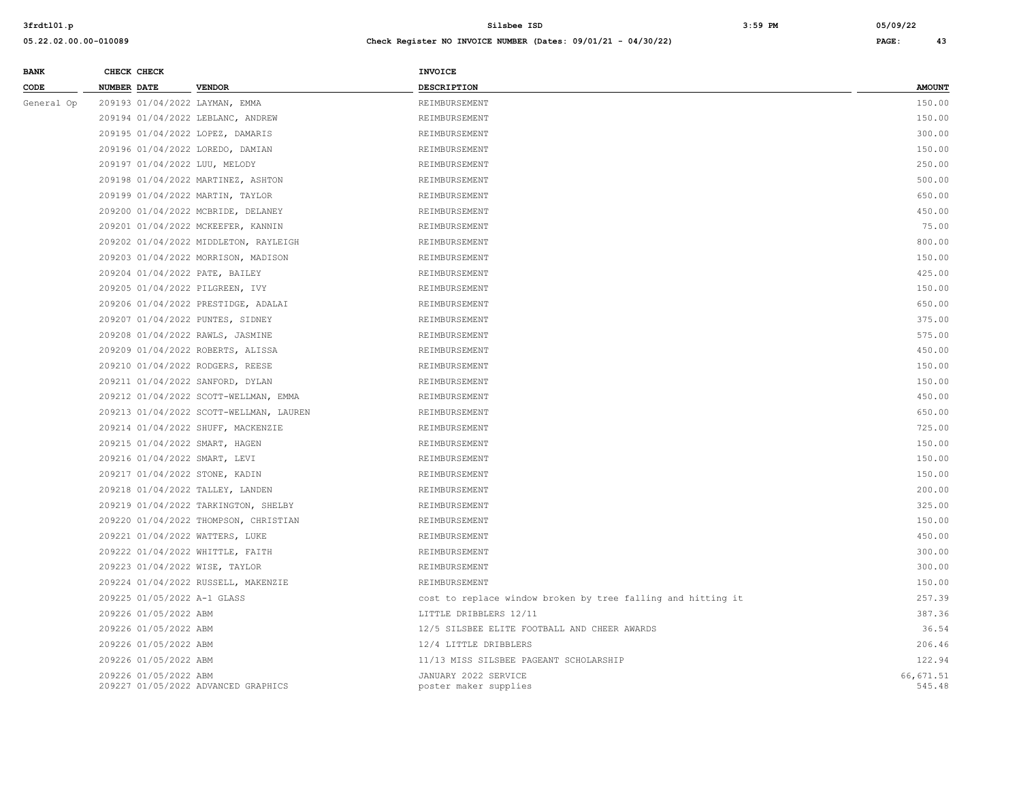| <b>BANK</b> |             | CHECK CHECK                 |                                         | <b>INVOICE</b>                                               |                     |
|-------------|-------------|-----------------------------|-----------------------------------------|--------------------------------------------------------------|---------------------|
| CODE        | NUMBER DATE |                             | <b>VENDOR</b>                           | DESCRIPTION                                                  | <b>AMOUNT</b>       |
| General Op  |             |                             | 209193 01/04/2022 LAYMAN, EMMA          | REIMBURSEMENT                                                | 150.00              |
|             |             |                             | 209194 01/04/2022 LEBLANC, ANDREW       | REIMBURSEMENT                                                | 150.00              |
|             |             |                             | 209195 01/04/2022 LOPEZ, DAMARIS        | REIMBURSEMENT                                                | 300.00              |
|             |             |                             | 209196 01/04/2022 LOREDO, DAMIAN        | REIMBURSEMENT                                                | 150.00              |
|             |             |                             | 209197 01/04/2022 LUU, MELODY           | REIMBURSEMENT                                                | 250.00              |
|             |             |                             | 209198 01/04/2022 MARTINEZ, ASHTON      | REIMBURSEMENT                                                | 500.00              |
|             |             |                             | 209199 01/04/2022 MARTIN, TAYLOR        | REIMBURSEMENT                                                | 650.00              |
|             |             |                             | 209200 01/04/2022 MCBRIDE, DELANEY      | REIMBURSEMENT                                                | 450.00              |
|             |             |                             | 209201 01/04/2022 MCKEEFER, KANNIN      | REIMBURSEMENT                                                | 75.00               |
|             |             |                             | 209202 01/04/2022 MIDDLETON, RAYLEIGH   | REIMBURSEMENT                                                | 800.00              |
|             |             |                             | 209203 01/04/2022 MORRISON, MADISON     | REIMBURSEMENT                                                | 150.00              |
|             |             |                             | 209204 01/04/2022 PATE, BAILEY          | REIMBURSEMENT                                                | 425.00              |
|             |             |                             | 209205 01/04/2022 PILGREEN, IVY         | REIMBURSEMENT                                                | 150.00              |
|             |             |                             | 209206 01/04/2022 PRESTIDGE, ADALAI     | REIMBURSEMENT                                                | 650.00              |
|             |             |                             | 209207 01/04/2022 PUNTES, SIDNEY        | REIMBURSEMENT                                                | 375.00              |
|             |             |                             | 209208 01/04/2022 RAWLS, JASMINE        | REIMBURSEMENT                                                | 575.00              |
|             |             |                             | 209209 01/04/2022 ROBERTS, ALISSA       | REIMBURSEMENT                                                | 450.00              |
|             |             |                             | 209210 01/04/2022 RODGERS, REESE        | REIMBURSEMENT                                                | 150.00              |
|             |             |                             | 209211 01/04/2022 SANFORD, DYLAN        | REIMBURSEMENT                                                | 150.00              |
|             |             |                             | 209212 01/04/2022 SCOTT-WELLMAN, EMMA   | REIMBURSEMENT                                                | 450.00              |
|             |             |                             | 209213 01/04/2022 SCOTT-WELLMAN, LAUREN | REIMBURSEMENT                                                | 650.00              |
|             |             |                             | 209214 01/04/2022 SHUFF, MACKENZIE      | REIMBURSEMENT                                                | 725.00              |
|             |             |                             | 209215 01/04/2022 SMART, HAGEN          | REIMBURSEMENT                                                | 150.00              |
|             |             |                             | 209216 01/04/2022 SMART, LEVI           | REIMBURSEMENT                                                | 150.00              |
|             |             |                             | 209217 01/04/2022 STONE, KADIN          | REIMBURSEMENT                                                | 150.00              |
|             |             |                             | 209218 01/04/2022 TALLEY, LANDEN        | REIMBURSEMENT                                                | 200.00              |
|             |             |                             | 209219 01/04/2022 TARKINGTON, SHELBY    | REIMBURSEMENT                                                | 325.00              |
|             |             |                             | 209220 01/04/2022 THOMPSON, CHRISTIAN   | REIMBURSEMENT                                                | 150.00              |
|             |             |                             | 209221 01/04/2022 WATTERS, LUKE         | REIMBURSEMENT                                                | 450.00              |
|             |             |                             | 209222 01/04/2022 WHITTLE, FAITH        | REIMBURSEMENT                                                | 300.00              |
|             |             |                             | 209223 01/04/2022 WISE, TAYLOR          | REIMBURSEMENT                                                | 300.00              |
|             |             |                             | 209224 01/04/2022 RUSSELL, MAKENZIE     | REIMBURSEMENT                                                | 150.00              |
|             |             | 209225 01/05/2022 A-1 GLASS |                                         | cost to replace window broken by tree falling and hitting it | 257.39              |
|             |             | 209226 01/05/2022 ABM       |                                         | LITTLE DRIBBLERS 12/11                                       | 387.36              |
|             |             | 209226 01/05/2022 ABM       |                                         | 12/5 SILSBEE ELITE FOOTBALL AND CHEER AWARDS                 | 36.54               |
|             |             | 209226 01/05/2022 ABM       |                                         | 12/4 LITTLE DRIBBLERS                                        | 206.46              |
|             |             | 209226 01/05/2022 ABM       |                                         | 11/13 MISS SILSBEE PAGEANT SCHOLARSHIP                       | 122.94              |
|             |             | 209226 01/05/2022 ABM       | 209227 01/05/2022 ADVANCED GRAPHICS     | JANUARY 2022 SERVICE<br>poster maker supplies                | 66,671.51<br>545.48 |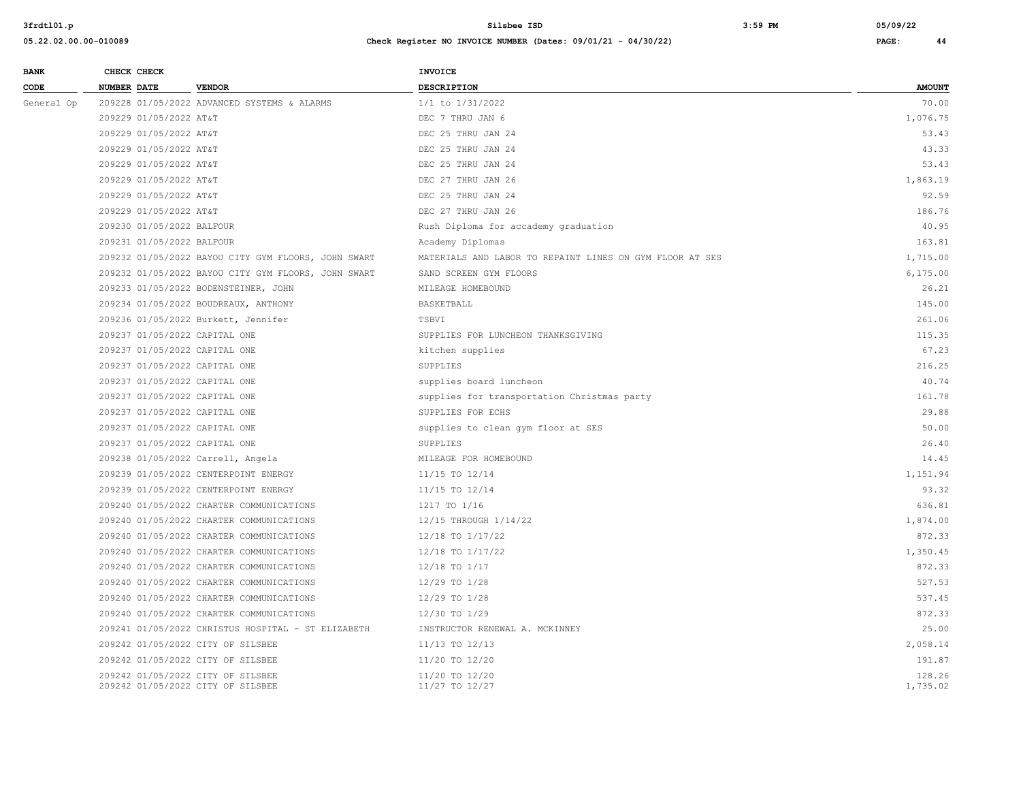| <b>BANK</b> | CHECK CHECK               |                                                     | <b>INVOICE</b>                                           |               |
|-------------|---------------------------|-----------------------------------------------------|----------------------------------------------------------|---------------|
| CODE        | <b>NUMBER DATE</b>        | <b>VENDOR</b>                                       | <b>DESCRIPTION</b>                                       | <b>AMOUNT</b> |
| General Op  |                           | 209228 01/05/2022 ADVANCED SYSTEMS & ALARMS         | 1/1 to 1/31/2022                                         | 70.00         |
|             | 209229 01/05/2022 AT&T    |                                                     | DEC 7 THRU JAN 6                                         | 1,076.75      |
|             | 209229 01/05/2022 AT&T    |                                                     | DEC 25 THRU JAN 24                                       | 53.43         |
|             | 209229 01/05/2022 AT&T    |                                                     | DEC 25 THRU JAN 24                                       | 43.33         |
|             | 209229 01/05/2022 AT&T    |                                                     | DEC 25 THRU JAN 24                                       | 53.43         |
|             | 209229 01/05/2022 AT&T    |                                                     | DEC 27 THRU JAN 26                                       | 1,863.19      |
|             | 209229 01/05/2022 AT&T    |                                                     | DEC 25 THRU JAN 24                                       | 92.59         |
|             | 209229 01/05/2022 AT&T    |                                                     | DEC 27 THRU JAN 26                                       | 186.76        |
|             | 209230 01/05/2022 BALFOUR |                                                     | Rush Diploma for accademy graduation                     | 40.95         |
|             | 209231 01/05/2022 BALFOUR |                                                     | Academy Diplomas                                         | 163.81        |
|             |                           | 209232 01/05/2022 BAYOU CITY GYM FLOORS, JOHN SWART | MATERIALS AND LABOR TO REPAINT LINES ON GYM FLOOR AT SES | 1,715.00      |
|             |                           | 209232 01/05/2022 BAYOU CITY GYM FLOORS, JOHN SWART | SAND SCREEN GYM FLOORS                                   | 6,175.00      |
|             |                           | 209233 01/05/2022 BODENSTEINER, JOHN                | MILEAGE HOMEBOUND                                        | 26.21         |
|             |                           | 209234 01/05/2022 BOUDREAUX, ANTHONY                | BASKETBALL                                               | 145.00        |
|             |                           | 209236 01/05/2022 Burkett, Jennifer                 | TSBVI                                                    | 261.06        |
|             |                           | 209237 01/05/2022 CAPITAL ONE                       | SUPPLIES FOR LUNCHEON THANKSGIVING                       | 115.35        |
|             |                           | 209237 01/05/2022 CAPITAL ONE                       | kitchen supplies                                         | 67.23         |
|             |                           | 209237 01/05/2022 CAPITAL ONE                       | SUPPLIES                                                 | 216.25        |
|             |                           | 209237 01/05/2022 CAPITAL ONE                       | supplies board luncheon                                  | 40.74         |
|             |                           | 209237 01/05/2022 CAPITAL ONE                       | supplies for transportation Christmas party              | 161.78        |
|             |                           | 209237 01/05/2022 CAPITAL ONE                       | SUPPLIES FOR ECHS                                        | 29.88         |
|             |                           | 209237 01/05/2022 CAPITAL ONE                       | supplies to clean gym floor at SES                       | 50.00         |
|             |                           | 209237 01/05/2022 CAPITAL ONE                       | SUPPLIES                                                 | 26.40         |
|             |                           | 209238 01/05/2022 Carrell, Angela                   | MILEAGE FOR HOMEBOUND                                    | 14.45         |
|             |                           | 209239 01/05/2022 CENTERPOINT ENERGY                | 11/15 TO 12/14                                           | 1,151.94      |
|             |                           | 209239 01/05/2022 CENTERPOINT ENERGY                | 11/15 TO 12/14                                           | 93.32         |
|             |                           | 209240 01/05/2022 CHARTER COMMUNICATIONS            | 1217 TO 1/16                                             | 636.81        |
|             |                           | 209240 01/05/2022 CHARTER COMMUNICATIONS            | 12/15 THROUGH 1/14/22                                    | 1,874.00      |
|             |                           | 209240 01/05/2022 CHARTER COMMUNICATIONS            | 12/18 TO 1/17/22                                         | 872.33        |
|             |                           | 209240 01/05/2022 CHARTER COMMUNICATIONS            | 12/18 TO 1/17/22                                         | 1,350.45      |
|             |                           | 209240 01/05/2022 CHARTER COMMUNICATIONS            | 12/18 TO 1/17                                            | 872.33        |
|             |                           | 209240 01/05/2022 CHARTER COMMUNICATIONS            | 12/29 TO 1/28                                            | 527.53        |
|             |                           | 209240 01/05/2022 CHARTER COMMUNICATIONS            | 12/29 TO 1/28                                            | 537.45        |
|             |                           | 209240 01/05/2022 CHARTER COMMUNICATIONS            | 12/30 TO 1/29                                            | 872.33        |
|             |                           | 209241 01/05/2022 CHRISTUS HOSPITAL - ST ELIZABETH  | INSTRUCTOR RENEWAL A. MCKINNEY                           | 25.00         |
|             |                           | 209242 01/05/2022 CITY OF SILSBEE                   | 11/13 TO 12/13                                           | 2,058.14      |
|             |                           | 209242 01/05/2022 CITY OF SILSBEE                   | 11/20 TO 12/20                                           | 191.87        |
|             |                           | 209242 01/05/2022 CITY OF SILSBEE                   | 11/20 TO 12/20                                           | 128.26        |
|             |                           | 209242 01/05/2022 CITY OF SILSBEE                   | 11/27 TO 12/27                                           | 1,735.02      |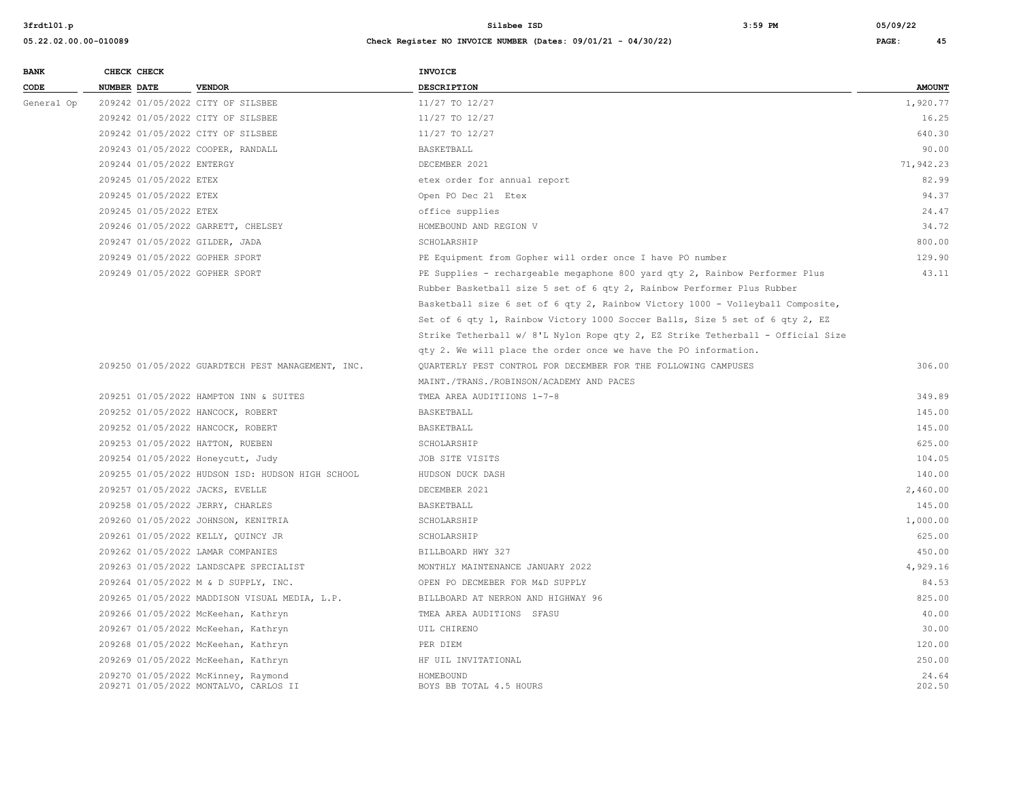| <b>BANK</b> |             | CHECK CHECK               |                                                   | INVOICE                                                                         |               |
|-------------|-------------|---------------------------|---------------------------------------------------|---------------------------------------------------------------------------------|---------------|
| CODE        | NUMBER DATE |                           | <b>VENDOR</b>                                     | DESCRIPTION                                                                     | <b>AMOUNT</b> |
| General Op  |             |                           | 209242 01/05/2022 CITY OF SILSBEE                 | 11/27 TO 12/27                                                                  | 1,920.77      |
|             |             |                           | 209242 01/05/2022 CITY OF SILSBEE                 | 11/27 TO 12/27                                                                  | 16.25         |
|             |             |                           | 209242 01/05/2022 CITY OF SILSBEE                 | 11/27 TO 12/27                                                                  | 640.30        |
|             |             |                           | 209243 01/05/2022 COOPER, RANDALL                 | BASKETBALL                                                                      | 90.00         |
|             |             | 209244 01/05/2022 ENTERGY |                                                   | DECEMBER 2021                                                                   | 71,942.23     |
|             |             | 209245 01/05/2022 ETEX    |                                                   | etex order for annual report                                                    | 82.99         |
|             |             | 209245 01/05/2022 ETEX    |                                                   | Open PO Dec 21 Etex                                                             | 94.37         |
|             |             | 209245 01/05/2022 ETEX    |                                                   | office supplies                                                                 | 24.47         |
|             |             |                           | 209246 01/05/2022 GARRETT, CHELSEY                | HOMEBOUND AND REGION V                                                          | 34.72         |
|             |             |                           | 209247 01/05/2022 GILDER, JADA                    | SCHOLARSHIP                                                                     | 800.00        |
|             |             |                           | 209249 01/05/2022 GOPHER SPORT                    | PE Equipment from Gopher will order once I have PO number                       | 129.90        |
|             |             |                           | 209249 01/05/2022 GOPHER SPORT                    | PE Supplies - rechargeable megaphone 800 yard qty 2, Rainbow Performer Plus     | 43.11         |
|             |             |                           |                                                   | Rubber Basketball size 5 set of 6 qty 2, Rainbow Performer Plus Rubber          |               |
|             |             |                           |                                                   | Basketball size 6 set of 6 qty 2, Rainbow Victory 1000 - Volleyball Composite,  |               |
|             |             |                           |                                                   | Set of 6 qty 1, Rainbow Victory 1000 Soccer Balls, Size 5 set of 6 qty 2, EZ    |               |
|             |             |                           |                                                   | Strike Tetherball w/ 8'L Nylon Rope qty 2, EZ Strike Tetherball - Official Size |               |
|             |             |                           |                                                   | qty 2. We will place the order once we have the PO information.                 |               |
|             |             |                           | 209250 01/05/2022 GUARDTECH PEST MANAGEMENT, INC. | OUARTERLY PEST CONTROL FOR DECEMBER FOR THE FOLLOWING CAMPUSES                  | 306.00        |
|             |             |                           |                                                   | MAINT./TRANS./ROBINSON/ACADEMY AND PACES                                        |               |
|             |             |                           | 209251 01/05/2022 HAMPTON INN & SUITES            | TMEA AREA AUDITIIONS 1-7-8                                                      | 349.89        |
|             |             |                           | 209252 01/05/2022 HANCOCK, ROBERT                 | <b>BASKETBALL</b>                                                               | 145.00        |
|             |             |                           | 209252 01/05/2022 HANCOCK, ROBERT                 | BASKETBALL                                                                      | 145.00        |
|             |             |                           | 209253 01/05/2022 HATTON, RUEBEN                  | SCHOLARSHIP                                                                     | 625.00        |
|             |             |                           | 209254 01/05/2022 Honeycutt, Judy                 | JOB SITE VISITS                                                                 | 104.05        |
|             |             |                           | 209255 01/05/2022 HUDSON ISD: HUDSON HIGH SCHOOL  | HUDSON DUCK DASH                                                                | 140.00        |
|             |             |                           | 209257 01/05/2022 JACKS, EVELLE                   | DECEMBER 2021                                                                   | 2,460.00      |
|             |             |                           | 209258 01/05/2022 JERRY, CHARLES                  | BASKETBALL                                                                      | 145.00        |
|             |             |                           | 209260 01/05/2022 JOHNSON, KENITRIA               | SCHOLARSHIP                                                                     | 1,000.00      |
|             |             |                           | 209261 01/05/2022 KELLY, QUINCY JR                | SCHOLARSHIP                                                                     | 625.00        |
|             |             |                           | 209262 01/05/2022 LAMAR COMPANIES                 | BILLBOARD HWY 327                                                               | 450.00        |
|             |             |                           | 209263 01/05/2022 LANDSCAPE SPECIALIST            | MONTHLY MAINTENANCE JANUARY 2022                                                | 4,929.16      |
|             |             |                           | 209264 01/05/2022 M & D SUPPLY, INC.              | OPEN PO DECMEBER FOR M&D SUPPLY                                                 | 84.53         |
|             |             |                           | 209265 01/05/2022 MADDISON VISUAL MEDIA, L.P.     | BILLBOARD AT NERRON AND HIGHWAY 96                                              | 825.00        |
|             |             |                           | 209266 01/05/2022 McKeehan, Kathryn               | TMEA AREA AUDITIONS SFASU                                                       | 40.00         |
|             |             |                           | 209267 01/05/2022 McKeehan, Kathryn               | UIL CHIRENO                                                                     | 30.00         |
|             |             |                           | 209268 01/05/2022 McKeehan, Kathryn               | PER DIEM                                                                        | 120.00        |
|             |             |                           | 209269 01/05/2022 McKeehan, Kathryn               | HF UIL INVITATIONAL                                                             | 250.00        |
|             |             |                           | 209270 01/05/2022 McKinney, Raymond               | HOMEBOUND                                                                       | 24.64         |
|             |             |                           | 209271 01/05/2022 MONTALVO, CARLOS II             | BOYS BB TOTAL 4.5 HOURS                                                         | 202.50        |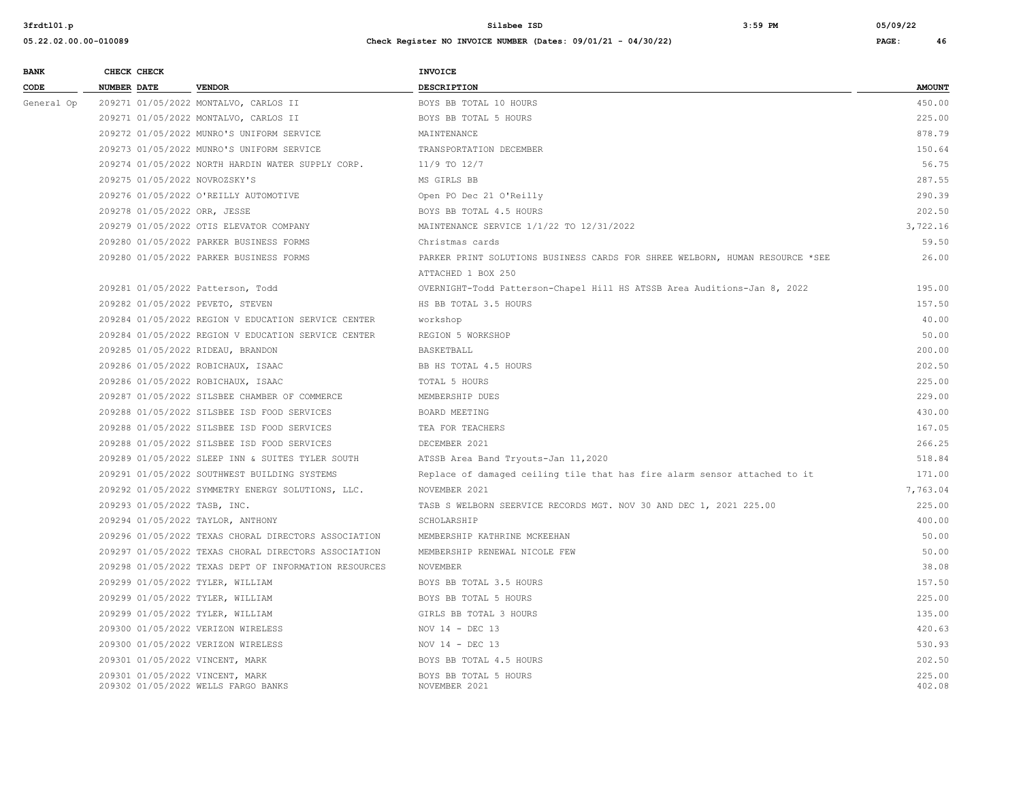| <b>BANK</b> | CHECK CHECK                      |                                                       | <b>INVOICE</b>                                                               |               |
|-------------|----------------------------------|-------------------------------------------------------|------------------------------------------------------------------------------|---------------|
| CODE        | <b>NUMBER DATE</b>               | <b>VENDOR</b>                                         | <b>DESCRIPTION</b>                                                           | <b>AMOUNT</b> |
| General Op  |                                  | 209271 01/05/2022 MONTALVO, CARLOS II                 | BOYS BB TOTAL 10 HOURS                                                       | 450.00        |
|             |                                  | 209271 01/05/2022 MONTALVO, CARLOS II                 | BOYS BB TOTAL 5 HOURS                                                        | 225.00        |
|             |                                  | 209272 01/05/2022 MUNRO'S UNIFORM SERVICE             | MAINTENANCE                                                                  | 878.79        |
|             |                                  | 209273 01/05/2022 MUNRO'S UNIFORM SERVICE             | TRANSPORTATION DECEMBER                                                      | 150.64        |
|             |                                  | 209274 01/05/2022 NORTH HARDIN WATER SUPPLY CORP.     | 11/9 TO 12/7                                                                 | 56.75         |
|             | 209275 01/05/2022 NOVROZSKY'S    |                                                       | MS GIRLS BB                                                                  | 287.55        |
|             |                                  | 209276 01/05/2022 O'REILLY AUTOMOTIVE                 | Open PO Dec 21 O'Reilly                                                      | 290.39        |
|             | 209278 01/05/2022 ORR, JESSE     |                                                       | BOYS BB TOTAL 4.5 HOURS                                                      | 202.50        |
|             |                                  | 209279 01/05/2022 OTIS ELEVATOR COMPANY               | MAINTENANCE SERVICE 1/1/22 TO 12/31/2022                                     | 3,722.16      |
|             |                                  | 209280 01/05/2022 PARKER BUSINESS FORMS               | Christmas cards                                                              | 59.50         |
|             |                                  | 209280 01/05/2022 PARKER BUSINESS FORMS               | PARKER PRINT SOLUTIONS BUSINESS CARDS FOR SHREE WELBORN, HUMAN RESOURCE *SEE | 26.00         |
|             |                                  |                                                       | ATTACHED 1 BOX 250                                                           |               |
|             |                                  | 209281 01/05/2022 Patterson, Todd                     | OVERNIGHT-Todd Patterson-Chapel Hill HS ATSSB Area Auditions-Jan 8, 2022     | 195.00        |
|             | 209282 01/05/2022 PEVETO, STEVEN |                                                       | HS BB TOTAL 3.5 HOURS                                                        | 157.50        |
|             |                                  | 209284 01/05/2022 REGION V EDUCATION SERVICE CENTER   | workshop                                                                     | 40.00         |
|             |                                  | 209284 01/05/2022 REGION V EDUCATION SERVICE CENTER   | REGION 5 WORKSHOP                                                            | 50.00         |
|             |                                  | 209285 01/05/2022 RIDEAU, BRANDON                     | BASKETBALL                                                                   | 200.00        |
|             |                                  | 209286 01/05/2022 ROBICHAUX, ISAAC                    | BB HS TOTAL 4.5 HOURS                                                        | 202.50        |
|             |                                  | 209286 01/05/2022 ROBICHAUX, ISAAC                    | TOTAL 5 HOURS                                                                | 225.00        |
|             |                                  | 209287 01/05/2022 SILSBEE CHAMBER OF COMMERCE         | MEMBERSHIP DUES                                                              | 229.00        |
|             |                                  | 209288 01/05/2022 SILSBEE ISD FOOD SERVICES           | BOARD MEETING                                                                | 430.00        |
|             |                                  | 209288 01/05/2022 SILSBEE ISD FOOD SERVICES           | TEA FOR TEACHERS                                                             | 167.05        |
|             |                                  | 209288 01/05/2022 SILSBEE ISD FOOD SERVICES           | DECEMBER 2021                                                                | 266.25        |
|             |                                  | 209289 01/05/2022 SLEEP INN & SUITES TYLER SOUTH      | ATSSB Area Band Tryouts-Jan 11,2020                                          | 518.84        |
|             |                                  | 209291 01/05/2022 SOUTHWEST BUILDING SYSTEMS          | Replace of damaged ceiling tile that has fire alarm sensor attached to it    | 171.00        |
|             |                                  | 209292 01/05/2022 SYMMETRY ENERGY SOLUTIONS, LLC.     | NOVEMBER 2021                                                                | 7,763.04      |
|             | 209293 01/05/2022 TASB, INC.     |                                                       | TASB S WELBORN SEERVICE RECORDS MGT. NOV 30 AND DEC 1, 2021 225.00           | 225.00        |
|             |                                  | 209294 01/05/2022 TAYLOR, ANTHONY                     | SCHOLARSHIP                                                                  | 400.00        |
|             |                                  | 209296 01/05/2022 TEXAS CHORAL DIRECTORS ASSOCIATION  | MEMBERSHIP KATHRINE MCKEEHAN                                                 | 50.00         |
|             |                                  | 209297 01/05/2022 TEXAS CHORAL DIRECTORS ASSOCIATION  | MEMBERSHIP RENEWAL NICOLE FEW                                                | 50.00         |
|             |                                  | 209298 01/05/2022 TEXAS DEPT OF INFORMATION RESOURCES | NOVEMBER                                                                     | 38.08         |
|             | 209299 01/05/2022 TYLER, WILLIAM |                                                       | BOYS BB TOTAL 3.5 HOURS                                                      | 157.50        |
|             | 209299 01/05/2022 TYLER, WILLIAM |                                                       | BOYS BB TOTAL 5 HOURS                                                        | 225.00        |
|             | 209299 01/05/2022 TYLER, WILLIAM |                                                       | GIRLS BB TOTAL 3 HOURS                                                       | 135.00        |
|             |                                  | 209300 01/05/2022 VERIZON WIRELESS                    | NOV $14$ - DEC 13                                                            | 420.63        |
|             |                                  | 209300 01/05/2022 VERIZON WIRELESS                    | NOV $14$ - DEC 13                                                            | 530.93        |
|             | 209301 01/05/2022 VINCENT, MARK  |                                                       | BOYS BB TOTAL 4.5 HOURS                                                      | 202.50        |
|             | 209301 01/05/2022 VINCENT, MARK  |                                                       | BOYS BB TOTAL 5 HOURS                                                        | 225.00        |
|             |                                  | 209302 01/05/2022 WELLS FARGO BANKS                   | NOVEMBER 2021                                                                | 402.08        |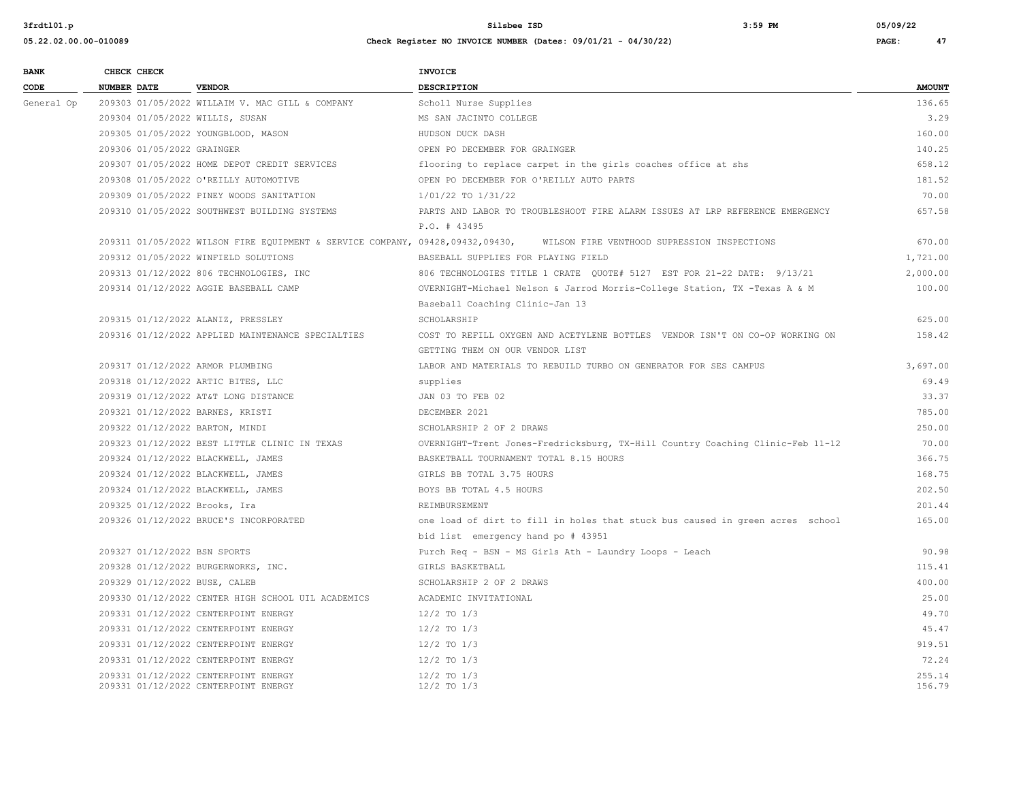| <b>BANK</b> |                    | CHECK CHECK                |                                                                               | INVOICE                                                                                      |                  |
|-------------|--------------------|----------------------------|-------------------------------------------------------------------------------|----------------------------------------------------------------------------------------------|------------------|
| CODE        | <b>NUMBER DATE</b> |                            | <b>VENDOR</b>                                                                 | <b>DESCRIPTION</b>                                                                           | <b>AMOUNT</b>    |
| General Op  |                    |                            | 209303 01/05/2022 WILLAIM V. MAC GILL & COMPANY                               | Scholl Nurse Supplies                                                                        | 136.65           |
|             |                    |                            | 209304 01/05/2022 WILLIS, SUSAN                                               | MS SAN JACINTO COLLEGE                                                                       | 3.29             |
|             |                    |                            | 209305 01/05/2022 YOUNGBLOOD, MASON                                           | HUDSON DUCK DASH                                                                             | 160.00           |
|             |                    | 209306 01/05/2022 GRAINGER |                                                                               | OPEN PO DECEMBER FOR GRAINGER                                                                | 140.25           |
|             |                    |                            | 209307 01/05/2022 HOME DEPOT CREDIT SERVICES                                  | flooring to replace carpet in the girls coaches office at shs                                | 658.12           |
|             |                    |                            | 209308 01/05/2022 O'REILLY AUTOMOTIVE                                         | OPEN PO DECEMBER FOR O'REILLY AUTO PARTS                                                     | 181.52           |
|             |                    |                            | 209309 01/05/2022 PINEY WOODS SANITATION                                      | 1/01/22 TO 1/31/22                                                                           | 70.00            |
|             |                    |                            | 209310 01/05/2022 SOUTHWEST BUILDING SYSTEMS                                  | PARTS AND LABOR TO TROUBLESHOOT FIRE ALARM ISSUES AT LRP REFERENCE EMERGENCY<br>P.O. # 43495 | 657.58           |
|             |                    |                            | 209311 01/05/2022 WILSON FIRE EQUIPMENT & SERVICE COMPANY, 09428,09432,09430, | WILSON FIRE VENTHOOD SUPRESSION INSPECTIONS                                                  | 670.00           |
|             |                    |                            | 209312 01/05/2022 WINFIELD SOLUTIONS                                          | BASEBALL SUPPLIES FOR PLAYING FIELD                                                          | 1,721.00         |
|             |                    |                            | 209313 01/12/2022 806 TECHNOLOGIES, INC                                       |                                                                                              | 2,000.00         |
|             |                    |                            | 209314 01/12/2022 AGGIE BASEBALL CAMP                                         | OVERNIGHT-Michael Nelson & Jarrod Morris-College Station, TX -Texas A & M                    | 100.00           |
|             |                    |                            |                                                                               | Baseball Coaching Clinic-Jan 13                                                              |                  |
|             |                    |                            | 209315 01/12/2022 ALANIZ, PRESSLEY                                            | SCHOLARSHIP                                                                                  | 625.00           |
|             |                    |                            | 209316 01/12/2022 APPLIED MAINTENANCE SPECIALTIES                             | COST TO REFILL OXYGEN AND ACETYLENE BOTTLES VENDOR ISN'T ON CO-OP WORKING ON                 | 158.42           |
|             |                    |                            |                                                                               | GETTING THEM ON OUR VENDOR LIST                                                              |                  |
|             |                    |                            | 209317 01/12/2022 ARMOR PLUMBING                                              | LABOR AND MATERIALS TO REBUILD TURBO ON GENERATOR FOR SES CAMPUS                             | 3,697.00         |
|             |                    |                            | 209318 01/12/2022 ARTIC BITES, LLC                                            | supplies                                                                                     | 69.49            |
|             |                    |                            | 209319 01/12/2022 AT&T LONG DISTANCE                                          | JAN 03 TO FEB 02                                                                             | 33.37            |
|             |                    |                            | 209321 01/12/2022 BARNES, KRISTI                                              | DECEMBER 2021                                                                                | 785.00           |
|             |                    |                            | 209322 01/12/2022 BARTON, MINDI                                               | SCHOLARSHIP 2 OF 2 DRAWS                                                                     | 250.00           |
|             |                    |                            | 209323 01/12/2022 BEST LITTLE CLINIC IN TEXAS                                 | OVERNIGHT-Trent Jones-Fredricksburg, TX-Hill Country Coaching Clinic-Feb 11-12               | 70.00            |
|             |                    |                            | 209324 01/12/2022 BLACKWELL, JAMES                                            | BASKETBALL TOURNAMENT TOTAL 8.15 HOURS                                                       | 366.75           |
|             |                    |                            | 209324 01/12/2022 BLACKWELL, JAMES                                            | GIRLS BB TOTAL 3.75 HOURS                                                                    | 168.75           |
|             |                    |                            | 209324 01/12/2022 BLACKWELL, JAMES                                            | BOYS BB TOTAL 4.5 HOURS                                                                      | 202.50           |
|             |                    |                            | 209325 01/12/2022 Brooks, Ira                                                 | REIMBURSEMENT                                                                                | 201.44           |
|             |                    |                            | 209326 01/12/2022 BRUCE'S INCORPORATED                                        | one load of dirt to fill in holes that stuck bus caused in green acres school                | 165.00           |
|             |                    |                            |                                                                               | bid list emergency hand po # 43951                                                           |                  |
|             |                    |                            | 209327 01/12/2022 BSN SPORTS                                                  | Purch Req - BSN - MS Girls Ath - Laundry Loops - Leach                                       | 90.98            |
|             |                    |                            | 209328 01/12/2022 BURGERWORKS, INC.                                           | GIRLS BASKETBALL                                                                             | 115.41           |
|             |                    |                            | 209329 01/12/2022 BUSE, CALEB                                                 | SCHOLARSHIP 2 OF 2 DRAWS                                                                     | 400.00           |
|             |                    |                            | 209330 01/12/2022 CENTER HIGH SCHOOL UIL ACADEMICS                            | ACADEMIC INVITATIONAL                                                                        | 25.00            |
|             |                    |                            | 209331 01/12/2022 CENTERPOINT ENERGY                                          | $12/2$ TO $1/3$                                                                              | 49.70            |
|             |                    |                            | 209331 01/12/2022 CENTERPOINT ENERGY                                          | $12/2$ TO $1/3$                                                                              | 45.47            |
|             |                    |                            | 209331 01/12/2022 CENTERPOINT ENERGY                                          | $12/2$ TO $1/3$                                                                              | 919.51           |
|             |                    |                            | 209331 01/12/2022 CENTERPOINT ENERGY                                          | $12/2$ TO $1/3$                                                                              | 72.24            |
|             |                    |                            | 209331 01/12/2022 CENTERPOINT ENERGY<br>209331 01/12/2022 CENTERPOINT ENERGY  | $12/2$ TO $1/3$<br>$12/2$ TO $1/3$                                                           | 255.14<br>156.79 |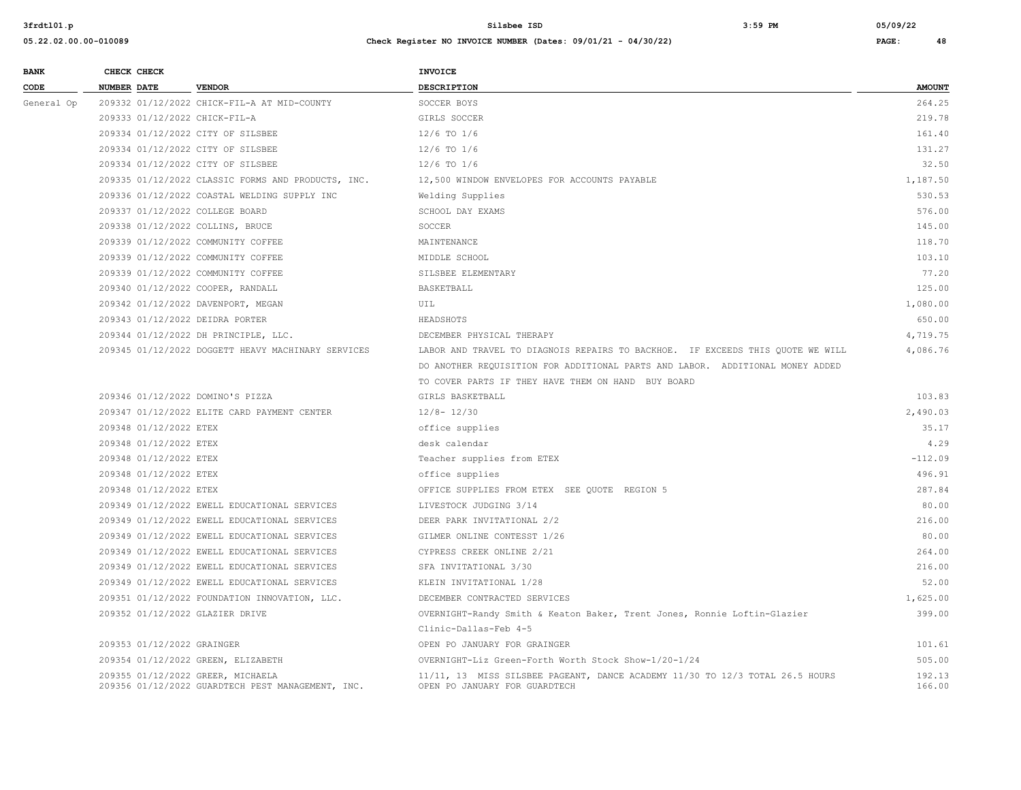| <b>BANK</b> | CHECK CHECK                |                                                                                        | <b>INVOICE</b>                                                                                                |                  |
|-------------|----------------------------|----------------------------------------------------------------------------------------|---------------------------------------------------------------------------------------------------------------|------------------|
| CODE        | <b>NUMBER DATE</b>         | <b>VENDOR</b>                                                                          | <b>DESCRIPTION</b>                                                                                            | <b>AMOUNT</b>    |
| General Op  |                            | 209332 01/12/2022 CHICK-FIL-A AT MID-COUNTY                                            | SOCCER BOYS                                                                                                   | 264.25           |
|             |                            | 209333 01/12/2022 CHICK-FIL-A                                                          | GIRLS SOCCER                                                                                                  | 219.78           |
|             |                            | 209334 01/12/2022 CITY OF SILSBEE                                                      | $12/6$ TO $1/6$                                                                                               | 161.40           |
|             |                            | 209334 01/12/2022 CITY OF SILSBEE                                                      | $12/6$ TO $1/6$                                                                                               | 131.27           |
|             |                            | 209334 01/12/2022 CITY OF SILSBEE                                                      | $12/6$ TO $1/6$                                                                                               | 32.50            |
|             |                            | 209335 01/12/2022 CLASSIC FORMS AND PRODUCTS, INC.                                     | 12,500 WINDOW ENVELOPES FOR ACCOUNTS PAYABLE                                                                  | 1,187.50         |
|             |                            | 209336 01/12/2022 COASTAL WELDING SUPPLY INC                                           | Welding Supplies                                                                                              | 530.53           |
|             |                            | 209337 01/12/2022 COLLEGE BOARD                                                        | SCHOOL DAY EXAMS                                                                                              | 576.00           |
|             |                            | 209338 01/12/2022 COLLINS, BRUCE                                                       | SOCCER                                                                                                        | 145.00           |
|             |                            | 209339 01/12/2022 COMMUNITY COFFEE                                                     | MAINTENANCE                                                                                                   | 118.70           |
|             |                            | 209339 01/12/2022 COMMUNITY COFFEE                                                     | MIDDLE SCHOOL                                                                                                 | 103.10           |
|             |                            | 209339 01/12/2022 COMMUNITY COFFEE                                                     | SILSBEE ELEMENTARY                                                                                            | 77.20            |
|             |                            | 209340 01/12/2022 COOPER, RANDALL                                                      | BASKETBALL                                                                                                    | 125.00           |
|             |                            | 209342 01/12/2022 DAVENPORT, MEGAN                                                     | UIL                                                                                                           | 1,080.00         |
|             |                            | 209343 01/12/2022 DEIDRA PORTER                                                        | HEADSHOTS                                                                                                     | 650.00           |
|             |                            | 209344 01/12/2022 DH PRINCIPLE, LLC.                                                   | DECEMBER PHYSICAL THERAPY                                                                                     | 4,719.75         |
|             |                            | 209345 01/12/2022 DOGGETT HEAVY MACHINARY SERVICES                                     | LABOR AND TRAVEL TO DIAGNOIS REPAIRS TO BACKHOE. IF EXCEEDS THIS OUOTE WE WILL                                | 4,086.76         |
|             |                            |                                                                                        | DO ANOTHER REQUISITION FOR ADDITIONAL PARTS AND LABOR. ADDITIONAL MONEY ADDED                                 |                  |
|             |                            |                                                                                        | TO COVER PARTS IF THEY HAVE THEM ON HAND BUY BOARD                                                            |                  |
|             |                            | 209346 01/12/2022 DOMINO'S PIZZA                                                       | GIRLS BASKETBALL                                                                                              | 103.83           |
|             |                            | 209347 01/12/2022 ELITE CARD PAYMENT CENTER                                            | $12/8 - 12/30$                                                                                                | 2,490.03         |
|             | 209348 01/12/2022 ETEX     |                                                                                        | office supplies                                                                                               | 35.17            |
|             | 209348 01/12/2022 ETEX     |                                                                                        | desk calendar                                                                                                 | 4.29             |
|             | 209348 01/12/2022 ETEX     |                                                                                        | Teacher supplies from ETEX                                                                                    | $-112.09$        |
|             | 209348 01/12/2022 ETEX     |                                                                                        | office supplies                                                                                               | 496.91           |
|             | 209348 01/12/2022 ETEX     |                                                                                        | OFFICE SUPPLIES FROM ETEX SEE QUOTE REGION 5                                                                  | 287.84           |
|             |                            | 209349 01/12/2022 EWELL EDUCATIONAL SERVICES                                           | LIVESTOCK JUDGING 3/14                                                                                        | 80.00            |
|             |                            | 209349 01/12/2022 EWELL EDUCATIONAL SERVICES                                           | DEER PARK INVITATIONAL 2/2                                                                                    | 216.00           |
|             |                            | 209349 01/12/2022 EWELL EDUCATIONAL SERVICES                                           | GILMER ONLINE CONTESST 1/26                                                                                   | 80.00            |
|             |                            | 209349 01/12/2022 EWELL EDUCATIONAL SERVICES                                           | CYPRESS CREEK ONLINE 2/21                                                                                     | 264.00           |
|             |                            | 209349 01/12/2022 EWELL EDUCATIONAL SERVICES                                           | SFA INVITATIONAL 3/30                                                                                         | 216.00           |
|             |                            | 209349 01/12/2022 EWELL EDUCATIONAL SERVICES                                           | KLEIN INVITATIONAL 1/28                                                                                       | 52.00            |
|             |                            | 209351 01/12/2022 FOUNDATION INNOVATION, LLC.                                          | DECEMBER CONTRACTED SERVICES                                                                                  | 1,625.00         |
|             |                            | 209352 01/12/2022 GLAZIER DRIVE                                                        | OVERNIGHT-Randy Smith & Keaton Baker, Trent Jones, Ronnie Loftin-Glazier                                      | 399.00           |
|             |                            |                                                                                        | Clinic-Dallas-Feb 4-5                                                                                         |                  |
|             | 209353 01/12/2022 GRAINGER |                                                                                        | OPEN PO JANUARY FOR GRAINGER                                                                                  | 101.61           |
|             |                            | 209354 01/12/2022 GREEN, ELIZABETH                                                     | OVERNIGHT-Liz Green-Forth Worth Stock Show-1/20-1/24                                                          | 505.00           |
|             |                            | 209355 01/12/2022 GREER, MICHAELA<br>209356 01/12/2022 GUARDTECH PEST MANAGEMENT, INC. | 11/11, 13 MISS SILSBEE PAGEANT, DANCE ACADEMY 11/30 TO 12/3 TOTAL 26.5 HOURS<br>OPEN PO JANUARY FOR GUARDTECH | 192.13<br>166.00 |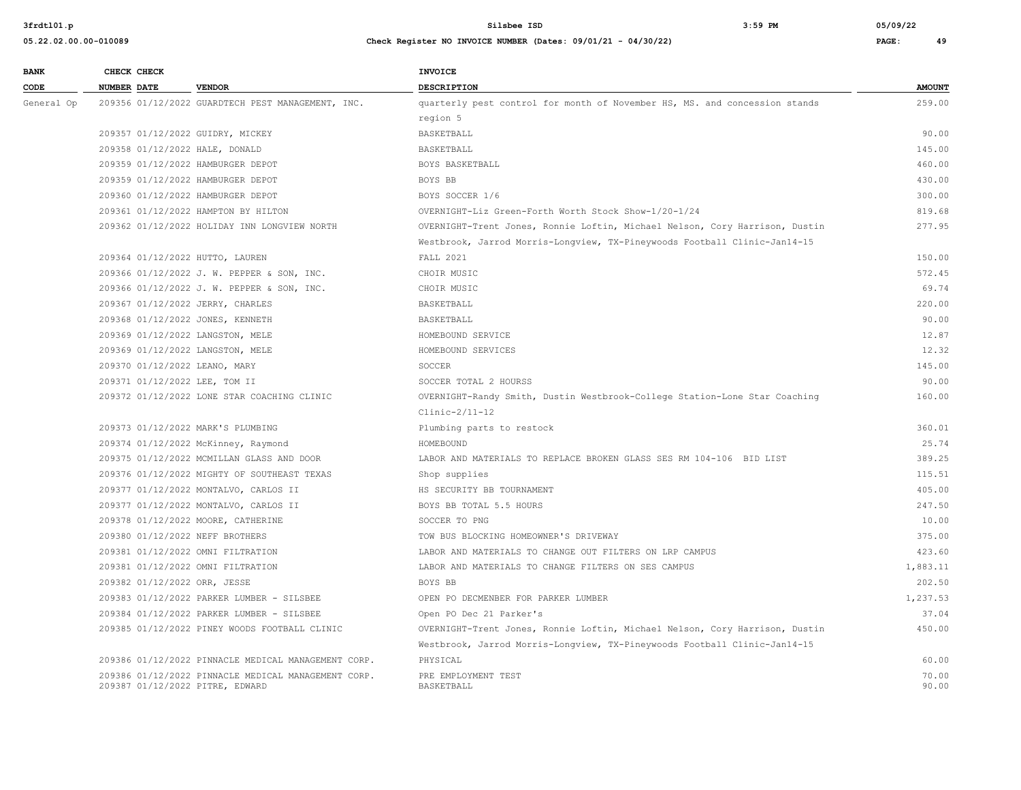| <b>BANK</b> | CHECK CHECK                       |                                                     | <b>INVOICE</b>                                                              |               |
|-------------|-----------------------------------|-----------------------------------------------------|-----------------------------------------------------------------------------|---------------|
| CODE        | <b>NUMBER DATE</b>                | <b>VENDOR</b>                                       | <b>DESCRIPTION</b>                                                          | <b>AMOUNT</b> |
| General Op  |                                   | 209356 01/12/2022 GUARDTECH PEST MANAGEMENT, INC.   | quarterly pest control for month of November HS, MS. and concession stands  | 259.00        |
|             |                                   |                                                     | region 5                                                                    |               |
|             | 209357 01/12/2022 GUIDRY, MICKEY  |                                                     | BASKETBALL                                                                  | 90.00         |
|             | 209358 01/12/2022 HALE, DONALD    |                                                     | BASKETBALL                                                                  | 145.00        |
|             | 209359 01/12/2022 HAMBURGER DEPOT |                                                     | BOYS BASKETBALL                                                             | 460.00        |
|             | 209359 01/12/2022 HAMBURGER DEPOT |                                                     | BOYS BB                                                                     | 430.00        |
|             | 209360 01/12/2022 HAMBURGER DEPOT |                                                     | BOYS SOCCER 1/6                                                             | 300.00        |
|             |                                   | 209361 01/12/2022 HAMPTON BY HILTON                 | OVERNIGHT-Liz Green-Forth Worth Stock Show-1/20-1/24                        | 819.68        |
|             |                                   | 209362 01/12/2022 HOLIDAY INN LONGVIEW NORTH        | OVERNIGHT-Trent Jones, Ronnie Loftin, Michael Nelson, Cory Harrison, Dustin | 277.95        |
|             |                                   |                                                     | Westbrook, Jarrod Morris-Longview, TX-Pineywoods Football Clinic-Jan14-15   |               |
|             | 209364 01/12/2022 HUTTO, LAUREN   |                                                     | <b>FALL 2021</b>                                                            | 150.00        |
|             |                                   | 209366 01/12/2022 J. W. PEPPER & SON, INC.          | CHOIR MUSIC                                                                 | 572.45        |
|             |                                   | 209366 01/12/2022 J. W. PEPPER & SON, INC.          | CHOIR MUSIC                                                                 | 69.74         |
|             | 209367 01/12/2022 JERRY, CHARLES  |                                                     | BASKETBALL                                                                  | 220.00        |
|             | 209368 01/12/2022 JONES, KENNETH  |                                                     | BASKETBALL                                                                  | 90.00         |
|             | 209369 01/12/2022 LANGSTON, MELE  |                                                     | HOMEBOUND SERVICE                                                           | 12.87         |
|             | 209369 01/12/2022 LANGSTON, MELE  |                                                     | HOMEBOUND SERVICES                                                          | 12.32         |
|             | 209370 01/12/2022 LEANO, MARY     |                                                     | SOCCER                                                                      | 145.00        |
|             | 209371 01/12/2022 LEE, TOM II     |                                                     | SOCCER TOTAL 2 HOURSS                                                       | 90.00         |
|             |                                   | 209372 01/12/2022 LONE STAR COACHING CLINIC         | OVERNIGHT-Randy Smith, Dustin Westbrook-College Station-Lone Star Coaching  | 160.00        |
|             |                                   |                                                     | $Clinic-2/11-12$                                                            |               |
|             | 209373 01/12/2022 MARK'S PLUMBING |                                                     | Plumbing parts to restock                                                   | 360.01        |
|             |                                   | 209374 01/12/2022 McKinney, Raymond                 | HOMEBOUND                                                                   | 25.74         |
|             |                                   | 209375 01/12/2022 MCMILLAN GLASS AND DOOR           | LABOR AND MATERIALS TO REPLACE BROKEN GLASS SES RM 104-106 BID LIST         | 389.25        |
|             |                                   | 209376 01/12/2022 MIGHTY OF SOUTHEAST TEXAS         | Shop supplies                                                               | 115.51        |
|             |                                   | 209377 01/12/2022 MONTALVO, CARLOS II               | HS SECURITY BB TOURNAMENT                                                   | 405.00        |
|             |                                   | 209377 01/12/2022 MONTALVO, CARLOS II               | BOYS BB TOTAL 5.5 HOURS                                                     | 247.50        |
|             |                                   | 209378 01/12/2022 MOORE, CATHERINE                  | SOCCER TO PNG                                                               | 10.00         |
|             | 209380 01/12/2022 NEFF BROTHERS   |                                                     | TOW BUS BLOCKING HOMEOWNER'S DRIVEWAY                                       | 375.00        |
|             | 209381 01/12/2022 OMNI FILTRATION |                                                     | LABOR AND MATERIALS TO CHANGE OUT FILTERS ON LRP CAMPUS                     | 423.60        |
|             | 209381 01/12/2022 OMNI FILTRATION |                                                     | LABOR AND MATERIALS TO CHANGE FILTERS ON SES CAMPUS                         | 1,883.11      |
|             | 209382 01/12/2022 ORR, JESSE      |                                                     | BOYS BB                                                                     | 202.50        |
|             |                                   | 209383 01/12/2022 PARKER LUMBER - SILSBEE           | OPEN PO DECMENBER FOR PARKER LUMBER                                         | 1,237.53      |
|             |                                   | 209384 01/12/2022 PARKER LUMBER - SILSBEE           | Open PO Dec 21 Parker's                                                     | 37.04         |
|             |                                   | 209385 01/12/2022 PINEY WOODS FOOTBALL CLINIC       | OVERNIGHT-Trent Jones, Ronnie Loftin, Michael Nelson, Cory Harrison, Dustin | 450.00        |
|             |                                   |                                                     | Westbrook, Jarrod Morris-Longview, TX-Pineywoods Football Clinic-Jan14-15   |               |
|             |                                   | 209386 01/12/2022 PINNACLE MEDICAL MANAGEMENT CORP. | PHYSICAL                                                                    | 60.00         |
|             |                                   | 209386 01/12/2022 PINNACLE MEDICAL MANAGEMENT CORP. | PRE EMPLOYMENT TEST                                                         | 70.00         |
|             | 209387 01/12/2022 PITRE, EDWARD   |                                                     | BASKETBALL                                                                  | 90.00         |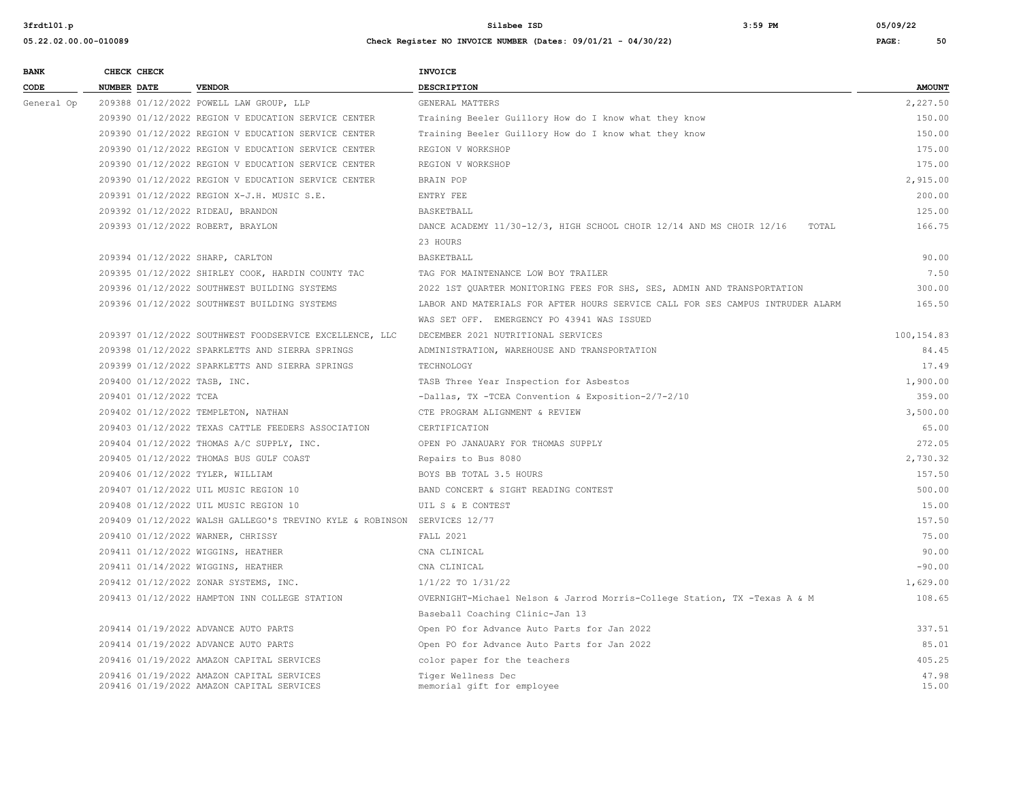| <b>BANK</b> |                    | CHECK CHECK                  |                                                                                        | <b>INVOICE</b>                                                                 |                |
|-------------|--------------------|------------------------------|----------------------------------------------------------------------------------------|--------------------------------------------------------------------------------|----------------|
| CODE        | <b>NUMBER DATE</b> |                              | <b>VENDOR</b>                                                                          | <b>DESCRIPTION</b>                                                             | <b>AMOUNT</b>  |
| General Op  |                    |                              | 209388 01/12/2022 POWELL LAW GROUP, LLP                                                | GENERAL MATTERS                                                                | 2,227.50       |
|             |                    |                              | 209390 01/12/2022 REGION V EDUCATION SERVICE CENTER                                    | Training Beeler Guillory How do I know what they know                          | 150.00         |
|             |                    |                              | 209390 01/12/2022 REGION V EDUCATION SERVICE CENTER                                    | Training Beeler Guillory How do I know what they know                          | 150.00         |
|             |                    |                              | 209390 01/12/2022 REGION V EDUCATION SERVICE CENTER                                    | REGION V WORKSHOP                                                              | 175.00         |
|             |                    |                              | 209390 01/12/2022 REGION V EDUCATION SERVICE CENTER                                    | REGION V WORKSHOP                                                              | 175.00         |
|             |                    |                              | 209390 01/12/2022 REGION V EDUCATION SERVICE CENTER                                    | BRAIN POP                                                                      | 2,915.00       |
|             |                    |                              | 209391 01/12/2022 REGION X-J.H. MUSIC S.E.                                             | ENTRY FEE                                                                      | 200.00         |
|             |                    |                              | 209392 01/12/2022 RIDEAU, BRANDON                                                      | BASKETBALL                                                                     | 125.00         |
|             |                    |                              | 209393 01/12/2022 ROBERT, BRAYLON                                                      | DANCE ACADEMY 11/30-12/3, HIGH SCHOOL CHOIR 12/14 AND MS CHOIR 12/16<br>TOTAL  | 166.75         |
|             |                    |                              |                                                                                        | 23 HOURS                                                                       |                |
|             |                    |                              | 209394 01/12/2022 SHARP, CARLTON                                                       | BASKETBALL                                                                     | 90.00          |
|             |                    |                              | 209395 01/12/2022 SHIRLEY COOK, HARDIN COUNTY TAC                                      | TAG FOR MAINTENANCE LOW BOY TRAILER                                            | 7.50           |
|             |                    |                              | 209396 01/12/2022 SOUTHWEST BUILDING SYSTEMS                                           | 2022 1ST OUARTER MONITORING FEES FOR SHS, SES, ADMIN AND TRANSPORTATION        | 300.00         |
|             |                    |                              | 209396 01/12/2022 SOUTHWEST BUILDING SYSTEMS                                           | LABOR AND MATERIALS FOR AFTER HOURS SERVICE CALL FOR SES CAMPUS INTRUDER ALARM | 165.50         |
|             |                    |                              |                                                                                        | WAS SET OFF. EMERGENCY PO 43941 WAS ISSUED                                     |                |
|             |                    |                              | 209397 01/12/2022 SOUTHWEST FOODSERVICE EXCELLENCE, LLC                                | DECEMBER 2021 NUTRITIONAL SERVICES                                             | 100,154.83     |
|             |                    |                              | 209398 01/12/2022 SPARKLETTS AND SIERRA SPRINGS                                        | ADMINISTRATION, WAREHOUSE AND TRANSPORTATION                                   | 84.45          |
|             |                    |                              | 209399 01/12/2022 SPARKLETTS AND SIERRA SPRINGS                                        | TECHNOLOGY                                                                     | 17.49          |
|             |                    | 209400 01/12/2022 TASB, INC. |                                                                                        | TASB Three Year Inspection for Asbestos                                        | 1,900.00       |
|             |                    | 209401 01/12/2022 TCEA       |                                                                                        | -Dallas, TX -TCEA Convention & Exposition-2/7-2/10                             | 359.00         |
|             |                    |                              | 209402 01/12/2022 TEMPLETON, NATHAN                                                    | CTE PROGRAM ALIGNMENT & REVIEW                                                 | 3,500.00       |
|             |                    |                              | 209403 01/12/2022 TEXAS CATTLE FEEDERS ASSOCIATION                                     | CERTIFICATION                                                                  | 65.00          |
|             |                    |                              | 209404 01/12/2022 THOMAS A/C SUPPLY, INC.                                              | OPEN PO JANAUARY FOR THOMAS SUPPLY                                             | 272.05         |
|             |                    |                              | 209405 01/12/2022 THOMAS BUS GULF COAST                                                | Repairs to Bus 8080                                                            | 2,730.32       |
|             |                    |                              | 209406 01/12/2022 TYLER, WILLIAM                                                       | BOYS BB TOTAL 3.5 HOURS                                                        | 157.50         |
|             |                    |                              | 209407 01/12/2022 UIL MUSIC REGION 10                                                  | BAND CONCERT & SIGHT READING CONTEST                                           | 500.00         |
|             |                    |                              | 209408 01/12/2022 UIL MUSIC REGION 10                                                  | UIL S & E CONTEST                                                              | 15.00          |
|             |                    |                              | 209409 01/12/2022 WALSH GALLEGO'S TREVINO KYLE & ROBINSON SERVICES 12/77               |                                                                                | 157.50         |
|             |                    |                              | 209410 01/12/2022 WARNER, CHRISSY                                                      | <b>FALL 2021</b>                                                               | 75.00          |
|             |                    |                              | 209411 01/12/2022 WIGGINS, HEATHER                                                     | CNA CLINICAL                                                                   | 90.00          |
|             |                    |                              | 209411 01/14/2022 WIGGINS, HEATHER                                                     | CNA CLINICAL                                                                   | $-90.00$       |
|             |                    |                              | 209412 01/12/2022 ZONAR SYSTEMS, INC.                                                  | $1/1/22$ TO $1/31/22$                                                          | 1,629.00       |
|             |                    |                              | 209413 01/12/2022 HAMPTON INN COLLEGE STATION                                          | OVERNIGHT-Michael Nelson & Jarrod Morris-College Station, TX -Texas A & M      | 108.65         |
|             |                    |                              |                                                                                        | Baseball Coaching Clinic-Jan 13                                                |                |
|             |                    |                              | 209414 01/19/2022 ADVANCE AUTO PARTS                                                   | Open PO for Advance Auto Parts for Jan 2022                                    | 337.51         |
|             |                    |                              | 209414 01/19/2022 ADVANCE AUTO PARTS                                                   | Open PO for Advance Auto Parts for Jan 2022                                    | 85.01          |
|             |                    |                              | 209416 01/19/2022 AMAZON CAPITAL SERVICES                                              | color paper for the teachers                                                   | 405.25         |
|             |                    |                              | 209416 01/19/2022 AMAZON CAPITAL SERVICES<br>209416 01/19/2022 AMAZON CAPITAL SERVICES | Tiger Wellness Dec<br>memorial gift for employee                               | 47.98<br>15.00 |
|             |                    |                              |                                                                                        |                                                                                |                |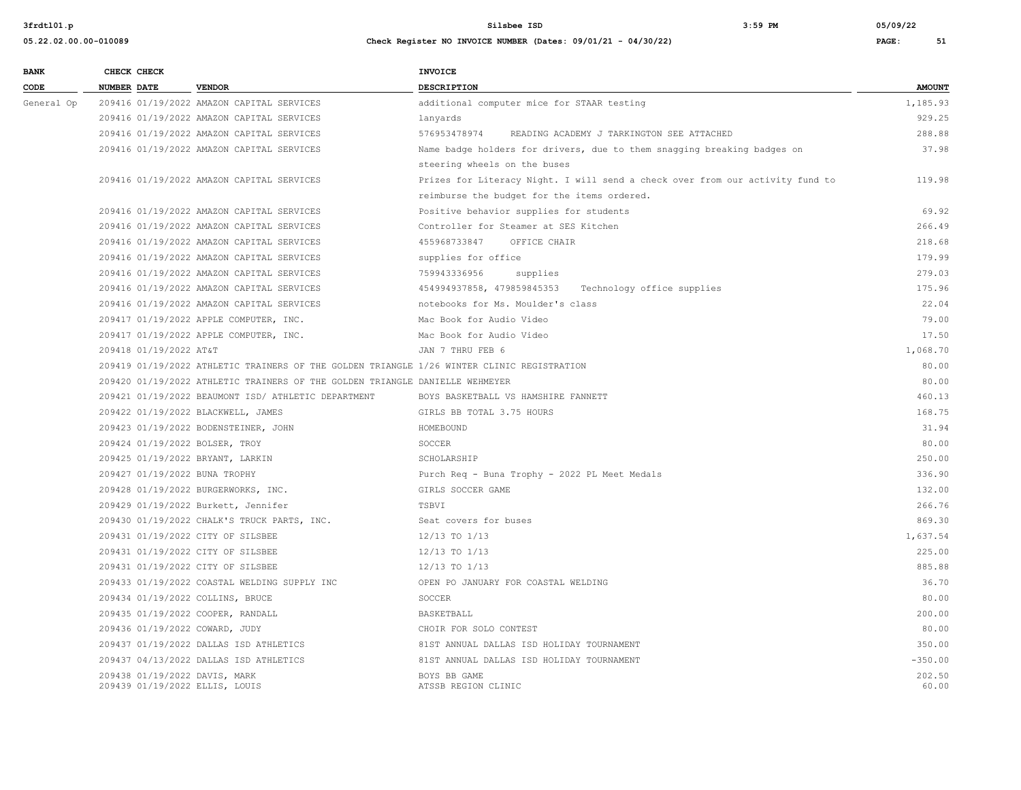| <b>BANK</b> | CHECK CHECK                                                     |                                                                                            | <b>INVOICE</b>                                                                |                 |
|-------------|-----------------------------------------------------------------|--------------------------------------------------------------------------------------------|-------------------------------------------------------------------------------|-----------------|
| CODE        | <b>NUMBER DATE</b>                                              | <b>VENDOR</b>                                                                              | <b>DESCRIPTION</b>                                                            | <b>AMOUNT</b>   |
| General Op  |                                                                 | 209416 01/19/2022 AMAZON CAPITAL SERVICES                                                  | additional computer mice for STAAR testing                                    | 1,185.93        |
|             |                                                                 | 209416 01/19/2022 AMAZON CAPITAL SERVICES                                                  | lanyards                                                                      | 929.25          |
|             |                                                                 | 209416 01/19/2022 AMAZON CAPITAL SERVICES                                                  | 576953478974<br>READING ACADEMY J TARKINGTON SEE ATTACHED                     | 288.88          |
|             |                                                                 | 209416 01/19/2022 AMAZON CAPITAL SERVICES                                                  | Name badge holders for drivers, due to them snagging breaking badges on       | 37.98           |
|             |                                                                 |                                                                                            | steering wheels on the buses                                                  |                 |
|             |                                                                 | 209416 01/19/2022 AMAZON CAPITAL SERVICES                                                  | Prizes for Literacy Night. I will send a check over from our activity fund to | 119.98          |
|             |                                                                 |                                                                                            | reimburse the budget for the items ordered.                                   |                 |
|             |                                                                 | 209416 01/19/2022 AMAZON CAPITAL SERVICES                                                  | Positive behavior supplies for students                                       | 69.92           |
|             |                                                                 | 209416 01/19/2022 AMAZON CAPITAL SERVICES                                                  | Controller for Steamer at SES Kitchen                                         | 266.49          |
|             |                                                                 | 209416 01/19/2022 AMAZON CAPITAL SERVICES                                                  | 455968733847<br>OFFICE CHAIR                                                  | 218.68          |
|             |                                                                 | 209416 01/19/2022 AMAZON CAPITAL SERVICES                                                  | supplies for office                                                           | 179.99          |
|             |                                                                 | 209416 01/19/2022 AMAZON CAPITAL SERVICES                                                  | 759943336956<br>supplies                                                      | 279.03          |
|             |                                                                 | 209416 01/19/2022 AMAZON CAPITAL SERVICES                                                  | 454994937858, 479859845353 Technology office supplies                         | 175.96          |
|             |                                                                 | 209416 01/19/2022 AMAZON CAPITAL SERVICES                                                  | notebooks for Ms. Moulder's class                                             | 22.04           |
|             |                                                                 | 209417 01/19/2022 APPLE COMPUTER, INC.                                                     | Mac Book for Audio Video                                                      | 79.00           |
|             |                                                                 | 209417 01/19/2022 APPLE COMPUTER, INC.                                                     | Mac Book for Audio Video                                                      | 17.50           |
|             | 209418 01/19/2022 AT&T                                          |                                                                                            | JAN 7 THRU FEB 6                                                              | 1,068.70        |
|             |                                                                 | 209419 01/19/2022 ATHLETIC TRAINERS OF THE GOLDEN TRIANGLE 1/26 WINTER CLINIC REGISTRATION |                                                                               | 80.00           |
|             |                                                                 | 209420 01/19/2022 ATHLETIC TRAINERS OF THE GOLDEN TRIANGLE DANIELLE WEHMEYER               |                                                                               | 80.00           |
|             |                                                                 | 209421 01/19/2022 BEAUMONT ISD/ ATHLETIC DEPARTMENT                                        | BOYS BASKETBALL VS HAMSHIRE FANNETT                                           | 460.13          |
|             | 209422 01/19/2022 BLACKWELL, JAMES                              |                                                                                            | GIRLS BB TOTAL 3.75 HOURS                                                     | 168.75          |
|             |                                                                 | 209423 01/19/2022 BODENSTEINER, JOHN                                                       | HOMEBOUND                                                                     | 31.94           |
|             | 209424 01/19/2022 BOLSER, TROY                                  |                                                                                            | SOCCER                                                                        | 80.00           |
|             | 209425 01/19/2022 BRYANT, LARKIN                                |                                                                                            | SCHOLARSHIP                                                                   | 250.00          |
|             | 209427 01/19/2022 BUNA TROPHY                                   |                                                                                            | Purch Req - Buna Trophy - 2022 PL Meet Medals                                 | 336.90          |
|             |                                                                 | 209428 01/19/2022 BURGERWORKS, INC.                                                        | GIRLS SOCCER GAME                                                             | 132.00          |
|             |                                                                 | 209429 01/19/2022 Burkett, Jennifer                                                        | TSBVI                                                                         | 266.76          |
|             |                                                                 | 209430 01/19/2022 CHALK'S TRUCK PARTS, INC.                                                | Seat covers for buses                                                         | 869.30          |
|             | 209431 01/19/2022 CITY OF SILSBEE                               |                                                                                            | 12/13 TO 1/13                                                                 | 1,637.54        |
|             | 209431 01/19/2022 CITY OF SILSBEE                               |                                                                                            | 12/13 TO 1/13                                                                 | 225.00          |
|             | 209431 01/19/2022 CITY OF SILSBEE                               |                                                                                            | 12/13 TO 1/13                                                                 | 885.88          |
|             |                                                                 | 209433 01/19/2022 COASTAL WELDING SUPPLY INC                                               | OPEN PO JANUARY FOR COASTAL WELDING                                           | 36.70           |
|             | 209434 01/19/2022 COLLINS, BRUCE                                |                                                                                            | SOCCER                                                                        | 80.00           |
|             | 209435 01/19/2022 COOPER, RANDALL                               |                                                                                            | BASKETBALL                                                                    | 200.00          |
|             | 209436 01/19/2022 COWARD, JUDY                                  |                                                                                            | CHOIR FOR SOLO CONTEST                                                        | 80.00           |
|             |                                                                 | 209437 01/19/2022 DALLAS ISD ATHLETICS                                                     | 81ST ANNUAL DALLAS ISD HOLIDAY TOURNAMENT                                     | 350.00          |
|             |                                                                 | 209437 04/13/2022 DALLAS ISD ATHLETICS                                                     | 81ST ANNUAL DALLAS ISD HOLIDAY TOURNAMENT                                     | $-350.00$       |
|             | 209438 01/19/2022 DAVIS, MARK<br>209439 01/19/2022 ELLIS, LOUIS |                                                                                            | BOYS BB GAME<br>ATSSB REGION CLINIC                                           | 202.50<br>60.00 |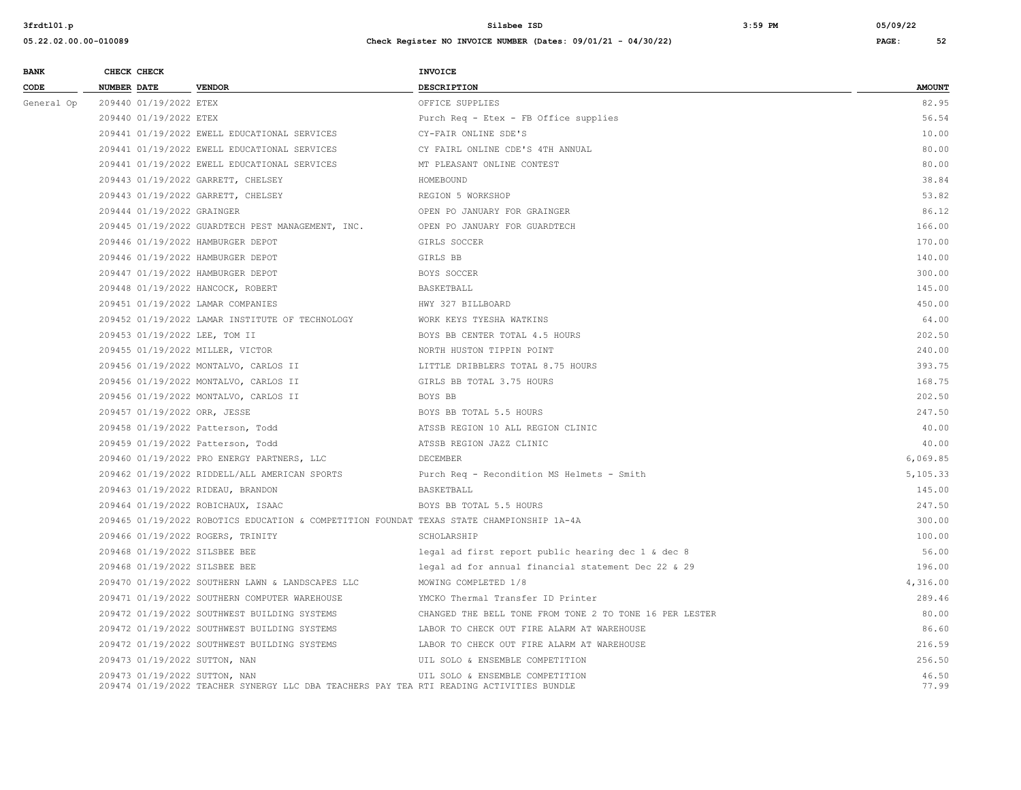| <b>BANK</b> |                    | CHECK CHECK                |                                                                                                                           | <b>INVOICE</b>                                          |                |
|-------------|--------------------|----------------------------|---------------------------------------------------------------------------------------------------------------------------|---------------------------------------------------------|----------------|
| CODE        | <b>NUMBER DATE</b> |                            | <b>VENDOR</b>                                                                                                             | DESCRIPTION                                             | <b>AMOUNT</b>  |
| General Op  |                    | 209440 01/19/2022 ETEX     |                                                                                                                           | OFFICE SUPPLIES                                         | 82.95          |
|             |                    | 209440 01/19/2022 ETEX     |                                                                                                                           | Purch Req - Etex - FB Office supplies                   | 56.54          |
|             |                    |                            | 209441 01/19/2022 EWELL EDUCATIONAL SERVICES                                                                              | CY-FAIR ONLINE SDE'S                                    | 10.00          |
|             |                    |                            | 209441 01/19/2022 EWELL EDUCATIONAL SERVICES                                                                              | CY FAIRL ONLINE CDE'S 4TH ANNUAL                        | 80.00          |
|             |                    |                            | 209441 01/19/2022 EWELL EDUCATIONAL SERVICES                                                                              | MT PLEASANT ONLINE CONTEST                              | 80.00          |
|             |                    |                            | 209443 01/19/2022 GARRETT, CHELSEY                                                                                        | HOMEBOUND                                               | 38.84          |
|             |                    |                            | 209443 01/19/2022 GARRETT, CHELSEY                                                                                        | REGION 5 WORKSHOP                                       | 53.82          |
|             |                    | 209444 01/19/2022 GRAINGER |                                                                                                                           | OPEN PO JANUARY FOR GRAINGER                            | 86.12          |
|             |                    |                            | 209445 01/19/2022 GUARDTECH PEST MANAGEMENT, INC.                                                                         | OPEN PO JANUARY FOR GUARDTECH                           | 166.00         |
|             |                    |                            | 209446 01/19/2022 HAMBURGER DEPOT                                                                                         | GIRLS SOCCER                                            | 170.00         |
|             |                    |                            | 209446 01/19/2022 HAMBURGER DEPOT                                                                                         | GIRLS BB                                                | 140.00         |
|             |                    |                            | 209447 01/19/2022 HAMBURGER DEPOT                                                                                         | BOYS SOCCER                                             | 300.00         |
|             |                    |                            | 209448 01/19/2022 HANCOCK, ROBERT                                                                                         | BASKETBALL                                              | 145.00         |
|             |                    |                            | 209451 01/19/2022 LAMAR COMPANIES                                                                                         | HWY 327 BILLBOARD                                       | 450.00         |
|             |                    |                            | 209452 01/19/2022 LAMAR INSTITUTE OF TECHNOLOGY                                                                           | WORK KEYS TYESHA WATKINS                                | 64.00          |
|             |                    |                            | 209453 01/19/2022 LEE, TOM II                                                                                             | BOYS BB CENTER TOTAL 4.5 HOURS                          | 202.50         |
|             |                    |                            | 209455 01/19/2022 MILLER, VICTOR                                                                                          | NORTH HUSTON TIPPIN POINT                               | 240.00         |
|             |                    |                            | 209456 01/19/2022 MONTALVO, CARLOS II                                                                                     | LITTLE DRIBBLERS TOTAL 8.75 HOURS                       | 393.75         |
|             |                    |                            | 209456 01/19/2022 MONTALVO, CARLOS II                                                                                     | GIRLS BB TOTAL 3.75 HOURS                               | 168.75         |
|             |                    |                            | 209456 01/19/2022 MONTALVO, CARLOS II                                                                                     | BOYS BB                                                 | 202.50         |
|             |                    |                            | 209457 01/19/2022 ORR, JESSE                                                                                              | BOYS BB TOTAL 5.5 HOURS                                 | 247.50         |
|             |                    |                            | 209458 01/19/2022 Patterson, Todd                                                                                         | ATSSB REGION 10 ALL REGION CLINIC                       | 40.00          |
|             |                    |                            | 209459 01/19/2022 Patterson, Todd                                                                                         | ATSSB REGION JAZZ CLINIC                                | 40.00          |
|             |                    |                            | 209460 01/19/2022 PRO ENERGY PARTNERS, LLC                                                                                | DECEMBER                                                | 6,069.85       |
|             |                    |                            | 209462 01/19/2022 RIDDELL/ALL AMERICAN SPORTS                                                                             | Purch Req - Recondition MS Helmets - Smith              | 5,105.33       |
|             |                    |                            | 209463 01/19/2022 RIDEAU, BRANDON                                                                                         | BASKETBALL                                              | 145.00         |
|             |                    |                            | 209464 01/19/2022 ROBICHAUX, ISAAC                                                                                        | BOYS BB TOTAL 5.5 HOURS                                 | 247.50         |
|             |                    |                            | 209465 01/19/2022 ROBOTICS EDUCATION & COMPETITION FOUNDAT TEXAS STATE CHAMPIONSHIP 1A-4A                                 |                                                         | 300.00         |
|             |                    |                            | 209466 01/19/2022 ROGERS, TRINITY                                                                                         | SCHOLARSHIP                                             | 100.00         |
|             |                    |                            | 209468 01/19/2022 SILSBEE BEE                                                                                             | legal ad first report public hearing dec 1 & dec 8      | 56.00          |
|             |                    |                            | 209468 01/19/2022 SILSBEE BEE                                                                                             | legal ad for annual financial statement Dec 22 & 29     | 196.00         |
|             |                    |                            | 209470 01/19/2022 SOUTHERN LAWN & LANDSCAPES LLC                                                                          | MOWING COMPLETED 1/8                                    | 4,316.00       |
|             |                    |                            | 209471 01/19/2022 SOUTHERN COMPUTER WAREHOUSE                                                                             | YMCKO Thermal Transfer ID Printer                       | 289.46         |
|             |                    |                            | 209472 01/19/2022 SOUTHWEST BUILDING SYSTEMS                                                                              | CHANGED THE BELL TONE FROM TONE 2 TO TONE 16 PER LESTER | 80.00          |
|             |                    |                            | 209472 01/19/2022 SOUTHWEST BUILDING SYSTEMS                                                                              | LABOR TO CHECK OUT FIRE ALARM AT WAREHOUSE              | 86.60          |
|             |                    |                            | 209472 01/19/2022 SOUTHWEST BUILDING SYSTEMS                                                                              | LABOR TO CHECK OUT FIRE ALARM AT WAREHOUSE              | 216.59         |
|             |                    |                            | 209473 01/19/2022 SUTTON, NAN                                                                                             | UIL SOLO & ENSEMBLE COMPETITION                         | 256.50         |
|             |                    |                            | 209473 01/19/2022 SUTTON, NAN<br>209474 01/19/2022 TEACHER SYNERGY LLC DBA TEACHERS PAY TEA RTI READING ACTIVITIES BUNDLE | UIL SOLO & ENSEMBLE COMPETITION                         | 46.50<br>77.99 |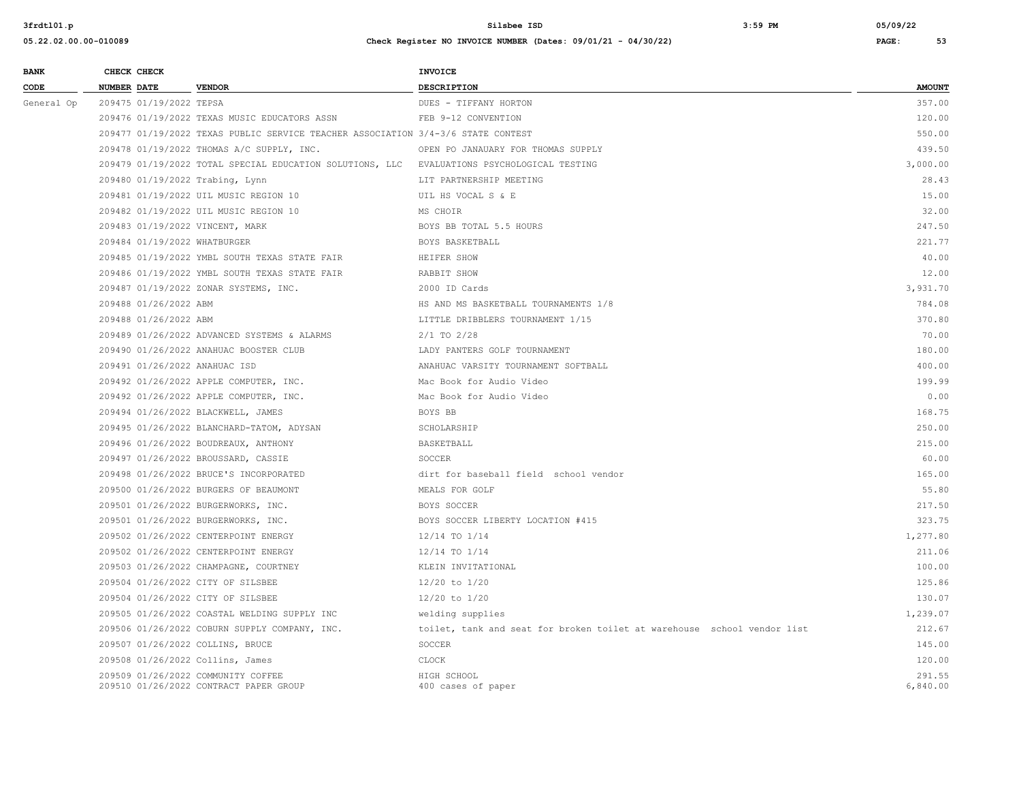| <b>BANK</b> |                    | CHECK CHECK             |                                                                                            | <b>INVOICE</b>                                                          |               |
|-------------|--------------------|-------------------------|--------------------------------------------------------------------------------------------|-------------------------------------------------------------------------|---------------|
| CODE        | <b>NUMBER DATE</b> |                         | <b>VENDOR</b>                                                                              | DESCRIPTION                                                             | <b>AMOUNT</b> |
| General Op  |                    | 209475 01/19/2022 TEPSA |                                                                                            | DUES - TIFFANY HORTON                                                   | 357.00        |
|             |                    |                         | 209476 01/19/2022 TEXAS MUSIC EDUCATORS ASSN                                               | FEB 9-12 CONVENTION                                                     | 120.00        |
|             |                    |                         | 209477 01/19/2022 TEXAS PUBLIC SERVICE TEACHER ASSOCIATION 3/4-3/6 STATE CONTEST           |                                                                         | 550.00        |
|             |                    |                         | 209478 01/19/2022 THOMAS A/C SUPPLY, INC.                                                  | OPEN PO JANAUARY FOR THOMAS SUPPLY                                      | 439.50        |
|             |                    |                         | 209479 01/19/2022 TOTAL SPECIAL EDUCATION SOLUTIONS, LLC EVALUATIONS PSYCHOLOGICAL TESTING |                                                                         | 3,000.00      |
|             |                    |                         | 209480 01/19/2022 Trabing, Lynn                                                            | LIT PARTNERSHIP MEETING                                                 | 28.43         |
|             |                    |                         | 209481 01/19/2022 UIL MUSIC REGION 10                                                      | UIL HS VOCAL S & E                                                      | 15.00         |
|             |                    |                         | 209482 01/19/2022 UIL MUSIC REGION 10                                                      | MS CHOIR                                                                | 32.00         |
|             |                    |                         | 209483 01/19/2022 VINCENT, MARK                                                            | BOYS BB TOTAL 5.5 HOURS                                                 | 247.50        |
|             |                    |                         | 209484 01/19/2022 WHATBURGER                                                               | BOYS BASKETBALL                                                         | 221.77        |
|             |                    |                         | 209485 01/19/2022 YMBL SOUTH TEXAS STATE FAIR                                              | HEIFER SHOW                                                             | 40.00         |
|             |                    |                         | 209486 01/19/2022 YMBL SOUTH TEXAS STATE FAIR                                              | RABBIT SHOW                                                             | 12.00         |
|             |                    |                         | 209487 01/19/2022 ZONAR SYSTEMS, INC.                                                      | 2000 ID Cards                                                           | 3,931.70      |
|             |                    | 209488 01/26/2022 ABM   |                                                                                            | HS AND MS BASKETBALL TOURNAMENTS 1/8                                    | 784.08        |
|             |                    | 209488 01/26/2022 ABM   |                                                                                            | LITTLE DRIBBLERS TOURNAMENT 1/15                                        | 370.80        |
|             |                    |                         | 209489 01/26/2022 ADVANCED SYSTEMS & ALARMS                                                | $2/1$ TO $2/28$                                                         | 70.00         |
|             |                    |                         | 209490 01/26/2022 ANAHUAC BOOSTER CLUB                                                     | LADY PANTERS GOLF TOURNAMENT                                            | 180.00        |
|             |                    |                         | 209491 01/26/2022 ANAHUAC ISD                                                              | ANAHUAC VARSITY TOURNAMENT SOFTBALL                                     | 400.00        |
|             |                    |                         | 209492 01/26/2022 APPLE COMPUTER, INC.                                                     | Mac Book for Audio Video                                                | 199.99        |
|             |                    |                         | 209492 01/26/2022 APPLE COMPUTER, INC.                                                     | Mac Book for Audio Video                                                | 0.00          |
|             |                    |                         | 209494 01/26/2022 BLACKWELL, JAMES                                                         | BOYS BB                                                                 | 168.75        |
|             |                    |                         | 209495 01/26/2022 BLANCHARD-TATOM, ADYSAN                                                  | SCHOLARSHIP                                                             | 250.00        |
|             |                    |                         | 209496 01/26/2022 BOUDREAUX, ANTHONY                                                       | <b>BASKETBALL</b>                                                       | 215.00        |
|             |                    |                         | 209497 01/26/2022 BROUSSARD, CASSIE                                                        | SOCCER                                                                  | 60.00         |
|             |                    |                         | 209498 01/26/2022 BRUCE'S INCORPORATED                                                     | dirt for baseball field school vendor                                   | 165.00        |
|             |                    |                         | 209500 01/26/2022 BURGERS OF BEAUMONT                                                      | MEALS FOR GOLF                                                          | 55.80         |
|             |                    |                         | 209501 01/26/2022 BURGERWORKS, INC.                                                        | <b>BOYS SOCCER</b>                                                      | 217.50        |
|             |                    |                         | 209501 01/26/2022 BURGERWORKS, INC.                                                        | BOYS SOCCER LIBERTY LOCATION #415                                       | 323.75        |
|             |                    |                         | 209502 01/26/2022 CENTERPOINT ENERGY                                                       | 12/14 TO 1/14                                                           | 1,277.80      |
|             |                    |                         | 209502 01/26/2022 CENTERPOINT ENERGY                                                       | 12/14 TO 1/14                                                           | 211.06        |
|             |                    |                         | 209503 01/26/2022 CHAMPAGNE, COURTNEY                                                      | KLEIN INVITATIONAL                                                      | 100.00        |
|             |                    |                         | 209504 01/26/2022 CITY OF SILSBEE                                                          | 12/20 to 1/20                                                           | 125.86        |
|             |                    |                         | 209504 01/26/2022 CITY OF SILSBEE                                                          | $12/20$ to $1/20$                                                       | 130.07        |
|             |                    |                         | 209505 01/26/2022 COASTAL WELDING SUPPLY INC                                               | welding supplies                                                        | 1,239.07      |
|             |                    |                         | 209506 01/26/2022 COBURN SUPPLY COMPANY, INC.                                              | toilet, tank and seat for broken toilet at warehouse school vendor list | 212.67        |
|             |                    |                         | 209507 01/26/2022 COLLINS, BRUCE                                                           | SOCCER                                                                  | 145.00        |
|             |                    |                         | 209508 01/26/2022 Collins, James                                                           | CLOCK                                                                   | 120.00        |
|             |                    |                         | 209509 01/26/2022 COMMUNITY COFFEE                                                         | HIGH SCHOOL                                                             | 291.55        |
|             |                    |                         | 209510 01/26/2022 CONTRACT PAPER GROUP                                                     | 400 cases of paper                                                      | 6,840.00      |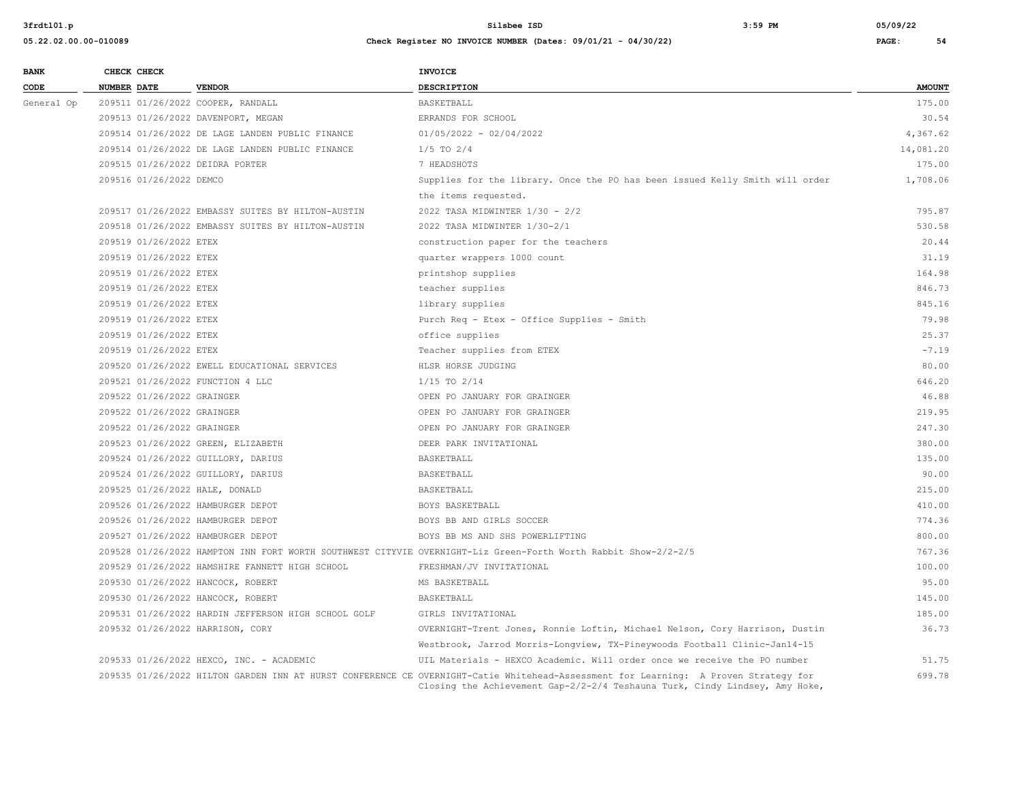| <b>BANK</b> |                    | CHECK CHECK                |                                                     | <b>INVOICE</b>                                                                                                                                                                                                     |               |
|-------------|--------------------|----------------------------|-----------------------------------------------------|--------------------------------------------------------------------------------------------------------------------------------------------------------------------------------------------------------------------|---------------|
| CODE        | <b>NUMBER DATE</b> |                            | <b>VENDOR</b>                                       | <b>DESCRIPTION</b>                                                                                                                                                                                                 | <b>AMOUNT</b> |
| General Op  |                    |                            | 209511 01/26/2022 COOPER, RANDALL                   | BASKETBALL                                                                                                                                                                                                         | 175.00        |
|             |                    |                            | 209513 01/26/2022 DAVENPORT, MEGAN                  | ERRANDS FOR SCHOOL                                                                                                                                                                                                 | 30.54         |
|             |                    |                            | 209514 01/26/2022 DE LAGE LANDEN PUBLIC FINANCE     | $01/05/2022 - 02/04/2022$                                                                                                                                                                                          | 4,367.62      |
|             |                    |                            | 209514 01/26/2022 DE LAGE LANDEN PUBLIC FINANCE     | $1/5$ TO $2/4$                                                                                                                                                                                                     | 14,081.20     |
|             |                    |                            | 209515 01/26/2022 DEIDRA PORTER                     | 7 HEADSHOTS                                                                                                                                                                                                        | 175.00        |
|             |                    | 209516 01/26/2022 DEMCO    |                                                     | Supplies for the library. Once the PO has been issued Kelly Smith will order                                                                                                                                       | 1,708.06      |
|             |                    |                            |                                                     | the items requested.                                                                                                                                                                                               |               |
|             |                    |                            | 209517 01/26/2022 EMBASSY SUITES BY HILTON-AUSTIN   | 2022 TASA MIDWINTER 1/30 - 2/2                                                                                                                                                                                     | 795.87        |
|             |                    |                            | 209518 01/26/2022 EMBASSY SUITES BY HILTON-AUSTIN   | 2022 TASA MIDWINTER 1/30-2/1                                                                                                                                                                                       | 530.58        |
|             |                    | 209519 01/26/2022 ETEX     |                                                     | construction paper for the teachers                                                                                                                                                                                | 20.44         |
|             |                    | 209519 01/26/2022 ETEX     |                                                     | quarter wrappers 1000 count                                                                                                                                                                                        | 31.19         |
|             |                    | 209519 01/26/2022 ETEX     |                                                     | printshop supplies                                                                                                                                                                                                 | 164.98        |
|             |                    | 209519 01/26/2022 ETEX     |                                                     | teacher supplies                                                                                                                                                                                                   | 846.73        |
|             |                    | 209519 01/26/2022 ETEX     |                                                     | library supplies                                                                                                                                                                                                   | 845.16        |
|             |                    | 209519 01/26/2022 ETEX     |                                                     | Purch Req - Etex - Office Supplies - Smith                                                                                                                                                                         | 79.98         |
|             |                    | 209519 01/26/2022 ETEX     |                                                     | office supplies                                                                                                                                                                                                    | 25.37         |
|             |                    | 209519 01/26/2022 ETEX     |                                                     | Teacher supplies from ETEX                                                                                                                                                                                         | $-7.19$       |
|             |                    |                            | 209520 01/26/2022 EWELL EDUCATIONAL SERVICES        | HLSR HORSE JUDGING                                                                                                                                                                                                 | 80.00         |
|             |                    |                            | 209521 01/26/2022 FUNCTION 4 LLC                    | $1/15$ TO $2/14$                                                                                                                                                                                                   | 646.20        |
|             |                    | 209522 01/26/2022 GRAINGER |                                                     | OPEN PO JANUARY FOR GRAINGER                                                                                                                                                                                       | 46.88         |
|             |                    | 209522 01/26/2022 GRAINGER |                                                     | OPEN PO JANUARY FOR GRAINGER                                                                                                                                                                                       | 219.95        |
|             |                    | 209522 01/26/2022 GRAINGER |                                                     | OPEN PO JANUARY FOR GRAINGER                                                                                                                                                                                       | 247.30        |
|             |                    |                            | 209523 01/26/2022 GREEN, ELIZABETH                  | DEER PARK INVITATIONAL                                                                                                                                                                                             | 380.00        |
|             |                    |                            | 209524 01/26/2022 GUILLORY, DARIUS                  | BASKETBALL                                                                                                                                                                                                         | 135.00        |
|             |                    |                            | 209524 01/26/2022 GUILLORY, DARIUS                  | BASKETBALL                                                                                                                                                                                                         | 90.00         |
|             |                    |                            | 209525 01/26/2022 HALE, DONALD                      | BASKETBALL                                                                                                                                                                                                         | 215.00        |
|             |                    |                            | 209526 01/26/2022 HAMBURGER DEPOT                   | BOYS BASKETBALL                                                                                                                                                                                                    | 410.00        |
|             |                    |                            | 209526 01/26/2022 HAMBURGER DEPOT                   | BOYS BB AND GIRLS SOCCER                                                                                                                                                                                           | 774.36        |
|             |                    |                            | 209527 01/26/2022 HAMBURGER DEPOT                   | BOYS BB MS AND SHS POWERLIFTING                                                                                                                                                                                    | 800.00        |
|             |                    |                            |                                                     | 209528 01/26/2022 HAMPTON INN FORT WORTH SOUTHWEST CITYVIE OVERNIGHT-Liz Green-Forth Worth Rabbit Show-2/2-2/5                                                                                                     | 767.36        |
|             |                    |                            | 209529 01/26/2022 HAMSHIRE FANNETT HIGH SCHOOL      | FRESHMAN/JV INVITATIONAL                                                                                                                                                                                           | 100.00        |
|             |                    |                            | 209530 01/26/2022 HANCOCK, ROBERT                   | MS BASKETBALL                                                                                                                                                                                                      | 95.00         |
|             |                    |                            | 209530 01/26/2022 HANCOCK, ROBERT                   | BASKETBALL                                                                                                                                                                                                         | 145.00        |
|             |                    |                            | 209531 01/26/2022 HARDIN JEFFERSON HIGH SCHOOL GOLF | GIRLS INVITATIONAL                                                                                                                                                                                                 | 185.00        |
|             |                    |                            | 209532 01/26/2022 HARRISON, CORY                    | OVERNIGHT-Trent Jones, Ronnie Loftin, Michael Nelson, Cory Harrison, Dustin                                                                                                                                        | 36.73         |
|             |                    |                            |                                                     | Westbrook, Jarrod Morris-Longview, TX-Pineywoods Football Clinic-Jan14-15                                                                                                                                          |               |
|             |                    |                            | 209533 01/26/2022 HEXCO, INC. - ACADEMIC            | UIL Materials - HEXCO Academic. Will order once we receive the PO number                                                                                                                                           | 51.75         |
|             |                    |                            |                                                     | 209535 01/26/2022 HILTON GARDEN INN AT HURST CONFERENCE CE OVERNIGHT-Catie Whitehead-Assessment for Learning: A Proven Strategy for<br>Closing the Achievement Gap-2/2-2/4 Teshauna Turk, Cindy Lindsey, Amy Hoke, | 699.78        |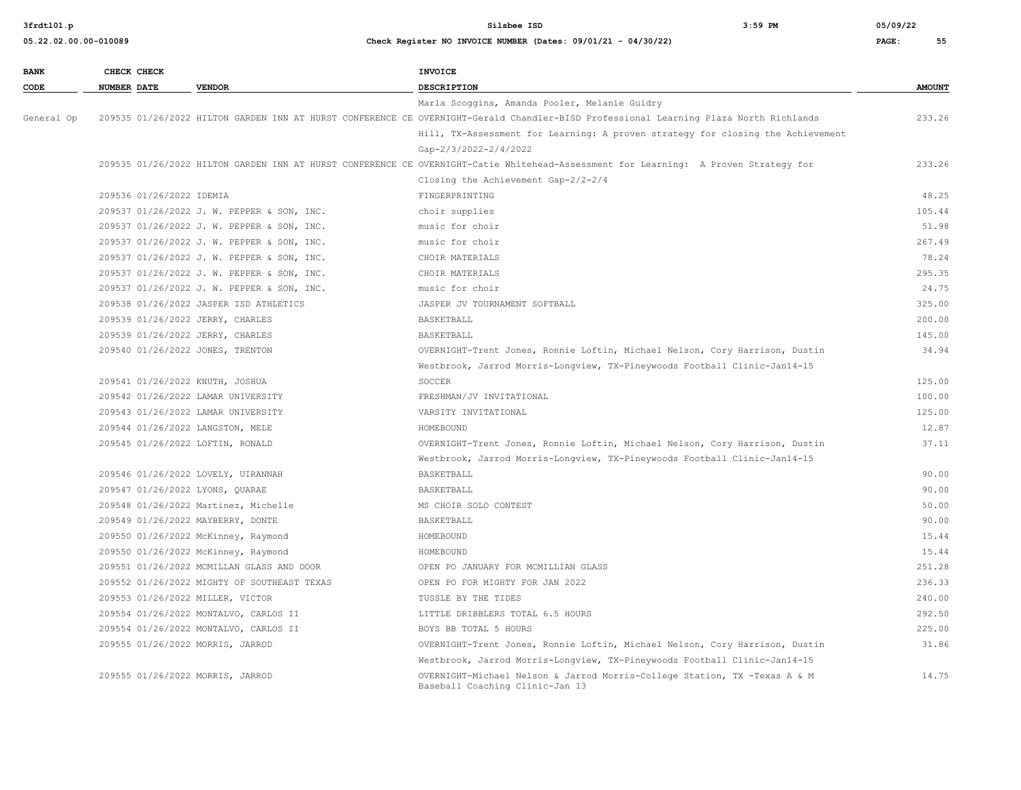| <b>BANK</b> |                    | CHECK CHECK              |                                             | <b>INVOICE</b>                                                                                                                        |               |
|-------------|--------------------|--------------------------|---------------------------------------------|---------------------------------------------------------------------------------------------------------------------------------------|---------------|
| CODE        | <b>NUMBER DATE</b> |                          | <b>VENDOR</b>                               | DESCRIPTION                                                                                                                           | <b>AMOUNT</b> |
|             |                    |                          |                                             | Marla Scoggins, Amanda Pooler, Melanie Guidry                                                                                         |               |
| General Op  |                    |                          |                                             | 209535 01/26/2022 HILTON GARDEN INN AT HURST CONFERENCE CE OVERNIGHT-Gerald Chandler-BISD Professional Learning Plaza North Richlands | 233.26        |
|             |                    |                          |                                             | Hill, TX-Assessment for Learning: A proven strategy for closing the Achievement                                                       |               |
|             |                    |                          |                                             | Gap-2/3/2022-2/4/2022                                                                                                                 |               |
|             |                    |                          |                                             | 209535 01/26/2022 HILTON GARDEN INN AT HURST CONFERENCE CE OVERNIGHT-Catie Whitehead-Assessment for Learning: A Proven Strategy for   | 233.26        |
|             |                    |                          |                                             | Closing the Achievement Gap-2/2-2/4                                                                                                   |               |
|             |                    | 209536 01/26/2022 IDEMIA |                                             | FINGERPRINTING                                                                                                                        | 48.25         |
|             |                    |                          | 209537 01/26/2022 J. W. PEPPER & SON, INC.  | choir supplies                                                                                                                        | 105.44        |
|             |                    |                          | 209537 01/26/2022 J. W. PEPPER & SON, INC.  | music for choir                                                                                                                       | 51.98         |
|             |                    |                          | 209537 01/26/2022 J. W. PEPPER & SON, INC.  | music for choir                                                                                                                       | 267.49        |
|             |                    |                          | 209537 01/26/2022 J. W. PEPPER & SON, INC.  | CHOIR MATERIALS                                                                                                                       | 78.24         |
|             |                    |                          | 209537 01/26/2022 J. W. PEPPER & SON, INC.  | CHOIR MATERIALS                                                                                                                       | 295.35        |
|             |                    |                          | 209537 01/26/2022 J. W. PEPPER & SON, INC.  | music for choir                                                                                                                       | 24.75         |
|             |                    |                          | 209538 01/26/2022 JASPER ISD ATHLETICS      | JASPER JV TOURNAMENT SOFTBALL                                                                                                         | 325.00        |
|             |                    |                          | 209539 01/26/2022 JERRY, CHARLES            | BASKETBALL                                                                                                                            | 200.00        |
|             |                    |                          | 209539 01/26/2022 JERRY, CHARLES            | BASKETBALL                                                                                                                            | 145.00        |
|             |                    |                          | 209540 01/26/2022 JONES, TRENTON            | OVERNIGHT-Trent Jones, Ronnie Loftin, Michael Nelson, Cory Harrison, Dustin                                                           | 34.94         |
|             |                    |                          |                                             | Westbrook, Jarrod Morris-Longview, TX-Pineywoods Football Clinic-Jan14-15                                                             |               |
|             |                    |                          | 209541 01/26/2022 KNUTH, JOSHUA             | SOCCER                                                                                                                                | 125.00        |
|             |                    |                          | 209542 01/26/2022 LAMAR UNIVERSITY          | FRESHMAN/JV INVITATIONAL                                                                                                              | 100.00        |
|             |                    |                          | 209543 01/26/2022 LAMAR UNIVERSITY          | VARSITY INVITATIONAL                                                                                                                  | 125.00        |
|             |                    |                          | 209544 01/26/2022 LANGSTON, MELE            | HOMEBOUND                                                                                                                             | 12.87         |
|             |                    |                          | 209545 01/26/2022 LOFTIN, RONALD            | OVERNIGHT-Trent Jones, Ronnie Loftin, Michael Nelson, Cory Harrison, Dustin                                                           | 37.11         |
|             |                    |                          |                                             | Westbrook, Jarrod Morris-Longview, TX-Pineywoods Football Clinic-Jan14-15                                                             |               |
|             |                    |                          | 209546 01/26/2022 LOVELY, UIRANNAH          | BASKETBALL                                                                                                                            | 90.00         |
|             |                    |                          | 209547 01/26/2022 LYONS, OUARAE             | <b>BASKETBALL</b>                                                                                                                     | 90.00         |
|             |                    |                          | 209548 01/26/2022 Martinez, Michelle        | MS CHOIR SOLO CONTEST                                                                                                                 | 50.00         |
|             |                    |                          | 209549 01/26/2022 MAYBERRY, DONTE           | BASKETBALL                                                                                                                            | 90.00         |
|             |                    |                          | 209550 01/26/2022 McKinney, Raymond         | HOMEBOUND                                                                                                                             | 15.44         |
|             |                    |                          | 209550 01/26/2022 McKinney, Raymond         | HOMEBOUND                                                                                                                             | 15.44         |
|             |                    |                          | 209551 01/26/2022 MCMILLAN GLASS AND DOOR   | OPEN PO JANUARY FOR MCMILLIAN GLASS                                                                                                   | 251.28        |
|             |                    |                          | 209552 01/26/2022 MIGHTY OF SOUTHEAST TEXAS | OPEN PO FOR MIGHTY FOR JAN 2022                                                                                                       | 236.33        |
|             |                    |                          | 209553 01/26/2022 MILLER, VICTOR            | TUSSLE BY THE TIDES                                                                                                                   | 240.00        |
|             |                    |                          | 209554 01/26/2022 MONTALVO, CARLOS II       | LITTLE DRIBBLERS TOTAL 6.5 HOURS                                                                                                      | 292.50        |
|             |                    |                          | 209554 01/26/2022 MONTALVO, CARLOS II       | BOYS BB TOTAL 5 HOURS                                                                                                                 | 225.00        |
|             |                    |                          | 209555 01/26/2022 MORRIS, JARROD            | OVERNIGHT-Trent Jones, Ronnie Loftin, Michael Nelson, Cory Harrison, Dustin                                                           | 31.86         |
|             |                    |                          |                                             | Westbrook, Jarrod Morris-Lonqview, TX-Pineywoods Football Clinic-Jan14-15                                                             |               |
|             |                    |                          | 209555 01/26/2022 MORRIS, JARROD            | OVERNIGHT-Michael Nelson & Jarrod Morris-College Station, TX -Texas A & M<br>Baseball Coaching Clinic-Jan 13                          | 14.75         |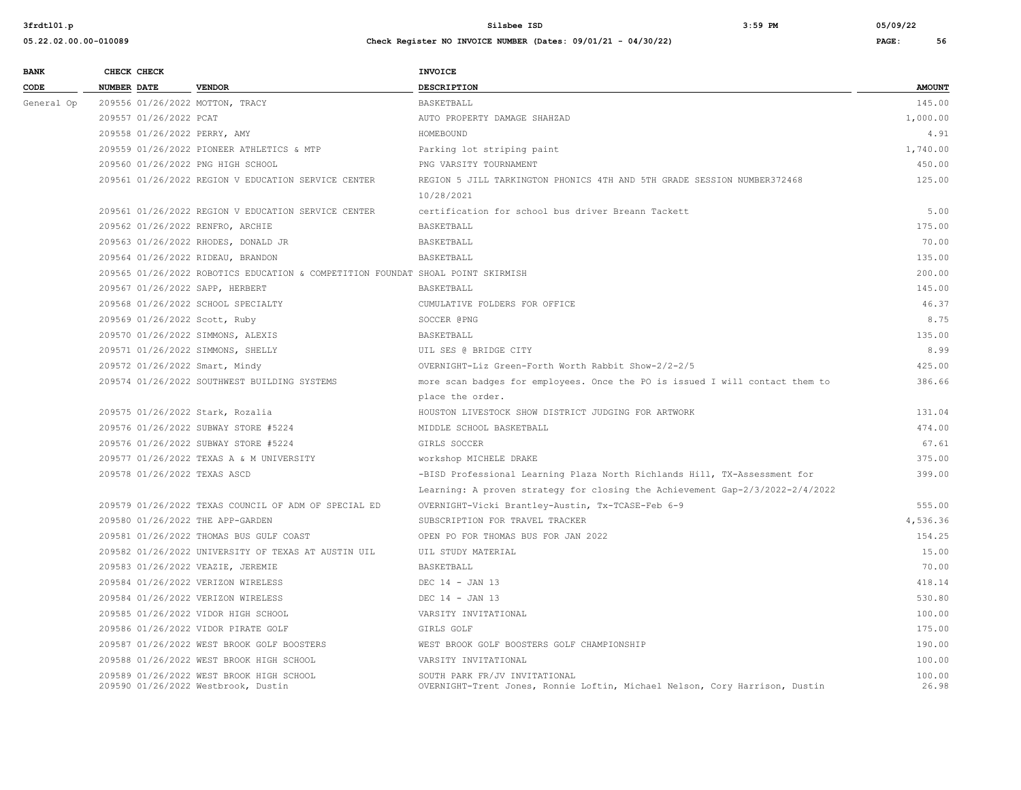| <b>BANK</b> | CHECK CHECK |                        |                                                                                 | <b>INVOICE</b>                                                                                               |                 |
|-------------|-------------|------------------------|---------------------------------------------------------------------------------|--------------------------------------------------------------------------------------------------------------|-----------------|
| CODE        | NUMBER DATE |                        | <b>VENDOR</b>                                                                   | DESCRIPTION                                                                                                  | <b>AMOUNT</b>   |
| General Op  |             |                        | 209556 01/26/2022 MOTTON, TRACY                                                 | BASKETBALL                                                                                                   | 145.00          |
|             |             | 209557 01/26/2022 PCAT |                                                                                 | AUTO PROPERTY DAMAGE SHAHZAD                                                                                 | 1,000.00        |
|             |             |                        | 209558 01/26/2022 PERRY, AMY                                                    | HOMEBOUND                                                                                                    | 4.91            |
|             |             |                        | 209559 01/26/2022 PIONEER ATHLETICS & MTP                                       | Parking lot striping paint                                                                                   | 1,740.00        |
|             |             |                        | 209560 01/26/2022 PNG HIGH SCHOOL                                               | PNG VARSITY TOURNAMENT                                                                                       | 450.00          |
|             |             |                        | 209561 01/26/2022 REGION V EDUCATION SERVICE CENTER                             | REGION 5 JILL TARKINGTON PHONICS 4TH AND 5TH GRADE SESSION NUMBER372468                                      | 125.00          |
|             |             |                        |                                                                                 | 10/28/2021                                                                                                   |                 |
|             |             |                        | 209561 01/26/2022 REGION V EDUCATION SERVICE CENTER                             | certification for school bus driver Breann Tackett                                                           | 5.00            |
|             |             |                        | 209562 01/26/2022 RENFRO, ARCHIE                                                | BASKETBALL                                                                                                   | 175.00          |
|             |             |                        | 209563 01/26/2022 RHODES, DONALD JR                                             | BASKETBALL                                                                                                   | 70.00           |
|             |             |                        | 209564 01/26/2022 RIDEAU, BRANDON                                               | BASKETBALL                                                                                                   | 135.00          |
|             |             |                        | 209565 01/26/2022 ROBOTICS EDUCATION & COMPETITION FOUNDAT SHOAL POINT SKIRMISH |                                                                                                              | 200.00          |
|             |             |                        | 209567 01/26/2022 SAPP, HERBERT                                                 | BASKETBALL                                                                                                   | 145.00          |
|             |             |                        | 209568 01/26/2022 SCHOOL SPECIALTY                                              | CUMULATIVE FOLDERS FOR OFFICE                                                                                | 46.37           |
|             |             |                        | 209569 01/26/2022 Scott, Ruby                                                   | SOCCER @PNG                                                                                                  | 8.75            |
|             |             |                        | 209570 01/26/2022 SIMMONS, ALEXIS                                               | BASKETBALL                                                                                                   | 135.00          |
|             |             |                        | 209571 01/26/2022 SIMMONS, SHELLY                                               | UIL SES @ BRIDGE CITY                                                                                        | 8.99            |
|             |             |                        | 209572 01/26/2022 Smart, Mindy                                                  | OVERNIGHT-Liz Green-Forth Worth Rabbit Show-2/2-2/5                                                          | 425.00          |
|             |             |                        | 209574 01/26/2022 SOUTHWEST BUILDING SYSTEMS                                    | more scan badges for employees. Once the PO is issued I will contact them to                                 | 386.66          |
|             |             |                        |                                                                                 | place the order.                                                                                             |                 |
|             |             |                        | 209575 01/26/2022 Stark, Rozalia                                                | HOUSTON LIVESTOCK SHOW DISTRICT JUDGING FOR ARTWORK                                                          | 131.04          |
|             |             |                        | 209576 01/26/2022 SUBWAY STORE #5224                                            | MIDDLE SCHOOL BASKETBALL                                                                                     | 474.00          |
|             |             |                        | 209576 01/26/2022 SUBWAY STORE #5224                                            | GIRLS SOCCER                                                                                                 | 67.61           |
|             |             |                        | 209577 01/26/2022 TEXAS A & M UNIVERSITY                                        | WOrkshop MICHELE DRAKE                                                                                       | 375.00          |
|             |             |                        | 209578 01/26/2022 TEXAS ASCD                                                    | -BISD Professional Learning Plaza North Richlands Hill, TX-Assessment for                                    | 399.00          |
|             |             |                        |                                                                                 | Learning: A proven strategy for closing the Achievement Gap-2/3/2022-2/4/2022                                |                 |
|             |             |                        | 209579 01/26/2022 TEXAS COUNCIL OF ADM OF SPECIAL ED                            | OVERNIGHT-Vicki Brantley-Austin, Tx-TCASE-Feb 6-9                                                            | 555.00          |
|             |             |                        | 209580 01/26/2022 THE APP-GARDEN                                                | SUBSCRIPTION FOR TRAVEL TRACKER                                                                              | 4,536.36        |
|             |             |                        | 209581 01/26/2022 THOMAS BUS GULF COAST                                         | OPEN PO FOR THOMAS BUS FOR JAN 2022                                                                          | 154.25          |
|             |             |                        | 209582 01/26/2022 UNIVERSITY OF TEXAS AT AUSTIN UIL                             | UIL STUDY MATERIAL                                                                                           | 15.00           |
|             |             |                        | 209583 01/26/2022 VEAZIE, JEREMIE                                               | BASKETBALL                                                                                                   | 70.00           |
|             |             |                        | 209584 01/26/2022 VERIZON WIRELESS                                              | DEC $14 - JAN$ 13                                                                                            | 418.14          |
|             |             |                        | 209584 01/26/2022 VERIZON WIRELESS                                              | DEC 14 - JAN 13                                                                                              | 530.80          |
|             |             |                        | 209585 01/26/2022 VIDOR HIGH SCHOOL                                             | VARSITY INVITATIONAL                                                                                         | 100.00          |
|             |             |                        | 209586 01/26/2022 VIDOR PIRATE GOLF                                             | GIRLS GOLF                                                                                                   | 175.00          |
|             |             |                        | 209587 01/26/2022 WEST BROOK GOLF BOOSTERS                                      | WEST BROOK GOLF BOOSTERS GOLF CHAMPIONSHIP                                                                   | 190.00          |
|             |             |                        | 209588 01/26/2022 WEST BROOK HIGH SCHOOL                                        | VARSITY INVITATIONAL                                                                                         | 100.00          |
|             |             |                        | 209589 01/26/2022 WEST BROOK HIGH SCHOOL<br>209590 01/26/2022 Westbrook, Dustin | SOUTH PARK FR/JV INVITATIONAL<br>OVERNIGHT-Trent Jones, Ronnie Loftin, Michael Nelson, Cory Harrison, Dustin | 100.00<br>26.98 |
|             |             |                        |                                                                                 |                                                                                                              |                 |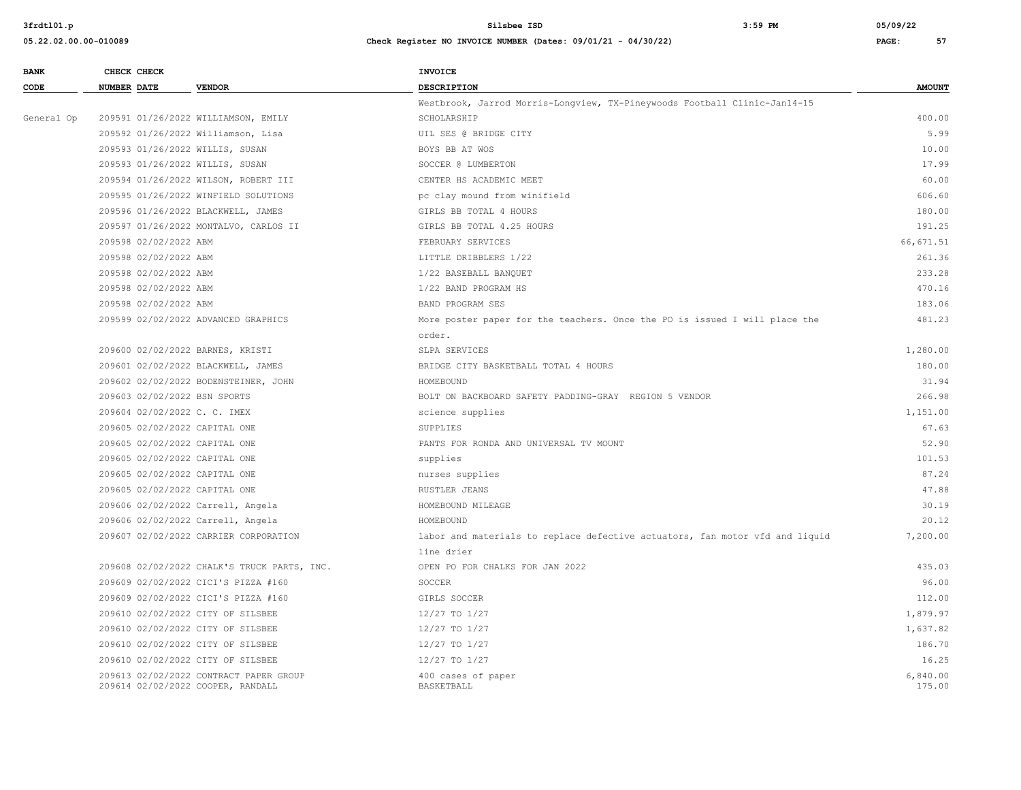| <b>BANK</b> | CHECK CHECK                                                                 | <b>INVOICE</b>                                                               |                    |
|-------------|-----------------------------------------------------------------------------|------------------------------------------------------------------------------|--------------------|
| CODE        | <b>VENDOR</b><br><b>NUMBER DATE</b>                                         | DESCRIPTION                                                                  | <b>AMOUNT</b>      |
|             |                                                                             | Westbrook, Jarrod Morris-Longview, TX-Pineywoods Football Clinic-Jan14-15    |                    |
| General Op  | 209591 01/26/2022 WILLIAMSON, EMILY                                         | SCHOLARSHIP                                                                  | 400.00             |
|             | 209592 01/26/2022 Williamson, Lisa                                          | UIL SES @ BRIDGE CITY                                                        | 5.99               |
|             | 209593 01/26/2022 WILLIS, SUSAN                                             | BOYS BB AT WOS                                                               | 10.00              |
|             | 209593 01/26/2022 WILLIS, SUSAN                                             | SOCCER @ LUMBERTON                                                           | 17.99              |
|             | 209594 01/26/2022 WILSON, ROBERT III                                        | CENTER HS ACADEMIC MEET                                                      | 60.00              |
|             | 209595 01/26/2022 WINFIELD SOLUTIONS                                        | pc clay mound from winifield                                                 | 606.60             |
|             | 209596 01/26/2022 BLACKWELL, JAMES                                          | GIRLS BB TOTAL 4 HOURS                                                       | 180.00             |
|             | 209597 01/26/2022 MONTALVO, CARLOS II                                       | GIRLS BB TOTAL 4.25 HOURS                                                    | 191.25             |
|             | 209598 02/02/2022 ABM                                                       | FEBRUARY SERVICES                                                            | 66,671.51          |
|             | 209598 02/02/2022 ABM                                                       | LITTLE DRIBBLERS 1/22                                                        | 261.36             |
|             | 209598 02/02/2022 ABM                                                       | 1/22 BASEBALL BANQUET                                                        | 233.28             |
|             | 209598 02/02/2022 ABM                                                       | 1/22 BAND PROGRAM HS                                                         | 470.16             |
|             | 209598 02/02/2022 ABM                                                       | BAND PROGRAM SES                                                             | 183.06             |
|             | 209599 02/02/2022 ADVANCED GRAPHICS                                         | More poster paper for the teachers. Once the PO is issued I will place the   | 481.23             |
|             |                                                                             | order.                                                                       |                    |
|             | 209600 02/02/2022 BARNES, KRISTI                                            | SLPA SERVICES                                                                | 1,280.00           |
|             | 209601 02/02/2022 BLACKWELL, JAMES                                          | BRIDGE CITY BASKETBALL TOTAL 4 HOURS                                         | 180.00             |
|             | 209602 02/02/2022 BODENSTEINER, JOHN                                        | HOMEBOUND                                                                    | 31.94              |
|             | 209603 02/02/2022 BSN SPORTS                                                | BOLT ON BACKBOARD SAFETY PADDING-GRAY REGION 5 VENDOR                        | 266.98             |
|             | 209604 02/02/2022 C. C. IMEX                                                | science supplies                                                             | 1,151.00           |
|             | 209605 02/02/2022 CAPITAL ONE                                               | SUPPLIES                                                                     | 67.63              |
|             | 209605 02/02/2022 CAPITAL ONE                                               | PANTS FOR RONDA AND UNIVERSAL TV MOUNT                                       | 52.90              |
|             | 209605 02/02/2022 CAPITAL ONE                                               | supplies                                                                     | 101.53             |
|             | 209605 02/02/2022 CAPITAL ONE                                               | nurses supplies                                                              | 87.24              |
|             | 209605 02/02/2022 CAPITAL ONE                                               | RUSTLER JEANS                                                                | 47.88              |
|             | 209606 02/02/2022 Carrell, Angela                                           | HOMEBOUND MILEAGE                                                            | 30.19              |
|             | 209606 02/02/2022 Carrell, Angela                                           | HOMEBOUND                                                                    | 20.12              |
|             | 209607 02/02/2022 CARRIER CORPORATION                                       | labor and materials to replace defective actuators, fan motor vfd and liquid | 7,200.00           |
|             |                                                                             | line drier                                                                   |                    |
|             | 209608 02/02/2022 CHALK'S TRUCK PARTS, INC.                                 | OPEN PO FOR CHALKS FOR JAN 2022                                              | 435.03             |
|             | 209609 02/02/2022 CICI'S PIZZA #160                                         | SOCCER                                                                       | 96.00              |
|             | 209609 02/02/2022 CICI'S PIZZA #160                                         | GIRLS SOCCER                                                                 | 112.00             |
|             | 209610 02/02/2022 CITY OF SILSBEE                                           | 12/27 TO 1/27                                                                | 1,879.97           |
|             | 209610 02/02/2022 CITY OF SILSBEE                                           | 12/27 TO 1/27                                                                | 1,637.82           |
|             | 209610 02/02/2022 CITY OF SILSBEE                                           | 12/27 TO 1/27                                                                | 186.70             |
|             | 209610 02/02/2022 CITY OF SILSBEE                                           | 12/27 TO 1/27                                                                | 16.25              |
|             | 209613 02/02/2022 CONTRACT PAPER GROUP<br>209614 02/02/2022 COOPER, RANDALL | 400 cases of paper<br>BASKETBALL                                             | 6,840.00<br>175.00 |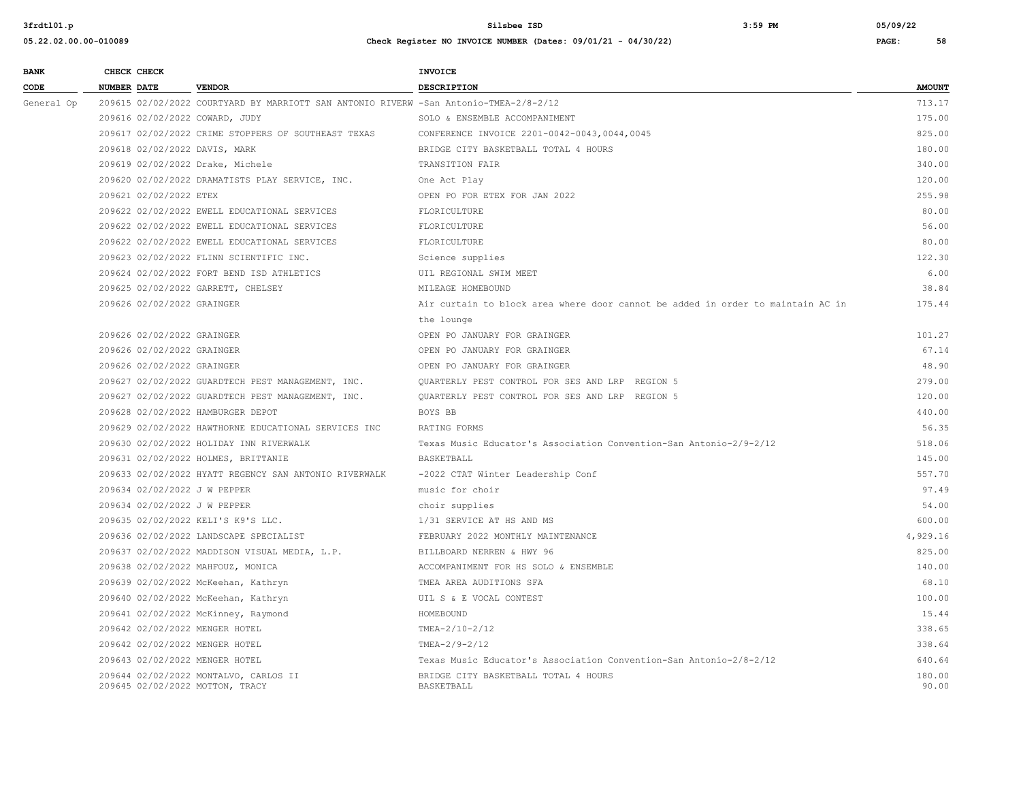**05.22.02.00.00-010089 Check Register NO INVOICE NUMBER (Dates: 09/01/21 - 04/30/22) PAGE: 58**

**3frdtl01.p Silsbee ISD 3:59 PM 05/09/22**

| <b>BANK</b> |             | CHECK CHECK                |                                                                                       | <b>INVOICE</b>                                                                  |                 |
|-------------|-------------|----------------------------|---------------------------------------------------------------------------------------|---------------------------------------------------------------------------------|-----------------|
| CODE        | NUMBER DATE |                            | <b>VENDOR</b>                                                                         | <b>DESCRIPTION</b>                                                              | <b>AMOUNT</b>   |
| General Op  |             |                            | 209615 02/02/2022 COURTYARD BY MARRIOTT SAN ANTONIO RIVERW -San Antonio-TMEA-2/8-2/12 |                                                                                 | 713.17          |
|             |             |                            | 209616 02/02/2022 COWARD, JUDY                                                        | SOLO & ENSEMBLE ACCOMPANIMENT                                                   | 175.00          |
|             |             |                            | 209617 02/02/2022 CRIME STOPPERS OF SOUTHEAST TEXAS                                   | CONFERENCE INVOICE 2201-0042-0043,0044,0045                                     | 825.00          |
|             |             |                            | 209618 02/02/2022 DAVIS, MARK                                                         | BRIDGE CITY BASKETBALL TOTAL 4 HOURS                                            | 180.00          |
|             |             |                            | 209619 02/02/2022 Drake, Michele                                                      | TRANSITION FAIR                                                                 | 340.00          |
|             |             |                            | 209620 02/02/2022 DRAMATISTS PLAY SERVICE, INC.                                       | One Act Play                                                                    | 120.00          |
|             |             | 209621 02/02/2022 ETEX     |                                                                                       | OPEN PO FOR ETEX FOR JAN 2022                                                   | 255.98          |
|             |             |                            | 209622 02/02/2022 EWELL EDUCATIONAL SERVICES                                          | FLORICULTURE                                                                    | 80.00           |
|             |             |                            | 209622 02/02/2022 EWELL EDUCATIONAL SERVICES                                          | FLORICULTURE                                                                    | 56.00           |
|             |             |                            | 209622 02/02/2022 EWELL EDUCATIONAL SERVICES                                          | FLORICULTURE                                                                    | 80.00           |
|             |             |                            | 209623 02/02/2022 FLINN SCIENTIFIC INC.                                               | Science supplies                                                                | 122.30          |
|             |             |                            | 209624 02/02/2022 FORT BEND ISD ATHLETICS                                             | UIL REGIONAL SWIM MEET                                                          | 6.00            |
|             |             |                            | 209625 02/02/2022 GARRETT, CHELSEY                                                    | MILEAGE HOMEBOUND                                                               | 38.84           |
|             |             | 209626 02/02/2022 GRAINGER |                                                                                       | Air curtain to block area where door cannot be added in order to maintain AC in | 175.44          |
|             |             |                            |                                                                                       | the lounge                                                                      |                 |
|             |             | 209626 02/02/2022 GRAINGER |                                                                                       | OPEN PO JANUARY FOR GRAINGER                                                    | 101.27          |
|             |             | 209626 02/02/2022 GRAINGER |                                                                                       | OPEN PO JANUARY FOR GRAINGER                                                    | 67.14           |
|             |             | 209626 02/02/2022 GRAINGER |                                                                                       | OPEN PO JANUARY FOR GRAINGER                                                    | 48.90           |
|             |             |                            | 209627 02/02/2022 GUARDTECH PEST MANAGEMENT, INC.                                     | QUARTERLY PEST CONTROL FOR SES AND LRP REGION 5                                 | 279.00          |
|             |             |                            | 209627 02/02/2022 GUARDTECH PEST MANAGEMENT, INC.                                     | OUARTERLY PEST CONTROL FOR SES AND LRP REGION 5                                 | 120.00          |
|             |             |                            | 209628 02/02/2022 HAMBURGER DEPOT                                                     | BOYS BB                                                                         | 440.00          |
|             |             |                            | 209629 02/02/2022 HAWTHORNE EDUCATIONAL SERVICES INC                                  | RATING FORMS                                                                    | 56.35           |
|             |             |                            | 209630 02/02/2022 HOLIDAY INN RIVERWALK                                               | Texas Music Educator's Association Convention-San Antonio-2/9-2/12              | 518.06          |
|             |             |                            | 209631 02/02/2022 HOLMES, BRITTANIE                                                   | BASKETBALL                                                                      | 145.00          |
|             |             |                            | 209633 02/02/2022 HYATT REGENCY SAN ANTONIO RIVERWALK                                 | -2022 CTAT Winter Leadership Conf                                               | 557.70          |
|             |             |                            | 209634 02/02/2022 J W PEPPER                                                          | music for choir                                                                 | 97.49           |
|             |             |                            | 209634 02/02/2022 J W PEPPER                                                          | choir supplies                                                                  | 54.00           |
|             |             |                            | 209635 02/02/2022 KELI'S K9'S LLC.                                                    | 1/31 SERVICE AT HS AND MS                                                       | 600.00          |
|             |             |                            | 209636 02/02/2022 LANDSCAPE SPECIALIST                                                | FEBRUARY 2022 MONTHLY MAINTENANCE                                               | 4,929.16        |
|             |             |                            | 209637 02/02/2022 MADDISON VISUAL MEDIA, L.P.                                         | BILLBOARD NERREN & HWY 96                                                       | 825.00          |
|             |             |                            | 209638 02/02/2022 MAHFOUZ, MONICA                                                     | ACCOMPANIMENT FOR HS SOLO & ENSEMBLE                                            | 140.00          |
|             |             |                            | 209639 02/02/2022 McKeehan, Kathryn                                                   | TMEA AREA AUDITIONS SFA                                                         | 68.10           |
|             |             |                            | 209640 02/02/2022 McKeehan, Kathryn                                                   | UIL S & E VOCAL CONTEST                                                         | 100.00          |
|             |             |                            | 209641 02/02/2022 McKinney, Raymond                                                   | HOMEBOUND                                                                       | 15.44           |
|             |             |                            | 209642 02/02/2022 MENGER HOTEL                                                        | TMEA-2/10-2/12                                                                  | 338.65          |
|             |             |                            | 209642 02/02/2022 MENGER HOTEL                                                        | TMEA-2/9-2/12                                                                   | 338.64          |
|             |             |                            | 209643 02/02/2022 MENGER HOTEL                                                        | Texas Music Educator's Association Convention-San Antonio-2/8-2/12              | 640.64          |
|             |             |                            | 209644 02/02/2022 MONTALVO, CARLOS II<br>209645 02/02/2022 MOTTON, TRACY              | BRIDGE CITY BASKETBALL TOTAL 4 HOURS<br>BASKETBALL                              | 180.00<br>90.00 |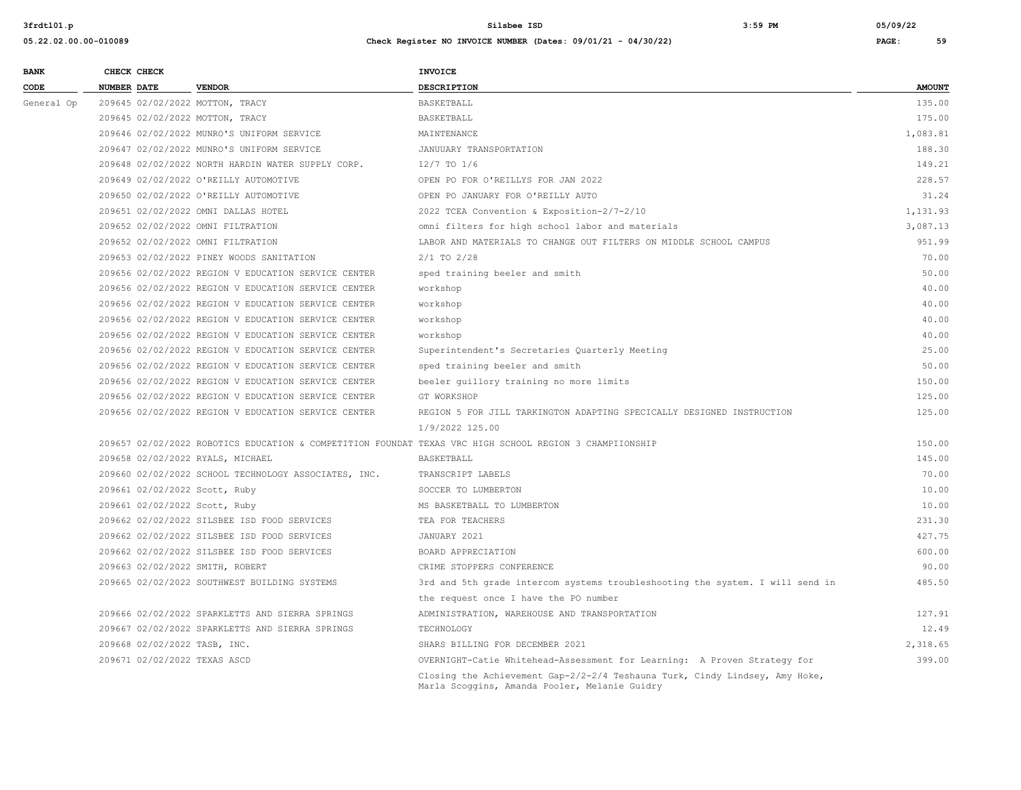| <b>BANK</b> | CHECK CHECK                       |                                                      | <b>INVOICE</b>                                                                                                               |               |
|-------------|-----------------------------------|------------------------------------------------------|------------------------------------------------------------------------------------------------------------------------------|---------------|
| CODE        | <b>NUMBER DATE</b>                | <b>VENDOR</b>                                        | <b>DESCRIPTION</b>                                                                                                           | <b>AMOUNT</b> |
| General Op  | 209645 02/02/2022 MOTTON, TRACY   |                                                      | <b>BASKETBALL</b>                                                                                                            | 135.00        |
|             | 209645 02/02/2022 MOTTON, TRACY   |                                                      | BASKETBALL                                                                                                                   | 175.00        |
|             |                                   | 209646 02/02/2022 MUNRO'S UNIFORM SERVICE            | MAINTENANCE                                                                                                                  | 1,083.81      |
|             |                                   | 209647 02/02/2022 MUNRO'S UNIFORM SERVICE            | JANUUARY TRANSPORTATION                                                                                                      | 188.30        |
|             |                                   | 209648 02/02/2022 NORTH HARDIN WATER SUPPLY CORP.    | $12/7$ TO $1/6$                                                                                                              | 149.21        |
|             |                                   | 209649 02/02/2022 O'REILLY AUTOMOTIVE                | OPEN PO FOR O'REILLYS FOR JAN 2022                                                                                           | 228.57        |
|             |                                   | 209650 02/02/2022 O'REILLY AUTOMOTIVE                | OPEN PO JANUARY FOR O'REILLY AUTO                                                                                            | 31.24         |
|             |                                   | 209651 02/02/2022 OMNI DALLAS HOTEL                  | 2022 TCEA Convention & Exposition-2/7-2/10                                                                                   | 1,131.93      |
|             | 209652 02/02/2022 OMNI FILTRATION |                                                      | omni filters for high school labor and materials                                                                             | 3,087.13      |
|             | 209652 02/02/2022 OMNI FILTRATION |                                                      | LABOR AND MATERIALS TO CHANGE OUT FILTERS ON MIDDLE SCHOOL CAMPUS                                                            | 951.99        |
|             |                                   | 209653 02/02/2022 PINEY WOODS SANITATION             | $2/1$ TO $2/28$                                                                                                              | 70.00         |
|             |                                   | 209656 02/02/2022 REGION V EDUCATION SERVICE CENTER  | sped training beeler and smith                                                                                               | 50.00         |
|             |                                   | 209656 02/02/2022 REGION V EDUCATION SERVICE CENTER  | workshop                                                                                                                     | 40.00         |
|             |                                   | 209656 02/02/2022 REGION V EDUCATION SERVICE CENTER  | workshop                                                                                                                     | 40.00         |
|             |                                   | 209656 02/02/2022 REGION V EDUCATION SERVICE CENTER  | workshop                                                                                                                     | 40.00         |
|             |                                   | 209656 02/02/2022 REGION V EDUCATION SERVICE CENTER  | workshop                                                                                                                     | 40.00         |
|             |                                   | 209656 02/02/2022 REGION V EDUCATION SERVICE CENTER  | Superintendent's Secretaries Quarterly Meeting                                                                               | 25.00         |
|             |                                   | 209656 02/02/2022 REGION V EDUCATION SERVICE CENTER  | sped training beeler and smith                                                                                               | 50.00         |
|             |                                   | 209656 02/02/2022 REGION V EDUCATION SERVICE CENTER  | beeler quillory training no more limits                                                                                      | 150.00        |
|             |                                   | 209656 02/02/2022 REGION V EDUCATION SERVICE CENTER  | GT WORKSHOP                                                                                                                  | 125.00        |
|             |                                   | 209656 02/02/2022 REGION V EDUCATION SERVICE CENTER  | REGION 5 FOR JILL TARKINGTON ADAPTING SPECICALLY DESIGNED INSTRUCTION                                                        | 125.00        |
|             |                                   |                                                      | 1/9/2022 125.00                                                                                                              |               |
|             |                                   |                                                      | 209657 02/02/2022 ROBOTICS EDUCATION & COMPETITION FOUNDAT TEXAS VRC HIGH SCHOOL REGION 3 CHAMPIIONSHIP                      | 150.00        |
|             | 209658 02/02/2022 RYALS, MICHAEL  |                                                      | BASKETBALL                                                                                                                   | 145.00        |
|             |                                   | 209660 02/02/2022 SCHOOL TECHNOLOGY ASSOCIATES, INC. | TRANSCRIPT LABELS                                                                                                            | 70.00         |
|             | 209661 02/02/2022 Scott, Ruby     |                                                      | SOCCER TO LUMBERTON                                                                                                          | 10.00         |
|             | 209661 02/02/2022 Scott, Ruby     |                                                      | MS BASKETBALL TO LUMBERTON                                                                                                   | 10.00         |
|             |                                   | 209662 02/02/2022 SILSBEE ISD FOOD SERVICES          | TEA FOR TEACHERS                                                                                                             | 231.30        |
|             |                                   | 209662 02/02/2022 SILSBEE ISD FOOD SERVICES          | JANUARY 2021                                                                                                                 | 427.75        |
|             |                                   | 209662 02/02/2022 SILSBEE ISD FOOD SERVICES          | BOARD APPRECIATION                                                                                                           | 600.00        |
|             | 209663 02/02/2022 SMITH, ROBERT   |                                                      | CRIME STOPPERS CONFERENCE                                                                                                    | 90.00         |
|             |                                   | 209665 02/02/2022 SOUTHWEST BUILDING SYSTEMS         | 3rd and 5th grade intercom systems troubleshooting the system. I will send in                                                | 485.50        |
|             |                                   |                                                      | the request once I have the PO number                                                                                        |               |
|             |                                   | 209666 02/02/2022 SPARKLETTS AND SIERRA SPRINGS      | ADMINISTRATION, WAREHOUSE AND TRANSPORTATION                                                                                 | 127.91        |
|             |                                   | 209667 02/02/2022 SPARKLETTS AND SIERRA SPRINGS      | TECHNOLOGY                                                                                                                   | 12.49         |
|             | 209668 02/02/2022 TASB, INC.      |                                                      | SHARS BILLING FOR DECEMBER 2021                                                                                              | 2,318.65      |
|             | 209671 02/02/2022 TEXAS ASCD      |                                                      | OVERNIGHT-Catie Whitehead-Assessment for Learning: A Proven Strategy for                                                     | 399.00        |
|             |                                   |                                                      | Closing the Achievement Gap-2/2-2/4 Teshauna Turk, Cindy Lindsey, Amy Hoke,<br>Marla Scoggins, Amanda Pooler, Melanie Guidry |               |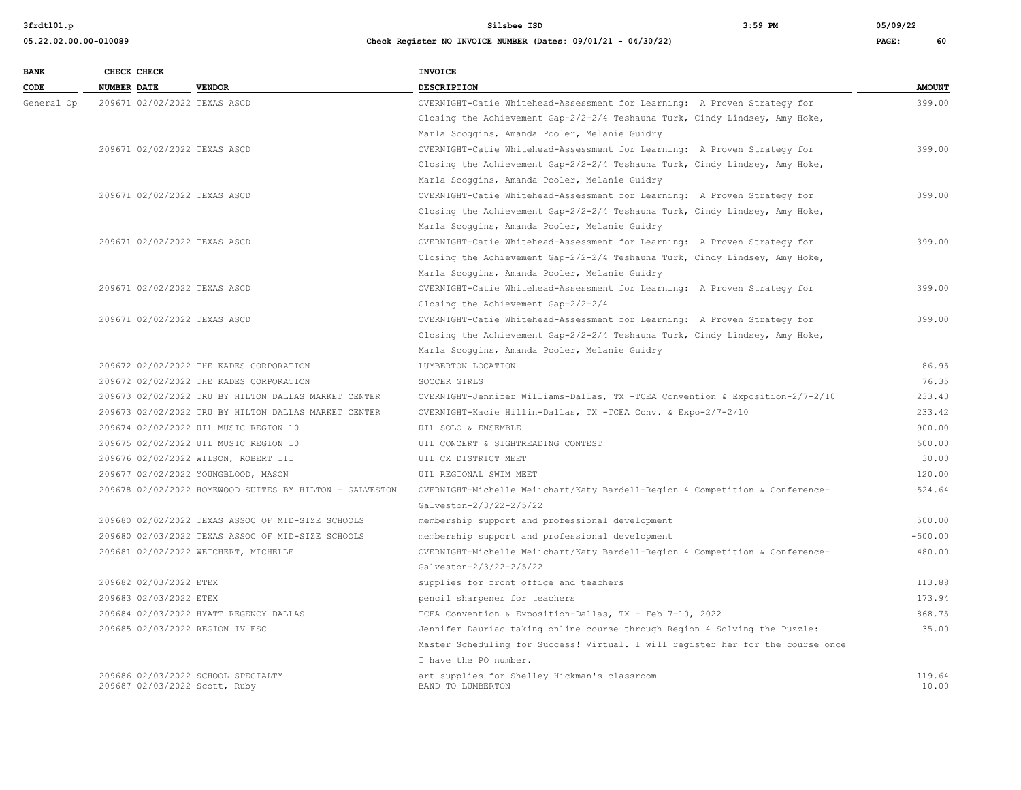| <b>BANK</b> | CHECK CHECK                   |                                                         | <b>INVOICE</b>                                                                  |                 |
|-------------|-------------------------------|---------------------------------------------------------|---------------------------------------------------------------------------------|-----------------|
| CODE        | <b>NUMBER DATE</b>            | <b>VENDOR</b>                                           | <b>DESCRIPTION</b>                                                              | <b>AMOUNT</b>   |
| General Op  | 209671 02/02/2022 TEXAS ASCD  |                                                         | OVERNIGHT-Catie Whitehead-Assessment for Learning: A Proven Strategy for        | 399.00          |
|             |                               |                                                         | Closing the Achievement Gap-2/2-2/4 Teshauna Turk, Cindy Lindsey, Amy Hoke,     |                 |
|             |                               |                                                         | Marla Scoggins, Amanda Pooler, Melanie Guidry                                   |                 |
|             | 209671 02/02/2022 TEXAS ASCD  |                                                         | OVERNIGHT-Catie Whitehead-Assessment for Learning: A Proven Strategy for        | 399.00          |
|             |                               |                                                         | Closing the Achievement Gap-2/2-2/4 Teshauna Turk, Cindy Lindsey, Amy Hoke,     |                 |
|             |                               |                                                         | Marla Scoggins, Amanda Pooler, Melanie Guidry                                   |                 |
|             | 209671 02/02/2022 TEXAS ASCD  |                                                         | OVERNIGHT-Catie Whitehead-Assessment for Learning: A Proven Strategy for        | 399.00          |
|             |                               |                                                         | Closing the Achievement Gap-2/2-2/4 Teshauna Turk, Cindy Lindsey, Amy Hoke,     |                 |
|             |                               |                                                         | Marla Scoggins, Amanda Pooler, Melanie Guidry                                   |                 |
|             | 209671 02/02/2022 TEXAS ASCD  |                                                         | OVERNIGHT-Catie Whitehead-Assessment for Learning: A Proven Strategy for        | 399.00          |
|             |                               |                                                         | Closing the Achievement Gap-2/2-2/4 Teshauna Turk, Cindy Lindsey, Amy Hoke,     |                 |
|             |                               |                                                         | Marla Scoggins, Amanda Pooler, Melanie Guidry                                   |                 |
|             | 209671 02/02/2022 TEXAS ASCD  |                                                         | OVERNIGHT-Catie Whitehead-Assessment for Learning: A Proven Strategy for        | 399.00          |
|             |                               |                                                         | Closing the Achievement Gap-2/2-2/4                                             |                 |
|             | 209671 02/02/2022 TEXAS ASCD  |                                                         | OVERNIGHT-Catie Whitehead-Assessment for Learning: A Proven Strategy for        | 399.00          |
|             |                               |                                                         | Closing the Achievement Gap-2/2-2/4 Teshauna Turk, Cindy Lindsey, Amy Hoke,     |                 |
|             |                               |                                                         | Marla Scoggins, Amanda Pooler, Melanie Guidry                                   |                 |
|             |                               | 209672 02/02/2022 THE KADES CORPORATION                 | LUMBERTON LOCATION                                                              | 86.95           |
|             |                               | 209672 02/02/2022 THE KADES CORPORATION                 | SOCCER GIRLS                                                                    | 76.35           |
|             |                               | 209673 02/02/2022 TRU BY HILTON DALLAS MARKET CENTER    | OVERNIGHT-Jennifer Williams-Dallas, TX -TCEA Convention & Exposition-2/7-2/10   | 233.43          |
|             |                               | 209673 02/02/2022 TRU BY HILTON DALLAS MARKET CENTER    | OVERNIGHT-Kacie Hillin-Dallas, TX -TCEA Conv. & Expo-2/7-2/10                   | 233.42          |
|             |                               | 209674 02/02/2022 UIL MUSIC REGION 10                   | UIL SOLO & ENSEMBLE                                                             | 900.00          |
|             |                               | 209675 02/02/2022 UIL MUSIC REGION 10                   | UIL CONCERT & SIGHTREADING CONTEST                                              | 500.00          |
|             |                               | 209676 02/02/2022 WILSON, ROBERT III                    | UIL CX DISTRICT MEET                                                            | 30.00           |
|             |                               | 209677 02/02/2022 YOUNGBLOOD, MASON                     | UIL REGIONAL SWIM MEET                                                          | 120.00          |
|             |                               | 209678 02/02/2022 HOMEWOOD SUITES BY HILTON - GALVESTON | OVERNIGHT-Michelle Weiichart/Katy Bardell-Region 4 Competition & Conference-    | 524.64          |
|             |                               |                                                         | Galveston-2/3/22-2/5/22                                                         |                 |
|             |                               | 209680 02/02/2022 TEXAS ASSOC OF MID-SIZE SCHOOLS       | membership support and professional development                                 | 500.00          |
|             |                               | 209680 02/03/2022 TEXAS ASSOC OF MID-SIZE SCHOOLS       | membership support and professional development                                 | $-500.00$       |
|             |                               | 209681 02/02/2022 WEICHERT, MICHELLE                    | OVERNIGHT-Michelle Weiichart/Katy Bardell-Region 4 Competition & Conference-    | 480.00          |
|             |                               |                                                         | Galveston-2/3/22-2/5/22                                                         |                 |
|             | 209682 02/03/2022 ETEX        |                                                         | supplies for front office and teachers                                          | 113.88          |
|             | 209683 02/03/2022 ETEX        |                                                         | pencil sharpener for teachers                                                   | 173.94          |
|             |                               | 209684 02/03/2022 HYATT REGENCY DALLAS                  | TCEA Convention & Exposition-Dallas, TX - Feb 7-10, 2022                        | 868.75          |
|             |                               | 209685 02/03/2022 REGION IV ESC                         | Jennifer Dauriac taking online course through Region 4 Solving the Puzzle:      | 35.00           |
|             |                               |                                                         | Master Scheduling for Success! Virtual. I will register her for the course once |                 |
|             |                               |                                                         | I have the PO number.                                                           |                 |
|             | 209687 02/03/2022 Scott, Ruby | 209686 02/03/2022 SCHOOL SPECIALTY                      | art supplies for Shelley Hickman's classroom<br>BAND TO LUMBERTON               | 119.64<br>10.00 |
|             |                               |                                                         |                                                                                 |                 |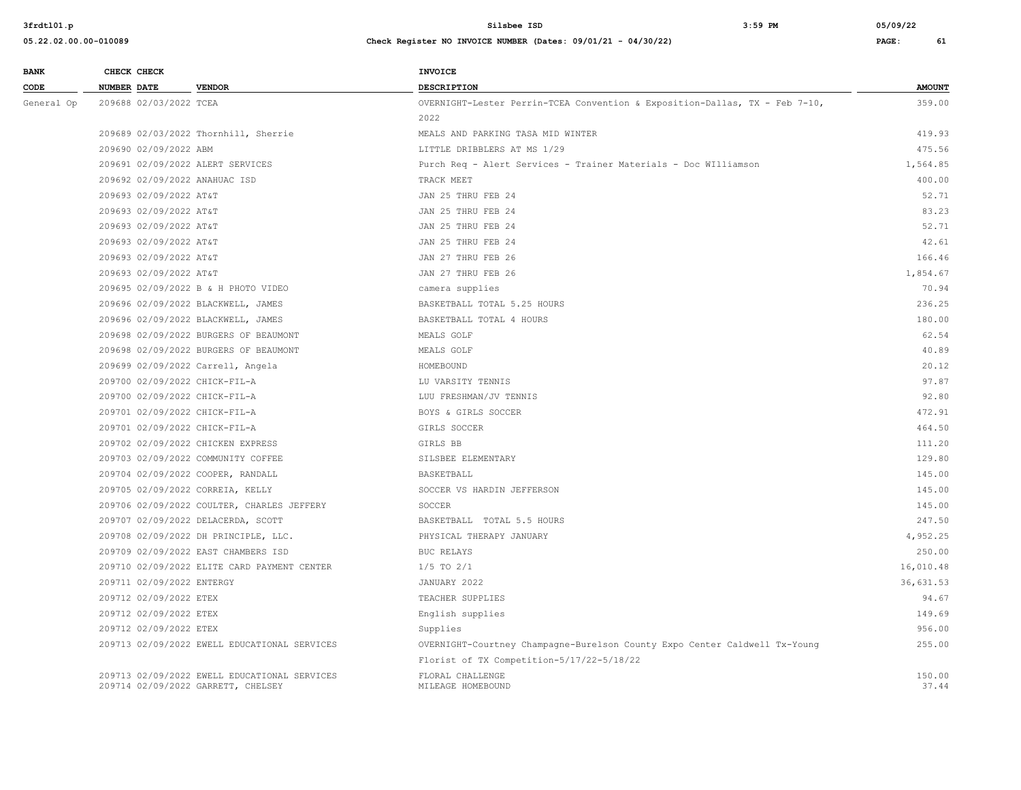| <b>BANK</b> |                    | CHECK CHECK               |                                                                                    | <b>INVOICE</b>                                                              |                 |  |
|-------------|--------------------|---------------------------|------------------------------------------------------------------------------------|-----------------------------------------------------------------------------|-----------------|--|
| CODE        | <b>NUMBER DATE</b> |                           | <b>VENDOR</b>                                                                      | DESCRIPTION                                                                 | <b>AMOUNT</b>   |  |
| General Op  |                    | 209688 02/03/2022 TCEA    |                                                                                    | OVERNIGHT-Lester Perrin-TCEA Convention & Exposition-Dallas, TX - Feb 7-10, | 359.00          |  |
|             |                    |                           |                                                                                    | 2022                                                                        |                 |  |
|             |                    |                           | 209689 02/03/2022 Thornhill, Sherrie                                               | MEALS AND PARKING TASA MID WINTER                                           | 419.93          |  |
|             |                    | 209690 02/09/2022 ABM     |                                                                                    | LITTLE DRIBBLERS AT MS 1/29                                                 | 475.56          |  |
|             |                    |                           | 209691 02/09/2022 ALERT SERVICES                                                   | Purch Req - Alert Services - Trainer Materials - Doc WIlliamson             | 1,564.85        |  |
|             |                    |                           | 209692 02/09/2022 ANAHUAC ISD                                                      | TRACK MEET                                                                  | 400.00          |  |
|             |                    | 209693 02/09/2022 AT&T    |                                                                                    | JAN 25 THRU FEB 24                                                          | 52.71           |  |
|             |                    | 209693 02/09/2022 AT&T    |                                                                                    | JAN 25 THRU FEB 24                                                          | 83.23           |  |
|             |                    | 209693 02/09/2022 AT&T    |                                                                                    | JAN 25 THRU FEB 24                                                          | 52.71           |  |
|             |                    | 209693 02/09/2022 AT&T    |                                                                                    | JAN 25 THRU FEB 24                                                          | 42.61           |  |
|             |                    | 209693 02/09/2022 AT&T    |                                                                                    | JAN 27 THRU FEB 26                                                          | 166.46          |  |
|             |                    | 209693 02/09/2022 AT&T    |                                                                                    | JAN 27 THRU FEB 26                                                          | 1,854.67        |  |
|             |                    |                           | 209695 02/09/2022 B & H PHOTO VIDEO                                                | camera supplies                                                             | 70.94           |  |
|             |                    |                           | 209696 02/09/2022 BLACKWELL, JAMES                                                 | BASKETBALL TOTAL 5.25 HOURS                                                 | 236.25          |  |
|             |                    |                           | 209696 02/09/2022 BLACKWELL, JAMES                                                 | BASKETBALL TOTAL 4 HOURS                                                    | 180.00          |  |
|             |                    |                           | 209698 02/09/2022 BURGERS OF BEAUMONT                                              | MEALS GOLF                                                                  | 62.54           |  |
|             |                    |                           | 209698 02/09/2022 BURGERS OF BEAUMONT                                              | MEALS GOLF                                                                  | 40.89           |  |
|             |                    |                           | 209699 02/09/2022 Carrell, Angela                                                  | HOMEBOUND                                                                   | 20.12           |  |
|             |                    |                           | 209700 02/09/2022 CHICK-FIL-A                                                      | LU VARSITY TENNIS                                                           | 97.87           |  |
|             |                    |                           | 209700 02/09/2022 CHICK-FIL-A                                                      | LUU FRESHMAN/JV TENNIS                                                      | 92.80           |  |
|             |                    |                           | 209701 02/09/2022 CHICK-FIL-A                                                      | BOYS & GIRLS SOCCER                                                         | 472.91          |  |
|             |                    |                           | 209701 02/09/2022 CHICK-FIL-A                                                      | GIRLS SOCCER                                                                | 464.50          |  |
|             |                    |                           | 209702 02/09/2022 CHICKEN EXPRESS                                                  | GIRLS BB                                                                    | 111.20          |  |
|             |                    |                           | 209703 02/09/2022 COMMUNITY COFFEE                                                 | SILSBEE ELEMENTARY                                                          | 129.80          |  |
|             |                    |                           | 209704 02/09/2022 COOPER, RANDALL                                                  | BASKETBALL                                                                  | 145.00          |  |
|             |                    |                           | 209705 02/09/2022 CORREIA, KELLY                                                   | SOCCER VS HARDIN JEFFERSON                                                  | 145.00          |  |
|             |                    |                           | 209706 02/09/2022 COULTER, CHARLES JEFFERY                                         | SOCCER                                                                      | 145.00          |  |
|             |                    |                           | 209707 02/09/2022 DELACERDA, SCOTT                                                 | BASKETBALL TOTAL 5.5 HOURS                                                  | 247.50          |  |
|             |                    |                           | 209708 02/09/2022 DH PRINCIPLE, LLC.                                               | PHYSICAL THERAPY JANUARY                                                    | 4,952.25        |  |
|             |                    |                           | 209709 02/09/2022 EAST CHAMBERS ISD                                                | <b>BUC RELAYS</b>                                                           | 250.00          |  |
|             |                    |                           | 209710 02/09/2022 ELITE CARD PAYMENT CENTER                                        | $1/5$ TO $2/1$                                                              | 16,010.48       |  |
|             |                    | 209711 02/09/2022 ENTERGY |                                                                                    | JANUARY 2022                                                                | 36,631.53       |  |
|             |                    | 209712 02/09/2022 ETEX    |                                                                                    | TEACHER SUPPLIES                                                            | 94.67           |  |
|             |                    | 209712 02/09/2022 ETEX    |                                                                                    | English supplies                                                            | 149.69          |  |
|             |                    | 209712 02/09/2022 ETEX    |                                                                                    | Supplies                                                                    | 956.00          |  |
|             |                    |                           | 209713 02/09/2022 EWELL EDUCATIONAL SERVICES                                       | OVERNIGHT-Courtney Champagne-Burelson County Expo Center Caldwell Tx-Young  | 255.00          |  |
|             |                    |                           |                                                                                    | Florist of TX Competition-5/17/22-5/18/22                                   |                 |  |
|             |                    |                           | 209713 02/09/2022 EWELL EDUCATIONAL SERVICES<br>209714 02/09/2022 GARRETT, CHELSEY | FLORAL CHALLENGE<br>MILEAGE HOMEBOUND                                       | 150.00<br>37.44 |  |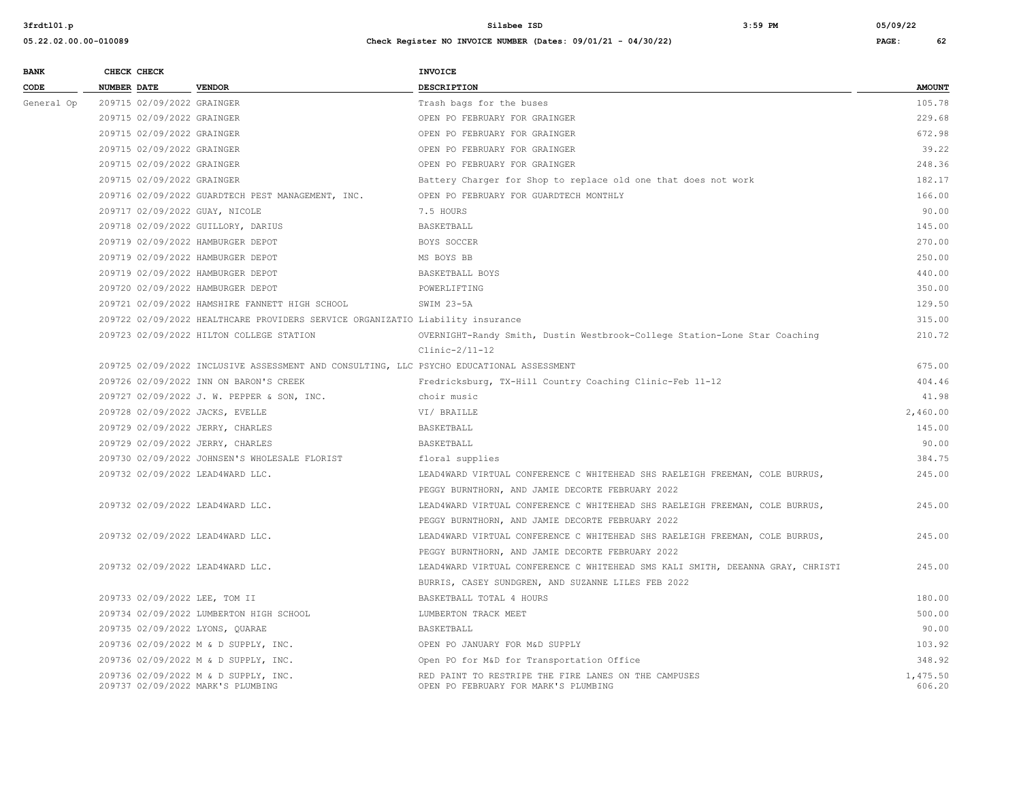| <b>BANK</b> |                                                                                          | CHECK CHECK                |                                                                                | INVOICE                                                                                      |                    |  |
|-------------|------------------------------------------------------------------------------------------|----------------------------|--------------------------------------------------------------------------------|----------------------------------------------------------------------------------------------|--------------------|--|
| CODE        | <b>NUMBER DATE</b>                                                                       |                            | <b>VENDOR</b>                                                                  | <b>DESCRIPTION</b>                                                                           | <b>AMOUNT</b>      |  |
| General Op  |                                                                                          | 209715 02/09/2022 GRAINGER |                                                                                | Trash bags for the buses                                                                     | 105.78             |  |
|             |                                                                                          | 209715 02/09/2022 GRAINGER |                                                                                | OPEN PO FEBRUARY FOR GRAINGER                                                                | 229.68             |  |
|             |                                                                                          | 209715 02/09/2022 GRAINGER |                                                                                | OPEN PO FEBRUARY FOR GRAINGER                                                                | 672.98             |  |
|             |                                                                                          | 209715 02/09/2022 GRAINGER |                                                                                | OPEN PO FEBRUARY FOR GRAINGER                                                                | 39.22              |  |
|             |                                                                                          | 209715 02/09/2022 GRAINGER |                                                                                | OPEN PO FEBRUARY FOR GRAINGER                                                                | 248.36             |  |
|             |                                                                                          | 209715 02/09/2022 GRAINGER |                                                                                | Battery Charger for Shop to replace old one that does not work                               | 182.17             |  |
|             |                                                                                          |                            | 209716 02/09/2022 GUARDTECH PEST MANAGEMENT, INC.                              | OPEN PO FEBRUARY FOR GUARDTECH MONTHLY                                                       | 166.00             |  |
|             |                                                                                          |                            | 209717 02/09/2022 GUAY, NICOLE                                                 | 7.5 HOURS                                                                                    | 90.00              |  |
|             |                                                                                          |                            | 209718 02/09/2022 GUILLORY, DARIUS                                             | BASKETBALL                                                                                   | 145.00             |  |
|             |                                                                                          |                            | 209719 02/09/2022 HAMBURGER DEPOT                                              | BOYS SOCCER                                                                                  | 270.00             |  |
|             |                                                                                          |                            | 209719 02/09/2022 HAMBURGER DEPOT                                              | MS BOYS BB                                                                                   | 250.00             |  |
|             |                                                                                          |                            | 209719 02/09/2022 HAMBURGER DEPOT                                              | BASKETBALL BOYS                                                                              | 440.00             |  |
|             |                                                                                          |                            | 209720 02/09/2022 HAMBURGER DEPOT                                              | POWERLIFTING                                                                                 | 350.00             |  |
|             |                                                                                          |                            | 209721 02/09/2022 HAMSHIRE FANNETT HIGH SCHOOL                                 | SWIM 23-5A                                                                                   | 129.50             |  |
|             |                                                                                          |                            | 209722 02/09/2022 HEALTHCARE PROVIDERS SERVICE ORGANIZATIO Liability insurance |                                                                                              | 315.00             |  |
|             |                                                                                          |                            | 209723 02/09/2022 HILTON COLLEGE STATION                                       | OVERNIGHT-Randy Smith, Dustin Westbrook-College Station-Lone Star Coaching                   | 210.72             |  |
|             |                                                                                          |                            |                                                                                | $Clinic-2/11-12$                                                                             |                    |  |
|             | 209725 02/09/2022 INCLUSIVE ASSESSMENT AND CONSULTING, LLC PSYCHO EDUCATIONAL ASSESSMENT |                            |                                                                                |                                                                                              |                    |  |
|             |                                                                                          |                            | 209726 02/09/2022 INN ON BARON'S CREEK                                         | Fredricksburg, TX-Hill Country Coaching Clinic-Feb 11-12                                     | 404.46             |  |
|             |                                                                                          |                            | 209727 02/09/2022 J. W. PEPPER & SON, INC.                                     | choir music                                                                                  | 41.98              |  |
|             |                                                                                          |                            | 209728 02/09/2022 JACKS, EVELLE                                                | VI/ BRAILLE                                                                                  | 2,460.00           |  |
|             |                                                                                          |                            | 209729 02/09/2022 JERRY, CHARLES                                               | BASKETBALL                                                                                   | 145.00             |  |
|             |                                                                                          |                            | 209729 02/09/2022 JERRY, CHARLES                                               | BASKETBALL                                                                                   | 90.00              |  |
|             |                                                                                          |                            | 209730 02/09/2022 JOHNSEN'S WHOLESALE FLORIST                                  | floral supplies                                                                              | 384.75             |  |
|             |                                                                                          |                            | 209732 02/09/2022 LEAD4WARD LLC.                                               | LEAD4WARD VIRTUAL CONFERENCE C WHITEHEAD SHS RAELEIGH FREEMAN, COLE BURRUS,                  | 245.00             |  |
|             |                                                                                          |                            |                                                                                | PEGGY BURNTHORN, AND JAMIE DECORTE FEBRUARY 2022                                             |                    |  |
|             |                                                                                          |                            | 209732 02/09/2022 LEAD4WARD LLC.                                               | LEAD4WARD VIRTUAL CONFERENCE C WHITEHEAD SHS RAELEIGH FREEMAN, COLE BURRUS,                  | 245.00             |  |
|             |                                                                                          |                            |                                                                                | PEGGY BURNTHORN, AND JAMIE DECORTE FEBRUARY 2022                                             |                    |  |
|             |                                                                                          |                            | 209732 02/09/2022 LEAD4WARD LLC.                                               | LEAD4WARD VIRTUAL CONFERENCE C WHITEHEAD SHS RAELEIGH FREEMAN, COLE BURRUS,                  | 245.00             |  |
|             |                                                                                          |                            |                                                                                | PEGGY BURNTHORN, AND JAMIE DECORTE FEBRUARY 2022                                             |                    |  |
|             |                                                                                          |                            | 209732 02/09/2022 LEAD4WARD LLC.                                               | LEAD4WARD VIRTUAL CONFERENCE C WHITEHEAD SMS KALI SMITH, DEEANNA GRAY, CHRISTI               | 245.00             |  |
|             |                                                                                          |                            |                                                                                | BURRIS, CASEY SUNDGREN, AND SUZANNE LILES FEB 2022                                           |                    |  |
|             |                                                                                          |                            | 209733 02/09/2022 LEE, TOM II                                                  | BASKETBALL TOTAL 4 HOURS                                                                     | 180.00             |  |
|             |                                                                                          |                            | 209734 02/09/2022 LUMBERTON HIGH SCHOOL                                        | LUMBERTON TRACK MEET                                                                         | 500.00             |  |
|             |                                                                                          |                            | 209735 02/09/2022 LYONS, QUARAE                                                | BASKETBALL                                                                                   | 90.00              |  |
|             |                                                                                          |                            | 209736 02/09/2022 M & D SUPPLY, INC.                                           | OPEN PO JANUARY FOR M&D SUPPLY                                                               | 103.92             |  |
|             |                                                                                          |                            | 209736 02/09/2022 M & D SUPPLY, INC.                                           | Open PO for M&D for Transportation Office                                                    | 348.92             |  |
|             |                                                                                          |                            | 209736 02/09/2022 M & D SUPPLY, INC.<br>209737 02/09/2022 MARK'S PLUMBING      | RED PAINT TO RESTRIPE THE FIRE LANES ON THE CAMPUSES<br>OPEN PO FEBRUARY FOR MARK'S PLUMBING | 1,475.50<br>606.20 |  |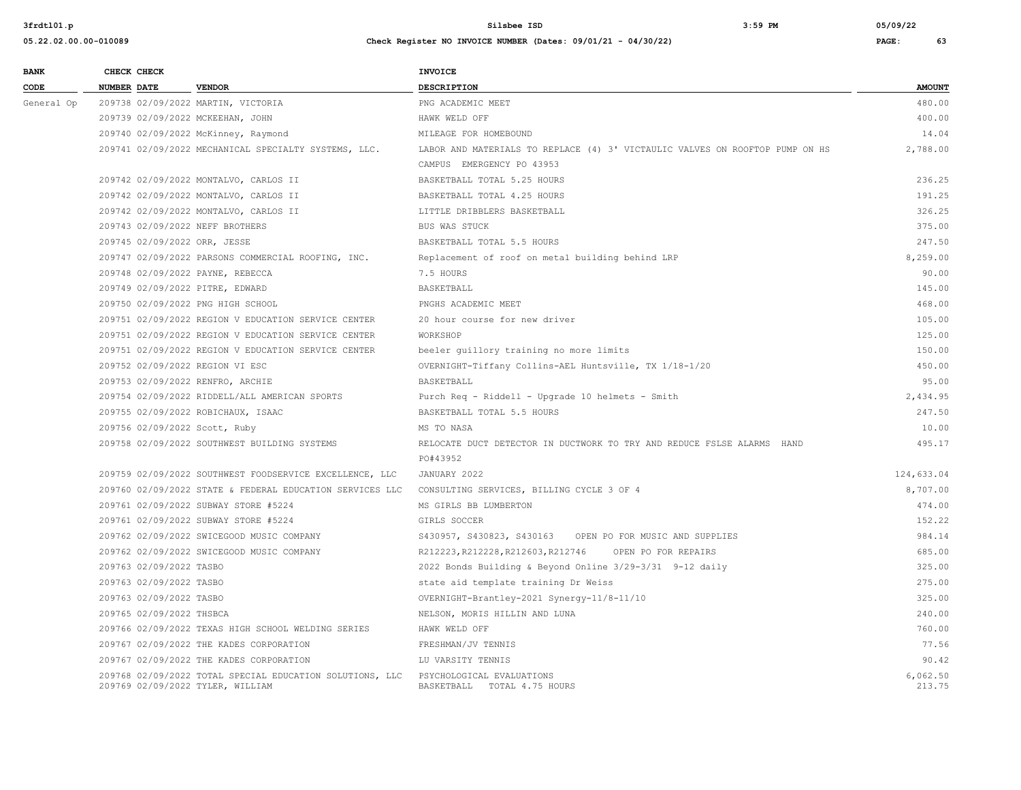| <b>BANK</b> | CHECK CHECK        |                          |                                                                                              | INVOICE                                                                      |                    |
|-------------|--------------------|--------------------------|----------------------------------------------------------------------------------------------|------------------------------------------------------------------------------|--------------------|
| CODE        | <b>NUMBER DATE</b> |                          | <b>VENDOR</b>                                                                                | DESCRIPTION                                                                  | <b>AMOUNT</b>      |
| General Op  |                    |                          | 209738 02/09/2022 MARTIN, VICTORIA                                                           | PNG ACADEMIC MEET                                                            | 480.00             |
|             |                    |                          | 209739 02/09/2022 MCKEEHAN, JOHN                                                             | HAWK WELD OFF                                                                | 400.00             |
|             |                    |                          | 209740 02/09/2022 McKinney, Raymond                                                          | MILEAGE FOR HOMEBOUND                                                        | 14.04              |
|             |                    |                          | 209741 02/09/2022 MECHANICAL SPECIALTY SYSTEMS, LLC.                                         | LABOR AND MATERIALS TO REPLACE (4) 3' VICTAULIC VALVES ON ROOFTOP PUMP ON HS | 2,788.00           |
|             |                    |                          |                                                                                              | CAMPUS EMERGENCY PO 43953                                                    |                    |
|             |                    |                          | 209742 02/09/2022 MONTALVO, CARLOS II                                                        | BASKETBALL TOTAL 5.25 HOURS                                                  | 236.25             |
|             |                    |                          | 209742 02/09/2022 MONTALVO, CARLOS II                                                        | BASKETBALL TOTAL 4.25 HOURS                                                  | 191.25             |
|             |                    |                          | 209742 02/09/2022 MONTALVO, CARLOS II                                                        | LITTLE DRIBBLERS BASKETBALL                                                  | 326.25             |
|             |                    |                          | 209743 02/09/2022 NEFF BROTHERS                                                              | BUS WAS STUCK                                                                | 375.00             |
|             |                    |                          | 209745 02/09/2022 ORR, JESSE                                                                 | BASKETBALL TOTAL 5.5 HOURS                                                   | 247.50             |
|             |                    |                          | 209747 02/09/2022 PARSONS COMMERCIAL ROOFING, INC.                                           | Replacement of roof on metal building behind LRP                             | 8,259.00           |
|             |                    |                          | 209748 02/09/2022 PAYNE, REBECCA                                                             | 7.5 HOURS                                                                    | 90.00              |
|             |                    |                          | 209749 02/09/2022 PITRE, EDWARD                                                              | BASKETBALL                                                                   | 145.00             |
|             |                    |                          | 209750 02/09/2022 PNG HIGH SCHOOL                                                            | PNGHS ACADEMIC MEET                                                          | 468.00             |
|             |                    |                          | 209751 02/09/2022 REGION V EDUCATION SERVICE CENTER                                          | 20 hour course for new driver                                                | 105.00             |
|             |                    |                          | 209751 02/09/2022 REGION V EDUCATION SERVICE CENTER                                          | WORKSHOP                                                                     | 125.00             |
|             |                    |                          | 209751 02/09/2022 REGION V EDUCATION SERVICE CENTER                                          | beeler quillory training no more limits                                      | 150.00             |
|             |                    |                          | 209752 02/09/2022 REGION VI ESC                                                              | OVERNIGHT-Tiffany Collins-AEL Huntsville, TX 1/18-1/20                       | 450.00             |
|             |                    |                          | 209753 02/09/2022 RENFRO, ARCHIE                                                             | BASKETBALL                                                                   | 95.00              |
|             |                    |                          | 209754 02/09/2022 RIDDELL/ALL AMERICAN SPORTS                                                | Purch Req - Riddell - Upgrade 10 helmets - Smith                             | 2,434.95           |
|             |                    |                          | 209755 02/09/2022 ROBICHAUX, ISAAC                                                           | BASKETBALL TOTAL 5.5 HOURS                                                   | 247.50             |
|             |                    |                          | 209756 02/09/2022 Scott, Ruby                                                                | MS TO NASA                                                                   | 10.00              |
|             |                    |                          | 209758 02/09/2022 SOUTHWEST BUILDING SYSTEMS                                                 | RELOCATE DUCT DETECTOR IN DUCTWORK TO TRY AND REDUCE FSLSE ALARMS HAND       | 495.17             |
|             |                    |                          |                                                                                              | PO#43952                                                                     |                    |
|             |                    |                          | 209759 02/09/2022 SOUTHWEST FOODSERVICE EXCELLENCE, LLC                                      | JANUARY 2022                                                                 | 124,633.04         |
|             |                    |                          | 209760 02/09/2022 STATE & FEDERAL EDUCATION SERVICES LLC                                     | CONSULTING SERVICES, BILLING CYCLE 3 OF 4                                    | 8,707.00           |
|             |                    |                          | 209761 02/09/2022 SUBWAY STORE #5224                                                         | MS GIRLS BB LUMBERTON                                                        | 474.00             |
|             |                    |                          | 209761 02/09/2022 SUBWAY STORE #5224                                                         | GIRLS SOCCER                                                                 | 152.22             |
|             |                    |                          | 209762 02/09/2022 SWICEGOOD MUSIC COMPANY                                                    | S430957, S430823, S430163 OPEN PO FOR MUSIC AND SUPPLIES                     | 984.14             |
|             |                    |                          | 209762 02/09/2022 SWICEGOOD MUSIC COMPANY                                                    | R212223, R212228, R212603, R212746<br>OPEN PO FOR REPAIRS                    | 685.00             |
|             |                    | 209763 02/09/2022 TASBO  |                                                                                              | 2022 Bonds Building & Beyond Online 3/29-3/31 9-12 daily                     | 325.00             |
|             |                    | 209763 02/09/2022 TASBO  |                                                                                              | state aid template training Dr Weiss                                         | 275.00             |
|             |                    | 209763 02/09/2022 TASBO  |                                                                                              | OVERNIGHT-Brantley-2021 Synergy-11/8-11/10                                   | 325.00             |
|             |                    | 209765 02/09/2022 THSBCA |                                                                                              | NELSON, MORIS HILLIN AND LUNA                                                | 240.00             |
|             |                    |                          | 209766 02/09/2022 TEXAS HIGH SCHOOL WELDING SERIES                                           | HAWK WELD OFF                                                                | 760.00             |
|             |                    |                          | 209767 02/09/2022 THE KADES CORPORATION                                                      | FRESHMAN/JV TENNIS                                                           | 77.56              |
|             |                    |                          | 209767 02/09/2022 THE KADES CORPORATION                                                      | LU VARSITY TENNIS                                                            | 90.42              |
|             |                    |                          | 209768 02/09/2022 TOTAL SPECIAL EDUCATION SOLUTIONS, LLC<br>209769 02/09/2022 TYLER, WILLIAM | PSYCHOLOGICAL EVALUATIONS<br>BASKETBALL TOTAL 4.75 HOURS                     | 6,062.50<br>213.75 |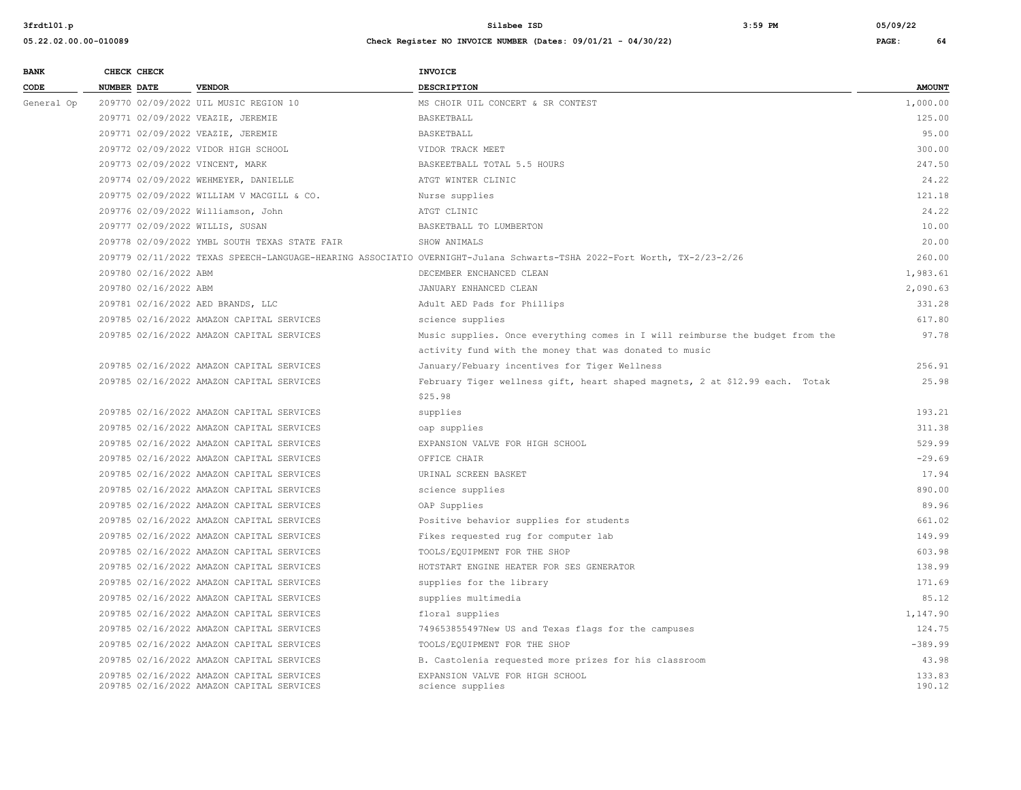| <b>BANK</b> |             | CHECK CHECK           |                                                                                        | <b>INVOICE</b>                                                                                                          |                  |
|-------------|-------------|-----------------------|----------------------------------------------------------------------------------------|-------------------------------------------------------------------------------------------------------------------------|------------------|
| CODE        | NUMBER DATE |                       | <b>VENDOR</b>                                                                          | <b>DESCRIPTION</b>                                                                                                      | <b>AMOUNT</b>    |
| General Op  |             |                       | 209770 02/09/2022 UIL MUSIC REGION 10                                                  | MS CHOIR UIL CONCERT & SR CONTEST                                                                                       | 1,000.00         |
|             |             |                       | 209771 02/09/2022 VEAZIE, JEREMIE                                                      | BASKETBALL                                                                                                              | 125.00           |
|             |             |                       | 209771 02/09/2022 VEAZIE, JEREMIE                                                      | BASKETBALL                                                                                                              | 95.00            |
|             |             |                       | 209772 02/09/2022 VIDOR HIGH SCHOOL                                                    | VIDOR TRACK MEET                                                                                                        | 300.00           |
|             |             |                       | 209773 02/09/2022 VINCENT, MARK                                                        | BASKEETBALL TOTAL 5.5 HOURS                                                                                             | 247.50           |
|             |             |                       | 209774 02/09/2022 WEHMEYER, DANIELLE                                                   | ATGT WINTER CLINIC                                                                                                      | 24.22            |
|             |             |                       | 209775 02/09/2022 WILLIAM V MACGILL & CO.                                              | Nurse supplies                                                                                                          | 121.18           |
|             |             |                       | 209776 02/09/2022 Williamson, John                                                     | ATGT CLINIC                                                                                                             | 24.22            |
|             |             |                       | 209777 02/09/2022 WILLIS, SUSAN                                                        | BASKETBALL TO LUMBERTON                                                                                                 | 10.00            |
|             |             |                       | 209778 02/09/2022 YMBL SOUTH TEXAS STATE FAIR                                          | SHOW ANIMALS                                                                                                            | 20.00            |
|             |             |                       |                                                                                        | 209779 02/11/2022 TEXAS SPEECH-LANGUAGE-HEARING ASSOCIATIO OVERNIGHT-Julana Schwarts-TSHA 2022-Fort Worth, TX-2/23-2/26 | 260.00           |
|             |             | 209780 02/16/2022 ABM |                                                                                        | DECEMBER ENCHANCED CLEAN                                                                                                | 1,983.61         |
|             |             | 209780 02/16/2022 ABM |                                                                                        | JANUARY ENHANCED CLEAN                                                                                                  | 2,090.63         |
|             |             |                       | 209781 02/16/2022 AED BRANDS, LLC                                                      | Adult AED Pads for Phillips                                                                                             | 331.28           |
|             |             |                       | 209785 02/16/2022 AMAZON CAPITAL SERVICES                                              | science supplies                                                                                                        | 617.80           |
|             |             |                       | 209785 02/16/2022 AMAZON CAPITAL SERVICES                                              | Music supplies. Once everything comes in I will reimburse the budget from the                                           | 97.78            |
|             |             |                       |                                                                                        | activity fund with the money that was donated to music                                                                  |                  |
|             |             |                       | 209785 02/16/2022 AMAZON CAPITAL SERVICES                                              | January/Febuary incentives for Tiger Wellness                                                                           | 256.91           |
|             |             |                       | 209785 02/16/2022 AMAZON CAPITAL SERVICES                                              | February Tiger wellness gift, heart shaped magnets, 2 at \$12.99 each. Totak                                            | 25.98            |
|             |             |                       |                                                                                        | \$25.98                                                                                                                 |                  |
|             |             |                       | 209785 02/16/2022 AMAZON CAPITAL SERVICES                                              | supplies                                                                                                                | 193.21           |
|             |             |                       | 209785 02/16/2022 AMAZON CAPITAL SERVICES                                              | oap supplies                                                                                                            | 311.38           |
|             |             |                       | 209785 02/16/2022 AMAZON CAPITAL SERVICES                                              | EXPANSION VALVE FOR HIGH SCHOOL                                                                                         | 529.99           |
|             |             |                       | 209785 02/16/2022 AMAZON CAPITAL SERVICES                                              | OFFICE CHAIR                                                                                                            | $-29.69$         |
|             |             |                       | 209785 02/16/2022 AMAZON CAPITAL SERVICES                                              | URINAL SCREEN BASKET                                                                                                    | 17.94            |
|             |             |                       | 209785 02/16/2022 AMAZON CAPITAL SERVICES                                              | science supplies                                                                                                        | 890.00           |
|             |             |                       | 209785 02/16/2022 AMAZON CAPITAL SERVICES                                              | OAP Supplies                                                                                                            | 89.96            |
|             |             |                       | 209785 02/16/2022 AMAZON CAPITAL SERVICES                                              | Positive behavior supplies for students                                                                                 | 661.02           |
|             |             |                       | 209785 02/16/2022 AMAZON CAPITAL SERVICES                                              | Fikes requested rug for computer lab                                                                                    | 149.99           |
|             |             |                       | 209785 02/16/2022 AMAZON CAPITAL SERVICES                                              | TOOLS/EQUIPMENT FOR THE SHOP                                                                                            | 603.98           |
|             |             |                       | 209785 02/16/2022 AMAZON CAPITAL SERVICES                                              | HOTSTART ENGINE HEATER FOR SES GENERATOR                                                                                | 138.99           |
|             |             |                       | 209785 02/16/2022 AMAZON CAPITAL SERVICES                                              | supplies for the library                                                                                                | 171.69           |
|             |             |                       | 209785 02/16/2022 AMAZON CAPITAL SERVICES                                              | supplies multimedia                                                                                                     | 85.12            |
|             |             |                       | 209785 02/16/2022 AMAZON CAPITAL SERVICES                                              | floral supplies                                                                                                         | 1,147.90         |
|             |             |                       | 209785 02/16/2022 AMAZON CAPITAL SERVICES                                              | 749653855497New US and Texas flags for the campuses                                                                     | 124.75           |
|             |             |                       | 209785 02/16/2022 AMAZON CAPITAL SERVICES                                              | TOOLS/EQUIPMENT FOR THE SHOP                                                                                            | $-389.99$        |
|             |             |                       | 209785 02/16/2022 AMAZON CAPITAL SERVICES                                              | B. Castolenia requested more prizes for his classroom                                                                   | 43.98            |
|             |             |                       | 209785 02/16/2022 AMAZON CAPITAL SERVICES<br>209785 02/16/2022 AMAZON CAPITAL SERVICES | EXPANSION VALVE FOR HIGH SCHOOL<br>science supplies                                                                     | 133.83<br>190.12 |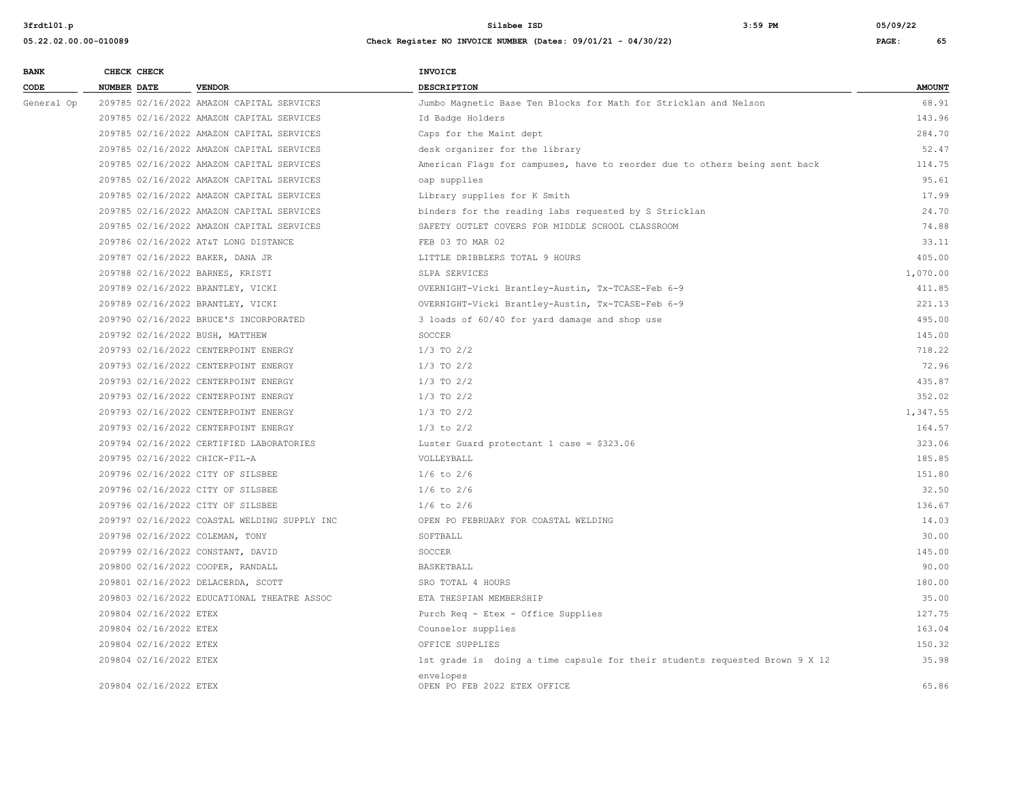| <b>BANK</b> | CHECK CHECK            |                                              | INVOICE                                                                     |               |
|-------------|------------------------|----------------------------------------------|-----------------------------------------------------------------------------|---------------|
| CODE        | NUMBER DATE            | <b>VENDOR</b>                                | DESCRIPTION                                                                 | <b>AMOUNT</b> |
| General Op  |                        | 209785 02/16/2022 AMAZON CAPITAL SERVICES    | Jumbo Magnetic Base Ten Blocks for Math for Stricklan and Nelson            | 68.91         |
|             |                        | 209785 02/16/2022 AMAZON CAPITAL SERVICES    | Id Badge Holders                                                            | 143.96        |
|             |                        | 209785 02/16/2022 AMAZON CAPITAL SERVICES    | Caps for the Maint dept                                                     | 284.70        |
|             |                        | 209785 02/16/2022 AMAZON CAPITAL SERVICES    | desk organizer for the library                                              | 52.47         |
|             |                        | 209785 02/16/2022 AMAZON CAPITAL SERVICES    | American Flags for campuses, have to reorder due to others being sent back  | 114.75        |
|             |                        | 209785 02/16/2022 AMAZON CAPITAL SERVICES    | oap supplies                                                                | 95.61         |
|             |                        | 209785 02/16/2022 AMAZON CAPITAL SERVICES    | Library supplies for K Smith                                                | 17.99         |
|             |                        | 209785 02/16/2022 AMAZON CAPITAL SERVICES    | binders for the reading labs requested by S Stricklan                       | 24.70         |
|             |                        | 209785 02/16/2022 AMAZON CAPITAL SERVICES    | SAFETY OUTLET COVERS FOR MIDDLE SCHOOL CLASSROOM                            | 74.88         |
|             |                        | 209786 02/16/2022 AT&T LONG DISTANCE         | FEB 03 TO MAR 02                                                            | 33.11         |
|             |                        | 209787 02/16/2022 BAKER, DANA JR             | LITTLE DRIBBLERS TOTAL 9 HOURS                                              | 405.00        |
|             |                        | 209788 02/16/2022 BARNES, KRISTI             | SLPA SERVICES                                                               | 1,070.00      |
|             |                        | 209789 02/16/2022 BRANTLEY, VICKI            | OVERNIGHT-Vicki Brantley-Austin, Tx-TCASE-Feb 6-9                           | 411.85        |
|             |                        | 209789 02/16/2022 BRANTLEY, VICKI            | OVERNIGHT-Vicki Brantley-Austin, Tx-TCASE-Feb 6-9                           | 221.13        |
|             |                        | 209790 02/16/2022 BRUCE'S INCORPORATED       | 3 loads of 60/40 for yard damage and shop use                               | 495.00        |
|             |                        | 209792 02/16/2022 BUSH, MATTHEW              | SOCCER                                                                      | 145.00        |
|             |                        | 209793 02/16/2022 CENTERPOINT ENERGY         | $1/3$ TO $2/2$                                                              | 718.22        |
|             |                        | 209793 02/16/2022 CENTERPOINT ENERGY         | $1/3$ TO $2/2$                                                              | 72.96         |
|             |                        | 209793 02/16/2022 CENTERPOINT ENERGY         | $1/3$ TO $2/2$                                                              | 435.87        |
|             |                        | 209793 02/16/2022 CENTERPOINT ENERGY         | $1/3$ TO $2/2$                                                              | 352.02        |
|             |                        | 209793 02/16/2022 CENTERPOINT ENERGY         | $1/3$ TO $2/2$                                                              | 1,347.55      |
|             |                        | 209793 02/16/2022 CENTERPOINT ENERGY         | $1/3$ to $2/2$                                                              | 164.57        |
|             |                        | 209794 02/16/2022 CERTIFIED LABORATORIES     | Luster Guard protectant 1 case = $$323.06$                                  | 323.06        |
|             |                        | 209795 02/16/2022 CHICK-FIL-A                | VOLLEYBALL                                                                  | 185.85        |
|             |                        | 209796 02/16/2022 CITY OF SILSBEE            | $1/6$ to $2/6$                                                              | 151.80        |
|             |                        | 209796 02/16/2022 CITY OF SILSBEE            | $1/6$ to $2/6$                                                              | 32.50         |
|             |                        | 209796 02/16/2022 CITY OF SILSBEE            | $1/6$ to $2/6$                                                              | 136.67        |
|             |                        | 209797 02/16/2022 COASTAL WELDING SUPPLY INC | OPEN PO FEBRUARY FOR COASTAL WELDING                                        | 14.03         |
|             |                        | 209798 02/16/2022 COLEMAN, TONY              | SOFTBALL                                                                    | 30.00         |
|             |                        | 209799 02/16/2022 CONSTANT, DAVID            | SOCCER                                                                      | 145.00        |
|             |                        | 209800 02/16/2022 COOPER, RANDALL            | BASKETBALL                                                                  | 90.00         |
|             |                        | 209801 02/16/2022 DELACERDA, SCOTT           | SRO TOTAL 4 HOURS                                                           | 180.00        |
|             |                        | 209803 02/16/2022 EDUCATIONAL THEATRE ASSOC  | ETA THESPIAN MEMBERSHIP                                                     | 35.00         |
|             | 209804 02/16/2022 ETEX |                                              | Purch Req - Etex - Office Supplies                                          | 127.75        |
|             | 209804 02/16/2022 ETEX |                                              | Counselor supplies                                                          | 163.04        |
|             | 209804 02/16/2022 ETEX |                                              | OFFICE SUPPLIES                                                             | 150.32        |
|             | 209804 02/16/2022 ETEX |                                              | 1st grade is doing a time capsule for their students requested Brown 9 X 12 | 35.98         |
|             | 209804 02/16/2022 ETEX |                                              | envelopes<br>OPEN PO FEB 2022 ETEX OFFICE                                   | 65.86         |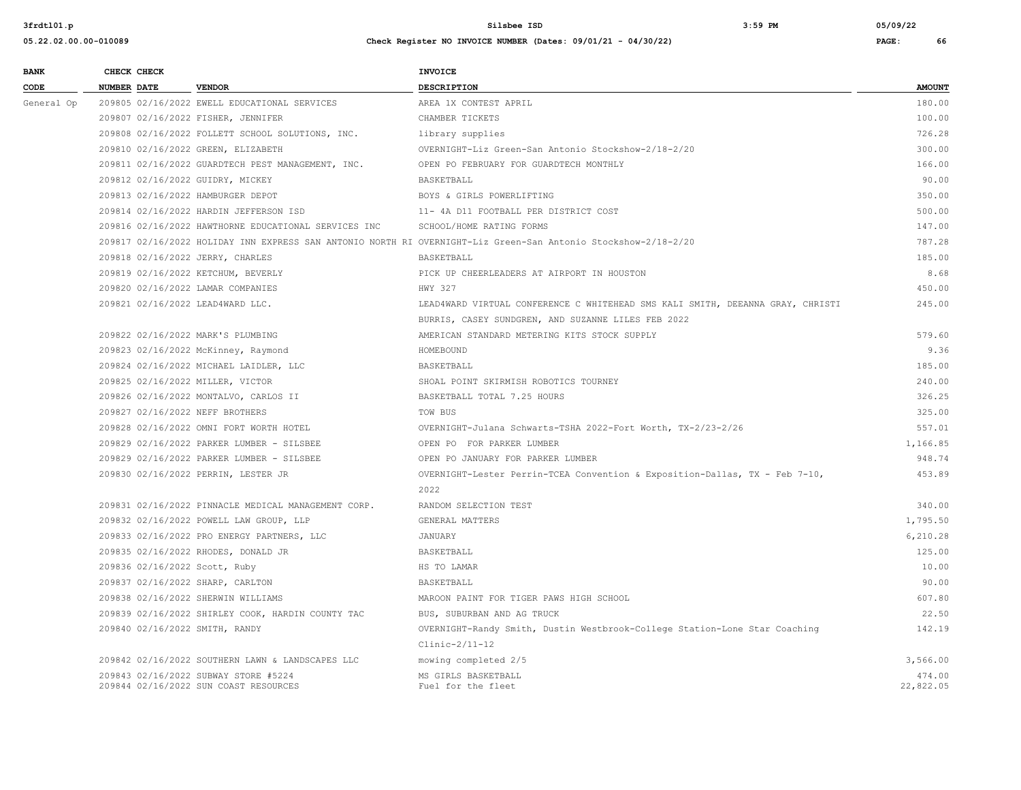| <b>BANK</b> |             | CHECK CHECK |                                                      | <b>INVOICE</b>                                                                                                 |               |
|-------------|-------------|-------------|------------------------------------------------------|----------------------------------------------------------------------------------------------------------------|---------------|
| CODE        | NUMBER DATE |             | <b>VENDOR</b>                                        | <b>DESCRIPTION</b>                                                                                             | <b>AMOUNT</b> |
| General Op  |             |             | 209805 02/16/2022 EWELL EDUCATIONAL SERVICES         | AREA 1X CONTEST APRIL                                                                                          | 180.00        |
|             |             |             | 209807 02/16/2022 FISHER, JENNIFER                   | CHAMBER TICKETS                                                                                                | 100.00        |
|             |             |             | 209808 02/16/2022 FOLLETT SCHOOL SOLUTIONS, INC.     | library supplies                                                                                               | 726.28        |
|             |             |             | 209810 02/16/2022 GREEN, ELIZABETH                   | OVERNIGHT-Liz Green-San Antonio Stockshow-2/18-2/20                                                            | 300.00        |
|             |             |             | 209811 02/16/2022 GUARDTECH PEST MANAGEMENT, INC.    | OPEN PO FEBRUARY FOR GUARDTECH MONTHLY                                                                         | 166.00        |
|             |             |             | 209812 02/16/2022 GUIDRY, MICKEY                     | BASKETBALL                                                                                                     | 90.00         |
|             |             |             | 209813 02/16/2022 HAMBURGER DEPOT                    | BOYS & GIRLS POWERLIFTING                                                                                      | 350.00        |
|             |             |             | 209814 02/16/2022 HARDIN JEFFERSON ISD               | 11- 4A D11 FOOTBALL PER DISTRICT COST                                                                          | 500.00        |
|             |             |             | 209816 02/16/2022 HAWTHORNE EDUCATIONAL SERVICES INC | SCHOOL/HOME RATING FORMS                                                                                       | 147.00        |
|             |             |             |                                                      | 209817 02/16/2022 HOLIDAY INN EXPRESS SAN ANTONIO NORTH RI OVERNIGHT-Liz Green-San Antonio Stockshow-2/18-2/20 | 787.28        |
|             |             |             | 209818 02/16/2022 JERRY, CHARLES                     | BASKETBALL                                                                                                     | 185.00        |
|             |             |             | 209819 02/16/2022 KETCHUM, BEVERLY                   | PICK UP CHEERLEADERS AT AIRPORT IN HOUSTON                                                                     | 8.68          |
|             |             |             | 209820 02/16/2022 LAMAR COMPANIES                    | HWY 327                                                                                                        | 450.00        |
|             |             |             | 209821 02/16/2022 LEAD4WARD LLC.                     | LEAD4WARD VIRTUAL CONFERENCE C WHITEHEAD SMS KALI SMITH, DEEANNA GRAY, CHRISTI                                 | 245.00        |
|             |             |             |                                                      | BURRIS, CASEY SUNDGREN, AND SUZANNE LILES FEB 2022                                                             |               |
|             |             |             | 209822 02/16/2022 MARK'S PLUMBING                    | AMERICAN STANDARD METERING KITS STOCK SUPPLY                                                                   | 579.60        |
|             |             |             | 209823 02/16/2022 McKinney, Raymond                  | HOMEBOUND                                                                                                      | 9.36          |
|             |             |             | 209824 02/16/2022 MICHAEL LAIDLER, LLC               | BASKETBALL                                                                                                     | 185.00        |
|             |             |             | 209825 02/16/2022 MILLER, VICTOR                     | SHOAL POINT SKIRMISH ROBOTICS TOURNEY                                                                          | 240.00        |
|             |             |             | 209826 02/16/2022 MONTALVO, CARLOS II                | BASKETBALL TOTAL 7.25 HOURS                                                                                    | 326.25        |
|             |             |             | 209827 02/16/2022 NEFF BROTHERS                      | TOW BUS                                                                                                        | 325.00        |
|             |             |             | 209828 02/16/2022 OMNI FORT WORTH HOTEL              | OVERNIGHT-Julana Schwarts-TSHA 2022-Fort Worth, TX-2/23-2/26                                                   | 557.01        |
|             |             |             | 209829 02/16/2022 PARKER LUMBER - SILSBEE            | OPEN PO FOR PARKER LUMBER                                                                                      | 1,166.85      |
|             |             |             | 209829 02/16/2022 PARKER LUMBER - SILSBEE            | OPEN PO JANUARY FOR PARKER LUMBER                                                                              | 948.74        |
|             |             |             | 209830 02/16/2022 PERRIN, LESTER JR                  | OVERNIGHT-Lester Perrin-TCEA Convention & Exposition-Dallas, TX - Feb 7-10,                                    | 453.89        |
|             |             |             |                                                      | 2022                                                                                                           |               |
|             |             |             | 209831 02/16/2022 PINNACLE MEDICAL MANAGEMENT CORP.  | RANDOM SELECTION TEST                                                                                          | 340.00        |
|             |             |             | 209832 02/16/2022 POWELL LAW GROUP, LLP              | GENERAL MATTERS                                                                                                | 1,795.50      |
|             |             |             | 209833 02/16/2022 PRO ENERGY PARTNERS, LLC           | JANUARY                                                                                                        | 6,210.28      |
|             |             |             | 209835 02/16/2022 RHODES, DONALD JR                  | <b>BASKETBALL</b>                                                                                              | 125.00        |
|             |             |             | 209836 02/16/2022 Scott, Ruby                        | HS TO LAMAR                                                                                                    | 10.00         |
|             |             |             | 209837 02/16/2022 SHARP, CARLTON                     | BASKETBALL                                                                                                     | 90.00         |
|             |             |             | 209838 02/16/2022 SHERWIN WILLIAMS                   | MAROON PAINT FOR TIGER PAWS HIGH SCHOOL                                                                        | 607.80        |
|             |             |             | 209839 02/16/2022 SHIRLEY COOK, HARDIN COUNTY TAC    | BUS, SUBURBAN AND AG TRUCK                                                                                     | 22.50         |
|             |             |             | 209840 02/16/2022 SMITH, RANDY                       | OVERNIGHT-Randy Smith, Dustin Westbrook-College Station-Lone Star Coaching                                     | 142.19        |
|             |             |             |                                                      | $Clinic-2/11-12$                                                                                               |               |
|             |             |             | 209842 02/16/2022 SOUTHERN LAWN & LANDSCAPES LLC     | mowing completed 2/5                                                                                           | 3,566.00      |
|             |             |             | 209843 02/16/2022 SUBWAY STORE #5224                 | MS GIRLS BASKETBALL                                                                                            | 474.00        |
|             |             |             | 209844 02/16/2022 SUN COAST RESOURCES                | Fuel for the fleet                                                                                             | 22,822.05     |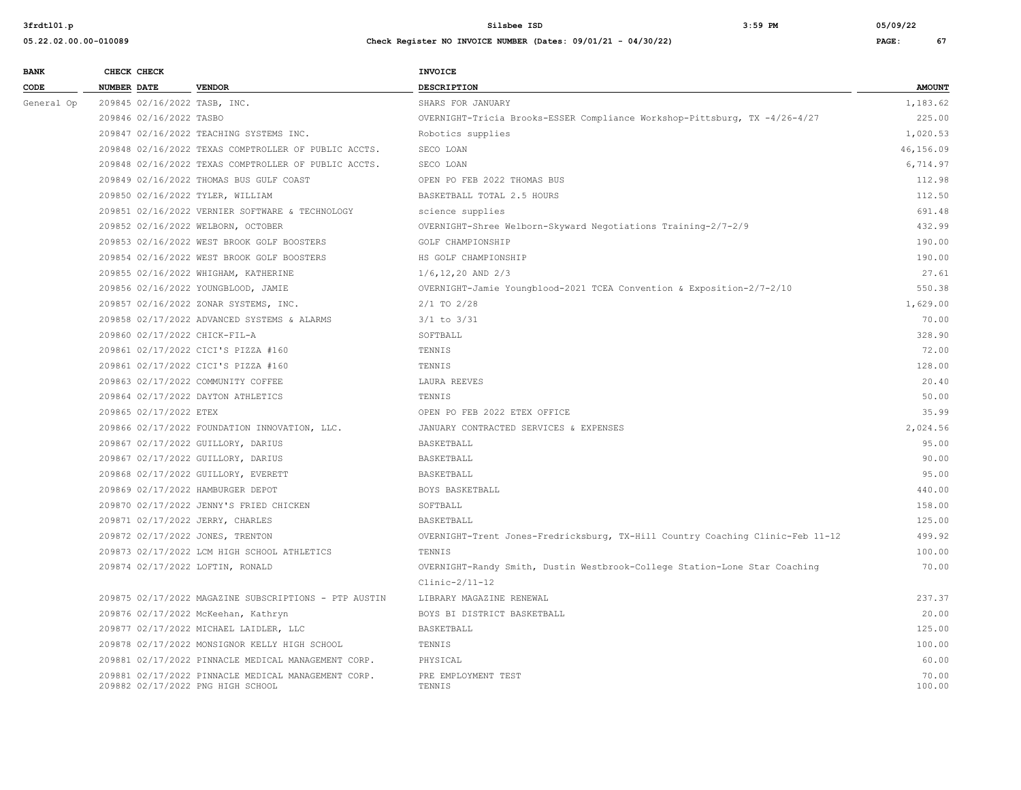| <b>BANK</b> |                    | CHECK CHECK                  |                                                       | INVOICE                                                                        |               |
|-------------|--------------------|------------------------------|-------------------------------------------------------|--------------------------------------------------------------------------------|---------------|
| CODE        | <b>NUMBER DATE</b> |                              | <b>VENDOR</b>                                         | DESCRIPTION                                                                    | <b>AMOUNT</b> |
| General Op  |                    | 209845 02/16/2022 TASB, INC. |                                                       | SHARS FOR JANUARY                                                              | 1,183.62      |
|             |                    | 209846 02/16/2022 TASBO      |                                                       | OVERNIGHT-Tricia Brooks-ESSER Compliance Workshop-Pittsburg, TX -4/26-4/27     | 225.00        |
|             |                    |                              | 209847 02/16/2022 TEACHING SYSTEMS INC.               | Robotics supplies                                                              | 1,020.53      |
|             |                    |                              | 209848 02/16/2022 TEXAS COMPTROLLER OF PUBLIC ACCTS.  | SECO LOAN                                                                      | 46,156.09     |
|             |                    |                              | 209848 02/16/2022 TEXAS COMPTROLLER OF PUBLIC ACCTS.  | SECO LOAN                                                                      | 6,714.97      |
|             |                    |                              | 209849 02/16/2022 THOMAS BUS GULF COAST               | OPEN PO FEB 2022 THOMAS BUS                                                    | 112.98        |
|             |                    |                              | 209850 02/16/2022 TYLER, WILLIAM                      | BASKETBALL TOTAL 2.5 HOURS                                                     | 112.50        |
|             |                    |                              | 209851 02/16/2022 VERNIER SOFTWARE & TECHNOLOGY       | science supplies                                                               | 691.48        |
|             |                    |                              | 209852 02/16/2022 WELBORN, OCTOBER                    | OVERNIGHT-Shree Welborn-Skyward Negotiations Training-2/7-2/9                  | 432.99        |
|             |                    |                              | 209853 02/16/2022 WEST BROOK GOLF BOOSTERS            | GOLF CHAMPIONSHIP                                                              | 190.00        |
|             |                    |                              | 209854 02/16/2022 WEST BROOK GOLF BOOSTERS            | HS GOLF CHAMPIONSHIP                                                           | 190.00        |
|             |                    |                              | 209855 02/16/2022 WHIGHAM, KATHERINE                  | $1/6, 12, 20$ AND $2/3$                                                        | 27.61         |
|             |                    |                              | 209856 02/16/2022 YOUNGBLOOD, JAMIE                   | OVERNIGHT-Jamie Youngblood-2021 TCEA Convention & Exposition-2/7-2/10          | 550.38        |
|             |                    |                              | 209857 02/16/2022 ZONAR SYSTEMS, INC.                 | $2/1$ TO $2/28$                                                                | 1,629.00      |
|             |                    |                              | 209858 02/17/2022 ADVANCED SYSTEMS & ALARMS           | $3/1$ to $3/31$                                                                | 70.00         |
|             |                    |                              | 209860 02/17/2022 CHICK-FIL-A                         | SOFTBALL                                                                       | 328.90        |
|             |                    |                              | 209861 02/17/2022 CICI'S PIZZA #160                   | TENNIS                                                                         | 72.00         |
|             |                    |                              | 209861 02/17/2022 CICI'S PIZZA #160                   | TENNIS                                                                         | 128.00        |
|             |                    |                              | 209863 02/17/2022 COMMUNITY COFFEE                    | LAURA REEVES                                                                   | 20.40         |
|             |                    |                              | 209864 02/17/2022 DAYTON ATHLETICS                    | TENNIS                                                                         | 50.00         |
|             |                    | 209865 02/17/2022 ETEX       |                                                       | OPEN PO FEB 2022 ETEX OFFICE                                                   | 35.99         |
|             |                    |                              | 209866 02/17/2022 FOUNDATION INNOVATION, LLC.         | JANUARY CONTRACTED SERVICES & EXPENSES                                         | 2,024.56      |
|             |                    |                              | 209867 02/17/2022 GUILLORY, DARIUS                    | BASKETBALL                                                                     | 95.00         |
|             |                    |                              | 209867 02/17/2022 GUILLORY, DARIUS                    | BASKETBALL                                                                     | 90.00         |
|             |                    |                              | 209868 02/17/2022 GUILLORY, EVERETT                   | BASKETBALL                                                                     | 95.00         |
|             |                    |                              | 209869 02/17/2022 HAMBURGER DEPOT                     | BOYS BASKETBALL                                                                | 440.00        |
|             |                    |                              | 209870 02/17/2022 JENNY'S FRIED CHICKEN               | SOFTBALL                                                                       | 158.00        |
|             |                    |                              | 209871 02/17/2022 JERRY, CHARLES                      | <b>BASKETBALL</b>                                                              | 125.00        |
|             |                    |                              | 209872 02/17/2022 JONES, TRENTON                      | OVERNIGHT-Trent Jones-Fredricksburg, TX-Hill Country Coaching Clinic-Feb 11-12 | 499.92        |
|             |                    |                              | 209873 02/17/2022 LCM HIGH SCHOOL ATHLETICS           | TENNIS                                                                         | 100.00        |
|             |                    |                              | 209874 02/17/2022 LOFTIN, RONALD                      | OVERNIGHT-Randy Smith, Dustin Westbrook-College Station-Lone Star Coaching     | 70.00         |
|             |                    |                              |                                                       | $Clinic-2/11-12$                                                               |               |
|             |                    |                              | 209875 02/17/2022 MAGAZINE SUBSCRIPTIONS - PTP AUSTIN | LIBRARY MAGAZINE RENEWAL                                                       | 237.37        |
|             |                    |                              | 209876 02/17/2022 McKeehan, Kathryn                   | BOYS BI DISTRICT BASKETBALL                                                    | 20.00         |
|             |                    |                              | 209877 02/17/2022 MICHAEL LAIDLER, LLC                | <b>BASKETBALL</b>                                                              | 125.00        |
|             |                    |                              | 209878 02/17/2022 MONSIGNOR KELLY HIGH SCHOOL         | TENNIS                                                                         | 100.00        |
|             |                    |                              | 209881 02/17/2022 PINNACLE MEDICAL MANAGEMENT CORP.   | PHYSICAL                                                                       | 60.00         |
|             |                    |                              | 209881 02/17/2022 PINNACLE MEDICAL MANAGEMENT CORP.   | PRE EMPLOYMENT TEST                                                            | 70.00         |
|             |                    |                              | 209882 02/17/2022 PNG HIGH SCHOOL                     | TENNIS                                                                         | 100.00        |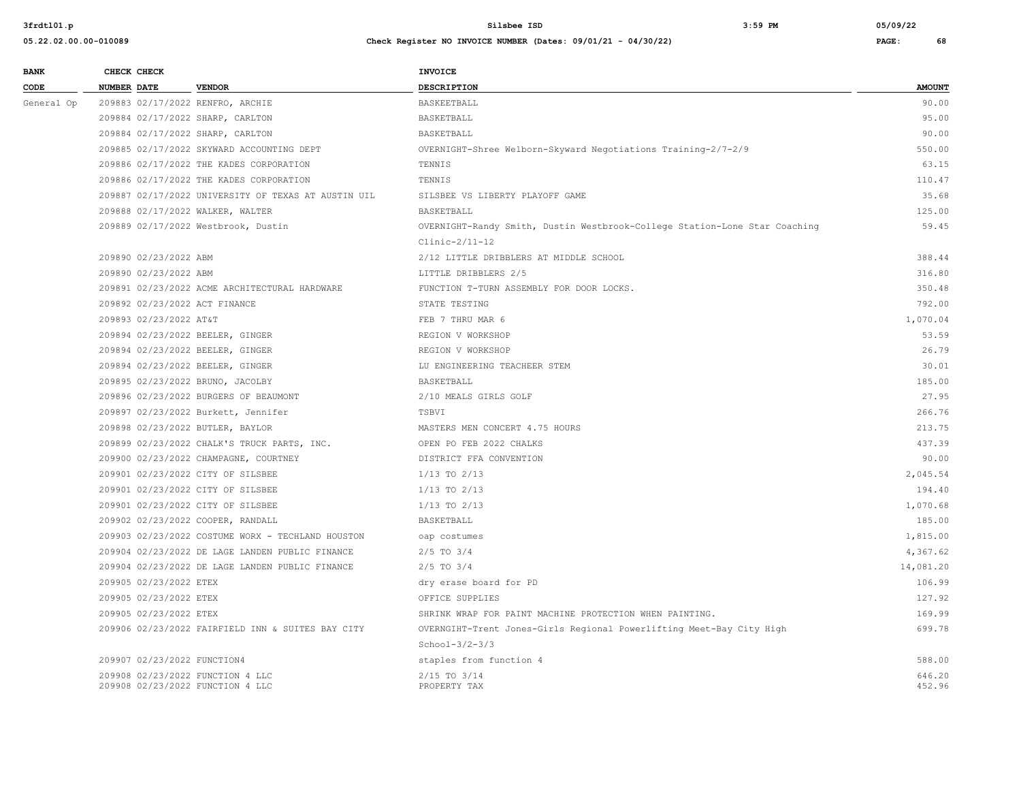| <b>BANK</b> | CHECK CHECK            |                                                                      | <b>INVOICE</b>                                                             |                  |
|-------------|------------------------|----------------------------------------------------------------------|----------------------------------------------------------------------------|------------------|
| CODE        | <b>NUMBER DATE</b>     | <b>VENDOR</b>                                                        | <b>DESCRIPTION</b>                                                         | <b>AMOUNT</b>    |
| General Op  |                        | 209883 02/17/2022 RENFRO, ARCHIE                                     | BASKEETBALL                                                                | 90.00            |
|             |                        | 209884 02/17/2022 SHARP, CARLTON                                     | BASKETBALL                                                                 | 95.00            |
|             |                        | 209884 02/17/2022 SHARP, CARLTON                                     | BASKETBALL                                                                 | 90.00            |
|             |                        | 209885 02/17/2022 SKYWARD ACCOUNTING DEPT                            | OVERNIGHT-Shree Welborn-Skyward Negotiations Training-2/7-2/9              | 550.00           |
|             |                        | 209886 02/17/2022 THE KADES CORPORATION                              | TENNIS                                                                     | 63.15            |
|             |                        | 209886 02/17/2022 THE KADES CORPORATION                              | TENNIS                                                                     | 110.47           |
|             |                        | 209887 02/17/2022 UNIVERSITY OF TEXAS AT AUSTIN UIL                  | SILSBEE VS LIBERTY PLAYOFF GAME                                            | 35.68            |
|             |                        | 209888 02/17/2022 WALKER, WALTER                                     | BASKETBALL                                                                 | 125.00           |
|             |                        | 209889 02/17/2022 Westbrook, Dustin                                  | OVERNIGHT-Randy Smith, Dustin Westbrook-College Station-Lone Star Coaching | 59.45            |
|             |                        |                                                                      | $Clinic-2/11-12$                                                           |                  |
|             | 209890 02/23/2022 ABM  |                                                                      | 2/12 LITTLE DRIBBLERS AT MIDDLE SCHOOL                                     | 388.44           |
|             | 209890 02/23/2022 ABM  |                                                                      | LITTLE DRIBBLERS 2/5                                                       | 316.80           |
|             |                        | 209891 02/23/2022 ACME ARCHITECTURAL HARDWARE                        | FUNCTION T-TURN ASSEMBLY FOR DOOR LOCKS.                                   | 350.48           |
|             |                        | 209892 02/23/2022 ACT FINANCE                                        | STATE TESTING                                                              | 792.00           |
|             | 209893 02/23/2022 AT&T |                                                                      | FEB 7 THRU MAR 6                                                           | 1,070.04         |
|             |                        | 209894 02/23/2022 BEELER, GINGER                                     | REGION V WORKSHOP                                                          | 53.59            |
|             |                        | 209894 02/23/2022 BEELER, GINGER                                     | REGION V WORKSHOP                                                          | 26.79            |
|             |                        | 209894 02/23/2022 BEELER, GINGER                                     | LU ENGINEERING TEACHEER STEM                                               | 30.01            |
|             |                        | 209895 02/23/2022 BRUNO, JACOLBY                                     | BASKETBALL                                                                 | 185.00           |
|             |                        | 209896 02/23/2022 BURGERS OF BEAUMONT                                | 2/10 MEALS GIRLS GOLF                                                      | 27.95            |
|             |                        | 209897 02/23/2022 Burkett, Jennifer                                  | TSBVI                                                                      | 266.76           |
|             |                        | 209898 02/23/2022 BUTLER, BAYLOR                                     | MASTERS MEN CONCERT 4.75 HOURS                                             | 213.75           |
|             |                        | 209899 02/23/2022 CHALK'S TRUCK PARTS, INC.                          | OPEN PO FEB 2022 CHALKS                                                    | 437.39           |
|             |                        | 209900 02/23/2022 CHAMPAGNE, COURTNEY                                | DISTRICT FFA CONVENTION                                                    | 90.00            |
|             |                        | 209901 02/23/2022 CITY OF SILSBEE                                    | $1/13$ TO $2/13$                                                           | 2,045.54         |
|             |                        | 209901 02/23/2022 CITY OF SILSBEE                                    | $1/13$ TO $2/13$                                                           | 194.40           |
|             |                        | 209901 02/23/2022 CITY OF SILSBEE                                    | $1/13$ TO $2/13$                                                           | 1,070.68         |
|             |                        | 209902 02/23/2022 COOPER, RANDALL                                    | BASKETBALL                                                                 | 185.00           |
|             |                        | 209903 02/23/2022 COSTUME WORX - TECHLAND HOUSTON                    | oap costumes                                                               | 1,815.00         |
|             |                        | 209904 02/23/2022 DE LAGE LANDEN PUBLIC FINANCE                      | $2/5$ TO $3/4$                                                             | 4,367.62         |
|             |                        | 209904 02/23/2022 DE LAGE LANDEN PUBLIC FINANCE                      | $2/5$ TO $3/4$                                                             | 14,081.20        |
|             | 209905 02/23/2022 ETEX |                                                                      | dry erase board for PD                                                     | 106.99           |
|             | 209905 02/23/2022 ETEX |                                                                      | OFFICE SUPPLIES                                                            | 127.92           |
|             | 209905 02/23/2022 ETEX |                                                                      | SHRINK WRAP FOR PAINT MACHINE PROTECTION WHEN PAINTING.                    | 169.99           |
|             |                        | 209906 02/23/2022 FAIRFIELD INN & SUITES BAY CITY                    | OVERNGIHT-Trent Jones-Girls Regional Powerlifting Meet-Bay City High       | 699.78           |
|             |                        |                                                                      | $School-3/2-3/3$                                                           |                  |
|             |                        | 209907 02/23/2022 FUNCTION4                                          | staples from function 4                                                    | 588.00           |
|             |                        | 209908 02/23/2022 FUNCTION 4 LLC<br>209908 02/23/2022 FUNCTION 4 LLC | 2/15 TO 3/14<br>PROPERTY TAX                                               | 646.20<br>452.96 |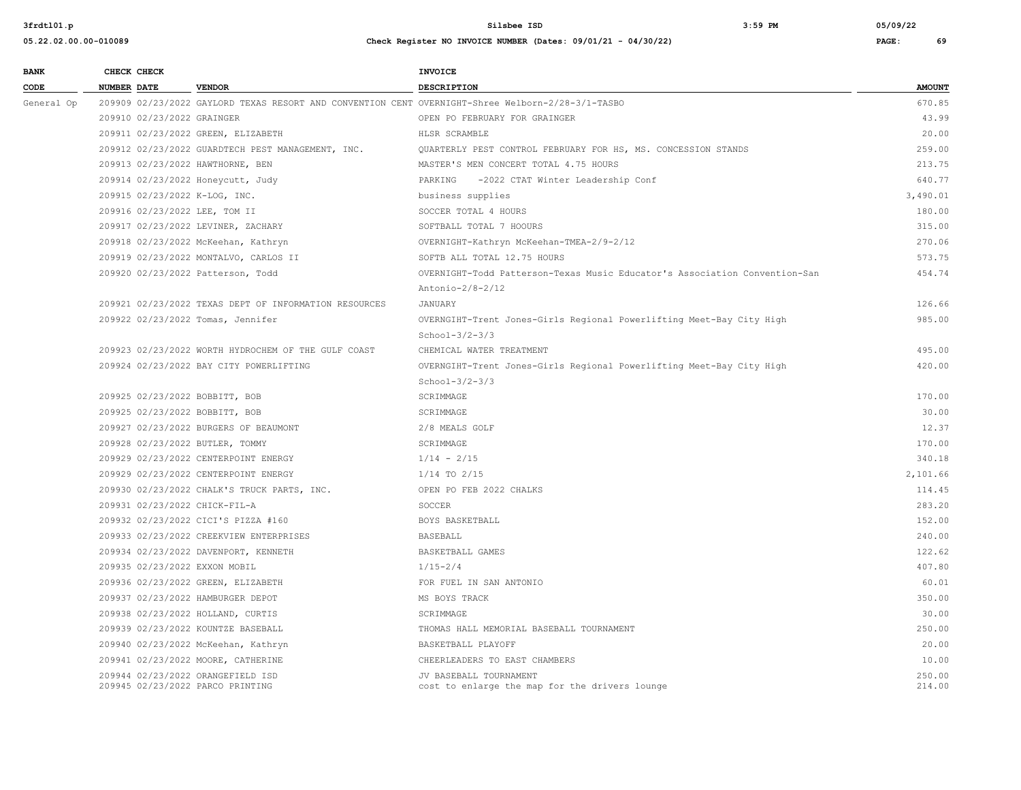| <b>BANK</b> |                    | CHECK CHECK                |                                                                                                   | <b>INVOICE</b>                                                             |                  |
|-------------|--------------------|----------------------------|---------------------------------------------------------------------------------------------------|----------------------------------------------------------------------------|------------------|
| CODE        | <b>NUMBER DATE</b> |                            | <b>VENDOR</b>                                                                                     | <b>DESCRIPTION</b>                                                         | <b>AMOUNT</b>    |
| General Op  |                    |                            | 209909 02/23/2022 GAYLORD TEXAS RESORT AND CONVENTION CENT OVERNIGHT-Shree Welborn-2/28-3/1-TASBO |                                                                            | 670.85           |
|             |                    | 209910 02/23/2022 GRAINGER |                                                                                                   | OPEN PO FEBRUARY FOR GRAINGER                                              | 43.99            |
|             |                    |                            | 209911 02/23/2022 GREEN, ELIZABETH                                                                | HLSR SCRAMBLE                                                              | 20.00            |
|             |                    |                            | 209912 02/23/2022 GUARDTECH PEST MANAGEMENT, INC.                                                 | QUARTERLY PEST CONTROL FEBRUARY FOR HS, MS. CONCESSION STANDS              | 259.00           |
|             |                    |                            | 209913 02/23/2022 HAWTHORNE, BEN                                                                  | MASTER'S MEN CONCERT TOTAL 4.75 HOURS                                      | 213.75           |
|             |                    |                            | 209914 02/23/2022 Honeycutt, Judy                                                                 | -2022 CTAT Winter Leadership Conf<br>PARKING                               | 640.77           |
|             |                    |                            | 209915 02/23/2022 K-LOG, INC.                                                                     | business supplies                                                          | 3,490.01         |
|             |                    |                            | 209916 02/23/2022 LEE, TOM II                                                                     | SOCCER TOTAL 4 HOURS                                                       | 180.00           |
|             |                    |                            | 209917 02/23/2022 LEVINER, ZACHARY                                                                | SOFTBALL TOTAL 7 HOOURS                                                    | 315.00           |
|             |                    |                            | 209918 02/23/2022 McKeehan, Kathryn                                                               | OVERNIGHT-Kathryn McKeehan-TMEA-2/9-2/12                                   | 270.06           |
|             |                    |                            | 209919 02/23/2022 MONTALVO, CARLOS II                                                             | SOFTB ALL TOTAL 12.75 HOURS                                                | 573.75           |
|             |                    |                            | 209920 02/23/2022 Patterson, Todd                                                                 | OVERNIGHT-Todd Patterson-Texas Music Educator's Association Convention-San | 454.74           |
|             |                    |                            |                                                                                                   | Antonio-2/8-2/12                                                           |                  |
|             |                    |                            | 209921 02/23/2022 TEXAS DEPT OF INFORMATION RESOURCES                                             | <b>JANUARY</b>                                                             | 126.66           |
|             |                    |                            | 209922 02/23/2022 Tomas, Jennifer                                                                 | OVERNGIHT-Trent Jones-Girls Regional Powerlifting Meet-Bay City High       | 985.00           |
|             |                    |                            |                                                                                                   | $School-3/2-3/3$                                                           |                  |
|             |                    |                            | 209923 02/23/2022 WORTH HYDROCHEM OF THE GULF COAST                                               | CHEMICAL WATER TREATMENT                                                   | 495.00           |
|             |                    |                            | 209924 02/23/2022 BAY CITY POWERLIFTING                                                           | OVERNGIHT-Trent Jones-Girls Regional Powerlifting Meet-Bay City High       | 420.00           |
|             |                    |                            |                                                                                                   | $School-3/2-3/3$                                                           |                  |
|             |                    |                            | 209925 02/23/2022 BOBBITT, BOB                                                                    | SCRIMMAGE                                                                  | 170.00           |
|             |                    |                            | 209925 02/23/2022 BOBBITT, BOB                                                                    | SCRIMMAGE                                                                  | 30.00            |
|             |                    |                            | 209927 02/23/2022 BURGERS OF BEAUMONT                                                             | 2/8 MEALS GOLF                                                             | 12.37            |
|             |                    |                            | 209928 02/23/2022 BUTLER, TOMMY                                                                   | SCRIMMAGE                                                                  | 170.00           |
|             |                    |                            | 209929 02/23/2022 CENTERPOINT ENERGY                                                              | $1/14 - 2/15$                                                              | 340.18           |
|             |                    |                            | 209929 02/23/2022 CENTERPOINT ENERGY                                                              | $1/14$ TO $2/15$                                                           | 2,101.66         |
|             |                    |                            | 209930 02/23/2022 CHALK'S TRUCK PARTS, INC.                                                       | OPEN PO FEB 2022 CHALKS                                                    | 114.45           |
|             |                    |                            | 209931 02/23/2022 CHICK-FIL-A                                                                     | SOCCER                                                                     | 283.20           |
|             |                    |                            | 209932 02/23/2022 CICI'S PIZZA #160                                                               | BOYS BASKETBALL                                                            | 152.00           |
|             |                    |                            | 209933 02/23/2022 CREEKVIEW ENTERPRISES                                                           | <b>BASEBALL</b>                                                            | 240.00           |
|             |                    |                            | 209934 02/23/2022 DAVENPORT, KENNETH                                                              | BASKETBALL GAMES                                                           | 122.62           |
|             |                    |                            | 209935 02/23/2022 EXXON MOBIL                                                                     | $1/15 - 2/4$                                                               | 407.80           |
|             |                    |                            | 209936 02/23/2022 GREEN, ELIZABETH                                                                | FOR FUEL IN SAN ANTONIO                                                    | 60.01            |
|             |                    |                            | 209937 02/23/2022 HAMBURGER DEPOT                                                                 | MS BOYS TRACK                                                              | 350.00           |
|             |                    |                            | 209938 02/23/2022 HOLLAND, CURTIS                                                                 | SCRIMMAGE                                                                  | 30.00            |
|             |                    |                            | 209939 02/23/2022 KOUNTZE BASEBALL                                                                | THOMAS HALL MEMORIAL BASEBALL TOURNAMENT                                   | 250.00           |
|             |                    |                            | 209940 02/23/2022 McKeehan, Kathryn                                                               | BASKETBALL PLAYOFF                                                         | 20.00            |
|             |                    |                            | 209941 02/23/2022 MOORE, CATHERINE                                                                | CHEERLEADERS TO EAST CHAMBERS                                              | 10.00            |
|             |                    |                            | 209944 02/23/2022 ORANGEFIELD ISD<br>209945 02/23/2022 PARCO PRINTING                             | JV BASEBALL TOURNAMENT<br>cost to enlarge the map for the drivers lounge   | 250.00<br>214.00 |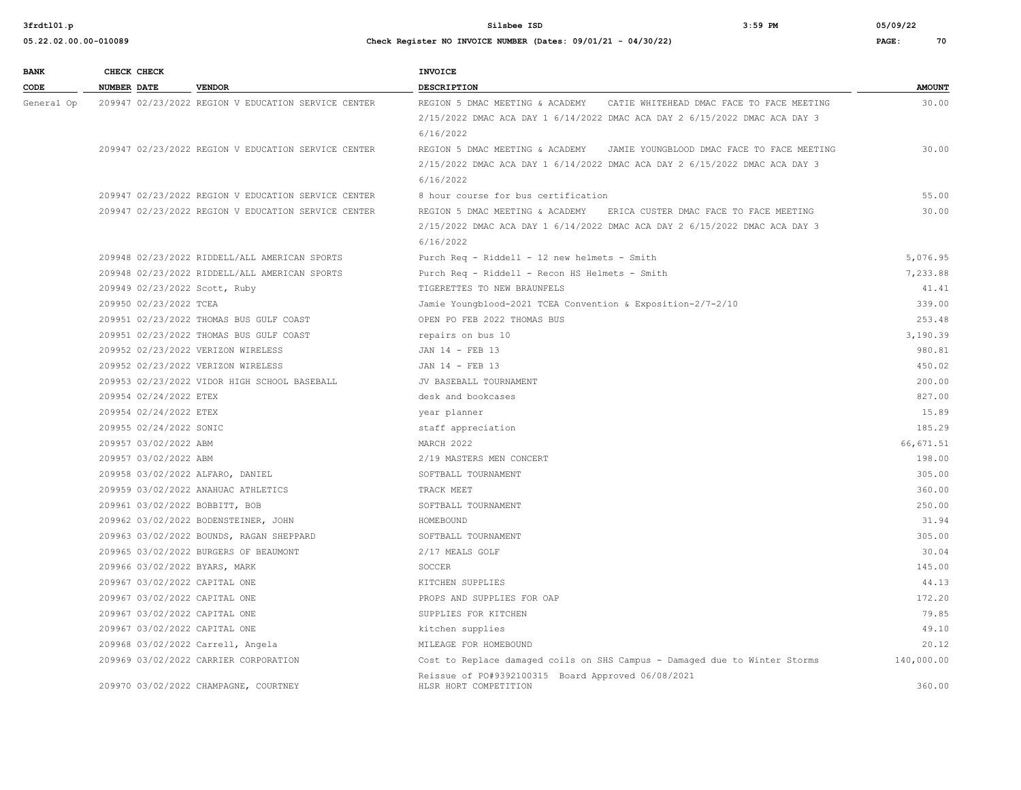**05.22.02.00.00-010089 Check Register NO INVOICE NUMBER (Dates: 09/01/21 - 04/30/22) PAGE: 70**

**3frdtl01.p Silsbee ISD 3:59 PM 05/09/22**

| <b>BANK</b> | CHECK CHECK                    |                                                     | <b>INVOICE</b>                                                              |               |
|-------------|--------------------------------|-----------------------------------------------------|-----------------------------------------------------------------------------|---------------|
| CODE        | NUMBER DATE                    | <b>VENDOR</b>                                       | <b>DESCRIPTION</b>                                                          | <b>AMOUNT</b> |
| General Op  |                                | 209947 02/23/2022 REGION V EDUCATION SERVICE CENTER | REGION 5 DMAC MEETING & ACADEMY CATIE WHITEHEAD DMAC FACE TO FACE MEETING   | 30.00         |
|             |                                |                                                     | 2/15/2022 DMAC ACA DAY 1 6/14/2022 DMAC ACA DAY 2 6/15/2022 DMAC ACA DAY 3  |               |
|             |                                |                                                     | 6/16/2022                                                                   |               |
|             |                                | 209947 02/23/2022 REGION V EDUCATION SERVICE CENTER | REGION 5 DMAC MEETING & ACADEMY JAMIE YOUNGBLOOD DMAC FACE TO FACE MEETING  | 30.00         |
|             |                                |                                                     | 2/15/2022 DMAC ACA DAY 1 6/14/2022 DMAC ACA DAY 2 6/15/2022 DMAC ACA DAY 3  |               |
|             |                                |                                                     | 6/16/2022                                                                   |               |
|             |                                | 209947 02/23/2022 REGION V EDUCATION SERVICE CENTER | 8 hour course for bus certification                                         | 55.00         |
|             |                                | 209947 02/23/2022 REGION V EDUCATION SERVICE CENTER | REGION 5 DMAC MEETING & ACADEMY ERICA CUSTER DMAC FACE TO FACE MEETING      | 30.00         |
|             |                                |                                                     | 2/15/2022 DMAC ACA DAY 1 6/14/2022 DMAC ACA DAY 2 6/15/2022 DMAC ACA DAY 3  |               |
|             |                                |                                                     | 6/16/2022                                                                   |               |
|             |                                | 209948 02/23/2022 RIDDELL/ALL AMERICAN SPORTS       | Purch Req - Riddell - 12 new helmets - Smith                                | 5,076.95      |
|             |                                | 209948 02/23/2022 RIDDELL/ALL AMERICAN SPORTS       | Purch Req - Riddell - Recon HS Helmets - Smith                              | 7,233.88      |
|             | 209949 02/23/2022 Scott, Ruby  |                                                     | TIGERETTES TO NEW BRAUNFELS                                                 | 41.41         |
|             | 209950 02/23/2022 TCEA         |                                                     | Jamie Youngblood-2021 TCEA Convention & Exposition-2/7-2/10                 | 339.00        |
|             |                                | 209951 02/23/2022 THOMAS BUS GULF COAST             | OPEN PO FEB 2022 THOMAS BUS                                                 | 253.48        |
|             |                                | 209951 02/23/2022 THOMAS BUS GULF COAST             | repairs on bus 10                                                           | 3,190.39      |
|             |                                | 209952 02/23/2022 VERIZON WIRELESS                  | JAN 14 - FEB 13                                                             | 980.81        |
|             |                                | 209952 02/23/2022 VERIZON WIRELESS                  | JAN 14 - FEB 13                                                             | 450.02        |
|             |                                | 209953 02/23/2022 VIDOR HIGH SCHOOL BASEBALL        | JV BASEBALL TOURNAMENT                                                      | 200.00        |
|             | 209954 02/24/2022 ETEX         |                                                     | desk and bookcases                                                          | 827.00        |
|             | 209954 02/24/2022 ETEX         |                                                     | year planner                                                                | 15.89         |
|             | 209955 02/24/2022 SONIC        |                                                     | staff appreciation                                                          | 185.29        |
|             | 209957 03/02/2022 ABM          |                                                     | MARCH 2022                                                                  | 66,671.51     |
|             | 209957 03/02/2022 ABM          |                                                     | 2/19 MASTERS MEN CONCERT                                                    | 198.00        |
|             |                                | 209958 03/02/2022 ALFARO, DANIEL                    | SOFTBALL TOURNAMENT                                                         | 305.00        |
|             |                                | 209959 03/02/2022 ANAHUAC ATHLETICS                 | TRACK MEET                                                                  | 360.00        |
|             | 209961 03/02/2022 BOBBITT, BOB |                                                     | SOFTBALL TOURNAMENT                                                         | 250.00        |
|             |                                | 209962 03/02/2022 BODENSTEINER, JOHN                | HOMEBOUND                                                                   | 31.94         |
|             |                                | 209963 03/02/2022 BOUNDS, RAGAN SHEPPARD            | SOFTBALL TOURNAMENT                                                         | 305.00        |
|             |                                | 209965 03/02/2022 BURGERS OF BEAUMONT               | 2/17 MEALS GOLF                                                             | 30.04         |
|             | 209966 03/02/2022 BYARS, MARK  |                                                     | SOCCER                                                                      | 145.00        |
|             | 209967 03/02/2022 CAPITAL ONE  |                                                     | KITCHEN SUPPLIES                                                            | 44.13         |
|             | 209967 03/02/2022 CAPITAL ONE  |                                                     | PROPS AND SUPPLIES FOR OAP                                                  | 172.20        |
|             | 209967 03/02/2022 CAPITAL ONE  |                                                     | SUPPLIES FOR KITCHEN                                                        | 79.85         |
|             | 209967 03/02/2022 CAPITAL ONE  |                                                     | kitchen supplies                                                            | 49.10         |
|             |                                | 209968 03/02/2022 Carrell, Angela                   | MILEAGE FOR HOMEBOUND                                                       | 20.12         |
|             |                                | 209969 03/02/2022 CARRIER CORPORATION               | Cost to Replace damaged coils on SHS Campus - Damaged due to Winter Storms  | 140,000.00    |
|             |                                | 209970 03/02/2022 CHAMPAGNE, COURTNEY               | Reissue of PO#9392100315 Board Approved 06/08/2021<br>HLSR HORT COMPETITION | 360.00        |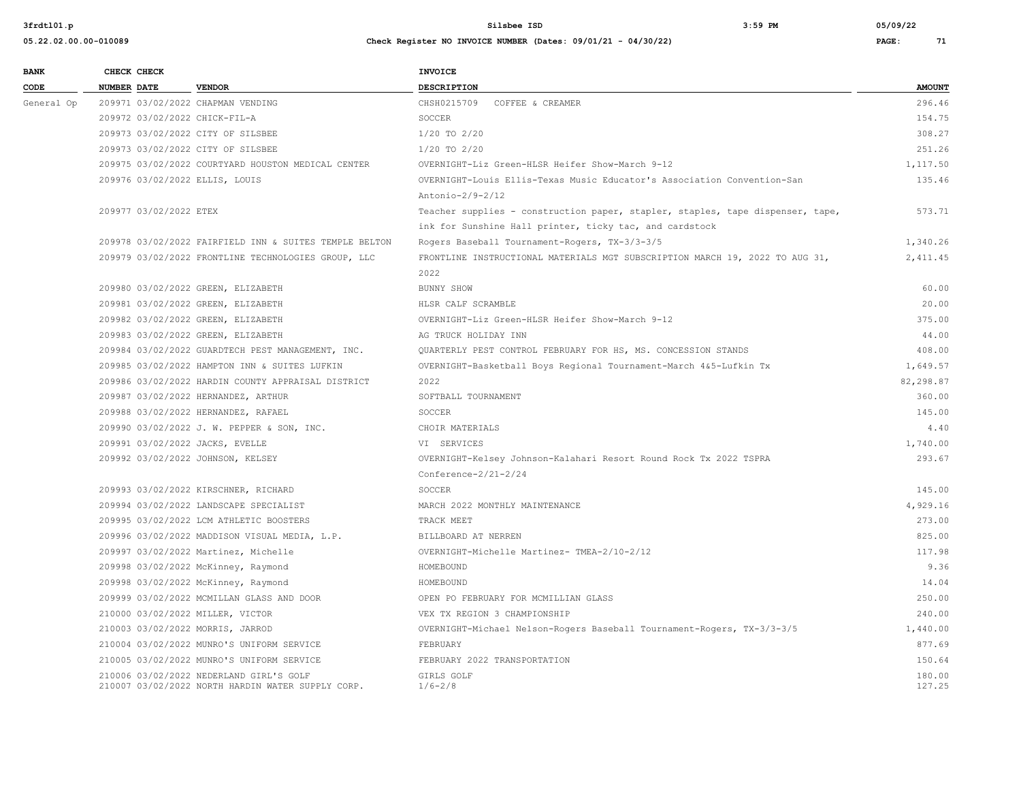| <b>BANK</b> | CHECK CHECK        |                        |                                                                                              | <b>INVOICE</b>                                                                 |                  |
|-------------|--------------------|------------------------|----------------------------------------------------------------------------------------------|--------------------------------------------------------------------------------|------------------|
| CODE        | <b>NUMBER DATE</b> |                        | <b>VENDOR</b>                                                                                | <b>DESCRIPTION</b>                                                             | <b>AMOUNT</b>    |
| General Op  |                    |                        | 209971 03/02/2022 CHAPMAN VENDING                                                            | CHSH0215709<br>COFFEE & CREAMER                                                | 296.46           |
|             |                    |                        | 209972 03/02/2022 CHICK-FIL-A                                                                | SOCCER                                                                         | 154.75           |
|             |                    |                        | 209973 03/02/2022 CITY OF SILSBEE                                                            | 1/20 TO 2/20                                                                   | 308.27           |
|             |                    |                        | 209973 03/02/2022 CITY OF SILSBEE                                                            | 1/20 TO 2/20                                                                   | 251.26           |
|             |                    |                        | 209975 03/02/2022 COURTYARD HOUSTON MEDICAL CENTER                                           | OVERNIGHT-Liz Green-HLSR Heifer Show-March 9-12                                | 1,117.50         |
|             |                    |                        | 209976 03/02/2022 ELLIS, LOUIS                                                               | OVERNIGHT-Louis Ellis-Texas Music Educator's Association Convention-San        | 135.46           |
|             |                    |                        |                                                                                              | Antonio-2/9-2/12                                                               |                  |
|             |                    | 209977 03/02/2022 ETEX |                                                                                              | Teacher supplies - construction paper, stapler, staples, tape dispenser, tape, | 573.71           |
|             |                    |                        |                                                                                              | ink for Sunshine Hall printer, ticky tac, and cardstock                        |                  |
|             |                    |                        | 209978 03/02/2022 FAIRFIELD INN & SUITES TEMPLE BELTON                                       | Rogers Baseball Tournament-Rogers, TX-3/3-3/5                                  | 1,340.26         |
|             |                    |                        | 209979 03/02/2022 FRONTLINE TECHNOLOGIES GROUP, LLC                                          | FRONTLINE INSTRUCTIONAL MATERIALS MGT SUBSCRIPTION MARCH 19, 2022 TO AUG 31,   | 2,411.45         |
|             |                    |                        |                                                                                              | 2022                                                                           |                  |
|             |                    |                        | 209980 03/02/2022 GREEN, ELIZABETH                                                           | BUNNY SHOW                                                                     | 60.00            |
|             |                    |                        | 209981 03/02/2022 GREEN, ELIZABETH                                                           | HLSR CALF SCRAMBLE                                                             | 20.00            |
|             |                    |                        | 209982 03/02/2022 GREEN, ELIZABETH                                                           | OVERNIGHT-Liz Green-HLSR Heifer Show-March 9-12                                | 375.00           |
|             |                    |                        | 209983 03/02/2022 GREEN, ELIZABETH                                                           | AG TRUCK HOLIDAY INN                                                           | 44.00            |
|             |                    |                        | 209984 03/02/2022 GUARDTECH PEST MANAGEMENT, INC.                                            | QUARTERLY PEST CONTROL FEBRUARY FOR HS, MS. CONCESSION STANDS                  | 408.00           |
|             |                    |                        | 209985 03/02/2022 HAMPTON INN & SUITES LUFKIN                                                | OVERNIGHT-Basketball Boys Regional Tournament-March 4&5-Lufkin Tx              | 1,649.57         |
|             |                    |                        | 209986 03/02/2022 HARDIN COUNTY APPRAISAL DISTRICT                                           | 2022                                                                           | 82,298.87        |
|             |                    |                        | 209987 03/02/2022 HERNANDEZ, ARTHUR                                                          | SOFTBALL TOURNAMENT                                                            | 360.00           |
|             |                    |                        | 209988 03/02/2022 HERNANDEZ, RAFAEL                                                          | SOCCER                                                                         | 145.00           |
|             |                    |                        | 209990 03/02/2022 J. W. PEPPER & SON, INC.                                                   | CHOIR MATERIALS                                                                | 4.40             |
|             |                    |                        | 209991 03/02/2022 JACKS, EVELLE                                                              | VI SERVICES                                                                    | 1,740.00         |
|             |                    |                        | 209992 03/02/2022 JOHNSON, KELSEY                                                            | OVERNIGHT-Kelsey Johnson-Kalahari Resort Round Rock Tx 2022 TSPRA              | 293.67           |
|             |                    |                        |                                                                                              | $Conference - 2/21 - 2/24$                                                     |                  |
|             |                    |                        | 209993 03/02/2022 KIRSCHNER, RICHARD                                                         | SOCCER                                                                         | 145.00           |
|             |                    |                        | 209994 03/02/2022 LANDSCAPE SPECIALIST                                                       | MARCH 2022 MONTHLY MAINTENANCE                                                 | 4,929.16         |
|             |                    |                        | 209995 03/02/2022 LCM ATHLETIC BOOSTERS                                                      | TRACK MEET                                                                     | 273.00           |
|             |                    |                        | 209996 03/02/2022 MADDISON VISUAL MEDIA, L.P.                                                | BILLBOARD AT NERREN                                                            | 825.00           |
|             |                    |                        | 209997 03/02/2022 Martinez, Michelle                                                         | OVERNIGHT-Michelle Martinez- TMEA-2/10-2/12                                    | 117.98           |
|             |                    |                        | 209998 03/02/2022 McKinney, Raymond                                                          | HOMEBOUND                                                                      | 9.36             |
|             |                    |                        | 209998 03/02/2022 McKinney, Raymond                                                          | HOMEBOUND                                                                      | 14.04            |
|             |                    |                        | 209999 03/02/2022 MCMILLAN GLASS AND DOOR                                                    | OPEN PO FEBRUARY FOR MCMILLIAN GLASS                                           | 250.00           |
|             |                    |                        | 210000 03/02/2022 MILLER, VICTOR                                                             | VEX TX REGION 3 CHAMPIONSHIP                                                   | 240.00           |
|             |                    |                        | 210003 03/02/2022 MORRIS, JARROD                                                             | OVERNIGHT-Michael Nelson-Rogers Baseball Tournament-Rogers, TX-3/3-3/5         | 1,440.00         |
|             |                    |                        | 210004 03/02/2022 MUNRO'S UNIFORM SERVICE                                                    | FEBRUARY                                                                       | 877.69           |
|             |                    |                        | 210005 03/02/2022 MUNRO'S UNIFORM SERVICE                                                    | FEBRUARY 2022 TRANSPORTATION                                                   | 150.64           |
|             |                    |                        | 210006 03/02/2022 NEDERLAND GIRL'S GOLF<br>210007 03/02/2022 NORTH HARDIN WATER SUPPLY CORP. | GIRLS GOLF<br>$1/6 - 2/8$                                                      | 180.00<br>127.25 |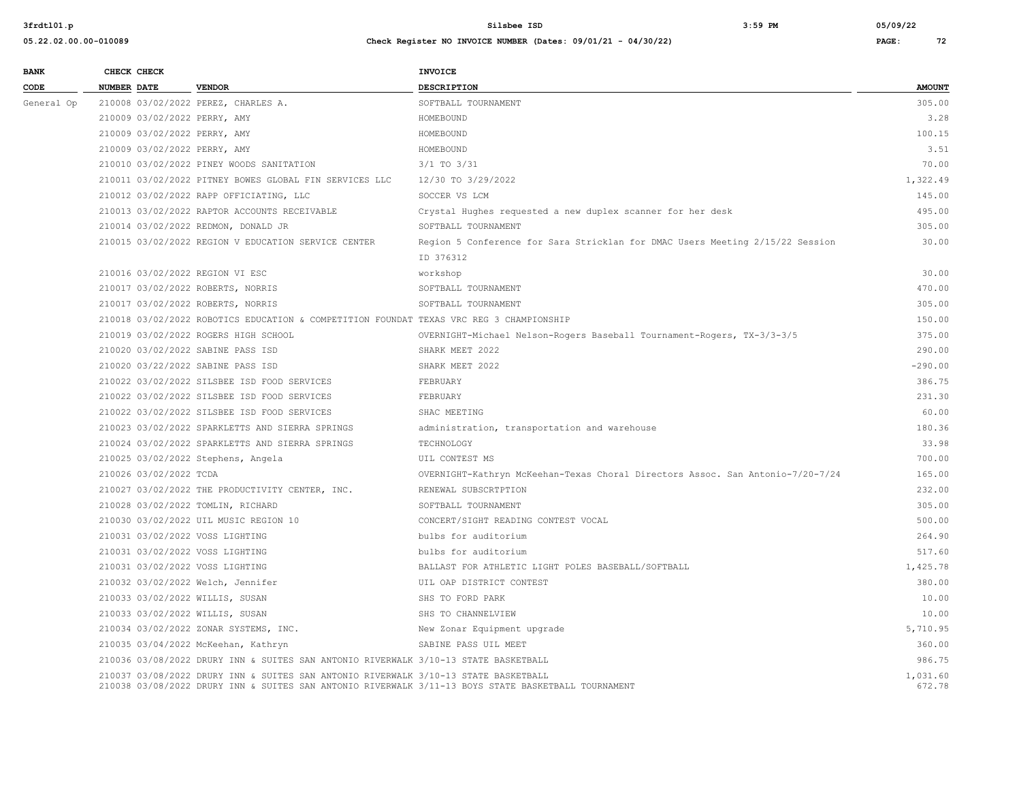| <b>BANK</b> | CHECK CHECK                        |                                                                                                                                                                                            | INVOICE                                                                        |                    |
|-------------|------------------------------------|--------------------------------------------------------------------------------------------------------------------------------------------------------------------------------------------|--------------------------------------------------------------------------------|--------------------|
| CODE        | NUMBER DATE                        | <b>VENDOR</b>                                                                                                                                                                              | <b>DESCRIPTION</b>                                                             | <b>AMOUNT</b>      |
| General Op  |                                    | 210008 03/02/2022 PEREZ, CHARLES A.                                                                                                                                                        | SOFTBALL TOURNAMENT                                                            | 305.00             |
|             | 210009 03/02/2022 PERRY, AMY       |                                                                                                                                                                                            | HOMEBOUND                                                                      | 3.28               |
|             | 210009 03/02/2022 PERRY, AMY       |                                                                                                                                                                                            | HOMEBOUND                                                                      | 100.15             |
|             | 210009 03/02/2022 PERRY, AMY       |                                                                                                                                                                                            | HOMEBOUND                                                                      | 3.51               |
|             |                                    | 210010 03/02/2022 PINEY WOODS SANITATION                                                                                                                                                   | $3/1$ TO $3/31$                                                                | 70.00              |
|             |                                    | 210011 03/02/2022 PITNEY BOWES GLOBAL FIN SERVICES LLC                                                                                                                                     | 12/30 TO 3/29/2022                                                             | 1,322.49           |
|             |                                    | 210012 03/02/2022 RAPP OFFICIATING, LLC                                                                                                                                                    | SOCCER VS LCM                                                                  | 145.00             |
|             |                                    | 210013 03/02/2022 RAPTOR ACCOUNTS RECEIVABLE                                                                                                                                               | Crystal Hughes requested a new duplex scanner for her desk                     | 495.00             |
|             |                                    | 210014 03/02/2022 REDMON, DONALD JR                                                                                                                                                        | SOFTBALL TOURNAMENT                                                            | 305.00             |
|             |                                    | 210015 03/02/2022 REGION V EDUCATION SERVICE CENTER                                                                                                                                        | Region 5 Conference for Sara Stricklan for DMAC Users Meeting 2/15/22 Session  | 30.00              |
|             |                                    |                                                                                                                                                                                            | ID 376312                                                                      |                    |
|             | 210016 03/02/2022 REGION VI ESC    |                                                                                                                                                                                            | workshop                                                                       | 30.00              |
|             | 210017 03/02/2022 ROBERTS, NORRIS  |                                                                                                                                                                                            | SOFTBALL TOURNAMENT                                                            | 470.00             |
|             | 210017 03/02/2022 ROBERTS, NORRIS  |                                                                                                                                                                                            | SOFTBALL TOURNAMENT                                                            | 305.00             |
|             |                                    | 210018 03/02/2022 ROBOTICS EDUCATION & COMPETITION FOUNDAT TEXAS VRC REG 3 CHAMPIONSHIP                                                                                                    |                                                                                | 150.00             |
|             |                                    | 210019 03/02/2022 ROGERS HIGH SCHOOL                                                                                                                                                       | OVERNIGHT-Michael Nelson-Rogers Baseball Tournament-Rogers, TX-3/3-3/5         | 375.00             |
|             | 210020 03/02/2022 SABINE PASS ISD  |                                                                                                                                                                                            | SHARK MEET 2022                                                                | 290.00             |
|             | 210020 03/22/2022 SABINE PASS ISD  |                                                                                                                                                                                            | SHARK MEET 2022                                                                | $-290.00$          |
|             |                                    | 210022 03/02/2022 SILSBEE ISD FOOD SERVICES                                                                                                                                                | FEBRUARY                                                                       | 386.75             |
|             |                                    | 210022 03/02/2022 SILSBEE ISD FOOD SERVICES                                                                                                                                                | FEBRUARY                                                                       | 231.30             |
|             |                                    | 210022 03/02/2022 SILSBEE ISD FOOD SERVICES                                                                                                                                                | SHAC MEETING                                                                   | 60.00              |
|             |                                    | 210023 03/02/2022 SPARKLETTS AND SIERRA SPRINGS                                                                                                                                            | administration, transportation and warehouse                                   | 180.36             |
|             |                                    | 210024 03/02/2022 SPARKLETTS AND SIERRA SPRINGS                                                                                                                                            | TECHNOLOGY                                                                     | 33.98              |
|             | 210025 03/02/2022 Stephens, Angela |                                                                                                                                                                                            | UIL CONTEST MS                                                                 | 700.00             |
|             | 210026 03/02/2022 TCDA             |                                                                                                                                                                                            | OVERNIGHT-Kathryn McKeehan-Texas Choral Directors Assoc. San Antonio-7/20-7/24 | 165.00             |
|             |                                    | 210027 03/02/2022 THE PRODUCTIVITY CENTER, INC.                                                                                                                                            | RENEWAL SUBSCRTPTION                                                           | 232.00             |
|             | 210028 03/02/2022 TOMLIN, RICHARD  |                                                                                                                                                                                            | SOFTBALL TOURNAMENT                                                            | 305.00             |
|             |                                    | 210030 03/02/2022 UIL MUSIC REGION 10                                                                                                                                                      | CONCERT/SIGHT READING CONTEST VOCAL                                            | 500.00             |
|             | 210031 03/02/2022 VOSS LIGHTING    |                                                                                                                                                                                            | bulbs for auditorium                                                           | 264.90             |
|             | 210031 03/02/2022 VOSS LIGHTING    |                                                                                                                                                                                            | bulbs for auditorium                                                           | 517.60             |
|             | 210031 03/02/2022 VOSS LIGHTING    |                                                                                                                                                                                            | BALLAST FOR ATHLETIC LIGHT POLES BASEBALL/SOFTBALL                             | 1,425.78           |
|             | 210032 03/02/2022 Welch, Jennifer  |                                                                                                                                                                                            | UIL OAP DISTRICT CONTEST                                                       | 380.00             |
|             | 210033 03/02/2022 WILLIS, SUSAN    |                                                                                                                                                                                            | SHS TO FORD PARK                                                               | 10.00              |
|             | 210033 03/02/2022 WILLIS, SUSAN    |                                                                                                                                                                                            | SHS TO CHANNELVIEW                                                             | 10.00              |
|             |                                    | 210034 03/02/2022 ZONAR SYSTEMS, INC.                                                                                                                                                      | New Zonar Equipment upgrade                                                    | 5,710.95           |
|             |                                    | 210035 03/04/2022 McKeehan, Kathryn                                                                                                                                                        | SABINE PASS UIL MEET                                                           | 360.00             |
|             |                                    | 210036 03/08/2022 DRURY INN & SUITES SAN ANTONIO RIVERWALK 3/10-13 STATE BASKETBALL                                                                                                        |                                                                                | 986.75             |
|             |                                    | 210037 03/08/2022 DRURY INN & SUITES SAN ANTONIO RIVERWALK 3/10-13 STATE BASKETBALL<br>210038 03/08/2022 DRURY INN & SUITES SAN ANTONIO RIVERWALK 3/11-13 BOYS STATE BASKETBALL TOURNAMENT |                                                                                | 1,031.60<br>672.78 |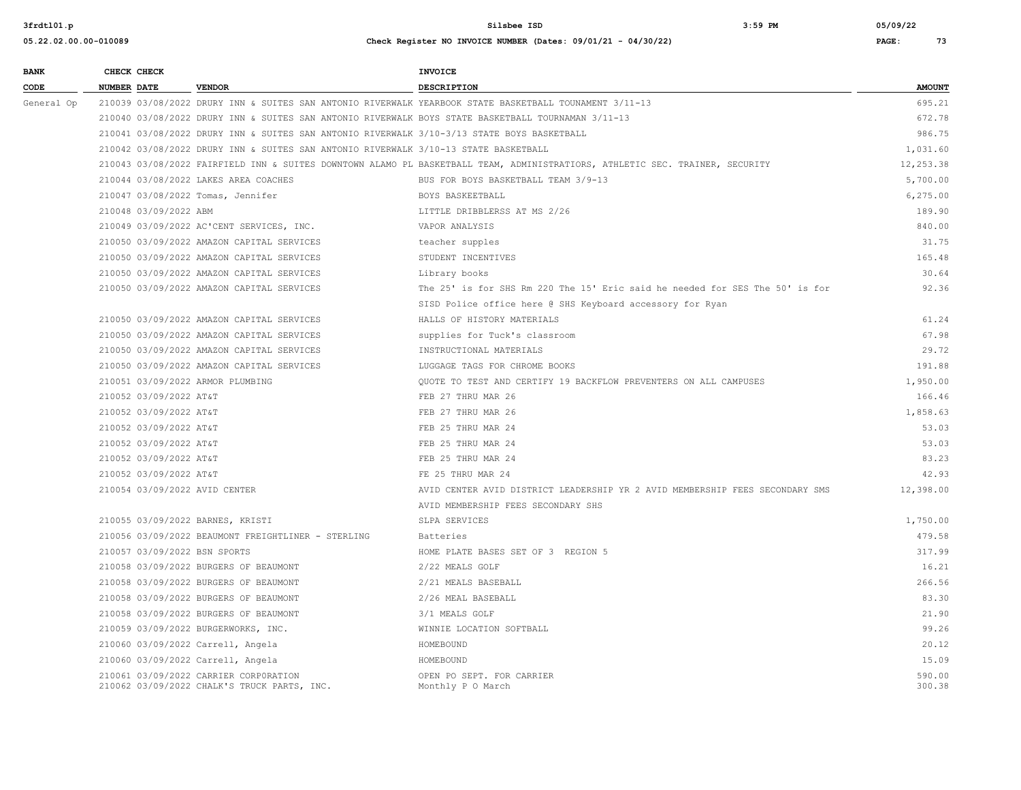**05.22.02.00.00-010089 Check Register NO INVOICE NUMBER (Dates: 09/01/21 - 04/30/22) PAGE: 73**

# **BANK** CHECK CHECK **CHECK CODE NUMBER DATE VENDOR DESCRIPTION AMOUNT** General Op 210039 03/08/2022 DRURY INN & SUITES SAN ANTONIO RIVERWALK YEARBOOK STATE BASKETBALL TOUNAMENT 3/11-13 695.21 210040 03/08/2022 DRURY INN & SUITES SAN ANTONIO RIVERWALK BOYS STATE BASKETBALL TOURNAMAN 3/11-13 672.78 210041 03/08/2022 DRURY INN & SUITES SAN ANTONIO RIVERWALK 3/10-3/13 STATE BOYS BASKETBALL 986.75 210042 03/08/2022 DRURY INN & SUITES SAN ANTONIO RIVERWALK 3/10-13 STATE BASKETBALL 1,031.60 210043 03/08/2022 FAIRFIELD INN & SUITES DOWNTOWN ALAMO PL BASKETBALL TEAM, ADMINISTRATIORS, ATHLETIC SEC. TRAINER, SECURITY 12,253.38 210044 03/08/2022 LAKES AREA COACHES BUS FOR BOYS BASKETBALL TEAM 3/9-13 5,700.00 210047 03/08/2022 Tomas, Jennifer BOYS BASKEETBALL 6,275.00 210048 03/09/2022 ABM LITTLE DRIBBLERSS AT MS 2/26 189.90 210049 03/09/2022 AC'CENT SERVICES, INC. VAPOR ANALYSIS 840.00 210050 03/09/2022 AMAZON CAPITAL SERVICES teacher supples 31.75 210050 03/09/2022 AMAZON CAPITAL SERVICES STUDENT INCENTIVES 165.48 210050 03/09/2022 AMAZON CAPITAL SERVICES Library books 30.64 210050 03/09/2022 AMAZON CAPITAL SERVICES The 25' is for SHS Rm 220 The 15' Eric said he needed for SES The 50' is for 92.36 SISD Police office here @ SHS Keyboard accessory for Ryan 210050 03/09/2022 AMAZON CAPITAL SERVICES HALLS OF HISTORY MATERIALS 61.24 210050 03/09/2022 AMAZON CAPITAL SERVICES supplies for Tuck's classroom 67.98 210050 03/09/2022 AMAZON CAPITAL SERVICES INSTRUCTIONAL MATERIALS 29.72 210050 03/09/2022 AMAZON CAPITAL SERVICES LUGGAGE TAGS FOR CHROME BOOKS 191.88 210051 03/09/2022 ARMOR PLUMBING QUOTE TO TEST AND CERTIFY 19 BACKFLOW PREVENTERS ON ALL CAMPUSES 1,950.00 210052 03/09/2022 AT&T 166.46 PEB 27 THRU MAR 26 210052 03/09/2022 AT&T 166.46 210052 03/09/2022 AT&T FEB 27 THRU MAR 26 1,858.63 210052 03/09/2022 AT&T 53.03 FEB 25 THRU MAR 24 53.03 210052 03/09/2022 AT&T 53.03 FEB 25 THRU MAR 24 53.03 210052 03/09/2022 AT&T 83.23 AT&T 83.23 AT&T 83.23 AT&T FEB 25 THRU MAR 24 83.23 AT&T 83.23 AT&T 83.23 AT&T 83.23 210052 03/09/2022 AT&T 42.93 PE 25 THRU MAR 24 62.93 FERENT MAR 24 62.93 210054 03/09/2022 AVID CENTER AVID CENTER AVID DISTRICT LEADERSHIP YR 2 AVID MEMBERSHIP FEES SECONDARY SMS 12,398.00 AVID MEMBERSHIP FEES SECONDARY SHS 210055 03/09/2022 BARNES, KRISTI SLPA SERVICES 1,750.00 210056 03/09/2022 BEAUMONT FREIGHTLINER - STERLING Batteries 479.58 210057 03/09/2022 BSN SPORTS HOME PLATE BASES SET OF 3 REGION 5 317.99 210058 03/09/2022 BURGERS OF BEAUMONT 2/22 MEALS GOLF 16.21 210058 03/09/2022 BURGERS OF BEAUMONT 2/21 MEALS BASEBALL 266.56 210058 03/09/2022 BURGERS OF BEAUMONT 2/26 MEAL BASEBALL 2002 2003 2003 30 2003 83.30 210058 03/09/2022 BURGERS OF BEAUMONT 3/1 MEALS GOLF 21.90 210059 03/09/2022 BURGERWORKS, INC. WINNIE LOCATION SOFTBALL 99.26 210060 03/09/2022 Carrell, Angela HOMEBOUND 20.12 210060 03/09/2022 Carrell, Angela 15.09 HOMEBOUND 16 HOMEBOUND 15.09 210061 03/09/2022 CARRIER CORP0RATION OPEN PO SEPT. FOR CARRIER 590.00 210062 03/09/2022 CHALK'S TRUCK PARTS, INC. Monthly P O March 300.38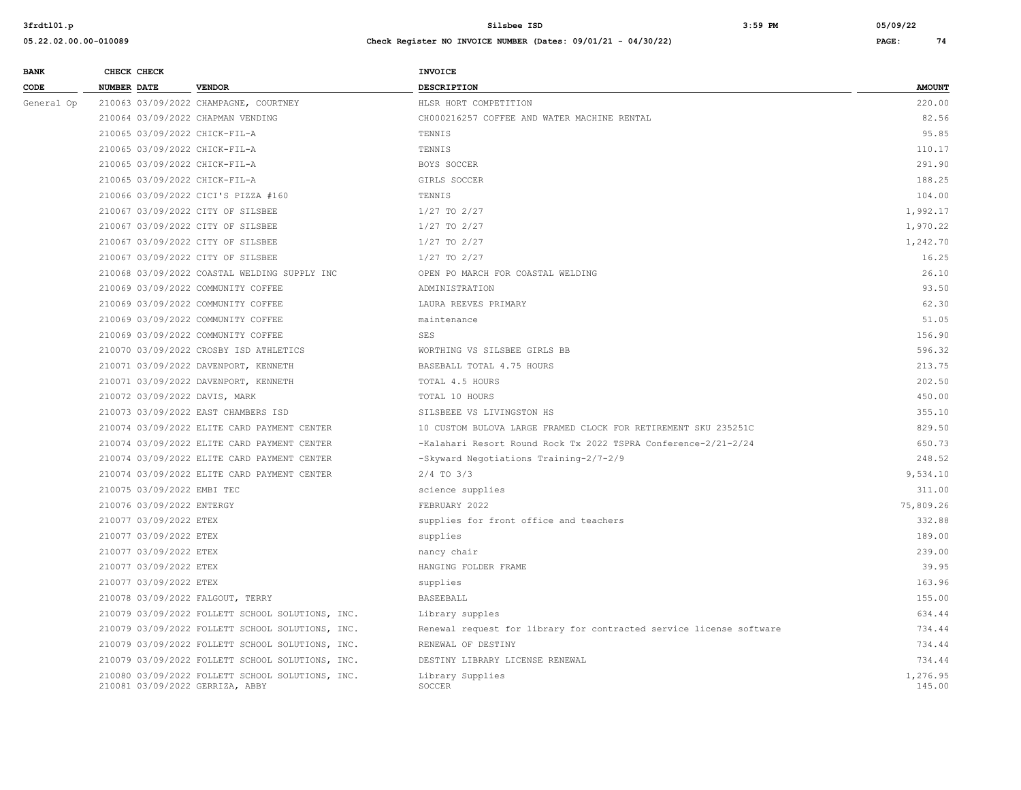| <b>BANK</b> |                    | CHECK CHECK                                                              |                                                                                                                                                         | <b>INVOICE</b>                                                      |                    |
|-------------|--------------------|--------------------------------------------------------------------------|---------------------------------------------------------------------------------------------------------------------------------------------------------|---------------------------------------------------------------------|--------------------|
| CODE        | <b>NUMBER DATE</b> |                                                                          | <b>VENDOR</b>                                                                                                                                           | <b>DESCRIPTION</b>                                                  | <b>AMOUNT</b>      |
| General Op  |                    |                                                                          | 210063 03/09/2022 CHAMPAGNE, COURTNEY                                                                                                                   | HLSR HORT COMPETITION                                               | 220.00             |
|             |                    |                                                                          | 210064 03/09/2022 CHAPMAN VENDING                                                                                                                       | CH000216257 COFFEE AND WATER MACHINE RENTAL                         | 82.56              |
|             |                    |                                                                          | 210065 03/09/2022 CHICK-FIL-A                                                                                                                           | TENNIS                                                              | 95.85              |
|             |                    |                                                                          | 210065 03/09/2022 CHICK-FIL-A                                                                                                                           | TENNIS                                                              | 110.17             |
|             |                    |                                                                          | 210065 03/09/2022 CHICK-FIL-A                                                                                                                           | BOYS SOCCER                                                         | 291.90             |
|             |                    |                                                                          | 210065 03/09/2022 CHICK-FIL-A                                                                                                                           | GIRLS SOCCER                                                        | 188.25             |
|             |                    |                                                                          | 210066 03/09/2022 CICI'S PIZZA #160                                                                                                                     | TENNIS                                                              | 104.00             |
|             |                    |                                                                          | 210067 03/09/2022 CITY OF SILSBEE                                                                                                                       | $1/27$ TO $2/27$                                                    | 1,992.17           |
|             |                    |                                                                          | 210067 03/09/2022 CITY OF SILSBEE                                                                                                                       | 1/27 TO 2/27                                                        | 1,970.22           |
|             |                    |                                                                          | 210067 03/09/2022 CITY OF SILSBEE                                                                                                                       | $1/27$ TO $2/27$                                                    | 1,242.70           |
|             |                    |                                                                          | 210067 03/09/2022 CITY OF SILSBEE                                                                                                                       | 1/27 TO 2/27                                                        | 16.25              |
|             |                    |                                                                          | 210068 03/09/2022 COASTAL WELDING SUPPLY INC                                                                                                            | OPEN PO MARCH FOR COASTAL WELDING                                   | 26.10              |
|             |                    |                                                                          | 210069 03/09/2022 COMMUNITY COFFEE                                                                                                                      | ADMINISTRATION                                                      | 93.50              |
|             |                    | 210069 03/09/2022 COMMUNITY COFFEE<br>210069 03/09/2022 COMMUNITY COFFEE |                                                                                                                                                         | LAURA REEVES PRIMARY                                                | 62.30              |
|             |                    |                                                                          |                                                                                                                                                         | maintenance                                                         | 51.05              |
|             |                    |                                                                          | 210069 03/09/2022 COMMUNITY COFFEE                                                                                                                      | <b>SES</b>                                                          | 156.90             |
|             |                    |                                                                          | 210070 03/09/2022 CROSBY ISD ATHLETICS<br>210071 03/09/2022 DAVENPORT, KENNETH<br>210071 03/09/2022 DAVENPORT, KENNETH<br>210072 03/09/2022 DAVIS, MARK | WORTHING VS SILSBEE GIRLS BB                                        | 596.32             |
|             |                    |                                                                          |                                                                                                                                                         | BASEBALL TOTAL 4.75 HOURS                                           | 213.75             |
|             |                    |                                                                          |                                                                                                                                                         | TOTAL 4.5 HOURS                                                     | 202.50             |
|             |                    |                                                                          |                                                                                                                                                         | TOTAL 10 HOURS                                                      | 450.00             |
|             |                    |                                                                          | 210073 03/09/2022 EAST CHAMBERS ISD                                                                                                                     | SILSBEEE VS LIVINGSTON HS                                           | 355.10             |
|             |                    |                                                                          | 210074 03/09/2022 ELITE CARD PAYMENT CENTER                                                                                                             | 10 CUSTOM BULOVA LARGE FRAMED CLOCK FOR RETIREMENT SKU 235251C      | 829.50             |
|             |                    |                                                                          | 210074 03/09/2022 ELITE CARD PAYMENT CENTER                                                                                                             | -Kalahari Resort Round Rock Tx 2022 TSPRA Conference-2/21-2/24      | 650.73             |
|             |                    |                                                                          | 210074 03/09/2022 ELITE CARD PAYMENT CENTER                                                                                                             | -Skyward Negotiations Training-2/7-2/9                              | 248.52             |
|             |                    |                                                                          | 210074 03/09/2022 ELITE CARD PAYMENT CENTER                                                                                                             | $2/4$ TO $3/3$                                                      | 9,534.10           |
|             |                    | 210075 03/09/2022 EMBI TEC                                               |                                                                                                                                                         | science supplies                                                    | 311.00             |
|             |                    | 210076 03/09/2022 ENTERGY                                                |                                                                                                                                                         | FEBRUARY 2022                                                       | 75,809.26          |
|             |                    | 210077 03/09/2022 ETEX                                                   |                                                                                                                                                         | supplies for front office and teachers                              | 332.88             |
|             |                    | 210077 03/09/2022 ETEX                                                   |                                                                                                                                                         | supplies                                                            | 189.00             |
|             |                    | 210077 03/09/2022 ETEX                                                   |                                                                                                                                                         | nancy chair                                                         | 239.00             |
|             |                    | 210077 03/09/2022 ETEX                                                   |                                                                                                                                                         | HANGING FOLDER FRAME                                                | 39.95              |
|             |                    | 210077 03/09/2022 ETEX                                                   |                                                                                                                                                         | supplies                                                            | 163.96             |
|             |                    |                                                                          | 210078 03/09/2022 FALGOUT, TERRY                                                                                                                        | <b>BASEEBALL</b>                                                    | 155.00             |
|             |                    |                                                                          | 210079 03/09/2022 FOLLETT SCHOOL SOLUTIONS, INC.                                                                                                        | Library supples                                                     | 634.44             |
|             |                    |                                                                          | 210079 03/09/2022 FOLLETT SCHOOL SOLUTIONS, INC.                                                                                                        | Renewal request for library for contracted service license software | 734.44             |
|             |                    |                                                                          | 210079 03/09/2022 FOLLETT SCHOOL SOLUTIONS, INC.                                                                                                        | RENEWAL OF DESTINY                                                  | 734.44             |
|             |                    |                                                                          | 210079 03/09/2022 FOLLETT SCHOOL SOLUTIONS, INC.                                                                                                        | DESTINY LIBRARY LICENSE RENEWAL                                     | 734.44             |
|             |                    |                                                                          | 210080 03/09/2022 FOLLETT SCHOOL SOLUTIONS, INC.<br>210081 03/09/2022 GERRIZA, ABBY                                                                     | Library Supplies<br>SOCCER                                          | 1,276.95<br>145.00 |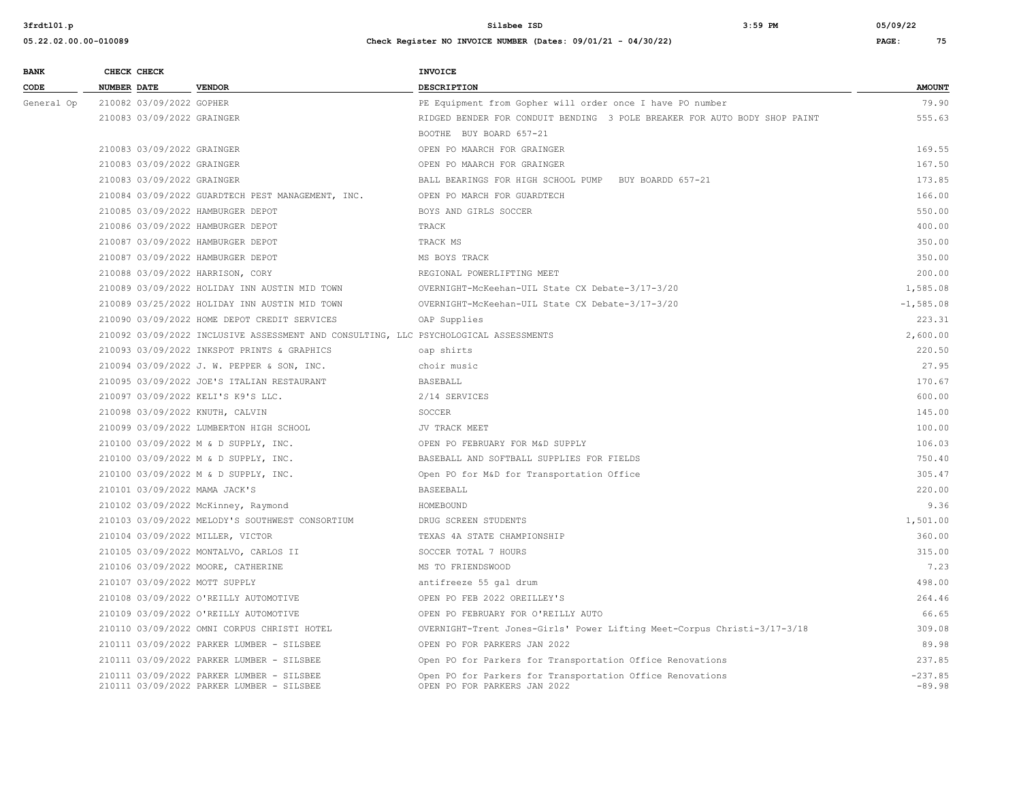| <b>BANK</b> |                    | CHECK CHECK                |                                                                                        | <b>INVOICE</b>                                                                            |                       |
|-------------|--------------------|----------------------------|----------------------------------------------------------------------------------------|-------------------------------------------------------------------------------------------|-----------------------|
| CODE        | <b>NUMBER DATE</b> |                            | <b>VENDOR</b>                                                                          | <b>DESCRIPTION</b>                                                                        | <b>AMOUNT</b>         |
| General Op  |                    | 210082 03/09/2022 GOPHER   |                                                                                        | PE Equipment from Gopher will order once I have PO number                                 | 79.90                 |
|             |                    | 210083 03/09/2022 GRAINGER |                                                                                        | RIDGED BENDER FOR CONDUIT BENDING 3 POLE BREAKER FOR AUTO BODY SHOP PAINT                 | 555.63                |
|             |                    |                            |                                                                                        | BOOTHE BUY BOARD 657-21                                                                   |                       |
|             |                    | 210083 03/09/2022 GRAINGER |                                                                                        | OPEN PO MAARCH FOR GRAINGER                                                               | 169.55                |
|             |                    | 210083 03/09/2022 GRAINGER |                                                                                        | OPEN PO MAARCH FOR GRAINGER                                                               | 167.50                |
|             |                    | 210083 03/09/2022 GRAINGER |                                                                                        | BALL BEARINGS FOR HIGH SCHOOL PUMP<br>BUY BOARDD 657-21                                   | 173.85                |
|             |                    |                            | 210084 03/09/2022 GUARDTECH PEST MANAGEMENT, INC.                                      | OPEN PO MARCH FOR GUARDTECH                                                               | 166.00                |
|             |                    |                            | 210085 03/09/2022 HAMBURGER DEPOT                                                      | BOYS AND GIRLS SOCCER                                                                     | 550.00                |
|             |                    |                            | 210086 03/09/2022 HAMBURGER DEPOT                                                      | TRACK                                                                                     | 400.00                |
|             |                    |                            | 210087 03/09/2022 HAMBURGER DEPOT                                                      | TRACK MS                                                                                  | 350.00                |
|             |                    |                            | 210087 03/09/2022 HAMBURGER DEPOT                                                      | MS BOYS TRACK                                                                             | 350.00                |
|             |                    |                            | 210088 03/09/2022 HARRISON, CORY                                                       | REGIONAL POWERLIFTING MEET                                                                | 200.00                |
|             |                    |                            | 210089 03/09/2022 HOLIDAY INN AUSTIN MID TOWN                                          | OVERNIGHT-McKeehan-UIL State CX Debate-3/17-3/20                                          | 1,585.08              |
|             |                    |                            | 210089 03/25/2022 HOLIDAY INN AUSTIN MID TOWN                                          | OVERNIGHT-McKeehan-UIL State CX Debate-3/17-3/20                                          | $-1, 585.08$          |
|             |                    |                            | 210090 03/09/2022 HOME DEPOT CREDIT SERVICES                                           | OAP Supplies                                                                              | 223.31                |
|             |                    |                            | 210092 03/09/2022 INCLUSIVE ASSESSMENT AND CONSULTING, LLC PSYCHOLOGICAL ASSESSMENTS   |                                                                                           | 2,600.00              |
|             |                    |                            | 210093 03/09/2022 INKSPOT PRINTS & GRAPHICS                                            | oap shirts                                                                                | 220.50                |
|             |                    |                            | 210094 03/09/2022 J. W. PEPPER & SON, INC.                                             | choir music                                                                               | 27.95                 |
|             |                    |                            | 210095 03/09/2022 JOE'S ITALIAN RESTAURANT                                             | <b>BASEBALL</b>                                                                           | 170.67                |
|             |                    |                            | 210097 03/09/2022 KELI'S K9'S LLC.                                                     | 2/14 SERVICES                                                                             | 600.00                |
|             |                    |                            | 210098 03/09/2022 KNUTH, CALVIN                                                        | SOCCER                                                                                    | 145.00                |
|             |                    |                            | 210099 03/09/2022 LUMBERTON HIGH SCHOOL                                                | JV TRACK MEET                                                                             | 100.00                |
|             |                    |                            | 210100 03/09/2022 M & D SUPPLY, INC.                                                   | OPEN PO FEBRUARY FOR M&D SUPPLY                                                           | 106.03                |
|             |                    |                            | 210100 03/09/2022 M & D SUPPLY, INC.                                                   | BASEBALL AND SOFTBALL SUPPLIES FOR FIELDS                                                 | 750.40                |
|             |                    |                            | 210100 03/09/2022 M & D SUPPLY, INC.                                                   | Open PO for M&D for Transportation Office                                                 | 305.47                |
|             |                    |                            | 210101 03/09/2022 MAMA JACK'S                                                          | BASEEBALL                                                                                 | 220.00                |
|             |                    |                            | 210102 03/09/2022 McKinney, Raymond                                                    | HOMEBOUND                                                                                 | 9.36                  |
|             |                    |                            | 210103 03/09/2022 MELODY'S SOUTHWEST CONSORTIUM                                        | DRUG SCREEN STUDENTS                                                                      | 1,501.00              |
|             |                    |                            | 210104 03/09/2022 MILLER, VICTOR                                                       | TEXAS 4A STATE CHAMPIONSHIP                                                               | 360.00                |
|             |                    |                            | 210105 03/09/2022 MONTALVO, CARLOS II                                                  | SOCCER TOTAL 7 HOURS                                                                      | 315.00                |
|             |                    |                            | 210106 03/09/2022 MOORE, CATHERINE                                                     | MS TO FRIENDSWOOD                                                                         | 7.23                  |
|             |                    |                            | 210107 03/09/2022 MOTT SUPPLY                                                          | antifreeze 55 gal drum                                                                    | 498.00                |
|             |                    |                            | 210108 03/09/2022 O'REILLY AUTOMOTIVE                                                  | OPEN PO FEB 2022 OREILLEY'S                                                               | 264.46                |
|             |                    |                            | 210109 03/09/2022 O'REILLY AUTOMOTIVE                                                  | OPEN PO FEBRUARY FOR O'REILLY AUTO                                                        | 66.65                 |
|             |                    |                            | 210110 03/09/2022 OMNI CORPUS CHRISTI HOTEL                                            | OVERNIGHT-Trent Jones-Girls' Power Lifting Meet-Corpus Christi-3/17-3/18                  | 309.08                |
|             |                    |                            | 210111 03/09/2022 PARKER LUMBER - SILSBEE                                              | OPEN PO FOR PARKERS JAN 2022                                                              | 89.98                 |
|             |                    |                            | 210111 03/09/2022 PARKER LUMBER - SILSBEE                                              | Open PO for Parkers for Transportation Office Renovations                                 | 237.85                |
|             |                    |                            | 210111 03/09/2022 PARKER LUMBER - SILSBEE<br>210111 03/09/2022 PARKER LUMBER - SILSBEE | Open PO for Parkers for Transportation Office Renovations<br>OPEN PO FOR PARKERS JAN 2022 | $-237.85$<br>$-89.98$ |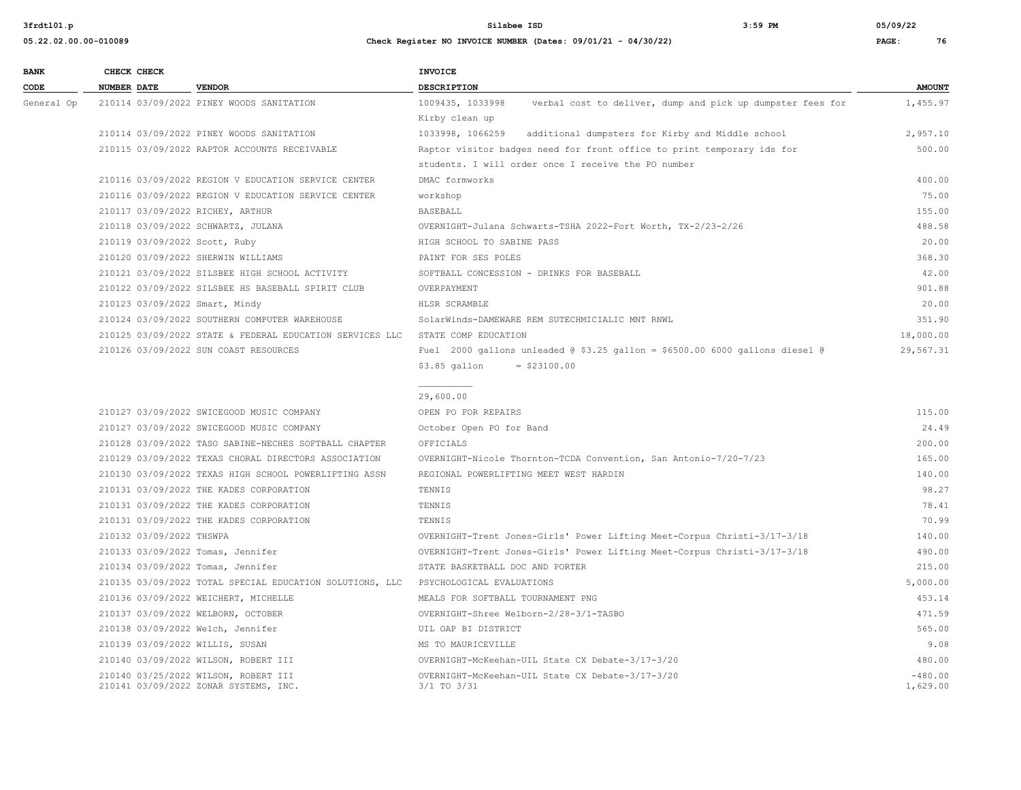| <b>BANK</b> |                    | CHECK CHECK |                                          | <b>INVOICE</b>  |
|-------------|--------------------|-------------|------------------------------------------|-----------------|
| CODE        | <b>NUMBER DATE</b> |             | <b>VENDOR</b>                            | <b>DESCRIPT</b> |
| General Op  |                    |             | 210114 03/09/2022 PINEY WOODS SANITATION | 1009435,        |

| CODE       | NUMBER DATE                        | <b>VENDOR</b>                                                                 | DESCRIPTION                                                                             | <b>AMOUNT</b>         |
|------------|------------------------------------|-------------------------------------------------------------------------------|-----------------------------------------------------------------------------------------|-----------------------|
| General Op |                                    | 210114 03/09/2022 PINEY WOODS SANITATION                                      | 1009435, 1033998<br>verbal cost to deliver, dump and pick up dumpster fees for          | 1,455.97              |
|            |                                    |                                                                               | Kirby clean up                                                                          |                       |
|            |                                    | 210114 03/09/2022 PINEY WOODS SANITATION                                      | 1033998, 1066259 additional dumpsters for Kirby and Middle school                       | 2,957.10              |
|            |                                    | 210115 03/09/2022 RAPTOR ACCOUNTS RECEIVABLE                                  | Raptor visitor badges need for front office to print temporary ids for                  | 500.00                |
|            |                                    |                                                                               | students. I will order once I receive the PO number                                     |                       |
|            |                                    | 210116 03/09/2022 REGION V EDUCATION SERVICE CENTER                           | DMAC formworks                                                                          | 400.00                |
|            |                                    | 210116 03/09/2022 REGION V EDUCATION SERVICE CENTER                           | workshop                                                                                | 75.00                 |
|            | 210117 03/09/2022 RICHEY, ARTHUR   |                                                                               | <b>BASEBALL</b>                                                                         | 155.00                |
|            | 210118 03/09/2022 SCHWARTZ, JULANA |                                                                               | OVERNIGHT-Julana Schwarts-TSHA 2022-Fort Worth, TX-2/23-2/26                            | 488.58                |
|            | 210119 03/09/2022 Scott, Ruby      |                                                                               | HIGH SCHOOL TO SABINE PASS                                                              | 20.00                 |
|            | 210120 03/09/2022 SHERWIN WILLIAMS |                                                                               | PAINT FOR SES POLES                                                                     | 368.30                |
|            |                                    | 210121 03/09/2022 SILSBEE HIGH SCHOOL ACTIVITY                                | SOFTBALL CONCESSION - DRINKS FOR BASEBALL                                               | 42.00                 |
|            |                                    | 210122 03/09/2022 SILSBEE HS BASEBALL SPIRIT CLUB                             | OVERPAYMENT                                                                             | 901.88                |
|            | 210123 03/09/2022 Smart, Mindy     |                                                                               | HLSR SCRAMBLE                                                                           | 20.00                 |
|            |                                    | 210124 03/09/2022 SOUTHERN COMPUTER WAREHOUSE                                 | SolarWinds-DAMEWARE REM SUTECHMICIALIC MNT RNWL                                         | 351.90                |
|            |                                    | 210125 03/09/2022 STATE & FEDERAL EDUCATION SERVICES LLC                      | STATE COMP EDUCATION                                                                    | 18,000.00             |
|            |                                    | 210126 03/09/2022 SUN COAST RESOURCES                                         | Fuel 2000 gallons unleaded $(0, 53.25)$ gallon = \$6500.00 6000 gallons diesel $(0, 0)$ | 29,567.31             |
|            |                                    |                                                                               | $$3.85$ gallon<br>$=$ \$23100.00                                                        |                       |
|            |                                    |                                                                               | 29,600.00                                                                               |                       |
|            |                                    | 210127 03/09/2022 SWICEGOOD MUSIC COMPANY                                     | OPEN PO FOR REPAIRS                                                                     | 115.00                |
|            |                                    | 210127 03/09/2022 SWICEGOOD MUSIC COMPANY                                     | October Open PO for Band                                                                | 24.49                 |
|            |                                    | 210128 03/09/2022 TASO SABINE-NECHES SOFTBALL CHAPTER                         | OFFICIALS                                                                               | 200.00                |
|            |                                    | 210129 03/09/2022 TEXAS CHORAL DIRECTORS ASSOCIATION                          | OVERNIGHT-Nicole Thornton-TCDA Convention, San Antonio-7/20-7/23                        | 165.00                |
|            |                                    | 210130 03/09/2022 TEXAS HIGH SCHOOL POWERLIFTING ASSN                         | REGIONAL POWERLIFTING MEET WEST HARDIN                                                  | 140.00                |
|            |                                    | 210131 03/09/2022 THE KADES CORPORATION                                       | TENNIS                                                                                  | 98.27                 |
|            |                                    | 210131 03/09/2022 THE KADES CORPORATION                                       | TENNIS                                                                                  | 78.41                 |
|            |                                    | 210131 03/09/2022 THE KADES CORPORATION                                       | TENNIS                                                                                  | 70.99                 |
|            | 210132 03/09/2022 THSWPA           |                                                                               | OVERNIGHT-Trent Jones-Girls' Power Lifting Meet-Corpus Christi-3/17-3/18                | 140.00                |
|            | 210133 03/09/2022 Tomas, Jennifer  |                                                                               | OVERNIGHT-Trent Jones-Girls' Power Lifting Meet-Corpus Christi-3/17-3/18                | 490.00                |
|            | 210134 03/09/2022 Tomas, Jennifer  |                                                                               | STATE BASKETBALL DOC AND PORTER                                                         | 215.00                |
|            |                                    | 210135 03/09/2022 TOTAL SPECIAL EDUCATION SOLUTIONS, LLC                      | PSYCHOLOGICAL EVALUATIONS                                                               | 5,000.00              |
|            |                                    | 210136 03/09/2022 WEICHERT, MICHELLE                                          | MEALS FOR SOFTBALL TOURNAMENT PNG                                                       | 453.14                |
|            | 210137 03/09/2022 WELBORN, OCTOBER |                                                                               | OVERNIGHT-Shree Welborn-2/28-3/1-TASBO                                                  | 471.59                |
|            | 210138 03/09/2022 Welch, Jennifer  |                                                                               | UIL OAP BI DISTRICT                                                                     | 565.00                |
|            | 210139 03/09/2022 WILLIS, SUSAN    |                                                                               | MS TO MAURICEVILLE                                                                      | 9.08                  |
|            |                                    | 210140 03/09/2022 WILSON, ROBERT III                                          | OVERNIGHT-McKeehan-UIL State CX Debate-3/17-3/20                                        | 480.00                |
|            |                                    | 210140 03/25/2022 WILSON, ROBERT III<br>210141 03/09/2022 ZONAR SYSTEMS, INC. | OVERNIGHT-McKeehan-UIL State CX Debate-3/17-3/20<br>3/1 TO 3/31                         | $-480.00$<br>1,629.00 |
|            |                                    |                                                                               |                                                                                         |                       |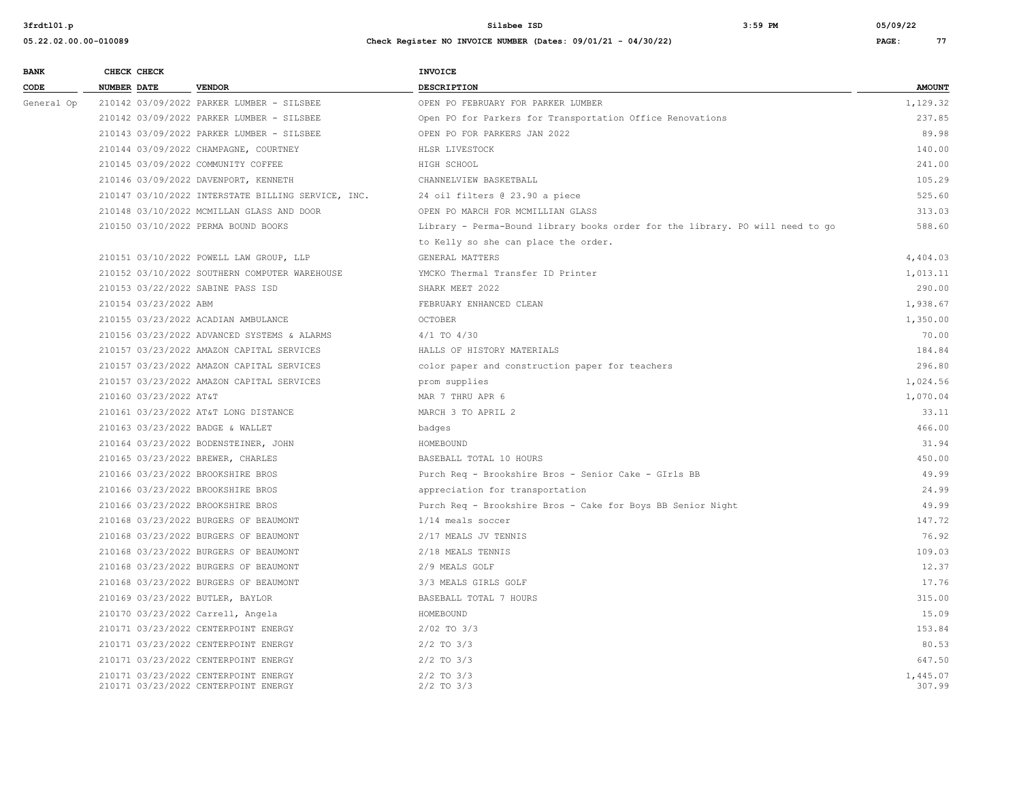| <b>BANK</b> | CHECK CHECK                        |                                                                              | INVOICE                                                                       |                    |
|-------------|------------------------------------|------------------------------------------------------------------------------|-------------------------------------------------------------------------------|--------------------|
| CODE        | <b>NUMBER DATE</b>                 | <b>VENDOR</b>                                                                | <b>DESCRIPTION</b>                                                            | <b>AMOUNT</b>      |
| General Op  |                                    | 210142 03/09/2022 PARKER LUMBER - SILSBEE                                    | OPEN PO FEBRUARY FOR PARKER LUMBER                                            | 1,129.32           |
|             |                                    | 210142 03/09/2022 PARKER LUMBER - SILSBEE                                    | Open PO for Parkers for Transportation Office Renovations                     | 237.85             |
|             |                                    | 210143 03/09/2022 PARKER LUMBER - SILSBEE                                    | OPEN PO FOR PARKERS JAN 2022                                                  | 89.98              |
|             |                                    | 210144 03/09/2022 CHAMPAGNE, COURTNEY                                        | HLSR LIVESTOCK                                                                | 140.00             |
|             | 210145 03/09/2022 COMMUNITY COFFEE |                                                                              | HIGH SCHOOL                                                                   | 241.00             |
|             |                                    | 210146 03/09/2022 DAVENPORT, KENNETH                                         | CHANNELVIEW BASKETBALL                                                        | 105.29             |
|             |                                    | 210147 03/10/2022 INTERSTATE BILLING SERVICE, INC.                           | 24 oil filters @ 23.90 a piece                                                | 525.60             |
|             |                                    | 210148 03/10/2022 MCMILLAN GLASS AND DOOR                                    | OPEN PO MARCH FOR MCMILLIAN GLASS                                             | 313.03             |
|             |                                    | 210150 03/10/2022 PERMA BOUND BOOKS                                          | Library - Perma-Bound library books order for the library. PO will need to go | 588.60             |
|             |                                    |                                                                              | to Kelly so she can place the order.                                          |                    |
|             |                                    | 210151 03/10/2022 POWELL LAW GROUP, LLP                                      | GENERAL MATTERS                                                               | 4,404.03           |
|             |                                    | 210152 03/10/2022 SOUTHERN COMPUTER WAREHOUSE                                | YMCKO Thermal Transfer ID Printer                                             | 1,013.11           |
|             | 210153 03/22/2022 SABINE PASS ISD  |                                                                              | SHARK MEET 2022                                                               | 290.00             |
|             | 210154 03/23/2022 ABM              |                                                                              | FEBRUARY ENHANCED CLEAN                                                       | 1,938.67           |
|             |                                    | 210155 03/23/2022 ACADIAN AMBULANCE                                          | OCTOBER                                                                       | 1,350.00           |
|             |                                    | 210156 03/23/2022 ADVANCED SYSTEMS & ALARMS                                  | $4/1$ TO $4/30$                                                               | 70.00              |
|             |                                    | 210157 03/23/2022 AMAZON CAPITAL SERVICES                                    | HALLS OF HISTORY MATERIALS                                                    | 184.84             |
|             |                                    | 210157 03/23/2022 AMAZON CAPITAL SERVICES                                    | color paper and construction paper for teachers                               | 296.80             |
|             |                                    | 210157 03/23/2022 AMAZON CAPITAL SERVICES                                    | prom supplies                                                                 | 1,024.56           |
|             | 210160 03/23/2022 AT&T             |                                                                              | MAR 7 THRU APR 6                                                              | 1,070.04           |
|             |                                    | 210161 03/23/2022 AT&T LONG DISTANCE                                         | MARCH 3 TO APRIL 2                                                            | 33.11              |
|             | 210163 03/23/2022 BADGE & WALLET   |                                                                              | badges                                                                        | 466.00             |
|             |                                    | 210164 03/23/2022 BODENSTEINER, JOHN                                         | HOMEBOUND                                                                     | 31.94              |
|             | 210165 03/23/2022 BREWER, CHARLES  |                                                                              | BASEBALL TOTAL 10 HOURS                                                       | 450.00             |
|             | 210166 03/23/2022 BROOKSHIRE BROS  |                                                                              | Purch Req - Brookshire Bros - Senior Cake - GIrls BB                          | 49.99              |
|             | 210166 03/23/2022 BROOKSHIRE BROS  |                                                                              | appreciation for transportation                                               | 24.99              |
|             | 210166 03/23/2022 BROOKSHIRE BROS  |                                                                              | Purch Req - Brookshire Bros - Cake for Boys BB Senior Night                   | 49.99              |
|             |                                    | 210168 03/23/2022 BURGERS OF BEAUMONT                                        | 1/14 meals soccer                                                             | 147.72             |
|             |                                    | 210168 03/23/2022 BURGERS OF BEAUMONT                                        | 2/17 MEALS JV TENNIS                                                          | 76.92              |
|             |                                    | 210168 03/23/2022 BURGERS OF BEAUMONT                                        | 2/18 MEALS TENNIS                                                             | 109.03             |
|             |                                    | 210168 03/23/2022 BURGERS OF BEAUMONT                                        | 2/9 MEALS GOLF                                                                | 12.37              |
|             |                                    | 210168 03/23/2022 BURGERS OF BEAUMONT                                        | 3/3 MEALS GIRLS GOLF                                                          | 17.76              |
|             | 210169 03/23/2022 BUTLER, BAYLOR   |                                                                              | BASEBALL TOTAL 7 HOURS                                                        | 315.00             |
|             | 210170 03/23/2022 Carrell, Angela  |                                                                              | HOMEBOUND                                                                     | 15.09              |
|             |                                    | 210171 03/23/2022 CENTERPOINT ENERGY                                         | $2/02$ TO $3/3$                                                               | 153.84             |
|             |                                    | 210171 03/23/2022 CENTERPOINT ENERGY                                         | $2/2$ TO $3/3$                                                                | 80.53              |
|             |                                    | 210171 03/23/2022 CENTERPOINT ENERGY                                         | $2/2$ TO $3/3$                                                                | 647.50             |
|             |                                    | 210171 03/23/2022 CENTERPOINT ENERGY<br>210171 03/23/2022 CENTERPOINT ENERGY | $2/2$ TO $3/3$<br>$2/2$ TO $3/3$                                              | 1,445.07<br>307.99 |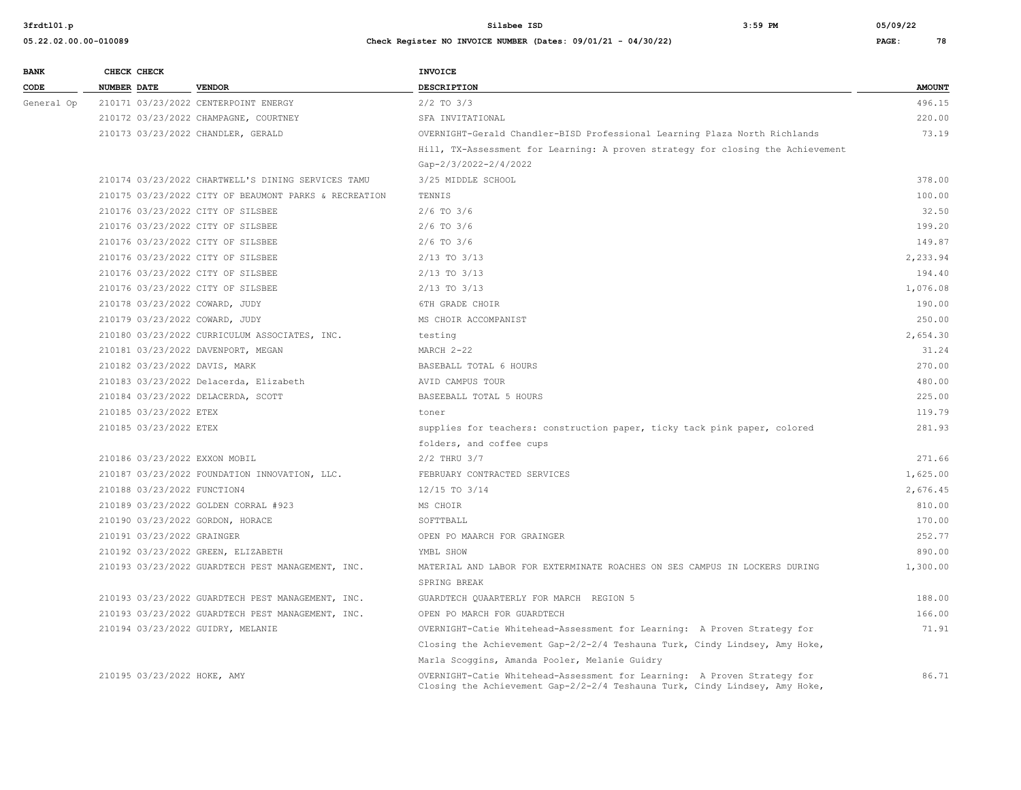| <b>BANK</b> | CHECK CHECK                      |                                                       | <b>INVOICE</b>                                                                                                                                          |               |
|-------------|----------------------------------|-------------------------------------------------------|---------------------------------------------------------------------------------------------------------------------------------------------------------|---------------|
| CODE        | NUMBER DATE                      | <b>VENDOR</b>                                         | DESCRIPTION                                                                                                                                             | <b>AMOUNT</b> |
| General Op  |                                  | 210171 03/23/2022 CENTERPOINT ENERGY                  | $2/2$ TO $3/3$                                                                                                                                          | 496.15        |
|             |                                  | 210172 03/23/2022 CHAMPAGNE, COURTNEY                 | SFA INVITATIONAL                                                                                                                                        | 220.00        |
|             |                                  | 210173 03/23/2022 CHANDLER, GERALD                    | OVERNIGHT-Gerald Chandler-BISD Professional Learning Plaza North Richlands                                                                              | 73.19         |
|             |                                  |                                                       | Hill, TX-Assessment for Learning: A proven strategy for closing the Achievement                                                                         |               |
|             |                                  |                                                       | Gap-2/3/2022-2/4/2022                                                                                                                                   |               |
|             |                                  | 210174 03/23/2022 CHARTWELL'S DINING SERVICES TAMU    | 3/25 MIDDLE SCHOOL                                                                                                                                      | 378.00        |
|             |                                  | 210175 03/23/2022 CITY OF BEAUMONT PARKS & RECREATION | TENNIS                                                                                                                                                  | 100.00        |
|             |                                  | 210176 03/23/2022 CITY OF SILSBEE                     | $2/6$ TO $3/6$                                                                                                                                          | 32.50         |
|             |                                  | 210176 03/23/2022 CITY OF SILSBEE                     | $2/6$ TO $3/6$                                                                                                                                          | 199.20        |
|             |                                  | 210176 03/23/2022 CITY OF SILSBEE                     | $2/6$ TO $3/6$                                                                                                                                          | 149.87        |
|             |                                  | 210176 03/23/2022 CITY OF SILSBEE                     | $2/13$ TO $3/13$                                                                                                                                        | 2,233.94      |
|             |                                  | 210176 03/23/2022 CITY OF SILSBEE                     | $2/13$ TO $3/13$                                                                                                                                        | 194.40        |
|             |                                  | 210176 03/23/2022 CITY OF SILSBEE                     | $2/13$ TO $3/13$                                                                                                                                        | 1,076.08      |
|             | 210178 03/23/2022 COWARD, JUDY   |                                                       | 6TH GRADE CHOIR                                                                                                                                         | 190.00        |
|             | 210179 03/23/2022 COWARD, JUDY   |                                                       | MS CHOIR ACCOMPANIST                                                                                                                                    | 250.00        |
|             |                                  | 210180 03/23/2022 CURRICULUM ASSOCIATES, INC.         | testing                                                                                                                                                 | 2,654.30      |
|             |                                  | 210181 03/23/2022 DAVENPORT, MEGAN                    | MARCH 2-22                                                                                                                                              | 31.24         |
|             | 210182 03/23/2022 DAVIS, MARK    |                                                       | BASEBALL TOTAL 6 HOURS                                                                                                                                  | 270.00        |
|             |                                  | 210183 03/23/2022 Delacerda, Elizabeth                | AVID CAMPUS TOUR                                                                                                                                        | 480.00        |
|             |                                  | 210184 03/23/2022 DELACERDA, SCOTT                    | BASEEBALL TOTAL 5 HOURS                                                                                                                                 | 225.00        |
|             | 210185 03/23/2022 ETEX           |                                                       | toner                                                                                                                                                   | 119.79        |
|             | 210185 03/23/2022 ETEX           |                                                       | supplies for teachers: construction paper, ticky tack pink paper, colored                                                                               | 281.93        |
|             |                                  |                                                       | folders, and coffee cups                                                                                                                                |               |
|             | 210186 03/23/2022 EXXON MOBIL    |                                                       | $2/2$ THRU $3/7$                                                                                                                                        | 271.66        |
|             |                                  | 210187 03/23/2022 FOUNDATION INNOVATION, LLC.         | FEBRUARY CONTRACTED SERVICES                                                                                                                            | 1,625.00      |
|             | 210188 03/23/2022 FUNCTION4      |                                                       | 12/15 TO 3/14                                                                                                                                           | 2,676.45      |
|             |                                  | 210189 03/23/2022 GOLDEN CORRAL #923                  | MS CHOIR                                                                                                                                                | 810.00        |
|             | 210190 03/23/2022 GORDON, HORACE |                                                       | SOFTTBALL                                                                                                                                               | 170.00        |
|             | 210191 03/23/2022 GRAINGER       |                                                       | OPEN PO MAARCH FOR GRAINGER                                                                                                                             | 252.77        |
|             |                                  | 210192 03/23/2022 GREEN, ELIZABETH                    | YMBL SHOW                                                                                                                                               | 890.00        |
|             |                                  | 210193 03/23/2022 GUARDTECH PEST MANAGEMENT, INC.     | MATERIAL AND LABOR FOR EXTERMINATE ROACHES ON SES CAMPUS IN LOCKERS DURING                                                                              | 1,300.00      |
|             |                                  |                                                       | SPRING BREAK                                                                                                                                            |               |
|             |                                  | 210193 03/23/2022 GUARDTECH PEST MANAGEMENT, INC.     | GUARDTECH QUAARTERLY FOR MARCH REGION 5                                                                                                                 | 188.00        |
|             |                                  | 210193 03/23/2022 GUARDTECH PEST MANAGEMENT, INC.     | OPEN PO MARCH FOR GUARDTECH                                                                                                                             | 166.00        |
|             |                                  | 210194 03/23/2022 GUIDRY, MELANIE                     | OVERNIGHT-Catie Whitehead-Assessment for Learning: A Proven Strategy for                                                                                | 71.91         |
|             |                                  |                                                       | Closing the Achievement Gap-2/2-2/4 Teshauna Turk, Cindy Lindsey, Amy Hoke,                                                                             |               |
|             |                                  |                                                       | Marla Scoggins, Amanda Pooler, Melanie Guidry                                                                                                           |               |
|             | 210195 03/23/2022 HOKE, AMY      |                                                       | OVERNIGHT-Catie Whitehead-Assessment for Learning: A Proven Strategy for<br>Closing the Achievement Gap-2/2-2/4 Teshauna Turk, Cindy Lindsey, Amy Hoke, | 86.71         |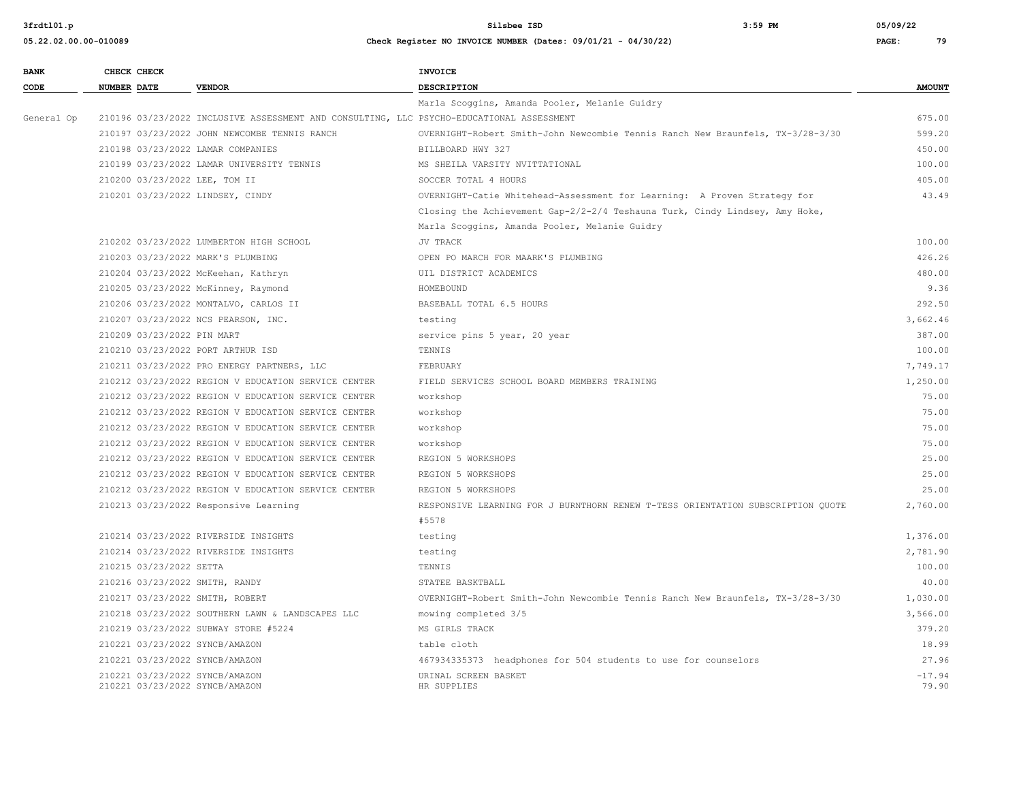**3frdtl01.p Silsbee ISD 3:59 PM 05/09/22**

| <b>BANK</b> | CHECK CHECK             |                                                                                          | <b>INVOICE</b>                                                                  |                   |
|-------------|-------------------------|------------------------------------------------------------------------------------------|---------------------------------------------------------------------------------|-------------------|
| CODE        | <b>NUMBER DATE</b>      | <b>VENDOR</b>                                                                            | <b>DESCRIPTION</b>                                                              | <b>AMOUNT</b>     |
|             |                         |                                                                                          | Marla Scoggins, Amanda Pooler, Melanie Guidry                                   |                   |
| General Op  |                         | 210196 03/23/2022 INCLUSIVE ASSESSMENT AND CONSULTING, LLC PSYCHO-EDUCATIONAL ASSESSMENT |                                                                                 | 675.00            |
|             |                         | 210197 03/23/2022 JOHN NEWCOMBE TENNIS RANCH                                             | OVERNIGHT-Robert Smith-John Newcombie Tennis Ranch New Braunfels, TX-3/28-3/30  | 599.20            |
|             |                         | 210198 03/23/2022 LAMAR COMPANIES                                                        | BILLBOARD HWY 327                                                               | 450.00            |
|             |                         | 210199 03/23/2022 LAMAR UNIVERSITY TENNIS                                                | MS SHEILA VARSITY NVITTATIONAL                                                  | 100.00            |
|             |                         | 210200 03/23/2022 LEE, TOM II                                                            | SOCCER TOTAL 4 HOURS                                                            | 405.00            |
|             |                         | 210201 03/23/2022 LINDSEY, CINDY                                                         | OVERNIGHT-Catie Whitehead-Assessment for Learning: A Proven Strategy for        | 43.49             |
|             |                         |                                                                                          | Closing the Achievement Gap-2/2-2/4 Teshauna Turk, Cindy Lindsey, Amy Hoke,     |                   |
|             |                         |                                                                                          | Marla Scoggins, Amanda Pooler, Melanie Guidry                                   |                   |
|             |                         | 210202 03/23/2022 LUMBERTON HIGH SCHOOL                                                  | JV TRACK                                                                        | 100.00            |
|             |                         | 210203 03/23/2022 MARK'S PLUMBING                                                        | OPEN PO MARCH FOR MAARK'S PLUMBING                                              | 426.26            |
|             |                         | 210204 03/23/2022 McKeehan, Kathryn                                                      | UIL DISTRICT ACADEMICS                                                          | 480.00            |
|             |                         | 210205 03/23/2022 McKinney, Raymond                                                      | HOMEBOUND                                                                       | 9.36              |
|             |                         | 210206 03/23/2022 MONTALVO, CARLOS II                                                    | BASEBALL TOTAL 6.5 HOURS                                                        | 292.50            |
|             |                         | 210207 03/23/2022 NCS PEARSON, INC.                                                      | testing                                                                         | 3,662.46          |
|             |                         | 210209 03/23/2022 PIN MART                                                               | service pins 5 year, 20 year                                                    | 387.00            |
|             |                         | 210210 03/23/2022 PORT ARTHUR ISD                                                        | TENNIS                                                                          | 100.00            |
|             |                         | 210211 03/23/2022 PRO ENERGY PARTNERS, LLC                                               | FEBRUARY                                                                        | 7,749.17          |
|             |                         | 210212 03/23/2022 REGION V EDUCATION SERVICE CENTER                                      | FIELD SERVICES SCHOOL BOARD MEMBERS TRAINING                                    | 1,250.00          |
|             |                         | 210212 03/23/2022 REGION V EDUCATION SERVICE CENTER                                      | workshop                                                                        | 75.00             |
|             |                         | 210212 03/23/2022 REGION V EDUCATION SERVICE CENTER                                      | workshop                                                                        | 75.00             |
|             |                         | 210212 03/23/2022 REGION V EDUCATION SERVICE CENTER                                      | workshop                                                                        | 75.00             |
|             |                         | 210212 03/23/2022 REGION V EDUCATION SERVICE CENTER                                      | workshop                                                                        | 75.00             |
|             |                         | 210212 03/23/2022 REGION V EDUCATION SERVICE CENTER                                      | REGION 5 WORKSHOPS                                                              | 25.00             |
|             |                         | 210212 03/23/2022 REGION V EDUCATION SERVICE CENTER                                      | REGION 5 WORKSHOPS                                                              | 25.00             |
|             |                         | 210212 03/23/2022 REGION V EDUCATION SERVICE CENTER                                      | REGION 5 WORKSHOPS                                                              | 25.00             |
|             |                         | 210213 03/23/2022 Responsive Learning                                                    | RESPONSIVE LEARNING FOR J BURNTHORN RENEW T-TESS ORIENTATION SUBSCRIPTION QUOTE | 2,760.00          |
|             |                         |                                                                                          | #5578                                                                           |                   |
|             |                         | 210214 03/23/2022 RIVERSIDE INSIGHTS                                                     | testing                                                                         | 1,376.00          |
|             |                         | 210214 03/23/2022 RIVERSIDE INSIGHTS                                                     | testing                                                                         | 2,781.90          |
|             | 210215 03/23/2022 SETTA |                                                                                          | TENNIS                                                                          | 100.00            |
|             |                         | 210216 03/23/2022 SMITH, RANDY                                                           | STATEE BASKTBALL                                                                | 40.00             |
|             |                         | 210217 03/23/2022 SMITH, ROBERT                                                          | OVERNIGHT-Robert Smith-John Newcombie Tennis Ranch New Braunfels, TX-3/28-3/30  | 1,030.00          |
|             |                         | 210218 03/23/2022 SOUTHERN LAWN & LANDSCAPES LLC                                         | mowing completed 3/5                                                            | 3,566.00          |
|             |                         | 210219 03/23/2022 SUBWAY STORE #5224                                                     | MS GIRLS TRACK                                                                  | 379.20            |
|             |                         | 210221 03/23/2022 SYNCB/AMAZON                                                           | table cloth                                                                     | 18.99             |
|             |                         | 210221 03/23/2022 SYNCB/AMAZON                                                           | 467934335373 headphones for 504 students to use for counselors                  | 27.96             |
|             |                         | 210221 03/23/2022 SYNCB/AMAZON<br>210221 03/23/2022 SYNCB/AMAZON                         | URINAL SCREEN BASKET<br>HR SUPPLIES                                             | $-17.94$<br>79.90 |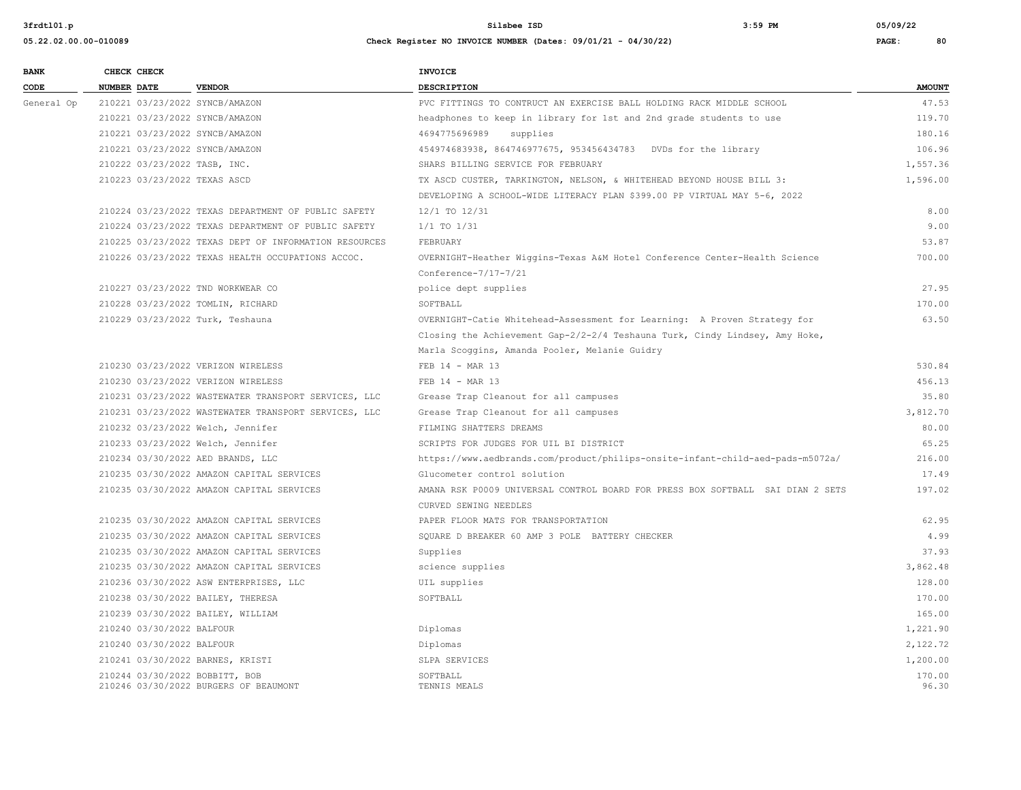| <b>BANK</b> | CHECK CHECK                        |                                                       | <b>INVOICE</b>                                                                 |                 |
|-------------|------------------------------------|-------------------------------------------------------|--------------------------------------------------------------------------------|-----------------|
| CODE        | <b>NUMBER DATE</b>                 | <b>VENDOR</b>                                         | <b>DESCRIPTION</b>                                                             | <b>AMOUNT</b>   |
| General Op  | 210221 03/23/2022 SYNCB/AMAZON     |                                                       | PVC FITTINGS TO CONTRUCT AN EXERCISE BALL HOLDING RACK MIDDLE SCHOOL           | 47.53           |
|             | 210221 03/23/2022 SYNCB/AMAZON     |                                                       | headphones to keep in library for 1st and 2nd grade students to use            | 119.70          |
|             | 210221 03/23/2022 SYNCB/AMAZON     |                                                       | 4694775696989<br>supplies                                                      | 180.16          |
|             | 210221 03/23/2022 SYNCB/AMAZON     |                                                       | 454974683938, 864746977675, 953456434783    DVDs for the library               | 106.96          |
|             | 210222 03/23/2022 TASB, INC.       |                                                       | SHARS BILLING SERVICE FOR FEBRUARY                                             | 1,557.36        |
|             | 210223 03/23/2022 TEXAS ASCD       |                                                       | TX ASCD CUSTER, TARKINGTON, NELSON, & WHITEHEAD BEYOND HOUSE BILL 3:           | 1,596.00        |
|             |                                    |                                                       | DEVELOPING A SCHOOL-WIDE LITERACY PLAN \$399.00 PP VIRTUAL MAY 5-6, 2022       |                 |
|             |                                    | 210224 03/23/2022 TEXAS DEPARTMENT OF PUBLIC SAFETY   | 12/1 TO 12/31                                                                  | 8.00            |
|             |                                    | 210224 03/23/2022 TEXAS DEPARTMENT OF PUBLIC SAFETY   | $1/1$ TO $1/31$                                                                | 9.00            |
|             |                                    | 210225 03/23/2022 TEXAS DEPT OF INFORMATION RESOURCES | FEBRUARY                                                                       | 53.87           |
|             |                                    | 210226 03/23/2022 TEXAS HEALTH OCCUPATIONS ACCOC.     | OVERNIGHT-Heather Wiggins-Texas A&M Hotel Conference Center-Health Science     | 700.00          |
|             |                                    |                                                       | Conference-7/17-7/21                                                           |                 |
|             | 210227 03/23/2022 TND WORKWEAR CO  |                                                       | police dept supplies                                                           | 27.95           |
|             | 210228 03/23/2022 TOMLIN, RICHARD  |                                                       | SOFTBALL                                                                       | 170.00          |
|             | 210229 03/23/2022 Turk, Teshauna   |                                                       | OVERNIGHT-Catie Whitehead-Assessment for Learning: A Proven Strategy for       | 63.50           |
|             |                                    |                                                       | Closing the Achievement Gap-2/2-2/4 Teshauna Turk, Cindy Lindsey, Amy Hoke,    |                 |
|             |                                    |                                                       | Marla Scoggins, Amanda Pooler, Melanie Guidry                                  |                 |
|             | 210230 03/23/2022 VERIZON WIRELESS |                                                       | FEB 14 - MAR 13                                                                | 530.84          |
|             | 210230 03/23/2022 VERIZON WIRELESS |                                                       | FEB 14 - MAR 13                                                                | 456.13          |
|             |                                    | 210231 03/23/2022 WASTEWATER TRANSPORT SERVICES, LLC  | Grease Trap Cleanout for all campuses                                          | 35.80           |
|             |                                    | 210231 03/23/2022 WASTEWATER TRANSPORT SERVICES, LLC  | Grease Trap Cleanout for all campuses                                          | 3,812.70        |
|             | 210232 03/23/2022 Welch, Jennifer  |                                                       | FILMING SHATTERS DREAMS                                                        | 80.00           |
|             | 210233 03/23/2022 Welch, Jennifer  |                                                       | SCRIPTS FOR JUDGES FOR UIL BI DISTRICT                                         | 65.25           |
|             | 210234 03/30/2022 AED BRANDS, LLC  |                                                       | https://www.aedbrands.com/product/philips-onsite-infant-child-aed-pads-m5072a/ | 216.00          |
|             |                                    | 210235 03/30/2022 AMAZON CAPITAL SERVICES             | Glucometer control solution                                                    | 17.49           |
|             |                                    | 210235 03/30/2022 AMAZON CAPITAL SERVICES             | AMANA RSK P0009 UNIVERSAL CONTROL BOARD FOR PRESS BOX SOFTBALL SAI DIAN 2 SETS | 197.02          |
|             |                                    |                                                       | CURVED SEWING NEEDLES                                                          |                 |
|             |                                    | 210235 03/30/2022 AMAZON CAPITAL SERVICES             | PAPER FLOOR MATS FOR TRANSPORTATION                                            | 62.95           |
|             |                                    | 210235 03/30/2022 AMAZON CAPITAL SERVICES             | SQUARE D BREAKER 60 AMP 3 POLE BATTERY CHECKER                                 | 4.99            |
|             |                                    | 210235 03/30/2022 AMAZON CAPITAL SERVICES             | Supplies                                                                       | 37.93           |
|             |                                    | 210235 03/30/2022 AMAZON CAPITAL SERVICES             | science supplies                                                               | 3,862.48        |
|             |                                    | 210236 03/30/2022 ASW ENTERPRISES, LLC                | UIL supplies                                                                   | 128.00          |
|             | 210238 03/30/2022 BAILEY, THERESA  |                                                       | SOFTBALL                                                                       | 170.00          |
|             | 210239 03/30/2022 BAILEY, WILLIAM  |                                                       |                                                                                | 165.00          |
|             | 210240 03/30/2022 BALFOUR          |                                                       | Diplomas                                                                       | 1,221.90        |
|             | 210240 03/30/2022 BALFOUR          |                                                       | Diplomas                                                                       | 2,122.72        |
|             | 210241 03/30/2022 BARNES, KRISTI   |                                                       | SLPA SERVICES                                                                  | 1,200.00        |
|             | 210244 03/30/2022 BOBBITT, BOB     | 210246 03/30/2022 BURGERS OF BEAUMONT                 | SOFTBALL<br>TENNIS MEALS                                                       | 170.00<br>96.30 |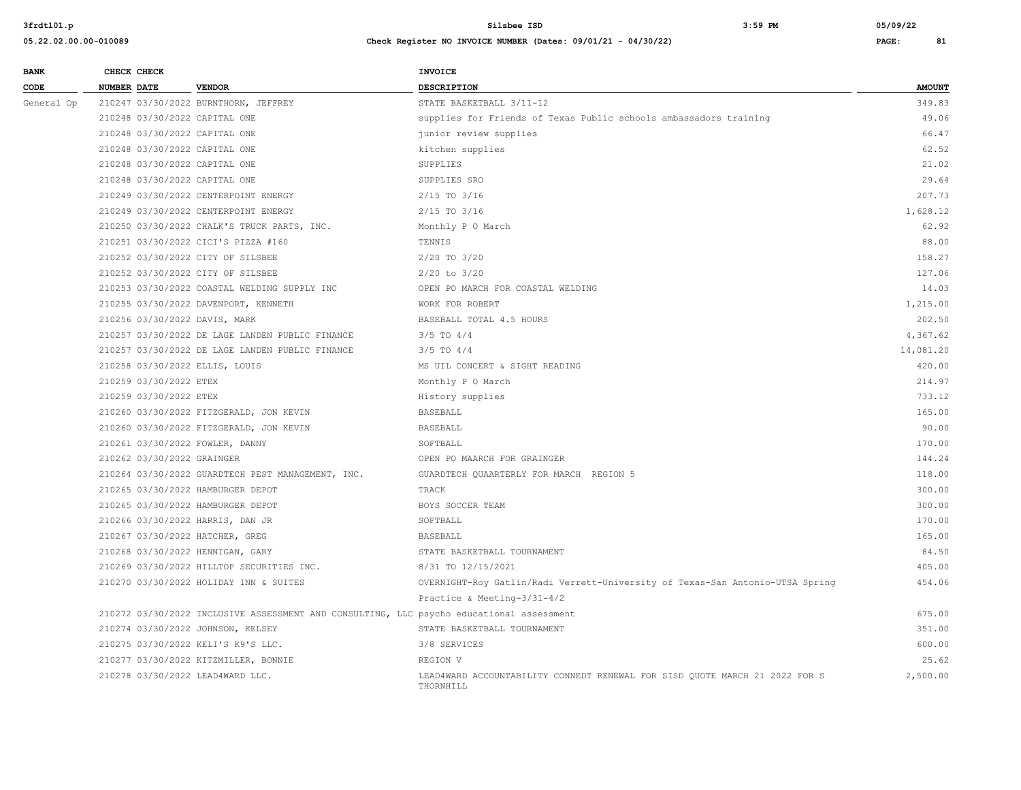| <b>BANK</b> | CHECK CHECK                        |                                                                                          | <b>INVOICE</b>                                                                           |               |
|-------------|------------------------------------|------------------------------------------------------------------------------------------|------------------------------------------------------------------------------------------|---------------|
| CODE        | NUMBER DATE                        | <b>VENDOR</b>                                                                            | DESCRIPTION                                                                              | <b>AMOUNT</b> |
| General Op  |                                    | 210247 03/30/2022 BURNTHORN, JEFFREY                                                     | STATE BASKETBALL 3/11-12                                                                 | 349.83        |
|             | 210248 03/30/2022 CAPITAL ONE      |                                                                                          | supplies for Friends of Texas Public schools ambassadors training                        | 49.06         |
|             | 210248 03/30/2022 CAPITAL ONE      |                                                                                          | junior review supplies                                                                   | 66.47         |
|             | 210248 03/30/2022 CAPITAL ONE      |                                                                                          | kitchen supplies                                                                         | 62.52         |
|             | 210248 03/30/2022 CAPITAL ONE      |                                                                                          | SUPPLIES                                                                                 | 21.02         |
|             | 210248 03/30/2022 CAPITAL ONE      |                                                                                          | SUPPLIES SRO                                                                             | 29.64         |
|             |                                    | 210249 03/30/2022 CENTERPOINT ENERGY                                                     | $2/15$ TO $3/16$                                                                         | 207.73        |
|             |                                    | 210249 03/30/2022 CENTERPOINT ENERGY                                                     | $2/15$ TO $3/16$                                                                         | 1,628.12      |
|             |                                    | 210250 03/30/2022 CHALK'S TRUCK PARTS, INC.                                              | Monthly P O March                                                                        | 62.92         |
|             |                                    | 210251 03/30/2022 CICI'S PIZZA #160                                                      | TENNIS                                                                                   | 88.00         |
|             | 210252 03/30/2022 CITY OF SILSBEE  |                                                                                          | 2/20 TO 3/20                                                                             | 158.27        |
|             | 210252 03/30/2022 CITY OF SILSBEE  |                                                                                          | $2/20$ to $3/20$                                                                         | 127.06        |
|             |                                    | 210253 03/30/2022 COASTAL WELDING SUPPLY INC                                             | OPEN PO MARCH FOR COASTAL WELDING                                                        | 14.03         |
|             |                                    | 210255 03/30/2022 DAVENPORT, KENNETH                                                     | WORK FOR ROBERT                                                                          | 1,215.00      |
|             | 210256 03/30/2022 DAVIS, MARK      |                                                                                          | BASEBALL TOTAL 4.5 HOURS                                                                 | 202.50        |
|             |                                    | 210257 03/30/2022 DE LAGE LANDEN PUBLIC FINANCE                                          | $3/5$ TO $4/4$                                                                           | 4,367.62      |
|             |                                    | 210257 03/30/2022 DE LAGE LANDEN PUBLIC FINANCE                                          | $3/5$ TO $4/4$                                                                           | 14,081.20     |
|             | 210258 03/30/2022 ELLIS, LOUIS     |                                                                                          | MS UIL CONCERT & SIGHT READING                                                           | 420.00        |
|             | 210259 03/30/2022 ETEX             |                                                                                          | Monthly P O March                                                                        | 214.97        |
|             | 210259 03/30/2022 ETEX             |                                                                                          | History supplies                                                                         | 733.12        |
|             |                                    | 210260 03/30/2022 FITZGERALD, JON KEVIN                                                  | <b>BASEBALL</b>                                                                          | 165.00        |
|             |                                    | 210260 03/30/2022 FITZGERALD, JON KEVIN                                                  | <b>BASEBALL</b>                                                                          | 90.00         |
|             | 210261 03/30/2022 FOWLER, DANNY    |                                                                                          | SOFTBALL                                                                                 | 170.00        |
|             | 210262 03/30/2022 GRAINGER         |                                                                                          | OPEN PO MAARCH FOR GRAINGER                                                              | 144.24        |
|             |                                    | 210264 03/30/2022 GUARDTECH PEST MANAGEMENT, INC.                                        | GUARDTECH QUAARTERLY FOR MARCH REGION 5                                                  | 118.00        |
|             | 210265 03/30/2022 HAMBURGER DEPOT  |                                                                                          | TRACK                                                                                    | 300.00        |
|             | 210265 03/30/2022 HAMBURGER DEPOT  |                                                                                          | BOYS SOCCER TEAM                                                                         | 300.00        |
|             | 210266 03/30/2022 HARRIS, DAN JR   |                                                                                          | SOFTBALL                                                                                 | 170.00        |
|             | 210267 03/30/2022 HATCHER, GREG    |                                                                                          | <b>BASEBALL</b>                                                                          | 165.00        |
|             | 210268 03/30/2022 HENNIGAN, GARY   |                                                                                          | STATE BASKETBALL TOURNAMENT                                                              | 84.50         |
|             |                                    | 210269 03/30/2022 HILLTOP SECURITIES INC.                                                | 8/31 TO 12/15/2021                                                                       | 405.00        |
|             |                                    | 210270 03/30/2022 HOLIDAY INN & SUITES                                                   | OVERNIGHT-Roy Gatlin/Radi Verrett-University of Texas-San Antonio-UTSA Spring            | 454.06        |
|             |                                    |                                                                                          | Practice & Meeting-3/31-4/2                                                              |               |
|             |                                    | 210272 03/30/2022 INCLUSIVE ASSESSMENT AND CONSULTING, LLC psycho educational assessment |                                                                                          | 675.00        |
|             | 210274 03/30/2022 JOHNSON, KELSEY  |                                                                                          | STATE BASKETBALL TOURNAMENT                                                              | 351.00        |
|             | 210275 03/30/2022 KELI'S K9'S LLC. |                                                                                          | 3/8 SERVICES                                                                             | 600.00        |
|             |                                    | 210277 03/30/2022 KITZMILLER, BONNIE                                                     | REGION V                                                                                 | 25.62         |
|             | 210278 03/30/2022 LEAD4WARD LLC.   |                                                                                          | LEAD4WARD ACCOUNTABILITY CONNEDT RENEWAL FOR SISD OUOTE MARCH 21 2022 FOR S<br>THORNHILL | 2,500.00      |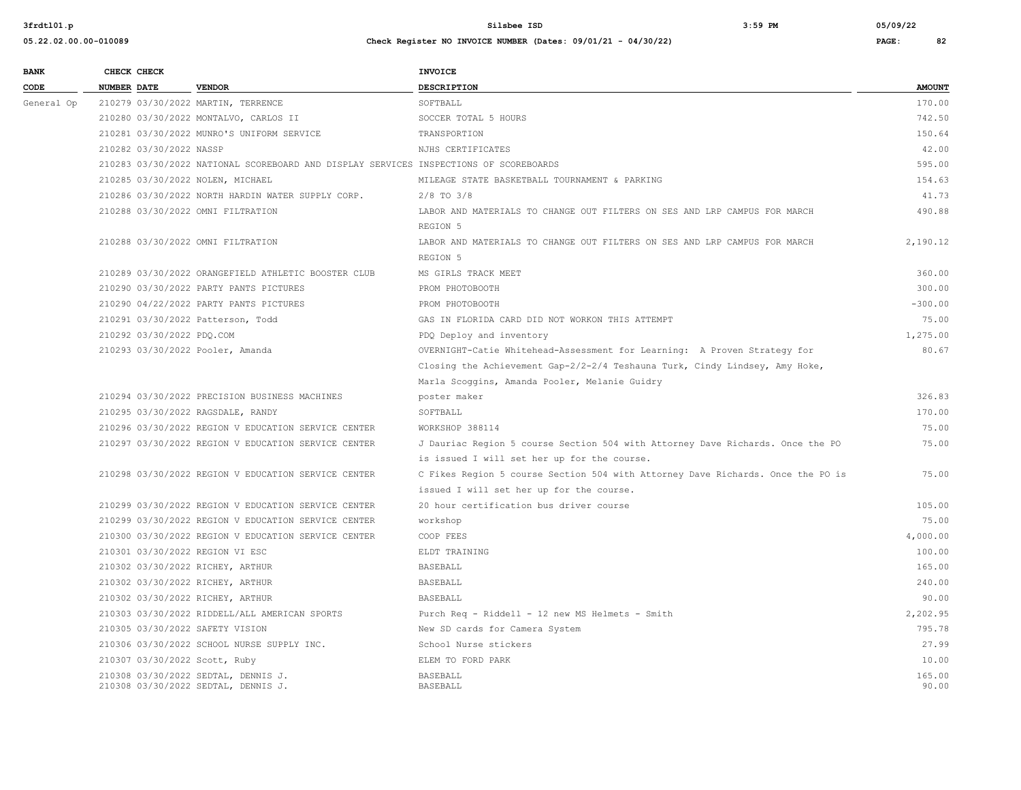| <b>BANK</b> |                    | CHECK CHECK               |                                                                                       | <b>INVOICE</b>                                                                  |               |
|-------------|--------------------|---------------------------|---------------------------------------------------------------------------------------|---------------------------------------------------------------------------------|---------------|
| CODE        | <b>NUMBER DATE</b> |                           | <b>VENDOR</b>                                                                         | <b>DESCRIPTION</b>                                                              | <b>AMOUNT</b> |
| General Op  |                    |                           | 210279 03/30/2022 MARTIN, TERRENCE                                                    | SOFTBALL                                                                        | 170.00        |
|             |                    |                           | 210280 03/30/2022 MONTALVO, CARLOS II                                                 | SOCCER TOTAL 5 HOURS                                                            | 742.50        |
|             |                    |                           | 210281 03/30/2022 MUNRO'S UNIFORM SERVICE                                             | TRANSPORTION                                                                    | 150.64        |
|             |                    | 210282 03/30/2022 NASSP   |                                                                                       | NJHS CERTIFICATES                                                               | 42.00         |
|             |                    |                           | 210283 03/30/2022 NATIONAL SCOREBOARD AND DISPLAY SERVICES INSPECTIONS OF SCOREBOARDS |                                                                                 | 595.00        |
|             |                    |                           | 210285 03/30/2022 NOLEN, MICHAEL                                                      | MILEAGE STATE BASKETBALL TOURNAMENT & PARKING                                   | 154.63        |
|             |                    |                           | 210286 03/30/2022 NORTH HARDIN WATER SUPPLY CORP.                                     | $2/8$ TO $3/8$                                                                  | 41.73         |
|             |                    |                           | 210288 03/30/2022 OMNI FILTRATION                                                     | LABOR AND MATERIALS TO CHANGE OUT FILTERS ON SES AND LRP CAMPUS FOR MARCH       | 490.88        |
|             |                    |                           |                                                                                       | REGION 5                                                                        |               |
|             |                    |                           | 210288 03/30/2022 OMNI FILTRATION                                                     | LABOR AND MATERIALS TO CHANGE OUT FILTERS ON SES AND LRP CAMPUS FOR MARCH       | 2,190.12      |
|             |                    |                           |                                                                                       | REGION 5                                                                        |               |
|             |                    |                           | 210289 03/30/2022 ORANGEFIELD ATHLETIC BOOSTER CLUB                                   | MS GIRLS TRACK MEET                                                             | 360.00        |
|             |                    |                           | 210290 03/30/2022 PARTY PANTS PICTURES                                                | PROM PHOTOBOOTH                                                                 | 300.00        |
|             |                    |                           | 210290 04/22/2022 PARTY PANTS PICTURES                                                | PROM PHOTOBOOTH                                                                 | $-300.00$     |
|             |                    |                           | 210291 03/30/2022 Patterson, Todd                                                     | GAS IN FLORIDA CARD DID NOT WORKON THIS ATTEMPT                                 | 75.00         |
|             |                    | 210292 03/30/2022 PDQ.COM |                                                                                       | PDQ Deploy and inventory                                                        | 1,275.00      |
|             |                    |                           | 210293 03/30/2022 Pooler, Amanda                                                      | OVERNIGHT-Catie Whitehead-Assessment for Learning: A Proven Strategy for        | 80.67         |
|             |                    |                           |                                                                                       | Closing the Achievement Gap-2/2-2/4 Teshauna Turk, Cindy Lindsey, Amy Hoke,     |               |
|             |                    |                           |                                                                                       | Marla Scoggins, Amanda Pooler, Melanie Guidry                                   |               |
|             |                    |                           | 210294 03/30/2022 PRECISION BUSINESS MACHINES                                         | poster maker                                                                    | 326.83        |
|             |                    |                           | 210295 03/30/2022 RAGSDALE, RANDY                                                     | SOFTBALL                                                                        | 170.00        |
|             |                    |                           | 210296 03/30/2022 REGION V EDUCATION SERVICE CENTER                                   | WORKSHOP 388114                                                                 | 75.00         |
|             |                    |                           | 210297 03/30/2022 REGION V EDUCATION SERVICE CENTER                                   | J Dauriac Region 5 course Section 504 with Attorney Dave Richards. Once the PO  | 75.00         |
|             |                    |                           |                                                                                       | is issued I will set her up for the course.                                     |               |
|             |                    |                           | 210298 03/30/2022 REGION V EDUCATION SERVICE CENTER                                   | C Fikes Region 5 course Section 504 with Attorney Dave Richards. Once the PO is | 75.00         |
|             |                    |                           |                                                                                       | issued I will set her up for the course.                                        |               |
|             |                    |                           | 210299 03/30/2022 REGION V EDUCATION SERVICE CENTER                                   | 20 hour certification bus driver course                                         | 105.00        |
|             |                    |                           | 210299 03/30/2022 REGION V EDUCATION SERVICE CENTER                                   | workshop                                                                        | 75.00         |
|             |                    |                           | 210300 03/30/2022 REGION V EDUCATION SERVICE CENTER                                   | COOP FEES                                                                       | 4,000.00      |
|             |                    |                           | 210301 03/30/2022 REGION VI ESC                                                       | ELDT TRAINING                                                                   | 100.00        |
|             |                    |                           | 210302 03/30/2022 RICHEY, ARTHUR                                                      | <b>BASEBALL</b>                                                                 | 165.00        |
|             |                    |                           | 210302 03/30/2022 RICHEY, ARTHUR                                                      | <b>BASEBALL</b>                                                                 | 240.00        |
|             |                    |                           | 210302 03/30/2022 RICHEY, ARTHUR                                                      | <b>BASEBALL</b>                                                                 | 90.00         |
|             |                    |                           | 210303 03/30/2022 RIDDELL/ALL AMERICAN SPORTS                                         | Purch Req - Riddell - 12 new MS Helmets - Smith                                 | 2.202.95      |
|             |                    |                           | 210305 03/30/2022 SAFETY VISION                                                       | New SD cards for Camera System                                                  | 795.78        |
|             |                    |                           | 210306 03/30/2022 SCHOOL NURSE SUPPLY INC.                                            | School Nurse stickers                                                           | 27.99         |
|             |                    |                           | 210307 03/30/2022 Scott, Ruby                                                         | ELEM TO FORD PARK                                                               | 10.00         |
|             |                    |                           | 210308 03/30/2022 SEDTAL, DENNIS J.                                                   | <b>BASEBALL</b>                                                                 | 165.00        |
|             |                    |                           | 210308 03/30/2022 SEDTAL, DENNIS J.                                                   | <b>BASEBALL</b>                                                                 | 90.00         |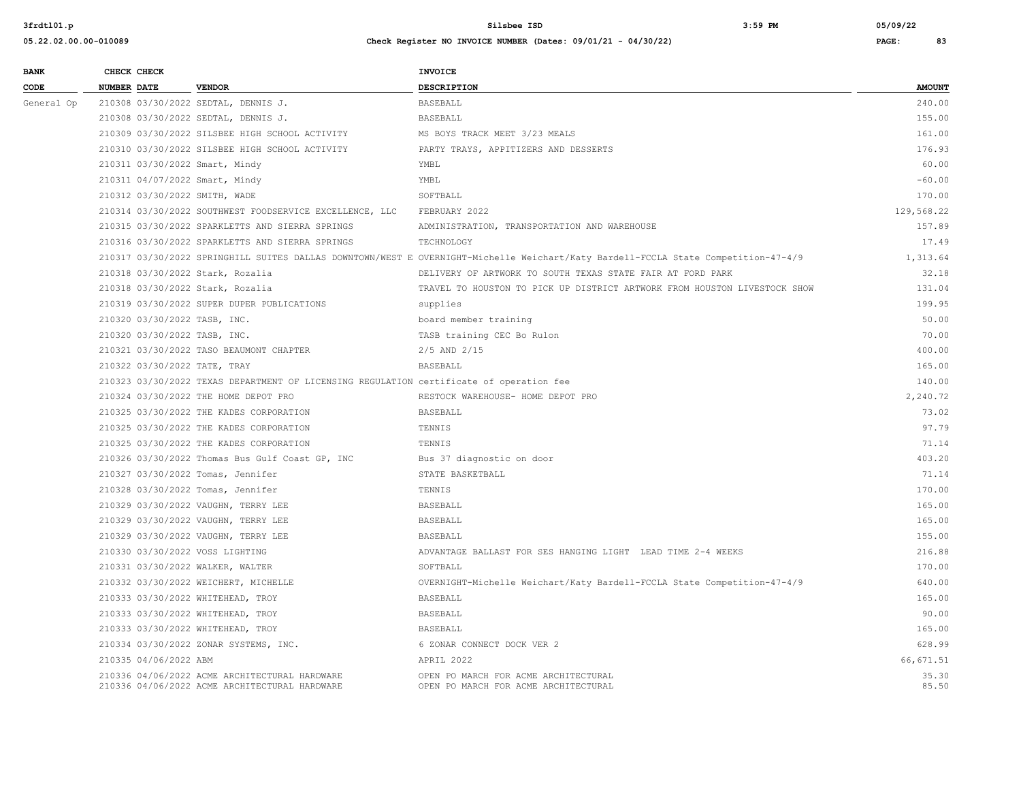| <b>BANK</b>     |                    | CHECK CHECK                  |                                                                                                | INVOICE                                                                                                                            |                |
|-----------------|--------------------|------------------------------|------------------------------------------------------------------------------------------------|------------------------------------------------------------------------------------------------------------------------------------|----------------|
| $\texttt{CODE}$ | <b>NUMBER DATE</b> |                              | <b>VENDOR</b>                                                                                  | <b>DESCRIPTION</b>                                                                                                                 | <b>AMOUNT</b>  |
| General Op      |                    |                              | 210308 03/30/2022 SEDTAL, DENNIS J.                                                            | <b>BASEBALL</b>                                                                                                                    | 240.00         |
|                 |                    |                              | 210308 03/30/2022 SEDTAL, DENNIS J.                                                            | <b>BASEBALL</b>                                                                                                                    | 155.00         |
|                 |                    |                              | 210309 03/30/2022 SILSBEE HIGH SCHOOL ACTIVITY                                                 | MS BOYS TRACK MEET 3/23 MEALS                                                                                                      | 161.00         |
|                 |                    |                              | 210310 03/30/2022 SILSBEE HIGH SCHOOL ACTIVITY                                                 | PARTY TRAYS, APPITIZERS AND DESSERTS                                                                                               | 176.93         |
|                 |                    |                              | 210311 03/30/2022 Smart, Mindy                                                                 | YMBL                                                                                                                               | 60.00          |
|                 |                    |                              | 210311 04/07/2022 Smart, Mindy                                                                 | YMBL                                                                                                                               | $-60.00$       |
|                 |                    |                              | 210312 03/30/2022 SMITH, WADE                                                                  | SOFTBALL                                                                                                                           | 170.00         |
|                 |                    |                              | 210314 03/30/2022 SOUTHWEST FOODSERVICE EXCELLENCE, LLC                                        | FEBRUARY 2022                                                                                                                      | 129,568.22     |
|                 |                    |                              | 210315 03/30/2022 SPARKLETTS AND SIERRA SPRINGS                                                | ADMINISTRATION, TRANSPORTATION AND WAREHOUSE                                                                                       | 157.89         |
|                 |                    |                              | 210316 03/30/2022 SPARKLETTS AND SIERRA SPRINGS                                                | TECHNOLOGY                                                                                                                         | 17.49          |
|                 |                    |                              |                                                                                                | 210317 03/30/2022 SPRINGHILL SUITES DALLAS DOWNTOWN/WEST E OVERNIGHT-Michelle Weichart/Katy Bardell-FCCLA State Competition-47-4/9 | 1,313.64       |
|                 |                    |                              | 210318 03/30/2022 Stark, Rozalia                                                               | DELIVERY OF ARTWORK TO SOUTH TEXAS STATE FAIR AT FORD PARK                                                                         | 32.18          |
|                 |                    |                              | 210318 03/30/2022 Stark, Rozalia                                                               | TRAVEL TO HOUSTON TO PICK UP DISTRICT ARTWORK FROM HOUSTON LIVESTOCK SHOW                                                          | 131.04         |
|                 |                    |                              | 210319 03/30/2022 SUPER DUPER PUBLICATIONS                                                     | supplies                                                                                                                           | 199.95         |
|                 |                    | 210320 03/30/2022 TASB, INC. |                                                                                                | board member training                                                                                                              | 50.00          |
|                 |                    |                              | 210320 03/30/2022 TASB, INC.                                                                   | TASB training CEC Bo Rulon                                                                                                         | 70.00          |
|                 |                    |                              | 210321 03/30/2022 TASO BEAUMONT CHAPTER                                                        | $2/5$ AND $2/15$                                                                                                                   | 400.00         |
|                 |                    |                              | 210322 03/30/2022 TATE, TRAY                                                                   | <b>BASEBALL</b>                                                                                                                    | 165.00         |
|                 |                    |                              | 210323 03/30/2022 TEXAS DEPARTMENT OF LICENSING REGULATION certificate of operation fee        |                                                                                                                                    | 140.00         |
|                 |                    |                              | 210324 03/30/2022 THE HOME DEPOT PRO                                                           | RESTOCK WAREHOUSE- HOME DEPOT PRO                                                                                                  | 2,240.72       |
|                 |                    |                              | 210325 03/30/2022 THE KADES CORPORATION                                                        | <b>BASEBALL</b>                                                                                                                    | 73.02          |
|                 |                    |                              | 210325 03/30/2022 THE KADES CORPORATION                                                        | TENNIS                                                                                                                             | 97.79          |
|                 |                    |                              | 210325 03/30/2022 THE KADES CORPORATION                                                        | TENNIS                                                                                                                             | 71.14          |
|                 |                    |                              | 210326 03/30/2022 Thomas Bus Gulf Coast GP, INC                                                | Bus 37 diagnostic on door                                                                                                          | 403.20         |
|                 |                    |                              | 210327 03/30/2022 Tomas, Jennifer                                                              | STATE BASKETBALL                                                                                                                   | 71.14          |
|                 |                    |                              | 210328 03/30/2022 Tomas, Jennifer                                                              | TENNIS                                                                                                                             | 170.00         |
|                 |                    |                              | 210329 03/30/2022 VAUGHN, TERRY LEE                                                            | <b>BASEBALL</b>                                                                                                                    | 165.00         |
|                 |                    |                              | 210329 03/30/2022 VAUGHN, TERRY LEE                                                            | <b>BASEBALL</b>                                                                                                                    | 165.00         |
|                 |                    |                              | 210329 03/30/2022 VAUGHN, TERRY LEE                                                            | <b>BASEBALL</b>                                                                                                                    | 155.00         |
|                 |                    |                              | 210330 03/30/2022 VOSS LIGHTING                                                                | ADVANTAGE BALLAST FOR SES HANGING LIGHT LEAD TIME 2-4 WEEKS                                                                        | 216.88         |
|                 |                    |                              | 210331 03/30/2022 WALKER, WALTER                                                               | SOFTBALL                                                                                                                           | 170.00         |
|                 |                    |                              | 210332 03/30/2022 WEICHERT, MICHELLE                                                           | OVERNIGHT-Michelle Weichart/Katy Bardell-FCCLA State Competition-47-4/9                                                            | 640.00         |
|                 |                    |                              | 210333 03/30/2022 WHITEHEAD, TROY                                                              | <b>BASEBALL</b>                                                                                                                    | 165.00         |
|                 |                    |                              | 210333 03/30/2022 WHITEHEAD, TROY                                                              | <b>BASEBALL</b>                                                                                                                    | 90.00          |
|                 |                    |                              | 210333 03/30/2022 WHITEHEAD, TROY                                                              | BASEBALL                                                                                                                           | 165.00         |
|                 |                    |                              | 210334 03/30/2022 ZONAR SYSTEMS, INC.                                                          | 6 ZONAR CONNECT DOCK VER 2                                                                                                         | 628.99         |
|                 |                    | 210335 04/06/2022 ABM        |                                                                                                | APRIL 2022                                                                                                                         | 66,671.51      |
|                 |                    |                              | 210336 04/06/2022 ACME ARCHITECTURAL HARDWARE<br>210336 04/06/2022 ACME ARCHITECTURAL HARDWARE | OPEN PO MARCH FOR ACME ARCHITECTURAL<br>OPEN PO MARCH FOR ACME ARCHITECTURAL                                                       | 35.30<br>85.50 |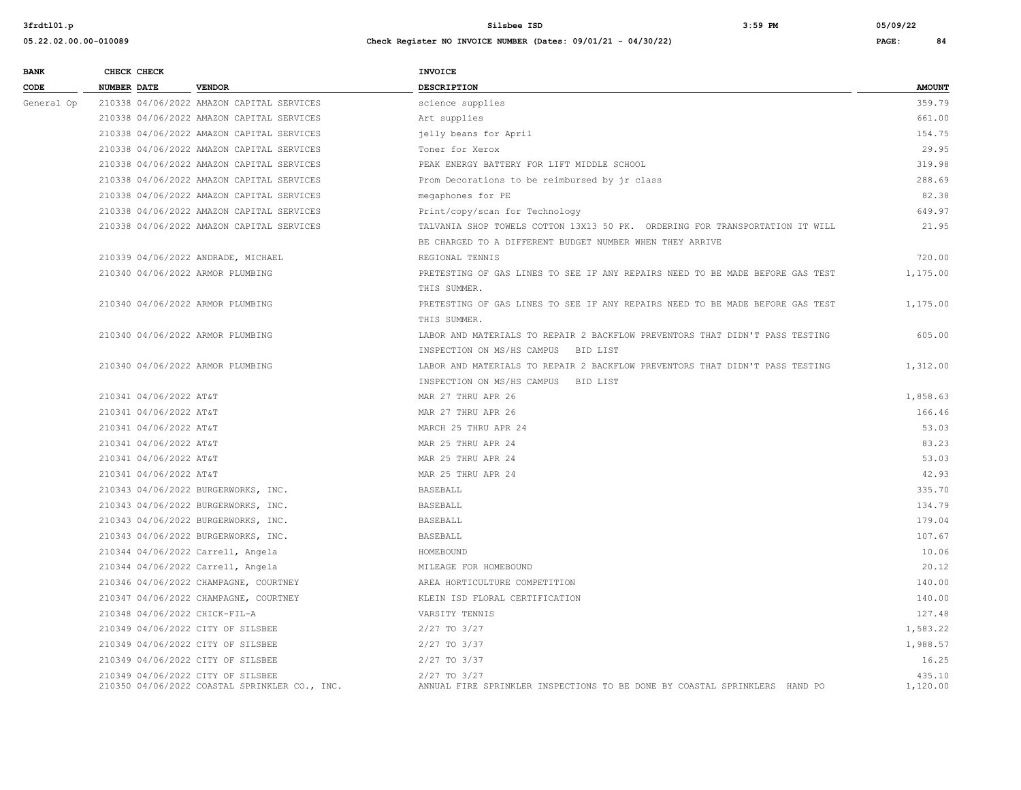| <b>BANK</b> | CHECK CHECK            |                                                                                    | <b>INVOICE</b>                                                                                 |                    |
|-------------|------------------------|------------------------------------------------------------------------------------|------------------------------------------------------------------------------------------------|--------------------|
| CODE        | <b>NUMBER DATE</b>     | <b>VENDOR</b>                                                                      | <b>DESCRIPTION</b>                                                                             | <b>AMOUNT</b>      |
| General Op  |                        | 210338 04/06/2022 AMAZON CAPITAL SERVICES                                          | science supplies                                                                               | 359.79             |
|             |                        | 210338 04/06/2022 AMAZON CAPITAL SERVICES                                          | Art supplies                                                                                   | 661.00             |
|             |                        | 210338 04/06/2022 AMAZON CAPITAL SERVICES                                          | jelly beans for April                                                                          | 154.75             |
|             |                        | 210338 04/06/2022 AMAZON CAPITAL SERVICES                                          | Toner for Xerox                                                                                | 29.95              |
|             |                        | 210338 04/06/2022 AMAZON CAPITAL SERVICES                                          | PEAK ENERGY BATTERY FOR LIFT MIDDLE SCHOOL                                                     | 319.98             |
|             |                        | 210338 04/06/2022 AMAZON CAPITAL SERVICES                                          | Prom Decorations to be reimbursed by jr class                                                  | 288.69             |
|             |                        | 210338 04/06/2022 AMAZON CAPITAL SERVICES                                          | megaphones for PE                                                                              | 82.38              |
|             |                        | 210338 04/06/2022 AMAZON CAPITAL SERVICES                                          | Print/copy/scan for Technology                                                                 | 649.97             |
|             |                        | 210338 04/06/2022 AMAZON CAPITAL SERVICES                                          | TALVANIA SHOP TOWELS COTTON 13X13 50 PK. ORDERING FOR TRANSPORTATION IT WILL                   | 21.95              |
|             |                        |                                                                                    | BE CHARGED TO A DIFFERENT BUDGET NUMBER WHEN THEY ARRIVE                                       |                    |
|             |                        | 210339 04/06/2022 ANDRADE, MICHAEL                                                 | REGIONAL TENNIS                                                                                | 720.00             |
|             |                        | 210340 04/06/2022 ARMOR PLUMBING                                                   | PRETESTING OF GAS LINES TO SEE IF ANY REPAIRS NEED TO BE MADE BEFORE GAS TEST                  | 1,175.00           |
|             |                        |                                                                                    | THIS SUMMER.                                                                                   |                    |
|             |                        | 210340 04/06/2022 ARMOR PLUMBING                                                   | PRETESTING OF GAS LINES TO SEE IF ANY REPAIRS NEED TO BE MADE BEFORE GAS TEST                  | 1,175.00           |
|             |                        |                                                                                    | THIS SUMMER.                                                                                   |                    |
|             |                        | 210340 04/06/2022 ARMOR PLUMBING                                                   | LABOR AND MATERIALS TO REPAIR 2 BACKFLOW PREVENTORS THAT DIDN'T PASS TESTING                   | 605.00             |
|             |                        |                                                                                    | INSPECTION ON MS/HS CAMPUS BID LIST                                                            |                    |
|             |                        | 210340 04/06/2022 ARMOR PLUMBING                                                   | LABOR AND MATERIALS TO REPAIR 2 BACKFLOW PREVENTORS THAT DIDN'T PASS TESTING                   | 1,312.00           |
|             |                        |                                                                                    | INSPECTION ON MS/HS CAMPUS BID LIST                                                            |                    |
|             | 210341 04/06/2022 AT&T |                                                                                    | MAR 27 THRU APR 26                                                                             | 1,858.63           |
|             | 210341 04/06/2022 AT&T |                                                                                    | MAR 27 THRU APR 26                                                                             | 166.46             |
|             | 210341 04/06/2022 AT&T |                                                                                    | MARCH 25 THRU APR 24                                                                           | 53.03              |
|             | 210341 04/06/2022 AT&T |                                                                                    | MAR 25 THRU APR 24                                                                             | 83.23              |
|             | 210341 04/06/2022 AT&T |                                                                                    | MAR 25 THRU APR 24                                                                             | 53.03              |
|             | 210341 04/06/2022 AT&T |                                                                                    | MAR 25 THRU APR 24                                                                             | 42.93              |
|             |                        | 210343 04/06/2022 BURGERWORKS, INC.                                                | <b>BASEBALL</b>                                                                                | 335.70             |
|             |                        | 210343 04/06/2022 BURGERWORKS, INC.                                                | <b>BASEBALL</b>                                                                                | 134.79             |
|             |                        | 210343 04/06/2022 BURGERWORKS, INC.                                                | BASEBALL                                                                                       | 179.04             |
|             |                        | 210343 04/06/2022 BURGERWORKS, INC.                                                | BASEBALL                                                                                       | 107.67             |
|             |                        | 210344 04/06/2022 Carrell, Angela                                                  | HOMEBOUND                                                                                      | 10.06              |
|             |                        | 210344 04/06/2022 Carrell, Angela                                                  | MILEAGE FOR HOMEBOUND                                                                          | 20.12              |
|             |                        | 210346 04/06/2022 CHAMPAGNE, COURTNEY                                              | AREA HORTICULTURE COMPETITION                                                                  | 140.00             |
|             |                        | 210347 04/06/2022 CHAMPAGNE, COURTNEY                                              | KLEIN ISD FLORAL CERTIFICATION                                                                 | 140.00             |
|             |                        | 210348 04/06/2022 CHICK-FIL-A                                                      | VARSITY TENNIS                                                                                 | 127.48             |
|             |                        | 210349 04/06/2022 CITY OF SILSBEE                                                  | $2/27$ TO $3/27$                                                                               | 1,583.22           |
|             |                        | 210349 04/06/2022 CITY OF SILSBEE                                                  | 2/27 TO 3/37                                                                                   | 1,988.57           |
|             |                        | 210349 04/06/2022 CITY OF SILSBEE                                                  | 2/27 TO 3/37                                                                                   | 16.25              |
|             |                        | 210349 04/06/2022 CITY OF SILSBEE<br>210350 04/06/2022 COASTAL SPRINKLER CO., INC. | $2/27$ TO $3/27$<br>ANNUAL FIRE SPRINKLER INSPECTIONS TO BE DONE BY COASTAL SPRINKLERS HAND PO | 435.10<br>1,120.00 |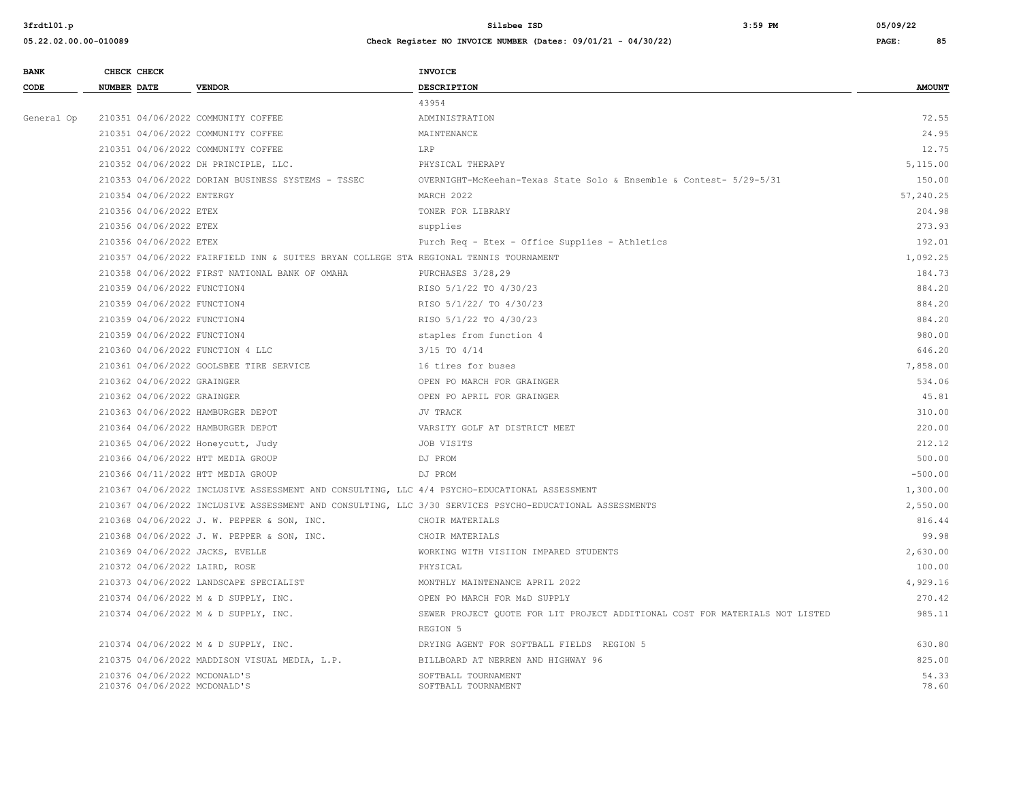#### **05.22.02.00.00-010089 Check Register NO INVOICE NUMBER (Dates: 09/01/21 - 04/30/22) PAGE: 85**

210376 04/06/2022 MCDONALD'S

| <b>BANK</b> | CHECK CHECK                        |                                                                                              | <b>INVOICE</b>                                                                                          |               |
|-------------|------------------------------------|----------------------------------------------------------------------------------------------|---------------------------------------------------------------------------------------------------------|---------------|
| CODE        | NUMBER DATE                        | <b>VENDOR</b>                                                                                | <b>DESCRIPTION</b>                                                                                      | <b>AMOUNT</b> |
|             |                                    |                                                                                              | 43954                                                                                                   |               |
| General Op  | 210351 04/06/2022 COMMUNITY COFFEE |                                                                                              | ADMINISTRATION                                                                                          | 72.55         |
|             | 210351 04/06/2022 COMMUNITY COFFEE |                                                                                              | MAINTENANCE                                                                                             | 24.95         |
|             | 210351 04/06/2022 COMMUNITY COFFEE |                                                                                              | LRP                                                                                                     | 12.75         |
|             |                                    | 210352 04/06/2022 DH PRINCIPLE, LLC.                                                         | PHYSICAL THERAPY                                                                                        | 5,115.00      |
|             |                                    | 210353 04/06/2022 DORIAN BUSINESS SYSTEMS - TSSEC                                            | OVERNIGHT-McKeehan-Texas State Solo & Ensemble & Contest- 5/29-5/31                                     | 150.00        |
|             | 210354 04/06/2022 ENTERGY          |                                                                                              | MARCH 2022                                                                                              | 57,240.25     |
|             | 210356 04/06/2022 ETEX             |                                                                                              | TONER FOR LIBRARY                                                                                       | 204.98        |
|             | 210356 04/06/2022 ETEX             |                                                                                              | supplies                                                                                                | 273.93        |
|             | 210356 04/06/2022 ETEX             |                                                                                              | Purch Req - Etex - Office Supplies - Athletics                                                          | 192.01        |
|             |                                    | 210357 04/06/2022 FAIRFIELD INN & SUITES BRYAN COLLEGE STA REGIONAL TENNIS TOURNAMENT        |                                                                                                         | 1,092.25      |
|             |                                    | 210358 04/06/2022 FIRST NATIONAL BANK OF OMAHA                                               | PURCHASES 3/28,29                                                                                       | 184.73        |
|             | 210359 04/06/2022 FUNCTION4        |                                                                                              | RISO 5/1/22 TO 4/30/23                                                                                  | 884.20        |
|             | 210359 04/06/2022 FUNCTION4        |                                                                                              | RISO 5/1/22/ TO 4/30/23                                                                                 | 884.20        |
|             | 210359 04/06/2022 FUNCTION4        |                                                                                              | RISO 5/1/22 TO 4/30/23                                                                                  | 884.20        |
|             | 210359 04/06/2022 FUNCTION4        |                                                                                              | staples from function 4                                                                                 | 980.00        |
|             | 210360 04/06/2022 FUNCTION 4 LLC   |                                                                                              | $3/15$ TO $4/14$                                                                                        | 646.20        |
|             |                                    | 210361 04/06/2022 GOOLSBEE TIRE SERVICE                                                      | 16 tires for buses                                                                                      | 7,858.00      |
|             | 210362 04/06/2022 GRAINGER         |                                                                                              | OPEN PO MARCH FOR GRAINGER                                                                              | 534.06        |
|             | 210362 04/06/2022 GRAINGER         |                                                                                              | OPEN PO APRIL FOR GRAINGER                                                                              | 45.81         |
|             | 210363 04/06/2022 HAMBURGER DEPOT  |                                                                                              | JV TRACK                                                                                                | 310.00        |
|             | 210364 04/06/2022 HAMBURGER DEPOT  |                                                                                              | VARSITY GOLF AT DISTRICT MEET                                                                           | 220.00        |
|             | 210365 04/06/2022 Honeycutt, Judy  |                                                                                              | JOB VISITS                                                                                              | 212.12        |
|             | 210366 04/06/2022 HTT MEDIA GROUP  |                                                                                              | DJ PROM                                                                                                 | 500.00        |
|             | 210366 04/11/2022 HTT MEDIA GROUP  |                                                                                              | DJ PROM                                                                                                 | $-500.00$     |
|             |                                    | 210367 04/06/2022 INCLUSIVE ASSESSMENT AND CONSULTING, LLC 4/4 PSYCHO-EDUCATIONAL ASSESSMENT |                                                                                                         | 1,300.00      |
|             |                                    |                                                                                              | 210367 04/06/2022 INCLUSIVE ASSESSMENT AND CONSULTING, LLC 3/30 SERVICES PSYCHO-EDUCATIONAL ASSESSMENTS | 2,550.00      |
|             |                                    | 210368 04/06/2022 J. W. PEPPER & SON, INC.                                                   | CHOIR MATERIALS                                                                                         | 816.44        |
|             |                                    | 210368 04/06/2022 J. W. PEPPER & SON, INC.                                                   | CHOIR MATERIALS                                                                                         | 99.98         |
|             | 210369 04/06/2022 JACKS, EVELLE    |                                                                                              | WORKING WITH VISIION IMPARED STUDENTS                                                                   | 2,630.00      |
|             | 210372 04/06/2022 LAIRD, ROSE      |                                                                                              | PHYSICAL                                                                                                | 100.00        |
|             |                                    | 210373 04/06/2022 LANDSCAPE SPECIALIST                                                       | MONTHLY MAINTENANCE APRIL 2022                                                                          | 4,929.16      |
|             |                                    | 210374 04/06/2022 M & D SUPPLY, INC.                                                         | OPEN PO MARCH FOR M&D SUPPLY                                                                            | 270.42        |
|             |                                    | 210374 04/06/2022 M & D SUPPLY, INC.                                                         | SEWER PROJECT QUOTE FOR LIT PROJECT ADDITIONAL COST FOR MATERIALS NOT LISTED                            | 985.11        |
|             |                                    |                                                                                              | REGION 5                                                                                                |               |
|             |                                    | 210374 04/06/2022 M & D SUPPLY, INC.                                                         | DRYING AGENT FOR SOFTBALL FIELDS REGION 5                                                               | 630.80        |
|             |                                    | 210375 04/06/2022 MADDISON VISUAL MEDIA, L.P.                                                | BILLBOARD AT NERREN AND HIGHWAY 96                                                                      | 825.00        |

210376 04/06/2022 MCDONALD'S 64.33<br>210376 04/06/2022 MCDONALD'S SOFTBALL TOURNAMENT SOFTBALL TOURNAMENT SOFTBALL TOURNAMENT 54.50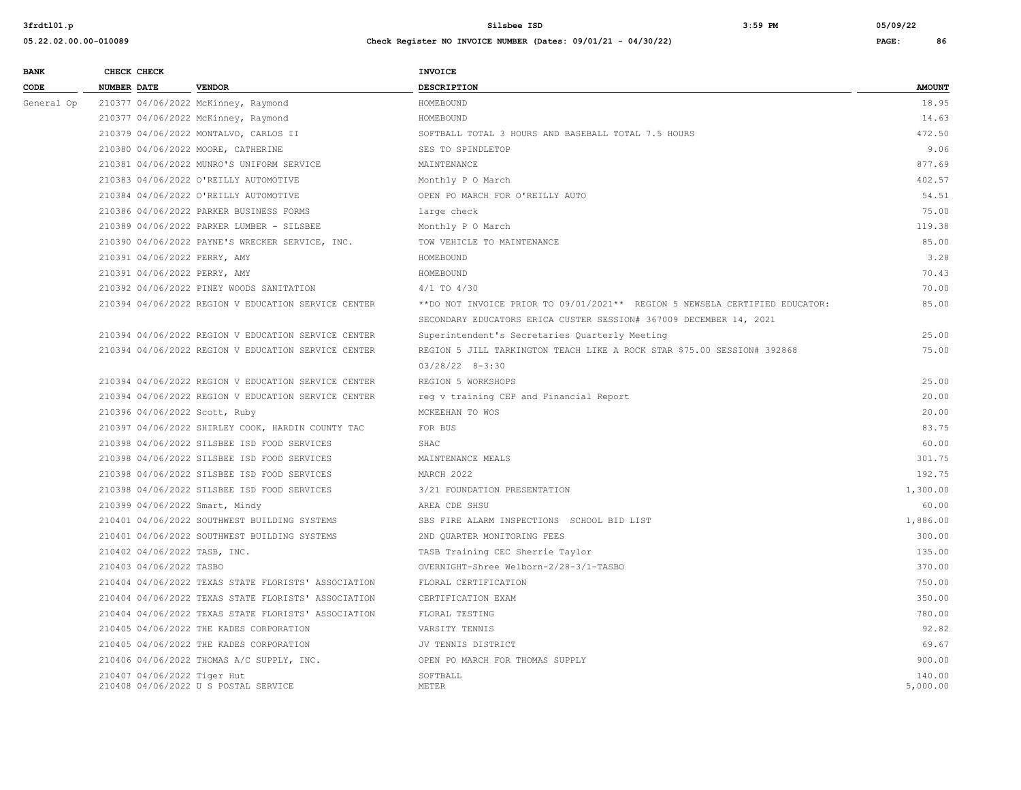| <b>BANK</b> | CHECK CHECK                   |                                                     | INVOICE                                                                     |                    |
|-------------|-------------------------------|-----------------------------------------------------|-----------------------------------------------------------------------------|--------------------|
| CODE        | <b>NUMBER DATE</b>            | <b>VENDOR</b>                                       | <b>DESCRIPTION</b>                                                          | <b>AMOUNT</b>      |
| General Op  |                               | 210377 04/06/2022 McKinney, Raymond                 | HOMEBOUND                                                                   | 18.95              |
|             |                               | 210377 04/06/2022 McKinney, Raymond                 | HOMEBOUND                                                                   | 14.63              |
|             |                               | 210379 04/06/2022 MONTALVO, CARLOS II               | SOFTBALL TOTAL 3 HOURS AND BASEBALL TOTAL 7.5 HOURS                         | 472.50             |
|             |                               | 210380 04/06/2022 MOORE, CATHERINE                  | SES TO SPINDLETOP                                                           | 9.06               |
|             |                               | 210381 04/06/2022 MUNRO'S UNIFORM SERVICE           | MAINTENANCE                                                                 | 877.69             |
|             |                               | 210383 04/06/2022 O'REILLY AUTOMOTIVE               | Monthly P O March                                                           | 402.57             |
|             |                               | 210384 04/06/2022 O'REILLY AUTOMOTIVE               | OPEN PO MARCH FOR O'REILLY AUTO                                             | 54.51              |
|             |                               | 210386 04/06/2022 PARKER BUSINESS FORMS             | large check                                                                 | 75.00              |
|             |                               | 210389 04/06/2022 PARKER LUMBER - SILSBEE           | Monthly P O March                                                           | 119.38             |
|             |                               | 210390 04/06/2022 PAYNE'S WRECKER SERVICE, INC.     | TOW VEHICLE TO MAINTENANCE                                                  | 85.00              |
|             | 210391 04/06/2022 PERRY, AMY  |                                                     | HOMEBOUND                                                                   | 3.28               |
|             | 210391 04/06/2022 PERRY, AMY  |                                                     | HOMEBOUND                                                                   | 70.43              |
|             |                               | 210392 04/06/2022 PINEY WOODS SANITATION            | $4/1$ TO $4/30$                                                             | 70.00              |
|             |                               | 210394 04/06/2022 REGION V EDUCATION SERVICE CENTER | **DO NOT INVOICE PRIOR TO 09/01/2021** REGION 5 NEWSELA CERTIFIED EDUCATOR: | 85.00              |
|             |                               |                                                     | SECONDARY EDUCATORS ERICA CUSTER SESSION# 367009 DECEMBER 14, 2021          |                    |
|             |                               | 210394 04/06/2022 REGION V EDUCATION SERVICE CENTER | Superintendent's Secretaries Quarterly Meeting                              | 25.00              |
|             |                               | 210394 04/06/2022 REGION V EDUCATION SERVICE CENTER | REGION 5 JILL TARKINGTON TEACH LIKE A ROCK STAR \$75.00 SESSION# 392868     | 75.00              |
|             |                               |                                                     | $03/28/22$ 8-3:30                                                           |                    |
|             |                               | 210394 04/06/2022 REGION V EDUCATION SERVICE CENTER | REGION 5 WORKSHOPS                                                          | 25.00              |
|             |                               | 210394 04/06/2022 REGION V EDUCATION SERVICE CENTER | reg v training CEP and Financial Report                                     | 20.00              |
|             | 210396 04/06/2022 Scott, Ruby |                                                     | MCKEEHAN TO WOS                                                             | 20.00              |
|             |                               | 210397 04/06/2022 SHIRLEY COOK, HARDIN COUNTY TAC   | FOR BUS                                                                     | 83.75              |
|             |                               | 210398 04/06/2022 SILSBEE ISD FOOD SERVICES         | SHAC                                                                        | 60.00              |
|             |                               | 210398 04/06/2022 SILSBEE ISD FOOD SERVICES         | MAINTENANCE MEALS                                                           | 301.75             |
|             |                               | 210398 04/06/2022 SILSBEE ISD FOOD SERVICES         | MARCH 2022                                                                  | 192.75             |
|             |                               | 210398 04/06/2022 SILSBEE ISD FOOD SERVICES         | 3/21 FOUNDATION PRESENTATION                                                | 1,300.00           |
|             |                               | 210399 04/06/2022 Smart, Mindy                      | AREA CDE SHSU                                                               | 60.00              |
|             |                               | 210401 04/06/2022 SOUTHWEST BUILDING SYSTEMS        | SBS FIRE ALARM INSPECTIONS SCHOOL BID LIST                                  | 1,886.00           |
|             |                               | 210401 04/06/2022 SOUTHWEST BUILDING SYSTEMS        | 2ND QUARTER MONITORING FEES                                                 | 300.00             |
|             | 210402 04/06/2022 TASB, INC.  |                                                     | TASB Training CEC Sherrie Taylor                                            | 135.00             |
|             | 210403 04/06/2022 TASBO       |                                                     | OVERNIGHT-Shree Welborn-2/28-3/1-TASBO                                      | 370.00             |
|             |                               | 210404 04/06/2022 TEXAS STATE FLORISTS' ASSOCIATION | FLORAL CERTIFICATION                                                        | 750.00             |
|             |                               | 210404 04/06/2022 TEXAS STATE FLORISTS' ASSOCIATION | CERTIFICATION EXAM                                                          | 350.00             |
|             |                               | 210404 04/06/2022 TEXAS STATE FLORISTS' ASSOCIATION | FLORAL TESTING                                                              | 780.00             |
|             |                               | 210405 04/06/2022 THE KADES CORPORATION             | VARSITY TENNIS                                                              | 92.82              |
|             |                               | 210405 04/06/2022 THE KADES CORPORATION             | JV TENNIS DISTRICT                                                          | 69.67              |
|             |                               | 210406 04/06/2022 THOMAS A/C SUPPLY, INC.           | OPEN PO MARCH FOR THOMAS SUPPLY                                             | 900.00             |
|             | 210407 04/06/2022 Tiger Hut   | 210408 04/06/2022 U S POSTAL SERVICE                | SOFTBALL<br><b>METER</b>                                                    | 140.00<br>5,000.00 |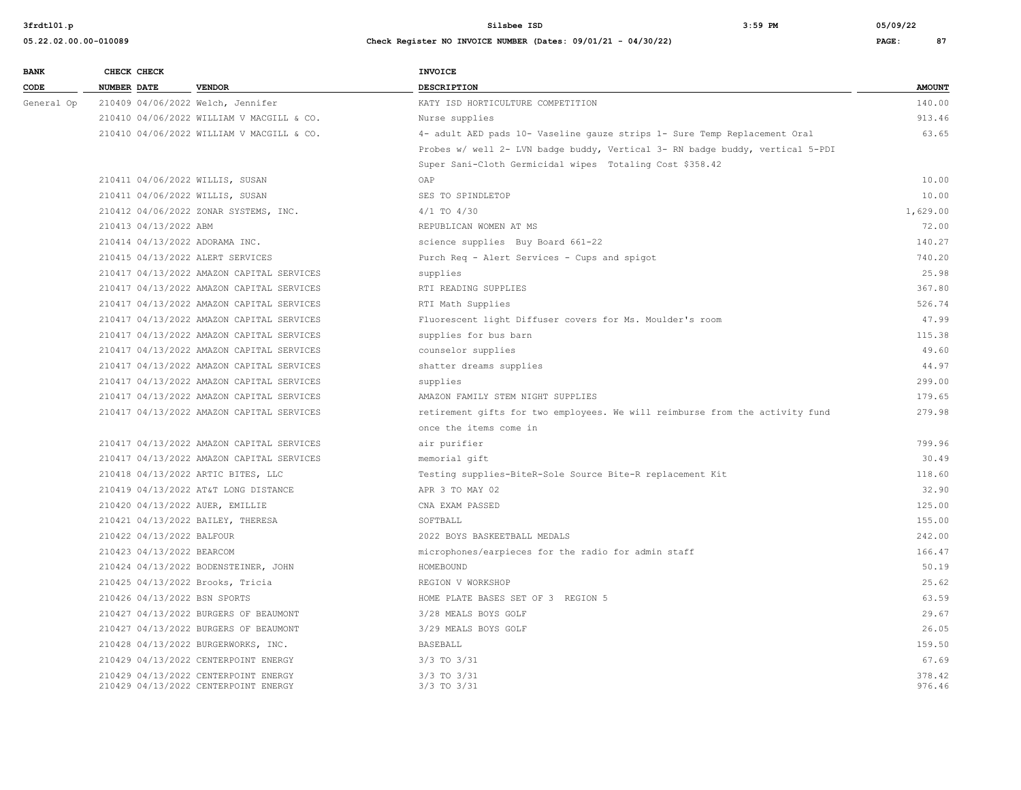| <b>BANK</b> |                    | CHECK CHECK                     |                                           | <b>INVOICE</b>                                                                |                  |
|-------------|--------------------|---------------------------------|-------------------------------------------|-------------------------------------------------------------------------------|------------------|
| CODE        | <b>NUMBER DATE</b> |                                 | <b>VENDOR</b>                             | <b>DESCRIPTION</b>                                                            | <b>AMOUNT</b>    |
| General Op  |                    |                                 | 210409 04/06/2022 Welch, Jennifer         | KATY ISD HORTICULTURE COMPETITION                                             | 140.00           |
|             |                    |                                 | 210410 04/06/2022 WILLIAM V MACGILL & CO. | Nurse supplies                                                                | 913.46           |
|             |                    |                                 | 210410 04/06/2022 WILLIAM V MACGILL & CO. | 4- adult AED pads 10- Vaseline gauze strips 1- Sure Temp Replacement Oral     | 63.65            |
|             |                    |                                 |                                           | Probes w/ well 2- LVN badge buddy, Vertical 3- RN badge buddy, vertical 5-PDI |                  |
|             |                    |                                 |                                           | Super Sani-Cloth Germicidal wipes Totaling Cost \$358.42                      |                  |
|             |                    | 210411 04/06/2022 WILLIS, SUSAN |                                           | OAP                                                                           | 10.00            |
|             |                    |                                 | 210411 04/06/2022 WILLIS, SUSAN           | SES TO SPINDLETOP                                                             | 10.00            |
|             |                    |                                 | 210412 04/06/2022 ZONAR SYSTEMS, INC.     | $4/1$ TO $4/30$                                                               | 1,629.00         |
|             |                    | 210413 04/13/2022 ABM           |                                           | REPUBLICAN WOMEN AT MS                                                        | 72.00            |
|             |                    |                                 | 210414 04/13/2022 ADORAMA INC.            | science supplies Buy Board 661-22                                             | 140.27           |
|             |                    |                                 | 210415 04/13/2022 ALERT SERVICES          | Purch Req - Alert Services - Cups and spigot                                  | 740.20           |
|             |                    |                                 | 210417 04/13/2022 AMAZON CAPITAL SERVICES | supplies                                                                      | 25.98            |
|             |                    |                                 | 210417 04/13/2022 AMAZON CAPITAL SERVICES | RTI READING SUPPLIES                                                          | 367.80           |
|             |                    |                                 | 210417 04/13/2022 AMAZON CAPITAL SERVICES | RTI Math Supplies                                                             | 526.74           |
|             |                    |                                 | 210417 04/13/2022 AMAZON CAPITAL SERVICES | Fluorescent light Diffuser covers for Ms. Moulder's room                      | 47.99            |
|             |                    |                                 | 210417 04/13/2022 AMAZON CAPITAL SERVICES | supplies for bus barn                                                         | 115.38           |
|             |                    |                                 | 210417 04/13/2022 AMAZON CAPITAL SERVICES | counselor supplies                                                            | 49.60            |
|             |                    |                                 | 210417 04/13/2022 AMAZON CAPITAL SERVICES | shatter dreams supplies                                                       | 44.97            |
|             |                    |                                 | 210417 04/13/2022 AMAZON CAPITAL SERVICES | supplies                                                                      | 299.00           |
|             |                    |                                 | 210417 04/13/2022 AMAZON CAPITAL SERVICES | AMAZON FAMILY STEM NIGHT SUPPLIES                                             | 179.65           |
|             |                    |                                 | 210417 04/13/2022 AMAZON CAPITAL SERVICES | retirement gifts for two employees. We will reimburse from the activity fund  | 279.98           |
|             |                    |                                 |                                           | once the items come in                                                        |                  |
|             |                    |                                 | 210417 04/13/2022 AMAZON CAPITAL SERVICES | air purifier                                                                  | 799.96           |
|             |                    |                                 | 210417 04/13/2022 AMAZON CAPITAL SERVICES | memorial gift                                                                 | 30.49            |
|             |                    |                                 | 210418 04/13/2022 ARTIC BITES, LLC        | Testing supplies-BiteR-Sole Source Bite-R replacement Kit                     | 118.60           |
|             |                    |                                 | 210419 04/13/2022 AT&T LONG DISTANCE      | APR 3 TO MAY 02                                                               | 32.90            |
|             |                    |                                 | 210420 04/13/2022 AUER, EMILLIE           | CNA EXAM PASSED                                                               | 125.00           |
|             |                    |                                 | 210421 04/13/2022 BAILEY, THERESA         | SOFTBALL                                                                      | 155.00           |
|             |                    | 210422 04/13/2022 BALFOUR       |                                           | 2022 BOYS BASKEETBALL MEDALS                                                  | 242.00           |
|             |                    | 210423 04/13/2022 BEARCOM       |                                           | microphones/earpieces for the radio for admin staff                           | 166.47           |
|             |                    |                                 | 210424 04/13/2022 BODENSTEINER, JOHN      | HOMEBOUND                                                                     | 50.19            |
|             |                    |                                 | 210425 04/13/2022 Brooks, Tricia          | REGION V WORKSHOP                                                             | 25.62            |
|             |                    |                                 | 210426 04/13/2022 BSN SPORTS              | HOME PLATE BASES SET OF 3 REGION 5                                            | 63.59            |
|             |                    |                                 | 210427 04/13/2022 BURGERS OF BEAUMONT     | 3/28 MEALS BOYS GOLF                                                          | 29.67            |
|             |                    |                                 | 210427 04/13/2022 BURGERS OF BEAUMONT     | 3/29 MEALS BOYS GOLF                                                          | 26.05            |
|             |                    |                                 | 210428 04/13/2022 BURGERWORKS, INC.       | <b>BASEBALL</b>                                                               | 159.50           |
|             |                    |                                 | 210429 04/13/2022 CENTERPOINT ENERGY      | $3/3$ TO $3/31$                                                               | 67.69            |
|             |                    |                                 | 210429 04/13/2022 CENTERPOINT ENERGY      | $3/3$ TO $3/31$                                                               | 378.42<br>976.46 |
|             |                    |                                 | 210429 04/13/2022 CENTERPOINT ENERGY      | 3/3 TO 3/31                                                                   |                  |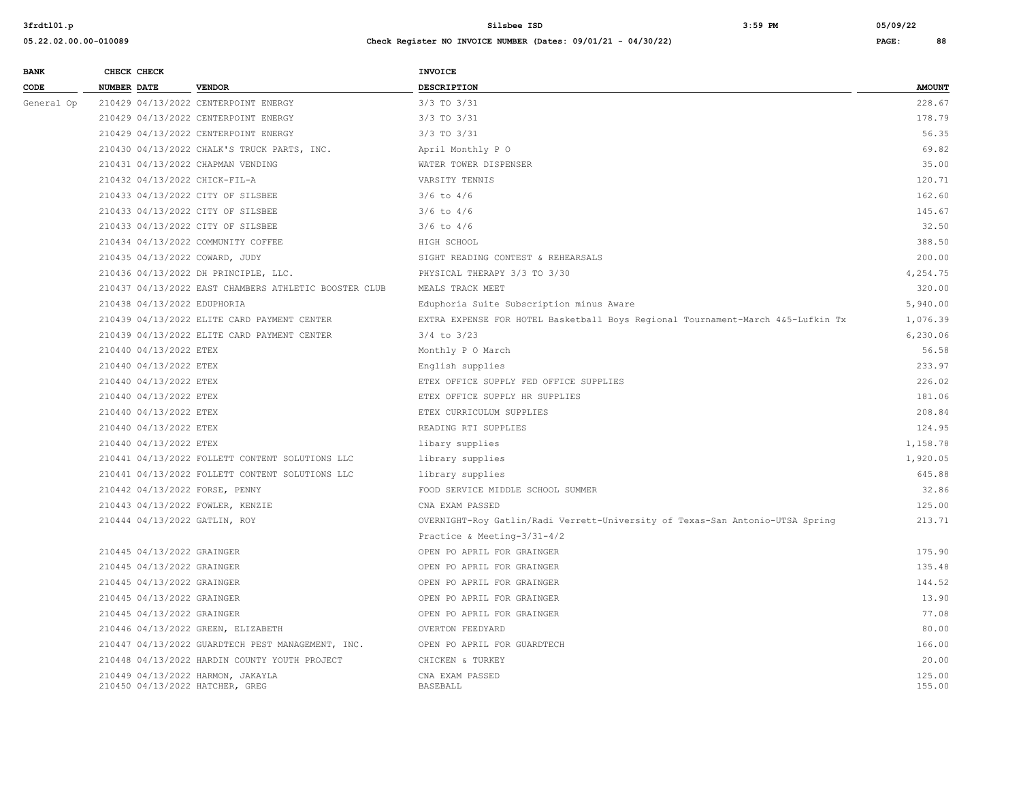| <b>BANK</b> | CHECK CHECK |                             |                                                                      | <b>INVOICE</b>                                                                  |                  |
|-------------|-------------|-----------------------------|----------------------------------------------------------------------|---------------------------------------------------------------------------------|------------------|
| CODE        | NUMBER DATE |                             | <b>VENDOR</b>                                                        | DESCRIPTION                                                                     | <b>AMOUNT</b>    |
| General Op  |             |                             | 210429 04/13/2022 CENTERPOINT ENERGY                                 | 3/3 TO 3/31                                                                     | 228.67           |
|             |             |                             | 210429 04/13/2022 CENTERPOINT ENERGY                                 | 3/3 TO 3/31                                                                     | 178.79           |
|             |             |                             | 210429 04/13/2022 CENTERPOINT ENERGY                                 | 3/3 TO 3/31                                                                     | 56.35            |
|             |             |                             | 210430 04/13/2022 CHALK'S TRUCK PARTS, INC.                          | April Monthly P O                                                               | 69.82            |
|             |             |                             | 210431 04/13/2022 CHAPMAN VENDING                                    | WATER TOWER DISPENSER                                                           | 35.00            |
|             |             |                             | 210432 04/13/2022 CHICK-FIL-A                                        | VARSITY TENNIS                                                                  | 120.71           |
|             |             |                             | 210433 04/13/2022 CITY OF SILSBEE                                    | $3/6$ to $4/6$                                                                  | 162.60           |
|             |             |                             | 210433 04/13/2022 CITY OF SILSBEE                                    | $3/6$ to $4/6$                                                                  | 145.67           |
|             |             |                             | 210433 04/13/2022 CITY OF SILSBEE                                    | $3/6$ to $4/6$                                                                  | 32.50            |
|             |             |                             | 210434 04/13/2022 COMMUNITY COFFEE                                   | HIGH SCHOOL                                                                     | 388.50           |
|             |             |                             | 210435 04/13/2022 COWARD, JUDY                                       | SIGHT READING CONTEST & REHEARSALS                                              | 200.00           |
|             |             |                             | 210436 04/13/2022 DH PRINCIPLE, LLC.                                 | PHYSICAL THERAPY 3/3 TO 3/30                                                    | 4,254.75         |
|             |             |                             | 210437 04/13/2022 EAST CHAMBERS ATHLETIC BOOSTER CLUB                | MEALS TRACK MEET                                                                | 320.00           |
|             |             | 210438 04/13/2022 EDUPHORIA |                                                                      | Eduphoria Suite Subscription minus Aware                                        | 5,940.00         |
|             |             |                             | 210439 04/13/2022 ELITE CARD PAYMENT CENTER                          | EXTRA EXPENSE FOR HOTEL Basketball Boys Regional Tournament-March 4&5-Lufkin Tx | 1,076.39         |
|             |             |                             | 210439 04/13/2022 ELITE CARD PAYMENT CENTER                          | $3/4$ to $3/23$                                                                 | 6,230.06         |
|             |             | 210440 04/13/2022 ETEX      |                                                                      | Monthly P O March                                                               | 56.58            |
|             |             | 210440 04/13/2022 ETEX      |                                                                      | English supplies                                                                | 233.97           |
|             |             | 210440 04/13/2022 ETEX      |                                                                      | ETEX OFFICE SUPPLY FED OFFICE SUPPLIES                                          | 226.02           |
|             |             | 210440 04/13/2022 ETEX      |                                                                      | ETEX OFFICE SUPPLY HR SUPPLIES                                                  | 181.06           |
|             |             | 210440 04/13/2022 ETEX      |                                                                      | ETEX CURRICULUM SUPPLIES                                                        | 208.84           |
|             |             | 210440 04/13/2022 ETEX      |                                                                      | READING RTI SUPPLIES                                                            | 124.95           |
|             |             | 210440 04/13/2022 ETEX      |                                                                      | libary supplies                                                                 | 1,158.78         |
|             |             |                             | 210441 04/13/2022 FOLLETT CONTENT SOLUTIONS LLC                      | library supplies                                                                | 1,920.05         |
|             |             |                             | 210441 04/13/2022 FOLLETT CONTENT SOLUTIONS LLC                      | library supplies                                                                | 645.88           |
|             |             |                             | 210442 04/13/2022 FORSE, PENNY                                       | FOOD SERVICE MIDDLE SCHOOL SUMMER                                               | 32.86            |
|             |             |                             | 210443 04/13/2022 FOWLER, KENZIE                                     | CNA EXAM PASSED                                                                 | 125.00           |
|             |             |                             | 210444 04/13/2022 GATLIN, ROY                                        | OVERNIGHT-Roy Gatlin/Radi Verrett-University of Texas-San Antonio-UTSA Spring   | 213.71           |
|             |             |                             |                                                                      | Practice & Meeting-3/31-4/2                                                     |                  |
|             |             | 210445 04/13/2022 GRAINGER  |                                                                      | OPEN PO APRIL FOR GRAINGER                                                      | 175.90           |
|             |             | 210445 04/13/2022 GRAINGER  |                                                                      | OPEN PO APRIL FOR GRAINGER                                                      | 135.48           |
|             |             | 210445 04/13/2022 GRAINGER  |                                                                      | OPEN PO APRIL FOR GRAINGER                                                      | 144.52           |
|             |             | 210445 04/13/2022 GRAINGER  |                                                                      | OPEN PO APRIL FOR GRAINGER                                                      | 13.90            |
|             |             | 210445 04/13/2022 GRAINGER  |                                                                      | OPEN PO APRIL FOR GRAINGER                                                      | 77.08            |
|             |             |                             | 210446 04/13/2022 GREEN, ELIZABETH                                   | OVERTON FEEDYARD                                                                | 80.00            |
|             |             |                             | 210447 04/13/2022 GUARDTECH PEST MANAGEMENT, INC.                    | OPEN PO APRIL FOR GUARDTECH                                                     | 166.00           |
|             |             |                             | 210448 04/13/2022 HARDIN COUNTY YOUTH PROJECT                        | CHICKEN & TURKEY                                                                | 20.00            |
|             |             |                             | 210449 04/13/2022 HARMON, JAKAYLA<br>210450 04/13/2022 HATCHER, GREG | CNA EXAM PASSED<br><b>BASEBALL</b>                                              | 125.00<br>155.00 |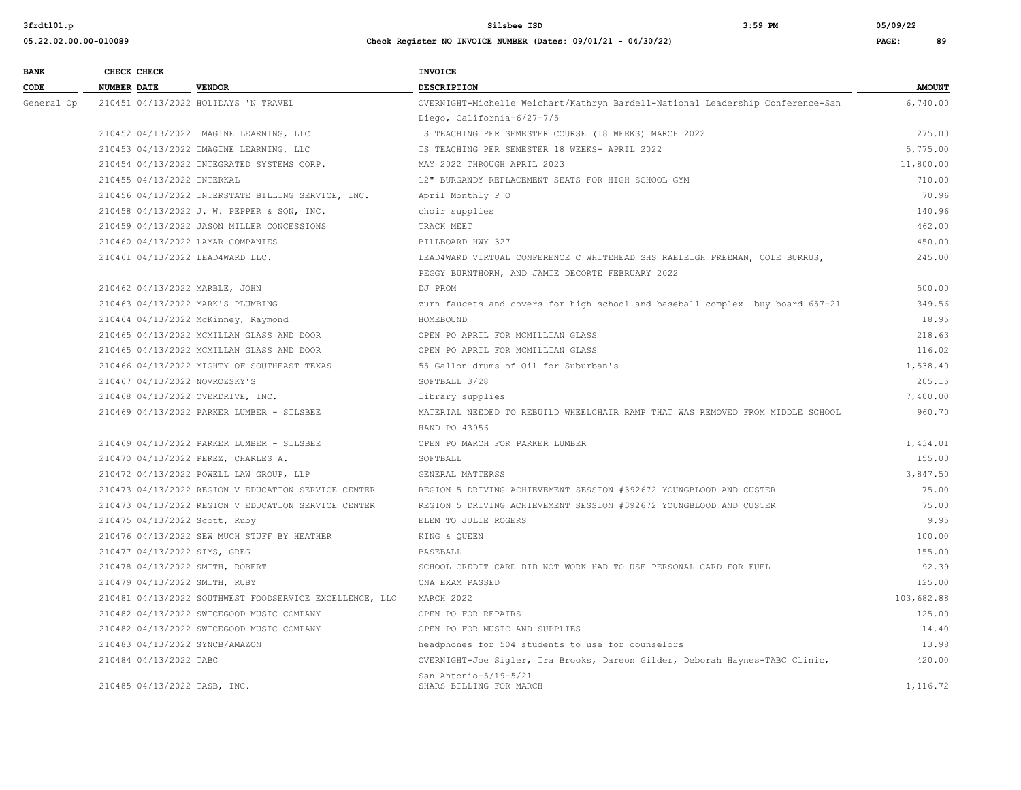| <b>BANK</b> | CHECK CHECK        |                            |                                                         | <b>INVOICE</b>                                                                 |               |
|-------------|--------------------|----------------------------|---------------------------------------------------------|--------------------------------------------------------------------------------|---------------|
| CODE        | <b>NUMBER DATE</b> |                            | <b>VENDOR</b>                                           | <b>DESCRIPTION</b>                                                             | <b>AMOUNT</b> |
| General Op  |                    |                            | 210451 04/13/2022 HOLIDAYS 'N TRAVEL                    | OVERNIGHT-Michelle Weichart/Kathryn Bardell-National Leadership Conference-San | 6,740.00      |
|             |                    |                            |                                                         | Diego, California-6/27-7/5                                                     |               |
|             |                    |                            | 210452 04/13/2022 IMAGINE LEARNING, LLC                 | IS TEACHING PER SEMESTER COURSE (18 WEEKS) MARCH 2022                          | 275.00        |
|             |                    |                            | 210453 04/13/2022 IMAGINE LEARNING, LLC                 | IS TEACHING PER SEMESTER 18 WEEKS- APRIL 2022                                  | 5,775.00      |
|             |                    |                            | 210454 04/13/2022 INTEGRATED SYSTEMS CORP.              | MAY 2022 THROUGH APRIL 2023                                                    | 11,800.00     |
|             |                    | 210455 04/13/2022 INTERKAL |                                                         | 12" BURGANDY REPLACEMENT SEATS FOR HIGH SCHOOL GYM                             | 710.00        |
|             |                    |                            | 210456 04/13/2022 INTERSTATE BILLING SERVICE, INC.      | April Monthly P O                                                              | 70.96         |
|             |                    |                            | 210458 04/13/2022 J. W. PEPPER & SON, INC.              | choir supplies                                                                 | 140.96        |
|             |                    |                            | 210459 04/13/2022 JASON MILLER CONCESSIONS              | TRACK MEET                                                                     | 462.00        |
|             |                    |                            | 210460 04/13/2022 LAMAR COMPANIES                       | BILLBOARD HWY 327                                                              | 450.00        |
|             |                    |                            | 210461 04/13/2022 LEAD4WARD LLC.                        | LEAD4WARD VIRTUAL CONFERENCE C WHITEHEAD SHS RAELEIGH FREEMAN, COLE BURRUS,    | 245.00        |
|             |                    |                            |                                                         | PEGGY BURNTHORN, AND JAMIE DECORTE FEBRUARY 2022                               |               |
|             |                    |                            | 210462 04/13/2022 MARBLE, JOHN                          | DJ PROM                                                                        | 500.00        |
|             |                    |                            | 210463 04/13/2022 MARK'S PLUMBING                       | zurn faucets and covers for high school and baseball complex buy board 657-21  | 349.56        |
|             |                    |                            | 210464 04/13/2022 McKinney, Raymond                     | HOMEBOUND                                                                      | 18.95         |
|             |                    |                            | 210465 04/13/2022 MCMILLAN GLASS AND DOOR               | OPEN PO APRIL FOR MCMILLIAN GLASS                                              | 218.63        |
|             |                    |                            | 210465 04/13/2022 MCMILLAN GLASS AND DOOR               | OPEN PO APRIL FOR MCMILLIAN GLASS                                              | 116.02        |
|             |                    |                            | 210466 04/13/2022 MIGHTY OF SOUTHEAST TEXAS             | 55 Gallon drums of Oil for Suburban's                                          | 1,538.40      |
|             |                    |                            | 210467 04/13/2022 NOVROZSKY'S                           | SOFTBALL 3/28                                                                  | 205.15        |
|             |                    |                            | 210468 04/13/2022 OVERDRIVE, INC.                       | library supplies                                                               | 7,400.00      |
|             |                    |                            | 210469 04/13/2022 PARKER LUMBER - SILSBEE               | MATERIAL NEEDED TO REBUILD WHEELCHAIR RAMP THAT WAS REMOVED FROM MIDDLE SCHOOL | 960.70        |
|             |                    |                            |                                                         | HAND PO 43956                                                                  |               |
|             |                    |                            | 210469 04/13/2022 PARKER LUMBER - SILSBEE               | OPEN PO MARCH FOR PARKER LUMBER                                                | 1,434.01      |
|             |                    |                            | 210470 04/13/2022 PEREZ, CHARLES A.                     | SOFTBALL                                                                       | 155.00        |
|             |                    |                            | 210472 04/13/2022 POWELL LAW GROUP, LLP                 | GENERAL MATTERSS                                                               | 3,847.50      |
|             |                    |                            | 210473 04/13/2022 REGION V EDUCATION SERVICE CENTER     | REGION 5 DRIVING ACHIEVEMENT SESSION #392672 YOUNGBLOOD AND CUSTER             | 75.00         |
|             |                    |                            | 210473 04/13/2022 REGION V EDUCATION SERVICE CENTER     | REGION 5 DRIVING ACHIEVEMENT SESSION #392672 YOUNGBLOOD AND CUSTER             | 75.00         |
|             |                    |                            | 210475 04/13/2022 Scott, Ruby                           | ELEM TO JULIE ROGERS                                                           | 9.95          |
|             |                    |                            | 210476 04/13/2022 SEW MUCH STUFF BY HEATHER             | KING & QUEEN                                                                   | 100.00        |
|             |                    |                            | 210477 04/13/2022 SIMS, GREG                            | BASEBALL                                                                       | 155.00        |
|             |                    |                            | 210478 04/13/2022 SMITH, ROBERT                         | SCHOOL CREDIT CARD DID NOT WORK HAD TO USE PERSONAL CARD FOR FUEL              | 92.39         |
|             |                    |                            | 210479 04/13/2022 SMITH, RUBY                           | CNA EXAM PASSED                                                                | 125.00        |
|             |                    |                            | 210481 04/13/2022 SOUTHWEST FOODSERVICE EXCELLENCE, LLC | MARCH 2022                                                                     | 103,682.88    |
|             |                    |                            | 210482 04/13/2022 SWICEGOOD MUSIC COMPANY               | OPEN PO FOR REPAIRS                                                            | 125.00        |
|             |                    |                            | 210482 04/13/2022 SWICEGOOD MUSIC COMPANY               | OPEN PO FOR MUSIC AND SUPPLIES                                                 | 14.40         |
|             |                    |                            | 210483 04/13/2022 SYNCB/AMAZON                          | headphones for 504 students to use for counselors                              | 13.98         |
|             |                    | 210484 04/13/2022 TABC     |                                                         | OVERNIGHT-Joe Sigler, Ira Brooks, Dareon Gilder, Deborah Haynes-TABC Clinic,   | 420.00        |
|             |                    |                            | 210485 04/13/2022 TASB, INC.                            | San Antonio-5/19-5/21<br>SHARS BILLING FOR MARCH                               | 1,116.72      |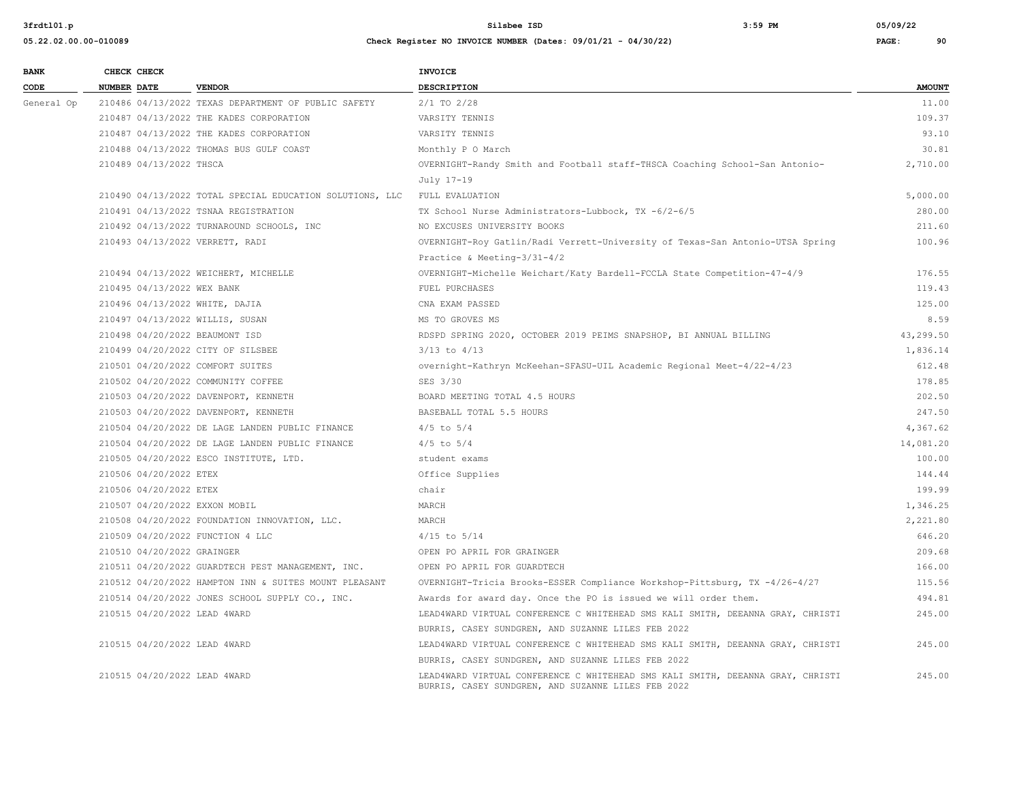| <b>BANK</b> |                    | CHECK CHECK                |                                                          | <b>INVOICE</b>                                                                                                                       |               |
|-------------|--------------------|----------------------------|----------------------------------------------------------|--------------------------------------------------------------------------------------------------------------------------------------|---------------|
| CODE        | <b>NUMBER DATE</b> |                            | <b>VENDOR</b>                                            | DESCRIPTION                                                                                                                          | <b>AMOUNT</b> |
| General Op  |                    |                            | 210486 04/13/2022 TEXAS DEPARTMENT OF PUBLIC SAFETY      | $2/1$ TO $2/28$                                                                                                                      | 11.00         |
|             |                    |                            | 210487 04/13/2022 THE KADES CORPORATION                  | VARSITY TENNIS                                                                                                                       | 109.37        |
|             |                    |                            | 210487 04/13/2022 THE KADES CORPORATION                  | VARSITY TENNIS                                                                                                                       | 93.10         |
|             |                    |                            | 210488 04/13/2022 THOMAS BUS GULF COAST                  | Monthly P O March                                                                                                                    | 30.81         |
|             |                    | 210489 04/13/2022 THSCA    |                                                          | OVERNIGHT-Randy Smith and Football staff-THSCA Coaching School-San Antonio-                                                          | 2,710.00      |
|             |                    |                            |                                                          | July 17-19                                                                                                                           |               |
|             |                    |                            | 210490 04/13/2022 TOTAL SPECIAL EDUCATION SOLUTIONS, LLC | FULL EVALUATION                                                                                                                      | 5,000.00      |
|             |                    |                            | 210491 04/13/2022 TSNAA REGISTRATION                     | TX School Nurse Administrators-Lubbock, TX -6/2-6/5                                                                                  | 280.00        |
|             |                    |                            | 210492 04/13/2022 TURNAROUND SCHOOLS, INC                | NO EXCUSES UNIVERSITY BOOKS                                                                                                          | 211.60        |
|             |                    |                            | 210493 04/13/2022 VERRETT, RADI                          | OVERNIGHT-Roy Gatlin/Radi Verrett-University of Texas-San Antonio-UTSA Spring                                                        | 100.96        |
|             |                    |                            |                                                          | Practice & Meeting- $3/31-4/2$                                                                                                       |               |
|             |                    |                            | 210494 04/13/2022 WEICHERT, MICHELLE                     | OVERNIGHT-Michelle Weichart/Katy Bardell-FCCLA State Competition-47-4/9                                                              | 176.55        |
|             |                    | 210495 04/13/2022 WEX BANK |                                                          | FUEL PURCHASES                                                                                                                       | 119.43        |
|             |                    |                            | 210496 04/13/2022 WHITE, DAJIA                           | CNA EXAM PASSED                                                                                                                      | 125.00        |
|             |                    |                            | 210497 04/13/2022 WILLIS, SUSAN                          | MS TO GROVES MS                                                                                                                      | 8.59          |
|             |                    |                            | 210498 04/20/2022 BEAUMONT ISD                           | RDSPD SPRING 2020, OCTOBER 2019 PEIMS SNAPSHOP, BI ANNUAL BILLING                                                                    | 43,299.50     |
|             |                    |                            | 210499 04/20/2022 CITY OF SILSBEE                        | $3/13$ to $4/13$                                                                                                                     | 1,836.14      |
|             |                    |                            | 210501 04/20/2022 COMFORT SUITES                         | overnight-Kathryn McKeehan-SFASU-UIL Academic Regional Meet-4/22-4/23                                                                | 612.48        |
|             |                    |                            | 210502 04/20/2022 COMMUNITY COFFEE                       | SES 3/30                                                                                                                             | 178.85        |
|             |                    |                            | 210503 04/20/2022 DAVENPORT, KENNETH                     | BOARD MEETING TOTAL 4.5 HOURS                                                                                                        | 202.50        |
|             |                    |                            | 210503 04/20/2022 DAVENPORT, KENNETH                     | BASEBALL TOTAL 5.5 HOURS                                                                                                             | 247.50        |
|             |                    |                            | 210504 04/20/2022 DE LAGE LANDEN PUBLIC FINANCE          | $4/5$ to $5/4$                                                                                                                       | 4,367.62      |
|             |                    |                            | 210504 04/20/2022 DE LAGE LANDEN PUBLIC FINANCE          | $4/5$ to $5/4$                                                                                                                       | 14,081.20     |
|             |                    |                            | 210505 04/20/2022 ESCO INSTITUTE, LTD.                   | student exams                                                                                                                        | 100.00        |
|             |                    | 210506 04/20/2022 ETEX     |                                                          | Office Supplies                                                                                                                      | 144.44        |
|             |                    | 210506 04/20/2022 ETEX     |                                                          | chair                                                                                                                                | 199.99        |
|             |                    |                            | 210507 04/20/2022 EXXON MOBIL                            | MARCH                                                                                                                                | 1,346.25      |
|             |                    |                            | 210508 04/20/2022 FOUNDATION INNOVATION, LLC.            | MARCH                                                                                                                                | 2,221.80      |
|             |                    |                            | 210509 04/20/2022 FUNCTION 4 LLC                         | $4/15$ to $5/14$                                                                                                                     | 646.20        |
|             |                    | 210510 04/20/2022 GRAINGER |                                                          | OPEN PO APRIL FOR GRAINGER                                                                                                           | 209.68        |
|             |                    |                            | 210511 04/20/2022 GUARDTECH PEST MANAGEMENT, INC.        | OPEN PO APRIL FOR GUARDTECH                                                                                                          | 166.00        |
|             |                    |                            | 210512 04/20/2022 HAMPTON INN & SUITES MOUNT PLEASANT    | OVERNIGHT-Tricia Brooks-ESSER Compliance Workshop-Pittsburg, TX -4/26-4/27                                                           | 115.56        |
|             |                    |                            | 210514 04/20/2022 JONES SCHOOL SUPPLY CO., INC.          | Awards for award day. Once the PO is issued we will order them.                                                                      | 494.81        |
|             |                    |                            | 210515 04/20/2022 LEAD 4WARD                             | LEAD4WARD VIRTUAL CONFERENCE C WHITEHEAD SMS KALI SMITH, DEEANNA GRAY, CHRISTI                                                       | 245.00        |
|             |                    |                            |                                                          | BURRIS, CASEY SUNDGREN, AND SUZANNE LILES FEB 2022                                                                                   |               |
|             |                    |                            | 210515 04/20/2022 LEAD 4WARD                             | LEAD4WARD VIRTUAL CONFERENCE C WHITEHEAD SMS KALI SMITH, DEEANNA GRAY, CHRISTI                                                       | 245.00        |
|             |                    |                            |                                                          | BURRIS, CASEY SUNDGREN, AND SUZANNE LILES FEB 2022                                                                                   |               |
|             |                    |                            | 210515 04/20/2022 LEAD 4WARD                             | LEAD4WARD VIRTUAL CONFERENCE C WHITEHEAD SMS KALI SMITH, DEEANNA GRAY, CHRISTI<br>BURRIS, CASEY SUNDGREN, AND SUZANNE LILES FEB 2022 | 245.00        |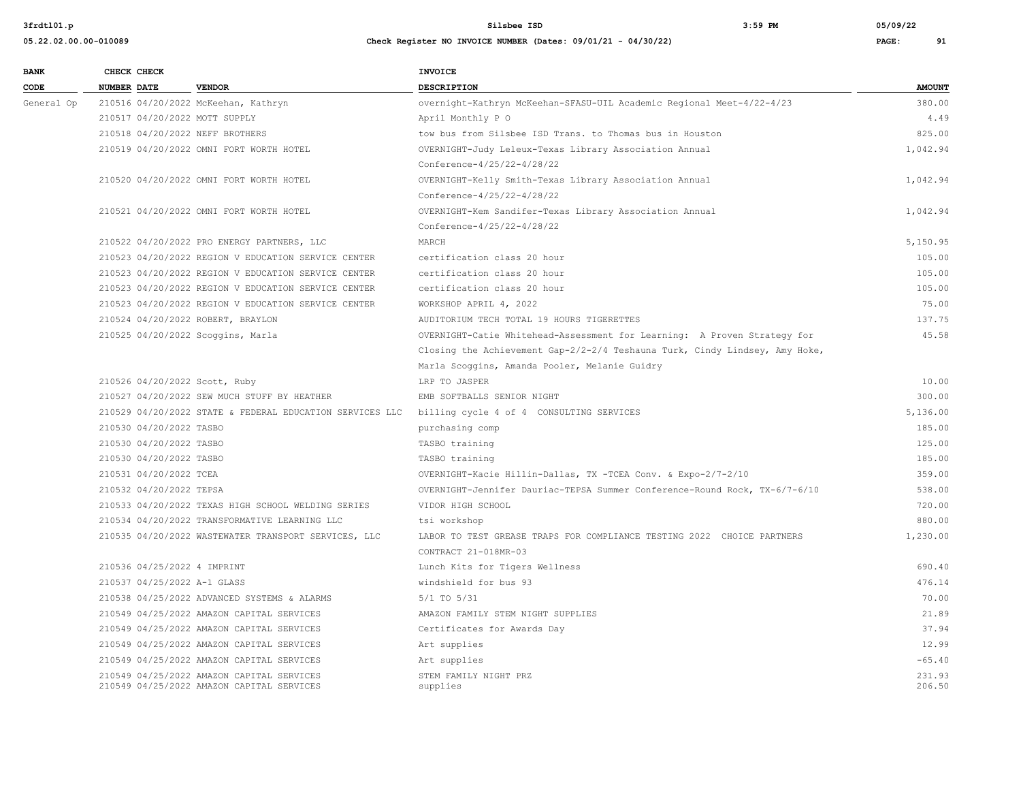| <b>BANK</b> | CHECK CHECK                       |                                                          | <b>INVOICE</b>                                                              |               |
|-------------|-----------------------------------|----------------------------------------------------------|-----------------------------------------------------------------------------|---------------|
| CODE        | <b>NUMBER DATE</b>                | <b>VENDOR</b>                                            | DESCRIPTION                                                                 | <b>AMOUNT</b> |
| General Op  |                                   | 210516 04/20/2022 McKeehan, Kathryn                      | overnight-Kathryn McKeehan-SFASU-UIL Academic Regional Meet-4/22-4/23       | 380.00        |
|             | 210517 04/20/2022 MOTT SUPPLY     |                                                          | April Monthly P O                                                           | 4.49          |
|             | 210518 04/20/2022 NEFF BROTHERS   |                                                          | tow bus from Silsbee ISD Trans. to Thomas bus in Houston                    | 825.00        |
|             |                                   | 210519 04/20/2022 OMNI FORT WORTH HOTEL                  | OVERNIGHT-Judy Leleux-Texas Library Association Annual                      | 1,042.94      |
|             |                                   |                                                          | Conference-4/25/22-4/28/22                                                  |               |
|             |                                   | 210520 04/20/2022 OMNI FORT WORTH HOTEL                  | OVERNIGHT-Kelly Smith-Texas Library Association Annual                      | 1,042.94      |
|             |                                   |                                                          | Conference-4/25/22-4/28/22                                                  |               |
|             |                                   | 210521 04/20/2022 OMNI FORT WORTH HOTEL                  | OVERNIGHT-Kem Sandifer-Texas Library Association Annual                     | 1,042.94      |
|             |                                   |                                                          | Conference-4/25/22-4/28/22                                                  |               |
|             |                                   | 210522 04/20/2022 PRO ENERGY PARTNERS, LLC               | MARCH                                                                       | 5,150.95      |
|             |                                   | 210523 04/20/2022 REGION V EDUCATION SERVICE CENTER      | certification class 20 hour                                                 | 105.00        |
|             |                                   | 210523 04/20/2022 REGION V EDUCATION SERVICE CENTER      | certification class 20 hour                                                 | 105.00        |
|             |                                   | 210523 04/20/2022 REGION V EDUCATION SERVICE CENTER      | certification class 20 hour                                                 | 105.00        |
|             |                                   | 210523 04/20/2022 REGION V EDUCATION SERVICE CENTER      | WORKSHOP APRIL 4, 2022                                                      | 75.00         |
|             | 210524 04/20/2022 ROBERT, BRAYLON |                                                          | AUDITORIUM TECH TOTAL 19 HOURS TIGERETTES                                   | 137.75        |
|             | 210525 04/20/2022 Scoggins, Marla |                                                          | OVERNIGHT-Catie Whitehead-Assessment for Learning: A Proven Strategy for    | 45.58         |
|             |                                   |                                                          | Closing the Achievement Gap-2/2-2/4 Teshauna Turk, Cindy Lindsey, Amy Hoke, |               |
|             |                                   |                                                          | Marla Scoggins, Amanda Pooler, Melanie Guidry                               |               |
|             | 210526 04/20/2022 Scott, Ruby     |                                                          | LRP TO JASPER                                                               | 10.00         |
|             |                                   | 210527 04/20/2022 SEW MUCH STUFF BY HEATHER              | EMB SOFTBALLS SENIOR NIGHT                                                  | 300.00        |
|             |                                   | 210529 04/20/2022 STATE & FEDERAL EDUCATION SERVICES LLC | billing cycle 4 of 4 CONSULTING SERVICES                                    | 5,136.00      |
|             | 210530 04/20/2022 TASBO           |                                                          | purchasing comp                                                             | 185.00        |
|             | 210530 04/20/2022 TASBO           |                                                          | TASBO training                                                              | 125.00        |
|             | 210530 04/20/2022 TASBO           |                                                          | TASBO training                                                              | 185.00        |
|             | 210531 04/20/2022 TCEA            |                                                          | OVERNIGHT-Kacie Hillin-Dallas, TX -TCEA Conv. & Expo-2/7-2/10               | 359.00        |
|             | 210532 04/20/2022 TEPSA           |                                                          | OVERNIGHT-Jennifer Dauriac-TEPSA Summer Conference-Round Rock, TX-6/7-6/10  | 538.00        |
|             |                                   | 210533 04/20/2022 TEXAS HIGH SCHOOL WELDING SERIES       | VIDOR HIGH SCHOOL                                                           | 720.00        |
|             |                                   | 210534 04/20/2022 TRANSFORMATIVE LEARNING LLC            | tsi workshop                                                                | 880.00        |
|             |                                   | 210535 04/20/2022 WASTEWATER TRANSPORT SERVICES, LLC     | LABOR TO TEST GREASE TRAPS FOR COMPLIANCE TESTING 2022 CHOICE PARTNERS      | 1,230.00      |
|             |                                   |                                                          | CONTRACT 21-018MR-03                                                        |               |
|             | 210536 04/25/2022 4 IMPRINT       |                                                          | Lunch Kits for Tigers Wellness                                              | 690.40        |
|             | 210537 04/25/2022 A-1 GLASS       |                                                          | windshield for bus 93                                                       | 476.14        |
|             |                                   | 210538 04/25/2022 ADVANCED SYSTEMS & ALARMS              | $5/1$ TO $5/31$                                                             | 70.00         |
|             |                                   | 210549 04/25/2022 AMAZON CAPITAL SERVICES                | AMAZON FAMILY STEM NIGHT SUPPLIES                                           | 21.89         |
|             |                                   | 210549 04/25/2022 AMAZON CAPITAL SERVICES                | Certificates for Awards Day                                                 | 37.94         |
|             |                                   | 210549 04/25/2022 AMAZON CAPITAL SERVICES                | Art supplies                                                                | 12.99         |
|             |                                   | 210549 04/25/2022 AMAZON CAPITAL SERVICES                | Art supplies                                                                | $-65.40$      |
|             |                                   | 210549 04/25/2022 AMAZON CAPITAL SERVICES                | STEM FAMILY NIGHT PRZ                                                       | 231.93        |
|             |                                   | 210549 04/25/2022 AMAZON CAPITAL SERVICES                | supplies                                                                    | 206.50        |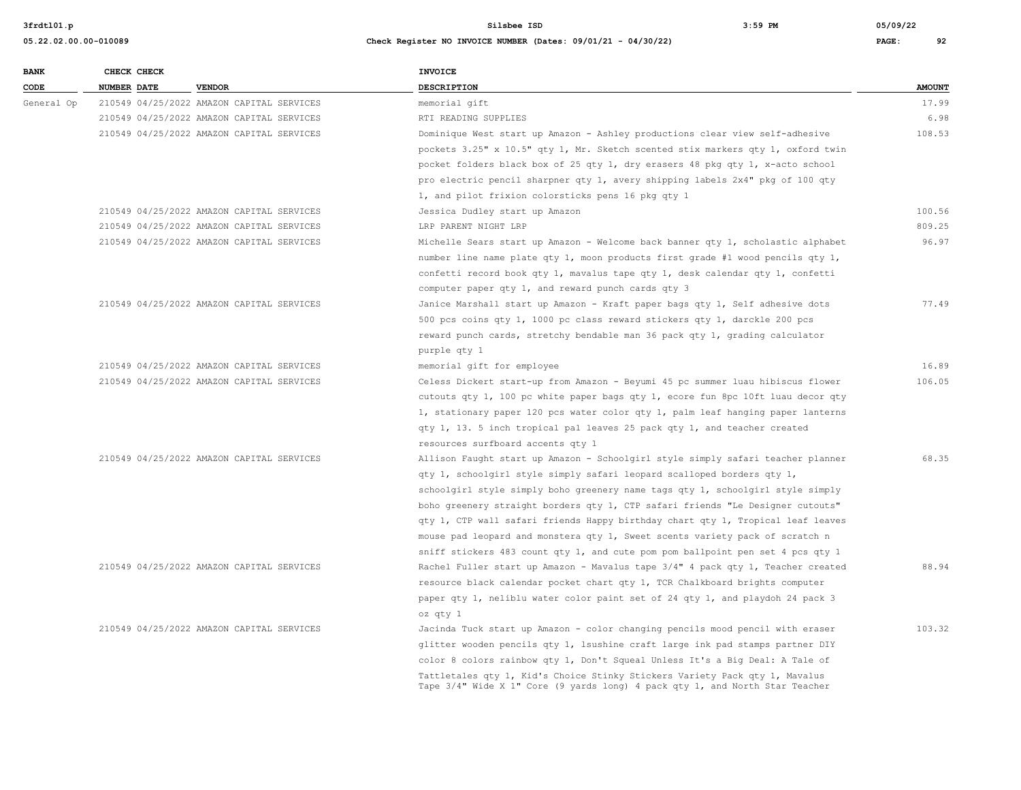**05.22.02.00.00-010089 Check Register NO INVOICE NUMBER (Dates: 09/01/21 - 04/30/22) PAGE: 92**

# **BANK CHECK CHECK CHECK CODE NUMBER DATE VENDOR DESCRIPTION AMOUNT** General Op 210549 04/25/2022 AMAZON CAPITAL SERVICES memorial qift 17.99 210549 04/25/2022 AMAZON CAPITAL SERVICES RTI READING SUPPLIES 6.98 210549 04/25/2022 AMAZON CAPITAL SERVICES Dominique West start up Amazon - Ashley productions clear view self-adhesive 108.53 pockets 3.25" x 10.5" qty 1, Mr. Sketch scented stix markers qty 1, oxford twin pocket folders black box of 25 qty 1, dry erasers 48 pkg qty 1, x-acto school pro electric pencil sharpner qty 1, avery shipping labels 2x4" pkg of 100 qty 1, and pilot frixion colorsticks pens 16 pkg qty 1 210549 04/25/2022 AMAZON CAPITAL SERVICES Jessica Dudley start up Amazon 100.56 210549 04/25/2022 AMAZON CAPITAL SERVICES LRP PARENT NIGHT LRP 809.25 210549 04/25/2022 AMAZON CAPITAL SERVICES Michelle Sears start up Amazon - Welcome back banner qty 1, scholastic alphabet 96.97 number line name plate qty 1, moon products first grade #1 wood pencils qty 1, confetti record book qty 1, mavalus tape qty 1, desk calendar qty 1, confetti computer paper qty 1, and reward punch cards qty 3 210549 04/25/2022 AMAZON CAPITAL SERVICES Janice Marshall start up Amazon - Kraft paper bags qty 1, Self adhesive dots 77.49 500 pcs coins qty 1, 1000 pc class reward stickers qty 1, darckle 200 pcs reward punch cards, stretchy bendable man 36 pack qty 1, grading calculator purple qty 1 210549 04/25/2022 AMAZON CAPITAL SERVICES memorial gift for employee 16.89 210549 04/25/2022 AMAZON CAPITAL SERVICES Celess Dickert start-up from Amazon - Beyumi 45 pc summer luau hibiscus flower 106.05 cutouts qty 1, 100 pc white paper bags qty 1, ecore fun 8pc 10ft luau decor qty 1, stationary paper 120 pcs water color qty 1, palm leaf hanging paper lanterns qty 1, 13. 5 inch tropical pal leaves 25 pack qty 1, and teacher created resources surfboard accents qty 1 210549 04/25/2022 AMAZON CAPITAL SERVICES Allison Faught start up Amazon - Schoolgirl style simply safari teacher planner 68.35 qty 1, schoolgirl style simply safari leopard scalloped borders qty 1, schoolgirl style simply boho greenery name tags qty 1, schoolgirl style simply boho greenery straight borders qty 1, CTP safari friends "Le Designer cutouts" qty 1, CTP wall safari friends Happy birthday chart qty 1, Tropical leaf leaves mouse pad leopard and monstera qty 1, Sweet scents variety pack of scratch n sniff stickers 483 count qty 1, and cute pom pom ballpoint pen set 4 pcs qty 1 210549 04/25/2022 AMAZON CAPITAL SERVICES Rachel Fuller start up Amazon - Mavalus tape 3/4" 4 pack qty 1, Teacher created 88.94 resource black calendar pocket chart qty 1, TCR Chalkboard brights computer paper qty 1, neliblu water color paint set of 24 qty 1, and playdoh 24 pack 3 oz qty 1 210549 04/25/2022 AMAZON CAPITAL SERVICES Jacinda Tuck start up Amazon - color changing pencils mood pencil with eraser 103.32 glitter wooden pencils qty 1, lsushine craft large ink pad stamps partner DIY color 8 colors rainbow qty 1, Don't Squeal Unless It's a Big Deal: A Tale of Tattletales qty 1, Kid's Choice Stinky Stickers Variety Pack qty 1, Mavalus Tape 3/4" Wide X 1" Core (9 yards long) 4 pack qty 1, and North Star Teacher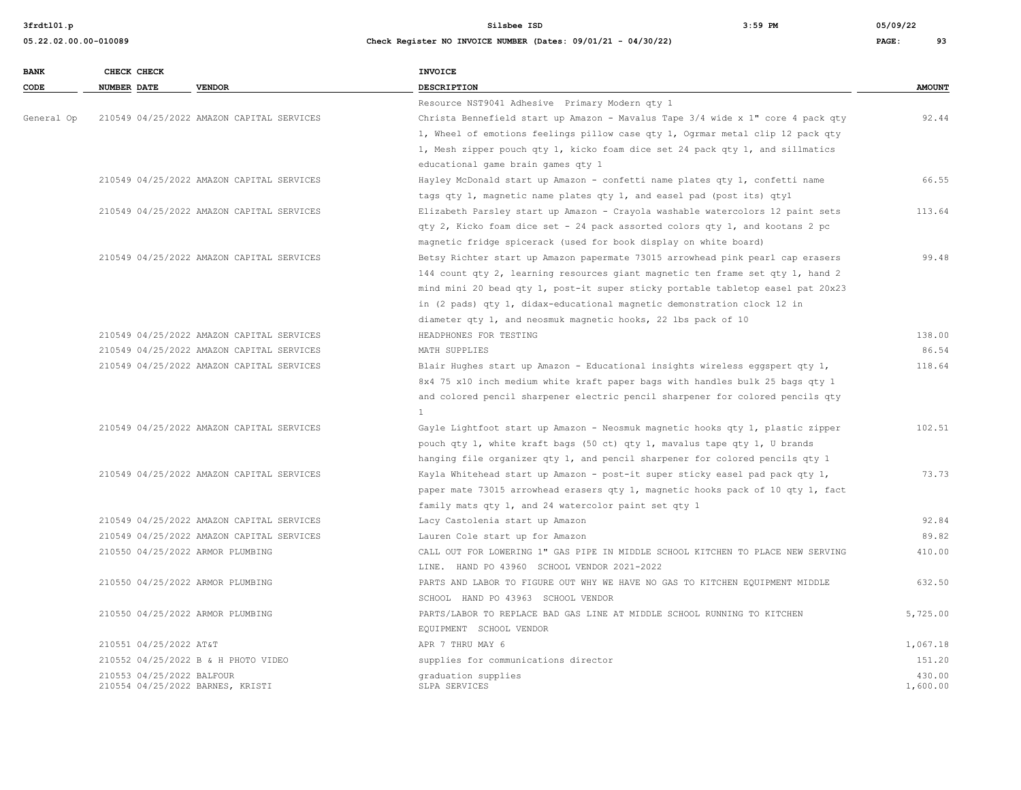**3frdtl01.p Silsbee ISD 3:59 PM 05/09/22**

| <b>BANK</b> | CHECK CHECK               |                                           | INVOICE                                                                         |               |
|-------------|---------------------------|-------------------------------------------|---------------------------------------------------------------------------------|---------------|
| CODE        | NUMBER DATE               | <b>VENDOR</b>                             | DESCRIPTION                                                                     | <b>AMOUNT</b> |
|             |                           |                                           | Resource NST9041 Adhesive Primary Modern qty 1                                  |               |
| General Op  |                           | 210549 04/25/2022 AMAZON CAPITAL SERVICES | Christa Bennefield start up Amazon - Mavalus Tape 3/4 wide x 1" core 4 pack qty | 92.44         |
|             |                           |                                           | 1, Wheel of emotions feelings pillow case qty 1, Ogrmar metal clip 12 pack qty  |               |
|             |                           |                                           | 1, Mesh zipper pouch qty 1, kicko foam dice set 24 pack qty 1, and sillmatics   |               |
|             |                           |                                           | educational game brain games qty 1                                              |               |
|             |                           | 210549 04/25/2022 AMAZON CAPITAL SERVICES | Hayley McDonald start up Amazon - confetti name plates qty 1, confetti name     | 66.55         |
|             |                           |                                           | tags qty 1, magnetic name plates qty 1, and easel pad (post its) qty1           |               |
|             |                           | 210549 04/25/2022 AMAZON CAPITAL SERVICES | Elizabeth Parsley start up Amazon - Crayola washable watercolors 12 paint sets  | 113.64        |
|             |                           |                                           | qty 2, Kicko foam dice set - 24 pack assorted colors qty 1, and kootans 2 pc    |               |
|             |                           |                                           | magnetic fridge spicerack (used for book display on white board)                |               |
|             |                           | 210549 04/25/2022 AMAZON CAPITAL SERVICES | Betsy Richter start up Amazon papermate 73015 arrowhead pink pearl cap erasers  | 99.48         |
|             |                           |                                           | 144 count qty 2, learning resources giant magnetic ten frame set qty 1, hand 2  |               |
|             |                           |                                           | mind mini 20 bead qty 1, post-it super sticky portable tabletop easel pat 20x23 |               |
|             |                           |                                           | in (2 pads) qty 1, didax-educational magnetic demonstration clock 12 in         |               |
|             |                           |                                           | diameter qty 1, and neosmuk magnetic hooks, 22 lbs pack of 10                   |               |
|             |                           | 210549 04/25/2022 AMAZON CAPITAL SERVICES | HEADPHONES FOR TESTING                                                          | 138.00        |
|             |                           | 210549 04/25/2022 AMAZON CAPITAL SERVICES | MATH SUPPLIES                                                                   | 86.54         |
|             |                           | 210549 04/25/2022 AMAZON CAPITAL SERVICES | Blair Hughes start up Amazon - Educational insights wireless eggspert qty 1,    | 118.64        |
|             |                           |                                           | 8x4 75 x10 inch medium white kraft paper bags with handles bulk 25 bags qty 1   |               |
|             |                           |                                           | and colored pencil sharpener electric pencil sharpener for colored pencils qty  |               |
|             |                           |                                           | $\overline{1}$                                                                  |               |
|             |                           | 210549 04/25/2022 AMAZON CAPITAL SERVICES | Gayle Lightfoot start up Amazon - Neosmuk magnetic hooks qty 1, plastic zipper  | 102.51        |
|             |                           |                                           | pouch qty 1, white kraft bags (50 ct) qty 1, mavalus tape qty 1, U brands       |               |
|             |                           |                                           | hanging file organizer qty 1, and pencil sharpener for colored pencils qty 1    |               |
|             |                           | 210549 04/25/2022 AMAZON CAPITAL SERVICES | Kayla Whitehead start up Amazon - post-it super sticky easel pad pack qty 1,    | 73.73         |
|             |                           |                                           | paper mate 73015 arrowhead erasers qty 1, magnetic hooks pack of 10 qty 1, fact |               |
|             |                           |                                           | family mats qty 1, and 24 watercolor paint set qty 1                            |               |
|             |                           | 210549 04/25/2022 AMAZON CAPITAL SERVICES | Lacy Castolenia start up Amazon                                                 | 92.84         |
|             |                           | 210549 04/25/2022 AMAZON CAPITAL SERVICES | Lauren Cole start up for Amazon                                                 | 89.82         |
|             |                           | 210550 04/25/2022 ARMOR PLUMBING          | CALL OUT FOR LOWERING 1" GAS PIPE IN MIDDLE SCHOOL KITCHEN TO PLACE NEW SERVING | 410.00        |
|             |                           |                                           | LINE. HAND PO 43960 SCHOOL VENDOR 2021-2022                                     |               |
|             |                           | 210550 04/25/2022 ARMOR PLUMBING          | PARTS AND LABOR TO FIGURE OUT WHY WE HAVE NO GAS TO KITCHEN EQUIPMENT MIDDLE    | 632.50        |
|             |                           |                                           | SCHOOL HAND PO 43963 SCHOOL VENDOR                                              |               |
|             |                           | 210550 04/25/2022 ARMOR PLUMBING          | PARTS/LABOR TO REPLACE BAD GAS LINE AT MIDDLE SCHOOL RUNNING TO KITCHEN         | 5,725.00      |
|             |                           |                                           | EQUIPMENT SCHOOL VENDOR                                                         |               |
|             | 210551 04/25/2022 AT&T    |                                           | APR 7 THRU MAY 6                                                                | 1,067.18      |
|             |                           | 210552 04/25/2022 B & H PHOTO VIDEO       | supplies for communications director                                            | 151.20        |
|             | 210553 04/25/2022 BALFOUR |                                           | graduation supplies                                                             | 430.00        |
|             |                           | 210554 04/25/2022 BARNES, KRISTI          | SLPA SERVICES                                                                   | 1,600.00      |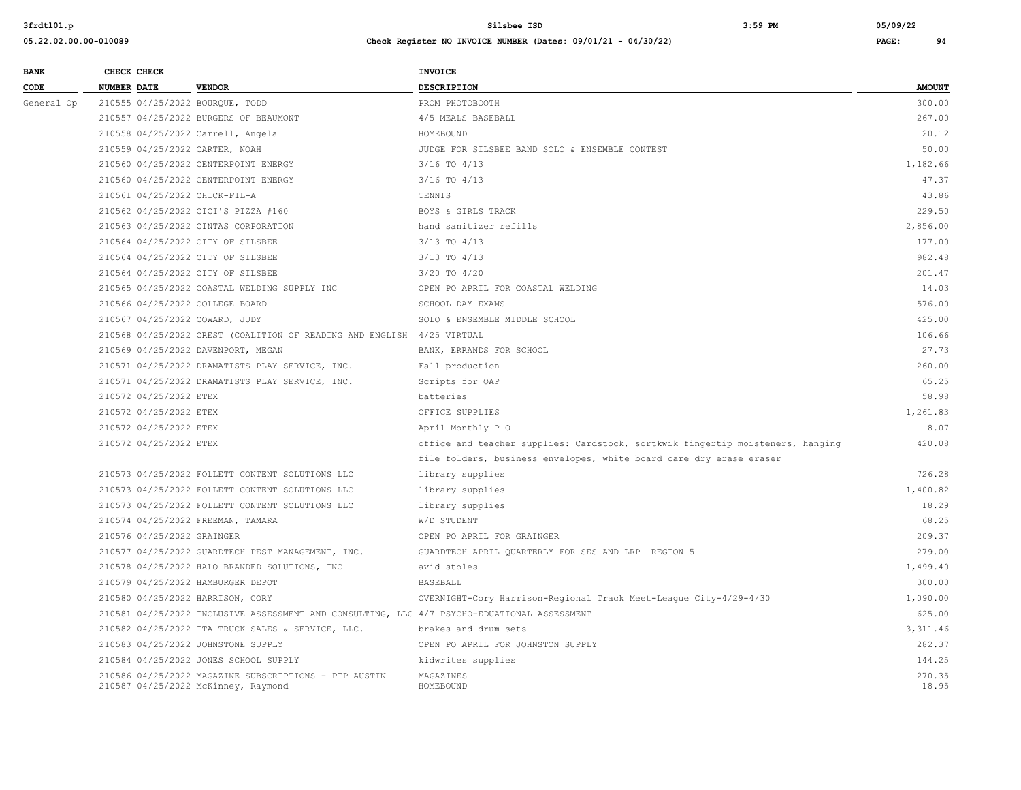| <b>BANK</b> |                    | CHECK CHECK                |                                                                                              | INVOICE                                                                        |                 |
|-------------|--------------------|----------------------------|----------------------------------------------------------------------------------------------|--------------------------------------------------------------------------------|-----------------|
| CODE        | <b>NUMBER DATE</b> |                            | <b>VENDOR</b>                                                                                | DESCRIPTION                                                                    | <b>AMOUNT</b>   |
| General Op  |                    |                            | 210555 04/25/2022 BOURQUE, TODD                                                              | PROM PHOTOBOOTH                                                                | 300.00          |
|             |                    |                            | 210557 04/25/2022 BURGERS OF BEAUMONT                                                        | 4/5 MEALS BASEBALL                                                             | 267.00          |
|             |                    |                            | 210558 04/25/2022 Carrell, Angela                                                            | HOMEBOUND                                                                      | 20.12           |
|             |                    |                            | 210559 04/25/2022 CARTER, NOAH                                                               | JUDGE FOR SILSBEE BAND SOLO & ENSEMBLE CONTEST                                 | 50.00           |
|             |                    |                            | 210560 04/25/2022 CENTERPOINT ENERGY                                                         | $3/16$ TO $4/13$                                                               | 1,182.66        |
|             |                    |                            | 210560 04/25/2022 CENTERPOINT ENERGY                                                         | $3/16$ TO $4/13$                                                               | 47.37           |
|             |                    |                            | 210561 04/25/2022 CHICK-FIL-A                                                                | TENNIS                                                                         | 43.86           |
|             |                    |                            | 210562 04/25/2022 CICI'S PIZZA #160                                                          | BOYS & GIRLS TRACK                                                             | 229.50          |
|             |                    |                            | 210563 04/25/2022 CINTAS CORPORATION                                                         | hand sanitizer refills                                                         | 2,856.00        |
|             |                    |                            | 210564 04/25/2022 CITY OF SILSBEE                                                            | 3/13 TO 4/13                                                                   | 177.00          |
|             |                    |                            | 210564 04/25/2022 CITY OF SILSBEE                                                            | 3/13 TO 4/13                                                                   | 982.48          |
|             |                    |                            | 210564 04/25/2022 CITY OF SILSBEE                                                            | $3/20$ TO $4/20$                                                               | 201.47          |
|             |                    |                            | 210565 04/25/2022 COASTAL WELDING SUPPLY INC                                                 | OPEN PO APRIL FOR COASTAL WELDING                                              | 14.03           |
|             |                    |                            | 210566 04/25/2022 COLLEGE BOARD                                                              | SCHOOL DAY EXAMS                                                               | 576.00          |
|             |                    |                            | 210567 04/25/2022 COWARD, JUDY                                                               | SOLO & ENSEMBLE MIDDLE SCHOOL                                                  | 425.00          |
|             |                    |                            | 210568 04/25/2022 CREST (COALITION OF READING AND ENGLISH 4/25 VIRTUAL                       |                                                                                | 106.66          |
|             |                    |                            | 210569 04/25/2022 DAVENPORT, MEGAN                                                           | BANK, ERRANDS FOR SCHOOL                                                       | 27.73           |
|             |                    |                            | 210571 04/25/2022 DRAMATISTS PLAY SERVICE, INC.                                              | Fall production                                                                | 260.00          |
|             |                    |                            | 210571 04/25/2022 DRAMATISTS PLAY SERVICE, INC.                                              | Scripts for OAP                                                                | 65.25           |
|             |                    | 210572 04/25/2022 ETEX     |                                                                                              | batteries                                                                      | 58.98           |
|             |                    | 210572 04/25/2022 ETEX     |                                                                                              | OFFICE SUPPLIES                                                                | 1,261.83        |
|             |                    | 210572 04/25/2022 ETEX     |                                                                                              | April Monthly P O                                                              | 8.07            |
|             |                    | 210572 04/25/2022 ETEX     |                                                                                              | office and teacher supplies: Cardstock, sortkwik fingertip moisteners, hanging | 420.08          |
|             |                    |                            |                                                                                              | file folders, business envelopes, white board care dry erase eraser            |                 |
|             |                    |                            | 210573 04/25/2022 FOLLETT CONTENT SOLUTIONS LLC                                              | library supplies                                                               | 726.28          |
|             |                    |                            | 210573 04/25/2022 FOLLETT CONTENT SOLUTIONS LLC                                              | library supplies                                                               | 1,400.82        |
|             |                    |                            | 210573 04/25/2022 FOLLETT CONTENT SOLUTIONS LLC                                              | library supplies                                                               | 18.29           |
|             |                    |                            | 210574 04/25/2022 FREEMAN, TAMARA                                                            | W/D STUDENT                                                                    | 68.25           |
|             |                    | 210576 04/25/2022 GRAINGER |                                                                                              | OPEN PO APRIL FOR GRAINGER                                                     | 209.37          |
|             |                    |                            | 210577 04/25/2022 GUARDTECH PEST MANAGEMENT, INC.                                            | GUARDTECH APRIL QUARTERLY FOR SES AND LRP REGION 5                             | 279.00          |
|             |                    |                            | 210578 04/25/2022 HALO BRANDED SOLUTIONS, INC                                                | avid stoles                                                                    | 1,499.40        |
|             |                    |                            | 210579 04/25/2022 HAMBURGER DEPOT                                                            | <b>BASEBALL</b>                                                                | 300.00          |
|             |                    |                            | 210580 04/25/2022 HARRISON, CORY                                                             | OVERNIGHT-Cory Harrison-Regional Track Meet-League City-4/29-4/30              | 1,090.00        |
|             |                    |                            | 210581 04/25/2022 INCLUSIVE ASSESSMENT AND CONSULTING, LLC 4/7 PSYCHO-EDUATIONAL ASSESSMENT  |                                                                                | 625.00          |
|             |                    |                            | 210582 04/25/2022 ITA TRUCK SALES & SERVICE, LLC.                                            | brakes and drum sets                                                           | 3,311.46        |
|             |                    |                            | 210583 04/25/2022 JOHNSTONE SUPPLY                                                           | OPEN PO APRIL FOR JOHNSTON SUPPLY                                              | 282.37          |
|             |                    |                            | 210584 04/25/2022 JONES SCHOOL SUPPLY                                                        | kidwrites supplies                                                             | 144.25          |
|             |                    |                            | 210586 04/25/2022 MAGAZINE SUBSCRIPTIONS - PTP AUSTIN<br>210587 04/25/2022 McKinney, Raymond | MAGAZINES<br>HOMEBOUND                                                         | 270.35<br>18.95 |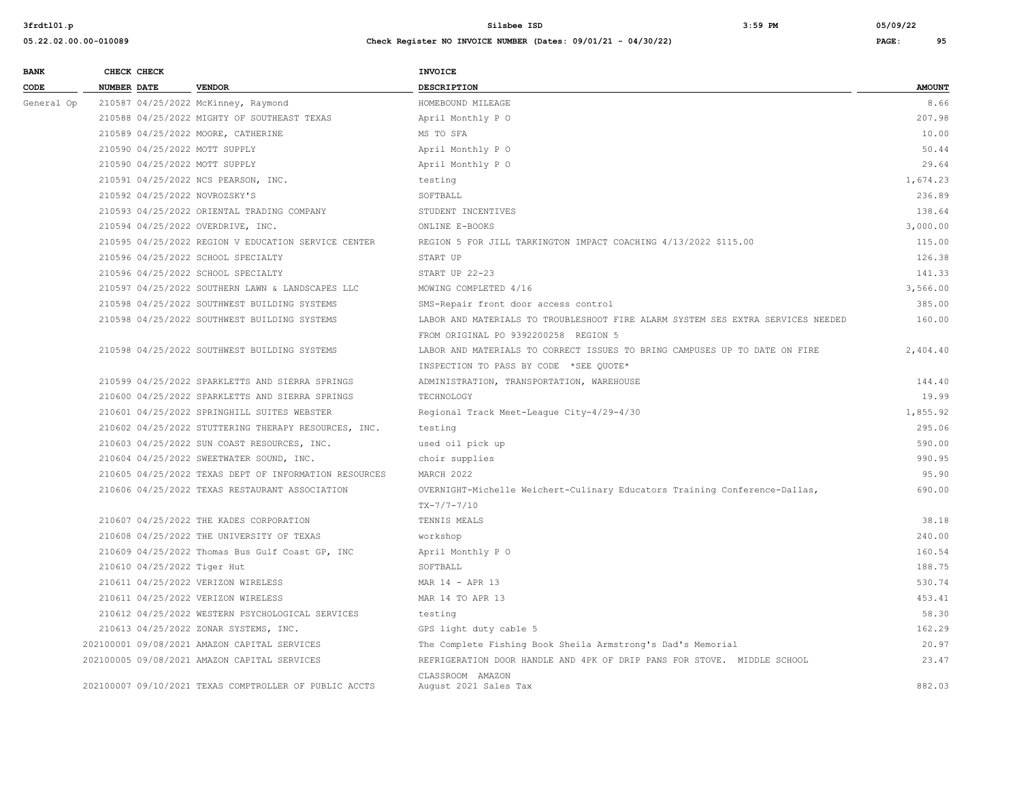| <b>BANK</b> |                    | CHECK CHECK                 |                                                        | <b>INVOICE</b>                                                                  |               |
|-------------|--------------------|-----------------------------|--------------------------------------------------------|---------------------------------------------------------------------------------|---------------|
| CODE        | <b>NUMBER DATE</b> |                             | <b>VENDOR</b>                                          | <b>DESCRIPTION</b>                                                              | <b>AMOUNT</b> |
| General Op  |                    |                             | 210587 04/25/2022 McKinney, Raymond                    | HOMEBOUND MILEAGE                                                               | 8.66          |
|             |                    |                             | 210588 04/25/2022 MIGHTY OF SOUTHEAST TEXAS            | April Monthly P O                                                               | 207.98        |
|             |                    |                             | 210589 04/25/2022 MOORE, CATHERINE                     | MS TO SFA                                                                       | 10.00         |
|             |                    |                             | 210590 04/25/2022 MOTT SUPPLY                          | April Monthly P O                                                               | 50.44         |
|             |                    |                             | 210590 04/25/2022 MOTT SUPPLY                          | April Monthly P O                                                               | 29.64         |
|             |                    |                             | 210591 04/25/2022 NCS PEARSON, INC.                    | testing                                                                         | 1,674.23      |
|             |                    |                             | 210592 04/25/2022 NOVROZSKY'S                          | SOFTBALL                                                                        | 236.89        |
|             |                    |                             | 210593 04/25/2022 ORIENTAL TRADING COMPANY             | STUDENT INCENTIVES                                                              | 138.64        |
|             |                    |                             | 210594 04/25/2022 OVERDRIVE, INC.                      | ONLINE E-BOOKS                                                                  | 3,000.00      |
|             |                    |                             | 210595 04/25/2022 REGION V EDUCATION SERVICE CENTER    | REGION 5 FOR JILL TARKINGTON IMPACT COACHING 4/13/2022 \$115.00                 | 115.00        |
|             |                    |                             | 210596 04/25/2022 SCHOOL SPECIALTY                     | START UP                                                                        | 126.38        |
|             |                    |                             | 210596 04/25/2022 SCHOOL SPECIALTY                     | START UP 22-23                                                                  | 141.33        |
|             |                    |                             | 210597 04/25/2022 SOUTHERN LAWN & LANDSCAPES LLC       | MOWING COMPLETED 4/16                                                           | 3,566.00      |
|             |                    |                             | 210598 04/25/2022 SOUTHWEST BUILDING SYSTEMS           | SMS-Repair front door access control                                            | 385.00        |
|             |                    |                             | 210598 04/25/2022 SOUTHWEST BUILDING SYSTEMS           | LABOR AND MATERIALS TO TROUBLESHOOT FIRE ALARM SYSTEM SES EXTRA SERVICES NEEDED | 160.00        |
|             |                    |                             |                                                        | FROM ORIGINAL PO 9392200258 REGION 5                                            |               |
|             |                    |                             | 210598 04/25/2022 SOUTHWEST BUILDING SYSTEMS           | LABOR AND MATERIALS TO CORRECT ISSUES TO BRING CAMPUSES UP TO DATE ON FIRE      | 2,404.40      |
|             |                    |                             |                                                        | INSPECTION TO PASS BY CODE *SEE QUOTE*                                          |               |
|             |                    |                             | 210599 04/25/2022 SPARKLETTS AND SIERRA SPRINGS        | ADMINISTRATION, TRANSPORTATION, WAREHOUSE                                       | 144.40        |
|             |                    |                             | 210600 04/25/2022 SPARKLETTS AND SIERRA SPRINGS        | TECHNOLOGY                                                                      | 19.99         |
|             |                    |                             | 210601 04/25/2022 SPRINGHILL SUITES WEBSTER            | Regional Track Meet-League City-4/29-4/30                                       | 1,855.92      |
|             |                    |                             | 210602 04/25/2022 STUTTERING THERAPY RESOURCES, INC.   | testing                                                                         | 295.06        |
|             |                    |                             | 210603 04/25/2022 SUN COAST RESOURCES, INC.            | used oil pick up                                                                | 590.00        |
|             |                    |                             | 210604 04/25/2022 SWEETWATER SOUND, INC.               | choir supplies                                                                  | 990.95        |
|             |                    |                             | 210605 04/25/2022 TEXAS DEPT OF INFORMATION RESOURCES  | MARCH 2022                                                                      | 95.90         |
|             |                    |                             | 210606 04/25/2022 TEXAS RESTAURANT ASSOCIATION         | OVERNIGHT-Michelle Weichert-Culinary Educators Training Conference-Dallas,      | 690.00        |
|             |                    |                             |                                                        | $TX - 7/7 - 7/10$                                                               |               |
|             |                    |                             | 210607 04/25/2022 THE KADES CORPORATION                | TENNIS MEALS                                                                    | 38.18         |
|             |                    |                             | 210608 04/25/2022 THE UNIVERSITY OF TEXAS              | workshop                                                                        | 240.00        |
|             |                    |                             | 210609 04/25/2022 Thomas Bus Gulf Coast GP, INC        | April Monthly P O                                                               | 160.54        |
|             |                    | 210610 04/25/2022 Tiger Hut |                                                        | SOFTBALL                                                                        | 188.75        |
|             |                    |                             | 210611 04/25/2022 VERIZON WIRELESS                     | MAR 14 - APR 13                                                                 | 530.74        |
|             |                    |                             | 210611 04/25/2022 VERIZON WIRELESS                     | MAR 14 TO APR 13                                                                | 453.41        |
|             |                    |                             | 210612 04/25/2022 WESTERN PSYCHOLOGICAL SERVICES       | testing                                                                         | 58.30         |
|             |                    |                             | 210613 04/25/2022 ZONAR SYSTEMS, INC.                  | GPS light duty cable 5                                                          | 162.29        |
|             |                    |                             | 202100001 09/08/2021 AMAZON CAPITAL SERVICES           | The Complete Fishing Book Sheila Armstrong's Dad's Memorial                     | 20.97         |
|             |                    |                             | 202100005 09/08/2021 AMAZON CAPITAL SERVICES           | REFRIGERATION DOOR HANDLE AND 4PK OF DRIP PANS FOR STOVE. MIDDLE SCHOOL         | 23.47         |
|             |                    |                             |                                                        | CLASSROOM AMAZON                                                                |               |
|             |                    |                             | 202100007 09/10/2021 TEXAS COMPTROLLER OF PUBLIC ACCTS | August 2021 Sales Tax                                                           | 882.03        |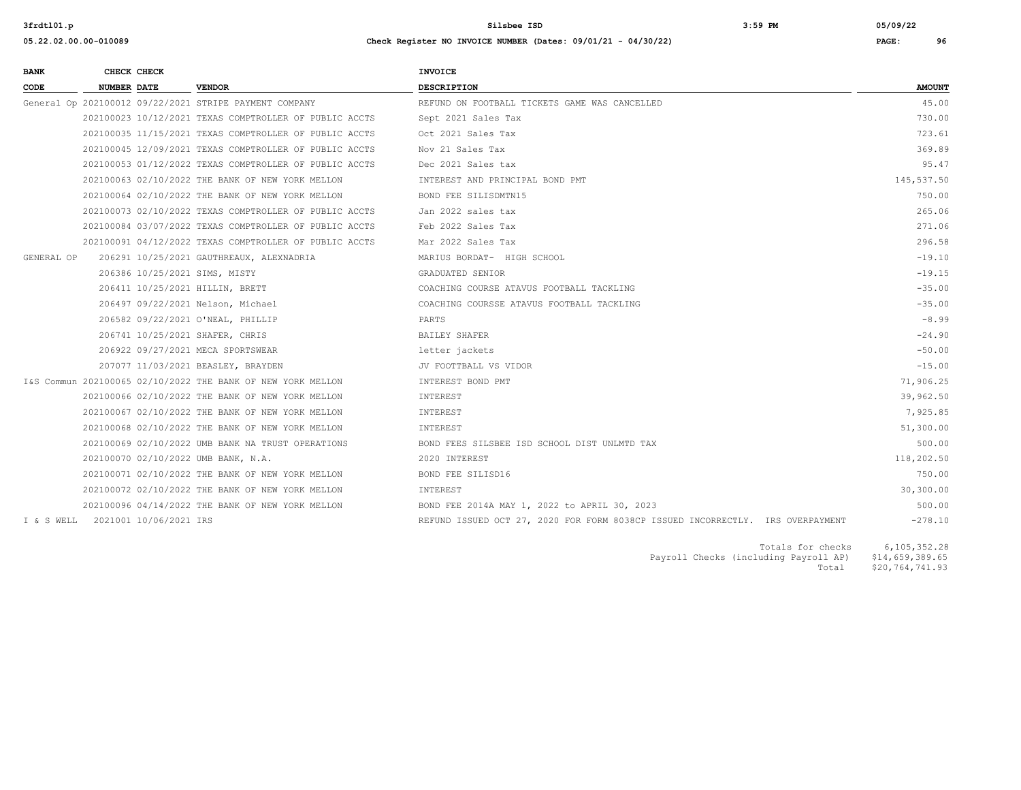**05.22.02.00.00-010089 Check Register NO INVOICE NUMBER (Dates: 09/01/21 - 04/30/22) PAGE: 96**

| <b>BANK</b> |                    | CHECK CHECK |                                                        | <b>INVOICE</b>                                |               |
|-------------|--------------------|-------------|--------------------------------------------------------|-----------------------------------------------|---------------|
| CODE        | <b>NUMBER DATE</b> |             | <b>VENDOR</b>                                          | <b>DESCRIPTION</b>                            | <b>AMOUNT</b> |
|             |                    |             | General Op 202100012 09/22/2021 STRIPE PAYMENT COMPANY | REFUND ON FOOTBALL TICKETS GAME WAS CANCELLED | 45.00         |
|             |                    |             | 202100023 10/12/2021 TEXAS COMPTROLLER OF PUBLIC ACCTS | Sept 2021 Sales Tax                           | 730.00        |
|             |                    |             | 202100025 11/15/2021 TEVAS COMPTROLIER OF BURITS ACSES | $0.4 + 0.001$ $0.100$ $\pi$                   | 722C1         |

|            |                                   | General Op 202100012 09/22/2021 STRIPE PAYMENT COMPANY      | REFUND ON FOOTBALL TICKETS GAME WAS CANCELLED                                  | 45.00      |
|------------|-----------------------------------|-------------------------------------------------------------|--------------------------------------------------------------------------------|------------|
|            |                                   | 202100023 10/12/2021 TEXAS COMPTROLLER OF PUBLIC ACCTS      | Sept 2021 Sales Tax                                                            | 730.00     |
|            |                                   | 202100035 11/15/2021 TEXAS COMPTROLLER OF PUBLIC ACCTS      | Oct 2021 Sales Tax                                                             | 723.61     |
|            |                                   | 202100045 12/09/2021 TEXAS COMPTROLLER OF PUBLIC ACCTS      | Nov 21 Sales Tax                                                               | 369.89     |
|            |                                   | 202100053 01/12/2022 TEXAS COMPTROLLER OF PUBLIC ACCTS      | Dec 2021 Sales tax                                                             | 95.47      |
|            |                                   | 202100063 02/10/2022 THE BANK OF NEW YORK MELLON            | INTEREST AND PRINCIPAL BOND PMT                                                | 145,537.50 |
|            |                                   | 202100064 02/10/2022 THE BANK OF NEW YORK MELLON            | BOND FEE SILISDMTN15                                                           | 750.00     |
|            |                                   | 202100073 02/10/2022 TEXAS COMPTROLLER OF PUBLIC ACCTS      | Jan 2022 sales tax                                                             | 265.06     |
|            |                                   | 202100084 03/07/2022 TEXAS COMPTROLLER OF PUBLIC ACCTS      | Feb 2022 Sales Tax                                                             | 271.06     |
|            |                                   | 202100091 04/12/2022 TEXAS COMPTROLLER OF PUBLIC ACCTS      | Mar 2022 Sales Tax                                                             | 296.58     |
| GENERAL OP |                                   | 206291 10/25/2021 GAUTHREAUX, ALEXNADRIA                    | MARIUS BORDAT- HIGH SCHOOL                                                     | $-19.10$   |
|            |                                   | 206386 10/25/2021 SIMS, MISTY                               | GRADUATED SENIOR                                                               | $-19.15$   |
|            |                                   | 206411 10/25/2021 HILLIN, BRETT                             | COACHING COURSE ATAVUS FOOTBALL TACKLING                                       | $-35.00$   |
|            |                                   | 206497 09/22/2021 Nelson, Michael                           | COACHING COURSSE ATAVUS FOOTBALL TACKLING                                      | $-35.00$   |
|            |                                   | 206582 09/22/2021 O'NEAL, PHILLIP                           | PARTS                                                                          | $-8.99$    |
|            |                                   | 206741 10/25/2021 SHAFER, CHRIS                             | BAILEY SHAFER                                                                  | $-24.90$   |
|            |                                   | 206922 09/27/2021 MECA SPORTSWEAR                           | letter jackets                                                                 | $-50.00$   |
|            |                                   | 207077 11/03/2021 BEASLEY, BRAYDEN                          | JV FOOTTBALL VS VIDOR                                                          | $-15.00$   |
|            |                                   | I&S Commun 202100065 02/10/2022 THE BANK OF NEW YORK MELLON | INTEREST BOND PMT                                                              | 71,906.25  |
|            |                                   | 202100066 02/10/2022 THE BANK OF NEW YORK MELLON            | INTEREST                                                                       | 39,962.50  |
|            |                                   | 202100067 02/10/2022 THE BANK OF NEW YORK MELLON            | INTEREST                                                                       | 7,925.85   |
|            |                                   | 202100068 02/10/2022 THE BANK OF NEW YORK MELLON            | INTEREST                                                                       | 51,300.00  |
|            |                                   | 202100069 02/10/2022 UMB BANK NA TRUST OPERATIONS           | BOND FEES SILSBEE ISD SCHOOL DIST UNLMTD TAX                                   | 500.00     |
|            |                                   | 202100070 02/10/2022 UMB BANK, N.A.                         | 2020 INTEREST                                                                  | 118,202.50 |
|            |                                   | 202100071 02/10/2022 THE BANK OF NEW YORK MELLON            | BOND FEE SILISD16                                                              | 750.00     |
|            |                                   | 202100072 02/10/2022 THE BANK OF NEW YORK MELLON            | INTEREST                                                                       | 30,300.00  |
|            |                                   | 202100096 04/14/2022 THE BANK OF NEW YORK MELLON            | BOND FEE 2014A MAY 1, 2022 to APRIL 30, 2023                                   | 500.00     |
|            | I & S WELL 2021001 10/06/2021 IRS |                                                             | REFUND ISSUED OCT 27, 2020 FOR FORM 8038CP ISSUED INCORRECTLY. IRS OVERPAYMENT | $-278.10$  |
|            |                                   |                                                             |                                                                                |            |

 Totals for checks 6,105,352.28 Potals for checks 6,105,352.28<br>Payroll Checks (including Payroll AP) \$14,659,389.65<br>Potal \$20,764,741.93  $$20,764,741.93$